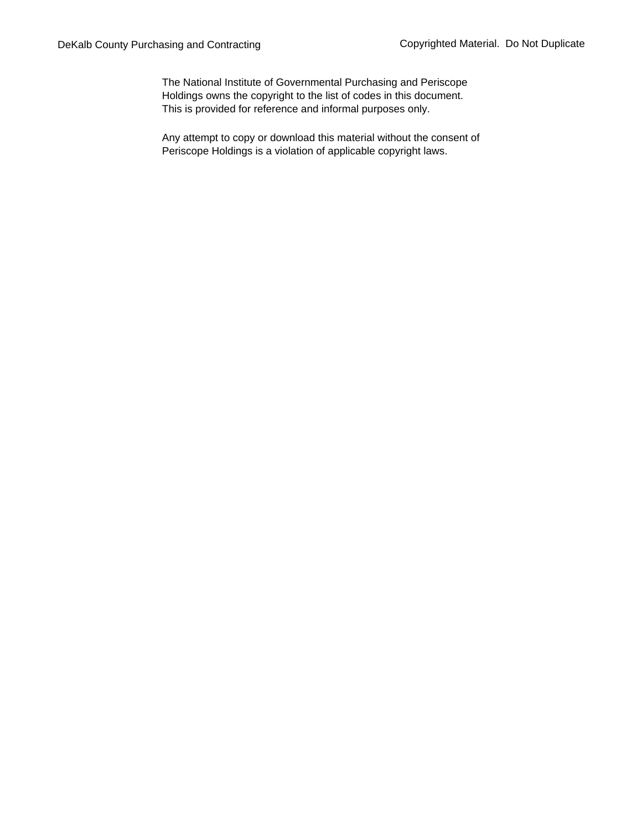The National Institute of Governmental Purchasing and Periscope Holdings owns the copyright to the list of codes in this document. This is provided for reference and informal purposes only.

Any attempt to copy or download this material without the consent of Periscope Holdings is a violation of applicable copyright laws.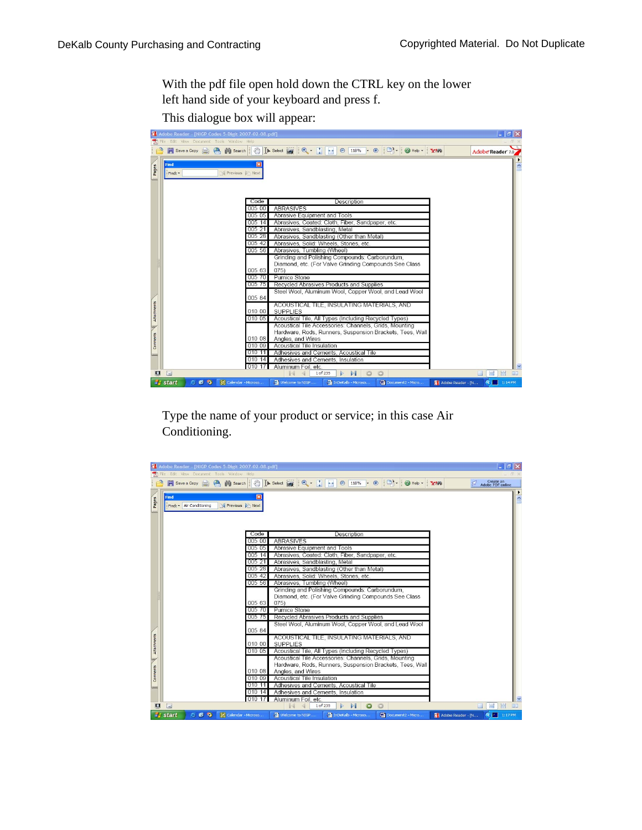With the pdf file open hold down the CTRL key on the lower left hand side of your keyboard and press f.

This dialogue box will appear:

| <b>N</b> Adobe Reader - [NIGP Codes 5-Digit 2007-02-08.pdf]<br>TC File Edit View Document Tools Window Help |                                                                                                                                                                                           | $-  D'  X  $                          |
|-------------------------------------------------------------------------------------------------------------|-------------------------------------------------------------------------------------------------------------------------------------------------------------------------------------------|---------------------------------------|
| Save a Copy <b>Co. Mill Search</b>                                                                          | $\frac{1}{2}$ $\frac{1}{2}$ $\frac{1}{2}$ $\frac{1}{2}$ $\frac{1}{2}$ $\frac{1}{2}$ $\frac{1}{2}$ $\frac{1}{2}$ $\frac{1}{2}$ $\frac{1}{2}$ $\frac{1}{2}$ $\frac{1}{2}$<br>Y <sup>1</sup> | Adobe Reader 7.0                      |
| <b>Find</b><br>Pages<br>Find: *                                                                             | $\overline{\mathbf{x}}$<br>Previous <b>Next</b>                                                                                                                                           |                                       |
|                                                                                                             | Code<br>Description                                                                                                                                                                       |                                       |
|                                                                                                             | <b>ABRASIVES</b><br>005 00                                                                                                                                                                |                                       |
|                                                                                                             | 005 05<br>Abrasive Equipment and Tools                                                                                                                                                    |                                       |
|                                                                                                             | Abrasives, Coated: Cloth, Fiber, Sandpaper, etc.<br>005 14                                                                                                                                |                                       |
|                                                                                                             | 005 21<br>Abrasives, Sandblasting, Metal                                                                                                                                                  |                                       |
|                                                                                                             | 005 28<br>Abrasives, Sandblasting (Other than Metal)                                                                                                                                      |                                       |
|                                                                                                             | 005 42<br>Abrasives, Solid: Wheels, Stones, etc.                                                                                                                                          |                                       |
|                                                                                                             | 005 56<br>Abrasives, Tumbling (Wheel)                                                                                                                                                     |                                       |
|                                                                                                             | Grinding and Polishing Compounds: Carborundum,<br>Diamond, etc. (For Valve Grinding Compounds See Class                                                                                   |                                       |
|                                                                                                             | 005 63<br>075)                                                                                                                                                                            |                                       |
|                                                                                                             | <b>Pumice Stone</b><br>005 70                                                                                                                                                             |                                       |
|                                                                                                             | Recycled Abrasives Products and Supplies<br>005 75                                                                                                                                        |                                       |
|                                                                                                             | Steel Wool, Aluminum Wool, Copper Wool, and Lead Wool                                                                                                                                     |                                       |
|                                                                                                             | 005 84                                                                                                                                                                                    |                                       |
|                                                                                                             | ACOUSTICAL TILE, INSULATING MATERIALS, AND                                                                                                                                                |                                       |
| Attachments                                                                                                 | 010 00<br><b>SUPPLIES</b>                                                                                                                                                                 |                                       |
|                                                                                                             | 010 05<br>Acoustical Tile, All Types (Including Recycled Types)                                                                                                                           |                                       |
|                                                                                                             | Acoustical Tile Accessories: Channels, Grids, Mounting                                                                                                                                    |                                       |
|                                                                                                             | Hardware, Rods, Runners, Suspension Brackets, Tees, Wall                                                                                                                                  |                                       |
| Comments                                                                                                    | 010 08<br>Angles, and Wires                                                                                                                                                               |                                       |
|                                                                                                             | Acoustical Tile Insulation<br>010 09<br>010 11                                                                                                                                            |                                       |
| <b>KOO</b>                                                                                                  | Adhesives and Cements, Acoustical Tile<br>010 14<br>Adhesives and Cements, Insulation                                                                                                     |                                       |
|                                                                                                             | 010 17<br>Aluminum Foil, etc.                                                                                                                                                             |                                       |
| 圓<br>目                                                                                                      | 1 of 235<br>$\triangleright$<br>c                                                                                                                                                         | <b>HH</b><br>÷<br>ŒΠ                  |
| C C Q Calendar - Microso<br><b>Start</b>                                                                    | Welcome to NIGP<br>ThDeKalb - Microso<br><b>Will Document2 - Micro</b>                                                                                                                    | <b>R</b> 1:14 PM<br>Adobe Reader - [N |

Type the name of your product or service; in this case Air Conditioning.

|             | Adobe Reader - [NIGP Codes 5-Digit 2007-02-08.pdf]                   |                                                                                                                                                                        | $ \sigma$ $\times$                      |
|-------------|----------------------------------------------------------------------|------------------------------------------------------------------------------------------------------------------------------------------------------------------------|-----------------------------------------|
|             | File Edit View Document Tools Window Help                            |                                                                                                                                                                        |                                         |
|             | Save a Copy <b>C. (A)</b> Search                                     | $\bigcirc$ 118% $\bigcirc$ $\bigcirc$ $\bigcirc$<br>$\mathbb{C}$ In Select $\mathbb{R}$ $\mathbb{R}$ $\mathbb{R}$ $\mathbb{R}$ $\mathbb{R}$ $\mathbb{R}$<br>Help - Y/W | Create an<br>Adobe PDF online           |
| Pages       | <b>Find</b><br>×<br>Previous <b>Next</b><br>Find: • Air Conditioning |                                                                                                                                                                        |                                         |
|             | Code                                                                 | Description                                                                                                                                                            |                                         |
|             | 005 00                                                               | <b>ABRASIVES</b>                                                                                                                                                       |                                         |
|             | 005 05                                                               | Abrasive Equipment and Tools                                                                                                                                           |                                         |
|             | 005 14                                                               | Abrasives, Coated: Cloth, Fiber, Sandpaper, etc.                                                                                                                       |                                         |
|             | 005 21                                                               | Abrasives, Sandblasting, Metal                                                                                                                                         |                                         |
|             | 005 28                                                               | Abrasives, Sandblasting (Other than Metal)                                                                                                                             |                                         |
|             | 005 42                                                               | Abrasives, Solid: Wheels, Stones, etc.                                                                                                                                 |                                         |
|             | 005 56                                                               | Abrasives, Tumbling (Wheel)                                                                                                                                            |                                         |
|             |                                                                      | Grinding and Polishing Compounds: Carborundum,                                                                                                                         |                                         |
|             | 005 63                                                               | Diamond, etc. (For Valve Grinding Compounds See Class<br>075)                                                                                                          |                                         |
|             | 005 70                                                               | <b>Pumice Stone</b>                                                                                                                                                    |                                         |
|             | 005 75                                                               | Recycled Abrasives Products and Supplies                                                                                                                               |                                         |
|             |                                                                      | Steel Wool, Aluminum Wool, Copper Wool, and Lead Wool                                                                                                                  |                                         |
|             | 005 84                                                               |                                                                                                                                                                        |                                         |
|             |                                                                      | ACOUSTICAL TILE, INSULATING MATERIALS, AND                                                                                                                             |                                         |
| Attachments | 010 00                                                               | <b>SUPPLIES</b>                                                                                                                                                        |                                         |
|             | 010 05                                                               | Acoustical Tile, All Types (Including Recycled Types)                                                                                                                  |                                         |
|             |                                                                      | Acoustical Tile Accessories: Channels, Grids, Mounting                                                                                                                 |                                         |
|             |                                                                      | Hardware, Rods, Runners, Suspension Brackets, Tees, Wall                                                                                                               |                                         |
| Comments    | 010 08                                                               | Angles, and Wires                                                                                                                                                      |                                         |
|             | 010 09                                                               | Acoustical Tile Insulation                                                                                                                                             |                                         |
|             | 010 11                                                               | Adhesives and Cements, Acoustical Tile                                                                                                                                 |                                         |
|             | 010 14<br>010 17                                                     | Adhesives and Cements, Insulation<br>Aluminum Foil, etc.                                                                                                               |                                         |
| 画           | $\Box$                                                               | 1 of 235<br>$\bullet$<br>$\circ$<br>ÞГ                                                                                                                                 | 出<br>н<br>圓口                            |
|             | <b><i>is start</i></b><br>C C Q Calendar - Microso                   | Document2 - Micro<br>Welcome to NIGP<br>ThDeKalb - Microso                                                                                                             | <b>Q</b>   1:17 PM<br>Adobe Reader - [N |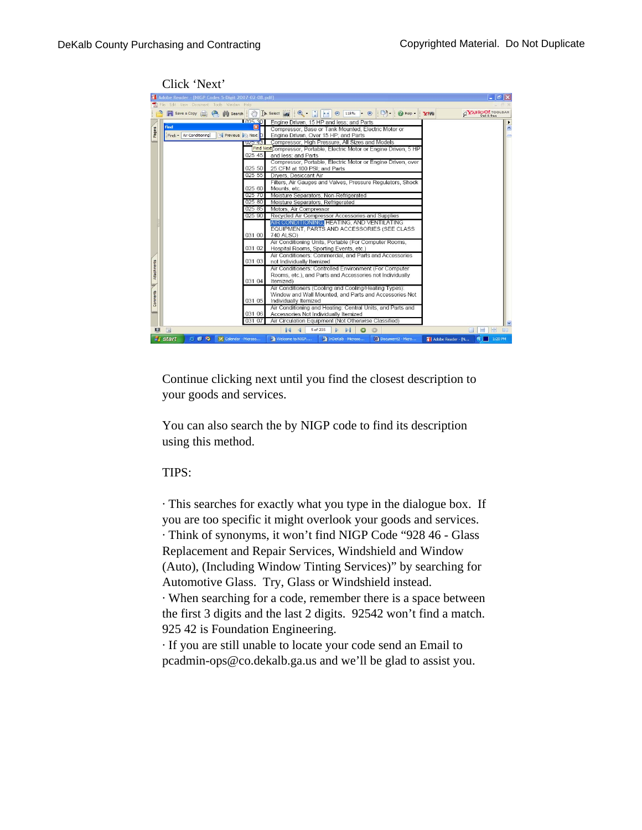Click 'Next'

| Adobe Reader - [NIGP Codes 5-Digit 2007-02-08.pdf]<br>Edit View Document Tools Window Help<br>File<br>Save a Copy <b>Co. Co. M</b> Search |                                                                                                                                                                                                                                                                                                                            | $  \vec{\theta}  \times$ |
|-------------------------------------------------------------------------------------------------------------------------------------------|----------------------------------------------------------------------------------------------------------------------------------------------------------------------------------------------------------------------------------------------------------------------------------------------------------------------------|--------------------------|
|                                                                                                                                           |                                                                                                                                                                                                                                                                                                                            |                          |
|                                                                                                                                           | $\Box$ $\cdot$ $\Box$ Help -<br>$\mathbb{C}^{\mathbb{N}}$ <b>I</b> Select $\boxed{\bullet}$ $\bullet$ $\boxed{\bullet}$ $\bullet$ <b>B</b> 118%<br>$ \oplus$<br><b>YNE</b>                                                                                                                                                 | <b>AYAHOO!</b> TOOLBAR   |
| Find<br>Pages<br>Find: • Air Conditioning                                                                                                 | 1025.301<br>Engine Driven, 15 HP and less; and Parts<br>Compressor, Base or Tank Mounted, Electric Motor or<br>Previous <b>Ph Next</b> D<br>Engine Driven, Over 15 HP; and Parts<br>Compressor, High Pressure, All Sizes and Models<br>$UZ2 - 43$<br>Find Next Compressor, Portable, Electric Motor or Engine Driven, 5 HP | $\hat{\phantom{a}}$      |
|                                                                                                                                           | 02545<br>and less; and Parts<br>Compressor, Portable, Electric Motor or Engine Driven, over<br>025 50<br>25 CFM at 100 PSI; and Parts<br>025 55<br>Dryers, Desiccant Air<br>Filters, Air Gauges and Valves, Pressure Regulators, Shock                                                                                     |                          |
|                                                                                                                                           | 025 60<br>Mounts, etc.<br>025 70<br>Moisture Separators, Non-Refrigerated<br>025 80<br>Moisture Separators, Refrigerated<br>025 85<br>Motors, Air Compressor<br>Recycled Air Compressor Accessories and Supplies<br>025 90                                                                                                 |                          |
|                                                                                                                                           | AIR CONDITIONING, HEATING, AND VENTILATING<br>EQUIPMENT, PARTS AND ACCESSORIES (SEE CLASS)<br>740 ALSO)<br>031 00<br>Air Conditioning Units, Portable (For Computer Rooms,                                                                                                                                                 |                          |
|                                                                                                                                           | 031 02<br>Hospital Rooms, Sporting Events, etc.)<br>Air Conditioners: Commercial, and Parts and Accessories<br>031 03<br>not Individually Itemized<br>Air Conditioners: Controlled Environment (For Computer                                                                                                               |                          |
| Attachments                                                                                                                               | Rooms, etc.), and Parts and Accessories not Individually<br>031 04<br>Itemized)<br>Air Conditioners (Cooling and Cooling/Heating Types):                                                                                                                                                                                   |                          |
| Comments                                                                                                                                  | Window and Wall Mounted, and Parts and Accessories Not<br>031 05<br>Individually Itemized<br>Air Conditioning and Heating: Central Units, and Parts and                                                                                                                                                                    |                          |
| $\Box$<br>$\blacksquare$                                                                                                                  | 031 06<br>Accessories Not Individually Itemized<br>Air Circulation Equipment (Not Otherwise Classified)<br>031 07<br>ıз<br>5 of 235<br>o                                                                                                                                                                                   | <b>HH</b><br>e I<br>田口   |

Continue clicking next until you find the closest description to your goods and services.

You can also search the by NIGP code to find its description using this method.

## TIPS:

· This searches for exactly what you type in the dialogue box. If you are too specific it might overlook your goods and services. · Think of synonyms, it won't find NIGP Code "928 46 - Glass Replacement and Repair Services, Windshield and Window (Auto), (Including Window Tinting Services)" by searching for Automotive Glass. Try, Glass or Windshield instead. · When searching for a code, remember there is a space between

the first 3 digits and the last 2 digits. 92542 won't find a match. 925 42 is Foundation Engineering.

· If you are still unable to locate your code send an Email to pcadmin-ops@co.dekalb.ga.us and we'll be glad to assist you.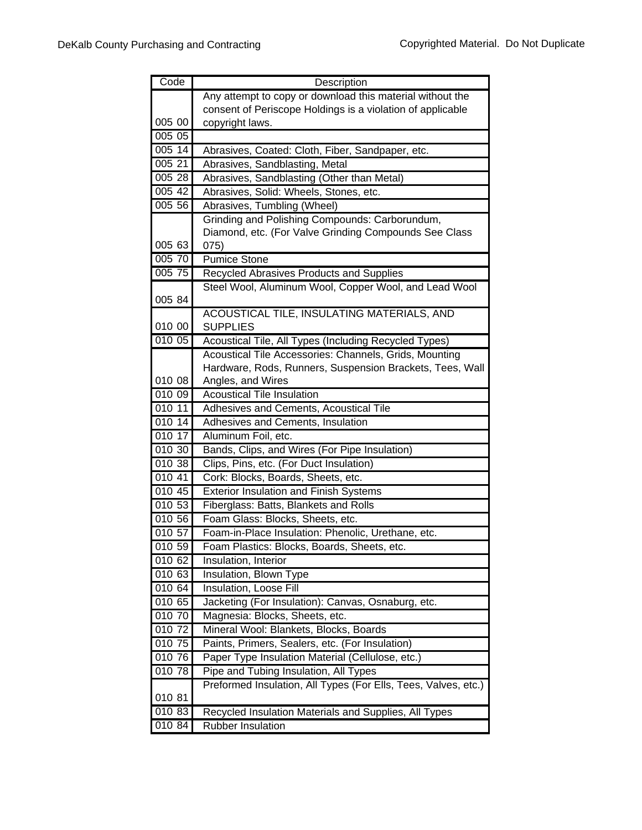| Code   | Description                                                    |
|--------|----------------------------------------------------------------|
|        | Any attempt to copy or download this material without the      |
|        | consent of Periscope Holdings is a violation of applicable     |
| 005 00 | copyright laws.                                                |
| 005 05 |                                                                |
| 005 14 | Abrasives, Coated: Cloth, Fiber, Sandpaper, etc.               |
| 005 21 | Abrasives, Sandblasting, Metal                                 |
| 005 28 | Abrasives, Sandblasting (Other than Metal)                     |
| 005 42 | Abrasives, Solid: Wheels, Stones, etc.                         |
| 005 56 | Abrasives, Tumbling (Wheel)                                    |
|        | Grinding and Polishing Compounds: Carborundum,                 |
|        | Diamond, etc. (For Valve Grinding Compounds See Class          |
| 005 63 | 075)                                                           |
| 005 70 | <b>Pumice Stone</b>                                            |
| 005 75 | <b>Recycled Abrasives Products and Supplies</b>                |
|        | Steel Wool, Aluminum Wool, Copper Wool, and Lead Wool          |
| 005 84 |                                                                |
|        | ACOUSTICAL TILE, INSULATING MATERIALS, AND                     |
| 010 00 | <b>SUPPLIES</b>                                                |
| 010 05 | Acoustical Tile, All Types (Including Recycled Types)          |
|        | Acoustical Tile Accessories: Channels, Grids, Mounting         |
|        | Hardware, Rods, Runners, Suspension Brackets, Tees, Wall       |
| 010 08 | Angles, and Wires                                              |
| 010 09 | <b>Acoustical Tile Insulation</b>                              |
| 01011  | Adhesives and Cements, Acoustical Tile                         |
| 01014  | Adhesives and Cements, Insulation                              |
| 010 17 | Aluminum Foil, etc.                                            |
| 010 30 | Bands, Clips, and Wires (For Pipe Insulation)                  |
| 010 38 | Clips, Pins, etc. (For Duct Insulation)                        |
| 010 41 | Cork: Blocks, Boards, Sheets, etc.                             |
| 010 45 | <b>Exterior Insulation and Finish Systems</b>                  |
| 010 53 | Fiberglass: Batts, Blankets and Rolls                          |
| 01056  | Foam Glass: Blocks, Sheets, etc.                               |
| 010 57 | Foam-in-Place Insulation: Phenolic, Urethane, etc.             |
| 010 59 | Foam Plastics: Blocks, Boards, Sheets, etc.                    |
| 010 62 | Insulation, Interior                                           |
| 010 63 | Insulation, Blown Type                                         |
| 010 64 | Insulation, Loose Fill                                         |
| 010 65 | Jacketing (For Insulation): Canvas, Osnaburg, etc.             |
| 010 70 | Magnesia: Blocks, Sheets, etc.                                 |
| 010 72 | Mineral Wool: Blankets, Blocks, Boards                         |
| 010 75 | Paints, Primers, Sealers, etc. (For Insulation)                |
| 010 76 | Paper Type Insulation Material (Cellulose, etc.)               |
| 010 78 | Pipe and Tubing Insulation, All Types                          |
|        | Preformed Insulation, All Types (For Ells, Tees, Valves, etc.) |
| 010 81 |                                                                |
| 010 83 | Recycled Insulation Materials and Supplies, All Types          |
| 010 84 | <b>Rubber Insulation</b>                                       |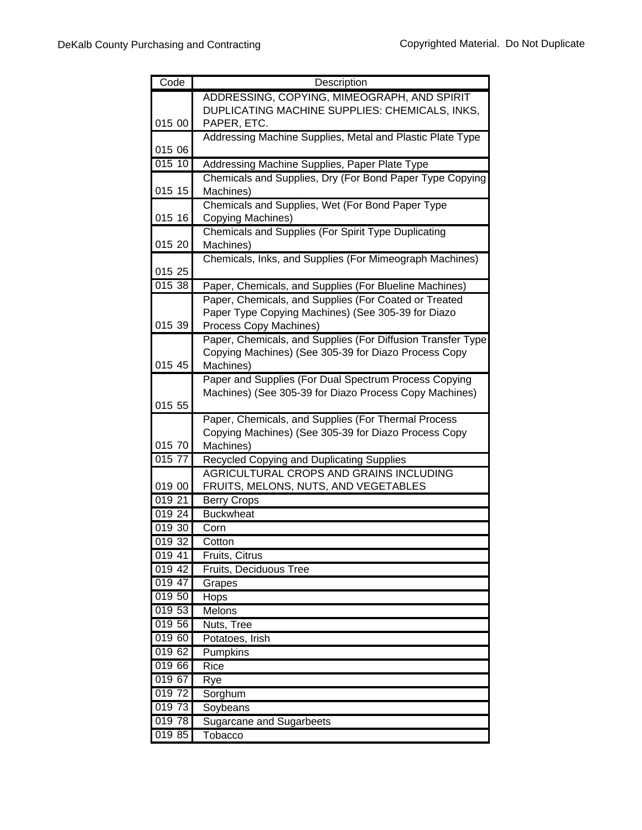| Code      | Description                                                                          |
|-----------|--------------------------------------------------------------------------------------|
|           | ADDRESSING, COPYING, MIMEOGRAPH, AND SPIRIT                                          |
|           | DUPLICATING MACHINE SUPPLIES: CHEMICALS, INKS,                                       |
| 015 00    | PAPER, ETC.                                                                          |
|           | Addressing Machine Supplies, Metal and Plastic Plate Type                            |
| 015 06    |                                                                                      |
| 01510     | Addressing Machine Supplies, Paper Plate Type                                        |
|           | Chemicals and Supplies, Dry (For Bond Paper Type Copying                             |
| 015 15    | Machines)                                                                            |
|           | Chemicals and Supplies, Wet (For Bond Paper Type                                     |
| 015 16    | Copying Machines)                                                                    |
| 015 20    | Chemicals and Supplies (For Spirit Type Duplicating                                  |
|           | Machines)                                                                            |
| 015 25    | Chemicals, Inks, and Supplies (For Mimeograph Machines)                              |
| 01538     | Paper, Chemicals, and Supplies (For Blueline Machines)                               |
|           | Paper, Chemicals, and Supplies (For Coated or Treated                                |
|           | Paper Type Copying Machines) (See 305-39 for Diazo                                   |
| 015 39    | Process Copy Machines)                                                               |
|           | Paper, Chemicals, and Supplies (For Diffusion Transfer Type                          |
|           | Copying Machines) (See 305-39 for Diazo Process Copy                                 |
| 015 45    | Machines)                                                                            |
|           | Paper and Supplies (For Dual Spectrum Process Copying                                |
|           | Machines) (See 305-39 for Diazo Process Copy Machines)                               |
| 015 55    |                                                                                      |
|           | Paper, Chemicals, and Supplies (For Thermal Process                                  |
| 015 70    | Copying Machines) (See 305-39 for Diazo Process Copy                                 |
| $015\,77$ | Machines)                                                                            |
|           | Recycled Copying and Duplicating Supplies<br>AGRICULTURAL CROPS AND GRAINS INCLUDING |
| 019 00    | FRUITS, MELONS, NUTS, AND VEGETABLES                                                 |
| 019 21    | <b>Berry Crops</b>                                                                   |
| 019 24    | <b>Buckwheat</b>                                                                     |
| 019 30    | Corn                                                                                 |
| 019 32    | Cotton                                                                               |
| 019 41    | Fruits, Citrus                                                                       |
| 019 42    | Fruits, Deciduous Tree                                                               |
| 019 47    | Grapes                                                                               |
| 019 50    | Hops                                                                                 |
| 019 53    | Melons                                                                               |
| 019 56    | Nuts, Tree                                                                           |
| 019 60    | Potatoes, Irish                                                                      |
| 019 62    | Pumpkins                                                                             |
| 019 66    | Rice                                                                                 |
| 019 67    | Rye                                                                                  |
| 01972     | Sorghum                                                                              |
| 019 73    | Soybeans                                                                             |
| 01978     | <b>Sugarcane and Sugarbeets</b>                                                      |
| 019 85    | Tobacco                                                                              |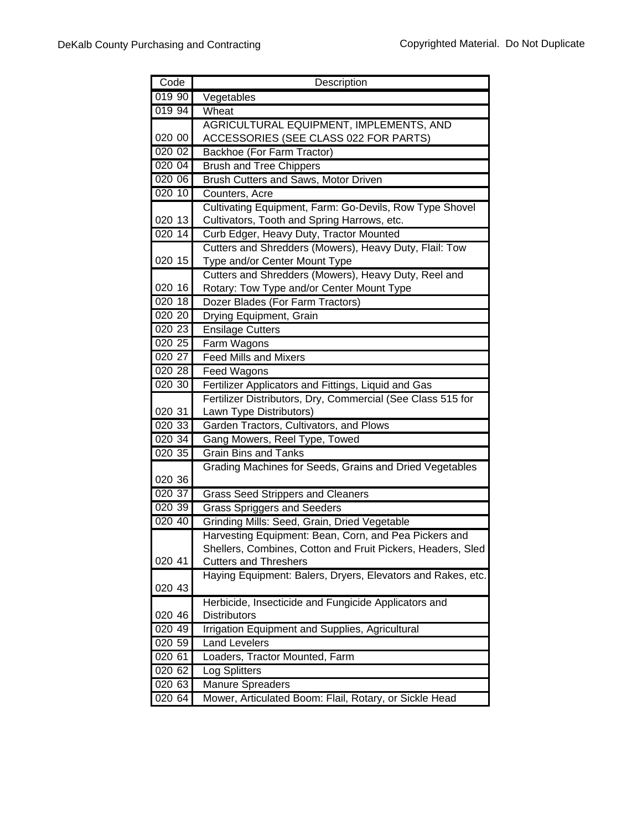| Code   | Description                                                 |
|--------|-------------------------------------------------------------|
| 019 90 | Vegetables                                                  |
| 019 94 | Wheat                                                       |
|        | AGRICULTURAL EQUIPMENT, IMPLEMENTS, AND                     |
| 020 00 | ACCESSORIES (SEE CLASS 022 FOR PARTS)                       |
| 020 02 | Backhoe (For Farm Tractor)                                  |
| 020 04 | <b>Brush and Tree Chippers</b>                              |
| 020 06 | Brush Cutters and Saws, Motor Driven                        |
| 020 10 | Counters, Acre                                              |
|        | Cultivating Equipment, Farm: Go-Devils, Row Type Shovel     |
| 020 13 | Cultivators, Tooth and Spring Harrows, etc.                 |
| 020 14 | Curb Edger, Heavy Duty, Tractor Mounted                     |
|        | Cutters and Shredders (Mowers), Heavy Duty, Flail: Tow      |
| 020 15 | Type and/or Center Mount Type                               |
|        | Cutters and Shredders (Mowers), Heavy Duty, Reel and        |
| 020 16 | Rotary: Tow Type and/or Center Mount Type                   |
| 020 18 | Dozer Blades (For Farm Tractors)                            |
| 020 20 | Drying Equipment, Grain                                     |
| 020 23 | <b>Ensilage Cutters</b>                                     |
| 020 25 | Farm Wagons                                                 |
| 020 27 | <b>Feed Mills and Mixers</b>                                |
| 020 28 | Feed Wagons                                                 |
| 020 30 | Fertilizer Applicators and Fittings, Liquid and Gas         |
|        | Fertilizer Distributors, Dry, Commercial (See Class 515 for |
| 020 31 | Lawn Type Distributors)                                     |
| 020 33 | Garden Tractors, Cultivators, and Plows                     |
| 020 34 | Gang Mowers, Reel Type, Towed                               |
| 020 35 | <b>Grain Bins and Tanks</b>                                 |
|        | Grading Machines for Seeds, Grains and Dried Vegetables     |
| 020 36 |                                                             |
| 02037  | <b>Grass Seed Strippers and Cleaners</b>                    |
| 020 39 | <b>Grass Spriggers and Seeders</b>                          |
| 020 40 | Grinding Mills: Seed, Grain, Dried Vegetable                |
|        | Harvesting Equipment: Bean, Corn, and Pea Pickers and       |
| 020 41 | Shellers, Combines, Cotton and Fruit Pickers, Headers, Sled |
|        | <b>Cutters and Threshers</b>                                |
| 020 43 | Haying Equipment: Balers, Dryers, Elevators and Rakes, etc. |
|        | Herbicide, Insecticide and Fungicide Applicators and        |
| 020 46 | <b>Distributors</b>                                         |
| 020 49 | Irrigation Equipment and Supplies, Agricultural             |
| 020 59 | <b>Land Levelers</b>                                        |
| 020 61 | Loaders, Tractor Mounted, Farm                              |
| 020 62 | Log Splitters                                               |
| 020 63 | <b>Manure Spreaders</b>                                     |
| 020 64 | Mower, Articulated Boom: Flail, Rotary, or Sickle Head      |
|        |                                                             |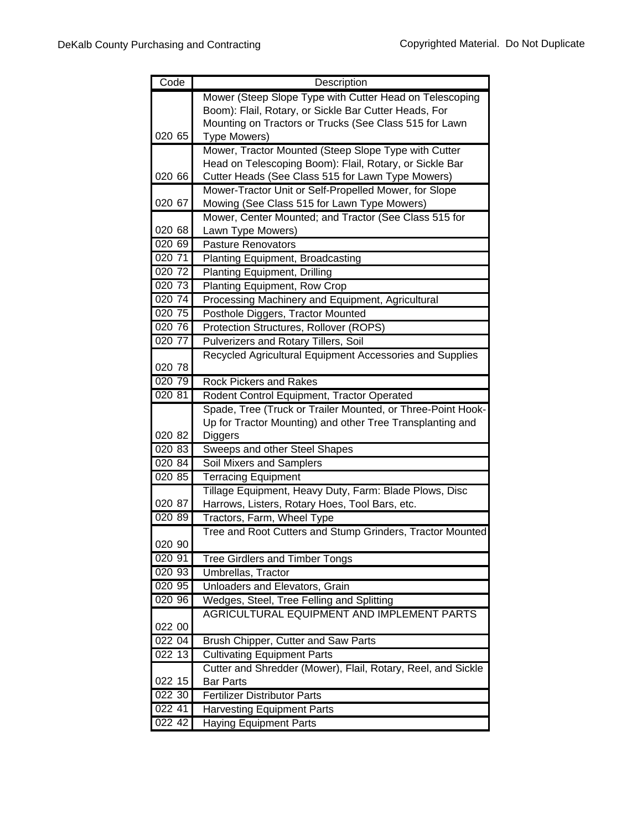| Code                | Description                                                                                                              |
|---------------------|--------------------------------------------------------------------------------------------------------------------------|
|                     | Mower (Steep Slope Type with Cutter Head on Telescoping                                                                  |
|                     | Boom): Flail, Rotary, or Sickle Bar Cutter Heads, For                                                                    |
|                     | Mounting on Tractors or Trucks (See Class 515 for Lawn                                                                   |
| 020 65              | Type Mowers)                                                                                                             |
|                     | Mower, Tractor Mounted (Steep Slope Type with Cutter                                                                     |
| 020 66              | Head on Telescoping Boom): Flail, Rotary, or Sickle Bar<br>Cutter Heads (See Class 515 for Lawn Type Mowers)             |
|                     | Mower-Tractor Unit or Self-Propelled Mower, for Slope                                                                    |
| 020 67              | Mowing (See Class 515 for Lawn Type Mowers)                                                                              |
|                     | Mower, Center Mounted; and Tractor (See Class 515 for                                                                    |
| 020 68              | Lawn Type Mowers)                                                                                                        |
| 020 69              | <b>Pasture Renovators</b>                                                                                                |
| 020 71              | <b>Planting Equipment, Broadcasting</b>                                                                                  |
| 020 72              | <b>Planting Equipment, Drilling</b>                                                                                      |
| 020 73              | Planting Equipment, Row Crop                                                                                             |
| 020 74              | Processing Machinery and Equipment, Agricultural                                                                         |
| 020 75              | Posthole Diggers, Tractor Mounted                                                                                        |
| 020 76              | Protection Structures, Rollover (ROPS)                                                                                   |
| 020 77              | <b>Pulverizers and Rotary Tillers, Soil</b>                                                                              |
|                     | Recycled Agricultural Equipment Accessories and Supplies                                                                 |
| 020 78              |                                                                                                                          |
| 020 79              | <b>Rock Pickers and Rakes</b>                                                                                            |
| 020 81              | Rodent Control Equipment, Tractor Operated                                                                               |
|                     | Spade, Tree (Truck or Trailer Mounted, or Three-Point Hook-<br>Up for Tractor Mounting) and other Tree Transplanting and |
| 020 82              | Diggers                                                                                                                  |
| $\overline{020}$ 83 | Sweeps and other Steel Shapes                                                                                            |
| 020 84              | Soil Mixers and Samplers                                                                                                 |
| 020 85              | <b>Terracing Equipment</b>                                                                                               |
|                     | Tillage Equipment, Heavy Duty, Farm: Blade Plows, Disc                                                                   |
| 020 87              | Harrows, Listers, Rotary Hoes, Tool Bars, etc.                                                                           |
| 02089               | Tractors, Farm, Wheel Type                                                                                               |
|                     | Tree and Root Cutters and Stump Grinders, Tractor Mounted                                                                |
| 020 90              |                                                                                                                          |
| 020 91              | <b>Tree Girdlers and Timber Tongs</b>                                                                                    |
| 020 93              | Umbrellas, Tractor                                                                                                       |
| 020 95              | Unloaders and Elevators, Grain                                                                                           |
| 020 96              | Wedges, Steel, Tree Felling and Splitting                                                                                |
| 022 00              | AGRICULTURAL EQUIPMENT AND IMPLEMENT PARTS                                                                               |
| 022 04              | Brush Chipper, Cutter and Saw Parts                                                                                      |
| 022 13              | <b>Cultivating Equipment Parts</b>                                                                                       |
|                     | Cutter and Shredder (Mower), Flail, Rotary, Reel, and Sickle                                                             |
| 022 15              | <b>Bar Parts</b>                                                                                                         |
| 022 30              | <b>Fertilizer Distributor Parts</b>                                                                                      |
| 022 41              | <b>Harvesting Equipment Parts</b>                                                                                        |
| 022 42              | <b>Haying Equipment Parts</b>                                                                                            |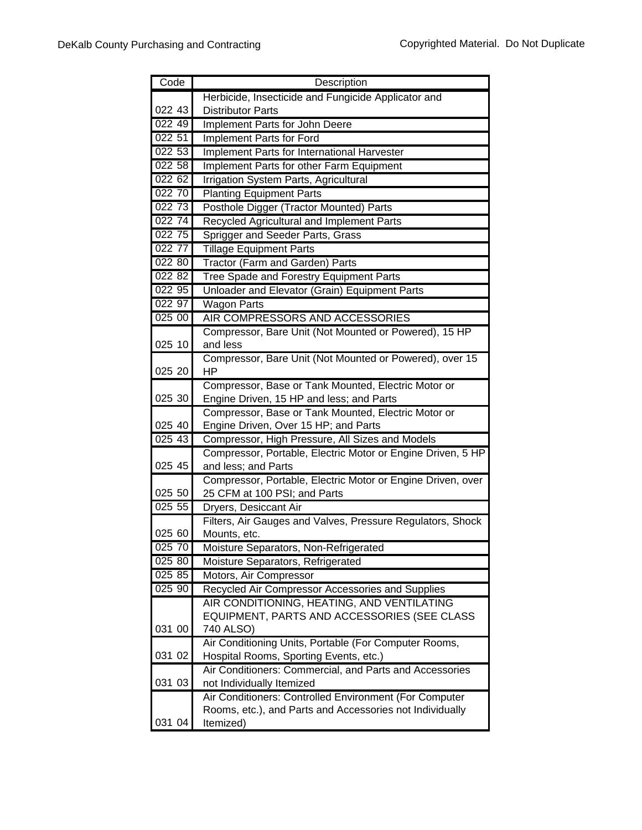| Code   | Description                                                                                    |
|--------|------------------------------------------------------------------------------------------------|
|        | Herbicide, Insecticide and Fungicide Applicator and                                            |
| 022 43 | <b>Distributor Parts</b>                                                                       |
| 022 49 | Implement Parts for John Deere                                                                 |
| 022 51 | Implement Parts for Ford                                                                       |
| 022 53 | Implement Parts for International Harvester                                                    |
| 022 58 | Implement Parts for other Farm Equipment                                                       |
| 022 62 | <b>Irrigation System Parts, Agricultural</b>                                                   |
| 022 70 | <b>Planting Equipment Parts</b>                                                                |
| 022 73 | Posthole Digger (Tractor Mounted) Parts                                                        |
| 022 74 | Recycled Agricultural and Implement Parts                                                      |
| 022 75 | Sprigger and Seeder Parts, Grass                                                               |
| 022 77 | <b>Tillage Equipment Parts</b>                                                                 |
| 022 80 | Tractor (Farm and Garden) Parts                                                                |
| 022 82 | Tree Spade and Forestry Equipment Parts                                                        |
| 022 95 | Unloader and Elevator (Grain) Equipment Parts                                                  |
| 022 97 | <b>Wagon Parts</b>                                                                             |
| 025 00 | AIR COMPRESSORS AND ACCESSORIES                                                                |
|        | Compressor, Bare Unit (Not Mounted or Powered), 15 HP                                          |
| 025 10 | and less                                                                                       |
|        | Compressor, Bare Unit (Not Mounted or Powered), over 15                                        |
| 025 20 | HP                                                                                             |
|        | Compressor, Base or Tank Mounted, Electric Motor or                                            |
| 025 30 | Engine Driven, 15 HP and less; and Parts                                                       |
|        | Compressor, Base or Tank Mounted, Electric Motor or                                            |
| 025 40 | Engine Driven, Over 15 HP; and Parts                                                           |
| 025 43 | Compressor, High Pressure, All Sizes and Models                                                |
|        | Compressor, Portable, Electric Motor or Engine Driven, 5 HP                                    |
| 025 45 | and less; and Parts                                                                            |
|        | Compressor, Portable, Electric Motor or Engine Driven, over                                    |
| 025 50 | 25 CFM at 100 PSI; and Parts                                                                   |
| 025 55 | Dryers, Desiccant Air                                                                          |
| 025 60 | Filters, Air Gauges and Valves, Pressure Regulators, Shock                                     |
| 025 70 | Mounts, etc.<br>Moisture Separators, Non-Refrigerated                                          |
| 025 80 |                                                                                                |
| 025 85 | Moisture Separators, Refrigerated                                                              |
| 025 90 | Motors, Air Compressor                                                                         |
|        | Recycled Air Compressor Accessories and Supplies<br>AIR CONDITIONING, HEATING, AND VENTILATING |
|        | EQUIPMENT, PARTS AND ACCESSORIES (SEE CLASS                                                    |
| 031 00 | 740 ALSO)                                                                                      |
|        | Air Conditioning Units, Portable (For Computer Rooms,                                          |
| 031 02 | Hospital Rooms, Sporting Events, etc.)                                                         |
|        | Air Conditioners: Commercial, and Parts and Accessories                                        |
| 031 03 | not Individually Itemized                                                                      |
|        | Air Conditioners: Controlled Environment (For Computer                                         |
|        | Rooms, etc.), and Parts and Accessories not Individually                                       |
| 031 04 | Itemized)                                                                                      |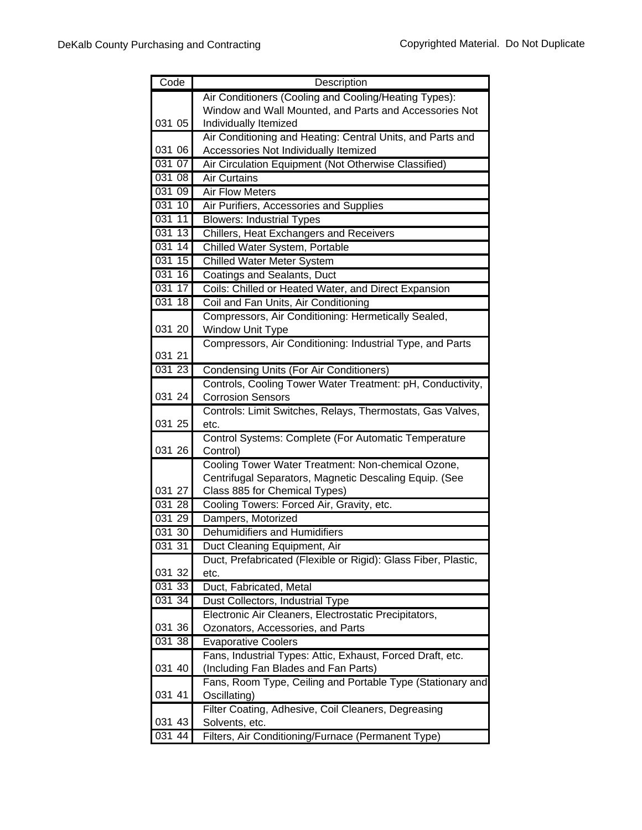| Code                   | Description                                                                |
|------------------------|----------------------------------------------------------------------------|
|                        | Air Conditioners (Cooling and Cooling/Heating Types):                      |
|                        | Window and Wall Mounted, and Parts and Accessories Not                     |
| 031 05                 | Individually Itemized                                                      |
|                        | Air Conditioning and Heating: Central Units, and Parts and                 |
| 031 06                 | Accessories Not Individually Itemized                                      |
| 031 07                 | Air Circulation Equipment (Not Otherwise Classified)                       |
| 031 08                 | <b>Air Curtains</b>                                                        |
| 031 09                 | Air Flow Meters                                                            |
| 03110                  | Air Purifiers, Accessories and Supplies                                    |
| 031 11                 | <b>Blowers: Industrial Types</b>                                           |
| $\overline{13}$<br>031 | Chillers, Heat Exchangers and Receivers                                    |
| 031 14                 | Chilled Water System, Portable                                             |
| 031 15                 | <b>Chilled Water Meter System</b>                                          |
| 031 16                 | Coatings and Sealants, Duct                                                |
| 031 17                 | Coils: Chilled or Heated Water, and Direct Expansion                       |
| 031 18                 | Coil and Fan Units, Air Conditioning                                       |
|                        | Compressors, Air Conditioning: Hermetically Sealed,                        |
| 031 20                 | Window Unit Type                                                           |
|                        | Compressors, Air Conditioning: Industrial Type, and Parts                  |
| 031 21                 |                                                                            |
| 03123                  | <b>Condensing Units (For Air Conditioners)</b>                             |
|                        | Controls, Cooling Tower Water Treatment: pH, Conductivity,                 |
| 031 24                 | <b>Corrosion Sensors</b>                                                   |
|                        | Controls: Limit Switches, Relays, Thermostats, Gas Valves,                 |
| 031 25                 | etc.                                                                       |
|                        | Control Systems: Complete (For Automatic Temperature                       |
| 031 26                 | Control)                                                                   |
|                        | Cooling Tower Water Treatment: Non-chemical Ozone,                         |
|                        | Centrifugal Separators, Magnetic Descaling Equip. (See                     |
| 031 27                 | Class 885 for Chemical Types)                                              |
| 031 28                 | Cooling Towers: Forced Air, Gravity, etc.                                  |
| 031 29                 | Dampers, Motorized                                                         |
| 031 30                 | Dehumidifiers and Humidifiers                                              |
| 031 31                 | Duct Cleaning Equipment, Air                                               |
| 031 32                 | Duct, Prefabricated (Flexible or Rigid): Glass Fiber, Plastic,             |
|                        | etc.                                                                       |
| $\overline{031}33$     | Duct, Fabricated, Metal                                                    |
| 031 34                 | Dust Collectors, Industrial Type                                           |
| 031 36                 | Electronic Air Cleaners, Electrostatic Precipitators,                      |
| 031 38                 | Ozonators, Accessories, and Parts<br><b>Evaporative Coolers</b>            |
|                        | Fans, Industrial Types: Attic, Exhaust, Forced Draft, etc.                 |
| 031 40                 | (Including Fan Blades and Fan Parts)                                       |
|                        |                                                                            |
| 031 41                 | Fans, Room Type, Ceiling and Portable Type (Stationary and<br>Oscillating) |
|                        | Filter Coating, Adhesive, Coil Cleaners, Degreasing                        |
| 031 43                 | Solvents, etc.                                                             |
| 031 44                 | Filters, Air Conditioning/Furnace (Permanent Type)                         |
|                        |                                                                            |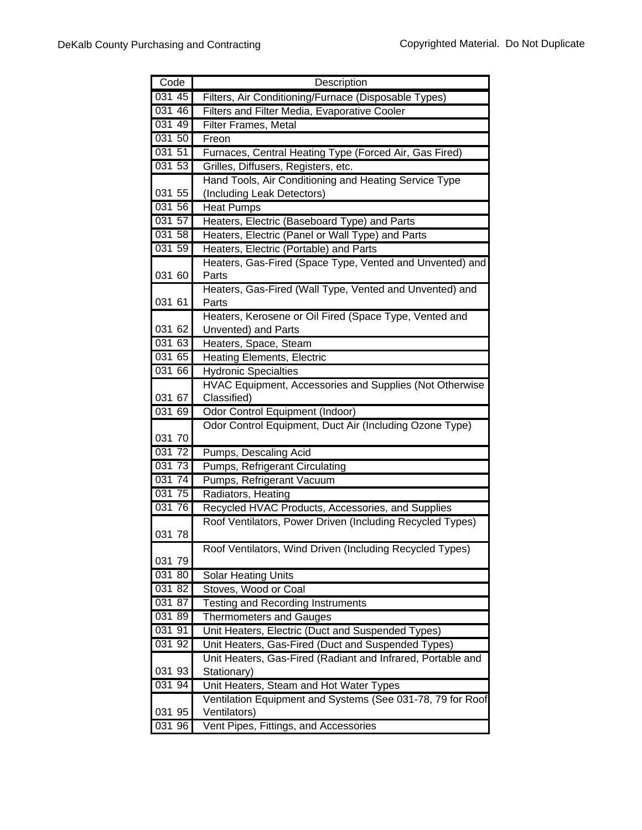| Code             | Description                                                 |
|------------------|-------------------------------------------------------------|
| 031 45           | Filters, Air Conditioning/Furnace (Disposable Types)        |
| 031 46           | Filters and Filter Media, Evaporative Cooler                |
| 031 49           | <b>Filter Frames, Metal</b>                                 |
| 031 50           | Freon                                                       |
| 031 51           | Furnaces, Central Heating Type (Forced Air, Gas Fired)      |
| 03153            | Grilles, Diffusers, Registers, etc.                         |
|                  | Hand Tools, Air Conditioning and Heating Service Type       |
| 031 55           | (Including Leak Detectors)                                  |
| 031 56           | Heat Pumps                                                  |
| 031 57           | Heaters, Electric (Baseboard Type) and Parts                |
| 031 58           | Heaters, Electric (Panel or Wall Type) and Parts            |
| 03159            | Heaters, Electric (Portable) and Parts                      |
|                  | Heaters, Gas-Fired (Space Type, Vented and Unvented) and    |
| 031 60           | Parts                                                       |
|                  | Heaters, Gas-Fired (Wall Type, Vented and Unvented) and     |
| 031 61           | Parts                                                       |
|                  | Heaters, Kerosene or Oil Fired (Space Type, Vented and      |
| 031 62           | Unvented) and Parts                                         |
| 031 63           | Heaters, Space, Steam                                       |
| 031 65           | <b>Heating Elements, Electric</b>                           |
| 031 66           | <b>Hydronic Specialties</b>                                 |
|                  | HVAC Equipment, Accessories and Supplies (Not Otherwise     |
| 031 67           | Classified)                                                 |
| 031 69           | Odor Control Equipment (Indoor)                             |
|                  | Odor Control Equipment, Duct Air (Including Ozone Type)     |
| 031 70           |                                                             |
| 031 72           | Pumps, Descaling Acid                                       |
| 031 73<br>031 74 | <b>Pumps, Refrigerant Circulating</b>                       |
| 031 75           | Pumps, Refrigerant Vacuum                                   |
| 031 76           | Radiators, Heating                                          |
|                  | Recycled HVAC Products, Accessories, and Supplies           |
| 031 78           | Roof Ventilators, Power Driven (Including Recycled Types)   |
|                  | Roof Ventilators, Wind Driven (Including Recycled Types)    |
| 031 79           |                                                             |
| 031 80           | <b>Solar Heating Units</b>                                  |
| 031 82           | Stoves, Wood or Coal                                        |
| 031 87           | <b>Testing and Recording Instruments</b>                    |
| 031 89           | <b>Thermometers and Gauges</b>                              |
| 031 91           | Unit Heaters, Electric (Duct and Suspended Types)           |
| 031 92           | Unit Heaters, Gas-Fired (Duct and Suspended Types)          |
|                  | Unit Heaters, Gas-Fired (Radiant and Infrared, Portable and |
| 031 93           | Stationary)                                                 |
| 031 94           | Unit Heaters, Steam and Hot Water Types                     |
|                  | Ventilation Equipment and Systems (See 031-78, 79 for Roof  |
| 031 95           | Ventilators)                                                |
| 031 96           | Vent Pipes, Fittings, and Accessories                       |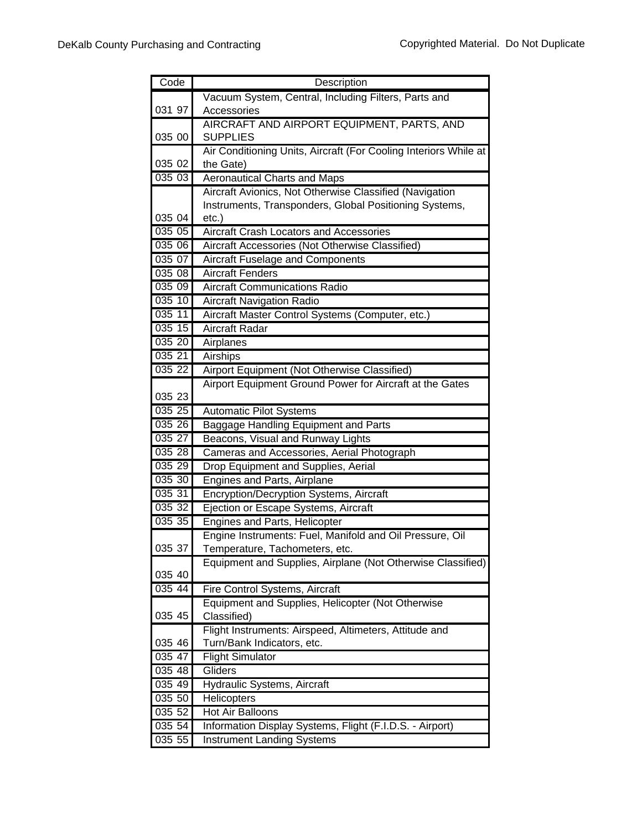| Code             | Description                                                                          |
|------------------|--------------------------------------------------------------------------------------|
|                  | Vacuum System, Central, Including Filters, Parts and                                 |
| 031 97           | Accessories                                                                          |
|                  | AIRCRAFT AND AIRPORT EQUIPMENT, PARTS, AND                                           |
| 035 00           | <b>SUPPLIES</b>                                                                      |
|                  | Air Conditioning Units, Aircraft (For Cooling Interiors While at                     |
| 035 02           | the Gate)                                                                            |
| 035 03           | <b>Aeronautical Charts and Maps</b>                                                  |
|                  | Aircraft Avionics, Not Otherwise Classified (Navigation                              |
|                  | Instruments, Transponders, Global Positioning Systems,                               |
| 035 04           | $etc.$ )                                                                             |
| 035 05           | Aircraft Crash Locators and Accessories                                              |
| 035 06           | Aircraft Accessories (Not Otherwise Classified)                                      |
| 035 07<br>035 08 | Aircraft Fuselage and Components<br><b>Aircraft Fenders</b>                          |
| 035 09           | <b>Aircraft Communications Radio</b>                                                 |
| 035 10           |                                                                                      |
| 035 11           | <b>Aircraft Navigation Radio</b><br>Aircraft Master Control Systems (Computer, etc.) |
| 035 15           | <b>Aircraft Radar</b>                                                                |
| 035 20           | Airplanes                                                                            |
| 035 21           | Airships                                                                             |
| 035 22           | Airport Equipment (Not Otherwise Classified)                                         |
|                  | Airport Equipment Ground Power for Aircraft at the Gates                             |
| 035 23           |                                                                                      |
| 035 25           | <b>Automatic Pilot Systems</b>                                                       |
| 035 26           | Baggage Handling Equipment and Parts                                                 |
| 035 27           | Beacons, Visual and Runway Lights                                                    |
| 035 28           | Cameras and Accessories, Aerial Photograph                                           |
| 035 29           | Drop Equipment and Supplies, Aerial                                                  |
| 035 30           | Engines and Parts, Airplane                                                          |
| 035 31           | Encryption/Decryption Systems, Aircraft                                              |
| 035 32           | Ejection or Escape Systems, Aircraft                                                 |
| 035 35           | Engines and Parts, Helicopter                                                        |
|                  | Engine Instruments: Fuel, Manifold and Oil Pressure, Oil                             |
| 035 37           | Temperature, Tachometers, etc.                                                       |
|                  | Equipment and Supplies, Airplane (Not Otherwise Classified)                          |
| 035 40           |                                                                                      |
| $035\;44$        | Fire Control Systems, Aircraft                                                       |
|                  | Equipment and Supplies, Helicopter (Not Otherwise                                    |
| 035 45           | Classified)                                                                          |
|                  | Flight Instruments: Airspeed, Altimeters, Attitude and                               |
| 035 46           | Turn/Bank Indicators, etc.                                                           |
| 035 47           | <b>Flight Simulator</b>                                                              |
| 035 48           | Gliders                                                                              |
| 035 49<br>035 50 | Hydraulic Systems, Aircraft                                                          |
| 035 52           | Helicopters<br><b>Hot Air Balloons</b>                                               |
| 035 54           |                                                                                      |
|                  | Information Display Systems, Flight (F.I.D.S. - Airport)                             |
| 035 55           | <b>Instrument Landing Systems</b>                                                    |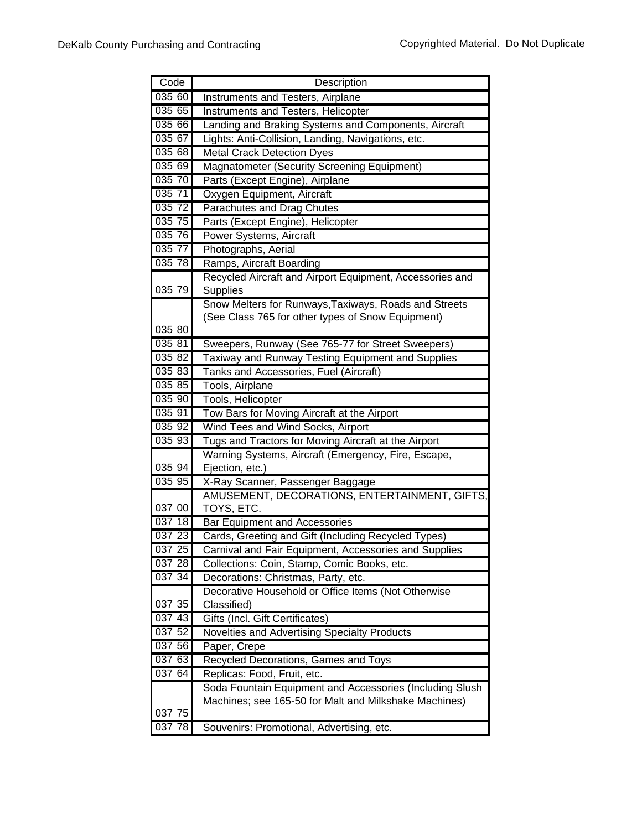| Code             | Description                                                                                                       |
|------------------|-------------------------------------------------------------------------------------------------------------------|
| 035 60           | Instruments and Testers, Airplane                                                                                 |
| 035 65           | Instruments and Testers, Helicopter                                                                               |
| 035 66           | Landing and Braking Systems and Components, Aircraft                                                              |
| 035 67           | Lights: Anti-Collision, Landing, Navigations, etc.                                                                |
| 035 68           | <b>Metal Crack Detection Dyes</b>                                                                                 |
| 035 69           | Magnatometer (Security Screening Equipment)                                                                       |
| 035 70           | Parts (Except Engine), Airplane                                                                                   |
| 035 71           | Oxygen Equipment, Aircraft                                                                                        |
| 035 72           | <b>Parachutes and Drag Chutes</b>                                                                                 |
| 035 75           | Parts (Except Engine), Helicopter                                                                                 |
| 035 76           | Power Systems, Aircraft                                                                                           |
| 035 77           | Photographs, Aerial                                                                                               |
| 035 78           | Ramps, Aircraft Boarding                                                                                          |
|                  | Recycled Aircraft and Airport Equipment, Accessories and                                                          |
| 035 79           | Supplies                                                                                                          |
|                  | Snow Melters for Runways, Taxiways, Roads and Streets                                                             |
|                  | (See Class 765 for other types of Snow Equipment)                                                                 |
| 035 80           |                                                                                                                   |
| 035 81           | Sweepers, Runway (See 765-77 for Street Sweepers)                                                                 |
| 035 82           | Taxiway and Runway Testing Equipment and Supplies                                                                 |
| 035 83           | Tanks and Accessories, Fuel (Aircraft)                                                                            |
| 035 85           | Tools, Airplane                                                                                                   |
| 03590            | Tools, Helicopter                                                                                                 |
| 035 91           | Tow Bars for Moving Aircraft at the Airport                                                                       |
| 035 92           | Wind Tees and Wind Socks, Airport                                                                                 |
| 035 93           | Tugs and Tractors for Moving Aircraft at the Airport                                                              |
|                  | Warning Systems, Aircraft (Emergency, Fire, Escape,                                                               |
| 035 94           | Ejection, etc.)                                                                                                   |
| 035 95           | X-Ray Scanner, Passenger Baggage                                                                                  |
|                  | AMUSEMENT, DECORATIONS, ENTERTAINMENT, GIFTS,                                                                     |
| 037 00           | TOYS, ETC.                                                                                                        |
| 037 18           | <b>Bar Equipment and Accessories</b>                                                                              |
| 037 23           | Cards, Greeting and Gift (Including Recycled Types)                                                               |
| 037 25           | Carnival and Fair Equipment, Accessories and Supplies                                                             |
| 037 28           | Collections: Coin, Stamp, Comic Books, etc.                                                                       |
| 03734            | Decorations: Christmas, Party, etc.                                                                               |
|                  | Decorative Household or Office Items (Not Otherwise                                                               |
| 037 35           | Classified)                                                                                                       |
| 037 43           | Gifts (Incl. Gift Certificates)                                                                                   |
| 037 52           | Novelties and Advertising Specialty Products                                                                      |
| 037 56<br>037 63 | Paper, Crepe<br>Recycled Decorations, Games and Toys                                                              |
| 037 64           |                                                                                                                   |
|                  | Replicas: Food, Fruit, etc.                                                                                       |
|                  | Soda Fountain Equipment and Accessories (Including Slush<br>Machines; see 165-50 for Malt and Milkshake Machines) |
| 037 75           |                                                                                                                   |
| 037 78           | Souvenirs: Promotional, Advertising, etc.                                                                         |
|                  |                                                                                                                   |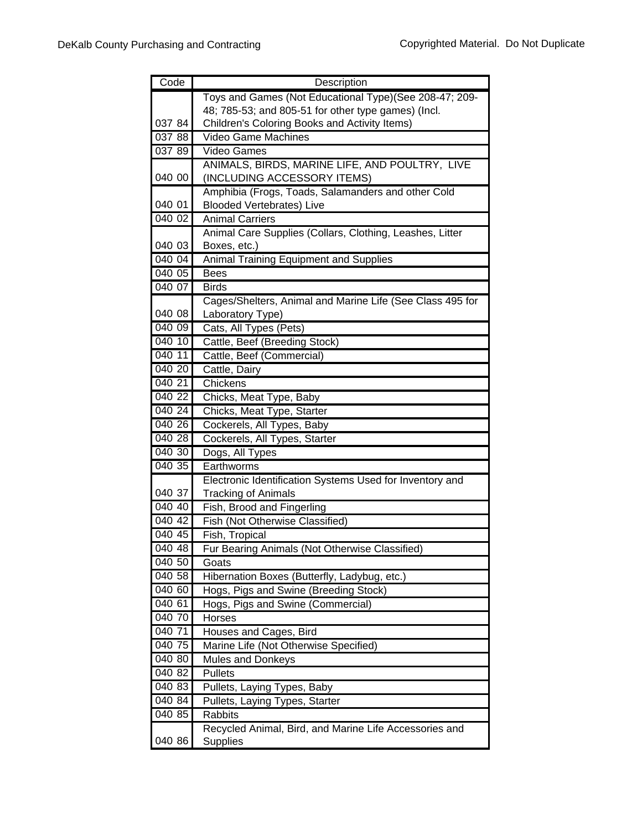| Code                | Description                                               |
|---------------------|-----------------------------------------------------------|
|                     | Toys and Games (Not Educational Type)(See 208-47; 209-    |
|                     | 48; 785-53; and 805-51 for other type games) (Incl.       |
| 037 84              | Children's Coloring Books and Activity Items)             |
| 037 88              | Video Game Machines                                       |
| 037 89              | <b>Video Games</b>                                        |
|                     | ANIMALS, BIRDS, MARINE LIFE, AND POULTRY, LIVE            |
| 040 00              | (INCLUDING ACCESSORY ITEMS)                               |
|                     | Amphibia (Frogs, Toads, Salamanders and other Cold        |
| 040 01              | <b>Blooded Vertebrates) Live</b>                          |
| 040 02              | <b>Animal Carriers</b>                                    |
|                     | Animal Care Supplies (Collars, Clothing, Leashes, Litter  |
| 040 03              | Boxes, etc.)                                              |
| 040 04              | <b>Animal Training Equipment and Supplies</b>             |
| 040 05              | <b>Bees</b>                                               |
| 040 07              | <b>Birds</b>                                              |
|                     | Cages/Shelters, Animal and Marine Life (See Class 495 for |
| 040 08              | Laboratory Type)                                          |
| 040 09              | Cats, All Types (Pets)                                    |
| 040 10              | Cattle, Beef (Breeding Stock)                             |
| 040 11              | Cattle, Beef (Commercial)                                 |
| 040 20              | Cattle, Dairy                                             |
| 040 21              | Chickens                                                  |
| $040\ 22$           | Chicks, Meat Type, Baby                                   |
| 040 24              | Chicks, Meat Type, Starter                                |
| 040 26              | Cockerels, All Types, Baby                                |
| 040 28              | Cockerels, All Types, Starter                             |
| 040 30              | Dogs, All Types                                           |
| 040 35              | Earthworms                                                |
|                     | Electronic Identification Systems Used for Inventory and  |
| 040 37              | <b>Tracking of Animals</b>                                |
| 040 40              | Fish, Brood and Fingerling                                |
| 040 42              | Fish (Not Otherwise Classified)                           |
| 040 45              | Fish, Tropical                                            |
| 040 48              | Fur Bearing Animals (Not Otherwise Classified)            |
| 040 50              | Goats                                                     |
| 040 58              | Hibernation Boxes (Butterfly, Ladybug, etc.)              |
| 040 60              | Hogs, Pigs and Swine (Breeding Stock)                     |
| 040 61              | Hogs, Pigs and Swine (Commercial)                         |
| 040 70              | Horses                                                    |
| 040 71              | Houses and Cages, Bird                                    |
| 040 75              | Marine Life (Not Otherwise Specified)                     |
| 040 80              | <b>Mules and Donkeys</b>                                  |
| 040 82              | Pullets                                                   |
| 040 83              | Pullets, Laying Types, Baby                               |
| 040 84              | Pullets, Laying Types, Starter                            |
| $\overline{040}$ 85 | Rabbits                                                   |
|                     | Recycled Animal, Bird, and Marine Life Accessories and    |
| 040 86              | <b>Supplies</b>                                           |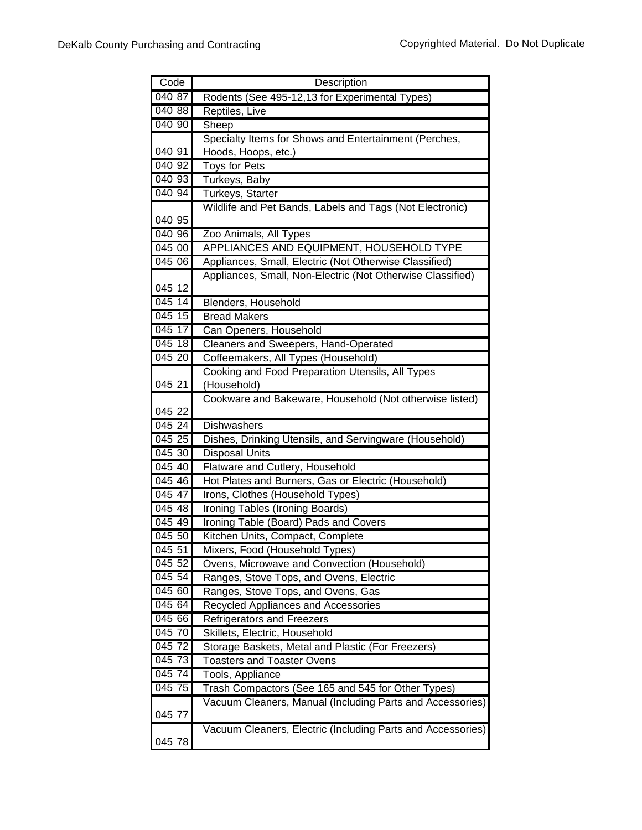| Code             | Description                                                               |
|------------------|---------------------------------------------------------------------------|
| 04087            | Rodents (See 495-12,13 for Experimental Types)                            |
| 040 88           | Reptiles, Live                                                            |
| 040 90           | Sheep                                                                     |
|                  | Specialty Items for Shows and Entertainment (Perches,                     |
| 040 91           | Hoods, Hoops, etc.)                                                       |
| 040 92           | <b>Toys for Pets</b>                                                      |
| 040 93           | Turkeys, Baby                                                             |
| 040 94           | Turkeys, Starter                                                          |
|                  | Wildlife and Pet Bands, Labels and Tags (Not Electronic)                  |
| 040 95           |                                                                           |
| 040 96           | Zoo Animals, All Types                                                    |
| 045 00           | APPLIANCES AND EQUIPMENT, HOUSEHOLD TYPE                                  |
| 045 06           | Appliances, Small, Electric (Not Otherwise Classified)                    |
|                  | Appliances, Small, Non-Electric (Not Otherwise Classified)                |
| 045 12           |                                                                           |
| 045 14           | Blenders, Household                                                       |
| 045 15           | <b>Bread Makers</b>                                                       |
| 045 17           | Can Openers, Household                                                    |
| 045 18           | Cleaners and Sweepers, Hand-Operated                                      |
| 045 20           | Coffeemakers, All Types (Household)                                       |
|                  | Cooking and Food Preparation Utensils, All Types                          |
| 045 21           | (Household)                                                               |
|                  | Cookware and Bakeware, Household (Not otherwise listed)                   |
| 045 22           |                                                                           |
| 045 24           | <b>Dishwashers</b>                                                        |
| 045 25           | Dishes, Drinking Utensils, and Servingware (Household)                    |
| 045 30           | Disposal Units                                                            |
| 045 40<br>045 46 | Flatware and Cutlery, Household                                           |
| 045 47           | Hot Plates and Burners, Gas or Electric (Household)                       |
| 045 48           | Irons, Clothes (Household Types)                                          |
| 045 49           | Ironing Tables (Ironing Boards)                                           |
| 045 50           | Ironing Table (Board) Pads and Covers<br>Kitchen Units, Compact, Complete |
| 045 51           | Mixers, Food (Household Types)                                            |
| 045 52           | Ovens, Microwave and Convection (Household)                               |
| 045 54           | Ranges, Stove Tops, and Ovens, Electric                                   |
| 045 60           | Ranges, Stove Tops, and Ovens, Gas                                        |
| 045 64           | Recycled Appliances and Accessories                                       |
| 045 66           | <b>Refrigerators and Freezers</b>                                         |
| 045 70           | Skillets, Electric, Household                                             |
| 045 72           | Storage Baskets, Metal and Plastic (For Freezers)                         |
| 045 73           | <b>Toasters and Toaster Ovens</b>                                         |
| 045 74           | Tools, Appliance                                                          |
| 045 75           | Trash Compactors (See 165 and 545 for Other Types)                        |
|                  | Vacuum Cleaners, Manual (Including Parts and Accessories)                 |
| 045 77           |                                                                           |
|                  | Vacuum Cleaners, Electric (Including Parts and Accessories)               |
| 045 78           |                                                                           |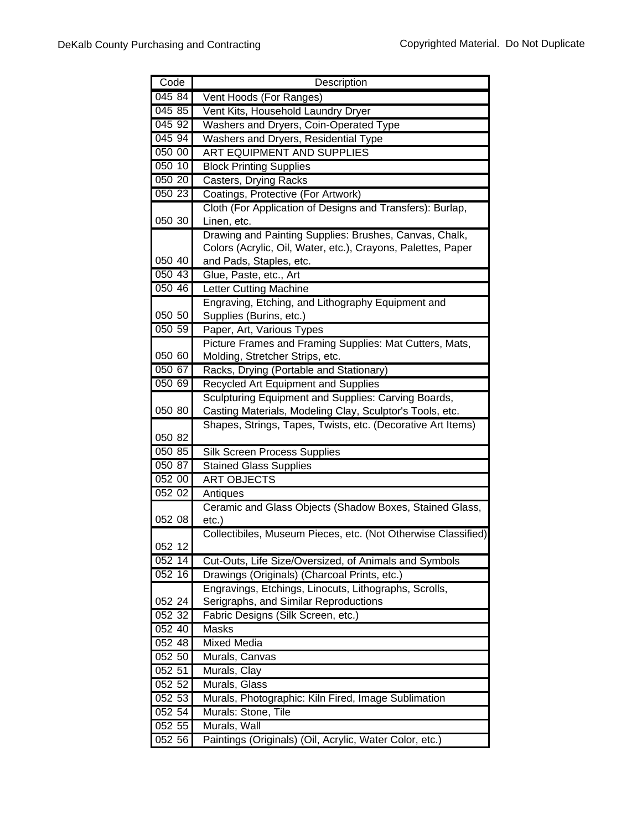| Code   | Description                                                   |
|--------|---------------------------------------------------------------|
| 045 84 | Vent Hoods (For Ranges)                                       |
| 045 85 | Vent Kits, Household Laundry Dryer                            |
| 045 92 | Washers and Dryers, Coin-Operated Type                        |
| 045 94 | Washers and Dryers, Residential Type                          |
| 050 00 | <b>ART EQUIPMENT AND SUPPLIES</b>                             |
| 050 10 | <b>Block Printing Supplies</b>                                |
| 050 20 | Casters, Drying Racks                                         |
| 050 23 | Coatings, Protective (For Artwork)                            |
|        | Cloth (For Application of Designs and Transfers): Burlap,     |
| 050 30 | Linen, etc.                                                   |
|        | Drawing and Painting Supplies: Brushes, Canvas, Chalk,        |
|        | Colors (Acrylic, Oil, Water, etc.), Crayons, Palettes, Paper  |
| 050 40 | and Pads, Staples, etc.                                       |
| 050 43 | Glue, Paste, etc., Art                                        |
| 05046  | <b>Letter Cutting Machine</b>                                 |
|        | Engraving, Etching, and Lithography Equipment and             |
| 050 50 | Supplies (Burins, etc.)                                       |
| 050 59 | Paper, Art, Various Types                                     |
|        | Picture Frames and Framing Supplies: Mat Cutters, Mats,       |
| 050 60 | Molding, Stretcher Strips, etc.                               |
| 050 67 | Racks, Drying (Portable and Stationary)                       |
| 050 69 | Recycled Art Equipment and Supplies                           |
|        | Sculpturing Equipment and Supplies: Carving Boards,           |
| 050 80 | Casting Materials, Modeling Clay, Sculptor's Tools, etc.      |
| 050 82 | Shapes, Strings, Tapes, Twists, etc. (Decorative Art Items)   |
| 050 85 | Silk Screen Process Supplies                                  |
| 050 87 | <b>Stained Glass Supplies</b>                                 |
| 052 00 | <b>ART OBJECTS</b>                                            |
| 052 02 | Antiques                                                      |
|        | Ceramic and Glass Objects (Shadow Boxes, Stained Glass,       |
| 052 08 | $etc.$ )                                                      |
|        | Collectibiles, Museum Pieces, etc. (Not Otherwise Classified) |
| 052 12 |                                                               |
| 052 14 | Cut-Outs, Life Size/Oversized, of Animals and Symbols         |
| 052 16 | Drawings (Originals) (Charcoal Prints, etc.)                  |
|        | Engravings, Etchings, Linocuts, Lithographs, Scrolls,         |
| 052 24 | Serigraphs, and Similar Reproductions                         |
| 052 32 | Fabric Designs (Silk Screen, etc.)                            |
| 052 40 | <b>Masks</b>                                                  |
| 052 48 | <b>Mixed Media</b>                                            |
| 052 50 | Murals, Canvas                                                |
| 052 51 | Murals, Clay                                                  |
| 052 52 | Murals, Glass                                                 |
| 052 53 | Murals, Photographic: Kiln Fired, Image Sublimation           |
| 052 54 | Murals: Stone, Tile                                           |
| 052 55 | Murals, Wall                                                  |
| 052 56 | Paintings (Originals) (Oil, Acrylic, Water Color, etc.)       |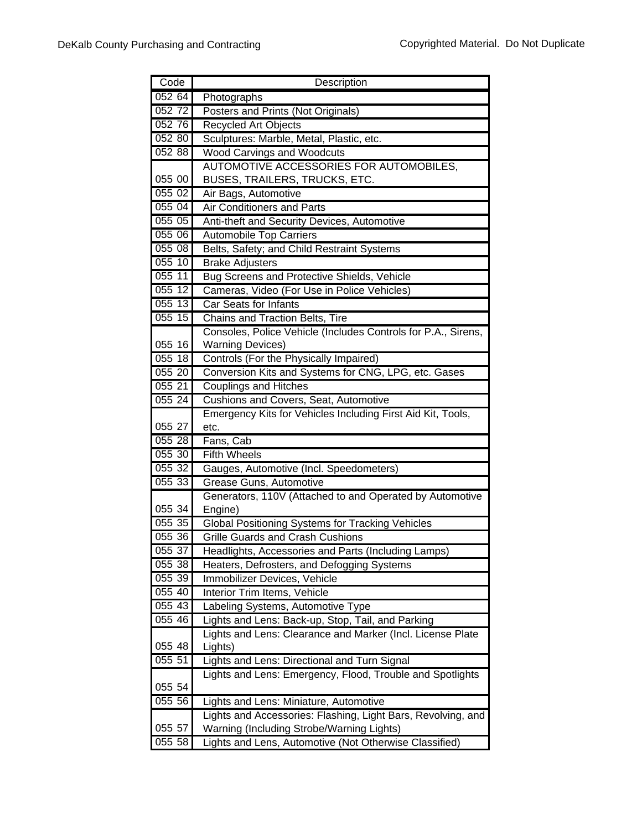| Code   | Description                                                                                         |
|--------|-----------------------------------------------------------------------------------------------------|
| 05264  | Photographs                                                                                         |
| 052 72 | Posters and Prints (Not Originals)                                                                  |
| 052 76 | Recycled Art Objects                                                                                |
| 052 80 | Sculptures: Marble, Metal, Plastic, etc.                                                            |
| 052 88 | <b>Wood Carvings and Woodcuts</b>                                                                   |
|        | AUTOMOTIVE ACCESSORIES FOR AUTOMOBILES,                                                             |
| 055 00 | BUSES, TRAILERS, TRUCKS, ETC.                                                                       |
| 055 02 | Air Bags, Automotive                                                                                |
| 055 04 | <b>Air Conditioners and Parts</b>                                                                   |
| 055 05 | Anti-theft and Security Devices, Automotive                                                         |
| 055 06 | <b>Automobile Top Carriers</b>                                                                      |
| 05508  | Belts, Safety; and Child Restraint Systems                                                          |
| 055 10 | <b>Brake Adjusters</b>                                                                              |
| 055 11 | Bug Screens and Protective Shields, Vehicle                                                         |
| 055 12 | Cameras, Video (For Use in Police Vehicles)                                                         |
| 055 13 | <b>Car Seats for Infants</b>                                                                        |
| 055 15 | Chains and Traction Belts, Tire                                                                     |
|        | Consoles, Police Vehicle (Includes Controls for P.A., Sirens,                                       |
| 055 16 | <b>Warning Devices)</b>                                                                             |
| 055 18 | Controls (For the Physically Impaired)                                                              |
| 05520  | Conversion Kits and Systems for CNG, LPG, etc. Gases                                                |
| 055 21 | <b>Couplings and Hitches</b>                                                                        |
| 055 24 | Cushions and Covers, Seat, Automotive                                                               |
|        | Emergency Kits for Vehicles Including First Aid Kit, Tools,                                         |
| 055 27 | etc.                                                                                                |
| 05528  | Fans, Cab                                                                                           |
| 055 30 | <b>Fifth Wheels</b>                                                                                 |
| 055 32 | Gauges, Automotive (Incl. Speedometers)                                                             |
| 055 33 | Grease Guns, Automotive                                                                             |
|        | Generators, 110V (Attached to and Operated by Automotive                                            |
| 055 34 | Engine)                                                                                             |
| 055 35 | <b>Global Positioning Systems for Tracking Vehicles</b>                                             |
| 055 36 | <b>Grille Guards and Crash Cushions</b>                                                             |
| 055 37 | Headlights, Accessories and Parts (Including Lamps)                                                 |
| 055 38 | Heaters, Defrosters, and Defogging Systems                                                          |
| 055 39 | Immobilizer Devices, Vehicle                                                                        |
| 055 40 | Interior Trim Items, Vehicle                                                                        |
| 055 43 | Labeling Systems, Automotive Type                                                                   |
| 055 46 | Lights and Lens: Back-up, Stop, Tail, and Parking                                                   |
|        | Lights and Lens: Clearance and Marker (Incl. License Plate                                          |
| 055 48 | Lights)                                                                                             |
| 055 51 | Lights and Lens: Directional and Turn Signal                                                        |
|        | Lights and Lens: Emergency, Flood, Trouble and Spotlights                                           |
| 055 54 |                                                                                                     |
| 055 56 | Lights and Lens: Miniature, Automotive                                                              |
| 055 57 | Lights and Accessories: Flashing, Light Bars, Revolving, and                                        |
| 055 58 | Warning (Including Strobe/Warning Lights)<br>Lights and Lens, Automotive (Not Otherwise Classified) |
|        |                                                                                                     |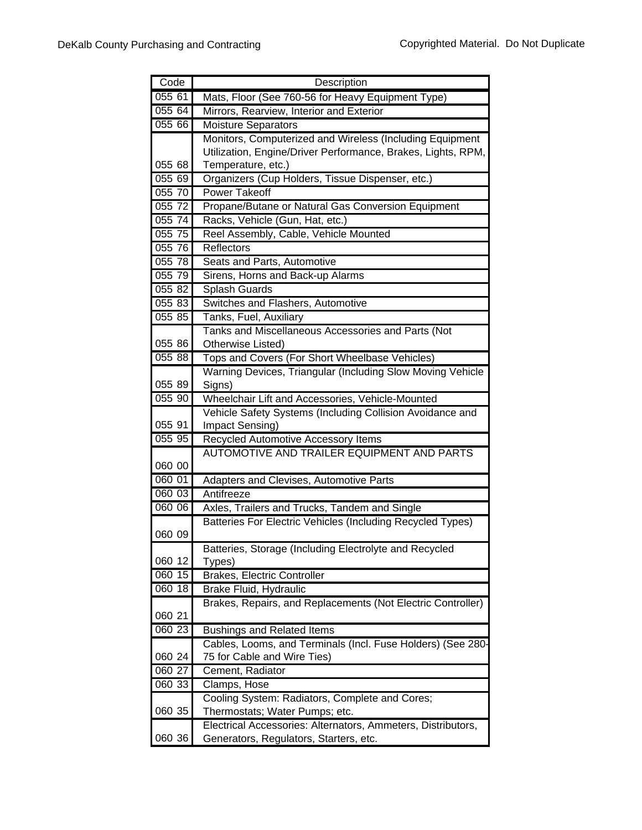| Code             | Description                                                                                      |
|------------------|--------------------------------------------------------------------------------------------------|
| 055 61           | Mats, Floor (See 760-56 for Heavy Equipment Type)                                                |
| 055 64           | Mirrors, Rearview, Interior and Exterior                                                         |
| 055 66           | <b>Moisture Separators</b>                                                                       |
|                  | Monitors, Computerized and Wireless (Including Equipment                                         |
|                  | Utilization, Engine/Driver Performance, Brakes, Lights, RPM,                                     |
| 055 68           | Temperature, etc.)                                                                               |
| 055 69           | Organizers (Cup Holders, Tissue Dispenser, etc.)                                                 |
| 055 70           | <b>Power Takeoff</b>                                                                             |
| 055 72           | Propane/Butane or Natural Gas Conversion Equipment                                               |
| 055 74           | Racks, Vehicle (Gun, Hat, etc.)                                                                  |
| 055 75           | Reel Assembly, Cable, Vehicle Mounted                                                            |
| 055 76           | Reflectors                                                                                       |
| 055 78           | Seats and Parts, Automotive                                                                      |
| 055 79           | Sirens, Horns and Back-up Alarms                                                                 |
| 055 82           | Splash Guards                                                                                    |
| 055 83           | Switches and Flashers, Automotive                                                                |
| 055 85           | Tanks, Fuel, Auxiliary                                                                           |
|                  | Tanks and Miscellaneous Accessories and Parts (Not                                               |
| 055 86           | Otherwise Listed)                                                                                |
| 055 88           | Tops and Covers (For Short Wheelbase Vehicles)                                                   |
|                  | Warning Devices, Triangular (Including Slow Moving Vehicle                                       |
| 055 89           | Signs)                                                                                           |
| 055 90           | Wheelchair Lift and Accessories, Vehicle-Mounted                                                 |
|                  | Vehicle Safety Systems (Including Collision Avoidance and                                        |
| 055 91           | Impact Sensing)                                                                                  |
| 055 95           | Recycled Automotive Accessory Items                                                              |
|                  | AUTOMOTIVE AND TRAILER EQUIPMENT AND PARTS                                                       |
| 060 00           |                                                                                                  |
| 060 01           | Adapters and Clevises, Automotive Parts                                                          |
| 060 03           | Antifreeze                                                                                       |
| 060 06           | Axles, Trailers and Trucks, Tandem and Single                                                    |
|                  | Batteries For Electric Vehicles (Including Recycled Types)                                       |
| 060 09           |                                                                                                  |
|                  | Batteries, Storage (Including Electrolyte and Recycled                                           |
| 060 12           | Types)                                                                                           |
| 060 15           | <b>Brakes, Electric Controller</b>                                                               |
| 060 18           | Brake Fluid, Hydraulic                                                                           |
|                  | Brakes, Repairs, and Replacements (Not Electric Controller)                                      |
| 060 21<br>060 23 |                                                                                                  |
|                  | <b>Bushings and Related Items</b><br>Cables, Looms, and Terminals (Incl. Fuse Holders) (See 280- |
| 060 24           | 75 for Cable and Wire Ties)                                                                      |
| 060 27           | Cement, Radiator                                                                                 |
| 060 33           | Clamps, Hose                                                                                     |
|                  | Cooling System: Radiators, Complete and Cores;                                                   |
| 060 35           | Thermostats; Water Pumps; etc.                                                                   |
|                  | Electrical Accessories: Alternators, Ammeters, Distributors,                                     |
| 060 36           | Generators, Regulators, Starters, etc.                                                           |
|                  |                                                                                                  |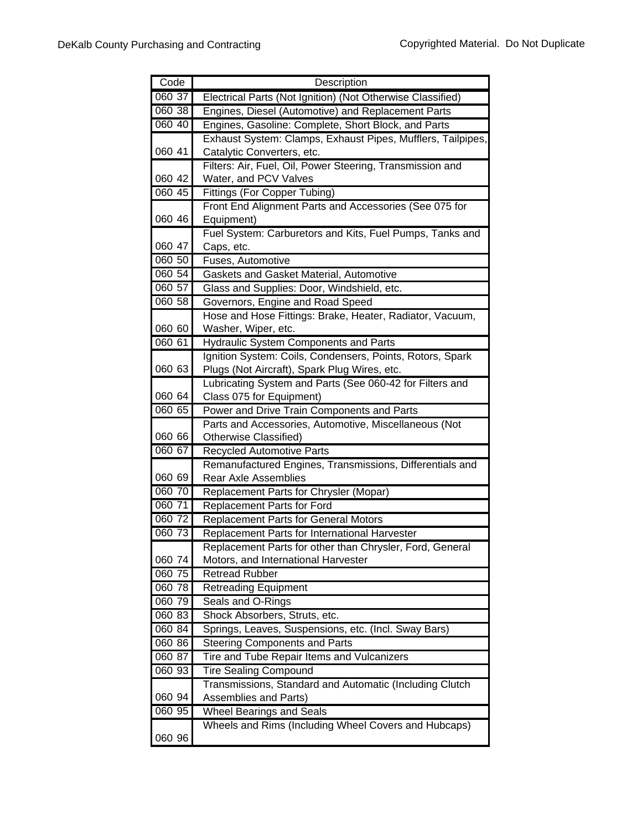| Code   | Description                                                                                  |
|--------|----------------------------------------------------------------------------------------------|
| 060 37 | Electrical Parts (Not Ignition) (Not Otherwise Classified)                                   |
| 060 38 | Engines, Diesel (Automotive) and Replacement Parts                                           |
| 060 40 | Engines, Gasoline: Complete, Short Block, and Parts                                          |
|        | Exhaust System: Clamps, Exhaust Pipes, Mufflers, Tailpipes,                                  |
| 060 41 | Catalytic Converters, etc.                                                                   |
|        | Filters: Air, Fuel, Oil, Power Steering, Transmission and                                    |
| 060 42 | Water, and PCV Valves                                                                        |
| 060 45 | <b>Fittings (For Copper Tubing)</b>                                                          |
|        | Front End Alignment Parts and Accessories (See 075 for                                       |
| 060 46 | Equipment)                                                                                   |
|        | Fuel System: Carburetors and Kits, Fuel Pumps, Tanks and                                     |
| 060 47 | Caps, etc.                                                                                   |
| 060 50 | Fuses, Automotive                                                                            |
| 060 54 | Gaskets and Gasket Material, Automotive                                                      |
| 060 57 | Glass and Supplies: Door, Windshield, etc.                                                   |
| 060 58 | Governors, Engine and Road Speed                                                             |
|        | Hose and Hose Fittings: Brake, Heater, Radiator, Vacuum,                                     |
| 060 60 | Washer, Wiper, etc.                                                                          |
| 060 61 | Hydraulic System Components and Parts                                                        |
|        | Ignition System: Coils, Condensers, Points, Rotors, Spark                                    |
| 060 63 | Plugs (Not Aircraft), Spark Plug Wires, etc.                                                 |
|        | Lubricating System and Parts (See 060-42 for Filters and                                     |
| 060 64 | Class 075 for Equipment)                                                                     |
| 060 65 | Power and Drive Train Components and Parts                                                   |
| 060 66 | Parts and Accessories, Automotive, Miscellaneous (Not<br>Otherwise Classified)               |
| 06067  |                                                                                              |
|        | <b>Recycled Automotive Parts</b><br>Remanufactured Engines, Transmissions, Differentials and |
| 060 69 | <b>Rear Axle Assemblies</b>                                                                  |
| 060 70 | Replacement Parts for Chrysler (Mopar)                                                       |
| 060 71 | <b>Replacement Parts for Ford</b>                                                            |
| 060 72 | <b>Replacement Parts for General Motors</b>                                                  |
| 060 73 | Replacement Parts for International Harvester                                                |
|        | Replacement Parts for other than Chrysler, Ford, General                                     |
| 060 74 | Motors, and International Harvester                                                          |
| 060 75 | <b>Retread Rubber</b>                                                                        |
| 060 78 | <b>Retreading Equipment</b>                                                                  |
| 060 79 | Seals and O-Rings                                                                            |
| 060 83 | Shock Absorbers, Struts, etc.                                                                |
| 060 84 | Springs, Leaves, Suspensions, etc. (Incl. Sway Bars)                                         |
| 060 86 | <b>Steering Components and Parts</b>                                                         |
| 060 87 | Tire and Tube Repair Items and Vulcanizers                                                   |
| 060 93 | <b>Tire Sealing Compound</b>                                                                 |
|        | Transmissions, Standard and Automatic (Including Clutch                                      |
| 060 94 | Assemblies and Parts)                                                                        |
| 060 95 | <b>Wheel Bearings and Seals</b>                                                              |
|        | Wheels and Rims (Including Wheel Covers and Hubcaps)                                         |
| 060 96 |                                                                                              |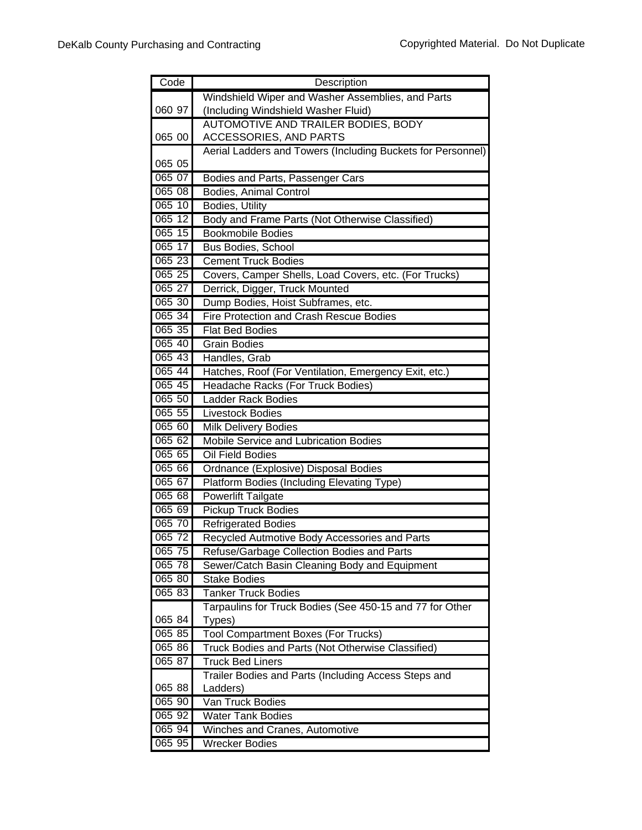| Code     | Description                                                 |
|----------|-------------------------------------------------------------|
|          | Windshield Wiper and Washer Assemblies, and Parts           |
| 060 97   | (Including Windshield Washer Fluid)                         |
|          | AUTOMOTIVE AND TRAILER BODIES, BODY                         |
| 065 00   | ACCESSORIES, AND PARTS                                      |
|          | Aerial Ladders and Towers (Including Buckets for Personnel) |
| 065 05   |                                                             |
| 065 07   | Bodies and Parts, Passenger Cars                            |
| 065 08   | Bodies, Animal Control                                      |
| 065 10   | Bodies, Utility                                             |
| 065 12   | Body and Frame Parts (Not Otherwise Classified)             |
| $065$ 15 | <b>Bookmobile Bodies</b>                                    |
| 065 17   | Bus Bodies, School                                          |
| 065 23   | <b>Cement Truck Bodies</b>                                  |
| 065 25   | Covers, Camper Shells, Load Covers, etc. (For Trucks)       |
| 065 27   | Derrick, Digger, Truck Mounted                              |
| 065 30   | Dump Bodies, Hoist Subframes, etc.                          |
| 065 34   | Fire Protection and Crash Rescue Bodies                     |
| 065 35   | <b>Flat Bed Bodies</b>                                      |
| 065 40   | <b>Grain Bodies</b>                                         |
| 065 43   | Handles, Grab                                               |
| 065 44   | Hatches, Roof (For Ventilation, Emergency Exit, etc.)       |
| 065 45   | Headache Racks (For Truck Bodies)                           |
| 065 50   | Ladder Rack Bodies                                          |
| 065 55   | <b>Livestock Bodies</b>                                     |
| 065 60   | Milk Delivery Bodies                                        |
| 065 62   | Mobile Service and Lubrication Bodies                       |
| 065 65   | Oil Field Bodies                                            |
| 065 66   | Ordnance (Explosive) Disposal Bodies                        |
| 065 67   | Platform Bodies (Including Elevating Type)                  |
| 065 68   | Powerlift Tailgate                                          |
| 065 69   | <b>Pickup Truck Bodies</b>                                  |
| 065 70   | <b>Refrigerated Bodies</b>                                  |
| 065 72   | Recycled Autmotive Body Accessories and Parts               |
| 065 75   | Refuse/Garbage Collection Bodies and Parts                  |
| 065 78   | Sewer/Catch Basin Cleaning Body and Equipment               |
| 065 80   | <b>Stake Bodies</b>                                         |
| 065 83   | <b>Tanker Truck Bodies</b>                                  |
|          | Tarpaulins for Truck Bodies (See 450-15 and 77 for Other    |
| 065 84   | Types)                                                      |
| 065 85   | <b>Tool Compartment Boxes (For Trucks)</b>                  |
| 06586    | Truck Bodies and Parts (Not Otherwise Classified)           |
| 065 87   | <b>Truck Bed Liners</b>                                     |
|          | Trailer Bodies and Parts (Including Access Steps and        |
| 065 88   | Ladders)                                                    |
| 065 90   | Van Truck Bodies                                            |
| 065 92   | <b>Water Tank Bodies</b>                                    |
| 065 94   | Winches and Cranes, Automotive                              |
| 065 95   | <b>Wrecker Bodies</b>                                       |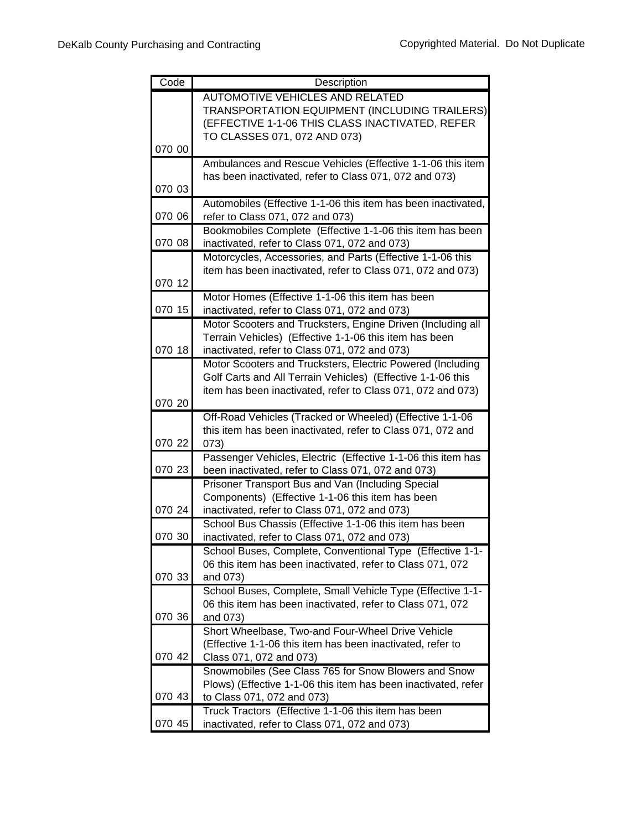| Code   | Description                                                                                                        |
|--------|--------------------------------------------------------------------------------------------------------------------|
|        | AUTOMOTIVE VEHICLES AND RELATED                                                                                    |
|        | TRANSPORTATION EQUIPMENT (INCLUDING TRAILERS)                                                                      |
|        | (EFFECTIVE 1-1-06 THIS CLASS INACTIVATED, REFER                                                                    |
|        | TO CLASSES 071, 072 AND 073)                                                                                       |
| 070 00 |                                                                                                                    |
|        | Ambulances and Rescue Vehicles (Effective 1-1-06 this item                                                         |
|        | has been inactivated, refer to Class 071, 072 and 073)                                                             |
| 070 03 |                                                                                                                    |
|        | Automobiles (Effective 1-1-06 this item has been inactivated,                                                      |
| 070 06 | refer to Class 071, 072 and 073)                                                                                   |
|        | Bookmobiles Complete (Effective 1-1-06 this item has been                                                          |
| 070 08 | inactivated, refer to Class 071, 072 and 073)                                                                      |
|        | Motorcycles, Accessories, and Parts (Effective 1-1-06 this                                                         |
|        | item has been inactivated, refer to Class 071, 072 and 073)                                                        |
| 070 12 |                                                                                                                    |
|        | Motor Homes (Effective 1-1-06 this item has been                                                                   |
| 070 15 | inactivated, refer to Class 071, 072 and 073)                                                                      |
|        | Motor Scooters and Trucksters, Engine Driven (Including all                                                        |
|        | Terrain Vehicles) (Effective 1-1-06 this item has been                                                             |
| 070 18 | inactivated, refer to Class 071, 072 and 073)                                                                      |
|        | Motor Scooters and Trucksters, Electric Powered (Including                                                         |
|        | Golf Carts and All Terrain Vehicles) (Effective 1-1-06 this                                                        |
|        | item has been inactivated, refer to Class 071, 072 and 073)                                                        |
| 070 20 |                                                                                                                    |
|        | Off-Road Vehicles (Tracked or Wheeled) (Effective 1-1-06                                                           |
| 070 22 | this item has been inactivated, refer to Class 071, 072 and                                                        |
|        | 073)                                                                                                               |
| 070 23 | Passenger Vehicles, Electric (Effective 1-1-06 this item has<br>been inactivated, refer to Class 071, 072 and 073) |
|        | Prisoner Transport Bus and Van (Including Special                                                                  |
|        | Components) (Effective 1-1-06 this item has been                                                                   |
| 070 24 | inactivated, refer to Class 071, 072 and 073)                                                                      |
|        | School Bus Chassis (Effective 1-1-06 this item has been                                                            |
| 070 30 | inactivated, refer to Class 071, 072 and 073)                                                                      |
|        | School Buses, Complete, Conventional Type (Effective 1-1-                                                          |
|        | 06 this item has been inactivated, refer to Class 071, 072                                                         |
| 070 33 | and 073)                                                                                                           |
|        | School Buses, Complete, Small Vehicle Type (Effective 1-1-                                                         |
|        | 06 this item has been inactivated, refer to Class 071, 072                                                         |
| 070 36 | and 073)                                                                                                           |
|        | Short Wheelbase, Two-and Four-Wheel Drive Vehicle                                                                  |
|        | (Effective 1-1-06 this item has been inactivated, refer to                                                         |
| 070 42 | Class 071, 072 and 073)                                                                                            |
|        | Snowmobiles (See Class 765 for Snow Blowers and Snow                                                               |
|        | Plows) (Effective 1-1-06 this item has been inactivated, refer                                                     |
| 070 43 | to Class 071, 072 and 073)                                                                                         |
|        | Truck Tractors (Effective 1-1-06 this item has been                                                                |
| 070 45 | inactivated, refer to Class 071, 072 and 073)                                                                      |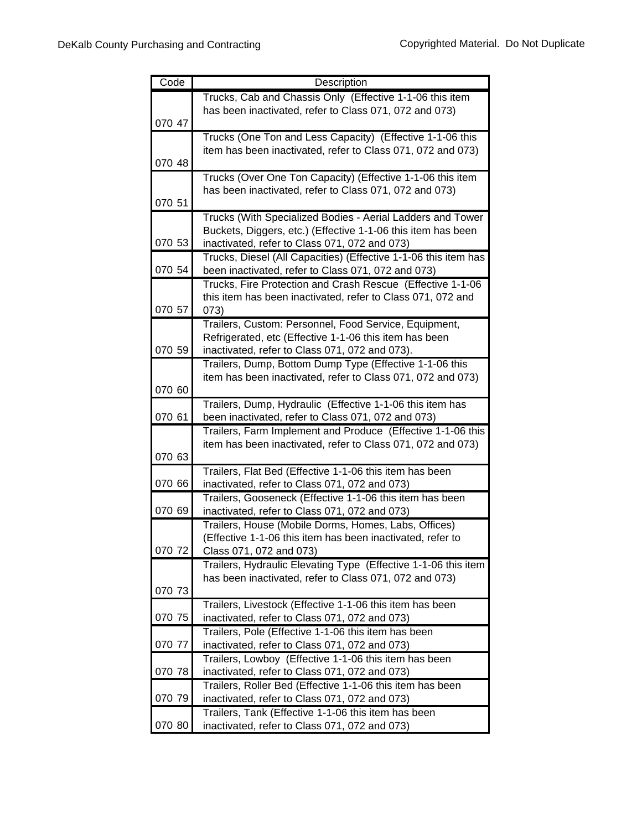| Code   | Description                                                     |
|--------|-----------------------------------------------------------------|
|        | Trucks, Cab and Chassis Only (Effective 1-1-06 this item        |
|        | has been inactivated, refer to Class 071, 072 and 073)          |
| 070 47 |                                                                 |
|        | Trucks (One Ton and Less Capacity) (Effective 1-1-06 this       |
|        | item has been inactivated, refer to Class 071, 072 and 073)     |
| 070 48 |                                                                 |
|        | Trucks (Over One Ton Capacity) (Effective 1-1-06 this item      |
|        | has been inactivated, refer to Class 071, 072 and 073)          |
| 070 51 |                                                                 |
|        | Trucks (With Specialized Bodies - Aerial Ladders and Tower      |
|        | Buckets, Diggers, etc.) (Effective 1-1-06 this item has been    |
| 070 53 | inactivated, refer to Class 071, 072 and 073)                   |
|        | Trucks, Diesel (All Capacities) (Effective 1-1-06 this item has |
| 070 54 | been inactivated, refer to Class 071, 072 and 073)              |
|        | Trucks, Fire Protection and Crash Rescue (Effective 1-1-06      |
|        | this item has been inactivated, refer to Class 071, 072 and     |
| 070 57 | 073)                                                            |
|        | Trailers, Custom: Personnel, Food Service, Equipment,           |
|        | Refrigerated, etc (Effective 1-1-06 this item has been          |
| 070 59 | inactivated, refer to Class 071, 072 and 073).                  |
|        | Trailers, Dump, Bottom Dump Type (Effective 1-1-06 this         |
|        | item has been inactivated, refer to Class 071, 072 and 073)     |
| 070 60 |                                                                 |
|        | Trailers, Dump, Hydraulic (Effective 1-1-06 this item has       |
| 070 61 | been inactivated, refer to Class 071, 072 and 073)              |
|        | Trailers, Farm Implement and Produce (Effective 1-1-06 this     |
|        | item has been inactivated, refer to Class 071, 072 and 073)     |
| 070 63 |                                                                 |
|        | Trailers, Flat Bed (Effective 1-1-06 this item has been         |
| 070 66 | inactivated, refer to Class 071, 072 and 073)                   |
|        | Trailers, Gooseneck (Effective 1-1-06 this item has been        |
| 070 69 | inactivated, refer to Class 071, 072 and 073)                   |
|        | Trailers, House (Mobile Dorms, Homes, Labs, Offices)            |
|        | (Effective 1-1-06 this item has been inactivated, refer to      |
| 070 72 | Class 071, 072 and 073)                                         |
|        | Trailers, Hydraulic Elevating Type (Effective 1-1-06 this item  |
| 070 73 | has been inactivated, refer to Class 071, 072 and 073)          |
|        | Trailers, Livestock (Effective 1-1-06 this item has been        |
| 070 75 | inactivated, refer to Class 071, 072 and 073)                   |
|        | Trailers, Pole (Effective 1-1-06 this item has been             |
| 070 77 | inactivated, refer to Class 071, 072 and 073)                   |
|        | Trailers, Lowboy (Effective 1-1-06 this item has been           |
| 070 78 | inactivated, refer to Class 071, 072 and 073)                   |
|        | Trailers, Roller Bed (Effective 1-1-06 this item has been       |
| 070 79 | inactivated, refer to Class 071, 072 and 073)                   |
|        | Trailers, Tank (Effective 1-1-06 this item has been             |
| 070 80 | inactivated, refer to Class 071, 072 and 073)                   |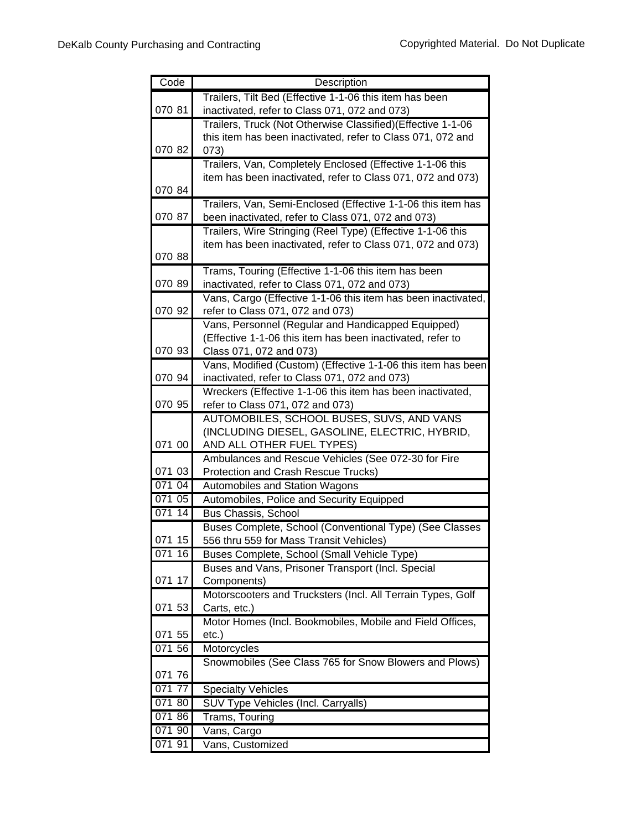| Code   | Description                                                                                 |
|--------|---------------------------------------------------------------------------------------------|
|        | Trailers, Tilt Bed (Effective 1-1-06 this item has been                                     |
| 070 81 | inactivated, refer to Class 071, 072 and 073)                                               |
|        | Trailers, Truck (Not Otherwise Classified)(Effective 1-1-06                                 |
|        | this item has been inactivated, refer to Class 071, 072 and                                 |
| 070 82 | 073)                                                                                        |
|        | Trailers, Van, Completely Enclosed (Effective 1-1-06 this                                   |
|        | item has been inactivated, refer to Class 071, 072 and 073)                                 |
| 070 84 |                                                                                             |
|        | Trailers, Van, Semi-Enclosed (Effective 1-1-06 this item has                                |
| 070 87 | been inactivated, refer to Class 071, 072 and 073)                                          |
|        | Trailers, Wire Stringing (Reel Type) (Effective 1-1-06 this                                 |
|        | item has been inactivated, refer to Class 071, 072 and 073)                                 |
| 070 88 |                                                                                             |
|        | Trams, Touring (Effective 1-1-06 this item has been                                         |
| 070 89 | inactivated, refer to Class 071, 072 and 073)                                               |
|        | Vans, Cargo (Effective 1-1-06 this item has been inactivated,                               |
| 070 92 | refer to Class 071, 072 and 073)                                                            |
|        | Vans, Personnel (Regular and Handicapped Equipped)                                          |
| 070 93 | (Effective 1-1-06 this item has been inactivated, refer to                                  |
|        | Class 071, 072 and 073)                                                                     |
| 070 94 | Vans, Modified (Custom) (Effective 1-1-06 this item has been                                |
|        | inactivated, refer to Class 071, 072 and 073)                                               |
| 070 95 | Wreckers (Effective 1-1-06 this item has been inactivated,                                  |
|        | refer to Class 071, 072 and 073)                                                            |
|        | AUTOMOBILES, SCHOOL BUSES, SUVS, AND VANS<br>(INCLUDING DIESEL, GASOLINE, ELECTRIC, HYBRID, |
| 071 00 | AND ALL OTHER FUEL TYPES)                                                                   |
|        | Ambulances and Rescue Vehicles (See 072-30 for Fire                                         |
| 071 03 | Protection and Crash Rescue Trucks)                                                         |
| 071 04 | Automobiles and Station Wagons                                                              |
| 071 05 | Automobiles, Police and Security Equipped                                                   |
| 071 14 | <b>Bus Chassis, School</b>                                                                  |
|        | Buses Complete, School (Conventional Type) (See Classes                                     |
| 071 15 | 556 thru 559 for Mass Transit Vehicles)                                                     |
| 071 16 | Buses Complete, School (Small Vehicle Type)                                                 |
|        | Buses and Vans, Prisoner Transport (Incl. Special                                           |
| 071 17 | Components)                                                                                 |
|        | Motorscooters and Trucksters (Incl. All Terrain Types, Golf                                 |
| 071 53 | Carts, etc.)                                                                                |
|        | Motor Homes (Incl. Bookmobiles, Mobile and Field Offices,                                   |
| 071 55 | $etc.$ )                                                                                    |
| 071 56 | Motorcycles                                                                                 |
|        | Snowmobiles (See Class 765 for Snow Blowers and Plows)                                      |
| 071 76 |                                                                                             |
| 071 77 | <b>Specialty Vehicles</b>                                                                   |
| 071 80 | SUV Type Vehicles (Incl. Carryalls)                                                         |
| 071 86 | Trams, Touring                                                                              |
| 071 90 | Vans, Cargo                                                                                 |
| 071 91 | Vans, Customized                                                                            |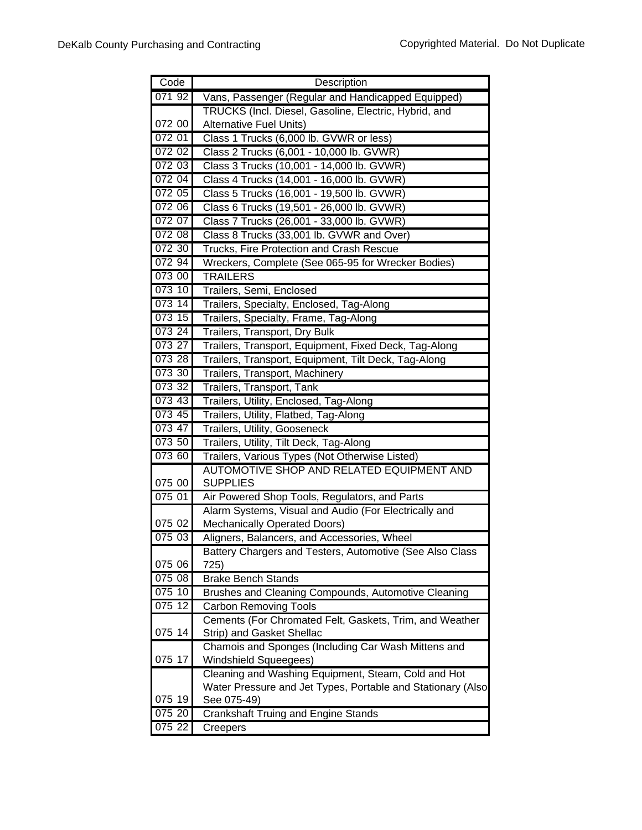| Code   | Description                                                 |
|--------|-------------------------------------------------------------|
| 07192  | Vans, Passenger (Regular and Handicapped Equipped)          |
|        | TRUCKS (Incl. Diesel, Gasoline, Electric, Hybrid, and       |
| 072 00 | <b>Alternative Fuel Units)</b>                              |
| 072 01 | Class 1 Trucks (6,000 lb. GVWR or less)                     |
| 072 02 | Class 2 Trucks (6,001 - 10,000 lb. GVWR)                    |
| 072 03 | Class 3 Trucks (10,001 - 14,000 lb. GVWR)                   |
| 072 04 | Class 4 Trucks (14,001 - 16,000 lb. GVWR)                   |
| 072 05 | Class 5 Trucks (16,001 - 19,500 lb. GVWR)                   |
| 072 06 | Class 6 Trucks (19,501 - 26,000 lb. GVWR)                   |
| 072 07 | Class 7 Trucks (26,001 - 33,000 lb. GVWR)                   |
| 072 08 | Class 8 Trucks (33,001 lb. GVWR and Over)                   |
| 072 30 | Trucks, Fire Protection and Crash Rescue                    |
| 072 94 | Wreckers, Complete (See 065-95 for Wrecker Bodies)          |
| 073 00 | <b>TRAILERS</b>                                             |
| 073 10 | Trailers, Semi, Enclosed                                    |
| 073 14 | Trailers, Specialty, Enclosed, Tag-Along                    |
| 073 15 | Trailers, Specialty, Frame, Tag-Along                       |
| 073 24 | Trailers, Transport, Dry Bulk                               |
| 073 27 | Trailers, Transport, Equipment, Fixed Deck, Tag-Along       |
| 073 28 | Trailers, Transport, Equipment, Tilt Deck, Tag-Along        |
| 073 30 | Trailers, Transport, Machinery                              |
| 073 32 | Trailers, Transport, Tank                                   |
| 073 43 | Trailers, Utility, Enclosed, Tag-Along                      |
| 073 45 | Trailers, Utility, Flatbed, Tag-Along                       |
| 073 47 | Trailers, Utility, Gooseneck                                |
| 073 50 | Trailers, Utility, Tilt Deck, Tag-Along                     |
| 073 60 | Trailers, Various Types (Not Otherwise Listed)              |
|        | AUTOMOTIVE SHOP AND RELATED EQUIPMENT AND                   |
| 075 00 | <b>SUPPLIES</b>                                             |
| 075 01 | Air Powered Shop Tools, Regulators, and Parts               |
|        | Alarm Systems, Visual and Audio (For Electrically and       |
| 075 02 | <b>Mechanically Operated Doors)</b>                         |
| 075 03 | Aligners, Balancers, and Accessories, Wheel                 |
|        | Battery Chargers and Testers, Automotive (See Also Class    |
| 075 06 | 725)                                                        |
| 075 08 | <b>Brake Bench Stands</b>                                   |
| 075 10 | Brushes and Cleaning Compounds, Automotive Cleaning         |
| 075 12 | <b>Carbon Removing Tools</b>                                |
|        | Cements (For Chromated Felt, Gaskets, Trim, and Weather     |
| 075 14 | Strip) and Gasket Shellac                                   |
|        | Chamois and Sponges (Including Car Wash Mittens and         |
| 075 17 | Windshield Squeegees)                                       |
|        | Cleaning and Washing Equipment, Steam, Cold and Hot         |
| 075 19 | Water Pressure and Jet Types, Portable and Stationary (Also |
| 075 20 | See 075-49)<br>Crankshaft Truing and Engine Stands          |
| 075 22 |                                                             |
|        | Creepers                                                    |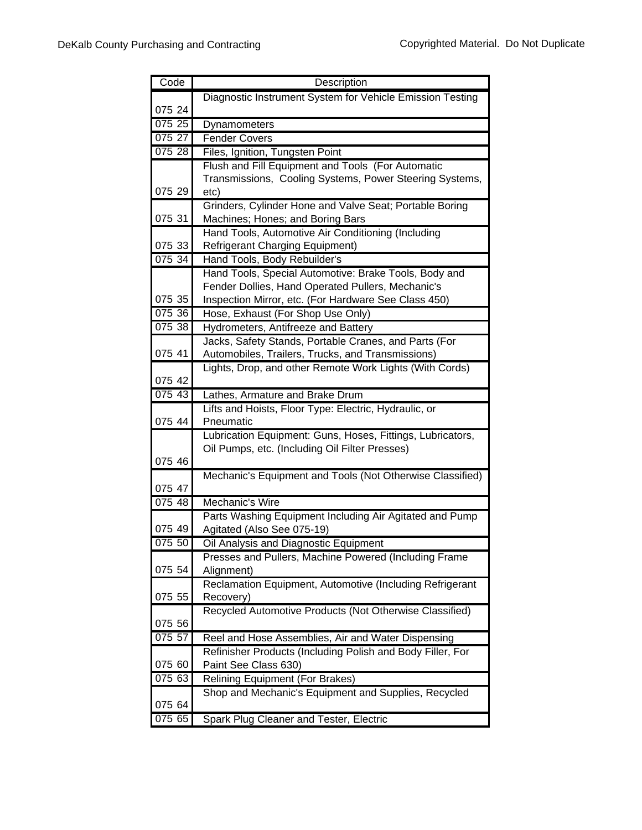| Code   | Description                                                                                                  |
|--------|--------------------------------------------------------------------------------------------------------------|
|        | Diagnostic Instrument System for Vehicle Emission Testing                                                    |
| 075 24 |                                                                                                              |
| 075 25 | Dynamometers                                                                                                 |
| 075 27 | Fender Covers                                                                                                |
| 075 28 | Files, Ignition, Tungsten Point                                                                              |
|        | Flush and Fill Equipment and Tools (For Automatic                                                            |
|        | Transmissions, Cooling Systems, Power Steering Systems,                                                      |
| 075 29 | etc)                                                                                                         |
|        | Grinders, Cylinder Hone and Valve Seat; Portable Boring                                                      |
| 075 31 | Machines; Hones; and Boring Bars                                                                             |
|        | Hand Tools, Automotive Air Conditioning (Including                                                           |
| 075 33 | <b>Refrigerant Charging Equipment)</b>                                                                       |
| 075 34 | Hand Tools, Body Rebuilder's                                                                                 |
|        | Hand Tools, Special Automotive: Brake Tools, Body and                                                        |
|        | Fender Dollies, Hand Operated Pullers, Mechanic's                                                            |
| 075 35 | Inspection Mirror, etc. (For Hardware See Class 450)                                                         |
| 075 36 | Hose, Exhaust (For Shop Use Only)                                                                            |
| 075 38 | Hydrometers, Antifreeze and Battery                                                                          |
|        | Jacks, Safety Stands, Portable Cranes, and Parts (For                                                        |
| 075 41 | Automobiles, Trailers, Trucks, and Transmissions)                                                            |
|        | Lights, Drop, and other Remote Work Lights (With Cords)                                                      |
| 075 42 |                                                                                                              |
| 075 43 | Lathes, Armature and Brake Drum                                                                              |
|        | Lifts and Hoists, Floor Type: Electric, Hydraulic, or                                                        |
| 075 44 | Pneumatic                                                                                                    |
|        | Lubrication Equipment: Guns, Hoses, Fittings, Lubricators,<br>Oil Pumps, etc. (Including Oil Filter Presses) |
| 075 46 |                                                                                                              |
|        | Mechanic's Equipment and Tools (Not Otherwise Classified)                                                    |
| 075 47 |                                                                                                              |
| 07548  | Mechanic's Wire                                                                                              |
|        | Parts Washing Equipment Including Air Agitated and Pump                                                      |
| 075 49 | Agitated (Also See 075-19)                                                                                   |
| 075 50 | Oil Analysis and Diagnostic Equipment                                                                        |
|        | Presses and Pullers, Machine Powered (Including Frame                                                        |
| 075 54 | Alignment)                                                                                                   |
|        | Reclamation Equipment, Automotive (Including Refrigerant                                                     |
| 075 55 | Recovery)                                                                                                    |
|        | Recycled Automotive Products (Not Otherwise Classified)                                                      |
| 075 56 |                                                                                                              |
| 075 57 | Reel and Hose Assemblies, Air and Water Dispensing                                                           |
|        | Refinisher Products (Including Polish and Body Filler, For                                                   |
| 075 60 | Paint See Class 630)                                                                                         |
| 075 63 | <b>Relining Equipment (For Brakes)</b>                                                                       |
|        | Shop and Mechanic's Equipment and Supplies, Recycled                                                         |
| 075 64 |                                                                                                              |
| 075 65 | Spark Plug Cleaner and Tester, Electric                                                                      |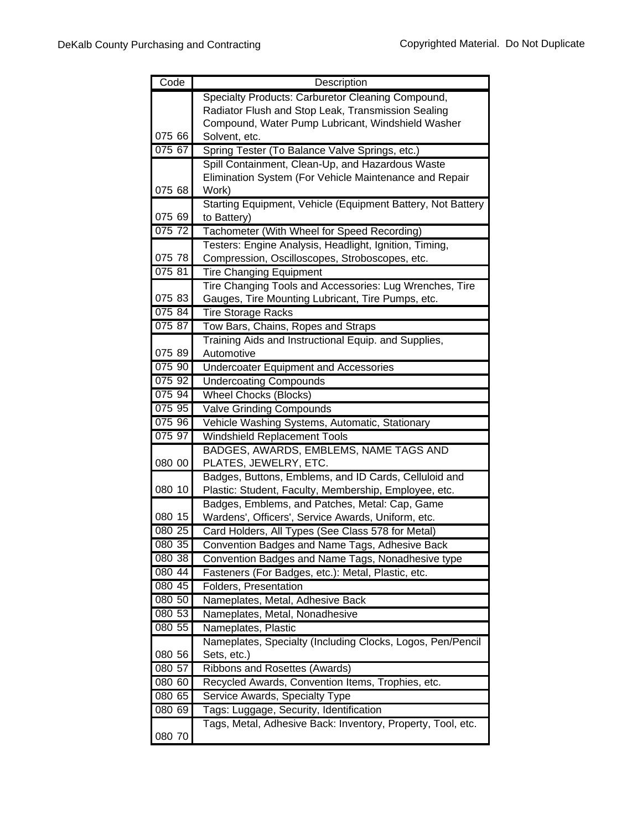| Code   | Description                                                        |
|--------|--------------------------------------------------------------------|
|        | Specialty Products: Carburetor Cleaning Compound,                  |
|        | Radiator Flush and Stop Leak, Transmission Sealing                 |
|        | Compound, Water Pump Lubricant, Windshield Washer                  |
| 075 66 | Solvent, etc.                                                      |
| 075 67 | Spring Tester (To Balance Valve Springs, etc.)                     |
|        | Spill Containment, Clean-Up, and Hazardous Waste                   |
|        | Elimination System (For Vehicle Maintenance and Repair             |
| 075 68 | Work)                                                              |
|        | Starting Equipment, Vehicle (Equipment Battery, Not Battery        |
| 075 69 | to Battery)                                                        |
| 075 72 | Tachometer (With Wheel for Speed Recording)                        |
|        | Testers: Engine Analysis, Headlight, Ignition, Timing,             |
| 075 78 | Compression, Oscilloscopes, Stroboscopes, etc.                     |
| 075 81 | <b>Tire Changing Equipment</b>                                     |
|        | Tire Changing Tools and Accessories: Lug Wrenches, Tire            |
| 075 83 | Gauges, Tire Mounting Lubricant, Tire Pumps, etc.                  |
| 075 84 | <b>Tire Storage Racks</b>                                          |
| 075 87 | Tow Bars, Chains, Ropes and Straps                                 |
| 075 89 | Training Aids and Instructional Equip. and Supplies,<br>Automotive |
| 075 90 |                                                                    |
| 075 92 | <b>Undercoater Equipment and Accessories</b>                       |
| 07594  | <b>Undercoating Compounds</b>                                      |
| 075 95 | <b>Wheel Chocks (Blocks)</b><br><b>Valve Grinding Compounds</b>    |
| 075 96 | Vehicle Washing Systems, Automatic, Stationary                     |
| 075 97 | <b>Windshield Replacement Tools</b>                                |
|        | BADGES, AWARDS, EMBLEMS, NAME TAGS AND                             |
| 080 00 | PLATES, JEWELRY, ETC.                                              |
|        | Badges, Buttons, Emblems, and ID Cards, Celluloid and              |
| 080 10 | Plastic: Student, Faculty, Membership, Employee, etc.              |
|        | Badges, Emblems, and Patches, Metal: Cap, Game                     |
| 080 15 | Wardens', Officers', Service Awards, Uniform, etc.                 |
| 080 25 | Card Holders, All Types (See Class 578 for Metal)                  |
| 080 35 | Convention Badges and Name Tags, Adhesive Back                     |
| 080 38 | Convention Badges and Name Tags, Nonadhesive type                  |
| 080 44 | Fasteners (For Badges, etc.): Metal, Plastic, etc.                 |
| 080 45 | Folders, Presentation                                              |
| 080 50 | Nameplates, Metal, Adhesive Back                                   |
| 080 53 | Nameplates, Metal, Nonadhesive                                     |
| 080 55 | Nameplates, Plastic                                                |
|        | Nameplates, Specialty (Including Clocks, Logos, Pen/Pencil         |
| 080 56 | Sets, etc.)                                                        |
| 080 57 | <b>Ribbons and Rosettes (Awards)</b>                               |
| 080 60 | Recycled Awards, Convention Items, Trophies, etc.                  |
| 080 65 | Service Awards, Specialty Type                                     |
| 080 69 | Tags: Luggage, Security, Identification                            |
|        | Tags, Metal, Adhesive Back: Inventory, Property, Tool, etc.        |
| 080 70 |                                                                    |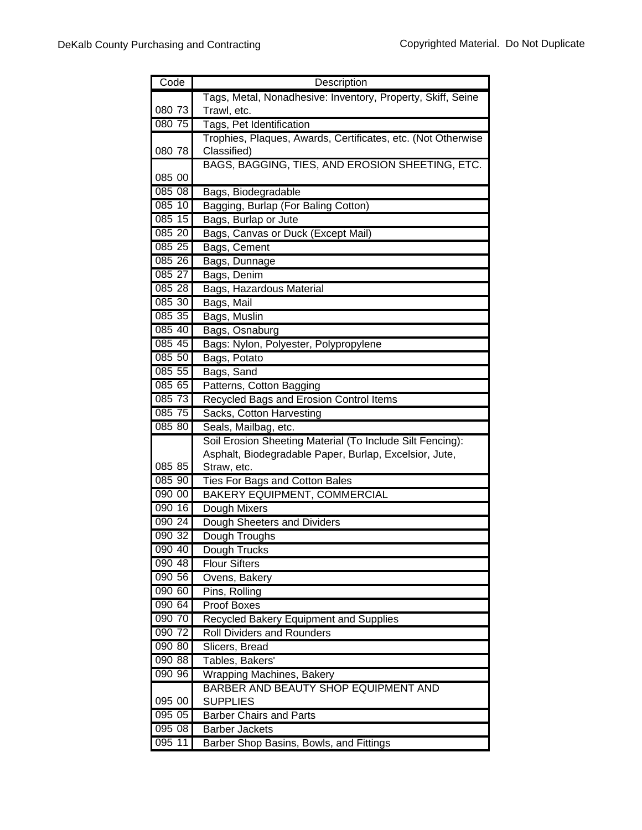| Code             | Description                                                              |
|------------------|--------------------------------------------------------------------------|
|                  | Tags, Metal, Nonadhesive: Inventory, Property, Skiff, Seine              |
| 080 73           | Trawl, etc.                                                              |
| 080 75           | Tags, Pet Identification                                                 |
|                  | Trophies, Plaques, Awards, Certificates, etc. (Not Otherwise             |
| 080 78           | Classified)                                                              |
|                  | BAGS, BAGGING, TIES, AND EROSION SHEETING, ETC.                          |
| 085 00           |                                                                          |
| 08508            | Bags, Biodegradable                                                      |
| 085 10           | Bagging, Burlap (For Baling Cotton)                                      |
| 085 15           | Bags, Burlap or Jute                                                     |
| 085 20           | Bags, Canvas or Duck (Except Mail)                                       |
| 085 25           | Bags, Cement                                                             |
| 085 26           | Bags, Dunnage                                                            |
| 085 27           | Bags, Denim                                                              |
| 085 28           | Bags, Hazardous Material                                                 |
| 085 30           | Bags, Mail                                                               |
| 085 35           | Bags, Muslin                                                             |
| 085 40           | Bags, Osnaburg                                                           |
| 085 45           | Bags: Nylon, Polyester, Polypropylene                                    |
| 085 50           | Bags, Potato                                                             |
| 085 55           | Bags, Sand                                                               |
| 085 65           | Patterns, Cotton Bagging                                                 |
| 085 73           | Recycled Bags and Erosion Control Items                                  |
| 085 75           | Sacks, Cotton Harvesting                                                 |
| 085 80           | Seals, Mailbag, etc.                                                     |
|                  | Soil Erosion Sheeting Material (To Include Silt Fencing):                |
|                  | Asphalt, Biodegradable Paper, Burlap, Excelsior, Jute,                   |
| 085 85           | Straw, etc.                                                              |
| 085 90           | <b>Ties For Bags and Cotton Bales</b>                                    |
| 090 00           | <b>BAKERY EQUIPMENT, COMMERCIAL</b>                                      |
| 090 16           | Dough Mixers                                                             |
| 090 24           | Dough Sheeters and Dividers                                              |
| 090 32           | Dough Troughs                                                            |
| 090 40           | Dough Trucks                                                             |
| 090 48           | <b>Flour Sifters</b>                                                     |
| 090 56           | Ovens, Bakery                                                            |
| 090 60           | Pins, Rolling                                                            |
| 090 64           | <b>Proof Boxes</b>                                                       |
| 090 70           | Recycled Bakery Equipment and Supplies                                   |
| 090 72           | <b>Roll Dividers and Rounders</b>                                        |
| 090 80           | Slicers, Bread                                                           |
| 090 88<br>090 96 | Tables, Bakers'                                                          |
|                  | <b>Wrapping Machines, Bakery</b><br>BARBER AND BEAUTY SHOP EQUIPMENT AND |
| 095 00           | <b>SUPPLIES</b>                                                          |
| 095 05           | <b>Barber Chairs and Parts</b>                                           |
| 095 08           | <b>Barber Jackets</b>                                                    |
| 095 11           | Barber Shop Basins, Bowls, and Fittings                                  |
|                  |                                                                          |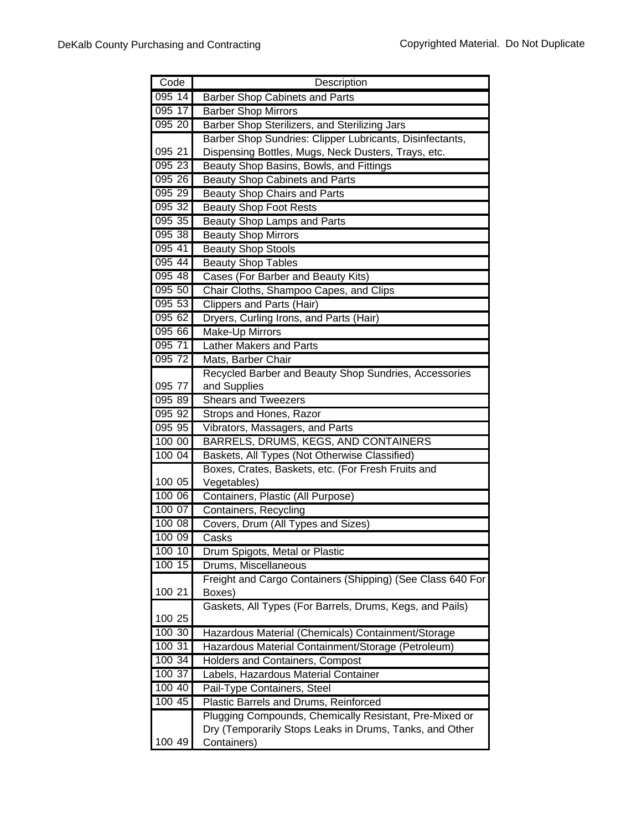| Code             | Description                                                                        |
|------------------|------------------------------------------------------------------------------------|
| 095 14           | Barber Shop Cabinets and Parts                                                     |
| 095 17           | <b>Barber Shop Mirrors</b>                                                         |
| 095 20           | Barber Shop Sterilizers, and Sterilizing Jars                                      |
|                  | Barber Shop Sundries: Clipper Lubricants, Disinfectants,                           |
| 095 21           | Dispensing Bottles, Mugs, Neck Dusters, Trays, etc.                                |
| 095 23           | Beauty Shop Basins, Bowls, and Fittings                                            |
| 095 26           | <b>Beauty Shop Cabinets and Parts</b>                                              |
| 095 29           | <b>Beauty Shop Chairs and Parts</b>                                                |
| 095 32           | <b>Beauty Shop Foot Rests</b>                                                      |
| 095 35           | <b>Beauty Shop Lamps and Parts</b>                                                 |
| 095 38           | <b>Beauty Shop Mirrors</b>                                                         |
| 095 41           | <b>Beauty Shop Stools</b>                                                          |
| 095 44           | <b>Beauty Shop Tables</b>                                                          |
| 095 48           | Cases (For Barber and Beauty Kits)                                                 |
| 095 50           | Chair Cloths, Shampoo Capes, and Clips                                             |
| 095 53           | <b>Clippers and Parts (Hair)</b>                                                   |
| 095 62           | Dryers, Curling Irons, and Parts (Hair)                                            |
| 095 66           | Make-Up Mirrors                                                                    |
| 095 71           | <b>Lather Makers and Parts</b>                                                     |
| 095 72           | Mats, Barber Chair                                                                 |
|                  | Recycled Barber and Beauty Shop Sundries, Accessories                              |
| 095 77           | and Supplies                                                                       |
| 095 89           | <b>Shears and Tweezers</b>                                                         |
| 095 92           | Strops and Hones, Razor                                                            |
| 095 95           | Vibrators, Massagers, and Parts                                                    |
| 100 00           | BARRELS, DRUMS, KEGS, AND CONTAINERS                                               |
| 100 04           | Baskets, All Types (Not Otherwise Classified)                                      |
|                  | Boxes, Crates, Baskets, etc. (For Fresh Fruits and                                 |
| 100 05           | Vegetables)                                                                        |
| 100 06           | Containers, Plastic (All Purpose)                                                  |
| 100 07           | Containers, Recycling                                                              |
| 100 08<br>100 09 | Covers, Drum (All Types and Sizes)                                                 |
|                  | Casks                                                                              |
| 100 10<br>100 15 | Drum Spigots, Metal or Plastic                                                     |
|                  | Drums, Miscellaneous<br>Freight and Cargo Containers (Shipping) (See Class 640 For |
| 100 21           | Boxes)                                                                             |
|                  | Gaskets, All Types (For Barrels, Drums, Kegs, and Pails)                           |
| 100 25           |                                                                                    |
| 100 30           | Hazardous Material (Chemicals) Containment/Storage                                 |
| 100 31           | Hazardous Material Containment/Storage (Petroleum)                                 |
| 100 34           | Holders and Containers, Compost                                                    |
| 100 37           | Labels, Hazardous Material Container                                               |
| 100 40           | Pail-Type Containers, Steel                                                        |
| 100 45           | Plastic Barrels and Drums, Reinforced                                              |
|                  | Plugging Compounds, Chemically Resistant, Pre-Mixed or                             |
|                  | Dry (Temporarily Stops Leaks in Drums, Tanks, and Other                            |
| 100 49           | Containers)                                                                        |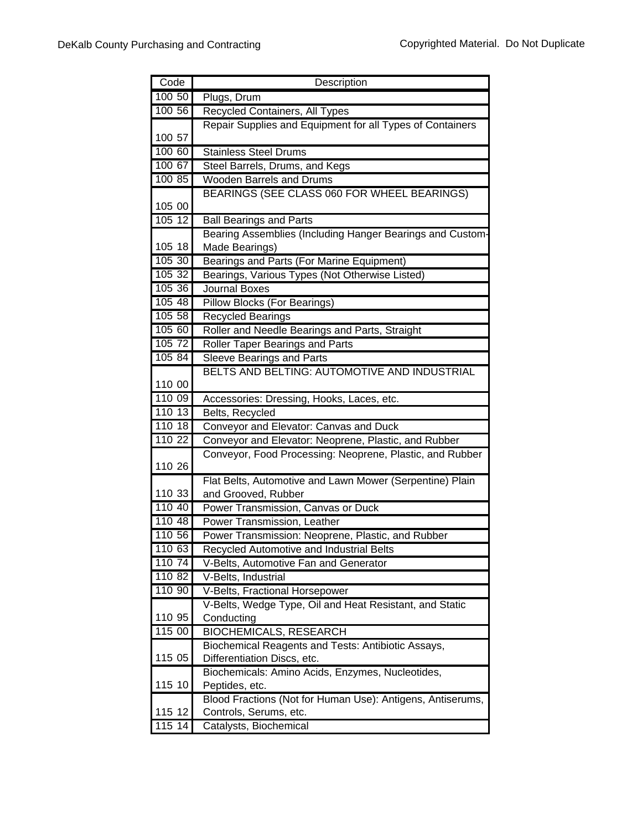| Code               | Description                                                       |
|--------------------|-------------------------------------------------------------------|
| 100 50             | Plugs, Drum                                                       |
| 100 56             | Recycled Containers, All Types                                    |
|                    | Repair Supplies and Equipment for all Types of Containers         |
| 100 57             |                                                                   |
| 100 60             | <b>Stainless Steel Drums</b>                                      |
| 100 67             | Steel Barrels, Drums, and Kegs                                    |
| 100 85             | <b>Wooden Barrels and Drums</b>                                   |
|                    | BEARINGS (SEE CLASS 060 FOR WHEEL BEARINGS)                       |
| 105 00             |                                                                   |
| 10512              | <b>Ball Bearings and Parts</b>                                    |
|                    | Bearing Assemblies (Including Hanger Bearings and Custom-         |
| 105 18             | Made Bearings)                                                    |
| 105 30             | Bearings and Parts (For Marine Equipment)                         |
| 105 32             | Bearings, Various Types (Not Otherwise Listed)                    |
| 105 36             | Journal Boxes                                                     |
| 105 48             | <b>Pillow Blocks (For Bearings)</b>                               |
| 105 58             | <b>Recycled Bearings</b>                                          |
| 105 60             | Roller and Needle Bearings and Parts, Straight                    |
| 105 72             | <b>Roller Taper Bearings and Parts</b>                            |
| 105 84             | <b>Sleeve Bearings and Parts</b>                                  |
|                    | BELTS AND BELTING: AUTOMOTIVE AND INDUSTRIAL                      |
| 110 00             |                                                                   |
| 110 09             | Accessories: Dressing, Hooks, Laces, etc.                         |
| 110 13             | Belts, Recycled                                                   |
| 110 18             | Conveyor and Elevator: Canvas and Duck                            |
| 110 22             | Conveyor and Elevator: Neoprene, Plastic, and Rubber              |
|                    | Conveyor, Food Processing: Neoprene, Plastic, and Rubber          |
| 110 26             |                                                                   |
|                    | Flat Belts, Automotive and Lawn Mower (Serpentine) Plain          |
| 110 33<br>110 40   | and Grooved, Rubber                                               |
| 110 48             | Power Transmission, Canvas or Duck<br>Power Transmission, Leather |
| 110 56             | Power Transmission: Neoprene, Plastic, and Rubber                 |
| 110 63             | Recycled Automotive and Industrial Belts                          |
| 110 74             | V-Belts, Automotive Fan and Generator                             |
| 110 82             | V-Belts, Industrial                                               |
| 110 90             | V-Belts, Fractional Horsepower                                    |
|                    | V-Belts, Wedge Type, Oil and Heat Resistant, and Static           |
| 110 95             | Conducting                                                        |
| 115 00             | <b>BIOCHEMICALS, RESEARCH</b>                                     |
|                    | Biochemical Reagents and Tests: Antibiotic Assays,                |
| 115 05             | Differentiation Discs, etc.                                       |
|                    | Biochemicals: Amino Acids, Enzymes, Nucleotides,                  |
| 115 10             | Peptides, etc.                                                    |
|                    | Blood Fractions (Not for Human Use): Antigens, Antiserums,        |
| 115 12             | Controls, Serums, etc.                                            |
| $\overline{11}514$ | Catalysts, Biochemical                                            |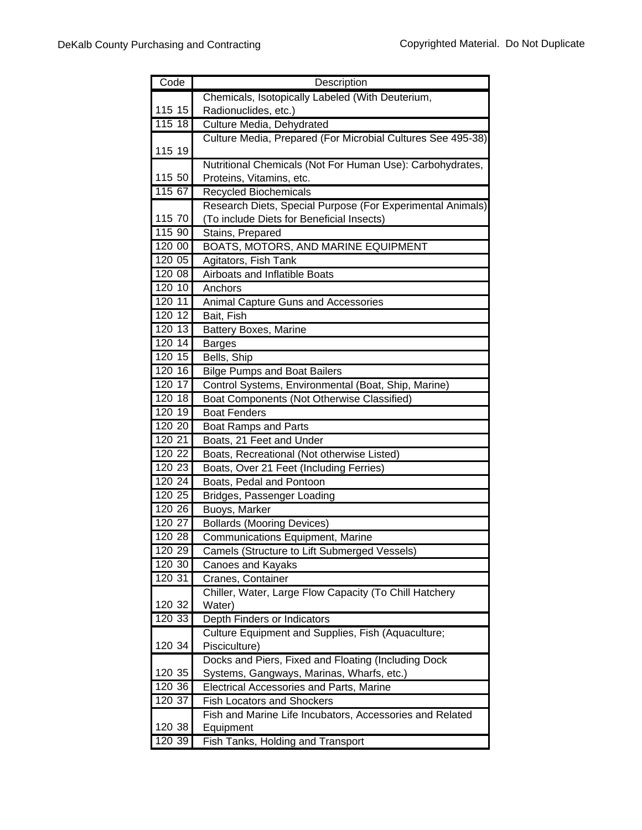| Code             | Description                                                         |
|------------------|---------------------------------------------------------------------|
|                  | Chemicals, Isotopically Labeled (With Deuterium,                    |
| 115 15           | Radionuclides, etc.)                                                |
| 115 18           | Culture Media, Dehydrated                                           |
|                  | Culture Media, Prepared (For Microbial Cultures See 495-38)         |
| 115 19           |                                                                     |
|                  | Nutritional Chemicals (Not For Human Use): Carbohydrates,           |
| 115 50           | Proteins, Vitamins, etc.                                            |
| 115 67           | <b>Recycled Biochemicals</b>                                        |
|                  | Research Diets, Special Purpose (For Experimental Animals)          |
| 115 70           | (To include Diets for Beneficial Insects)                           |
| 115 90           | Stains, Prepared                                                    |
| 120 00           | <b>BOATS, MOTORS, AND MARINE EQUIPMENT</b>                          |
| 120 05           | Agitators, Fish Tank                                                |
| 120 08           | <b>Airboats and Inflatible Boats</b>                                |
| 120 10           | Anchors                                                             |
| 120 11           | Animal Capture Guns and Accessories                                 |
| 120 12           | Bait, Fish                                                          |
| 120 13           | Battery Boxes, Marine                                               |
| 120 14           | <b>Barges</b>                                                       |
| 120 15           | Bells, Ship                                                         |
| 120 16           | <b>Bilge Pumps and Boat Bailers</b>                                 |
| 120 17           | Control Systems, Environmental (Boat, Ship, Marine)                 |
| 120 18           | Boat Components (Not Otherwise Classified)                          |
| 120 19           | <b>Boat Fenders</b>                                                 |
| 120 20           | <b>Boat Ramps and Parts</b>                                         |
| 120 21           | Boats, 21 Feet and Under                                            |
| $120\ 22$        | Boats, Recreational (Not otherwise Listed)                          |
| 120 23           | Boats, Over 21 Feet (Including Ferries)                             |
| 120 24           | Boats, Pedal and Pontoon                                            |
| 120 25           | Bridges, Passenger Loading                                          |
| 120 26           | Buoys, Marker                                                       |
| 120 27           | <b>Bollards (Mooring Devices)</b>                                   |
| 120 28           | Communications Equipment, Marine                                    |
| 120 29           | Camels (Structure to Lift Submerged Vessels)                        |
| 120 30           | <b>Canoes and Kayaks</b>                                            |
| 120 31           | Cranes, Container                                                   |
|                  | Chiller, Water, Large Flow Capacity (To Chill Hatchery              |
| 120 32<br>120 33 | Water)                                                              |
|                  | Depth Finders or Indicators                                         |
| 120 34           | Culture Equipment and Supplies, Fish (Aquaculture;<br>Pisciculture) |
|                  | Docks and Piers, Fixed and Floating (Including Dock                 |
| 120 35           | Systems, Gangways, Marinas, Wharfs, etc.)                           |
| 120 36           | Electrical Accessories and Parts, Marine                            |
| 120 37           | <b>Fish Locators and Shockers</b>                                   |
|                  | Fish and Marine Life Incubators, Accessories and Related            |
| 120 38           | Equipment                                                           |
| 120 39           | Fish Tanks, Holding and Transport                                   |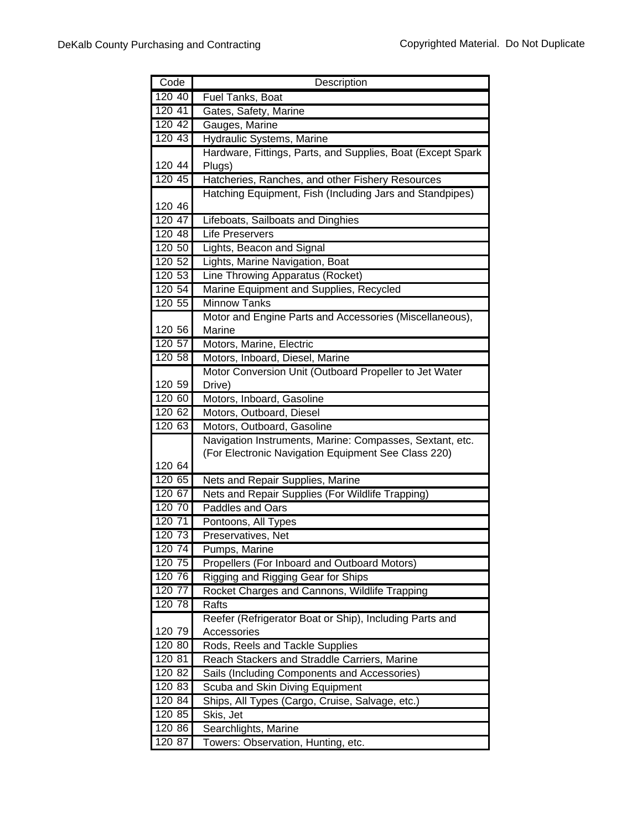| Code                | Description                                                 |
|---------------------|-------------------------------------------------------------|
| 120 40              | <b>Fuel Tanks, Boat</b>                                     |
| $\overline{120}$ 41 | Gates, Safety, Marine                                       |
| 120 42              | Gauges, Marine                                              |
| 120 43              | <b>Hydraulic Systems, Marine</b>                            |
|                     | Hardware, Fittings, Parts, and Supplies, Boat (Except Spark |
| 120 44              | Plugs)                                                      |
| 120 45              | Hatcheries, Ranches, and other Fishery Resources            |
| 120 46              | Hatching Equipment, Fish (Including Jars and Standpipes)    |
| 120 47              | Lifeboats, Sailboats and Dinghies                           |
| 120 48              | <b>Life Preservers</b>                                      |
| 120 50              | Lights, Beacon and Signal                                   |
| 120 52              | Lights, Marine Navigation, Boat                             |
| 120 53              | Line Throwing Apparatus (Rocket)                            |
| 120 54              | Marine Equipment and Supplies, Recycled                     |
| 120 55              | <b>Minnow Tanks</b>                                         |
|                     | Motor and Engine Parts and Accessories (Miscellaneous),     |
| 120 56              | Marine                                                      |
| 120 57              | Motors, Marine, Electric                                    |
| 120 58              | Motors, Inboard, Diesel, Marine                             |
|                     | Motor Conversion Unit (Outboard Propeller to Jet Water      |
| 120 59              | Drive)                                                      |
| 120 60              | Motors, Inboard, Gasoline                                   |
| 120 62              | Motors, Outboard, Diesel                                    |
| 120 63              | Motors, Outboard, Gasoline                                  |
|                     | Navigation Instruments, Marine: Compasses, Sextant, etc.    |
| 120 64              | (For Electronic Navigation Equipment See Class 220)         |
| 120 65              | Nets and Repair Supplies, Marine                            |
| 120 67              | Nets and Repair Supplies (For Wildlife Trapping)            |
| 120 70              | Paddles and Oars                                            |
| 120 71              | Pontoons, All Types                                         |
| 120 73              | Preservatives, Net                                          |
| 120 74              | Pumps, Marine                                               |
| 120 75              | Propellers (For Inboard and Outboard Motors)                |
| 120 76              | Rigging and Rigging Gear for Ships                          |
| 120 77              | Rocket Charges and Cannons, Wildlife Trapping               |
| 120 78              | Rafts                                                       |
|                     | Reefer (Refrigerator Boat or Ship), Including Parts and     |
| 120 79              | Accessories                                                 |
| 120 80              | Rods, Reels and Tackle Supplies                             |
| 120 81              | Reach Stackers and Straddle Carriers, Marine                |
| 120 82              | Sails (Including Components and Accessories)                |
| 120 83              | Scuba and Skin Diving Equipment                             |
| 120 84              | Ships, All Types (Cargo, Cruise, Salvage, etc.)             |
| 120 85              | Skis, Jet                                                   |
| 120 86              | Searchlights, Marine                                        |
| 120 87              | Towers: Observation, Hunting, etc.                          |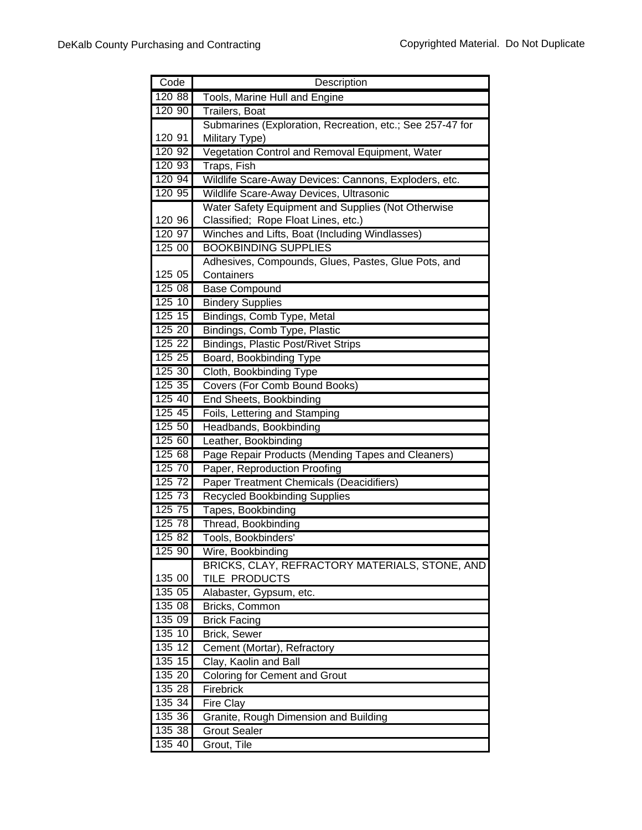| Code             | Description                                               |
|------------------|-----------------------------------------------------------|
| 120 88           | Tools, Marine Hull and Engine                             |
| 120 90           | Trailers, Boat                                            |
|                  | Submarines (Exploration, Recreation, etc.; See 257-47 for |
| 120 91           | Military Type)                                            |
| 120 92           | Vegetation Control and Removal Equipment, Water           |
| 120 93           | Traps, Fish                                               |
| 120 94           | Wildlife Scare-Away Devices: Cannons, Exploders, etc.     |
| 120 95           | Wildlife Scare-Away Devices, Ultrasonic                   |
|                  | Water Safety Equipment and Supplies (Not Otherwise        |
| 120 96           | Classified; Rope Float Lines, etc.)                       |
| 120 97           | Winches and Lifts, Boat (Including Windlasses)            |
| 125 00           | <b>BOOKBINDING SUPPLIES</b>                               |
|                  | Adhesives, Compounds, Glues, Pastes, Glue Pots, and       |
| 125 05           | Containers                                                |
| 125 08           | <b>Base Compound</b>                                      |
| 12510            | <b>Bindery Supplies</b>                                   |
| 125 15           | Bindings, Comb Type, Metal                                |
| 125 20           | Bindings, Comb Type, Plastic                              |
| 125 22<br>125 25 | <b>Bindings, Plastic Post/Rivet Strips</b>                |
| 125 30           | Board, Bookbinding Type<br>Cloth, Bookbinding Type        |
| 125 35           | Covers (For Comb Bound Books)                             |
| 125 40           | <b>End Sheets, Bookbinding</b>                            |
| 125 45           | Foils, Lettering and Stamping                             |
| 125 50           | Headbands, Bookbinding                                    |
| 125 60           | Leather, Bookbinding                                      |
| 125 68           | Page Repair Products (Mending Tapes and Cleaners)         |
| 125 70           | Paper, Reproduction Proofing                              |
| 125 72           | <b>Paper Treatment Chemicals (Deacidifiers)</b>           |
| 125 73           | <b>Recycled Bookbinding Supplies</b>                      |
| 125 75           | Tapes, Bookbinding                                        |
| 125 78           | Thread, Bookbinding                                       |
| 125 82           | Tools, Bookbinders'                                       |
| 125 90           | Wire, Bookbinding                                         |
|                  | BRICKS, CLAY, REFRACTORY MATERIALS, STONE, AND            |
| 135 00           | TILE PRODUCTS                                             |
| 135 05           | Alabaster, Gypsum, etc.                                   |
| 135 08           | <b>Bricks, Common</b>                                     |
| 135 09           | <b>Brick Facing</b>                                       |
| 135 10           | Brick, Sewer                                              |
| 135 12           | Cement (Mortar), Refractory                               |
| 135 15           | Clay, Kaolin and Ball                                     |
| 135 20           | <b>Coloring for Cement and Grout</b>                      |
| 135 28           | Firebrick                                                 |
| 135 34           | Fire Clay                                                 |
| 135 36           | Granite, Rough Dimension and Building                     |
| 135 38           | <b>Grout Sealer</b>                                       |
| 135 40           | Grout, Tile                                               |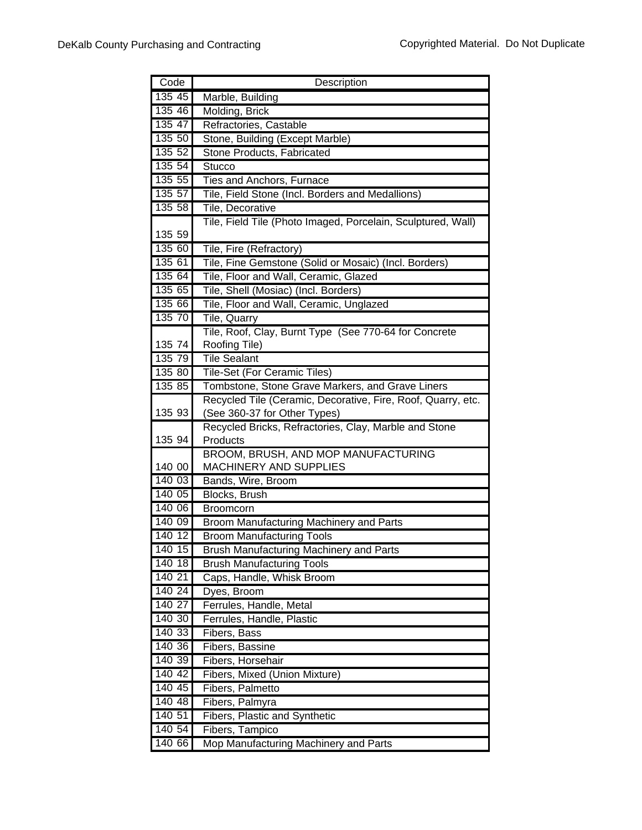| 13545<br>Marble, Building<br>135 46<br>Molding, Brick<br>135 47<br>Refractories, Castable<br>135 50<br>Stone, Building (Except Marble)<br>135 52<br>Stone Products, Fabricated<br>135 54<br>Stucco<br>135.55<br>Ties and Anchors, Furnace<br>135 57<br>Tile, Field Stone (Incl. Borders and Medallions)<br>135 58<br>Tile, Decorative<br>Tile, Field Tile (Photo Imaged, Porcelain, Sculptured, Wall) |  |
|-------------------------------------------------------------------------------------------------------------------------------------------------------------------------------------------------------------------------------------------------------------------------------------------------------------------------------------------------------------------------------------------------------|--|
|                                                                                                                                                                                                                                                                                                                                                                                                       |  |
|                                                                                                                                                                                                                                                                                                                                                                                                       |  |
|                                                                                                                                                                                                                                                                                                                                                                                                       |  |
|                                                                                                                                                                                                                                                                                                                                                                                                       |  |
|                                                                                                                                                                                                                                                                                                                                                                                                       |  |
|                                                                                                                                                                                                                                                                                                                                                                                                       |  |
|                                                                                                                                                                                                                                                                                                                                                                                                       |  |
|                                                                                                                                                                                                                                                                                                                                                                                                       |  |
|                                                                                                                                                                                                                                                                                                                                                                                                       |  |
|                                                                                                                                                                                                                                                                                                                                                                                                       |  |
| 135 59                                                                                                                                                                                                                                                                                                                                                                                                |  |
| 135 60<br>Tile, Fire (Refractory)                                                                                                                                                                                                                                                                                                                                                                     |  |
| 135 61<br>Tile, Fine Gemstone (Solid or Mosaic) (Incl. Borders)                                                                                                                                                                                                                                                                                                                                       |  |
| 135 64<br>Tile, Floor and Wall, Ceramic, Glazed                                                                                                                                                                                                                                                                                                                                                       |  |
| 135 65<br>Tile, Shell (Mosiac) (Incl. Borders)                                                                                                                                                                                                                                                                                                                                                        |  |
| 135 66<br>Tile, Floor and Wall, Ceramic, Unglazed                                                                                                                                                                                                                                                                                                                                                     |  |
| 135 70<br>Tile, Quarry                                                                                                                                                                                                                                                                                                                                                                                |  |
| Tile, Roof, Clay, Burnt Type (See 770-64 for Concrete                                                                                                                                                                                                                                                                                                                                                 |  |
| 135 74<br>Roofing Tile)                                                                                                                                                                                                                                                                                                                                                                               |  |
| 135 79<br><b>Tile Sealant</b>                                                                                                                                                                                                                                                                                                                                                                         |  |
| 135 80<br>Tile-Set (For Ceramic Tiles)                                                                                                                                                                                                                                                                                                                                                                |  |
| 135 85<br>Tombstone, Stone Grave Markers, and Grave Liners                                                                                                                                                                                                                                                                                                                                            |  |
| Recycled Tile (Ceramic, Decorative, Fire, Roof, Quarry, etc.                                                                                                                                                                                                                                                                                                                                          |  |
| 135 93<br>(See 360-37 for Other Types)                                                                                                                                                                                                                                                                                                                                                                |  |
| Recycled Bricks, Refractories, Clay, Marble and Stone                                                                                                                                                                                                                                                                                                                                                 |  |
| 135 94<br>Products                                                                                                                                                                                                                                                                                                                                                                                    |  |
| BROOM, BRUSH, AND MOP MANUFACTURING                                                                                                                                                                                                                                                                                                                                                                   |  |
| 140 00<br>MACHINERY AND SUPPLIES                                                                                                                                                                                                                                                                                                                                                                      |  |
| 140 03<br>Bands, Wire, Broom                                                                                                                                                                                                                                                                                                                                                                          |  |
| 140 05<br>Blocks, Brush                                                                                                                                                                                                                                                                                                                                                                               |  |
| 140 06<br><b>Broomcorn</b>                                                                                                                                                                                                                                                                                                                                                                            |  |
| Broom Manufacturing Machinery and Parts<br>140 09                                                                                                                                                                                                                                                                                                                                                     |  |
| 140 12<br><b>Broom Manufacturing Tools</b>                                                                                                                                                                                                                                                                                                                                                            |  |
| 140 15<br><b>Brush Manufacturing Machinery and Parts</b><br>14018                                                                                                                                                                                                                                                                                                                                     |  |
| <b>Brush Manufacturing Tools</b><br>140 21                                                                                                                                                                                                                                                                                                                                                            |  |
| Caps, Handle, Whisk Broom<br>140 24<br>Dyes, Broom                                                                                                                                                                                                                                                                                                                                                    |  |
| 140 27<br>Ferrules, Handle, Metal                                                                                                                                                                                                                                                                                                                                                                     |  |
| 140 30<br>Ferrules, Handle, Plastic                                                                                                                                                                                                                                                                                                                                                                   |  |
| 140 33<br>Fibers, Bass                                                                                                                                                                                                                                                                                                                                                                                |  |
| 140 36<br>Fibers, Bassine                                                                                                                                                                                                                                                                                                                                                                             |  |
| 140 39<br>Fibers, Horsehair                                                                                                                                                                                                                                                                                                                                                                           |  |
| 140 42<br>Fibers, Mixed (Union Mixture)                                                                                                                                                                                                                                                                                                                                                               |  |
| 140 45<br>Fibers, Palmetto                                                                                                                                                                                                                                                                                                                                                                            |  |
| 14048<br>Fibers, Palmyra                                                                                                                                                                                                                                                                                                                                                                              |  |
|                                                                                                                                                                                                                                                                                                                                                                                                       |  |
|                                                                                                                                                                                                                                                                                                                                                                                                       |  |
| 140 51<br>Fibers, Plastic and Synthetic<br>140 54<br>Fibers, Tampico                                                                                                                                                                                                                                                                                                                                  |  |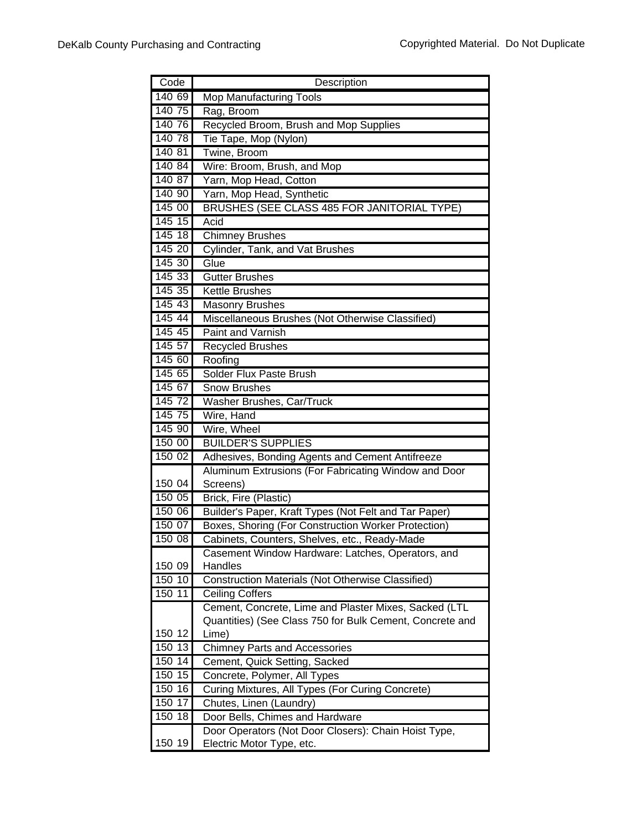| Code   | Description                                                  |
|--------|--------------------------------------------------------------|
| 140 69 | <b>Mop Manufacturing Tools</b>                               |
| 140 75 | Rag, Broom                                                   |
| 140 76 | Recycled Broom, Brush and Mop Supplies                       |
| 14078  | Tie Tape, Mop (Nylon)                                        |
| 140 81 | Twine, Broom                                                 |
| 140 84 | Wire: Broom, Brush, and Mop                                  |
| 140.87 | Yarn, Mop Head, Cotton                                       |
| 140 90 | Yarn, Mop Head, Synthetic                                    |
| 145 00 | BRUSHES (SEE CLASS 485 FOR JANITORIAL TYPE)                  |
| 145 15 | Acid                                                         |
| 145 18 | Chimney Brushes                                              |
| 145 20 | Cylinder, Tank, and Vat Brushes                              |
| 145 30 | Glue                                                         |
| 145 33 | <b>Gutter Brushes</b>                                        |
| 145 35 | Kettle Brushes                                               |
| 145 43 | Masonry Brushes                                              |
| 145 44 | Miscellaneous Brushes (Not Otherwise Classified)             |
| 145 45 | Paint and Varnish                                            |
| 145 57 | Recycled Brushes                                             |
| 145 60 | Roofing                                                      |
| 145 65 | <b>Solder Flux Paste Brush</b>                               |
| 145 67 | <b>Snow Brushes</b>                                          |
| 145 72 | Washer Brushes, Car/Truck                                    |
| 145 75 | Wire, Hand                                                   |
| 145 90 | Wire, Wheel                                                  |
| 150 00 | <b>BUILDER'S SUPPLIES</b>                                    |
| 150 02 | Adhesives, Bonding Agents and Cement Antifreeze              |
|        | Aluminum Extrusions (For Fabricating Window and Door         |
| 150 04 | Screens)                                                     |
| 150 05 | Brick, Fire (Plastic)                                        |
| 150 06 | Builder's Paper, Kraft Types (Not Felt and Tar Paper)        |
| 150 07 | Boxes, Shoring (For Construction Worker Protection)          |
| 150 08 | Cabinets, Counters, Shelves, etc., Ready-Made                |
| 150 09 | Casement Window Hardware: Latches, Operators, and<br>Handles |
| 150 10 | <b>Construction Materials (Not Otherwise Classified)</b>     |
| 150 11 | <b>Ceiling Coffers</b>                                       |
|        | Cement, Concrete, Lime and Plaster Mixes, Sacked (LTL        |
|        | Quantities) (See Class 750 for Bulk Cement, Concrete and     |
| 150 12 | Lime)                                                        |
| 15013  | <b>Chimney Parts and Accessories</b>                         |
| 150 14 | Cement, Quick Setting, Sacked                                |
| 150 15 | Concrete, Polymer, All Types                                 |
| 150 16 | Curing Mixtures, All Types (For Curing Concrete)             |
| 150 17 | Chutes, Linen (Laundry)                                      |
| 150 18 | Door Bells, Chimes and Hardware                              |
|        | Door Operators (Not Door Closers): Chain Hoist Type,         |
| 150 19 | Electric Motor Type, etc.                                    |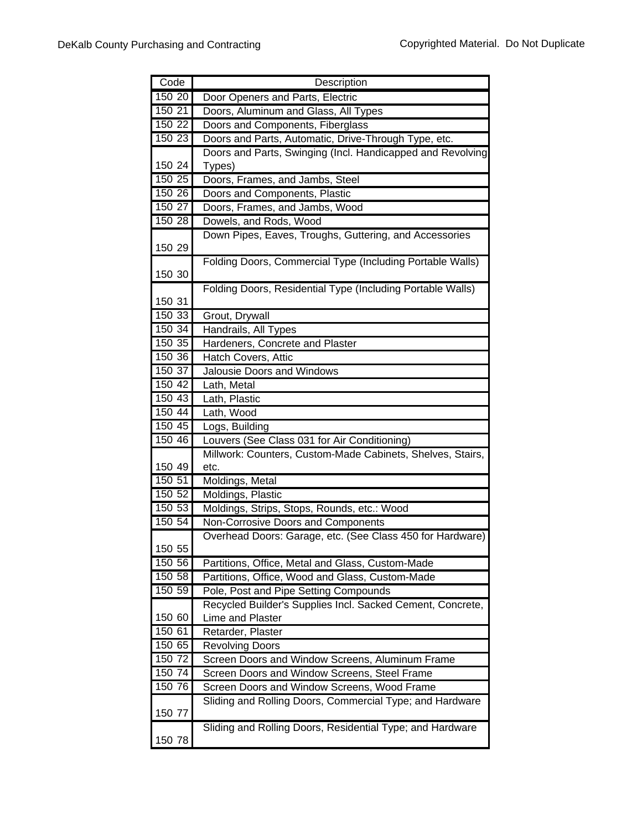| Code             | Description                                                |
|------------------|------------------------------------------------------------|
| 150 20           | Door Openers and Parts, Electric                           |
| 150 21           | Doors, Aluminum and Glass, All Types                       |
| 150 22           | Doors and Components, Fiberglass                           |
| 150 23           | Doors and Parts, Automatic, Drive-Through Type, etc.       |
|                  | Doors and Parts, Swinging (Incl. Handicapped and Revolving |
| 150 24           | Types)                                                     |
| 150 25           | Doors, Frames, and Jambs, Steel                            |
| 150 26           | Doors and Components, Plastic                              |
| 150 27           | Doors, Frames, and Jambs, Wood                             |
| 150 28           | Dowels, and Rods, Wood                                     |
|                  | Down Pipes, Eaves, Troughs, Guttering, and Accessories     |
| 150 29           |                                                            |
|                  | Folding Doors, Commercial Type (Including Portable Walls)  |
| 150 30           |                                                            |
|                  | Folding Doors, Residential Type (Including Portable Walls) |
| 150 31           |                                                            |
| 150 33<br>150 34 | Grout, Drywall                                             |
| 150 35           | Handrails, All Types                                       |
| 150 36           | Hardeners, Concrete and Plaster<br>Hatch Covers, Attic     |
| 150 37           | Jalousie Doors and Windows                                 |
| 150 42           | Lath, Metal                                                |
| 150 43           | Lath, Plastic                                              |
| 150 44           | Lath, Wood                                                 |
| 150 45           | Logs, Building                                             |
| 150 46           | Louvers (See Class 031 for Air Conditioning)               |
|                  | Millwork: Counters, Custom-Made Cabinets, Shelves, Stairs, |
| 150 49           | etc.                                                       |
| 150 51           | Moldings, Metal                                            |
| 150 52           | Moldings, Plastic                                          |
| 150 53           | Moldings, Strips, Stops, Rounds, etc.: Wood                |
| 150 54           | Non-Corrosive Doors and Components                         |
|                  | Overhead Doors: Garage, etc. (See Class 450 for Hardware)  |
| 150 55           |                                                            |
| 150 56           | Partitions, Office, Metal and Glass, Custom-Made           |
| 150 58           | Partitions, Office, Wood and Glass, Custom-Made            |
| 150 59           | Pole, Post and Pipe Setting Compounds                      |
|                  | Recycled Builder's Supplies Incl. Sacked Cement, Concrete, |
| 150 60           | Lime and Plaster                                           |
| 150 61           | Retarder, Plaster                                          |
| 150 65           | <b>Revolving Doors</b>                                     |
| 150 72           | Screen Doors and Window Screens, Aluminum Frame            |
| 150 74           | Screen Doors and Window Screens, Steel Frame               |
| 150 76           | Screen Doors and Window Screens, Wood Frame                |
|                  | Sliding and Rolling Doors, Commercial Type; and Hardware   |
| 150 77           |                                                            |
| 150 78           | Sliding and Rolling Doors, Residential Type; and Hardware  |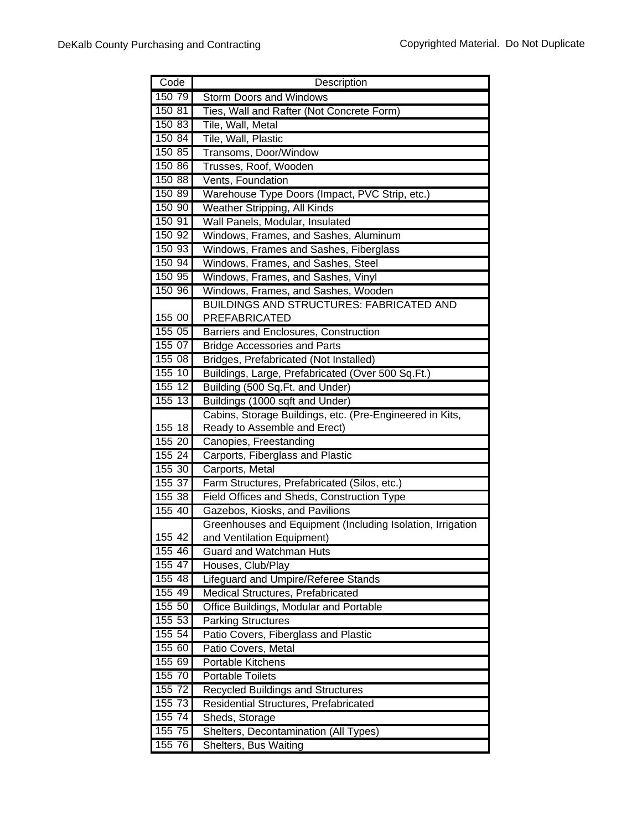| Code      | Description                                                |
|-----------|------------------------------------------------------------|
| 150 79    | <b>Storm Doors and Windows</b>                             |
| 15081     | Ties, Wall and Rafter (Not Concrete Form)                  |
| 150 83    | Tile, Wall, Metal                                          |
| 150 84    | Tile, Wall, Plastic                                        |
| 150 85    | Transoms, Door/Window                                      |
| 150 86    | Trusses, Roof, Wooden                                      |
| 150 88    | Vents, Foundation                                          |
| 150 89    | Warehouse Type Doors (Impact, PVC Strip, etc.)             |
| 150 90    | Weather Stripping, All Kinds                               |
| 150 91    | Wall Panels, Modular, Insulated                            |
| 150 92    | Windows, Frames, and Sashes, Aluminum                      |
| 150 93    | Windows, Frames and Sashes, Fiberglass                     |
| 15094     | Windows, Frames, and Sashes, Steel                         |
| 150 95    | Windows, Frames, and Sashes, Vinyl                         |
| 150 96    | Windows, Frames, and Sashes, Wooden                        |
|           | <b>BUILDINGS AND STRUCTURES: FABRICATED AND</b>            |
| 155 00    | PREFABRICATED                                              |
| 155 05    | Barriers and Enclosures, Construction                      |
| 15507     | <b>Bridge Accessories and Parts</b>                        |
| 155 08    | Bridges, Prefabricated (Not Installed)                     |
| 155 10    | Buildings, Large, Prefabricated (Over 500 Sq.Ft.)          |
| 155 12    | Building (500 Sq.Ft. and Under)                            |
| 15513     | Buildings (1000 sqft and Under)                            |
|           | Cabins, Storage Buildings, etc. (Pre-Engineered in Kits,   |
| 155 18    | Ready to Assemble and Erect)                               |
| 155 20    | Canopies, Freestanding                                     |
| 155 24    | Carports, Fiberglass and Plastic                           |
| 155 30    | Carports, Metal                                            |
| 155 37    | Farm Structures, Prefabricated (Silos, etc.)               |
| 155 38    | Field Offices and Sheds, Construction Type                 |
| 155 40    | Gazebos, Kiosks, and Pavilions                             |
|           | Greenhouses and Equipment (Including Isolation, Irrigation |
| 155 42    | and Ventilation Equipment)                                 |
| 155 46    | Guard and Watchman Huts                                    |
| 155 47    | Houses, Club/Play                                          |
| 155 48    | Lifeguard and Umpire/Referee Stands                        |
| 155 49    | Medical Structures, Prefabricated                          |
| 155 50    | Office Buildings, Modular and Portable                     |
| 155 53    | <b>Parking Structures</b>                                  |
| 155 54    | Patio Covers, Fiberglass and Plastic                       |
| 155 60    | Patio Covers, Metal                                        |
| 155 69    | Portable Kitchens                                          |
| 155 70    | <b>Portable Toilets</b>                                    |
| 155 72    | Recycled Buildings and Structures                          |
| 155 73    | Residential Structures, Prefabricated                      |
| $155\,74$ | Sheds, Storage                                             |
| 155 75    | Shelters, Decontamination (All Types)                      |
| 155 76    | Shelters, Bus Waiting                                      |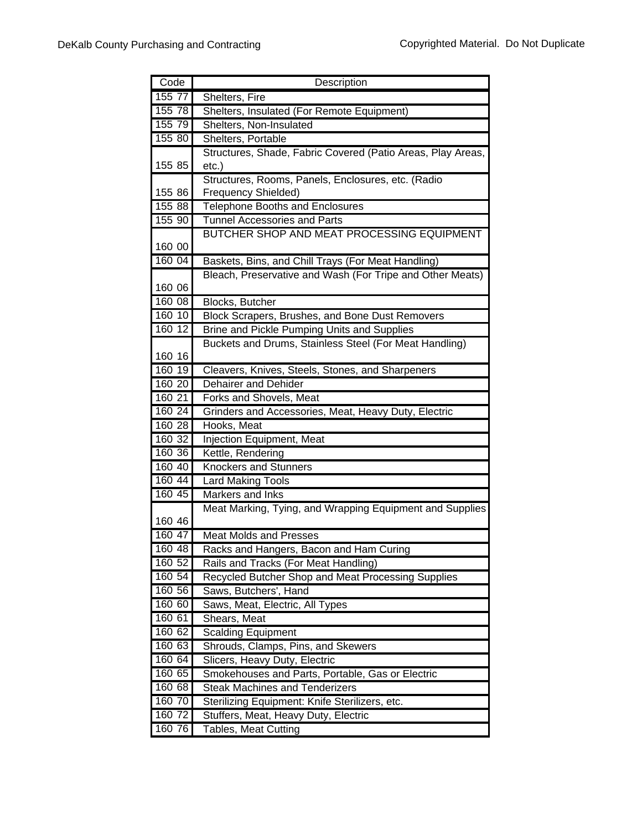| Code             | Description                                                 |
|------------------|-------------------------------------------------------------|
| 155 77           | Shelters, Fire                                              |
| 155 78           | Shelters, Insulated (For Remote Equipment)                  |
| 155 79           | Shelters, Non-Insulated                                     |
| 155 80           | Shelters, Portable                                          |
|                  | Structures, Shade, Fabric Covered (Patio Areas, Play Areas, |
| 155 85           | $etc.$ )                                                    |
|                  | Structures, Rooms, Panels, Enclosures, etc. (Radio          |
| 155 86           | Frequency Shielded)                                         |
| 155 88           | Telephone Booths and Enclosures                             |
| 155 90           | <b>Tunnel Accessories and Parts</b>                         |
|                  | BUTCHER SHOP AND MEAT PROCESSING EQUIPMENT                  |
| 160 00           |                                                             |
| 160 04           | Baskets, Bins, and Chill Trays (For Meat Handling)          |
|                  | Bleach, Preservative and Wash (For Tripe and Other Meats)   |
| 160 06           |                                                             |
| 160 08           | Blocks, Butcher                                             |
| 160 10           | Block Scrapers, Brushes, and Bone Dust Removers             |
| 160 12           | <b>Brine and Pickle Pumping Units and Supplies</b>          |
|                  | Buckets and Drums, Stainless Steel (For Meat Handling)      |
| 160 16           |                                                             |
| 160 19           | Cleavers, Knives, Steels, Stones, and Sharpeners            |
| 160 20           | Dehairer and Dehider                                        |
| 160 21           | Forks and Shovels, Meat                                     |
| 160 24           | Grinders and Accessories, Meat, Heavy Duty, Electric        |
| 160 28           | Hooks, Meat                                                 |
| 160 32<br>160 36 | Injection Equipment, Meat                                   |
| 160 40           | Kettle, Rendering<br>Knockers and Stunners                  |
| 160 44           | <b>Lard Making Tools</b>                                    |
| 160 45           | Markers and Inks                                            |
|                  | Meat Marking, Tying, and Wrapping Equipment and Supplies    |
| 160 46           |                                                             |
| 160 47           | <b>Meat Molds and Presses</b>                               |
| 160 48           | Racks and Hangers, Bacon and Ham Curing                     |
| 160 52           | Rails and Tracks (For Meat Handling)                        |
| 160 54           | Recycled Butcher Shop and Meat Processing Supplies          |
| 160 56           | Saws, Butchers', Hand                                       |
| 160 60           | Saws, Meat, Electric, All Types                             |
| 160 61           | Shears, Meat                                                |
| 160 62           | <b>Scalding Equipment</b>                                   |
| 160 63           | Shrouds, Clamps, Pins, and Skewers                          |
| 160 64           | Slicers, Heavy Duty, Electric                               |
| 160 65           | Smokehouses and Parts, Portable, Gas or Electric            |
| 160 68           | <b>Steak Machines and Tenderizers</b>                       |
| 160 70           | Sterilizing Equipment: Knife Sterilizers, etc.              |
| 160 72           | Stuffers, Meat, Heavy Duty, Electric                        |
| 160 76           | <b>Tables, Meat Cutting</b>                                 |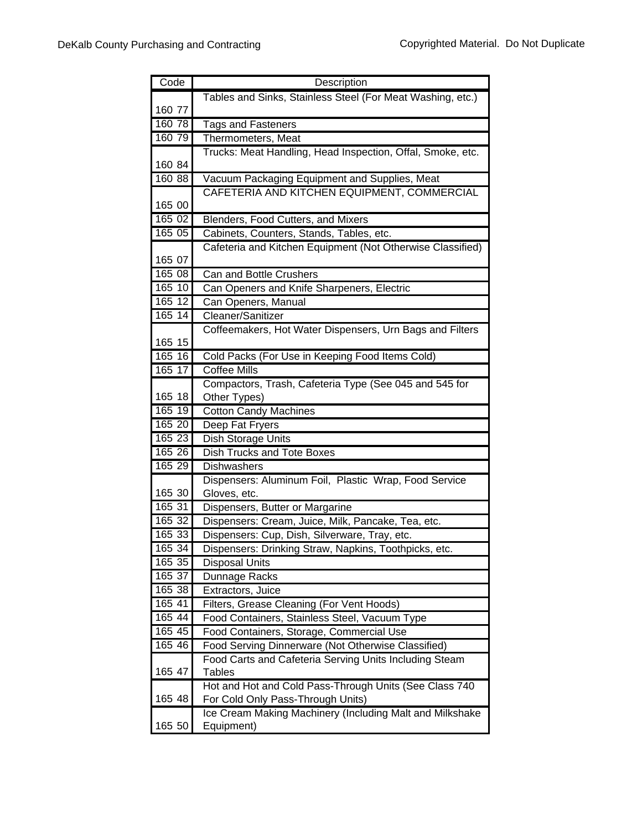| Tables and Sinks, Stainless Steel (For Meat Washing, etc.)<br>160 77<br>160 78<br><b>Tags and Fasteners</b><br>160 79<br>Thermometers, Meat<br>Trucks: Meat Handling, Head Inspection, Offal, Smoke, etc.<br>160 84<br>160 88<br>Vacuum Packaging Equipment and Supplies, Meat<br>CAFETERIA AND KITCHEN EQUIPMENT, COMMERCIAL<br>165 00<br>16502<br>Blenders, Food Cutters, and Mixers<br>165 05<br>Cabinets, Counters, Stands, Tables, etc.<br>Cafeteria and Kitchen Equipment (Not Otherwise Classified)<br>165 07<br>165 08<br>Can and Bottle Crushers<br>Can Openers and Knife Sharpeners, Electric<br>165 10<br>165 12<br>Can Openers, Manual<br>165 14<br>Cleaner/Sanitizer<br>Coffeemakers, Hot Water Dispensers, Urn Bags and Filters<br>165 15<br>$165-16$<br>Cold Packs (For Use in Keeping Food Items Cold)<br>165 17<br><b>Coffee Mills</b><br>Compactors, Trash, Cafeteria Type (See 045 and 545 for<br>165 18<br>Other Types)<br>165 19<br><b>Cotton Candy Machines</b><br>165 20<br>Deep Fat Fryers<br>165 23<br>Dish Storage Units<br>16526<br><b>Dish Trucks and Tote Boxes</b><br>165 29<br>Dishwashers<br>Dispensers: Aluminum Foil, Plastic Wrap, Food Service<br>165 30<br>Gloves, etc.<br>165 31<br>Dispensers, Butter or Margarine<br>165 32<br>Dispensers: Cream, Juice, Milk, Pancake, Tea, etc.<br>165 33<br>Dispensers: Cup, Dish, Silverware, Tray, etc.<br>165 34<br>Dispensers: Drinking Straw, Napkins, Toothpicks, etc.<br>165 35<br><b>Disposal Units</b><br>165 37<br>Dunnage Racks |
|-----------------------------------------------------------------------------------------------------------------------------------------------------------------------------------------------------------------------------------------------------------------------------------------------------------------------------------------------------------------------------------------------------------------------------------------------------------------------------------------------------------------------------------------------------------------------------------------------------------------------------------------------------------------------------------------------------------------------------------------------------------------------------------------------------------------------------------------------------------------------------------------------------------------------------------------------------------------------------------------------------------------------------------------------------------------------------------------------------------------------------------------------------------------------------------------------------------------------------------------------------------------------------------------------------------------------------------------------------------------------------------------------------------------------------------------------------------------------------------------------------------------------|
|                                                                                                                                                                                                                                                                                                                                                                                                                                                                                                                                                                                                                                                                                                                                                                                                                                                                                                                                                                                                                                                                                                                                                                                                                                                                                                                                                                                                                                                                                                                       |
|                                                                                                                                                                                                                                                                                                                                                                                                                                                                                                                                                                                                                                                                                                                                                                                                                                                                                                                                                                                                                                                                                                                                                                                                                                                                                                                                                                                                                                                                                                                       |
|                                                                                                                                                                                                                                                                                                                                                                                                                                                                                                                                                                                                                                                                                                                                                                                                                                                                                                                                                                                                                                                                                                                                                                                                                                                                                                                                                                                                                                                                                                                       |
|                                                                                                                                                                                                                                                                                                                                                                                                                                                                                                                                                                                                                                                                                                                                                                                                                                                                                                                                                                                                                                                                                                                                                                                                                                                                                                                                                                                                                                                                                                                       |
|                                                                                                                                                                                                                                                                                                                                                                                                                                                                                                                                                                                                                                                                                                                                                                                                                                                                                                                                                                                                                                                                                                                                                                                                                                                                                                                                                                                                                                                                                                                       |
|                                                                                                                                                                                                                                                                                                                                                                                                                                                                                                                                                                                                                                                                                                                                                                                                                                                                                                                                                                                                                                                                                                                                                                                                                                                                                                                                                                                                                                                                                                                       |
|                                                                                                                                                                                                                                                                                                                                                                                                                                                                                                                                                                                                                                                                                                                                                                                                                                                                                                                                                                                                                                                                                                                                                                                                                                                                                                                                                                                                                                                                                                                       |
|                                                                                                                                                                                                                                                                                                                                                                                                                                                                                                                                                                                                                                                                                                                                                                                                                                                                                                                                                                                                                                                                                                                                                                                                                                                                                                                                                                                                                                                                                                                       |
|                                                                                                                                                                                                                                                                                                                                                                                                                                                                                                                                                                                                                                                                                                                                                                                                                                                                                                                                                                                                                                                                                                                                                                                                                                                                                                                                                                                                                                                                                                                       |
|                                                                                                                                                                                                                                                                                                                                                                                                                                                                                                                                                                                                                                                                                                                                                                                                                                                                                                                                                                                                                                                                                                                                                                                                                                                                                                                                                                                                                                                                                                                       |
|                                                                                                                                                                                                                                                                                                                                                                                                                                                                                                                                                                                                                                                                                                                                                                                                                                                                                                                                                                                                                                                                                                                                                                                                                                                                                                                                                                                                                                                                                                                       |
|                                                                                                                                                                                                                                                                                                                                                                                                                                                                                                                                                                                                                                                                                                                                                                                                                                                                                                                                                                                                                                                                                                                                                                                                                                                                                                                                                                                                                                                                                                                       |
|                                                                                                                                                                                                                                                                                                                                                                                                                                                                                                                                                                                                                                                                                                                                                                                                                                                                                                                                                                                                                                                                                                                                                                                                                                                                                                                                                                                                                                                                                                                       |
|                                                                                                                                                                                                                                                                                                                                                                                                                                                                                                                                                                                                                                                                                                                                                                                                                                                                                                                                                                                                                                                                                                                                                                                                                                                                                                                                                                                                                                                                                                                       |
|                                                                                                                                                                                                                                                                                                                                                                                                                                                                                                                                                                                                                                                                                                                                                                                                                                                                                                                                                                                                                                                                                                                                                                                                                                                                                                                                                                                                                                                                                                                       |
|                                                                                                                                                                                                                                                                                                                                                                                                                                                                                                                                                                                                                                                                                                                                                                                                                                                                                                                                                                                                                                                                                                                                                                                                                                                                                                                                                                                                                                                                                                                       |
|                                                                                                                                                                                                                                                                                                                                                                                                                                                                                                                                                                                                                                                                                                                                                                                                                                                                                                                                                                                                                                                                                                                                                                                                                                                                                                                                                                                                                                                                                                                       |
|                                                                                                                                                                                                                                                                                                                                                                                                                                                                                                                                                                                                                                                                                                                                                                                                                                                                                                                                                                                                                                                                                                                                                                                                                                                                                                                                                                                                                                                                                                                       |
|                                                                                                                                                                                                                                                                                                                                                                                                                                                                                                                                                                                                                                                                                                                                                                                                                                                                                                                                                                                                                                                                                                                                                                                                                                                                                                                                                                                                                                                                                                                       |
|                                                                                                                                                                                                                                                                                                                                                                                                                                                                                                                                                                                                                                                                                                                                                                                                                                                                                                                                                                                                                                                                                                                                                                                                                                                                                                                                                                                                                                                                                                                       |
|                                                                                                                                                                                                                                                                                                                                                                                                                                                                                                                                                                                                                                                                                                                                                                                                                                                                                                                                                                                                                                                                                                                                                                                                                                                                                                                                                                                                                                                                                                                       |
|                                                                                                                                                                                                                                                                                                                                                                                                                                                                                                                                                                                                                                                                                                                                                                                                                                                                                                                                                                                                                                                                                                                                                                                                                                                                                                                                                                                                                                                                                                                       |
|                                                                                                                                                                                                                                                                                                                                                                                                                                                                                                                                                                                                                                                                                                                                                                                                                                                                                                                                                                                                                                                                                                                                                                                                                                                                                                                                                                                                                                                                                                                       |
|                                                                                                                                                                                                                                                                                                                                                                                                                                                                                                                                                                                                                                                                                                                                                                                                                                                                                                                                                                                                                                                                                                                                                                                                                                                                                                                                                                                                                                                                                                                       |
|                                                                                                                                                                                                                                                                                                                                                                                                                                                                                                                                                                                                                                                                                                                                                                                                                                                                                                                                                                                                                                                                                                                                                                                                                                                                                                                                                                                                                                                                                                                       |
|                                                                                                                                                                                                                                                                                                                                                                                                                                                                                                                                                                                                                                                                                                                                                                                                                                                                                                                                                                                                                                                                                                                                                                                                                                                                                                                                                                                                                                                                                                                       |
|                                                                                                                                                                                                                                                                                                                                                                                                                                                                                                                                                                                                                                                                                                                                                                                                                                                                                                                                                                                                                                                                                                                                                                                                                                                                                                                                                                                                                                                                                                                       |
|                                                                                                                                                                                                                                                                                                                                                                                                                                                                                                                                                                                                                                                                                                                                                                                                                                                                                                                                                                                                                                                                                                                                                                                                                                                                                                                                                                                                                                                                                                                       |
|                                                                                                                                                                                                                                                                                                                                                                                                                                                                                                                                                                                                                                                                                                                                                                                                                                                                                                                                                                                                                                                                                                                                                                                                                                                                                                                                                                                                                                                                                                                       |
|                                                                                                                                                                                                                                                                                                                                                                                                                                                                                                                                                                                                                                                                                                                                                                                                                                                                                                                                                                                                                                                                                                                                                                                                                                                                                                                                                                                                                                                                                                                       |
|                                                                                                                                                                                                                                                                                                                                                                                                                                                                                                                                                                                                                                                                                                                                                                                                                                                                                                                                                                                                                                                                                                                                                                                                                                                                                                                                                                                                                                                                                                                       |
|                                                                                                                                                                                                                                                                                                                                                                                                                                                                                                                                                                                                                                                                                                                                                                                                                                                                                                                                                                                                                                                                                                                                                                                                                                                                                                                                                                                                                                                                                                                       |
|                                                                                                                                                                                                                                                                                                                                                                                                                                                                                                                                                                                                                                                                                                                                                                                                                                                                                                                                                                                                                                                                                                                                                                                                                                                                                                                                                                                                                                                                                                                       |
|                                                                                                                                                                                                                                                                                                                                                                                                                                                                                                                                                                                                                                                                                                                                                                                                                                                                                                                                                                                                                                                                                                                                                                                                                                                                                                                                                                                                                                                                                                                       |
|                                                                                                                                                                                                                                                                                                                                                                                                                                                                                                                                                                                                                                                                                                                                                                                                                                                                                                                                                                                                                                                                                                                                                                                                                                                                                                                                                                                                                                                                                                                       |
| 165 38<br>Extractors, Juice                                                                                                                                                                                                                                                                                                                                                                                                                                                                                                                                                                                                                                                                                                                                                                                                                                                                                                                                                                                                                                                                                                                                                                                                                                                                                                                                                                                                                                                                                           |
| 165 41<br>Filters, Grease Cleaning (For Vent Hoods)                                                                                                                                                                                                                                                                                                                                                                                                                                                                                                                                                                                                                                                                                                                                                                                                                                                                                                                                                                                                                                                                                                                                                                                                                                                                                                                                                                                                                                                                   |
| $165\,44$<br>Food Containers, Stainless Steel, Vacuum Type                                                                                                                                                                                                                                                                                                                                                                                                                                                                                                                                                                                                                                                                                                                                                                                                                                                                                                                                                                                                                                                                                                                                                                                                                                                                                                                                                                                                                                                            |
| 16545<br>Food Containers, Storage, Commercial Use                                                                                                                                                                                                                                                                                                                                                                                                                                                                                                                                                                                                                                                                                                                                                                                                                                                                                                                                                                                                                                                                                                                                                                                                                                                                                                                                                                                                                                                                     |
| $165 - 46$<br>Food Serving Dinnerware (Not Otherwise Classified)                                                                                                                                                                                                                                                                                                                                                                                                                                                                                                                                                                                                                                                                                                                                                                                                                                                                                                                                                                                                                                                                                                                                                                                                                                                                                                                                                                                                                                                      |
| Food Carts and Cafeteria Serving Units Including Steam                                                                                                                                                                                                                                                                                                                                                                                                                                                                                                                                                                                                                                                                                                                                                                                                                                                                                                                                                                                                                                                                                                                                                                                                                                                                                                                                                                                                                                                                |
| 165 47<br><b>Tables</b>                                                                                                                                                                                                                                                                                                                                                                                                                                                                                                                                                                                                                                                                                                                                                                                                                                                                                                                                                                                                                                                                                                                                                                                                                                                                                                                                                                                                                                                                                               |
| Hot and Hot and Cold Pass-Through Units (See Class 740                                                                                                                                                                                                                                                                                                                                                                                                                                                                                                                                                                                                                                                                                                                                                                                                                                                                                                                                                                                                                                                                                                                                                                                                                                                                                                                                                                                                                                                                |
| 165 48<br>For Cold Only Pass-Through Units)                                                                                                                                                                                                                                                                                                                                                                                                                                                                                                                                                                                                                                                                                                                                                                                                                                                                                                                                                                                                                                                                                                                                                                                                                                                                                                                                                                                                                                                                           |
| Ice Cream Making Machinery (Including Malt and Milkshake                                                                                                                                                                                                                                                                                                                                                                                                                                                                                                                                                                                                                                                                                                                                                                                                                                                                                                                                                                                                                                                                                                                                                                                                                                                                                                                                                                                                                                                              |
| 165 50<br>Equipment)                                                                                                                                                                                                                                                                                                                                                                                                                                                                                                                                                                                                                                                                                                                                                                                                                                                                                                                                                                                                                                                                                                                                                                                                                                                                                                                                                                                                                                                                                                  |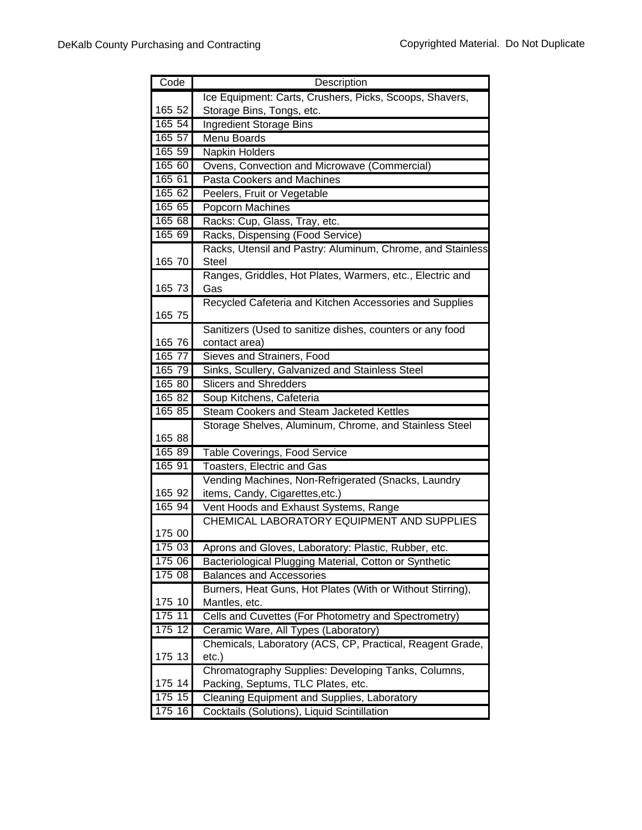| Code   | Description                                                                                |
|--------|--------------------------------------------------------------------------------------------|
|        | Ice Equipment: Carts, Crushers, Picks, Scoops, Shavers,                                    |
| 165 52 | Storage Bins, Tongs, etc.                                                                  |
| 165 54 | <b>Ingredient Storage Bins</b>                                                             |
| 165 57 | Menu Boards                                                                                |
| 165 59 | Napkin Holders                                                                             |
| 165 60 | Ovens, Convection and Microwave (Commercial)                                               |
| 165 61 | <b>Pasta Cookers and Machines</b>                                                          |
| 165 62 | Peelers, Fruit or Vegetable                                                                |
| 165 65 | Popcorn Machines                                                                           |
| 165 68 | Racks: Cup, Glass, Tray, etc.                                                              |
| 165 69 | Racks, Dispensing (Food Service)                                                           |
|        | Racks, Utensil and Pastry: Aluminum, Chrome, and Stainless                                 |
| 165 70 | <b>Steel</b>                                                                               |
|        | Ranges, Griddles, Hot Plates, Warmers, etc., Electric and                                  |
| 165 73 | Gas                                                                                        |
|        | Recycled Cafeteria and Kitchen Accessories and Supplies                                    |
| 165 75 |                                                                                            |
|        | Sanitizers (Used to sanitize dishes, counters or any food                                  |
| 165 76 | contact area)                                                                              |
| 165 77 | Sieves and Strainers, Food                                                                 |
| 165 79 | Sinks, Scullery, Galvanized and Stainless Steel                                            |
| 165 80 | <b>Slicers and Shredders</b>                                                               |
| 165 82 | Soup Kitchens, Cafeteria                                                                   |
| 165 85 | <b>Steam Cookers and Steam Jacketed Kettles</b>                                            |
|        | Storage Shelves, Aluminum, Chrome, and Stainless Steel                                     |
| 165 88 |                                                                                            |
| 165 89 | Table Coverings, Food Service                                                              |
| 165 91 | Toasters, Electric and Gas                                                                 |
|        | Vending Machines, Non-Refrigerated (Snacks, Laundry                                        |
| 165 92 | items, Candy, Cigarettes, etc.)                                                            |
| 165 94 | Vent Hoods and Exhaust Systems, Range                                                      |
|        | CHEMICAL LABORATORY EQUIPMENT AND SUPPLIES                                                 |
| 175 00 |                                                                                            |
| 175 03 | Aprons and Gloves, Laboratory: Plastic, Rubber, etc.                                       |
| 175 06 | Bacteriological Plugging Material, Cotton or Synthetic                                     |
| 175 08 | <b>Balances and Accessories</b>                                                            |
|        | Burners, Heat Guns, Hot Plates (With or Without Stirring),                                 |
| 175 10 | Mantles, etc.                                                                              |
| 175 11 | Cells and Cuvettes (For Photometry and Spectrometry)                                       |
| 17512  | Ceramic Ware, All Types (Laboratory)                                                       |
| 175 13 | Chemicals, Laboratory (ACS, CP, Practical, Reagent Grade,                                  |
|        | etc.)                                                                                      |
| 175 14 | Chromatography Supplies: Developing Tanks, Columns,                                        |
| 175 15 | Packing, Septums, TLC Plates, etc.                                                         |
| 175 16 | Cleaning Equipment and Supplies, Laboratory<br>Cocktails (Solutions), Liquid Scintillation |
|        |                                                                                            |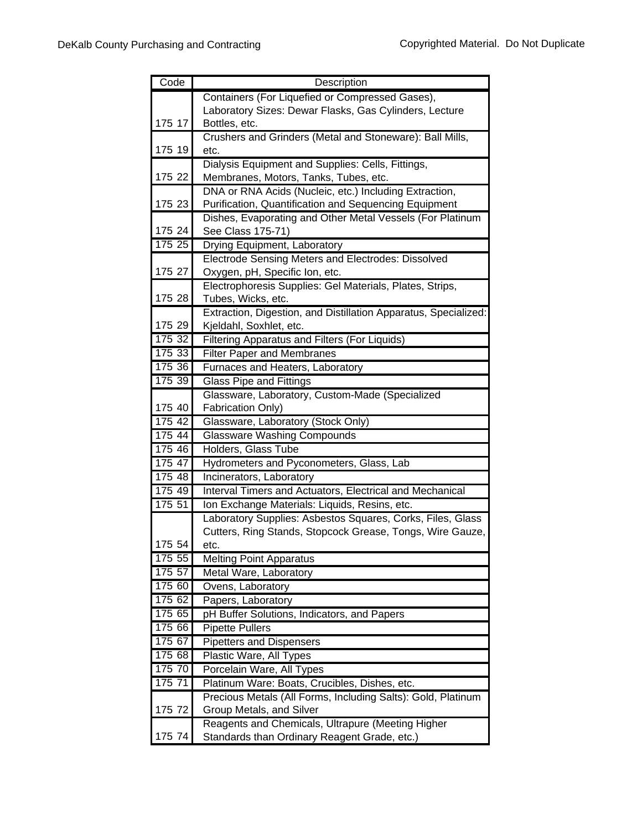| Code   | Description                                                                                       |
|--------|---------------------------------------------------------------------------------------------------|
|        | Containers (For Liquefied or Compressed Gases),                                                   |
|        | Laboratory Sizes: Dewar Flasks, Gas Cylinders, Lecture                                            |
| 175 17 | Bottles, etc.                                                                                     |
|        | Crushers and Grinders (Metal and Stoneware): Ball Mills,                                          |
| 175 19 | etc.                                                                                              |
|        | Dialysis Equipment and Supplies: Cells, Fittings,                                                 |
| 175 22 | Membranes, Motors, Tanks, Tubes, etc.                                                             |
|        | DNA or RNA Acids (Nucleic, etc.) Including Extraction,                                            |
| 175 23 | Purification, Quantification and Sequencing Equipment                                             |
|        | Dishes, Evaporating and Other Metal Vessels (For Platinum                                         |
| 175 24 | See Class 175-71)                                                                                 |
| 175 25 | Drying Equipment, Laboratory                                                                      |
|        | Electrode Sensing Meters and Electrodes: Dissolved                                                |
| 175 27 | Oxygen, pH, Specific Ion, etc.                                                                    |
|        | Electrophoresis Supplies: Gel Materials, Plates, Strips,                                          |
| 175 28 | Tubes, Wicks, etc.                                                                                |
| 175 29 | Extraction, Digestion, and Distillation Apparatus, Specialized:<br>Kjeldahl, Soxhlet, etc.        |
| 175 32 | Filtering Apparatus and Filters (For Liquids)                                                     |
| 175 33 | <b>Filter Paper and Membranes</b>                                                                 |
| 175 36 | Furnaces and Heaters, Laboratory                                                                  |
| 17539  | Glass Pipe and Fittings                                                                           |
|        | Glassware, Laboratory, Custom-Made (Specialized                                                   |
| 175 40 | Fabrication Only)                                                                                 |
| 175 42 | Glassware, Laboratory (Stock Only)                                                                |
| 175 44 | <b>Glassware Washing Compounds</b>                                                                |
| 175 46 | Holders, Glass Tube                                                                               |
| 175 47 | Hydrometers and Pyconometers, Glass, Lab                                                          |
| 175 48 | Incinerators, Laboratory                                                                          |
| 175 49 | Interval Timers and Actuators, Electrical and Mechanical                                          |
| 17551  | Ion Exchange Materials: Liquids, Resins, etc.                                                     |
|        | Laboratory Supplies: Asbestos Squares, Corks, Files, Glass                                        |
|        | Cutters, Ring Stands, Stopcock Grease, Tongs, Wire Gauze,                                         |
| 175 54 | etc.                                                                                              |
| 175 55 | <b>Melting Point Apparatus</b>                                                                    |
| 175 57 | Metal Ware, Laboratory                                                                            |
| 175 60 | Ovens, Laboratory                                                                                 |
| 17562  | Papers, Laboratory                                                                                |
| 175 65 | pH Buffer Solutions, Indicators, and Papers                                                       |
| 175 66 | <b>Pipette Pullers</b>                                                                            |
| 175 67 | <b>Pipetters and Dispensers</b>                                                                   |
| 175 68 | Plastic Ware, All Types                                                                           |
| 175 70 | Porcelain Ware, All Types                                                                         |
| 175 71 | Platinum Ware: Boats, Crucibles, Dishes, etc.                                                     |
| 175 72 | Precious Metals (All Forms, Including Salts): Gold, Platinum                                      |
|        | Group Metals, and Silver                                                                          |
|        |                                                                                                   |
| 175 74 | Reagents and Chemicals, Ultrapure (Meeting Higher<br>Standards than Ordinary Reagent Grade, etc.) |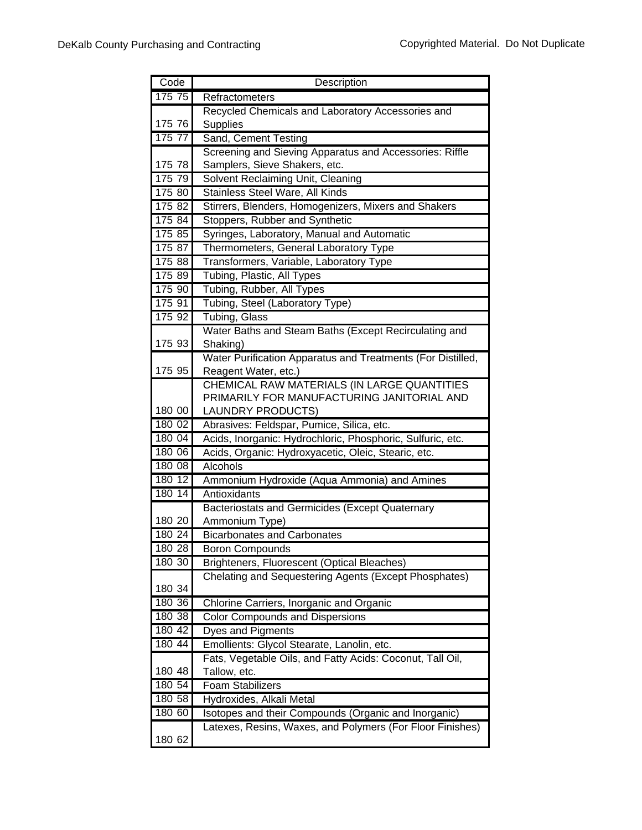| Code   | Description                                                 |
|--------|-------------------------------------------------------------|
| 175 75 | Refractometers                                              |
|        | Recycled Chemicals and Laboratory Accessories and           |
| 175 76 | Supplies                                                    |
| 175 77 | Sand, Cement Testing                                        |
|        | Screening and Sieving Apparatus and Accessories: Riffle     |
| 175 78 | Samplers, Sieve Shakers, etc.                               |
| 175 79 | Solvent Reclaiming Unit, Cleaning                           |
| 175 80 | Stainless Steel Ware, All Kinds                             |
| 175 82 | Stirrers, Blenders, Homogenizers, Mixers and Shakers        |
| 175 84 | Stoppers, Rubber and Synthetic                              |
| 175 85 | Syringes, Laboratory, Manual and Automatic                  |
| 175 87 | Thermometers, General Laboratory Type                       |
| 17588  | Transformers, Variable, Laboratory Type                     |
| 175 89 | Tubing, Plastic, All Types                                  |
| 175 90 | Tubing, Rubber, All Types                                   |
| 175 91 | Tubing, Steel (Laboratory Type)                             |
| 175 92 | Tubing, Glass                                               |
|        | Water Baths and Steam Baths (Except Recirculating and       |
| 175 93 | Shaking)                                                    |
|        | Water Purification Apparatus and Treatments (For Distilled, |
| 175 95 | Reagent Water, etc.)                                        |
|        | CHEMICAL RAW MATERIALS (IN LARGE QUANTITIES                 |
|        | PRIMARILY FOR MANUFACTURING JANITORIAL AND                  |
| 180 00 | <b>LAUNDRY PRODUCTS)</b>                                    |
| 18002  | Abrasives: Feldspar, Pumice, Silica, etc.                   |
| 180 04 | Acids, Inorganic: Hydrochloric, Phosphoric, Sulfuric, etc.  |
| 180 06 | Acids, Organic: Hydroxyacetic, Oleic, Stearic, etc.         |
| 180 08 | Alcohols                                                    |
| 180 12 | Ammonium Hydroxide (Aqua Ammonia) and Amines                |
| 180 14 | Antioxidants                                                |
|        | Bacteriostats and Germicides (Except Quaternary             |
| 180 20 | Ammonium Type)                                              |
| 180 24 | <b>Bicarbonates and Carbonates</b>                          |
| 180 28 | <b>Boron Compounds</b>                                      |
| 180 30 | Brighteners, Fluorescent (Optical Bleaches)                 |
|        | Chelating and Sequestering Agents (Except Phosphates)       |
| 180 34 |                                                             |
| 180 36 | Chlorine Carriers, Inorganic and Organic                    |
| 180 38 | <b>Color Compounds and Dispersions</b>                      |
| 180 42 | <b>Dyes and Pigments</b>                                    |
| 180 44 | Emollients: Glycol Stearate, Lanolin, etc.                  |
|        | Fats, Vegetable Oils, and Fatty Acids: Coconut, Tall Oil,   |
| 180 48 | Tallow, etc.                                                |
| 180 54 | <b>Foam Stabilizers</b>                                     |
| 180 58 | Hydroxides, Alkali Metal                                    |
| 180 60 | Isotopes and their Compounds (Organic and Inorganic)        |
|        | Latexes, Resins, Waxes, and Polymers (For Floor Finishes)   |
| 180 62 |                                                             |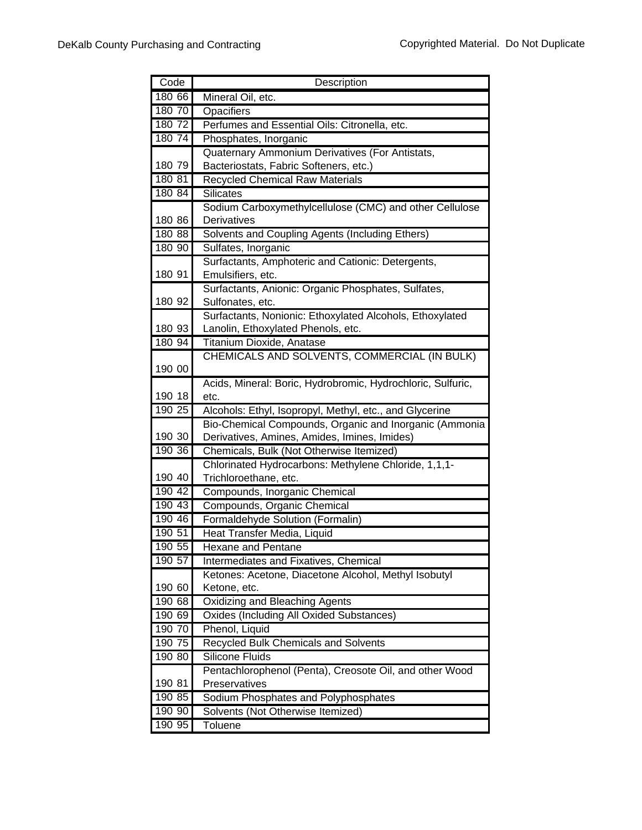| Code      | Description                                                         |
|-----------|---------------------------------------------------------------------|
| 180 66    | Mineral Oil, etc.                                                   |
| 180 70    | Opacifiers                                                          |
| $180\ 72$ | Perfumes and Essential Oils: Citronella, etc.                       |
| 180 74    | Phosphates, Inorganic                                               |
|           | Quaternary Ammonium Derivatives (For Antistats,                     |
| 180 79    | Bacteriostats, Fabric Softeners, etc.)                              |
| 180 81    | Recycled Chemical Raw Materials                                     |
| 180 84    | <b>Silicates</b>                                                    |
|           | Sodium Carboxymethylcellulose (CMC) and other Cellulose             |
| 180 86    | Derivatives                                                         |
| 180 88    | Solvents and Coupling Agents (Including Ethers)                     |
| 180 90    | Sulfates, Inorganic                                                 |
|           | Surfactants, Amphoteric and Cationic: Detergents,                   |
| 180 91    | Emulsifiers, etc.                                                   |
|           | Surfactants, Anionic: Organic Phosphates, Sulfates,                 |
| 180 92    | Sulfonates, etc.                                                    |
|           | Surfactants, Nonionic: Ethoxylated Alcohols, Ethoxylated            |
| 180 93    | Lanolin, Ethoxylated Phenols, etc.                                  |
| 180 94    | Titanium Dioxide, Anatase                                           |
| 190 00    | CHEMICALS AND SOLVENTS, COMMERCIAL (IN BULK)                        |
|           |                                                                     |
| 190 18    | Acids, Mineral: Boric, Hydrobromic, Hydrochloric, Sulfuric,<br>etc. |
| 190 25    | Alcohols: Ethyl, Isopropyl, Methyl, etc., and Glycerine             |
|           | Bio-Chemical Compounds, Organic and Inorganic (Ammonia              |
| 190 30    | Derivatives, Amines, Amides, Imines, Imides)                        |
| 190 36    | Chemicals, Bulk (Not Otherwise Itemized)                            |
|           | Chlorinated Hydrocarbons: Methylene Chloride, 1,1,1-                |
| 190 40    | Trichloroethane, etc.                                               |
| 190 42    | Compounds, Inorganic Chemical                                       |
| 190 43    | Compounds, Organic Chemical                                         |
| 190 46    | Formaldehyde Solution (Formalin)                                    |
| 190 51    | Heat Transfer Media, Liquid                                         |
| 190 55    | Hexane and Pentane                                                  |
| 190 57    | Intermediates and Fixatives, Chemical                               |
|           | Ketones: Acetone, Diacetone Alcohol, Methyl Isobutyl                |
| 190 60    | Ketone, etc.                                                        |
| 190 68    | Oxidizing and Bleaching Agents                                      |
| 190 69    | <b>Oxides (Including All Oxided Substances)</b>                     |
| 190 70    | Phenol, Liquid                                                      |
| 190 75    | <b>Recycled Bulk Chemicals and Solvents</b>                         |
| 190 80    | <b>Silicone Fluids</b>                                              |
|           | Pentachlorophenol (Penta), Creosote Oil, and other Wood             |
| 190 81    | Preservatives                                                       |
| 190 85    | Sodium Phosphates and Polyphosphates                                |
| 190 90    | Solvents (Not Otherwise Itemized)                                   |
| 190 95    | <b>Toluene</b>                                                      |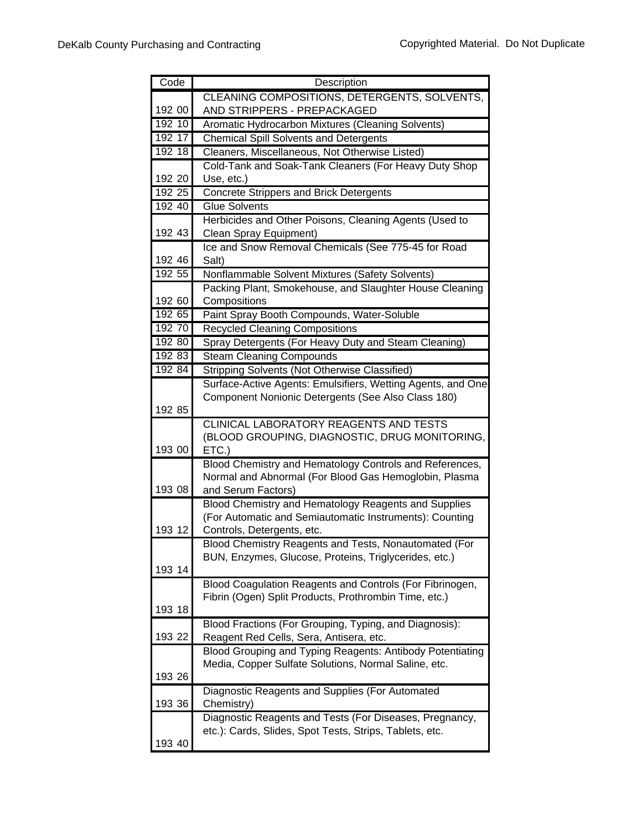| Code   | Description                                                   |
|--------|---------------------------------------------------------------|
|        | CLEANING COMPOSITIONS, DETERGENTS, SOLVENTS,                  |
| 192 00 | AND STRIPPERS - PREPACKAGED                                   |
| 192 10 | Aromatic Hydrocarbon Mixtures (Cleaning Solvents)             |
| 192 17 | <b>Chemical Spill Solvents and Detergents</b>                 |
| 192 18 | Cleaners, Miscellaneous, Not Otherwise Listed)                |
|        | Cold-Tank and Soak-Tank Cleaners (For Heavy Duty Shop         |
| 192 20 | Use, etc.)                                                    |
| 192 25 | <b>Concrete Strippers and Brick Detergents</b>                |
| 192 40 | <b>Glue Solvents</b>                                          |
|        | Herbicides and Other Poisons, Cleaning Agents (Used to        |
| 192 43 | Clean Spray Equipment)                                        |
|        | Ice and Snow Removal Chemicals (See 775-45 for Road           |
| 192 46 | Salt)                                                         |
| 192 55 | Nonflammable Solvent Mixtures (Safety Solvents)               |
|        | Packing Plant, Smokehouse, and Slaughter House Cleaning       |
| 192 60 | Compositions                                                  |
| 192 65 | Paint Spray Booth Compounds, Water-Soluble                    |
| 192 70 | <b>Recycled Cleaning Compositions</b>                         |
| 192 80 | Spray Detergents (For Heavy Duty and Steam Cleaning)          |
| 192 83 | <b>Steam Cleaning Compounds</b>                               |
| 192 84 | Stripping Solvents (Not Otherwise Classified)                 |
|        | Surface-Active Agents: Emulsifiers, Wetting Agents, and One   |
|        | Component Nonionic Detergents (See Also Class 180)            |
| 192 85 |                                                               |
|        | CLINICAL LABORATORY REAGENTS AND TESTS                        |
| 193 00 | (BLOOD GROUPING, DIAGNOSTIC, DRUG MONITORING,<br>ETC.)        |
|        | Blood Chemistry and Hematology Controls and References,       |
|        | Normal and Abnormal (For Blood Gas Hemoglobin, Plasma         |
| 193 08 | and Serum Factors)                                            |
|        | Blood Chemistry and Hematology Reagents and Supplies          |
|        | (For Automatic and Semiautomatic Instruments): Counting       |
| 193 12 | Controls, Detergents, etc.                                    |
|        | Blood Chemistry Reagents and Tests, Nonautomated (For         |
|        | BUN, Enzymes, Glucose, Proteins, Triglycerides, etc.)         |
| 193 14 |                                                               |
|        | Blood Coagulation Reagents and Controls (For Fibrinogen,      |
|        | Fibrin (Ogen) Split Products, Prothrombin Time, etc.)         |
| 193 18 |                                                               |
|        | Blood Fractions (For Grouping, Typing, and Diagnosis):        |
| 193 22 | Reagent Red Cells, Sera, Antisera, etc.                       |
|        | Blood Grouping and Typing Reagents: Antibody Potentiating     |
| 193 26 | Media, Copper Sulfate Solutions, Normal Saline, etc.          |
|        |                                                               |
| 193 36 | Diagnostic Reagents and Supplies (For Automated<br>Chemistry) |
|        | Diagnostic Reagents and Tests (For Diseases, Pregnancy,       |
|        | etc.): Cards, Slides, Spot Tests, Strips, Tablets, etc.       |
| 193 40 |                                                               |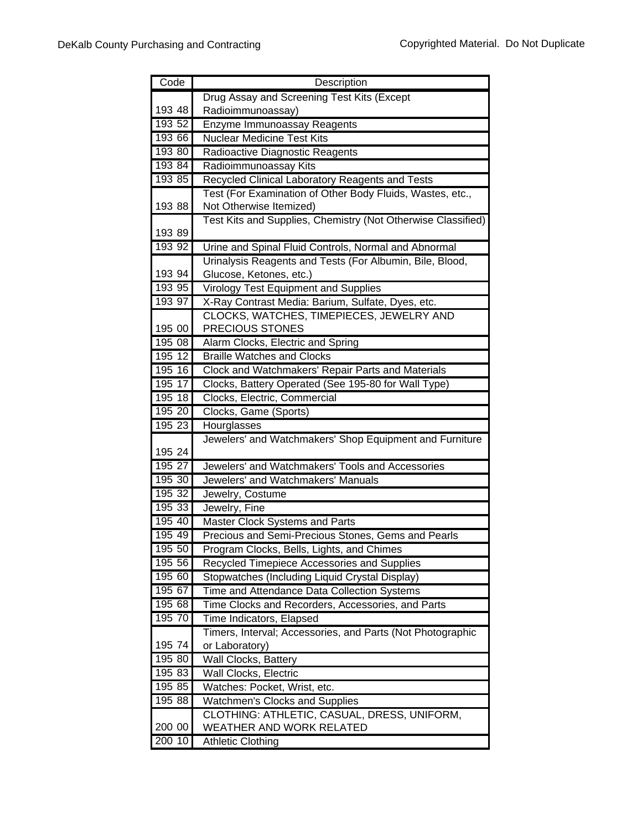| Code             | Description                                                                         |
|------------------|-------------------------------------------------------------------------------------|
|                  | Drug Assay and Screening Test Kits (Except                                          |
| 193 48           | Radioimmunoassay)                                                                   |
| 193 52           | Enzyme Immunoassay Reagents                                                         |
| 193 66           | <b>Nuclear Medicine Test Kits</b>                                                   |
| 193 80           | Radioactive Diagnostic Reagents                                                     |
| 193 84           | Radioimmunoassay Kits                                                               |
| 193 85           | Recycled Clinical Laboratory Reagents and Tests                                     |
|                  | Test (For Examination of Other Body Fluids, Wastes, etc.,                           |
| 193 88           | Not Otherwise Itemized)                                                             |
|                  | Test Kits and Supplies, Chemistry (Not Otherwise Classified)                        |
| 193 89           |                                                                                     |
| 193 92           | Urine and Spinal Fluid Controls, Normal and Abnormal                                |
| 193 94           | Urinalysis Reagents and Tests (For Albumin, Bile, Blood,<br>Glucose, Ketones, etc.) |
| 193 95           | Virology Test Equipment and Supplies                                                |
| 193 97           | X-Ray Contrast Media: Barium, Sulfate, Dyes, etc.                                   |
|                  | CLOCKS, WATCHES, TIMEPIECES, JEWELRY AND                                            |
| 195 00           | PRECIOUS STONES                                                                     |
| 195 08           | Alarm Clocks, Electric and Spring                                                   |
| 195 12           | <b>Braille Watches and Clocks</b>                                                   |
| 195 16           | Clock and Watchmakers' Repair Parts and Materials                                   |
| 195 17           | Clocks, Battery Operated (See 195-80 for Wall Type)                                 |
| 195 18           | Clocks, Electric, Commercial                                                        |
| 195 20           | Clocks, Game (Sports)                                                               |
| 195 23           | Hourglasses                                                                         |
|                  | Jewelers' and Watchmakers' Shop Equipment and Furniture                             |
| 195 24           |                                                                                     |
| 195 27           | Jewelers' and Watchmakers' Tools and Accessories                                    |
| 195 30           | Jewelers' and Watchmakers' Manuals                                                  |
| 195 32           | Jewelry, Costume                                                                    |
| 195 33           | Jewelry, Fine                                                                       |
| 195 40           | Master Clock Systems and Parts                                                      |
| 195 49           | Precious and Semi-Precious Stones, Gems and Pearls                                  |
| 195 50           | Program Clocks, Bells, Lights, and Chimes                                           |
| 195 56           | Recycled Timepiece Accessories and Supplies                                         |
| 195 60           | Stopwatches (Including Liquid Crystal Display)                                      |
| 195 67           | Time and Attendance Data Collection Systems                                         |
| 195 68           | Time Clocks and Recorders, Accessories, and Parts                                   |
| 195 70           | Time Indicators, Elapsed                                                            |
|                  | Timers, Interval; Accessories, and Parts (Not Photographic                          |
| 195 74<br>195 80 | or Laboratory)<br>Wall Clocks, Battery                                              |
| 195 83           | Wall Clocks, Electric                                                               |
| 195 85           | Watches: Pocket, Wrist, etc.                                                        |
| 195 88           | <b>Watchmen's Clocks and Supplies</b>                                               |
|                  | CLOTHING: ATHLETIC, CASUAL, DRESS, UNIFORM,                                         |
| 200 00           | WEATHER AND WORK RELATED                                                            |
| 200 10           | <b>Athletic Clothing</b>                                                            |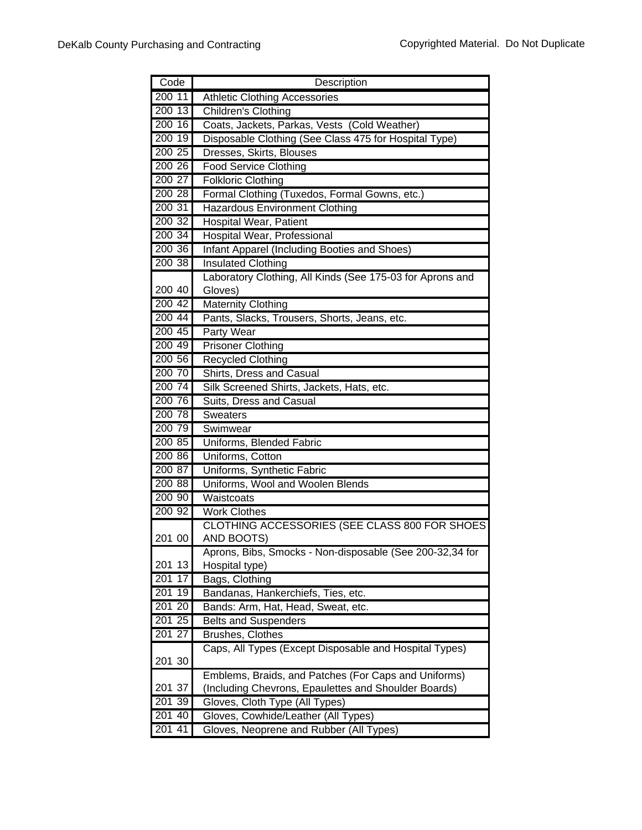| Code      | Description                                                                |
|-----------|----------------------------------------------------------------------------|
| 200 11    | <b>Athletic Clothing Accessories</b>                                       |
| 200 13    | Children's Clothing                                                        |
| 200 16    | Coats, Jackets, Parkas, Vests (Cold Weather)                               |
| 200 19    | Disposable Clothing (See Class 475 for Hospital Type)                      |
| 200 25    | Dresses, Skirts, Blouses                                                   |
| 200 26    | <b>Food Service Clothing</b>                                               |
| 200 27    | <b>Folkloric Clothing</b>                                                  |
| 200 28    | Formal Clothing (Tuxedos, Formal Gowns, etc.)                              |
| 200 31    | <b>Hazardous Environment Clothing</b>                                      |
| 200 32    | Hospital Wear, Patient                                                     |
| 200 34    | Hospital Wear, Professional                                                |
| 200 36    | Infant Apparel (Including Booties and Shoes)                               |
| 200 38    | <b>Insulated Clothing</b>                                                  |
|           | Laboratory Clothing, All Kinds (See 175-03 for Aprons and                  |
| 200 40    | Gloves)                                                                    |
| 200 42    | <b>Maternity Clothing</b>                                                  |
| $200\,44$ | Pants, Slacks, Trousers, Shorts, Jeans, etc.                               |
| 200 45    | Party Wear                                                                 |
| 200 49    | <b>Prisoner Clothing</b>                                                   |
| 200 56    | <b>Recycled Clothing</b>                                                   |
| 200 70    | Shirts, Dress and Casual                                                   |
| 200 74    | Silk Screened Shirts, Jackets, Hats, etc.                                  |
| 200 76    | Suits, Dress and Casual                                                    |
| 200 78    | <b>Sweaters</b>                                                            |
| 200 79    | Swimwear                                                                   |
| 200 85    | Uniforms, Blended Fabric                                                   |
| 200 86    | Uniforms, Cotton                                                           |
| 200 87    | Uniforms, Synthetic Fabric                                                 |
| 200 88    | Uniforms, Wool and Woolen Blends                                           |
| 200 90    | Waistcoats                                                                 |
| 200 92    | <b>Work Clothes</b>                                                        |
|           | CLOTHING ACCESSORIES (SEE CLASS 800 FOR SHOES                              |
| 201 00    | AND BOOTS)                                                                 |
|           | Aprons, Bibs, Smocks - Non-disposable (See 200-32,34 for                   |
| 201 13    | Hospital type)                                                             |
| 201<br>17 | Bags, Clothing                                                             |
| 201 19    | Bandanas, Hankerchiefs, Ties, etc.                                         |
| 201 20    | Bands: Arm, Hat, Head, Sweat, etc.                                         |
| 201 25    | <b>Belts and Suspenders</b>                                                |
| 201 27    | Brushes, Clothes<br>Caps, All Types (Except Disposable and Hospital Types) |
| 201 30    |                                                                            |
|           | Emblems, Braids, and Patches (For Caps and Uniforms)                       |
| 201 37    | (Including Chevrons, Epaulettes and Shoulder Boards)                       |
| 201 39    | Gloves, Cloth Type (All Types)                                             |
| 201 40    | Gloves, Cowhide/Leather (All Types)                                        |
| 201 41    | Gloves, Neoprene and Rubber (All Types)                                    |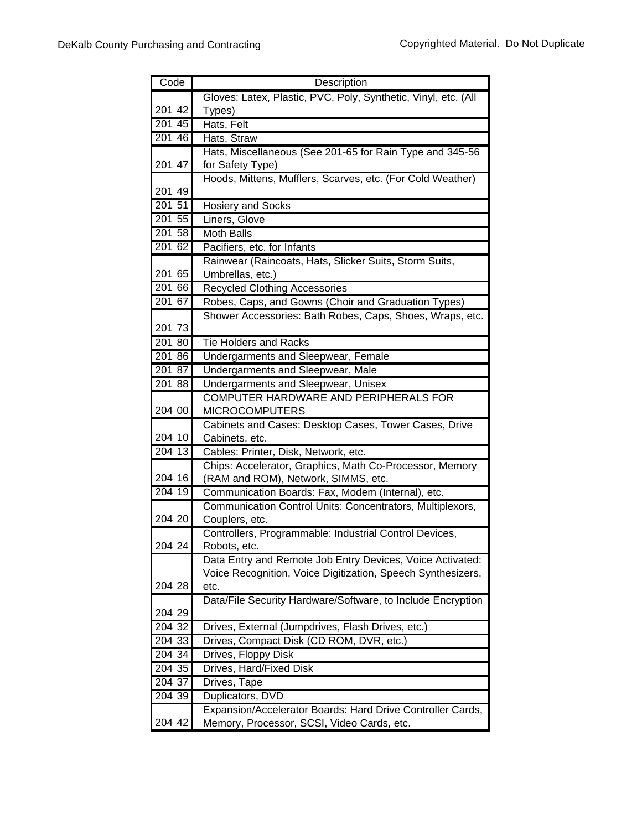| Code               | Description                                                                         |
|--------------------|-------------------------------------------------------------------------------------|
|                    | Gloves: Latex, Plastic, PVC, Poly, Synthetic, Vinyl, etc. (All                      |
| 201 42             | Types)                                                                              |
| 20145              | Hats, Felt                                                                          |
| 201 46             | Hats, Straw                                                                         |
|                    | Hats, Miscellaneous (See 201-65 for Rain Type and 345-56                            |
| 201 47             | for Safety Type)                                                                    |
|                    | Hoods, Mittens, Mufflers, Scarves, etc. (For Cold Weather)                          |
| 201 49             |                                                                                     |
| 201 51             | <b>Hosiery and Socks</b>                                                            |
| 201 55             | Liners, Glove                                                                       |
| 201 58             | <b>Moth Balls</b>                                                                   |
| 201 62             | Pacifiers, etc. for Infants                                                         |
|                    | Rainwear (Raincoats, Hats, Slicker Suits, Storm Suits,                              |
| 201 65             | Umbrellas, etc.)                                                                    |
| 201 66             | <b>Recycled Clothing Accessories</b>                                                |
| 201 67             | Robes, Caps, and Gowns (Choir and Graduation Types)                                 |
|                    | Shower Accessories: Bath Robes, Caps, Shoes, Wraps, etc.                            |
| 201 73<br>201 80   |                                                                                     |
| 201 86             | <b>Tie Holders and Racks</b>                                                        |
| 201 87             | Undergarments and Sleepwear, Female                                                 |
| $201\overline{88}$ | Undergarments and Sleepwear, Male                                                   |
|                    | Undergarments and Sleepwear, Unisex<br><b>COMPUTER HARDWARE AND PERIPHERALS FOR</b> |
| 204 00             | <b>MICROCOMPUTERS</b>                                                               |
|                    | Cabinets and Cases: Desktop Cases, Tower Cases, Drive                               |
| 204 10             | Cabinets, etc.                                                                      |
| 204 13             | Cables: Printer, Disk, Network, etc.                                                |
|                    | Chips: Accelerator, Graphics, Math Co-Processor, Memory                             |
| 204 16             | (RAM and ROM), Network, SIMMS, etc.                                                 |
| 204 19             | Communication Boards: Fax, Modem (Internal), etc.                                   |
|                    | Communication Control Units: Concentrators, Multiplexors,                           |
| 204 20             | Couplers, etc.                                                                      |
|                    | Controllers, Programmable: Industrial Control Devices,                              |
| 204 24             | Robots, etc.                                                                        |
|                    | Data Entry and Remote Job Entry Devices, Voice Activated:                           |
|                    | Voice Recognition, Voice Digitization, Speech Synthesizers,                         |
| 204 28             | etc.                                                                                |
|                    | Data/File Security Hardware/Software, to Include Encryption                         |
| 204 29             |                                                                                     |
| 204 32             | Drives, External (Jumpdrives, Flash Drives, etc.)                                   |
| 204 33             | Drives, Compact Disk (CD ROM, DVR, etc.)                                            |
| 204 34             | Drives, Floppy Disk                                                                 |
| 204 35             | Drives, Hard/Fixed Disk                                                             |
| 204 37             | Drives, Tape                                                                        |
| 204 39             | Duplicators, DVD                                                                    |
|                    | Expansion/Accelerator Boards: Hard Drive Controller Cards,                          |
| 204 42             | Memory, Processor, SCSI, Video Cards, etc.                                          |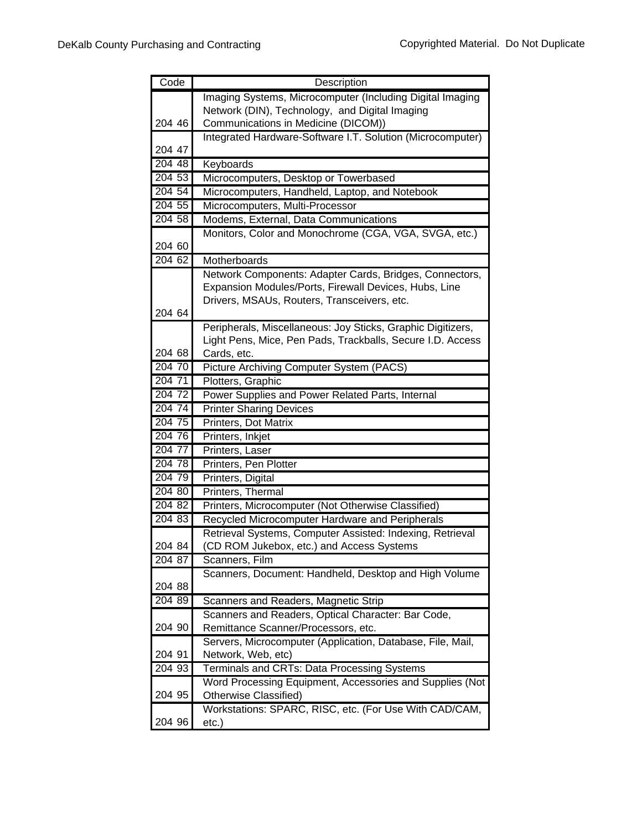| Code   | Description                                                 |
|--------|-------------------------------------------------------------|
|        | Imaging Systems, Microcomputer (Including Digital Imaging   |
|        | Network (DIN), Technology, and Digital Imaging              |
| 204 46 | Communications in Medicine (DICOM))                         |
|        | Integrated Hardware-Software I.T. Solution (Microcomputer)  |
| 204 47 |                                                             |
| 20448  | Keyboards                                                   |
| 204 53 | Microcomputers, Desktop or Towerbased                       |
| 204 54 | Microcomputers, Handheld, Laptop, and Notebook              |
| 204 55 | Microcomputers, Multi-Processor                             |
| 204 58 | Modems, External, Data Communications                       |
|        | Monitors, Color and Monochrome (CGA, VGA, SVGA, etc.)       |
| 204 60 |                                                             |
| 204 62 | Motherboards                                                |
|        | Network Components: Adapter Cards, Bridges, Connectors,     |
|        | Expansion Modules/Ports, Firewall Devices, Hubs, Line       |
|        | Drivers, MSAUs, Routers, Transceivers, etc.                 |
| 204 64 |                                                             |
|        | Peripherals, Miscellaneous: Joy Sticks, Graphic Digitizers, |
|        | Light Pens, Mice, Pen Pads, Trackballs, Secure I.D. Access  |
| 204 68 | Cards, etc.                                                 |
| 204 70 | Picture Archiving Computer System (PACS)                    |
| 204 71 | Plotters, Graphic                                           |
| 204 72 | Power Supplies and Power Related Parts, Internal            |
| 204 74 | <b>Printer Sharing Devices</b>                              |
| 204 75 | Printers, Dot Matrix                                        |
| 204 76 | Printers, Inkjet                                            |
| 204 77 | Printers, Laser                                             |
| 204 78 | Printers, Pen Plotter                                       |
| 204 79 | Printers, Digital                                           |
| 204 80 | Printers, Thermal                                           |
| 204 82 | Printers, Microcomputer (Not Otherwise Classified)          |
| 204 83 | Recycled Microcomputer Hardware and Peripherals             |
|        | Retrieval Systems, Computer Assisted: Indexing, Retrieval   |
| 204 84 | (CD ROM Jukebox, etc.) and Access Systems                   |
| 204 87 | Scanners, Film                                              |
|        | Scanners, Document: Handheld, Desktop and High Volume       |
| 204 88 |                                                             |
| 204 89 | Scanners and Readers, Magnetic Strip                        |
|        | Scanners and Readers, Optical Character: Bar Code,          |
| 204 90 | Remittance Scanner/Processors, etc.                         |
| 204 91 | Servers, Microcomputer (Application, Database, File, Mail,  |
| 204 93 | Network, Web, etc)                                          |
|        | Terminals and CRTs: Data Processing Systems                 |
| 204 95 | Word Processing Equipment, Accessories and Supplies (Not    |
|        | Otherwise Classified)                                       |
| 204 96 | Workstations: SPARC, RISC, etc. (For Use With CAD/CAM,      |
|        | $etc.$ )                                                    |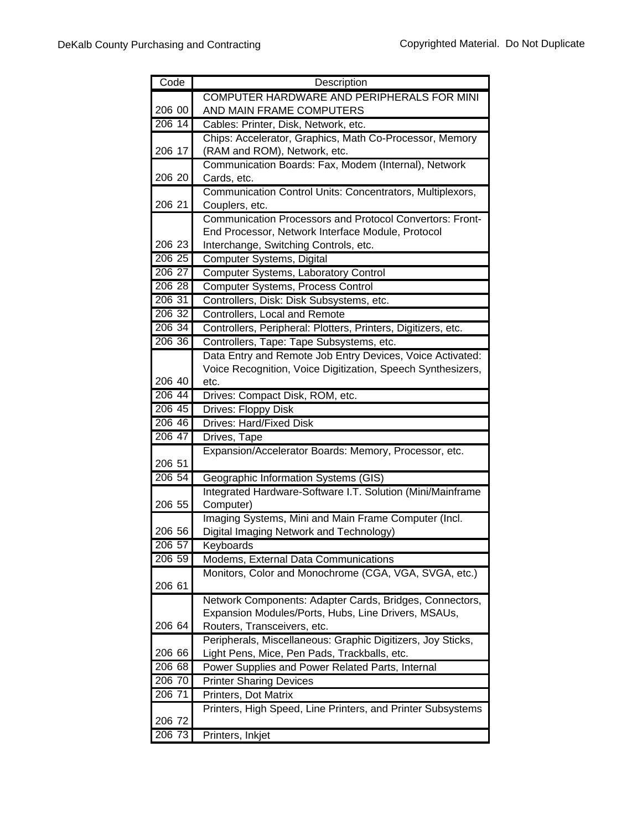| Code      | Description                                                       |
|-----------|-------------------------------------------------------------------|
|           | COMPUTER HARDWARE AND PERIPHERALS FOR MINI                        |
| 206 00    | AND MAIN FRAME COMPUTERS                                          |
| 206 14    | Cables: Printer, Disk, Network, etc.                              |
|           | Chips: Accelerator, Graphics, Math Co-Processor, Memory           |
| 206 17    | (RAM and ROM), Network, etc.                                      |
|           | Communication Boards: Fax, Modem (Internal), Network              |
| 206 20    | Cards, etc.                                                       |
|           | Communication Control Units: Concentrators, Multiplexors,         |
| 206 21    | Couplers, etc.                                                    |
|           | Communication Processors and Protocol Convertors: Front-          |
|           | End Processor, Network Interface Module, Protocol                 |
| 206 23    | Interchange, Switching Controls, etc.                             |
| 206 25    | Computer Systems, Digital                                         |
| 206 27    | Computer Systems, Laboratory Control                              |
| 206 28    | <b>Computer Systems, Process Control</b>                          |
| 206 31    | Controllers, Disk: Disk Subsystems, etc.                          |
| 206 32    | Controllers, Local and Remote                                     |
| 206 34    | Controllers, Peripheral: Plotters, Printers, Digitizers, etc.     |
| 206 36    | Controllers, Tape: Tape Subsystems, etc.                          |
|           | Data Entry and Remote Job Entry Devices, Voice Activated:         |
|           | Voice Recognition, Voice Digitization, Speech Synthesizers,       |
| 206 40    | etc.                                                              |
| 206 44    | Drives: Compact Disk, ROM, etc.                                   |
| 206 45    | Drives: Floppy Disk                                               |
| 206 46    | <b>Drives: Hard/Fixed Disk</b>                                    |
| 206 47    | Drives, Tape                                                      |
|           | Expansion/Accelerator Boards: Memory, Processor, etc.             |
| 206 51    |                                                                   |
| 206 54    | Geographic Information Systems (GIS)                              |
| 206 55    | Integrated Hardware-Software I.T. Solution (Mini/Mainframe        |
|           | Computer)<br>Imaging Systems, Mini and Main Frame Computer (Incl. |
| 206 56    | Digital Imaging Network and Technology)                           |
| 206 57    |                                                                   |
| 206 59    | Keyboards<br>Modems, External Data Communications                 |
|           | Monitors, Color and Monochrome (CGA, VGA, SVGA, etc.)             |
| 206 61    |                                                                   |
|           | Network Components: Adapter Cards, Bridges, Connectors,           |
|           | Expansion Modules/Ports, Hubs, Line Drivers, MSAUs,               |
| 206 64    | Routers, Transceivers, etc.                                       |
|           | Peripherals, Miscellaneous: Graphic Digitizers, Joy Sticks,       |
| 206 66    | Light Pens, Mice, Pen Pads, Trackballs, etc.                      |
| 206 68    | Power Supplies and Power Related Parts, Internal                  |
| 206 70    | <b>Printer Sharing Devices</b>                                    |
| $206\ 71$ | Printers, Dot Matrix                                              |
|           | Printers, High Speed, Line Printers, and Printer Subsystems       |
| 206 72    |                                                                   |
| 206 73    | Printers, Inkjet                                                  |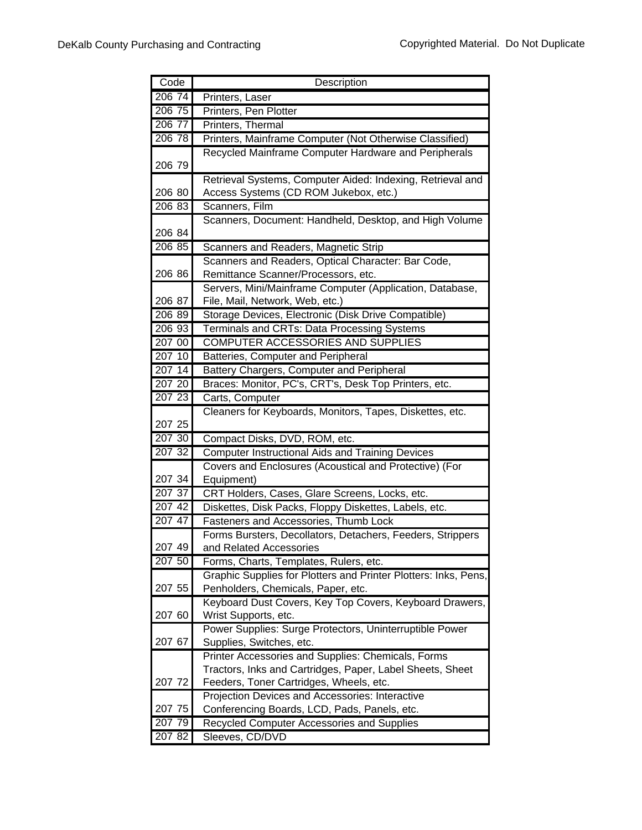| Code      | Description                                                                    |
|-----------|--------------------------------------------------------------------------------|
| 206 74    | Printers, Laser                                                                |
| 206 75    | Printers, Pen Plotter                                                          |
| 206 77    | Printers, Thermal                                                              |
| 206 78    | Printers, Mainframe Computer (Not Otherwise Classified)                        |
|           | Recycled Mainframe Computer Hardware and Peripherals                           |
| 206 79    |                                                                                |
|           | Retrieval Systems, Computer Aided: Indexing, Retrieval and                     |
| 206 80    | Access Systems (CD ROM Jukebox, etc.)                                          |
| 206 83    | Scanners, Film                                                                 |
|           | Scanners, Document: Handheld, Desktop, and High Volume                         |
| 206 84    |                                                                                |
| 206 85    | Scanners and Readers, Magnetic Strip                                           |
|           | Scanners and Readers, Optical Character: Bar Code,                             |
| 206 86    | Remittance Scanner/Processors, etc.                                            |
|           | Servers, Mini/Mainframe Computer (Application, Database,                       |
| 206 87    | File, Mail, Network, Web, etc.)                                                |
| 206 89    | Storage Devices, Electronic (Disk Drive Compatible)                            |
| 206 93    | Terminals and CRTs: Data Processing Systems                                    |
| 207 00    | COMPUTER ACCESSORIES AND SUPPLIES                                              |
| 207 10    | Batteries, Computer and Peripheral                                             |
| 207 14    | Battery Chargers, Computer and Peripheral                                      |
| 207 20    | Braces: Monitor, PC's, CRT's, Desk Top Printers, etc.                          |
| 207 23    | Carts, Computer                                                                |
|           | Cleaners for Keyboards, Monitors, Tapes, Diskettes, etc.                       |
| 207 25    |                                                                                |
| 207 30    | Compact Disks, DVD, ROM, etc.                                                  |
| $207\,32$ | <b>Computer Instructional Aids and Training Devices</b>                        |
|           | Covers and Enclosures (Acoustical and Protective) (For                         |
| 207 34    | Equipment)                                                                     |
| 207 37    | CRT Holders, Cases, Glare Screens, Locks, etc.                                 |
| 207 42    | Diskettes, Disk Packs, Floppy Diskettes, Labels, etc.                          |
| 207 47    | Fasteners and Accessories, Thumb Lock                                          |
|           | Forms Bursters, Decollators, Detachers, Feeders, Strippers                     |
| 207 49    | and Related Accessories                                                        |
| 207 50    | Forms, Charts, Templates, Rulers, etc.                                         |
|           | Graphic Supplies for Plotters and Printer Plotters: Inks, Pens,                |
| 207 55    | Penholders, Chemicals, Paper, etc.                                             |
|           | Keyboard Dust Covers, Key Top Covers, Keyboard Drawers,                        |
| 207 60    | Wrist Supports, etc.                                                           |
| 207 67    | Power Supplies: Surge Protectors, Uninterruptible Power                        |
|           | Supplies, Switches, etc.<br>Printer Accessories and Supplies: Chemicals, Forms |
|           | Tractors, Inks and Cartridges, Paper, Label Sheets, Sheet                      |
| 207 72    | Feeders, Toner Cartridges, Wheels, etc.                                        |
|           | Projection Devices and Accessories: Interactive                                |
| 207 75    | Conferencing Boards, LCD, Pads, Panels, etc.                                   |
| 207 79    | Recycled Computer Accessories and Supplies                                     |
| 207 82    | Sleeves, CD/DVD                                                                |
|           |                                                                                |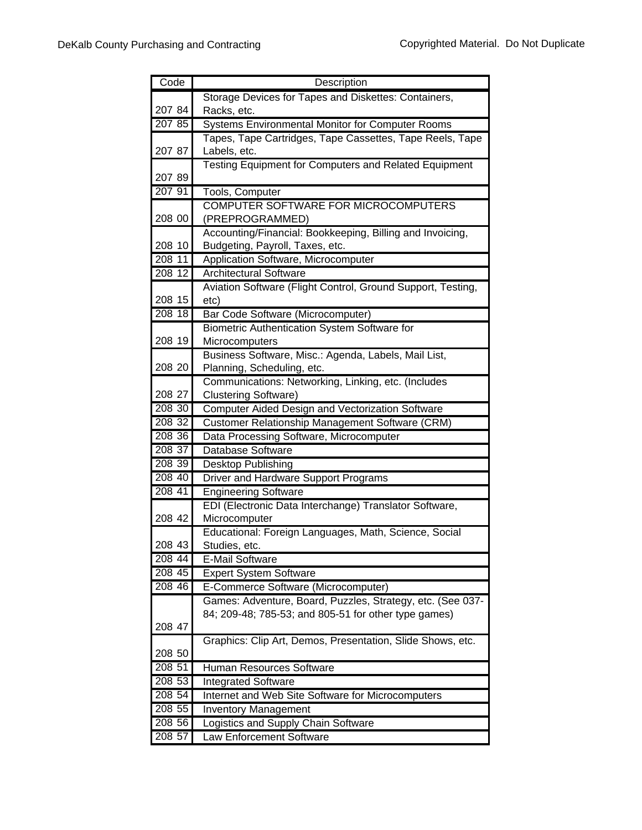| Code   | Description                                                            |
|--------|------------------------------------------------------------------------|
|        | Storage Devices for Tapes and Diskettes: Containers,                   |
| 207 84 | Racks, etc.                                                            |
| 207 85 | <b>Systems Environmental Monitor for Computer Rooms</b>                |
|        | Tapes, Tape Cartridges, Tape Cassettes, Tape Reels, Tape               |
| 207 87 | Labels, etc.                                                           |
|        | <b>Testing Equipment for Computers and Related Equipment</b>           |
| 207 89 |                                                                        |
| 207 91 | Tools, Computer                                                        |
|        | COMPUTER SOFTWARE FOR MICROCOMPUTERS                                   |
| 208 00 | (PREPROGRAMMED)                                                        |
|        | Accounting/Financial: Bookkeeping, Billing and Invoicing,              |
| 208 10 | Budgeting, Payroll, Taxes, etc.                                        |
| 208 11 | Application Software, Microcomputer                                    |
| 208 12 | <b>Architectural Software</b>                                          |
|        | Aviation Software (Flight Control, Ground Support, Testing,            |
| 208 15 | etc)                                                                   |
| 208 18 | Bar Code Software (Microcomputer)                                      |
| 208 19 | Biometric Authentication System Software for                           |
|        | Microcomputers<br>Business Software, Misc.: Agenda, Labels, Mail List, |
| 208 20 | Planning, Scheduling, etc.                                             |
|        | Communications: Networking, Linking, etc. (Includes                    |
| 208 27 | <b>Clustering Software)</b>                                            |
| 208 30 | Computer Aided Design and Vectorization Software                       |
| 208 32 | Customer Relationship Management Software (CRM)                        |
| 208 36 | Data Processing Software, Microcomputer                                |
| 208 37 | Database Software                                                      |
| 208 39 | Desktop Publishing                                                     |
| 208 40 | Driver and Hardware Support Programs                                   |
| 208 41 | <b>Engineering Software</b>                                            |
|        | EDI (Electronic Data Interchange) Translator Software,                 |
| 208 42 | Microcomputer                                                          |
|        | Educational: Foreign Languages, Math, Science, Social                  |
| 208 43 | Studies, etc.                                                          |
| 208 44 | <b>E-Mail Software</b>                                                 |
| 208 45 | <b>Expert System Software</b>                                          |
| 208 46 | E-Commerce Software (Microcomputer)                                    |
|        | Games: Adventure, Board, Puzzles, Strategy, etc. (See 037-             |
|        | 84; 209-48; 785-53; and 805-51 for other type games)                   |
| 208 47 |                                                                        |
|        | Graphics: Clip Art, Demos, Presentation, Slide Shows, etc.             |
| 208 50 |                                                                        |
| 208 51 | Human Resources Software                                               |
| 208 53 | <b>Integrated Software</b>                                             |
| 208 54 | Internet and Web Site Software for Microcomputers                      |
| 208 55 | <b>Inventory Management</b>                                            |
| 208 56 | Logistics and Supply Chain Software                                    |
| 208 57 | Law Enforcement Software                                               |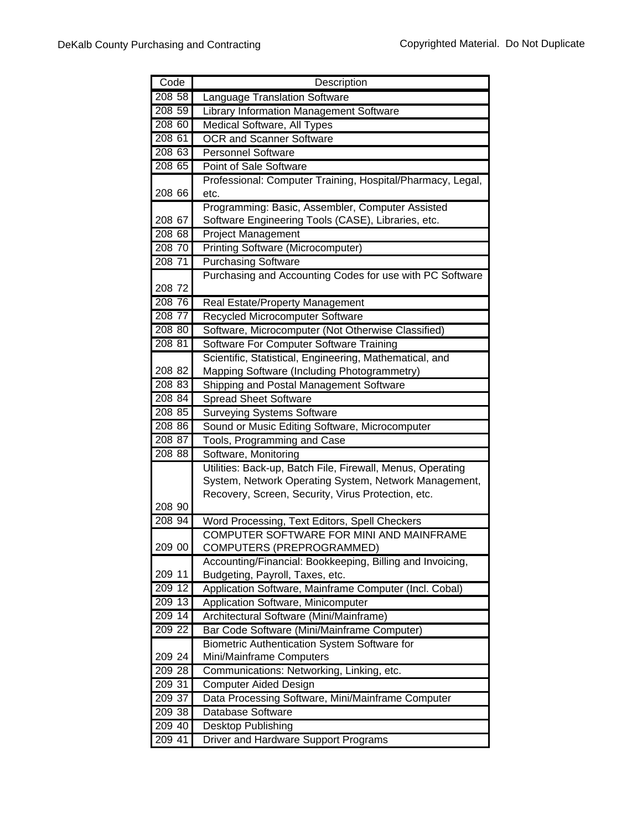| Code   | Description                                                |
|--------|------------------------------------------------------------|
| 208 58 | Language Translation Software                              |
| 208 59 | Library Information Management Software                    |
| 208 60 | Medical Software, All Types                                |
| 208 61 | <b>OCR and Scanner Software</b>                            |
| 208 63 | <b>Personnel Software</b>                                  |
| 208 65 | Point of Sale Software                                     |
|        | Professional: Computer Training, Hospital/Pharmacy, Legal, |
| 208 66 | etc.                                                       |
|        | Programming: Basic, Assembler, Computer Assisted           |
| 208 67 | Software Engineering Tools (CASE), Libraries, etc.         |
| 208 68 | <b>Project Management</b>                                  |
| 208 70 | <b>Printing Software (Microcomputer)</b>                   |
| 208 71 | <b>Purchasing Software</b>                                 |
|        | Purchasing and Accounting Codes for use with PC Software   |
| 208 72 |                                                            |
| 208 76 | Real Estate/Property Management                            |
| 208 77 | Recycled Microcomputer Software                            |
| 208 80 | Software, Microcomputer (Not Otherwise Classified)         |
| 208 81 | Software For Computer Software Training                    |
|        | Scientific, Statistical, Engineering, Mathematical, and    |
| 208 82 | Mapping Software (Including Photogrammetry)                |
| 208 83 | Shipping and Postal Management Software                    |
| 208 84 | <b>Spread Sheet Software</b>                               |
| 208 85 | <b>Surveying Systems Software</b>                          |
| 208 86 | Sound or Music Editing Software, Microcomputer             |
| 208 87 | Tools, Programming and Case                                |
| 208 88 | Software, Monitoring                                       |
|        | Utilities: Back-up, Batch File, Firewall, Menus, Operating |
|        | System, Network Operating System, Network Management,      |
|        | Recovery, Screen, Security, Virus Protection, etc.         |
| 208 90 |                                                            |
| 208 94 | Word Processing, Text Editors, Spell Checkers              |
|        | COMPUTER SOFTWARE FOR MINI AND MAINFRAME                   |
| 209 00 | COMPUTERS (PREPROGRAMMED)                                  |
|        | Accounting/Financial: Bookkeeping, Billing and Invoicing,  |
| 209 11 | Budgeting, Payroll, Taxes, etc.                            |
| 209 12 | Application Software, Mainframe Computer (Incl. Cobal)     |
| 209 13 | Application Software, Minicomputer                         |
| 209 14 | Architectural Software (Mini/Mainframe)                    |
| 209 22 | Bar Code Software (Mini/Mainframe Computer)                |
|        | <b>Biometric Authentication System Software for</b>        |
| 209 24 | Mini/Mainframe Computers                                   |
| 209 28 | Communications: Networking, Linking, etc.                  |
| 209 31 | <b>Computer Aided Design</b>                               |
| 209 37 | Data Processing Software, Mini/Mainframe Computer          |
| 209 38 | Database Software                                          |
| 209 40 | Desktop Publishing                                         |
| 209 41 | <b>Driver and Hardware Support Programs</b>                |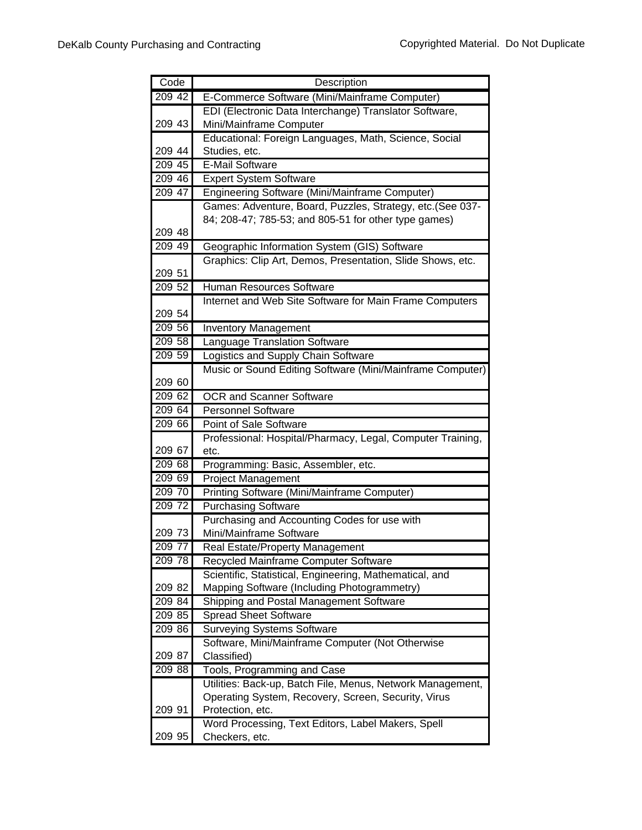| Code             | Description                                                          |
|------------------|----------------------------------------------------------------------|
| 209 42           | E-Commerce Software (Mini/Mainframe Computer)                        |
|                  | EDI (Electronic Data Interchange) Translator Software,               |
| 209 43           | Mini/Mainframe Computer                                              |
|                  | Educational: Foreign Languages, Math, Science, Social                |
| 209 44           | Studies, etc.                                                        |
| 209 45           | <b>E-Mail Software</b>                                               |
| 209 46           | <b>Expert System Software</b>                                        |
| 209 47           | Engineering Software (Mini/Mainframe Computer)                       |
|                  | Games: Adventure, Board, Puzzles, Strategy, etc.(See 037-            |
|                  | 84; 208-47; 785-53; and 805-51 for other type games)                 |
| 209 48           |                                                                      |
| 209 49           | Geographic Information System (GIS) Software                         |
|                  | Graphics: Clip Art, Demos, Presentation, Slide Shows, etc.           |
| 209 51           |                                                                      |
| 20952            | Human Resources Software                                             |
|                  | Internet and Web Site Software for Main Frame Computers              |
| 209 54<br>209 56 |                                                                      |
| 209 58           | <b>Inventory Management</b>                                          |
| 209 59           | Language Translation Software<br>Logistics and Supply Chain Software |
|                  | Music or Sound Editing Software (Mini/Mainframe Computer)            |
| 209 60           |                                                                      |
| 209 62           | <b>OCR and Scanner Software</b>                                      |
| 209 64           | Personnel Software                                                   |
| 209 66           | Point of Sale Software                                               |
|                  | Professional: Hospital/Pharmacy, Legal, Computer Training,           |
| 209 67           | etc.                                                                 |
| 209 68           | Programming: Basic, Assembler, etc.                                  |
| 209 69           | <b>Project Management</b>                                            |
| 209 70           | Printing Software (Mini/Mainframe Computer)                          |
| 209 72           | <b>Purchasing Software</b>                                           |
|                  | Purchasing and Accounting Codes for use with                         |
| 209 73           | Mini/Mainframe Software                                              |
| 209 77           | Real Estate/Property Management                                      |
| 209 78           | Recycled Mainframe Computer Software                                 |
|                  | Scientific, Statistical, Engineering, Mathematical, and              |
| 209 82           | Mapping Software (Including Photogrammetry)                          |
| 209 84           | Shipping and Postal Management Software                              |
| 209 85           | <b>Spread Sheet Software</b>                                         |
| 209 86           | <b>Surveying Systems Software</b>                                    |
|                  | Software, Mini/Mainframe Computer (Not Otherwise                     |
| 209 87           | Classified)                                                          |
| 209 88           | Tools, Programming and Case                                          |
|                  | Utilities: Back-up, Batch File, Menus, Network Management,           |
|                  | Operating System, Recovery, Screen, Security, Virus                  |
| 209 91           | Protection, etc.                                                     |
| 209 95           | Word Processing, Text Editors, Label Makers, Spell<br>Checkers, etc. |
|                  |                                                                      |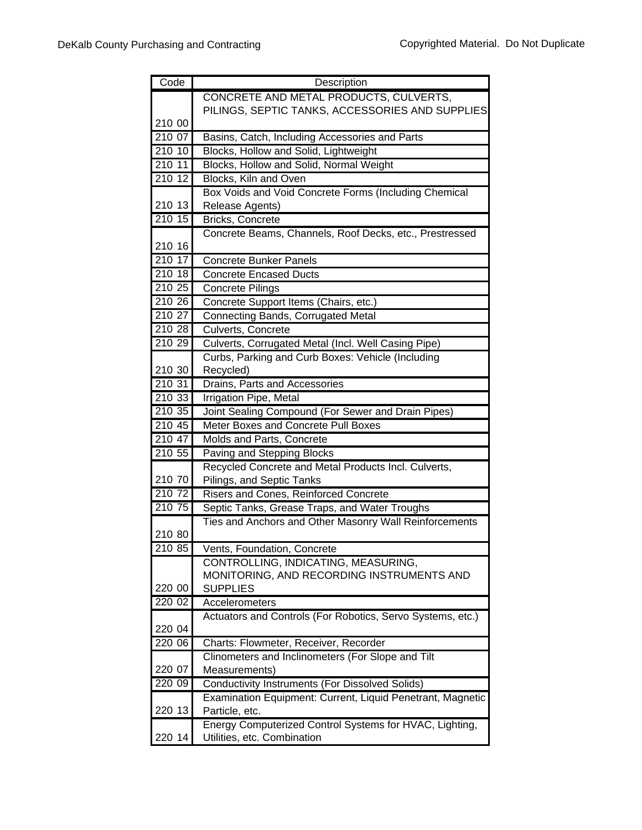| Code   | Description                                                               |
|--------|---------------------------------------------------------------------------|
|        | CONCRETE AND METAL PRODUCTS, CULVERTS,                                    |
|        | PILINGS, SEPTIC TANKS, ACCESSORIES AND SUPPLIES                           |
| 210 00 |                                                                           |
| 210 07 | Basins, Catch, Including Accessories and Parts                            |
| 210 10 | Blocks, Hollow and Solid, Lightweight                                     |
| 210 11 | Blocks, Hollow and Solid, Normal Weight                                   |
| 210 12 | Blocks, Kiln and Oven                                                     |
|        | Box Voids and Void Concrete Forms (Including Chemical                     |
| 210 13 | Release Agents)                                                           |
| 21015  | <b>Bricks, Concrete</b>                                                   |
|        | Concrete Beams, Channels, Roof Decks, etc., Prestressed                   |
| 210 16 |                                                                           |
| 210 17 | <b>Concrete Bunker Panels</b>                                             |
| 210 18 | <b>Concrete Encased Ducts</b>                                             |
| 210 25 | <b>Concrete Pilings</b>                                                   |
| 210 26 | Concrete Support Items (Chairs, etc.)                                     |
| 210 27 | <b>Connecting Bands, Corrugated Metal</b>                                 |
| 210 28 | <b>Culverts, Concrete</b>                                                 |
| 210 29 | Culverts, Corrugated Metal (Incl. Well Casing Pipe)                       |
|        | Curbs, Parking and Curb Boxes: Vehicle (Including                         |
| 210 30 | Recycled)                                                                 |
| 210 31 | Drains, Parts and Accessories                                             |
| 210 33 | Irrigation Pipe, Metal                                                    |
| 210 35 | Joint Sealing Compound (For Sewer and Drain Pipes)                        |
| 210 45 | Meter Boxes and Concrete Pull Boxes                                       |
| 210 47 | Molds and Parts, Concrete                                                 |
| 210 55 | Paving and Stepping Blocks                                                |
|        | Recycled Concrete and Metal Products Incl. Culverts,                      |
| 210 70 | Pilings, and Septic Tanks                                                 |
| 210 72 | Risers and Cones, Reinforced Concrete                                     |
| 210 75 | Septic Tanks, Grease Traps, and Water Troughs                             |
|        | Ties and Anchors and Other Masonry Wall Reinforcements                    |
| 210 80 |                                                                           |
| 210 85 | Vents, Foundation, Concrete                                               |
|        | CONTROLLING, INDICATING, MEASURING,                                       |
|        | MONITORING, AND RECORDING INSTRUMENTS AND                                 |
| 220 00 | <b>SUPPLIES</b>                                                           |
| 220 02 | Accelerometers                                                            |
|        | Actuators and Controls (For Robotics, Servo Systems, etc.)                |
| 220 04 |                                                                           |
| 220 06 | Charts: Flowmeter, Receiver, Recorder                                     |
|        | Clinometers and Inclinometers (For Slope and Tilt                         |
| 220 07 | Measurements)                                                             |
| 220 09 | <b>Conductivity Instruments (For Dissolved Solids)</b>                    |
| 220 13 | Examination Equipment: Current, Liquid Penetrant, Magnetic                |
|        | Particle, etc.<br>Energy Computerized Control Systems for HVAC, Lighting, |
| 220 14 | Utilities, etc. Combination                                               |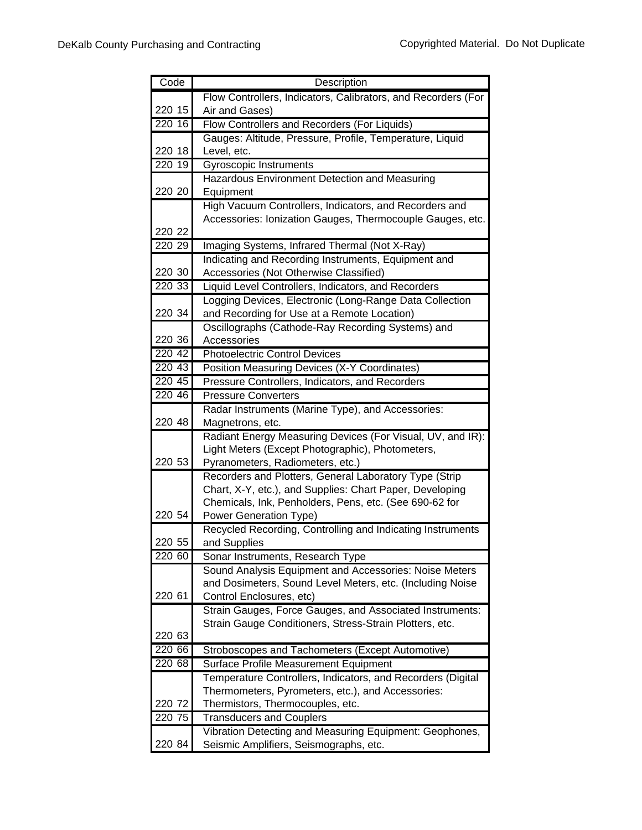| Code   | Description                                                                          |
|--------|--------------------------------------------------------------------------------------|
|        | Flow Controllers, Indicators, Calibrators, and Recorders (For                        |
| 220 15 | Air and Gases)                                                                       |
| 220 16 | Flow Controllers and Recorders (For Liquids)                                         |
|        | Gauges: Altitude, Pressure, Profile, Temperature, Liquid                             |
| 220 18 | Level, etc.                                                                          |
| 220 19 | Gyroscopic Instruments                                                               |
|        | Hazardous Environment Detection and Measuring                                        |
| 220 20 | Equipment                                                                            |
|        | High Vacuum Controllers, Indicators, and Recorders and                               |
|        | Accessories: Ionization Gauges, Thermocouple Gauges, etc.                            |
| 220 22 |                                                                                      |
| 220 29 | Imaging Systems, Infrared Thermal (Not X-Ray)                                        |
|        | Indicating and Recording Instruments, Equipment and                                  |
| 220 30 | Accessories (Not Otherwise Classified)                                               |
| 220 33 | Liquid Level Controllers, Indicators, and Recorders                                  |
|        | Logging Devices, Electronic (Long-Range Data Collection                              |
| 220 34 | and Recording for Use at a Remote Location)                                          |
|        | Oscillographs (Cathode-Ray Recording Systems) and                                    |
| 220 36 | Accessories                                                                          |
| 220 42 | <b>Photoelectric Control Devices</b>                                                 |
| 220 43 | Position Measuring Devices (X-Y Coordinates)                                         |
| 220 45 | Pressure Controllers, Indicators, and Recorders                                      |
| 220 46 | <b>Pressure Converters</b>                                                           |
|        | Radar Instruments (Marine Type), and Accessories:                                    |
| 220 48 | Magnetrons, etc.                                                                     |
|        | Radiant Energy Measuring Devices (For Visual, UV, and IR):                           |
| 220 53 | Light Meters (Except Photographic), Photometers,<br>Pyranometers, Radiometers, etc.) |
|        | Recorders and Plotters, General Laboratory Type (Strip                               |
|        | Chart, X-Y, etc.), and Supplies: Chart Paper, Developing                             |
|        | Chemicals, Ink, Penholders, Pens, etc. (See 690-62 for                               |
| 220 54 | Power Generation Type)                                                               |
|        | Recycled Recording, Controlling and Indicating Instruments                           |
| 220 55 | and Supplies                                                                         |
| 220 60 | Sonar Instruments, Research Type                                                     |
|        | Sound Analysis Equipment and Accessories: Noise Meters                               |
|        | and Dosimeters, Sound Level Meters, etc. (Including Noise                            |
| 220 61 | Control Enclosures, etc)                                                             |
|        | Strain Gauges, Force Gauges, and Associated Instruments:                             |
|        | Strain Gauge Conditioners, Stress-Strain Plotters, etc.                              |
| 220 63 |                                                                                      |
| 220 66 | Stroboscopes and Tachometers (Except Automotive)                                     |
| 220 68 | Surface Profile Measurement Equipment                                                |
|        | Temperature Controllers, Indicators, and Recorders (Digital                          |
|        | Thermometers, Pyrometers, etc.), and Accessories:                                    |
| 220 72 | Thermistors, Thermocouples, etc.                                                     |
| 220 75 | <b>Transducers and Couplers</b>                                                      |
|        | Vibration Detecting and Measuring Equipment: Geophones,                              |
| 220 84 | Seismic Amplifiers, Seismographs, etc.                                               |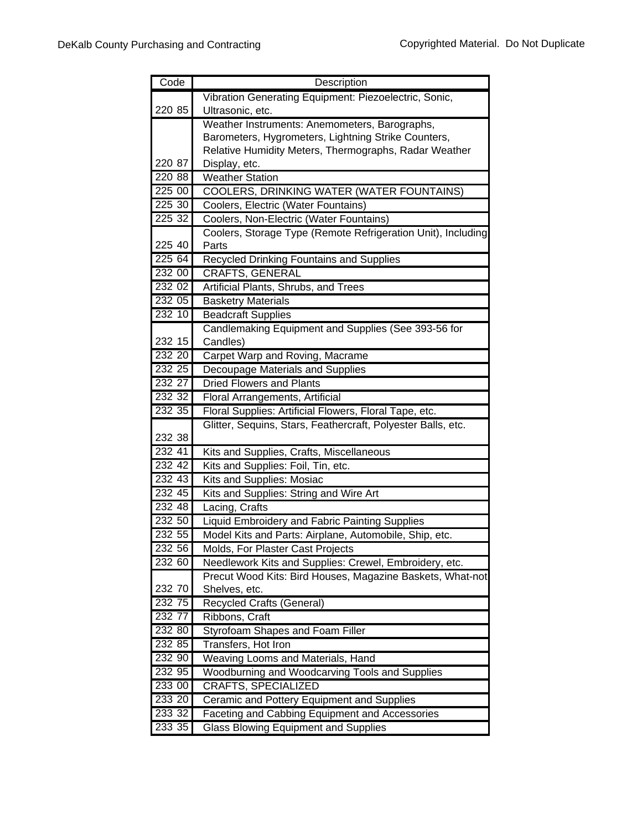| Code   | Description                                                  |
|--------|--------------------------------------------------------------|
|        | Vibration Generating Equipment: Piezoelectric, Sonic,        |
| 220 85 | Ultrasonic, etc.                                             |
|        | Weather Instruments: Anemometers, Barographs,                |
|        | Barometers, Hygrometers, Lightning Strike Counters,          |
|        | Relative Humidity Meters, Thermographs, Radar Weather        |
| 220 87 | Display, etc.                                                |
| 220 88 | <b>Weather Station</b>                                       |
| 225 00 | <b>COOLERS, DRINKING WATER (WATER FOUNTAINS)</b>             |
| 225 30 | Coolers, Electric (Water Fountains)                          |
| 225 32 | Coolers, Non-Electric (Water Fountains)                      |
|        | Coolers, Storage Type (Remote Refrigeration Unit), Including |
| 225 40 | Parts                                                        |
| 225 64 | <b>Recycled Drinking Fountains and Supplies</b>              |
| 232 00 | <b>CRAFTS, GENERAL</b>                                       |
| 232 02 | Artificial Plants, Shrubs, and Trees                         |
| 232 05 | <b>Basketry Materials</b>                                    |
| 232 10 | <b>Beadcraft Supplies</b>                                    |
|        | Candlemaking Equipment and Supplies (See 393-56 for          |
| 232 15 | Candles)                                                     |
| 232 20 | Carpet Warp and Roving, Macrame                              |
| 232 25 | Decoupage Materials and Supplies                             |
| 232 27 | <b>Dried Flowers and Plants</b>                              |
| 232 32 | Floral Arrangements, Artificial                              |
| 232 35 | Floral Supplies: Artificial Flowers, Floral Tape, etc.       |
|        | Glitter, Sequins, Stars, Feathercraft, Polyester Balls, etc. |
| 232 38 |                                                              |
| 232 41 | Kits and Supplies, Crafts, Miscellaneous                     |
| 232 42 | Kits and Supplies: Foil, Tin, etc.                           |
| 232 43 | Kits and Supplies: Mosiac                                    |
| 232 45 | Kits and Supplies: String and Wire Art                       |
| 232 48 | Lacing, Crafts                                               |
| 232 50 | Liquid Embroidery and Fabric Painting Supplies               |
| 232 55 | Model Kits and Parts: Airplane, Automobile, Ship, etc.       |
| 232 56 | Molds, For Plaster Cast Projects                             |
| 232 60 | Needlework Kits and Supplies: Crewel, Embroidery, etc.       |
|        | Precut Wood Kits: Bird Houses, Magazine Baskets, What-not    |
| 232 70 | Shelves, etc.                                                |
| 232 75 | <b>Recycled Crafts (General)</b>                             |
| 232 77 | Ribbons, Craft                                               |
| 232 80 | Styrofoam Shapes and Foam Filler                             |
| 232 85 | Transfers, Hot Iron                                          |
| 232 90 | Weaving Looms and Materials, Hand                            |
| 232 95 | Woodburning and Woodcarving Tools and Supplies               |
| 233 00 | <b>CRAFTS, SPECIALIZED</b>                                   |
| 233 20 | Ceramic and Pottery Equipment and Supplies                   |
| 233 32 | Faceting and Cabbing Equipment and Accessories               |
| 233 35 | <b>Glass Blowing Equipment and Supplies</b>                  |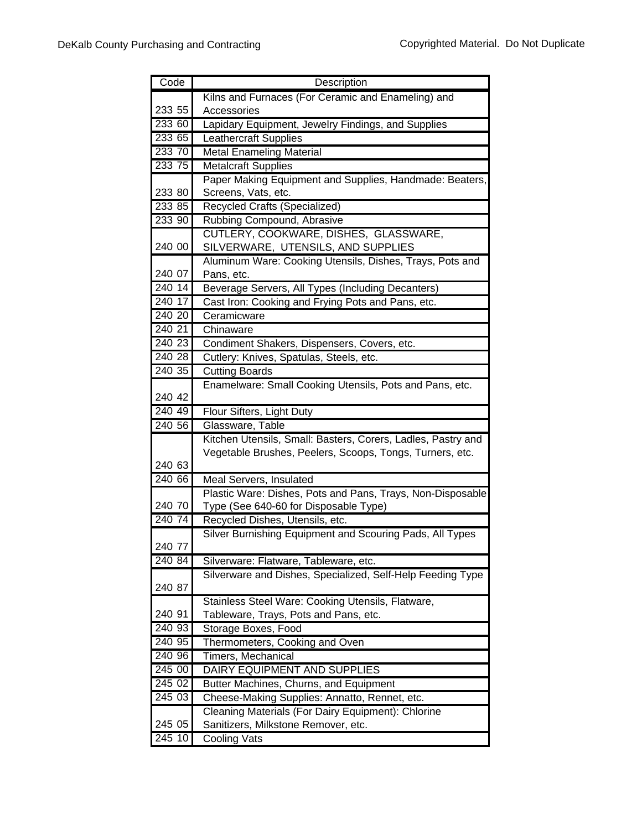| Code   | Description                                                  |
|--------|--------------------------------------------------------------|
|        | Kilns and Furnaces (For Ceramic and Enameling) and           |
| 233 55 | Accessories                                                  |
| 233 60 | Lapidary Equipment, Jewelry Findings, and Supplies           |
| 233 65 | <b>Leathercraft Supplies</b>                                 |
| 233 70 | <b>Metal Enameling Material</b>                              |
| 233 75 | <b>Metalcraft Supplies</b>                                   |
|        | Paper Making Equipment and Supplies, Handmade: Beaters,      |
| 233 80 | Screens, Vats, etc.                                          |
| 233 85 | Recycled Crafts (Specialized)                                |
| 233 90 | Rubbing Compound, Abrasive                                   |
|        | CUTLERY, COOKWARE, DISHES, GLASSWARE,                        |
| 240 00 | SILVERWARE, UTENSILS, AND SUPPLIES                           |
|        | Aluminum Ware: Cooking Utensils, Dishes, Trays, Pots and     |
| 240 07 | Pans, etc.                                                   |
| 240 14 | Beverage Servers, All Types (Including Decanters)            |
| 240 17 | Cast Iron: Cooking and Frying Pots and Pans, etc.            |
| 240 20 | Ceramicware                                                  |
| 240 21 | Chinaware                                                    |
| 240 23 | Condiment Shakers, Dispensers, Covers, etc.                  |
| 240 28 | Cutlery: Knives, Spatulas, Steels, etc.                      |
| 240.35 | <b>Cutting Boards</b>                                        |
|        | Enamelware: Small Cooking Utensils, Pots and Pans, etc.      |
| 240 42 |                                                              |
| 240 49 | Flour Sifters, Light Duty                                    |
| 240 56 | Glassware, Table                                             |
|        | Kitchen Utensils, Small: Basters, Corers, Ladles, Pastry and |
| 240 63 | Vegetable Brushes, Peelers, Scoops, Tongs, Turners, etc.     |
| 240 66 | Meal Servers, Insulated                                      |
|        | Plastic Ware: Dishes, Pots and Pans, Trays, Non-Disposable   |
| 240 70 | Type (See 640-60 for Disposable Type)                        |
| 240 74 | Recycled Dishes, Utensils, etc.                              |
|        | Silver Burnishing Equipment and Scouring Pads, All Types     |
| 240 77 |                                                              |
| 240 84 | Silverware: Flatware, Tableware, etc.                        |
|        | Silverware and Dishes, Specialized, Self-Help Feeding Type   |
| 240 87 |                                                              |
|        | Stainless Steel Ware: Cooking Utensils, Flatware,            |
| 240 91 | Tableware, Trays, Pots and Pans, etc.                        |
| 240 93 | Storage Boxes, Food                                          |
| 240 95 | Thermometers, Cooking and Oven                               |
| 240 96 | Timers, Mechanical                                           |
| 245 00 | DAIRY EQUIPMENT AND SUPPLIES                                 |
| 245 02 | Butter Machines, Churns, and Equipment                       |
| 245 03 | Cheese-Making Supplies: Annatto, Rennet, etc.                |
|        | Cleaning Materials (For Dairy Equipment): Chlorine           |
| 245 05 | Sanitizers, Milkstone Remover, etc.                          |
| 245 10 | Cooling Vats                                                 |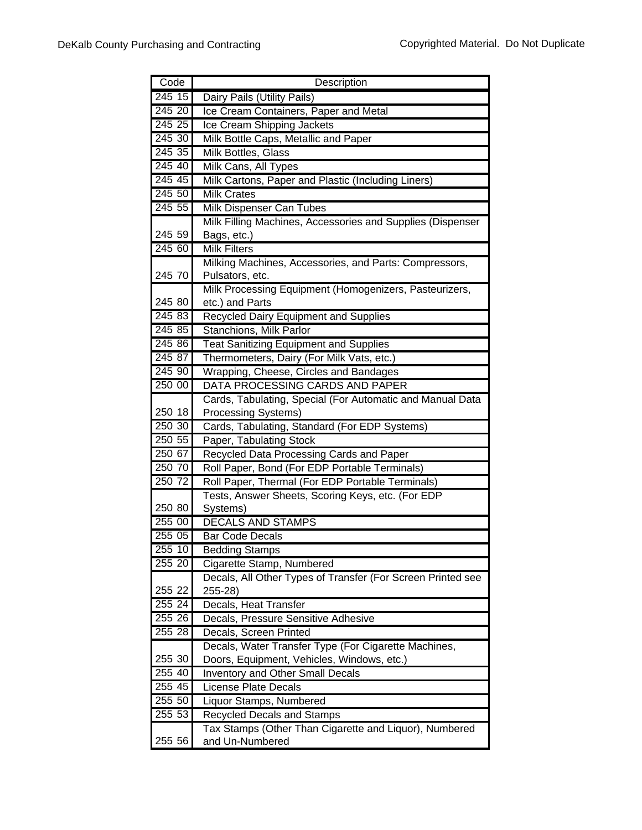| Code             | Description                                                   |
|------------------|---------------------------------------------------------------|
| 245 15           | Dairy Pails (Utility Pails)                                   |
| 245 20           | Ice Cream Containers, Paper and Metal                         |
| 245 25           | Ice Cream Shipping Jackets                                    |
| 245 30           | Milk Bottle Caps, Metallic and Paper                          |
| 245 35           | Milk Bottles, Glass                                           |
| 245 40           | Milk Cans, All Types                                          |
| 245 45           | Milk Cartons, Paper and Plastic (Including Liners)            |
| 245 50           | <b>Milk Crates</b>                                            |
| 245 55           | <b>Milk Dispenser Can Tubes</b>                               |
|                  | Milk Filling Machines, Accessories and Supplies (Dispenser    |
| 245 59           | Bags, etc.)                                                   |
| 245 60           | <b>Milk Filters</b>                                           |
|                  | Milking Machines, Accessories, and Parts: Compressors,        |
| 245 70           | Pulsators, etc.                                               |
|                  | Milk Processing Equipment (Homogenizers, Pasteurizers,        |
| 245 80           | etc.) and Parts                                               |
| 245 83           | Recycled Dairy Equipment and Supplies                         |
| 245 85           | Stanchions, Milk Parlor                                       |
| 245 86           | <b>Teat Sanitizing Equipment and Supplies</b>                 |
| 245 87           | Thermometers, Dairy (For Milk Vats, etc.)                     |
| 245 90           | Wrapping, Cheese, Circles and Bandages                        |
| 250 00           | DATA PROCESSING CARDS AND PAPER                               |
|                  | Cards, Tabulating, Special (For Automatic and Manual Data     |
| 250 18           | <b>Processing Systems)</b>                                    |
| 250 30           | Cards, Tabulating, Standard (For EDP Systems)                 |
| 250 55           | Paper, Tabulating Stock                                       |
| 250 67           | Recycled Data Processing Cards and Paper                      |
| 250 70<br>250 72 | Roll Paper, Bond (For EDP Portable Terminals)                 |
|                  | Roll Paper, Thermal (For EDP Portable Terminals)              |
| 250 80           | Tests, Answer Sheets, Scoring Keys, etc. (For EDP<br>Systems) |
| 255 00           | <b>DECALS AND STAMPS</b>                                      |
| 25505            | <b>Bar Code Decals</b>                                        |
| 255 10           | <b>Bedding Stamps</b>                                         |
| 255 20           | Cigarette Stamp, Numbered                                     |
|                  | Decals, All Other Types of Transfer (For Screen Printed see   |
| 255 22           | 255-28)                                                       |
| 255 24           | Decals, Heat Transfer                                         |
| 255 26           | Decals, Pressure Sensitive Adhesive                           |
| 255 28           | Decals, Screen Printed                                        |
|                  | Decals, Water Transfer Type (For Cigarette Machines,          |
| 255 30           | Doors, Equipment, Vehicles, Windows, etc.)                    |
| 255 40           | <b>Inventory and Other Small Decals</b>                       |
| 255 45           | <b>License Plate Decals</b>                                   |
| 255 50           | Liquor Stamps, Numbered                                       |
| 255 53           | <b>Recycled Decals and Stamps</b>                             |
|                  | Tax Stamps (Other Than Cigarette and Liquor), Numbered        |
| 255 56           | and Un-Numbered                                               |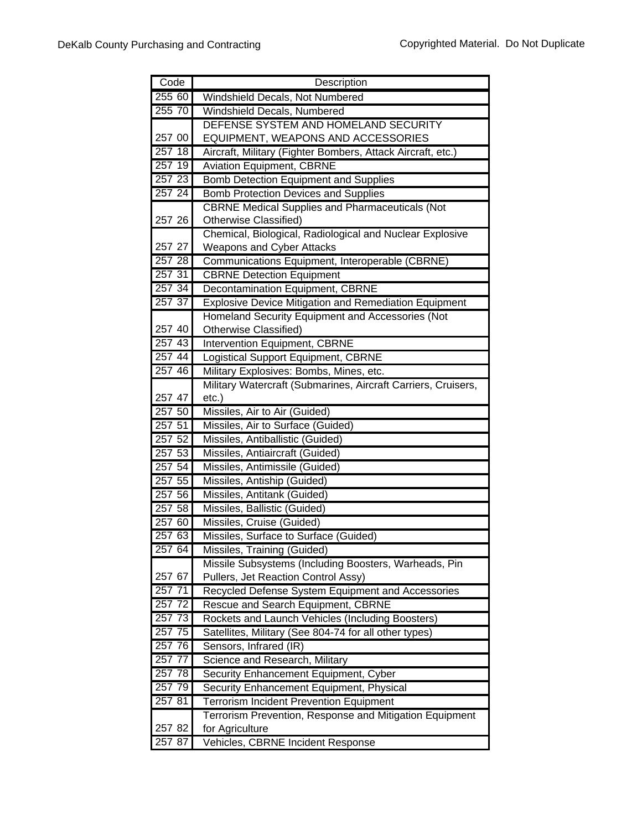| Code     | Description                                                        |
|----------|--------------------------------------------------------------------|
| 255 60   | Windshield Decals, Not Numbered                                    |
| 255 70   | Windshield Decals, Numbered                                        |
|          | DEFENSE SYSTEM AND HOMELAND SECURITY                               |
| 257 00   | EQUIPMENT, WEAPONS AND ACCESSORIES                                 |
| 257 18   | Aircraft, Military (Fighter Bombers, Attack Aircraft, etc.)        |
| 257 19   | <b>Aviation Equipment, CBRNE</b>                                   |
| 257 23   | <b>Bomb Detection Equipment and Supplies</b>                       |
| 257 24   | <b>Bomb Protection Devices and Supplies</b>                        |
|          | <b>CBRNE Medical Supplies and Pharmaceuticals (Not</b>             |
| 257 26   | Otherwise Classified)                                              |
|          | Chemical, Biological, Radiological and Nuclear Explosive           |
| 257 27   | <b>Weapons and Cyber Attacks</b>                                   |
| 257 28   | Communications Equipment, Interoperable (CBRNE)                    |
| 257 31   | <b>CBRNE Detection Equipment</b>                                   |
| 257 34   | Decontamination Equipment, CBRNE                                   |
| 257 37   | <b>Explosive Device Mitigation and Remediation Equipment</b>       |
|          | Homeland Security Equipment and Accessories (Not                   |
| 257 40   | Otherwise Classified)                                              |
| 25743    | <b>Intervention Equipment, CBRNE</b>                               |
| $257$ 44 | Logistical Support Equipment, CBRNE                                |
| 257 46   | Military Explosives: Bombs, Mines, etc.                            |
| 257 47   | Military Watercraft (Submarines, Aircraft Carriers, Cruisers,      |
| 257 50   | $etc.$ )                                                           |
| 257 51   | Missiles, Air to Air (Guided)<br>Missiles, Air to Surface (Guided) |
| 257 52   | Missiles, Antiballistic (Guided)                                   |
| 25753    | Missiles, Antiaircraft (Guided)                                    |
| 257 54   | Missiles, Antimissile (Guided)                                     |
| 257 55   | Missiles, Antiship (Guided)                                        |
| 257 56   | Missiles, Antitank (Guided)                                        |
| 257 58   | Missiles, Ballistic (Guided)                                       |
| 257 60   | Missiles, Cruise (Guided)                                          |
| 257 63   | Missiles, Surface to Surface (Guided)                              |
| 25764    | Missiles, Training (Guided)                                        |
|          | Missile Subsystems (Including Boosters, Warheads, Pin              |
| 257 67   | Pullers, Jet Reaction Control Assy)                                |
| 257,71   | Recycled Defense System Equipment and Accessories                  |
| 257 72   | Rescue and Search Equipment, CBRNE                                 |
| 257 73   | Rockets and Launch Vehicles (Including Boosters)                   |
| 257 75   | Satellites, Military (See 804-74 for all other types)              |
| 257 76   | Sensors, Infrared (IR)                                             |
| 257 77   | Science and Research, Military                                     |
| 257 78   | Security Enhancement Equipment, Cyber                              |
| 257 79   | Security Enhancement Equipment, Physical                           |
| 257 81   | <b>Terrorism Incident Prevention Equipment</b>                     |
|          | Terrorism Prevention, Response and Mitigation Equipment            |
| 257 82   | for Agriculture                                                    |
| 257 87   | Vehicles, CBRNE Incident Response                                  |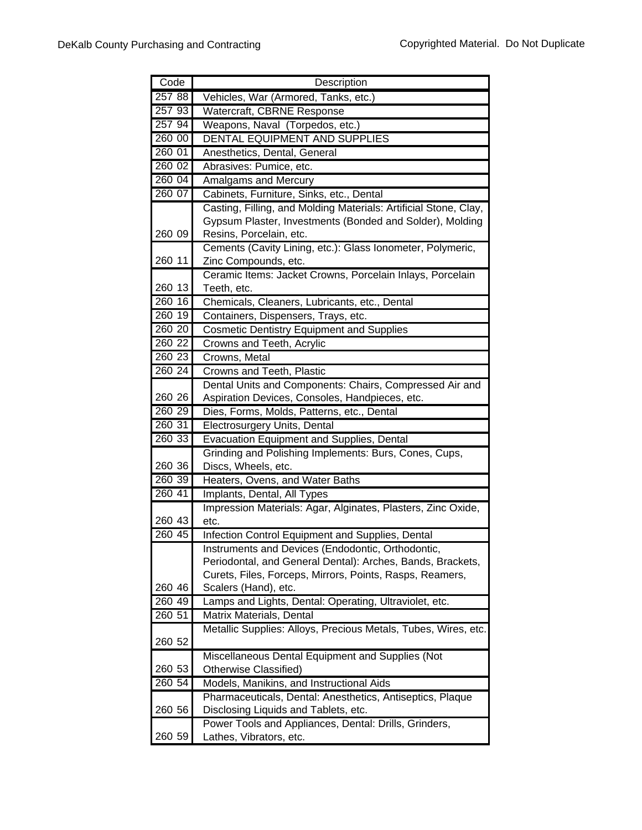| Code               | Description                                                                      |
|--------------------|----------------------------------------------------------------------------------|
| 257 88             | Vehicles, War (Armored, Tanks, etc.)                                             |
| 257 93             | Watercraft, CBRNE Response                                                       |
| 257 94             | Weapons, Naval (Torpedos, etc.)                                                  |
| 260 00             | DENTAL EQUIPMENT AND SUPPLIES                                                    |
| 260 01             | Anesthetics, Dental, General                                                     |
| 260 02             | Abrasives: Pumice, etc.                                                          |
| 260 04             | Amalgams and Mercury                                                             |
| 260 07             | Cabinets, Furniture, Sinks, etc., Dental                                         |
|                    | Casting, Filling, and Molding Materials: Artificial Stone, Clay,                 |
|                    | Gypsum Plaster, Investments (Bonded and Solder), Molding                         |
| 260 09             | Resins, Porcelain, etc.                                                          |
|                    | Cements (Cavity Lining, etc.): Glass lonometer, Polymeric,                       |
| 260 11             | Zinc Compounds, etc.                                                             |
|                    | Ceramic Items: Jacket Crowns, Porcelain Inlays, Porcelain                        |
| 260 13             | Teeth, etc.                                                                      |
| 260 16             | Chemicals, Cleaners, Lubricants, etc., Dental                                    |
| 260 19             | Containers, Dispensers, Trays, etc.                                              |
| 260 20             | <b>Cosmetic Dentistry Equipment and Supplies</b>                                 |
| 260 22             |                                                                                  |
| 260 23             | Crowns and Teeth, Acrylic                                                        |
|                    | Crowns, Metal                                                                    |
| 260 24             | Crowns and Teeth, Plastic                                                        |
|                    | Dental Units and Components: Chairs, Compressed Air and                          |
| 260 26             | Aspiration Devices, Consoles, Handpieces, etc.                                   |
| 260 29             | Dies, Forms, Molds, Patterns, etc., Dental                                       |
| 260 31             | Electrosurgery Units, Dental                                                     |
| 260 33             | <b>Evacuation Equipment and Supplies, Dental</b>                                 |
|                    | Grinding and Polishing Implements: Burs, Cones, Cups,                            |
| 260 36             | Discs, Wheels, etc.                                                              |
| 260 39             | Heaters, Ovens, and Water Baths                                                  |
| 260 41             | Implants, Dental, All Types                                                      |
|                    | Impression Materials: Agar, Alginates, Plasters, Zinc Oxide,                     |
| 260 43             | etc.                                                                             |
| 260 45             | Infection Control Equipment and Supplies, Dental                                 |
|                    |                                                                                  |
|                    | Instruments and Devices (Endodontic, Orthodontic,                                |
|                    | Periodontal, and General Dental): Arches, Bands, Brackets,                       |
|                    | Curets, Files, Forceps, Mirrors, Points, Rasps, Reamers,                         |
| 260 46             | Scalers (Hand), etc.                                                             |
| $260\overline{49}$ | Lamps and Lights, Dental: Operating, Ultraviolet, etc.                           |
| 260 51             | Matrix Materials, Dental                                                         |
|                    | Metallic Supplies: Alloys, Precious Metals, Tubes, Wires, etc.                   |
| 260 52             |                                                                                  |
|                    | Miscellaneous Dental Equipment and Supplies (Not                                 |
| 260 53             | Otherwise Classified)                                                            |
| 260 54             | Models, Manikins, and Instructional Aids                                         |
|                    | Pharmaceuticals, Dental: Anesthetics, Antiseptics, Plaque                        |
| 260 56             | Disclosing Liquids and Tablets, etc.                                             |
| 260 59             | Power Tools and Appliances, Dental: Drills, Grinders,<br>Lathes, Vibrators, etc. |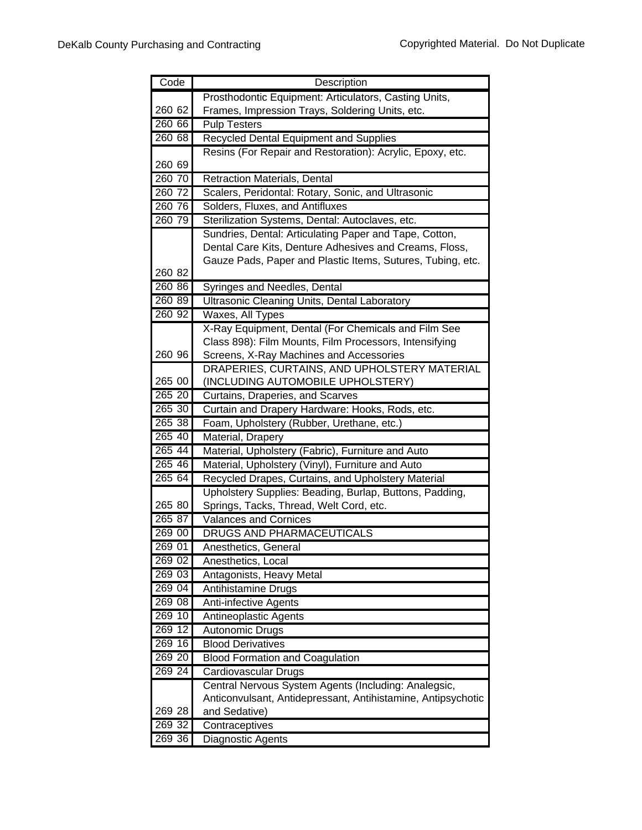| Code      | Description                                                                       |
|-----------|-----------------------------------------------------------------------------------|
|           | Prosthodontic Equipment: Articulators, Casting Units,                             |
| 260 62    | Frames, Impression Trays, Soldering Units, etc.                                   |
| 260 66    | <b>Pulp Testers</b>                                                               |
| 260 68    | <b>Recycled Dental Equipment and Supplies</b>                                     |
|           | Resins (For Repair and Restoration): Acrylic, Epoxy, etc.                         |
| 260 69    |                                                                                   |
| 260 70    | Retraction Materials, Dental                                                      |
| 260 72    | Scalers, Peridontal: Rotary, Sonic, and Ultrasonic                                |
| 260 76    | Solders, Fluxes, and Antifluxes                                                   |
| 260 79    | Sterilization Systems, Dental: Autoclaves, etc.                                   |
|           | Sundries, Dental: Articulating Paper and Tape, Cotton,                            |
|           | Dental Care Kits, Denture Adhesives and Creams, Floss,                            |
|           | Gauze Pads, Paper and Plastic Items, Sutures, Tubing, etc.                        |
| 260 82    |                                                                                   |
| 260 86    | Syringes and Needles, Dental                                                      |
| 260 89    | Ultrasonic Cleaning Units, Dental Laboratory                                      |
| 26092     | Waxes, All Types                                                                  |
|           | X-Ray Equipment, Dental (For Chemicals and Film See                               |
| 260 96    | Class 898): Film Mounts, Film Processors, Intensifying                            |
|           | Screens, X-Ray Machines and Accessories                                           |
| 265 00    | DRAPERIES, CURTAINS, AND UPHOLSTERY MATERIAL<br>(INCLUDING AUTOMOBILE UPHOLSTERY) |
| $265\,20$ | Curtains, Draperies, and Scarves                                                  |
| 265 30    | Curtain and Drapery Hardware: Hooks, Rods, etc.                                   |
| 265 38    | Foam, Upholstery (Rubber, Urethane, etc.)                                         |
| 265 40    | Material, Drapery                                                                 |
| 265 44    | Material, Upholstery (Fabric), Furniture and Auto                                 |
| 265 46    | Material, Upholstery (Vinyl), Furniture and Auto                                  |
| 265 64    | Recycled Drapes, Curtains, and Upholstery Material                                |
|           | Upholstery Supplies: Beading, Burlap, Buttons, Padding,                           |
| 265 80    | Springs, Tacks, Thread, Welt Cord, etc.                                           |
| 265 87    | <b>Valances and Cornices</b>                                                      |
| 269 00    | DRUGS AND PHARMACEUTICALS                                                         |
| 269 01    | Anesthetics, General                                                              |
| 269 02    | Anesthetics, Local                                                                |
| 269 03    | Antagonists, Heavy Metal                                                          |
| 269 04    | <b>Antihistamine Drugs</b>                                                        |
| 269 08    | Anti-infective Agents                                                             |
| 269 10    | <b>Antineoplastic Agents</b>                                                      |
| 269 12    | Autonomic Drugs                                                                   |
| 269 16    | <b>Blood Derivatives</b>                                                          |
| 269 20    | <b>Blood Formation and Coagulation</b>                                            |
| 269 24    | Cardiovascular Drugs                                                              |
|           | Central Nervous System Agents (Including: Analegsic,                              |
|           | Anticonvulsant, Antidepressant, Antihistamine, Antipsychotic                      |
| 269 28    | and Sedative)                                                                     |
| 269 32    | Contraceptives                                                                    |
| 269 36    | Diagnostic Agents                                                                 |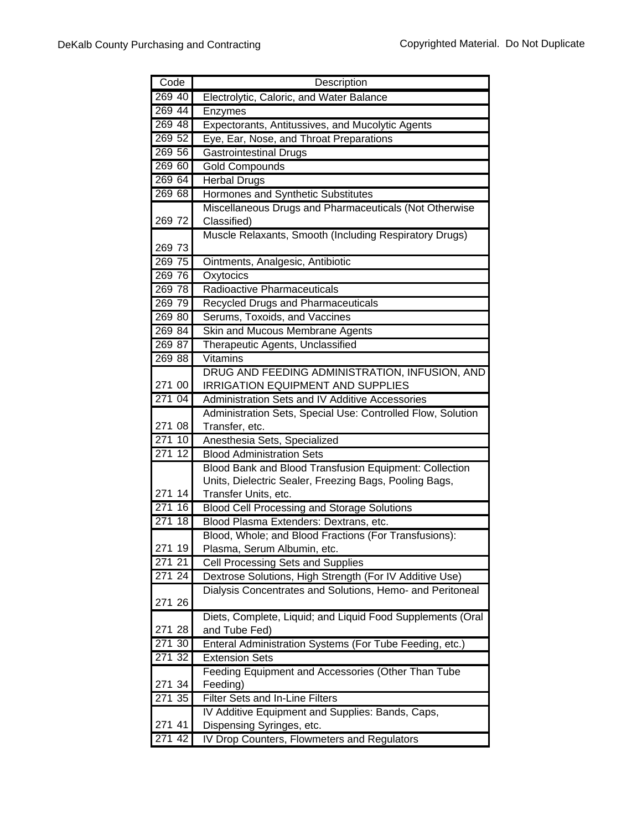| Code             | Description                                                                          |
|------------------|--------------------------------------------------------------------------------------|
| 269 40           | Electrolytic, Caloric, and Water Balance                                             |
| 269 44           | Enzymes                                                                              |
| 269 48           | Expectorants, Antitussives, and Mucolytic Agents                                     |
| 269 52           | Eye, Ear, Nose, and Throat Preparations                                              |
| 269 56           | <b>Gastrointestinal Drugs</b>                                                        |
| 269 60           | <b>Gold Compounds</b>                                                                |
| 269 64           | <b>Herbal Drugs</b>                                                                  |
| 26968            | Hormones and Synthetic Substitutes                                                   |
|                  | Miscellaneous Drugs and Pharmaceuticals (Not Otherwise                               |
| 269 72           | Classified)                                                                          |
|                  | Muscle Relaxants, Smooth (Including Respiratory Drugs)                               |
| 269 73           |                                                                                      |
| 269 75           | Ointments, Analgesic, Antibiotic                                                     |
| 269 76           | Oxytocics                                                                            |
| 269 78           | Radioactive Pharmaceuticals                                                          |
| 269 79           | Recycled Drugs and Pharmaceuticals                                                   |
| 269 80           | Serums, Toxoids, and Vaccines                                                        |
| 269 84           | Skin and Mucous Membrane Agents                                                      |
| 269 87           | Therapeutic Agents, Unclassified                                                     |
| 269 88           | Vitamins                                                                             |
|                  | DRUG AND FEEDING ADMINISTRATION, INFUSION, AND                                       |
| 271 00           | <b>IRRIGATION EQUIPMENT AND SUPPLIES</b>                                             |
| 271 04           | Administration Sets and IV Additive Accessories                                      |
|                  | Administration Sets, Special Use: Controlled Flow, Solution                          |
| 271 08           | Transfer, etc.                                                                       |
| 271 10           | Anesthesia Sets, Specialized                                                         |
| 271 12           | <b>Blood Administration Sets</b>                                                     |
|                  | Blood Bank and Blood Transfusion Equipment: Collection                               |
|                  | Units, Dielectric Sealer, Freezing Bags, Pooling Bags,                               |
| 271 14<br>271 16 | Transfer Units, etc.                                                                 |
|                  | <b>Blood Cell Processing and Storage Solutions</b>                                   |
| 271 18           | Blood Plasma Extenders: Dextrans, etc.                                               |
| 271 19           | Blood, Whole; and Blood Fractions (For Transfusions):<br>Plasma, Serum Albumin, etc. |
| 27121            | Cell Processing Sets and Supplies                                                    |
| 271 24           | Dextrose Solutions, High Strength (For IV Additive Use)                              |
|                  | Dialysis Concentrates and Solutions, Hemo- and Peritoneal                            |
| 271 26           |                                                                                      |
|                  | Diets, Complete, Liquid; and Liquid Food Supplements (Oral                           |
| 271 28           | and Tube Fed)                                                                        |
| 271 30           | Enteral Administration Systems (For Tube Feeding, etc.)                              |
| 271 32           | <b>Extension Sets</b>                                                                |
|                  | Feeding Equipment and Accessories (Other Than Tube                                   |
| 271 34           | Feeding)                                                                             |
| 271 35           | Filter Sets and In-Line Filters                                                      |
|                  | IV Additive Equipment and Supplies: Bands, Caps,                                     |
| 271 41           | Dispensing Syringes, etc.                                                            |
| 271 42           | IV Drop Counters, Flowmeters and Regulators                                          |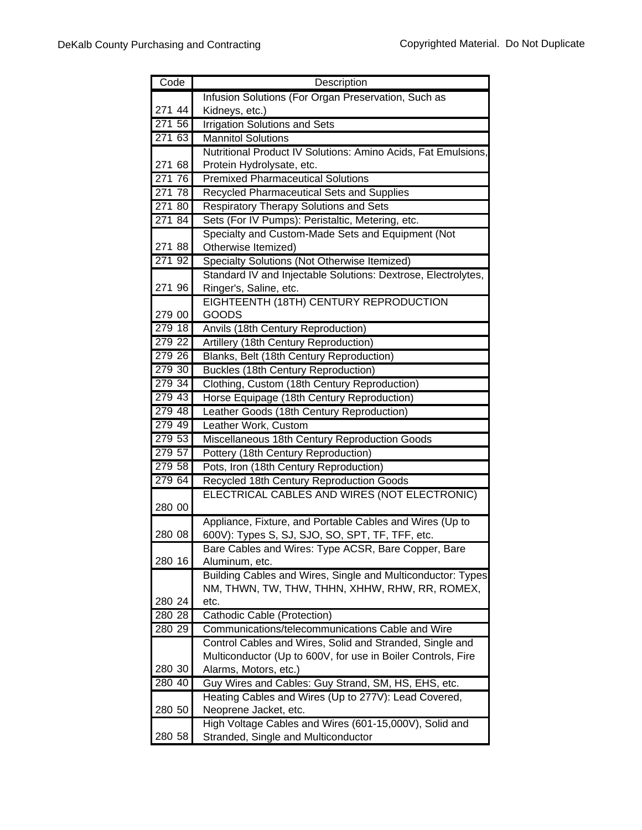| Code   | Description                                                                                            |
|--------|--------------------------------------------------------------------------------------------------------|
|        | Infusion Solutions (For Organ Preservation, Such as                                                    |
| 271 44 | Kidneys, etc.)                                                                                         |
| 271 56 | <b>Irrigation Solutions and Sets</b>                                                                   |
| 271 63 | <b>Mannitol Solutions</b>                                                                              |
|        | Nutritional Product IV Solutions: Amino Acids, Fat Emulsions,                                          |
| 271 68 | Protein Hydrolysate, etc.                                                                              |
| 271 76 | <b>Premixed Pharmaceutical Solutions</b>                                                               |
| 271 78 | <b>Recycled Pharmaceutical Sets and Supplies</b>                                                       |
| 271 80 | <b>Respiratory Therapy Solutions and Sets</b>                                                          |
| 271 84 | Sets (For IV Pumps): Peristaltic, Metering, etc.                                                       |
|        | Specialty and Custom-Made Sets and Equipment (Not                                                      |
| 271 88 | Otherwise Itemized)                                                                                    |
| 271 92 | Specialty Solutions (Not Otherwise Itemized)                                                           |
|        | Standard IV and Injectable Solutions: Dextrose, Electrolytes,                                          |
| 271 96 | Ringer's, Saline, etc.                                                                                 |
|        | EIGHTEENTH (18TH) CENTURY REPRODUCTION                                                                 |
| 279 00 | GOODS                                                                                                  |
| 279 18 | Anvils (18th Century Reproduction)                                                                     |
| 279 22 | Artillery (18th Century Reproduction)                                                                  |
| 279 26 | Blanks, Belt (18th Century Reproduction)                                                               |
| 279 30 | <b>Buckles (18th Century Reproduction)</b>                                                             |
| 279 34 | Clothing, Custom (18th Century Reproduction)                                                           |
| 279 43 | Horse Equipage (18th Century Reproduction)                                                             |
| 279 48 | Leather Goods (18th Century Reproduction)                                                              |
| 279 49 | Leather Work, Custom                                                                                   |
| 279 53 | Miscellaneous 18th Century Reproduction Goods                                                          |
| 279 57 | Pottery (18th Century Reproduction)                                                                    |
| 279 58 | Pots, Iron (18th Century Reproduction)                                                                 |
| 279 64 | Recycled 18th Century Reproduction Goods                                                               |
|        | ELECTRICAL CABLES AND WIRES (NOT ELECTRONIC)                                                           |
| 280 00 |                                                                                                        |
| 280 08 | Appliance, Fixture, and Portable Cables and Wires (Up to                                               |
|        | 600V): Types S, SJ, SJO, SO, SPT, TF, TFF, etc.<br>Bare Cables and Wires: Type ACSR, Bare Copper, Bare |
| 280 16 | Aluminum, etc.                                                                                         |
|        | Building Cables and Wires, Single and Multiconductor: Types                                            |
|        | NM, THWN, TW, THW, THHN, XHHW, RHW, RR, ROMEX,                                                         |
| 280 24 | etc.                                                                                                   |
| 280 28 | Cathodic Cable (Protection)                                                                            |
| 280 29 | Communications/telecommunications Cable and Wire                                                       |
|        | Control Cables and Wires, Solid and Stranded, Single and                                               |
|        | Multiconductor (Up to 600V, for use in Boiler Controls, Fire                                           |
| 280 30 | Alarms, Motors, etc.)                                                                                  |
| 280 40 | Guy Wires and Cables: Guy Strand, SM, HS, EHS, etc.                                                    |
|        | Heating Cables and Wires (Up to 277V): Lead Covered,                                                   |
| 280 50 | Neoprene Jacket, etc.                                                                                  |
|        | High Voltage Cables and Wires (601-15,000V), Solid and                                                 |
| 280 58 | Stranded, Single and Multiconductor                                                                    |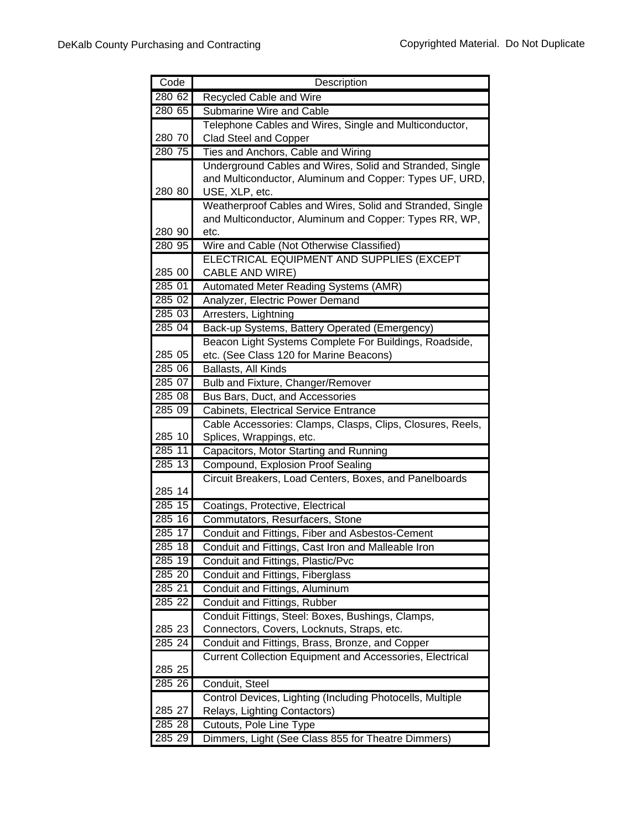| Code               | Description                                                |
|--------------------|------------------------------------------------------------|
| 280 62             | Recycled Cable and Wire                                    |
| 280 65             | <b>Submarine Wire and Cable</b>                            |
|                    | Telephone Cables and Wires, Single and Multiconductor,     |
| 280 70             | Clad Steel and Copper                                      |
| 280 75             | Ties and Anchors, Cable and Wiring                         |
|                    | Underground Cables and Wires, Solid and Stranded, Single   |
|                    | and Multiconductor, Aluminum and Copper: Types UF, URD,    |
| 280 80             | USE, XLP, etc.                                             |
|                    | Weatherproof Cables and Wires, Solid and Stranded, Single  |
|                    | and Multiconductor, Aluminum and Copper: Types RR, WP,     |
| 280 90             | etc.                                                       |
| $280\,95$          | Wire and Cable (Not Otherwise Classified)                  |
|                    | ELECTRICAL EQUIPMENT AND SUPPLIES (EXCEPT                  |
| 285 00             | <b>CABLE AND WIRE)</b>                                     |
| 285 01             | <b>Automated Meter Reading Systems (AMR)</b>               |
| 285 02             | Analyzer, Electric Power Demand                            |
| 285 03             | Arresters, Lightning                                       |
| 285 04             | Back-up Systems, Battery Operated (Emergency)              |
|                    | Beacon Light Systems Complete For Buildings, Roadside,     |
| 285 05             | etc. (See Class 120 for Marine Beacons)                    |
| 285 06             | Ballasts, All Kinds                                        |
| 285 07             | <b>Bulb and Fixture, Changer/Remover</b>                   |
| 285 08             | Bus Bars, Duct, and Accessories                            |
| 285 09             | <b>Cabinets, Electrical Service Entrance</b>               |
|                    | Cable Accessories: Clamps, Clasps, Clips, Closures, Reels, |
| 285 10             | Splices, Wrappings, etc.                                   |
| 285 11             | Capacitors, Motor Starting and Running                     |
| $285\overline{13}$ | Compound, Explosion Proof Sealing                          |
|                    | Circuit Breakers, Load Centers, Boxes, and Panelboards     |
| 285 14             |                                                            |
| 285 15             | Coatings, Protective, Electrical                           |
| 285 16             | Commutators, Resurfacers, Stone                            |
| 28517              | Conduit and Fittings, Fiber and Asbestos-Cement            |
| 285 18             | Conduit and Fittings, Cast Iron and Malleable Iron         |
| 285 19             | Conduit and Fittings, Plastic/Pvc                          |
| 285 20             | Conduit and Fittings, Fiberglass                           |
| 285 21             | Conduit and Fittings, Aluminum                             |
| 285 22             | Conduit and Fittings, Rubber                               |
|                    | Conduit Fittings, Steel: Boxes, Bushings, Clamps,          |
| 285 23             | Connectors, Covers, Locknuts, Straps, etc.                 |
| 285 24             | Conduit and Fittings, Brass, Bronze, and Copper            |
|                    | Current Collection Equipment and Accessories, Electrical   |
| 285 25             |                                                            |
| 285 26             | Conduit, Steel                                             |
|                    | Control Devices, Lighting (Including Photocells, Multiple  |
| 285 27             | Relays, Lighting Contactors)                               |
| 285 28             | Cutouts, Pole Line Type                                    |
| 285 29             | Dimmers, Light (See Class 855 for Theatre Dimmers)         |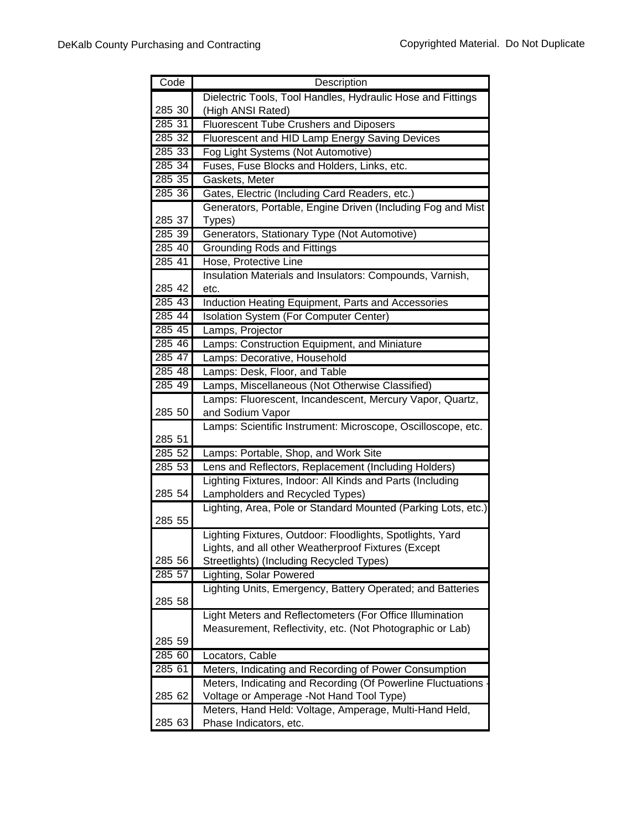| Code   | Description                                                                                                           |
|--------|-----------------------------------------------------------------------------------------------------------------------|
|        | Dielectric Tools, Tool Handles, Hydraulic Hose and Fittings                                                           |
| 285 30 | (High ANSI Rated)                                                                                                     |
| 285 31 | <b>Fluorescent Tube Crushers and Diposers</b>                                                                         |
| 285 32 | Fluorescent and HID Lamp Energy Saving Devices                                                                        |
| 285 33 | Fog Light Systems (Not Automotive)                                                                                    |
| 285 34 | Fuses, Fuse Blocks and Holders, Links, etc.                                                                           |
| 285 35 | Gaskets, Meter                                                                                                        |
| 285 36 | Gates, Electric (Including Card Readers, etc.)                                                                        |
|        | Generators, Portable, Engine Driven (Including Fog and Mist                                                           |
| 285 37 | Types)                                                                                                                |
| 285 39 | Generators, Stationary Type (Not Automotive)                                                                          |
| 285 40 | <b>Grounding Rods and Fittings</b>                                                                                    |
| 285 41 | Hose, Protective Line                                                                                                 |
|        | Insulation Materials and Insulators: Compounds, Varnish,                                                              |
| 285 42 | etc.                                                                                                                  |
| 285 43 | Induction Heating Equipment, Parts and Accessories                                                                    |
| 285 44 | Isolation System (For Computer Center)                                                                                |
| 285 45 | Lamps, Projector                                                                                                      |
| 285 46 | Lamps: Construction Equipment, and Miniature                                                                          |
| 285 47 | Lamps: Decorative, Household                                                                                          |
| 285 48 | Lamps: Desk, Floor, and Table                                                                                         |
| 285 49 | Lamps, Miscellaneous (Not Otherwise Classified)                                                                       |
|        | Lamps: Fluorescent, Incandescent, Mercury Vapor, Quartz,                                                              |
| 285 50 | and Sodium Vapor                                                                                                      |
|        | Lamps: Scientific Instrument: Microscope, Oscilloscope, etc.                                                          |
| 285 51 |                                                                                                                       |
| 285 52 | Lamps: Portable, Shop, and Work Site                                                                                  |
| 285 53 | Lens and Reflectors, Replacement (Including Holders)                                                                  |
|        | Lighting Fixtures, Indoor: All Kinds and Parts (Including                                                             |
| 285 54 | Lampholders and Recycled Types)                                                                                       |
|        | Lighting, Area, Pole or Standard Mounted (Parking Lots, etc.)                                                         |
| 285 55 |                                                                                                                       |
|        | Lighting Fixtures, Outdoor: Floodlights, Spotlights, Yard                                                             |
|        | Lights, and all other Weatherproof Fixtures (Except                                                                   |
| 285 56 | Streetlights) (Including Recycled Types)                                                                              |
| 285 57 | Lighting, Solar Powered                                                                                               |
| 285 58 | Lighting Units, Emergency, Battery Operated; and Batteries                                                            |
|        |                                                                                                                       |
|        | Light Meters and Reflectometers (For Office Illumination<br>Measurement, Reflectivity, etc. (Not Photographic or Lab) |
| 285 59 |                                                                                                                       |
| 285 60 | Locators, Cable                                                                                                       |
| 285 61 | Meters, Indicating and Recording of Power Consumption                                                                 |
|        |                                                                                                                       |
| 285 62 | Meters, Indicating and Recording (Of Powerline Fluctuations<br>Voltage or Amperage -Not Hand Tool Type)               |
|        | Meters, Hand Held: Voltage, Amperage, Multi-Hand Held,                                                                |
| 285 63 | Phase Indicators, etc.                                                                                                |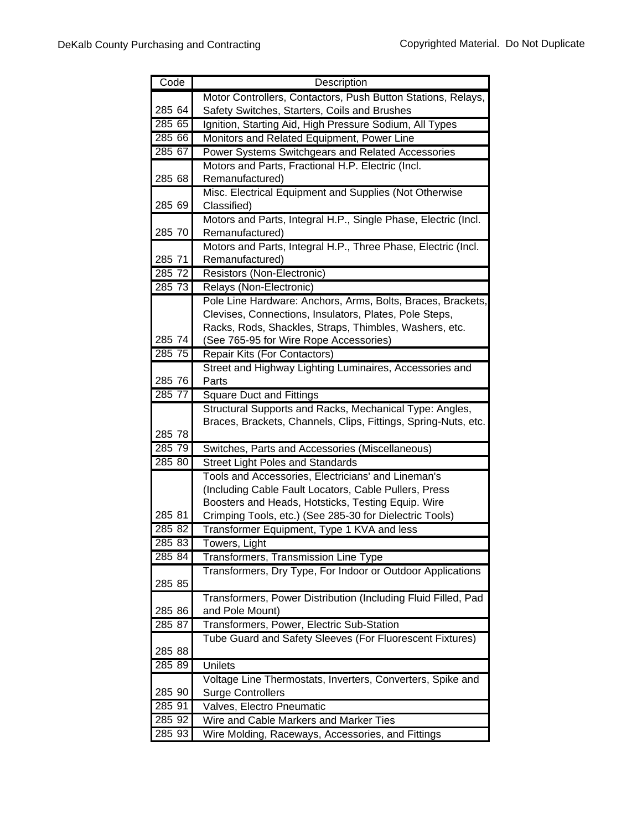| Code   | Description                                                                                                               |
|--------|---------------------------------------------------------------------------------------------------------------------------|
|        | Motor Controllers, Contactors, Push Button Stations, Relays,                                                              |
| 285 64 | Safety Switches, Starters, Coils and Brushes                                                                              |
| 285 65 | Ignition, Starting Aid, High Pressure Sodium, All Types                                                                   |
| 285 66 | Monitors and Related Equipment, Power Line                                                                                |
| 285 67 | Power Systems Switchgears and Related Accessories                                                                         |
|        | Motors and Parts, Fractional H.P. Electric (Incl.                                                                         |
| 285 68 | Remanufactured)                                                                                                           |
|        | Misc. Electrical Equipment and Supplies (Not Otherwise                                                                    |
| 285 69 | Classified)                                                                                                               |
|        | Motors and Parts, Integral H.P., Single Phase, Electric (Incl.                                                            |
| 285 70 | Remanufactured)                                                                                                           |
|        | Motors and Parts, Integral H.P., Three Phase, Electric (Incl.                                                             |
| 285 71 | Remanufactured)                                                                                                           |
| 285 72 | Resistors (Non-Electronic)                                                                                                |
| 285 73 | Relays (Non-Electronic)                                                                                                   |
|        | Pole Line Hardware: Anchors, Arms, Bolts, Braces, Brackets,                                                               |
|        | Clevises, Connections, Insulators, Plates, Pole Steps,                                                                    |
|        | Racks, Rods, Shackles, Straps, Thimbles, Washers, etc.                                                                    |
| 285 74 | (See 765-95 for Wire Rope Accessories)                                                                                    |
| 28575  | Repair Kits (For Contactors)                                                                                              |
|        | Street and Highway Lighting Luminaires, Accessories and                                                                   |
| 285 76 | Parts                                                                                                                     |
| 285 77 | Square Duct and Fittings                                                                                                  |
|        | Structural Supports and Racks, Mechanical Type: Angles,<br>Braces, Brackets, Channels, Clips, Fittings, Spring-Nuts, etc. |
| 285 78 |                                                                                                                           |
| 285 79 | Switches, Parts and Accessories (Miscellaneous)                                                                           |
| 285 80 | <b>Street Light Poles and Standards</b>                                                                                   |
|        | Tools and Accessories, Electricians' and Lineman's                                                                        |
|        | (Including Cable Fault Locators, Cable Pullers, Press                                                                     |
|        | Boosters and Heads, Hotsticks, Testing Equip. Wire                                                                        |
| 285 81 | Crimping Tools, etc.) (See 285-30 for Dielectric Tools)                                                                   |
| 285 82 | Transformer Equipment, Type 1 KVA and less                                                                                |
| 285 83 | Towers, Light                                                                                                             |
| 285 84 | Transformers, Transmission Line Type                                                                                      |
|        | Transformers, Dry Type, For Indoor or Outdoor Applications                                                                |
| 285 85 |                                                                                                                           |
|        | Transformers, Power Distribution (Including Fluid Filled, Pad                                                             |
| 285 86 | and Pole Mount)                                                                                                           |
| 285 87 | Transformers, Power, Electric Sub-Station                                                                                 |
|        | Tube Guard and Safety Sleeves (For Fluorescent Fixtures)                                                                  |
| 285 88 |                                                                                                                           |
| 285 89 | <b>Unilets</b>                                                                                                            |
|        | Voltage Line Thermostats, Inverters, Converters, Spike and                                                                |
| 285 90 | <b>Surge Controllers</b>                                                                                                  |
| 285 91 | Valves, Electro Pneumatic                                                                                                 |
| 285 92 | Wire and Cable Markers and Marker Ties                                                                                    |
| 285 93 | Wire Molding, Raceways, Accessories, and Fittings                                                                         |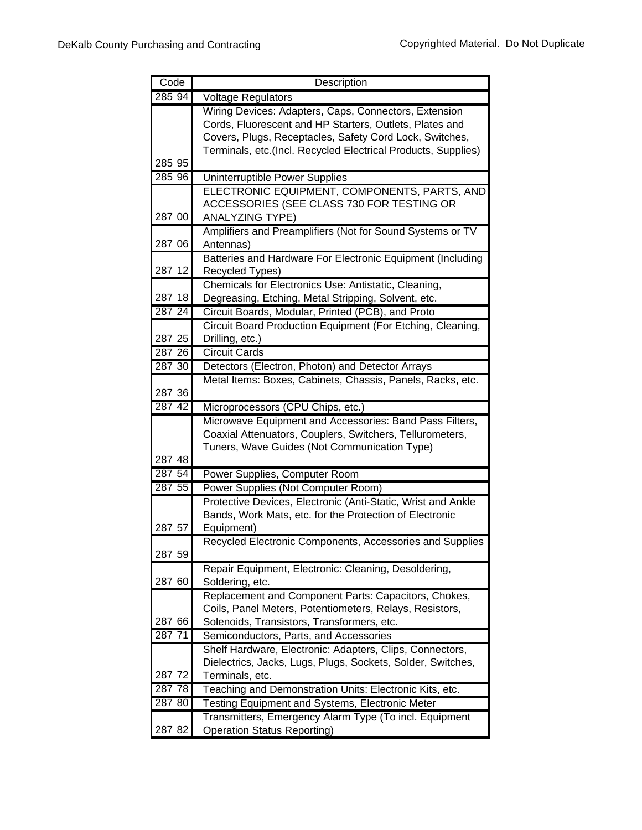| Code                | Description                                                   |
|---------------------|---------------------------------------------------------------|
| 285 94              | <b>Voltage Regulators</b>                                     |
|                     | Wiring Devices: Adapters, Caps, Connectors, Extension         |
|                     | Cords, Fluorescent and HP Starters, Outlets, Plates and       |
|                     | Covers, Plugs, Receptacles, Safety Cord Lock, Switches,       |
|                     | Terminals, etc.(Incl. Recycled Electrical Products, Supplies) |
| 285 95              |                                                               |
| 285 96              | Uninterruptible Power Supplies                                |
|                     | ELECTRONIC EQUIPMENT, COMPONENTS, PARTS, AND                  |
|                     | ACCESSORIES (SEE CLASS 730 FOR TESTING OR                     |
| 287 00              | <b>ANALYZING TYPE)</b>                                        |
|                     | Amplifiers and Preamplifiers (Not for Sound Systems or TV     |
| 287 06              | Antennas)                                                     |
|                     | Batteries and Hardware For Electronic Equipment (Including    |
| 287 12              | Recycled Types)                                               |
|                     | Chemicals for Electronics Use: Antistatic, Cleaning,          |
| 287 18              | Degreasing, Etching, Metal Stripping, Solvent, etc.           |
| $\overline{287}$ 24 | Circuit Boards, Modular, Printed (PCB), and Proto             |
|                     | Circuit Board Production Equipment (For Etching, Cleaning,    |
| 287 25              | Drilling, etc.)                                               |
| 287 26              | <b>Circuit Cards</b>                                          |
| 287 30              | Detectors (Electron, Photon) and Detector Arrays              |
|                     | Metal Items: Boxes, Cabinets, Chassis, Panels, Racks, etc.    |
| 287 36              |                                                               |
| 287 42              | Microprocessors (CPU Chips, etc.)                             |
|                     | Microwave Equipment and Accessories: Band Pass Filters,       |
|                     | Coaxial Attenuators, Couplers, Switchers, Tellurometers,      |
|                     | Tuners, Wave Guides (Not Communication Type)                  |
| 287 48              |                                                               |
| 287 54              | Power Supplies, Computer Room                                 |
| 287 55              | Power Supplies (Not Computer Room)                            |
|                     | Protective Devices, Electronic (Anti-Static, Wrist and Ankle  |
|                     | Bands, Work Mats, etc. for the Protection of Electronic       |
| 287 57              | Equipment)                                                    |
| 287 59              | Recycled Electronic Components, Accessories and Supplies      |
|                     | Repair Equipment, Electronic: Cleaning, Desoldering,          |
| 287 60              | Soldering, etc.                                               |
|                     | Replacement and Component Parts: Capacitors, Chokes,          |
|                     | Coils, Panel Meters, Potentiometers, Relays, Resistors,       |
| 287 66              | Solenoids, Transistors, Transformers, etc.                    |
| 287 71              | Semiconductors, Parts, and Accessories                        |
|                     | Shelf Hardware, Electronic: Adapters, Clips, Connectors,      |
|                     | Dielectrics, Jacks, Lugs, Plugs, Sockets, Solder, Switches,   |
| 287 72              | Terminals, etc.                                               |
| 287 78              | Teaching and Demonstration Units: Electronic Kits, etc.       |
| 287 80              | Testing Equipment and Systems, Electronic Meter               |
|                     | Transmitters, Emergency Alarm Type (To incl. Equipment        |
| 287 82              | <b>Operation Status Reporting)</b>                            |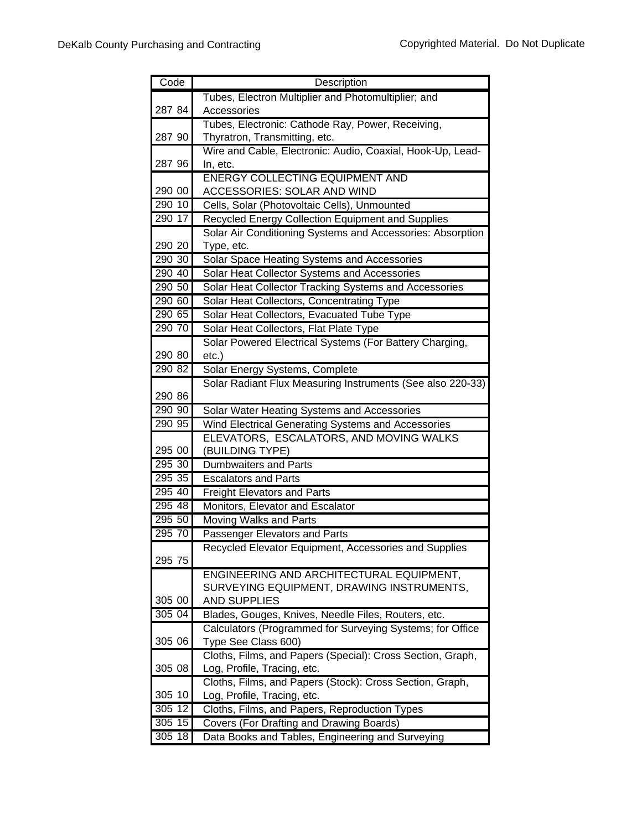| Code   | Description                                                |
|--------|------------------------------------------------------------|
|        | Tubes, Electron Multiplier and Photomultiplier; and        |
| 287 84 | Accessories                                                |
|        | Tubes, Electronic: Cathode Ray, Power, Receiving,          |
| 287 90 | Thyratron, Transmitting, etc.                              |
|        | Wire and Cable, Electronic: Audio, Coaxial, Hook-Up, Lead- |
| 287 96 | In, etc.                                                   |
|        | <b>ENERGY COLLECTING EQUIPMENT AND</b>                     |
| 290 00 | ACCESSORIES: SOLAR AND WIND                                |
| 290 10 | Cells, Solar (Photovoltaic Cells), Unmounted               |
| 290 17 | Recycled Energy Collection Equipment and Supplies          |
|        | Solar Air Conditioning Systems and Accessories: Absorption |
| 290 20 | Type, etc.                                                 |
| 290 30 | Solar Space Heating Systems and Accessories                |
| 290 40 | Solar Heat Collector Systems and Accessories               |
| 290 50 | Solar Heat Collector Tracking Systems and Accessories      |
| 290 60 | Solar Heat Collectors, Concentrating Type                  |
| 290 65 | Solar Heat Collectors, Evacuated Tube Type                 |
| 290 70 | Solar Heat Collectors, Flat Plate Type                     |
|        | Solar Powered Electrical Systems (For Battery Charging,    |
| 290 80 | $etc.$ )                                                   |
| 290 82 | Solar Energy Systems, Complete                             |
|        | Solar Radiant Flux Measuring Instruments (See also 220-33) |
| 290 86 |                                                            |
| 290 90 | Solar Water Heating Systems and Accessories                |
| 290 95 | Wind Electrical Generating Systems and Accessories         |
| 295 00 | ELEVATORS, ESCALATORS, AND MOVING WALKS                    |
| 295 30 | (BUILDING TYPE)<br>Dumbwaiters and Parts                   |
| 295 35 | <b>Escalators and Parts</b>                                |
| 295 40 | <b>Freight Elevators and Parts</b>                         |
| 295 48 | Monitors, Elevator and Escalator                           |
| 295 50 | Moving Walks and Parts                                     |
| 295 70 | Passenger Elevators and Parts                              |
|        | Recycled Elevator Equipment, Accessories and Supplies      |
| 295 75 |                                                            |
|        | ENGINEERING AND ARCHITECTURAL EQUIPMENT,                   |
|        | SURVEYING EQUIPMENT, DRAWING INSTRUMENTS,                  |
| 305 00 | <b>AND SUPPLIES</b>                                        |
| 305 04 | Blades, Gouges, Knives, Needle Files, Routers, etc.        |
|        | Calculators (Programmed for Surveying Systems; for Office  |
| 305 06 | Type See Class 600)                                        |
|        | Cloths, Films, and Papers (Special): Cross Section, Graph, |
| 305 08 | Log, Profile, Tracing, etc.                                |
|        | Cloths, Films, and Papers (Stock): Cross Section, Graph,   |
| 305 10 | Log, Profile, Tracing, etc.                                |
| 305 12 | Cloths, Films, and Papers, Reproduction Types              |
| 305 15 | Covers (For Drafting and Drawing Boards)                   |
| 305 18 | Data Books and Tables, Engineering and Surveying           |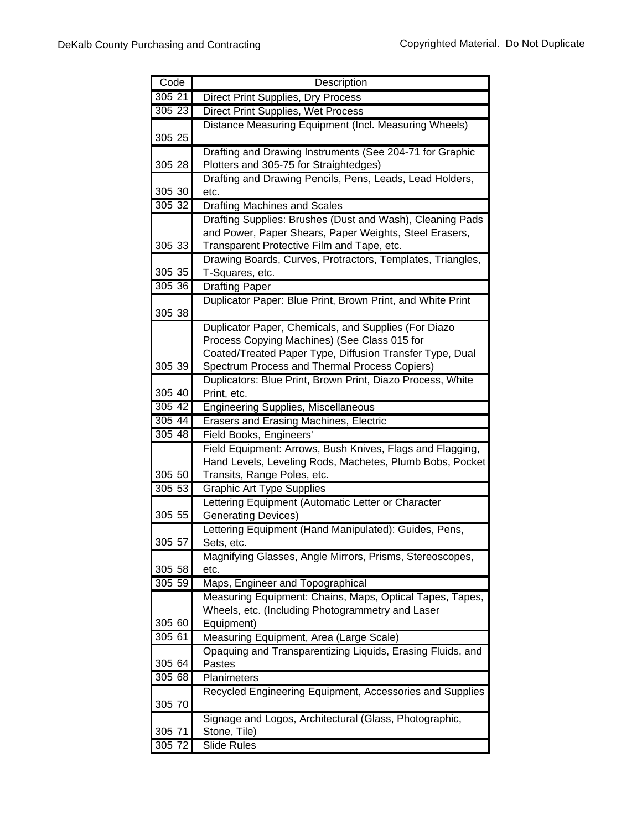| Code   | Description                                                                                                  |
|--------|--------------------------------------------------------------------------------------------------------------|
| 305 21 | Direct Print Supplies, Dry Process                                                                           |
| 305 23 | Direct Print Supplies, Wet Process                                                                           |
|        | Distance Measuring Equipment (Incl. Measuring Wheels)                                                        |
| 305 25 |                                                                                                              |
|        | Drafting and Drawing Instruments (See 204-71 for Graphic                                                     |
| 305 28 | Plotters and 305-75 for Straightedges)                                                                       |
|        | Drafting and Drawing Pencils, Pens, Leads, Lead Holders,                                                     |
| 305 30 | etc.                                                                                                         |
| 305 32 | Drafting Machines and Scales                                                                                 |
|        | Drafting Supplies: Brushes (Dust and Wash), Cleaning Pads                                                    |
|        | and Power, Paper Shears, Paper Weights, Steel Erasers,                                                       |
| 305 33 | Transparent Protective Film and Tape, etc.                                                                   |
|        | Drawing Boards, Curves, Protractors, Templates, Triangles,                                                   |
| 305 35 | T-Squares, etc.                                                                                              |
| 305 36 | <b>Drafting Paper</b>                                                                                        |
| 305 38 | Duplicator Paper: Blue Print, Brown Print, and White Print                                                   |
|        | Duplicator Paper, Chemicals, and Supplies (For Diazo                                                         |
|        | Process Copying Machines) (See Class 015 for                                                                 |
|        | Coated/Treated Paper Type, Diffusion Transfer Type, Dual                                                     |
| 305 39 | Spectrum Process and Thermal Process Copiers)                                                                |
|        | Duplicators: Blue Print, Brown Print, Diazo Process, White                                                   |
| 305 40 | Print, etc.                                                                                                  |
| 305 42 | <b>Engineering Supplies, Miscellaneous</b>                                                                   |
| 305 44 | <b>Erasers and Erasing Machines, Electric</b>                                                                |
| 305 48 | Field Books, Engineers'                                                                                      |
|        | Field Equipment: Arrows, Bush Knives, Flags and Flagging,                                                    |
|        | Hand Levels, Leveling Rods, Machetes, Plumb Bobs, Pocket                                                     |
| 305 50 | Transits, Range Poles, etc.                                                                                  |
| 305 53 | <b>Graphic Art Type Supplies</b>                                                                             |
|        | Lettering Equipment (Automatic Letter or Character                                                           |
| 305 55 | <b>Generating Devices)</b>                                                                                   |
|        | Lettering Equipment (Hand Manipulated): Guides, Pens,                                                        |
| 305 57 | Sets, etc.                                                                                                   |
|        | Magnifying Glasses, Angle Mirrors, Prisms, Stereoscopes,                                                     |
| 305 58 | etc.                                                                                                         |
| 30559  | Maps, Engineer and Topographical                                                                             |
|        | Measuring Equipment: Chains, Maps, Optical Tapes, Tapes,<br>Wheels, etc. (Including Photogrammetry and Laser |
| 305 60 | Equipment)                                                                                                   |
| 305 61 | Measuring Equipment, Area (Large Scale)                                                                      |
|        | Opaquing and Transparentizing Liquids, Erasing Fluids, and                                                   |
| 305 64 | Pastes                                                                                                       |
| 30568  | Planimeters                                                                                                  |
|        | Recycled Engineering Equipment, Accessories and Supplies                                                     |
| 305 70 |                                                                                                              |
|        | Signage and Logos, Architectural (Glass, Photographic,                                                       |
| 305 71 | Stone, Tile)                                                                                                 |
| 305 72 | Slide Rules                                                                                                  |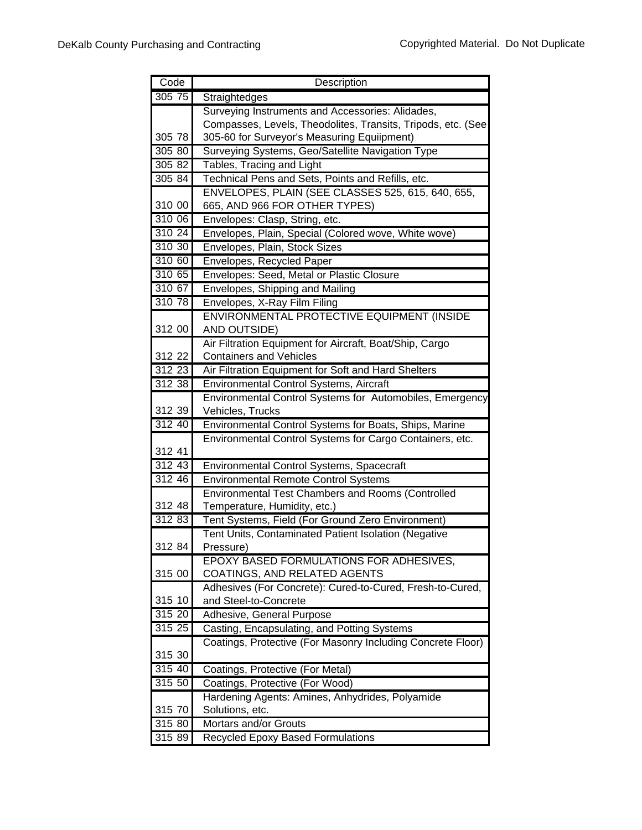| Code            | Description                                                                                             |
|-----------------|---------------------------------------------------------------------------------------------------------|
| $305\,75$       | Straightedges                                                                                           |
|                 | Surveying Instruments and Accessories: Alidades,                                                        |
|                 | Compasses, Levels, Theodolites, Transits, Tripods, etc. (See                                            |
| 305 78          | 305-60 for Surveyor's Measuring Equiipment)                                                             |
| 305 80          | Surveying Systems, Geo/Satellite Navigation Type                                                        |
| 305 82          | Tables, Tracing and Light                                                                               |
| 305 84          | Technical Pens and Sets, Points and Refills, etc.                                                       |
|                 | ENVELOPES, PLAIN (SEE CLASSES 525, 615, 640, 655,                                                       |
| 310 00          | 665, AND 966 FOR OTHER TYPES)                                                                           |
| 310 06          | Envelopes: Clasp, String, etc.                                                                          |
| 310 24          | Envelopes, Plain, Special (Colored wove, White wove)                                                    |
| 310 30          | Envelopes, Plain, Stock Sizes                                                                           |
| 310 60          | Envelopes, Recycled Paper                                                                               |
| 310 65          | Envelopes: Seed, Metal or Plastic Closure                                                               |
| 310 67          | Envelopes, Shipping and Mailing                                                                         |
| 310 78          | Envelopes, X-Ray Film Filing                                                                            |
|                 | ENVIRONMENTAL PROTECTIVE EQUIPMENT (INSIDE                                                              |
| 312 00          | AND OUTSIDE)                                                                                            |
|                 | Air Filtration Equipment for Aircraft, Boat/Ship, Cargo                                                 |
| 312 22          | <b>Containers and Vehicles</b>                                                                          |
| 312 23          | Air Filtration Equipment for Soft and Hard Shelters                                                     |
| 312 38          | Environmental Control Systems, Aircraft                                                                 |
|                 | Environmental Control Systems for Automobiles, Emergency                                                |
| 312 39          | Vehicles, Trucks                                                                                        |
| 312 40          | Environmental Control Systems for Boats, Ships, Marine                                                  |
|                 | Environmental Control Systems for Cargo Containers, etc.                                                |
| 312 41          |                                                                                                         |
| 31243<br>312 46 | Environmental Control Systems, Spacecraft                                                               |
|                 | <b>Environmental Remote Control Systems</b><br><b>Environmental Test Chambers and Rooms (Controlled</b> |
| 312 48          | Temperature, Humidity, etc.)                                                                            |
| 31283           | Tent Systems, Field (For Ground Zero Environment)                                                       |
|                 | Tent Units, Contaminated Patient Isolation (Negative                                                    |
| 312 84          | Pressure)                                                                                               |
|                 | EPOXY BASED FORMULATIONS FOR ADHESIVES,                                                                 |
| 315 00          | COATINGS, AND RELATED AGENTS                                                                            |
|                 | Adhesives (For Concrete): Cured-to-Cured, Fresh-to-Cured,                                               |
| 315 10          | and Steel-to-Concrete                                                                                   |
| 315 20          | Adhesive, General Purpose                                                                               |
| 315 25          | Casting, Encapsulating, and Potting Systems                                                             |
|                 | Coatings, Protective (For Masonry Including Concrete Floor)                                             |
| 315 30          |                                                                                                         |
| 315 40          | Coatings, Protective (For Metal)                                                                        |
| 315,50          | Coatings, Protective (For Wood)                                                                         |
|                 | Hardening Agents: Amines, Anhydrides, Polyamide                                                         |
| 315 70          | Solutions, etc.                                                                                         |
| 315 80          | <b>Mortars and/or Grouts</b>                                                                            |
| 315 89          | Recycled Epoxy Based Formulations                                                                       |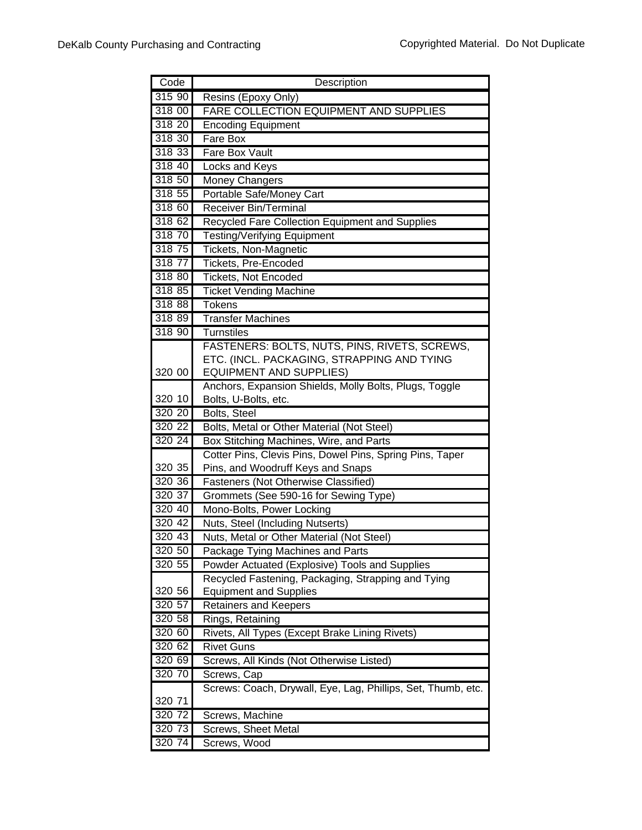| Code   | Description                                                  |
|--------|--------------------------------------------------------------|
| 315 90 | Resins (Epoxy Only)                                          |
| 318 00 | FARE COLLECTION EQUIPMENT AND SUPPLIES                       |
| 318 20 | <b>Encoding Equipment</b>                                    |
| 318 30 | Fare Box                                                     |
| 318 33 | <b>Fare Box Vault</b>                                        |
| 318 40 | <b>Locks and Keys</b>                                        |
| 318 50 | Money Changers                                               |
| 318 55 | Portable Safe/Money Cart                                     |
| 318 60 | Receiver Bin/Terminal                                        |
| 318 62 | Recycled Fare Collection Equipment and Supplies              |
| 318 70 | <b>Testing/Verifying Equipment</b>                           |
| 318 75 | Tickets, Non-Magnetic                                        |
| 318 77 | Tickets, Pre-Encoded                                         |
| 318 80 | <b>Tickets, Not Encoded</b>                                  |
| 318 85 | <b>Ticket Vending Machine</b>                                |
| 318 88 | <b>Tokens</b>                                                |
| 318 89 | <b>Transfer Machines</b>                                     |
| 318 90 | <b>Turnstiles</b>                                            |
|        | FASTENERS: BOLTS, NUTS, PINS, RIVETS, SCREWS,                |
|        | ETC. (INCL. PACKAGING, STRAPPING AND TYING                   |
| 320 00 | <b>EQUIPMENT AND SUPPLIES)</b>                               |
|        | Anchors, Expansion Shields, Molly Bolts, Plugs, Toggle       |
| 320 10 | Bolts, U-Bolts, etc.                                         |
| 320 20 | Bolts, Steel                                                 |
| 320 22 | Bolts, Metal or Other Material (Not Steel)                   |
| 320 24 | Box Stitching Machines, Wire, and Parts                      |
|        | Cotter Pins, Clevis Pins, Dowel Pins, Spring Pins, Taper     |
| 320 35 | Pins, and Woodruff Keys and Snaps                            |
| 320 36 | Fasteners (Not Otherwise Classified)                         |
| 320 37 | Grommets (See 590-16 for Sewing Type)                        |
| 320 40 | Mono-Bolts, Power Locking                                    |
| 320 42 | Nuts, Steel (Including Nutserts)                             |
| 320 43 | Nuts, Metal or Other Material (Not Steel)                    |
| 320 50 | Package Tying Machines and Parts                             |
| 320 55 | Powder Actuated (Explosive) Tools and Supplies               |
|        | Recycled Fastening, Packaging, Strapping and Tying           |
| 320 56 | <b>Equipment and Supplies</b>                                |
| 320 57 | <b>Retainers and Keepers</b>                                 |
| 320 58 | Rings, Retaining                                             |
| 320 60 | Rivets, All Types (Except Brake Lining Rivets)               |
| 320 62 | <b>Rivet Guns</b>                                            |
| 320 69 | Screws, All Kinds (Not Otherwise Listed)                     |
| 320 70 | Screws, Cap                                                  |
|        | Screws: Coach, Drywall, Eye, Lag, Phillips, Set, Thumb, etc. |
| 320 71 |                                                              |
| 320 72 | Screws, Machine                                              |
| 320 73 | Screws, Sheet Metal                                          |
| 320 74 | Screws, Wood                                                 |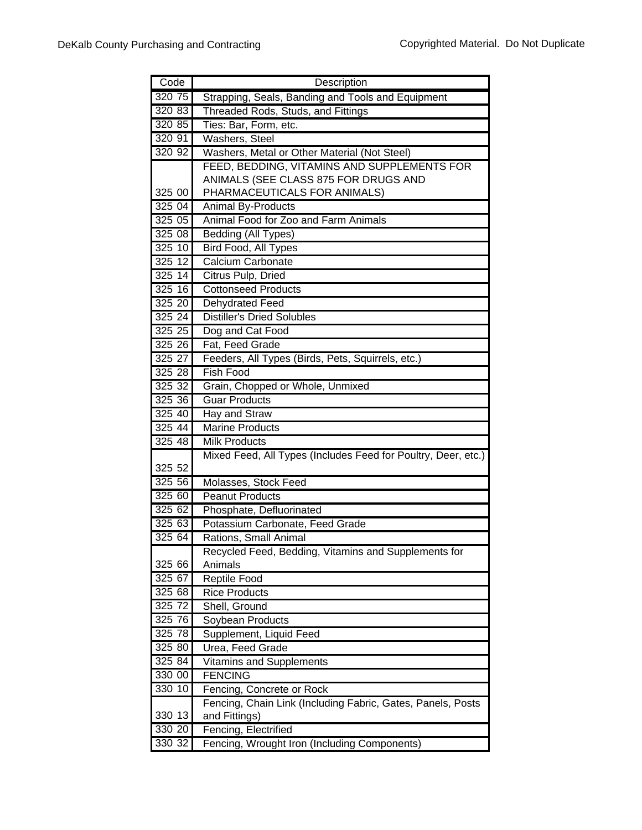| Code   | Description                                                   |
|--------|---------------------------------------------------------------|
| 320 75 | Strapping, Seals, Banding and Tools and Equipment             |
| 320 83 | Threaded Rods, Studs, and Fittings                            |
| 320 85 | Ties: Bar, Form, etc.                                         |
| 320 91 | <b>Washers, Steel</b>                                         |
| 320 92 | Washers, Metal or Other Material (Not Steel)                  |
|        | FEED, BEDDING, VITAMINS AND SUPPLEMENTS FOR                   |
|        | ANIMALS (SEE CLASS 875 FOR DRUGS AND                          |
| 325 00 | PHARMACEUTICALS FOR ANIMALS)                                  |
| 325 04 | <b>Animal By-Products</b>                                     |
| 325 05 | Animal Food for Zoo and Farm Animals                          |
| 32508  | Bedding (All Types)                                           |
| 325 10 | Bird Food, All Types                                          |
| 325 12 | Calcium Carbonate                                             |
| 325 14 | Citrus Pulp, Dried                                            |
| 325 16 | <b>Cottonseed Products</b>                                    |
| 325 20 | Dehydrated Feed                                               |
| 32524  | <b>Distiller's Dried Solubles</b>                             |
| 325 25 | Dog and Cat Food                                              |
| 325 26 | Fat, Feed Grade                                               |
| 325 27 | Feeders, All Types (Birds, Pets, Squirrels, etc.)             |
| 325 28 | Fish Food                                                     |
| 325 32 | Grain, Chopped or Whole, Unmixed                              |
| 325 36 | <b>Guar Products</b>                                          |
| 325 40 | Hay and Straw                                                 |
| 325 44 | <b>Marine Products</b>                                        |
| 325 48 | <b>Milk Products</b>                                          |
|        | Mixed Feed, All Types (Includes Feed for Poultry, Deer, etc.) |
| 325 52 |                                                               |
| 325 56 | Molasses, Stock Feed                                          |
| 325 60 | <b>Peanut Products</b>                                        |
| 325 62 | Phosphate, Defluorinated                                      |
| 325 63 | Potassium Carbonate, Feed Grade                               |
| 325 64 | Rations, Small Animal                                         |
|        | Recycled Feed, Bedding, Vitamins and Supplements for          |
| 325 66 | Animals                                                       |
| 325 67 | Reptile Food                                                  |
| 325 68 | <b>Rice Products</b>                                          |
| 325 72 | Shell, Ground                                                 |
| 325 76 | Soybean Products                                              |
| 325 78 | Supplement, Liquid Feed                                       |
| 325 80 | Urea, Feed Grade                                              |
| 325 84 | <b>Vitamins and Supplements</b>                               |
| 330 00 | <b>FENCING</b>                                                |
| 330 10 | Fencing, Concrete or Rock                                     |
|        | Fencing, Chain Link (Including Fabric, Gates, Panels, Posts   |
| 330 13 | and Fittings)                                                 |
| 330 20 | Fencing, Electrified                                          |
| 330 32 | Fencing, Wrought Iron (Including Components)                  |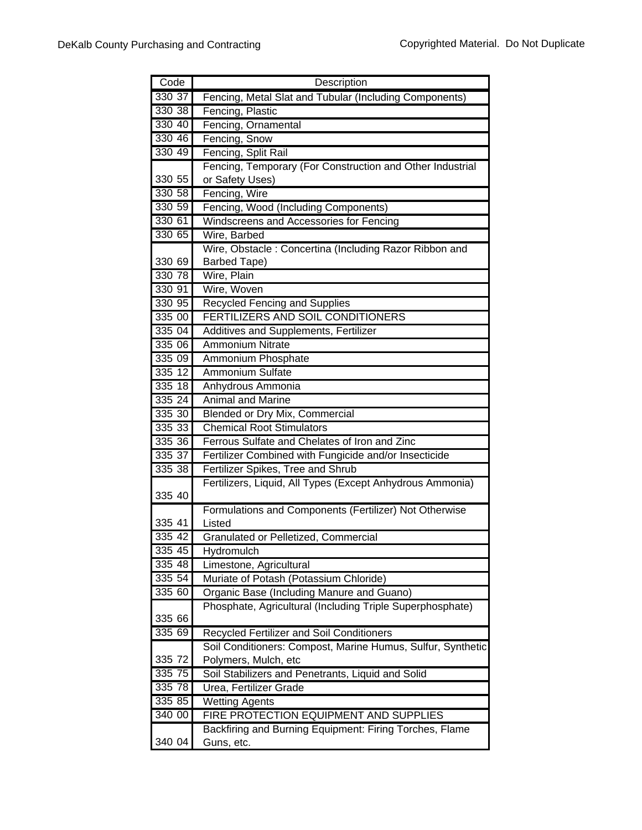| Code       | Description                                                 |
|------------|-------------------------------------------------------------|
| 330 37     | Fencing, Metal Slat and Tubular (Including Components)      |
| 330 38     | Fencing, Plastic                                            |
| 330 40     | Fencing, Ornamental                                         |
| 330 46     | Fencing, Snow                                               |
| 330 49     | Fencing, Split Rail                                         |
|            | Fencing, Temporary (For Construction and Other Industrial   |
| 330 55     | or Safety Uses)                                             |
| 330 58     | Fencing, Wire                                               |
| 330 59     | Fencing, Wood (Including Components)                        |
| 330 61     | Windscreens and Accessories for Fencing                     |
| 330 65     | Wire, Barbed                                                |
|            | Wire, Obstacle: Concertina (Including Razor Ribbon and      |
| 330 69     | Barbed Tape)                                                |
| 330 78     | Wire, Plain                                                 |
| 330 91     | Wire, Woven                                                 |
| 330 95     | <b>Recycled Fencing and Supplies</b>                        |
| 335 00     | <b>FERTILIZERS AND SOIL CONDITIONERS</b>                    |
| 335 04     | Additives and Supplements, Fertilizer                       |
| 335 06     | <b>Ammonium Nitrate</b>                                     |
| 335 09     | Ammonium Phosphate                                          |
| $335 \ 12$ | <b>Ammonium Sulfate</b>                                     |
| 335 18     | Anhydrous Ammonia                                           |
| 335 24     | <b>Animal and Marine</b>                                    |
| 335 30     | Blended or Dry Mix, Commercial                              |
| 335 33     | <b>Chemical Root Stimulators</b>                            |
| 335 36     | Ferrous Sulfate and Chelates of Iron and Zinc               |
| 335 37     | Fertilizer Combined with Fungicide and/or Insecticide       |
| 335 38     | Fertilizer Spikes, Tree and Shrub                           |
| 335 40     | Fertilizers, Liquid, All Types (Except Anhydrous Ammonia)   |
|            | Formulations and Components (Fertilizer) Not Otherwise      |
| 335 41     | Listed                                                      |
| 335 42     | Granulated or Pelletized, Commercial                        |
| 335 45     | Hydromulch                                                  |
| 335 48     | Limestone, Agricultural                                     |
| 335 54     | Muriate of Potash (Potassium Chloride)                      |
| 335 60     | Organic Base (Including Manure and Guano)                   |
|            | Phosphate, Agricultural (Including Triple Superphosphate)   |
| 335 66     |                                                             |
| 335 69     | <b>Recycled Fertilizer and Soil Conditioners</b>            |
|            | Soil Conditioners: Compost, Marine Humus, Sulfur, Synthetic |
| 335 72     | Polymers, Mulch, etc                                        |
| 335 75     | Soil Stabilizers and Penetrants, Liquid and Solid           |
| 335 78     | Urea, Fertilizer Grade                                      |
| 335 85     | <b>Wetting Agents</b>                                       |
| 340 00     | FIRE PROTECTION EQUIPMENT AND SUPPLIES                      |
|            | Backfiring and Burning Equipment: Firing Torches, Flame     |
| 340 04     | Guns, etc.                                                  |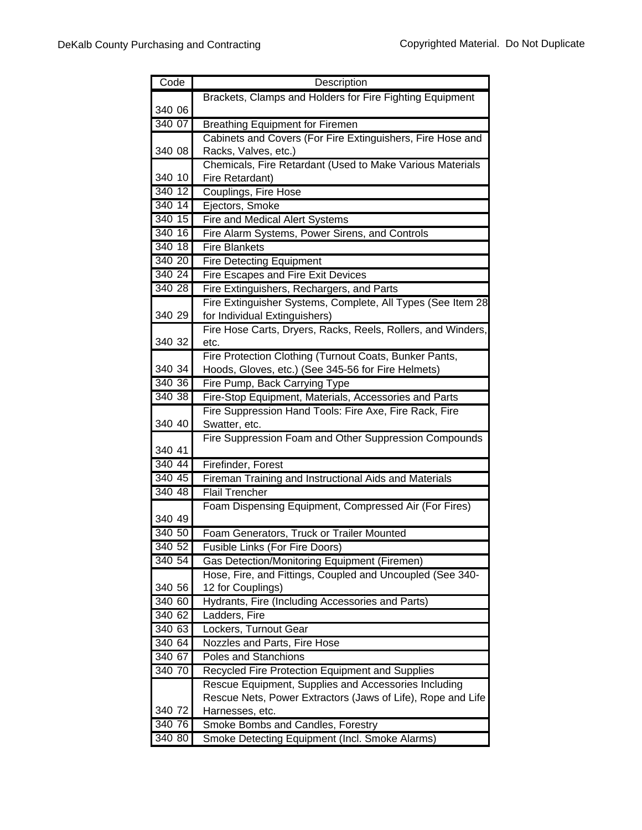| Code   | Description                                                                        |
|--------|------------------------------------------------------------------------------------|
|        | Brackets, Clamps and Holders for Fire Fighting Equipment                           |
| 340 06 |                                                                                    |
| 340 07 | <b>Breathing Equipment for Firemen</b>                                             |
|        | Cabinets and Covers (For Fire Extinguishers, Fire Hose and                         |
| 340 08 | Racks, Valves, etc.)                                                               |
|        | Chemicals, Fire Retardant (Used to Make Various Materials                          |
| 340 10 | Fire Retardant)                                                                    |
| 340 12 | Couplings, Fire Hose                                                               |
| 340 14 | Ejectors, Smoke                                                                    |
| 340 15 | Fire and Medical Alert Systems                                                     |
| 340 16 | Fire Alarm Systems, Power Sirens, and Controls                                     |
| 340 18 | <b>Fire Blankets</b>                                                               |
| 340 20 | <b>Fire Detecting Equipment</b>                                                    |
| 340 24 | Fire Escapes and Fire Exit Devices                                                 |
| 340 28 | Fire Extinguishers, Rechargers, and Parts                                          |
|        | Fire Extinguisher Systems, Complete, All Types (See Item 28                        |
| 340 29 | for Individual Extinguishers)                                                      |
|        | Fire Hose Carts, Dryers, Racks, Reels, Rollers, and Winders,                       |
| 340 32 | etc.                                                                               |
|        | Fire Protection Clothing (Turnout Coats, Bunker Pants,                             |
| 340 34 | Hoods, Gloves, etc.) (See 345-56 for Fire Helmets)                                 |
| 340 36 | Fire Pump, Back Carrying Type                                                      |
| 340 38 | Fire-Stop Equipment, Materials, Accessories and Parts                              |
|        | Fire Suppression Hand Tools: Fire Axe, Fire Rack, Fire                             |
| 340 40 | Swatter, etc.                                                                      |
|        | Fire Suppression Foam and Other Suppression Compounds                              |
| 340 41 |                                                                                    |
| 340 44 | Firefinder, Forest                                                                 |
| 340 45 | Fireman Training and Instructional Aids and Materials                              |
| 340 48 | <b>Flail Trencher</b>                                                              |
| 340 49 | Foam Dispensing Equipment, Compressed Air (For Fires)                              |
| 340 50 |                                                                                    |
| 340 52 | Foam Generators, Truck or Trailer Mounted<br><b>Fusible Links (For Fire Doors)</b> |
| 340 54 | Gas Detection/Monitoring Equipment (Firemen)                                       |
|        | Hose, Fire, and Fittings, Coupled and Uncoupled (See 340-                          |
| 340 56 | 12 for Couplings)                                                                  |
| 340 60 | Hydrants, Fire (Including Accessories and Parts)                                   |
| 340 62 | Ladders, Fire                                                                      |
| 340 63 | Lockers, Turnout Gear                                                              |
| 340 64 | Nozzles and Parts, Fire Hose                                                       |
| 340 67 | <b>Poles and Stanchions</b>                                                        |
| 340 70 | Recycled Fire Protection Equipment and Supplies                                    |
|        | Rescue Equipment, Supplies and Accessories Including                               |
|        | Rescue Nets, Power Extractors (Jaws of Life), Rope and Life                        |
| 340 72 | Harnesses, etc.                                                                    |
| 340 76 | Smoke Bombs and Candles, Forestry                                                  |
| 340 80 | Smoke Detecting Equipment (Incl. Smoke Alarms)                                     |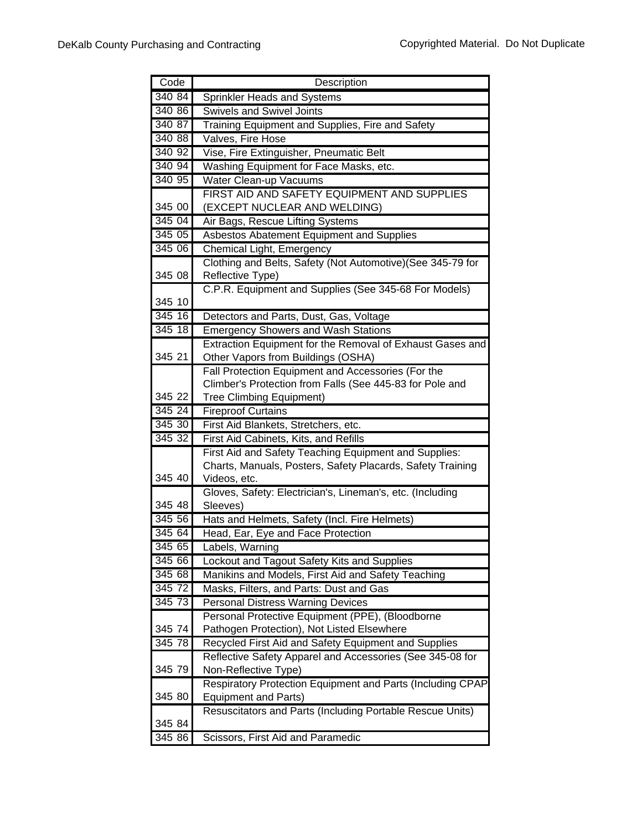| Code      | Description                                                           |
|-----------|-----------------------------------------------------------------------|
| 340 84    | Sprinkler Heads and Systems                                           |
| 340 86    | <b>Swivels and Swivel Joints</b>                                      |
| 340 87    | Training Equipment and Supplies, Fire and Safety                      |
| 340 88    | Valves, Fire Hose                                                     |
| 340 92    | Vise, Fire Extinguisher, Pneumatic Belt                               |
| 340 94    | Washing Equipment for Face Masks, etc.                                |
| 340 95    | Water Clean-up Vacuums                                                |
|           | FIRST AID AND SAFETY EQUIPMENT AND SUPPLIES                           |
| 345 00    | (EXCEPT NUCLEAR AND WELDING)                                          |
| 345 04    | Air Bags, Rescue Lifting Systems                                      |
| 34505     | Asbestos Abatement Equipment and Supplies                             |
| 345 06    | Chemical Light, Emergency                                             |
|           | Clothing and Belts, Safety (Not Automotive)(See 345-79 for            |
| 345 08    | Reflective Type)                                                      |
|           | C.P.R. Equipment and Supplies (See 345-68 For Models)                 |
| 345 10    |                                                                       |
| 345 16    | Detectors and Parts, Dust, Gas, Voltage                               |
| 345 18    | <b>Emergency Showers and Wash Stations</b>                            |
|           | Extraction Equipment for the Removal of Exhaust Gases and             |
| 345 21    | Other Vapors from Buildings (OSHA)                                    |
|           | Fall Protection Equipment and Accessories (For the                    |
|           | Climber's Protection from Falls (See 445-83 for Pole and              |
| 345 22    | <b>Tree Climbing Equipment)</b>                                       |
| 345 24    | <b>Fireproof Curtains</b>                                             |
| 345 30    | First Aid Blankets, Stretchers, etc.                                  |
| 345 32    | First Aid Cabinets, Kits, and Refills                                 |
|           | First Aid and Safety Teaching Equipment and Supplies:                 |
| 345 40    | Charts, Manuals, Posters, Safety Placards, Safety Training            |
|           | Videos, etc.                                                          |
| 345 48    | Gloves, Safety: Electrician's, Lineman's, etc. (Including<br>Sleeves) |
| 345 56    | Hats and Helmets, Safety (Incl. Fire Helmets)                         |
| 345 64    | Head, Ear, Eye and Face Protection                                    |
| 345 65    | Labels, Warning                                                       |
| 345 66    | Lockout and Tagout Safety Kits and Supplies                           |
| 345 68    | Manikins and Models, First Aid and Safety Teaching                    |
| 345 72    | Masks, Filters, and Parts: Dust and Gas                               |
| 345 73    | <b>Personal Distress Warning Devices</b>                              |
|           | Personal Protective Equipment (PPE), (Bloodborne                      |
| 345 74    | Pathogen Protection), Not Listed Elsewhere                            |
| $345\,78$ | Recycled First Aid and Safety Equipment and Supplies                  |
|           | Reflective Safety Apparel and Accessories (See 345-08 for             |
| 345 79    | Non-Reflective Type)                                                  |
|           | Respiratory Protection Equipment and Parts (Including CPAP            |
| 345 80    | <b>Equipment and Parts)</b>                                           |
|           | Resuscitators and Parts (Including Portable Rescue Units)             |
| 345 84    |                                                                       |
| 345 86    | Scissors, First Aid and Paramedic                                     |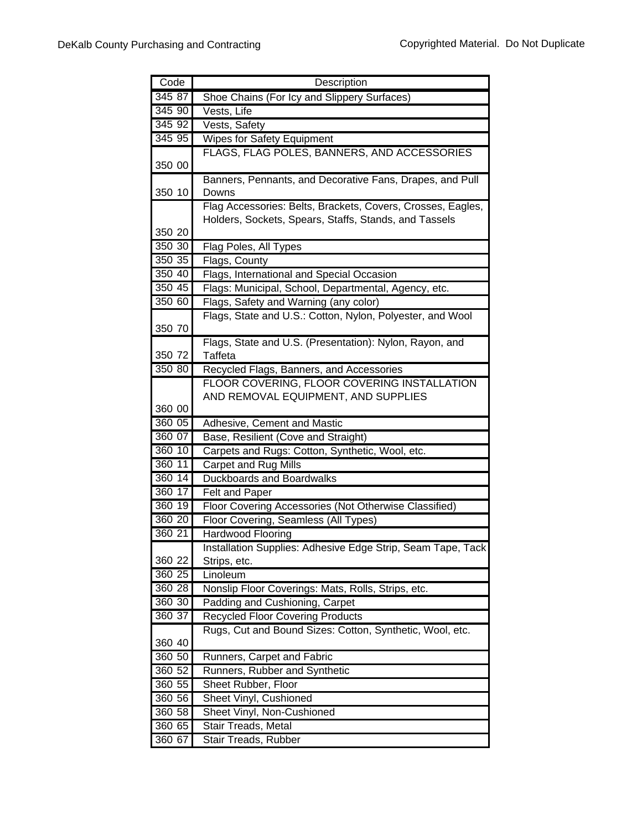| Code   | Description                                                                             |
|--------|-----------------------------------------------------------------------------------------|
| 345 87 | Shoe Chains (For Icy and Slippery Surfaces)                                             |
| 345 90 | Vests, Life                                                                             |
| 345 92 | Vests, Safety                                                                           |
| 345 95 | <b>Wipes for Safety Equipment</b>                                                       |
|        | FLAGS, FLAG POLES, BANNERS, AND ACCESSORIES                                             |
| 350 00 |                                                                                         |
|        | Banners, Pennants, and Decorative Fans, Drapes, and Pull                                |
| 350 10 | Downs                                                                                   |
|        | Flag Accessories: Belts, Brackets, Covers, Crosses, Eagles,                             |
|        | Holders, Sockets, Spears, Staffs, Stands, and Tassels                                   |
| 350 20 |                                                                                         |
| 350 30 | Flag Poles, All Types                                                                   |
| 350 35 | Flags, County                                                                           |
| 350 40 | Flags, International and Special Occasion                                               |
| 350 45 | Flags: Municipal, School, Departmental, Agency, etc.                                    |
| 350 60 | Flags, Safety and Warning (any color)                                                   |
|        | Flags, State and U.S.: Cotton, Nylon, Polyester, and Wool                               |
| 350 70 |                                                                                         |
| 350 72 | Flags, State and U.S. (Presentation): Nylon, Rayon, and<br><b>Taffeta</b>               |
| 350 80 |                                                                                         |
|        | Recycled Flags, Banners, and Accessories<br>FLOOR COVERING, FLOOR COVERING INSTALLATION |
|        | AND REMOVAL EQUIPMENT, AND SUPPLIES                                                     |
| 360 00 |                                                                                         |
| 360 05 | Adhesive, Cement and Mastic                                                             |
| 360 07 | Base, Resilient (Cove and Straight)                                                     |
| 360 10 | Carpets and Rugs: Cotton, Synthetic, Wool, etc.                                         |
| 360 11 | Carpet and Rug Mills                                                                    |
| 360 14 | <b>Duckboards and Boardwalks</b>                                                        |
| 360 17 | Felt and Paper                                                                          |
| 360 19 | Floor Covering Accessories (Not Otherwise Classified)                                   |
| 360 20 | Floor Covering, Seamless (All Types)                                                    |
| 36021  | Hardwood Flooring                                                                       |
|        | Installation Supplies: Adhesive Edge Strip, Seam Tape, Tack                             |
| 360 22 | Strips, etc.                                                                            |
| 360 25 | Linoleum                                                                                |
| 360 28 | Nonslip Floor Coverings: Mats, Rolls, Strips, etc.                                      |
| 360 30 | Padding and Cushioning, Carpet                                                          |
| 360 37 | <b>Recycled Floor Covering Products</b>                                                 |
|        | Rugs, Cut and Bound Sizes: Cotton, Synthetic, Wool, etc.                                |
| 360 40 |                                                                                         |
| 360 50 | Runners, Carpet and Fabric                                                              |
| 360 52 | Runners, Rubber and Synthetic                                                           |
| 360 55 | Sheet Rubber, Floor                                                                     |
| 360 56 | Sheet Vinyl, Cushioned                                                                  |
| 360 58 | Sheet Vinyl, Non-Cushioned                                                              |
| 360 65 | Stair Treads, Metal                                                                     |
| 360 67 | Stair Treads, Rubber                                                                    |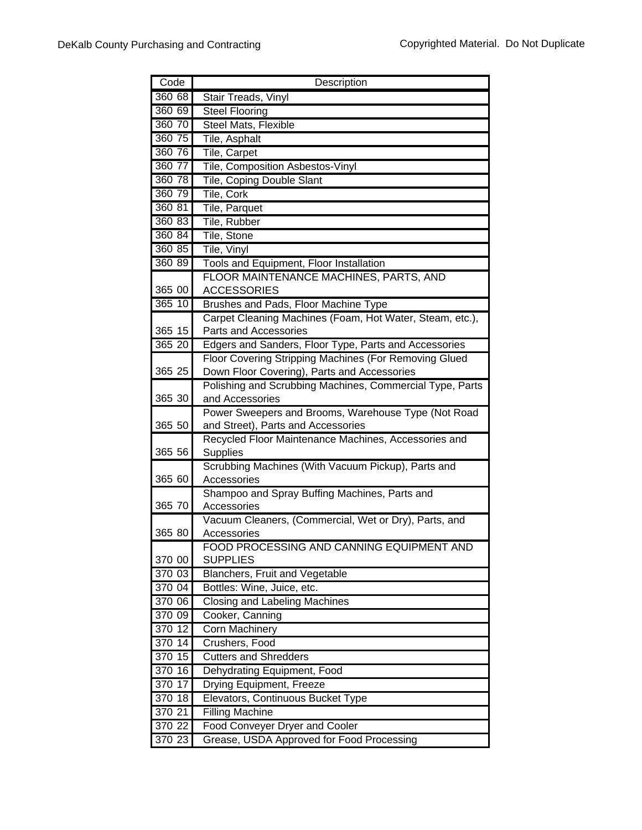| Code   | Description                                                       |
|--------|-------------------------------------------------------------------|
| 360 68 | Stair Treads, Vinyl                                               |
| 360 69 | <b>Steel Flooring</b>                                             |
| 360 70 | Steel Mats, Flexible                                              |
| 360 75 | Tile, Asphalt                                                     |
| 360 76 | Tile, Carpet                                                      |
| 360 77 | Tile, Composition Asbestos-Vinyl                                  |
| 360 78 | Tile, Coping Double Slant                                         |
| 360 79 | Tile, Cork                                                        |
| 360 81 | Tile, Parquet                                                     |
| 360 83 | Tile, Rubber                                                      |
| 360 84 | Tile, Stone                                                       |
| 360 85 | Tile, Vinyl                                                       |
| 360 89 | Tools and Equipment, Floor Installation                           |
|        | FLOOR MAINTENANCE MACHINES, PARTS, AND                            |
| 365 00 | <b>ACCESSORIES</b>                                                |
| 365 10 | Brushes and Pads, Floor Machine Type                              |
|        | Carpet Cleaning Machines (Foam, Hot Water, Steam, etc.),          |
| 365 15 | Parts and Accessories                                             |
| 365 20 | Edgers and Sanders, Floor Type, Parts and Accessories             |
|        | Floor Covering Stripping Machines (For Removing Glued             |
| 365 25 | Down Floor Covering), Parts and Accessories                       |
|        | Polishing and Scrubbing Machines, Commercial Type, Parts          |
| 365 30 | and Accessories                                                   |
|        | Power Sweepers and Brooms, Warehouse Type (Not Road               |
| 365 50 | and Street), Parts and Accessories                                |
|        | Recycled Floor Maintenance Machines, Accessories and              |
| 365 56 | <b>Supplies</b>                                                   |
| 365 60 | Scrubbing Machines (With Vacuum Pickup), Parts and<br>Accessories |
|        | Shampoo and Spray Buffing Machines, Parts and                     |
| 365 70 | Accessories                                                       |
|        | Vacuum Cleaners, (Commercial, Wet or Dry), Parts, and             |
| 365 80 | Accessories                                                       |
|        | FOOD PROCESSING AND CANNING EQUIPMENT AND                         |
| 370 00 | <b>SUPPLIES</b>                                                   |
| 370 03 | Blanchers, Fruit and Vegetable                                    |
| 370 04 | Bottles: Wine, Juice, etc.                                        |
| 370 06 | Closing and Labeling Machines                                     |
| 370 09 | Cooker, Canning                                                   |
| 370 12 | <b>Corn Machinery</b>                                             |
| 370 14 | Crushers, Food                                                    |
| 370 15 | <b>Cutters and Shredders</b>                                      |
| 370 16 | Dehydrating Equipment, Food                                       |
| 370 17 | Drying Equipment, Freeze                                          |
| 370 18 | Elevators, Continuous Bucket Type                                 |
| 370 21 | <b>Filling Machine</b>                                            |
| 370 22 | <b>Food Conveyer Dryer and Cooler</b>                             |
| 370 23 | Grease, USDA Approved for Food Processing                         |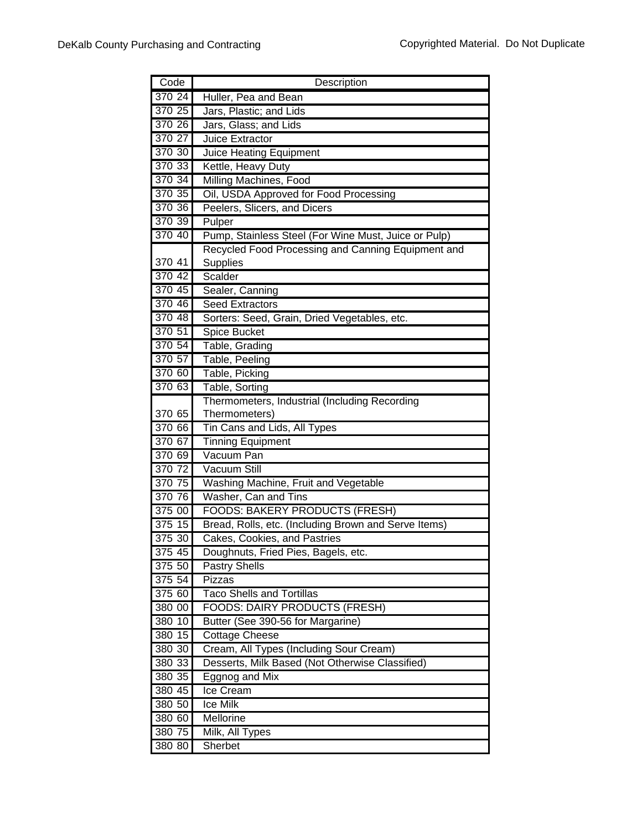| Code             | Description                                                                                   |
|------------------|-----------------------------------------------------------------------------------------------|
| 370 24           | Huller, Pea and Bean                                                                          |
| 370 25           | Jars, Plastic; and Lids                                                                       |
| 370 26           | Jars, Glass; and Lids                                                                         |
| 370 27           | Juice Extractor                                                                               |
| 370 30           | <b>Juice Heating Equipment</b>                                                                |
| 370 33           | Kettle, Heavy Duty                                                                            |
| 370 34           | Milling Machines, Food                                                                        |
| 370 35           | Oil, USDA Approved for Food Processing                                                        |
| 370 36           | Peelers, Slicers, and Dicers                                                                  |
| 370 39           | Pulper                                                                                        |
| 370 40           | Pump, Stainless Steel (For Wine Must, Juice or Pulp)                                          |
|                  | Recycled Food Processing and Canning Equipment and                                            |
| 370 41           | Supplies                                                                                      |
| 370 42           | Scalder                                                                                       |
| 370 45           | Sealer, Canning                                                                               |
| 370 46           | <b>Seed Extractors</b>                                                                        |
| 370 48           | Sorters: Seed, Grain, Dried Vegetables, etc.                                                  |
| 370 51           | Spice Bucket                                                                                  |
| 370 54           | Table, Grading                                                                                |
| 370 57           | Table, Peeling                                                                                |
| 370 60           | Table, Picking                                                                                |
| 370 63           | Table, Sorting                                                                                |
|                  | Thermometers, Industrial (Including Recording                                                 |
| 370 65           | Thermometers)                                                                                 |
| 370 66           | Tin Cans and Lids, All Types                                                                  |
| 370 67           | <b>Tinning Equipment</b>                                                                      |
| 370 69           | Vacuum Pan                                                                                    |
| 370 72           | <b>Vacuum Still</b>                                                                           |
| 370 75           | Washing Machine, Fruit and Vegetable                                                          |
| 370 76           | Washer, Can and Tins                                                                          |
| 375 00<br>375 15 | <b>FOODS: BAKERY PRODUCTS (FRESH)</b><br>Bread, Rolls, etc. (Including Brown and Serve Items) |
| 375 30           | Cakes, Cookies, and Pastries                                                                  |
| 375 45           |                                                                                               |
| 375 50           | Doughnuts, Fried Pies, Bagels, etc.<br><b>Pastry Shells</b>                                   |
| 375 54           | Pizzas                                                                                        |
| 375 60           | <b>Taco Shells and Tortillas</b>                                                              |
| 380 00           | <b>FOODS: DAIRY PRODUCTS (FRESH)</b>                                                          |
| 380 10           | Butter (See 390-56 for Margarine)                                                             |
| 380 15           | <b>Cottage Cheese</b>                                                                         |
| 380 30           | Cream, All Types (Including Sour Cream)                                                       |
| 380 33           | Desserts, Milk Based (Not Otherwise Classified)                                               |
| 380 35           | <b>Eggnog and Mix</b>                                                                         |
| 380 45           | Ice Cream                                                                                     |
| 380 50           | Ice Milk                                                                                      |
| 380 60           | Mellorine                                                                                     |
| 380 75           | Milk, All Types                                                                               |
| 380 80           | Sherbet                                                                                       |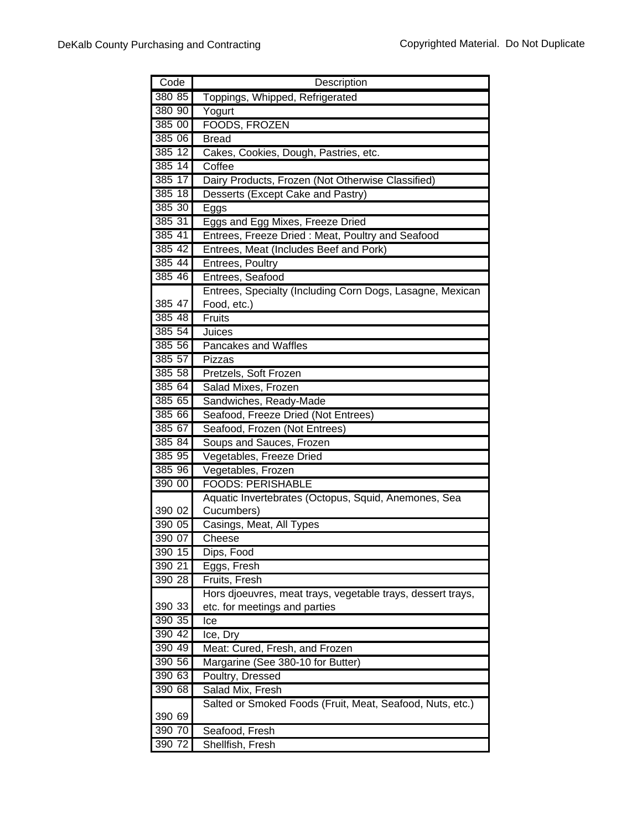| Code   | Description                                                 |
|--------|-------------------------------------------------------------|
| 380 85 | Toppings, Whipped, Refrigerated                             |
| 380 90 | Yogurt                                                      |
| 385 00 | FOODS, FROZEN                                               |
| 385 06 | <b>Bread</b>                                                |
| 38512  | Cakes, Cookies, Dough, Pastries, etc.                       |
| 385 14 | Coffee                                                      |
| 385 17 | Dairy Products, Frozen (Not Otherwise Classified)           |
| 385 18 | Desserts (Except Cake and Pastry)                           |
| 385 30 | Eggs                                                        |
| 385 31 | Eggs and Egg Mixes, Freeze Dried                            |
| 385 41 | Entrees, Freeze Dried: Meat, Poultry and Seafood            |
| 385 42 | Entrees, Meat (Includes Beef and Pork)                      |
| 385 44 | Entrees, Poultry                                            |
| 385 46 | Entrees, Seafood                                            |
|        | Entrees, Specialty (Including Corn Dogs, Lasagne, Mexican   |
| 385 47 | Food, etc.)                                                 |
| 385 48 | Fruits                                                      |
| 385 54 | Juices                                                      |
| 385 56 | Pancakes and Waffles                                        |
| 385 57 | Pizzas                                                      |
| 385 58 | Pretzels, Soft Frozen                                       |
| 385 64 | Salad Mixes, Frozen                                         |
| 385 65 | Sandwiches, Ready-Made                                      |
| 385 66 | Seafood, Freeze Dried (Not Entrees)                         |
| 385 67 | Seafood, Frozen (Not Entrees)                               |
| 385 84 | Soups and Sauces, Frozen                                    |
| 385 95 | Vegetables, Freeze Dried                                    |
| 385 96 | Vegetables, Frozen                                          |
| 390 00 | <b>FOODS: PERISHABLE</b>                                    |
|        | Aquatic Invertebrates (Octopus, Squid, Anemones, Sea        |
| 390 02 | Cucumbers)                                                  |
| 390 05 | Casings, Meat, All Types                                    |
| 390 07 | Cheese                                                      |
| 390 15 | Dips, Food                                                  |
| 390 21 | Eggs, Fresh                                                 |
| 390 28 | Fruits, Fresh                                               |
|        | Hors djoeuvres, meat trays, vegetable trays, dessert trays, |
| 390 33 | etc. for meetings and parties                               |
| 390 35 | Ice                                                         |
| 390 42 | Ice, Dry                                                    |
| 390 49 | Meat: Cured, Fresh, and Frozen                              |
| 390 56 | Margarine (See 380-10 for Butter)                           |
| 390 63 | Poultry, Dressed                                            |
| 390 68 | Salad Mix, Fresh                                            |
|        | Salted or Smoked Foods (Fruit, Meat, Seafood, Nuts, etc.)   |
| 390 69 |                                                             |
| 390 70 | Seafood, Fresh                                              |
| 390 72 | Shellfish, Fresh                                            |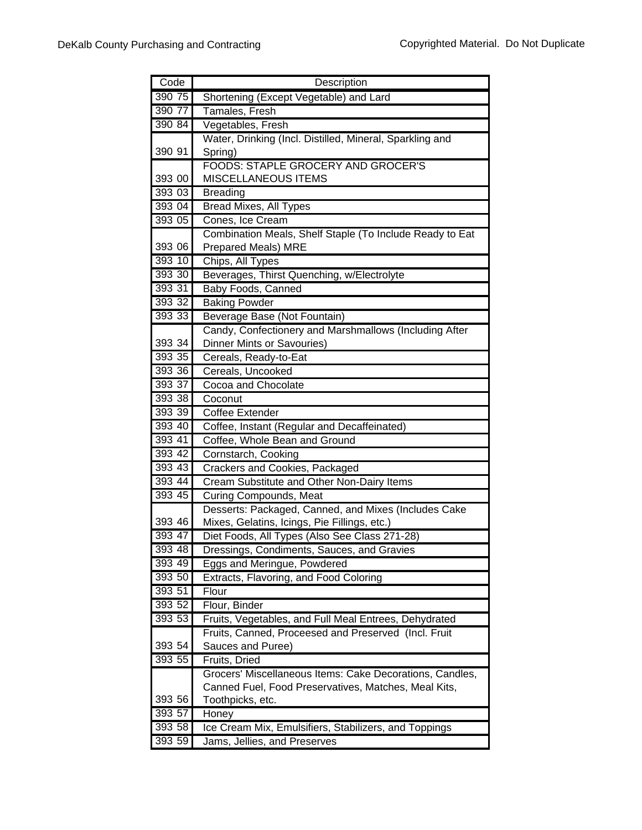| Code   | Description                                              |
|--------|----------------------------------------------------------|
| 390 75 | Shortening (Except Vegetable) and Lard                   |
| 390 77 | Tamales, Fresh                                           |
| 390 84 | Vegetables, Fresh                                        |
|        | Water, Drinking (Incl. Distilled, Mineral, Sparkling and |
| 390 91 | Spring)                                                  |
|        | <b>FOODS: STAPLE GROCERY AND GROCER'S</b>                |
| 393 00 | <b>MISCELLANEOUS ITEMS</b>                               |
| 393 03 | <b>Breading</b>                                          |
| 393 04 | Bread Mixes, All Types                                   |
| 393 05 | Cones, Ice Cream                                         |
|        | Combination Meals, Shelf Staple (To Include Ready to Eat |
| 393 06 | Prepared Meals) MRE                                      |
| 393 10 | Chips, All Types                                         |
| 393 30 | Beverages, Thirst Quenching, w/Electrolyte               |
| 393 31 | Baby Foods, Canned                                       |
| 393 32 | <b>Baking Powder</b>                                     |
| 393 33 | Beverage Base (Not Fountain)                             |
|        | Candy, Confectionery and Marshmallows (Including After   |
| 393 34 | <b>Dinner Mints or Savouries)</b>                        |
| 393 35 | Cereals, Ready-to-Eat                                    |
| 393 36 | Cereals, Uncooked                                        |
| 393 37 | Cocoa and Chocolate                                      |
| 393 38 | Coconut                                                  |
| 393 39 | <b>Coffee Extender</b>                                   |
| 393 40 | Coffee, Instant (Regular and Decaffeinated)              |
| 393 41 | Coffee, Whole Bean and Ground                            |
| 393 42 | Cornstarch, Cooking                                      |
| 393 43 | Crackers and Cookies, Packaged                           |
| 393 44 | Cream Substitute and Other Non-Dairy Items               |
| 393 45 | <b>Curing Compounds, Meat</b>                            |
|        | Desserts: Packaged, Canned, and Mixes (Includes Cake     |
| 393 46 | Mixes, Gelatins, Icings, Pie Fillings, etc.)             |
| 393 47 | Diet Foods, All Types (Also See Class 271-28)            |
| 393 48 | Dressings, Condiments, Sauces, and Gravies               |
| 393 49 | Eggs and Meringue, Powdered                              |
| 393 50 | Extracts, Flavoring, and Food Coloring                   |
| 393 51 | Flour                                                    |
| 393 52 | Flour, Binder                                            |
| 393 53 | Fruits, Vegetables, and Full Meal Entrees, Dehydrated    |
|        | Fruits, Canned, Proceesed and Preserved (Incl. Fruit     |
| 393 54 | Sauces and Puree)                                        |
| 393 55 | Fruits, Dried                                            |
|        | Grocers' Miscellaneous Items: Cake Decorations, Candles, |
|        | Canned Fuel, Food Preservatives, Matches, Meal Kits,     |
| 393 56 | Toothpicks, etc.                                         |
| 393 57 | Honey                                                    |
| 393 58 | Ice Cream Mix, Emulsifiers, Stabilizers, and Toppings    |
| 393 59 | Jams, Jellies, and Preserves                             |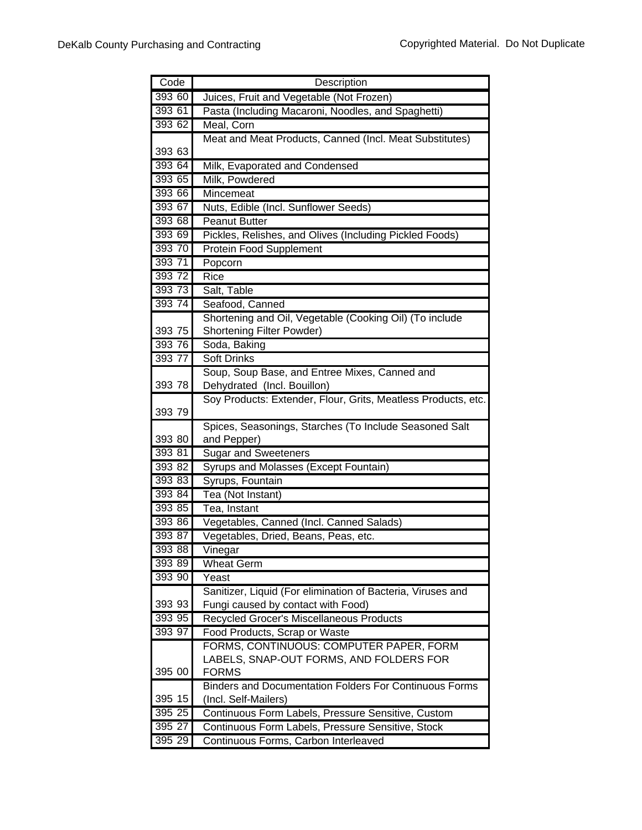| Code   | Description                                                                                  |
|--------|----------------------------------------------------------------------------------------------|
| 393 60 | Juices, Fruit and Vegetable (Not Frozen)                                                     |
| 393 61 | Pasta (Including Macaroni, Noodles, and Spaghetti)                                           |
| 393 62 | Meal, Corn                                                                                   |
|        | Meat and Meat Products, Canned (Incl. Meat Substitutes)                                      |
| 393 63 |                                                                                              |
| 393 64 | Milk, Evaporated and Condensed                                                               |
| 393 65 | Milk, Powdered                                                                               |
| 393 66 | Mincemeat                                                                                    |
| 393 67 | Nuts, Edible (Incl. Sunflower Seeds)                                                         |
| 393 68 | Peanut Butter                                                                                |
| 393 69 | Pickles, Relishes, and Olives (Including Pickled Foods)                                      |
| 393 70 | Protein Food Supplement                                                                      |
| 393 71 | Popcorn                                                                                      |
| 393 72 | Rice                                                                                         |
| 393 73 | Salt, Table                                                                                  |
| 393 74 | Seafood, Canned                                                                              |
|        | Shortening and Oil, Vegetable (Cooking Oil) (To include                                      |
| 393 75 | <b>Shortening Filter Powder)</b>                                                             |
| 393 76 | Soda, Baking                                                                                 |
| 393 77 | <b>Soft Drinks</b>                                                                           |
| 393 78 | Soup, Soup Base, and Entree Mixes, Canned and                                                |
|        | Dehydrated (Incl. Bouillon)<br>Soy Products: Extender, Flour, Grits, Meatless Products, etc. |
| 393 79 |                                                                                              |
|        | Spices, Seasonings, Starches (To Include Seasoned Salt                                       |
| 393 80 | and Pepper)                                                                                  |
| 393 81 | <b>Sugar and Sweeteners</b>                                                                  |
| 393 82 | Syrups and Molasses (Except Fountain)                                                        |
| 393 83 | Syrups, Fountain                                                                             |
| 393 84 | Tea (Not Instant)                                                                            |
| 393 85 | Tea, Instant                                                                                 |
| 393 86 | Vegetables, Canned (Incl. Canned Salads)                                                     |
| 393 87 | Vegetables, Dried, Beans, Peas, etc.                                                         |
| 393 88 | Vinegar                                                                                      |
| 393 89 | <b>Wheat Germ</b>                                                                            |
| 393 90 | Yeast                                                                                        |
|        | Sanitizer, Liquid (For elimination of Bacteria, Viruses and                                  |
| 393 93 | Fungi caused by contact with Food)                                                           |
| 393 95 | Recycled Grocer's Miscellaneous Products                                                     |
| 393 97 | Food Products, Scrap or Waste                                                                |
|        | FORMS, CONTINUOUS: COMPUTER PAPER, FORM                                                      |
| 395 00 | LABELS, SNAP-OUT FORMS, AND FOLDERS FOR                                                      |
|        | <b>FORMS</b><br><b>Binders and Documentation Folders For Continuous Forms</b>                |
| 395 15 | (Incl. Self-Mailers)                                                                         |
| 395 25 | Continuous Form Labels, Pressure Sensitive, Custom                                           |
| 395 27 | Continuous Form Labels, Pressure Sensitive, Stock                                            |
| 395 29 | Continuous Forms, Carbon Interleaved                                                         |
|        |                                                                                              |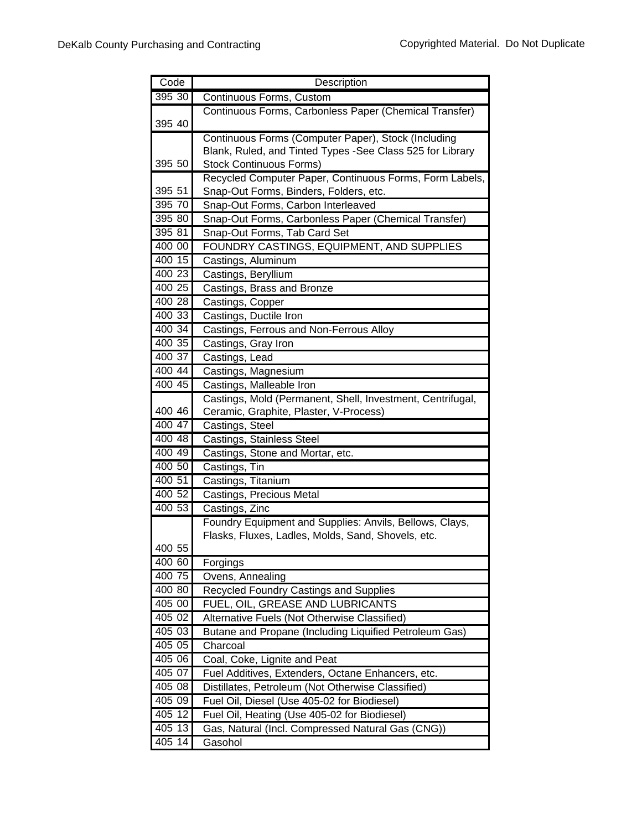| Code   | Description                                                |
|--------|------------------------------------------------------------|
| 395 30 | Continuous Forms, Custom                                   |
|        | Continuous Forms, Carbonless Paper (Chemical Transfer)     |
| 395 40 |                                                            |
|        | Continuous Forms (Computer Paper), Stock (Including        |
|        | Blank, Ruled, and Tinted Types -See Class 525 for Library  |
| 395 50 | <b>Stock Continuous Forms)</b>                             |
|        | Recycled Computer Paper, Continuous Forms, Form Labels,    |
| 395 51 | Snap-Out Forms, Binders, Folders, etc.                     |
| 395 70 | Snap-Out Forms, Carbon Interleaved                         |
| 395 80 | Snap-Out Forms, Carbonless Paper (Chemical Transfer)       |
| 395 81 | Snap-Out Forms, Tab Card Set                               |
| 400 00 | FOUNDRY CASTINGS, EQUIPMENT, AND SUPPLIES                  |
| 400 15 | Castings, Aluminum                                         |
| 400 23 | Castings, Beryllium                                        |
| 400 25 | Castings, Brass and Bronze                                 |
| 400 28 | Castings, Copper                                           |
| 400 33 | Castings, Ductile Iron                                     |
| 400 34 | Castings, Ferrous and Non-Ferrous Alloy                    |
| 400 35 | Castings, Gray Iron                                        |
| 400 37 | Castings, Lead                                             |
| 400 44 | Castings, Magnesium                                        |
| 400 45 | Castings, Malleable Iron                                   |
|        | Castings, Mold (Permanent, Shell, Investment, Centrifugal, |
| 400 46 | Ceramic, Graphite, Plaster, V-Process)                     |
| 400 47 | Castings, Steel                                            |
| 400 48 | Castings, Stainless Steel                                  |
| 400 49 | Castings, Stone and Mortar, etc.                           |
| 400 50 | Castings, Tin                                              |
| 400 51 | Castings, Titanium                                         |
| 400 52 | Castings, Precious Metal                                   |
| 400 53 | Castings, Zinc                                             |
|        | Foundry Equipment and Supplies: Anvils, Bellows, Clays,    |
|        | Flasks, Fluxes, Ladles, Molds, Sand, Shovels, etc.         |
| 400 55 |                                                            |
| 400 60 | Forgings                                                   |
| 400 75 | Ovens, Annealing                                           |
| 400 80 | <b>Recycled Foundry Castings and Supplies</b>              |
| 405 00 | FUEL, OIL, GREASE AND LUBRICANTS                           |
| 405 02 | Alternative Fuels (Not Otherwise Classified)               |
| 40503  | Butane and Propane (Including Liquified Petroleum Gas)     |
| 405 05 | Charcoal                                                   |
| 405 06 | Coal, Coke, Lignite and Peat                               |
| 405 07 | Fuel Additives, Extenders, Octane Enhancers, etc.          |
| 405 08 | Distillates, Petroleum (Not Otherwise Classified)          |
| 40509  | Fuel Oil, Diesel (Use 405-02 for Biodiesel)                |
| 405 12 | Fuel Oil, Heating (Use 405-02 for Biodiesel)               |
| 405 13 | Gas, Natural (Incl. Compressed Natural Gas (CNG))          |
| 405 14 | Gasohol                                                    |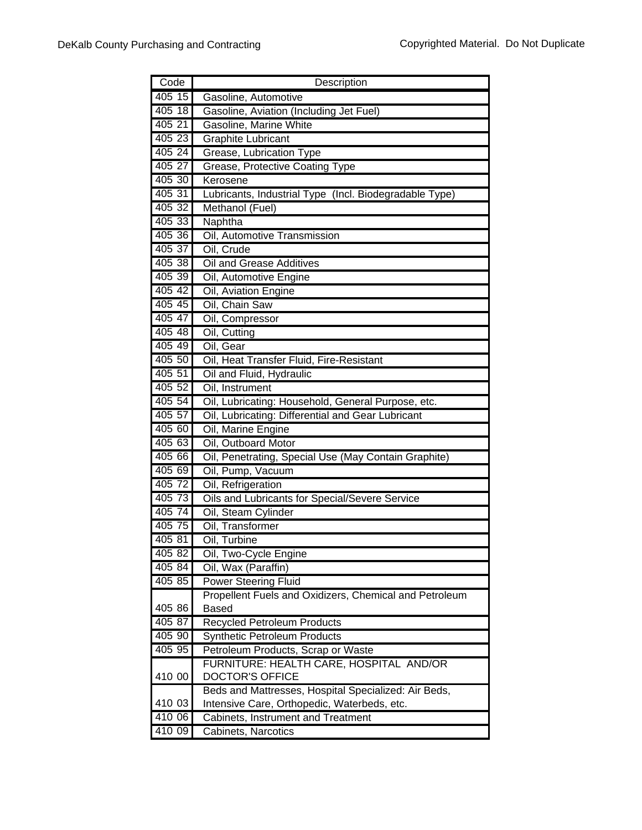| Code     | Description                                            |
|----------|--------------------------------------------------------|
| $405$ 15 | Gasoline, Automotive                                   |
| 405 18   | Gasoline, Aviation (Including Jet Fuel)                |
| 405 21   | Gasoline, Marine White                                 |
| 405 23   | <b>Graphite Lubricant</b>                              |
| 405 24   | Grease, Lubrication Type                               |
| 405 27   | Grease, Protective Coating Type                        |
| 405 30   | Kerosene                                               |
| 405 31   | Lubricants, Industrial Type (Incl. Biodegradable Type) |
| 405 32   | Methanol (Fuel)                                        |
| 405 33   | Naphtha                                                |
| 405 36   | Oil, Automotive Transmission                           |
| 405 37   | Oil, Crude                                             |
| 405 38   | Oil and Grease Additives                               |
| 405 39   | Oil, Automotive Engine                                 |
| 405 42   | Oil, Aviation Engine                                   |
| 405 45   | Oil, Chain Saw                                         |
| 405 47   | Oil, Compressor                                        |
| 405 48   | Oil, Cutting                                           |
| 405 49   | Oil, Gear                                              |
| 405 50   | Oil, Heat Transfer Fluid, Fire-Resistant               |
| 405 51   | Oil and Fluid, Hydraulic                               |
| 405 52   | Oil, Instrument                                        |
| 405 54   | Oil, Lubricating: Household, General Purpose, etc.     |
| 405 57   | Oil, Lubricating: Differential and Gear Lubricant      |
| 405 60   | Oil, Marine Engine                                     |
| 405 63   | Oil, Outboard Motor                                    |
| 405 66   | Oil, Penetrating, Special Use (May Contain Graphite)   |
| 405 69   | Oil, Pump, Vacuum                                      |
| 405 72   | Oil, Refrigeration                                     |
| 405 73   | Oils and Lubricants for Special/Severe Service         |
| 405 74   | Oil, Steam Cylinder                                    |
| 405 75   | Oil, Transformer                                       |
| 405 81   | Oil, Turbine                                           |
| 405 82   | Oil, Two-Cycle Engine                                  |
| 405 84   | Oil, Wax (Paraffin)                                    |
| 405 85   | <b>Power Steering Fluid</b>                            |
|          | Propellent Fuels and Oxidizers, Chemical and Petroleum |
| 405 86   | <b>Based</b>                                           |
| 405 87   | <b>Recycled Petroleum Products</b>                     |
| 40590    | <b>Synthetic Petroleum Products</b>                    |
| 405 95   | Petroleum Products, Scrap or Waste                     |
|          | FURNITURE: HEALTH CARE, HOSPITAL AND/OR                |
| 410 00   | <b>DOCTOR'S OFFICE</b>                                 |
|          | Beds and Mattresses, Hospital Specialized: Air Beds,   |
| 410 03   | Intensive Care, Orthopedic, Waterbeds, etc.            |
| 410 06   | Cabinets, Instrument and Treatment                     |
| 410 09   | Cabinets, Narcotics                                    |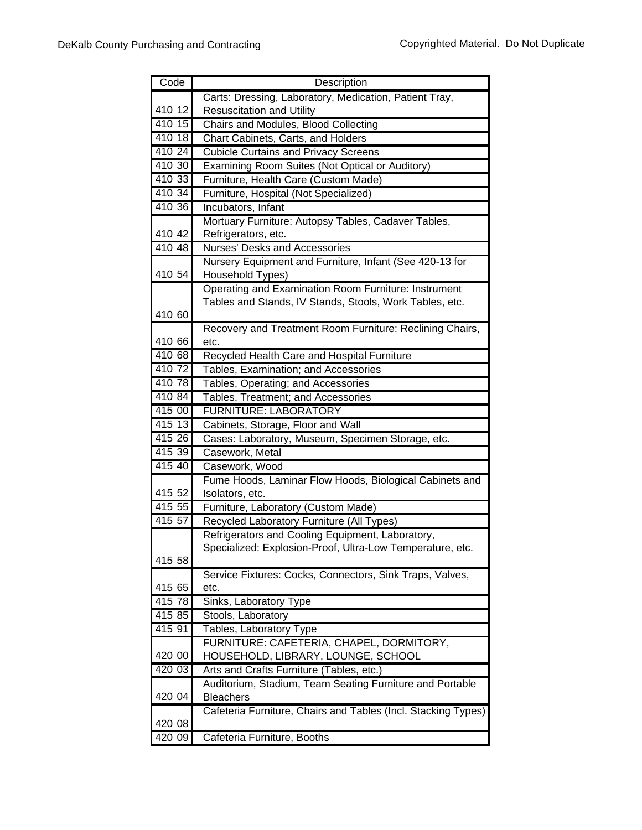| Code             | Description                                                                                                   |
|------------------|---------------------------------------------------------------------------------------------------------------|
|                  | Carts: Dressing, Laboratory, Medication, Patient Tray,                                                        |
| 410 12           | <b>Resuscitation and Utility</b>                                                                              |
| 410 15           | Chairs and Modules, Blood Collecting                                                                          |
| 410 18           | Chart Cabinets, Carts, and Holders                                                                            |
| 410 24           | <b>Cubicle Curtains and Privacy Screens</b>                                                                   |
| 410 30           | Examining Room Suites (Not Optical or Auditory)                                                               |
| 410 33           | Furniture, Health Care (Custom Made)                                                                          |
| 410 34           | Furniture, Hospital (Not Specialized)                                                                         |
| 410.36           | Incubators, Infant                                                                                            |
|                  | Mortuary Furniture: Autopsy Tables, Cadaver Tables,                                                           |
| 410 42           | Refrigerators, etc.                                                                                           |
| 410 48           | <b>Nurses' Desks and Accessories</b>                                                                          |
|                  | Nursery Equipment and Furniture, Infant (See 420-13 for                                                       |
| 410 54           | Household Types)                                                                                              |
|                  | Operating and Examination Room Furniture: Instrument                                                          |
|                  | Tables and Stands, IV Stands, Stools, Work Tables, etc.                                                       |
| 410 60           |                                                                                                               |
|                  | Recovery and Treatment Room Furniture: Reclining Chairs,                                                      |
| 410 66           | etc.                                                                                                          |
| 410 68           | Recycled Health Care and Hospital Furniture                                                                   |
| 410 72           | Tables, Examination; and Accessories                                                                          |
| 410 78           | Tables, Operating; and Accessories                                                                            |
| 410 84           | Tables, Treatment; and Accessories                                                                            |
| 415 00           | <b>FURNITURE: LABORATORY</b>                                                                                  |
| 415 13           | Cabinets, Storage, Floor and Wall                                                                             |
| 415 26           | Cases: Laboratory, Museum, Specimen Storage, etc.                                                             |
| 415 39           | Casework, Metal                                                                                               |
| 415 40           | Casework, Wood                                                                                                |
|                  | Fume Hoods, Laminar Flow Hoods, Biological Cabinets and                                                       |
| 415 52<br>415 55 | Isolators, etc.                                                                                               |
|                  | Furniture, Laboratory (Custom Made)                                                                           |
| 415 57           | Recycled Laboratory Furniture (All Types)                                                                     |
|                  | Refrigerators and Cooling Equipment, Laboratory,<br>Specialized: Explosion-Proof, Ultra-Low Temperature, etc. |
| 415 58           |                                                                                                               |
|                  | Service Fixtures: Cocks, Connectors, Sink Traps, Valves,                                                      |
| 415 65           | etc.                                                                                                          |
| 41578            | Sinks, Laboratory Type                                                                                        |
| 415 85           | Stools, Laboratory                                                                                            |
| 415 91           | Tables, Laboratory Type                                                                                       |
|                  | FURNITURE: CAFETERIA, CHAPEL, DORMITORY,                                                                      |
| 420 00           | HOUSEHOLD, LIBRARY, LOUNGE, SCHOOL                                                                            |
| 420 03           | Arts and Crafts Furniture (Tables, etc.)                                                                      |
|                  | Auditorium, Stadium, Team Seating Furniture and Portable                                                      |
| 420 04           | <b>Bleachers</b>                                                                                              |
|                  | Cafeteria Furniture, Chairs and Tables (Incl. Stacking Types)                                                 |
| 420 08           |                                                                                                               |
| 420 09           | Cafeteria Furniture, Booths                                                                                   |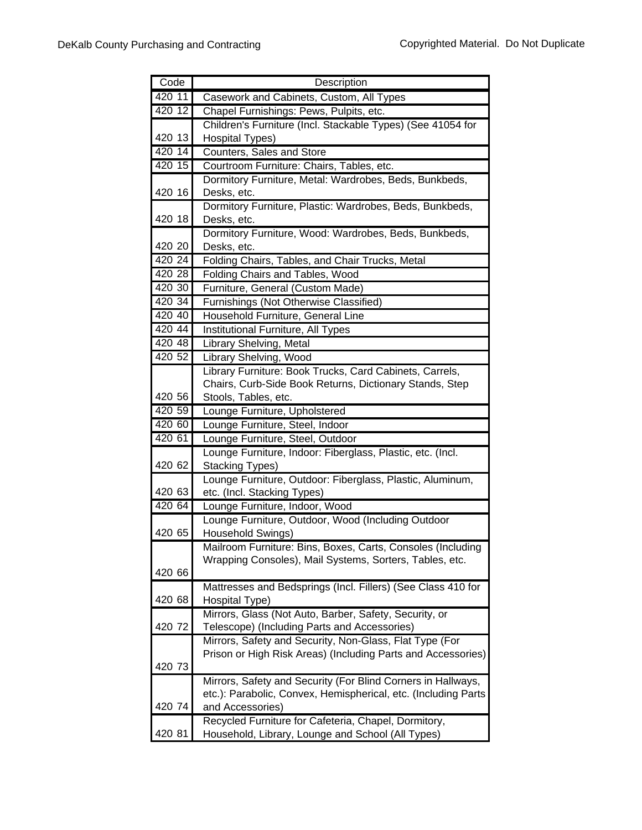| Code   | Description                                                                                                            |
|--------|------------------------------------------------------------------------------------------------------------------------|
| 420 11 | Casework and Cabinets, Custom, All Types                                                                               |
| 420 12 | Chapel Furnishings: Pews, Pulpits, etc.                                                                                |
|        | Children's Furniture (Incl. Stackable Types) (See 41054 for                                                            |
| 420 13 | <b>Hospital Types)</b>                                                                                                 |
| 420 14 | Counters, Sales and Store                                                                                              |
| 420 15 | Courtroom Furniture: Chairs, Tables, etc.                                                                              |
|        | Dormitory Furniture, Metal: Wardrobes, Beds, Bunkbeds,                                                                 |
| 420 16 | Desks, etc.                                                                                                            |
|        | Dormitory Furniture, Plastic: Wardrobes, Beds, Bunkbeds,                                                               |
| 420 18 | Desks, etc.                                                                                                            |
|        | Dormitory Furniture, Wood: Wardrobes, Beds, Bunkbeds,                                                                  |
| 420 20 | Desks, etc.                                                                                                            |
| 420 24 | Folding Chairs, Tables, and Chair Trucks, Metal                                                                        |
| 420 28 | Folding Chairs and Tables, Wood                                                                                        |
| 420 30 | Furniture, General (Custom Made)                                                                                       |
| 420 34 | Furnishings (Not Otherwise Classified)                                                                                 |
| 420 40 | Household Furniture, General Line                                                                                      |
| 420 44 | Institutional Furniture, All Types                                                                                     |
| 420 48 | Library Shelving, Metal                                                                                                |
| 420 52 | Library Shelving, Wood                                                                                                 |
|        | Library Furniture: Book Trucks, Card Cabinets, Carrels,                                                                |
|        | Chairs, Curb-Side Book Returns, Dictionary Stands, Step                                                                |
| 420 56 | Stools, Tables, etc.                                                                                                   |
| 420 59 | Lounge Furniture, Upholstered                                                                                          |
| 420 60 | Lounge Furniture, Steel, Indoor                                                                                        |
| 420 61 | Lounge Furniture, Steel, Outdoor                                                                                       |
|        | Lounge Furniture, Indoor: Fiberglass, Plastic, etc. (Incl.                                                             |
| 420 62 | <b>Stacking Types)</b>                                                                                                 |
|        | Lounge Furniture, Outdoor: Fiberglass, Plastic, Aluminum,                                                              |
| 420 63 | etc. (Incl. Stacking Types)                                                                                            |
| 420 64 | Lounge Furniture, Indoor, Wood                                                                                         |
|        | Lounge Furniture, Outdoor, Wood (Including Outdoor                                                                     |
| 420 65 | Household Swings)                                                                                                      |
|        | Mailroom Furniture: Bins, Boxes, Carts, Consoles (Including<br>Wrapping Consoles), Mail Systems, Sorters, Tables, etc. |
| 420 66 |                                                                                                                        |
|        | Mattresses and Bedsprings (Incl. Fillers) (See Class 410 for                                                           |
| 420 68 | Hospital Type)                                                                                                         |
|        | Mirrors, Glass (Not Auto, Barber, Safety, Security, or                                                                 |
| 420 72 | Telescope) (Including Parts and Accessories)                                                                           |
|        | Mirrors, Safety and Security, Non-Glass, Flat Type (For                                                                |
|        | Prison or High Risk Areas) (Including Parts and Accessories)                                                           |
| 420 73 |                                                                                                                        |
|        | Mirrors, Safety and Security (For Blind Corners in Hallways,                                                           |
|        | etc.): Parabolic, Convex, Hemispherical, etc. (Including Parts                                                         |
| 420 74 | and Accessories)                                                                                                       |
|        | Recycled Furniture for Cafeteria, Chapel, Dormitory,                                                                   |
| 420 81 | Household, Library, Lounge and School (All Types)                                                                      |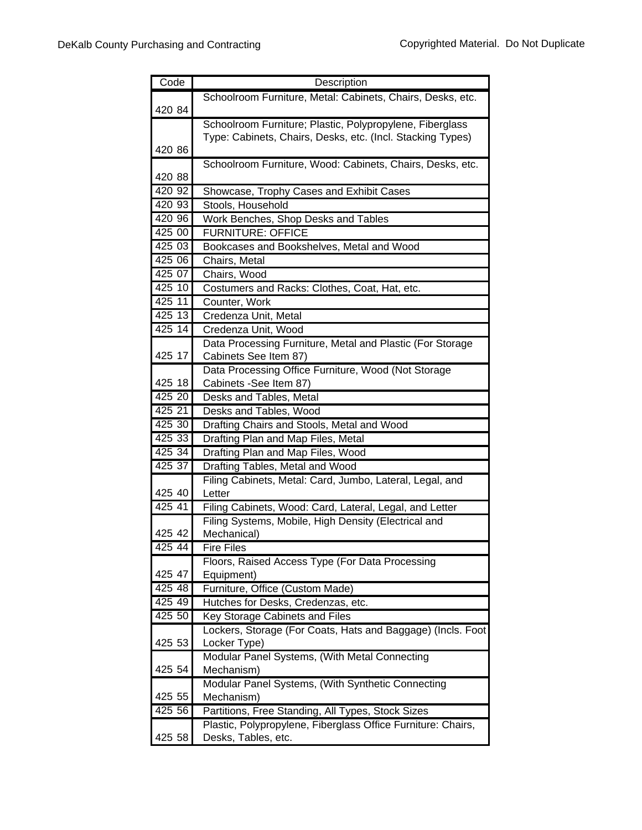| Code               | Description                                                                 |
|--------------------|-----------------------------------------------------------------------------|
|                    | Schoolroom Furniture, Metal: Cabinets, Chairs, Desks, etc.                  |
| 420 84             |                                                                             |
|                    | Schoolroom Furniture; Plastic, Polypropylene, Fiberglass                    |
|                    | Type: Cabinets, Chairs, Desks, etc. (Incl. Stacking Types)                  |
| 420 86             |                                                                             |
|                    | Schoolroom Furniture, Wood: Cabinets, Chairs, Desks, etc.                   |
| 420 88             |                                                                             |
| 420 92             | Showcase, Trophy Cases and Exhibit Cases                                    |
| 420 93             | Stools, Household                                                           |
| 420 96             | Work Benches, Shop Desks and Tables                                         |
| 425 00             | <b>FURNITURE: OFFICE</b>                                                    |
| 425 03             | Bookcases and Bookshelves, Metal and Wood                                   |
| 425 06             | Chairs, Metal                                                               |
| $\frac{1}{425}$ 07 | Chairs, Wood                                                                |
| 425 10             | Costumers and Racks: Clothes, Coat, Hat, etc.                               |
| 425 11             | Counter, Work                                                               |
| 425 13             | Credenza Unit, Metal                                                        |
| 42514              | Credenza Unit, Wood                                                         |
|                    | Data Processing Furniture, Metal and Plastic (For Storage                   |
| 425 17             | Cabinets See Item 87)                                                       |
|                    | Data Processing Office Furniture, Wood (Not Storage                         |
| 425 18             | Cabinets -See Item 87)                                                      |
| 425 20             | Desks and Tables, Metal                                                     |
| 425 21             | Desks and Tables, Wood                                                      |
| 425 30             | Drafting Chairs and Stools, Metal and Wood                                  |
| 425 33             | Drafting Plan and Map Files, Metal                                          |
| 425 34             | Drafting Plan and Map Files, Wood                                           |
| 425 37             | Drafting Tables, Metal and Wood                                             |
|                    | Filing Cabinets, Metal: Card, Jumbo, Lateral, Legal, and                    |
| 425 40             | Letter                                                                      |
| 425 41             | Filing Cabinets, Wood: Card, Lateral, Legal, and Letter                     |
|                    | Filing Systems, Mobile, High Density (Electrical and                        |
| 425 42             | Mechanical)                                                                 |
| 425 44             | <b>Fire Files</b>                                                           |
| 425 47             | Floors, Raised Access Type (For Data Processing<br>Equipment)               |
| 42548              | Furniture, Office (Custom Made)                                             |
| 425 49             |                                                                             |
| 425 50             | Hutches for Desks, Credenzas, etc.<br>Key Storage Cabinets and Files        |
|                    |                                                                             |
| 425 53             | Lockers, Storage (For Coats, Hats and Baggage) (Incls. Foot<br>Locker Type) |
|                    | Modular Panel Systems, (With Metal Connecting                               |
| 425 54             | Mechanism)                                                                  |
|                    | Modular Panel Systems, (With Synthetic Connecting                           |
| 425 55             | Mechanism)                                                                  |
| 425 56             | Partitions, Free Standing, All Types, Stock Sizes                           |
|                    | Plastic, Polypropylene, Fiberglass Office Furniture: Chairs,                |
| 425 58             | Desks, Tables, etc.                                                         |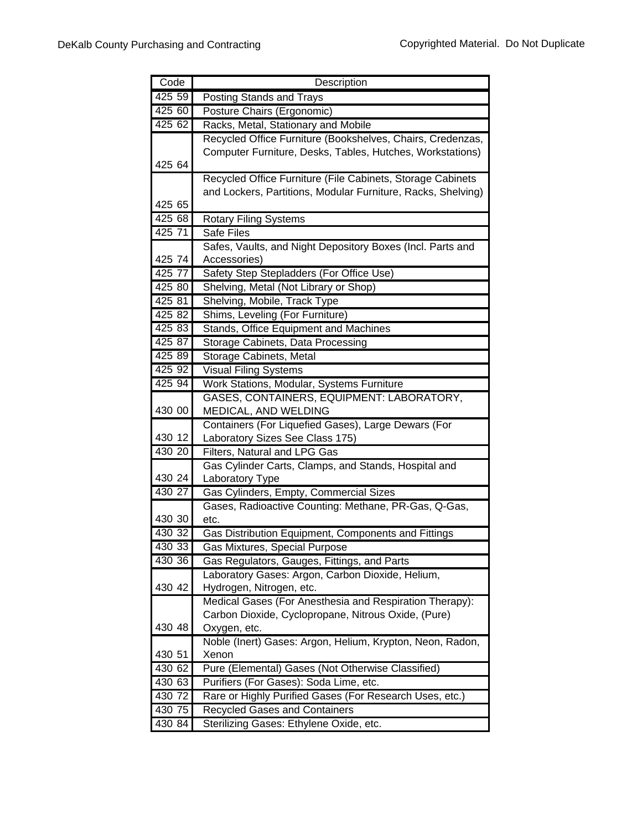| Code   | Description                                                  |
|--------|--------------------------------------------------------------|
| 425 59 | Posting Stands and Trays                                     |
| 425 60 | Posture Chairs (Ergonomic)                                   |
| 425 62 | Racks, Metal, Stationary and Mobile                          |
|        | Recycled Office Furniture (Bookshelves, Chairs, Credenzas,   |
|        | Computer Furniture, Desks, Tables, Hutches, Workstations)    |
| 425 64 |                                                              |
|        | Recycled Office Furniture (File Cabinets, Storage Cabinets   |
|        | and Lockers, Partitions, Modular Furniture, Racks, Shelving) |
| 425 65 |                                                              |
| 425 68 | <b>Rotary Filing Systems</b>                                 |
| 425 71 | <b>Safe Files</b>                                            |
|        | Safes, Vaults, and Night Depository Boxes (Incl. Parts and   |
| 425 74 | Accessories)                                                 |
| 425 77 | Safety Step Stepladders (For Office Use)                     |
| 425 80 | Shelving, Metal (Not Library or Shop)                        |
| 425 81 | Shelving, Mobile, Track Type                                 |
| 425 82 | Shims, Leveling (For Furniture)                              |
| 425 83 | Stands, Office Equipment and Machines                        |
| 425 87 | Storage Cabinets, Data Processing                            |
| 425 89 | Storage Cabinets, Metal                                      |
| 425 92 | <b>Visual Filing Systems</b>                                 |
| 425 94 | Work Stations, Modular, Systems Furniture                    |
|        | GASES, CONTAINERS, EQUIPMENT: LABORATORY,                    |
| 430 00 | MEDICAL, AND WELDING                                         |
|        | Containers (For Liquefied Gases), Large Dewars (For          |
| 430 12 | Laboratory Sizes See Class 175)                              |
| 430 20 | Filters, Natural and LPG Gas                                 |
| 430 24 | Gas Cylinder Carts, Clamps, and Stands, Hospital and         |
| 430 27 | Laboratory Type                                              |
|        | Gas Cylinders, Empty, Commercial Sizes                       |
| 430 30 | Gases, Radioactive Counting: Methane, PR-Gas, Q-Gas,<br>etc. |
| 430 32 | Gas Distribution Equipment, Components and Fittings          |
| 430 33 | Gas Mixtures, Special Purpose                                |
| 430 36 | Gas Regulators, Gauges, Fittings, and Parts                  |
|        | Laboratory Gases: Argon, Carbon Dioxide, Helium,             |
| 430 42 | Hydrogen, Nitrogen, etc.                                     |
|        | Medical Gases (For Anesthesia and Respiration Therapy):      |
|        | Carbon Dioxide, Cyclopropane, Nitrous Oxide, (Pure)          |
| 430 48 | Oxygen, etc.                                                 |
|        | Noble (Inert) Gases: Argon, Helium, Krypton, Neon, Radon,    |
| 430 51 | Xenon                                                        |
| 430 62 | Pure (Elemental) Gases (Not Otherwise Classified)            |
| 430 63 | Purifiers (For Gases): Soda Lime, etc.                       |
| 430 72 | Rare or Highly Purified Gases (For Research Uses, etc.)      |
| 430 75 | <b>Recycled Gases and Containers</b>                         |
| 430 84 | Sterilizing Gases: Ethylene Oxide, etc.                      |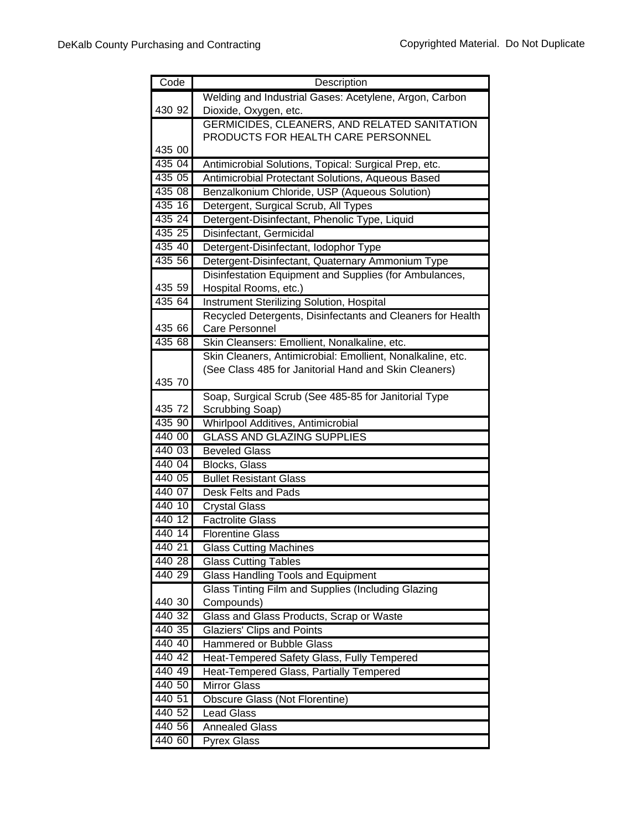| Code   | Description                                                             |
|--------|-------------------------------------------------------------------------|
|        | Welding and Industrial Gases: Acetylene, Argon, Carbon                  |
| 430 92 | Dioxide, Oxygen, etc.                                                   |
|        | GERMICIDES, CLEANERS, AND RELATED SANITATION                            |
|        | PRODUCTS FOR HEALTH CARE PERSONNEL                                      |
| 435 00 |                                                                         |
| 435 04 | Antimicrobial Solutions, Topical: Surgical Prep, etc.                   |
| 435 05 | Antimicrobial Protectant Solutions, Aqueous Based                       |
| 435 08 | Benzalkonium Chloride, USP (Aqueous Solution)                           |
| 435 16 | Detergent, Surgical Scrub, All Types                                    |
| 435 24 | Detergent-Disinfectant, Phenolic Type, Liquid                           |
| 435 25 | Disinfectant, Germicidal                                                |
| 435 40 | Detergent-Disinfectant, Iodophor Type                                   |
| 435 56 | Detergent-Disinfectant, Quaternary Ammonium Type                        |
|        | Disinfestation Equipment and Supplies (for Ambulances,                  |
| 435 59 | Hospital Rooms, etc.)                                                   |
| 435 64 | Instrument Sterilizing Solution, Hospital                               |
|        | Recycled Detergents, Disinfectants and Cleaners for Health              |
| 435 66 | <b>Care Personnel</b>                                                   |
| 435 68 | Skin Cleansers: Emollient, Nonalkaline, etc.                            |
|        | Skin Cleaners, Antimicrobial: Emollient, Nonalkaline, etc.              |
|        | (See Class 485 for Janitorial Hand and Skin Cleaners)                   |
| 435 70 |                                                                         |
| 435 72 | Soap, Surgical Scrub (See 485-85 for Janitorial Type<br>Scrubbing Soap) |
| 435 90 | Whirlpool Additives, Antimicrobial                                      |
| 440 00 | <b>GLASS AND GLAZING SUPPLIES</b>                                       |
| 440 03 | <b>Beveled Glass</b>                                                    |
| 440 04 | <b>Blocks, Glass</b>                                                    |
| 440 05 | <b>Bullet Resistant Glass</b>                                           |
| 440 07 | Desk Felts and Pads                                                     |
| 440 10 | <b>Crystal Glass</b>                                                    |
| 440 12 | <b>Factrolite Glass</b>                                                 |
| 440 14 | <b>Florentine Glass</b>                                                 |
| 440 21 | <b>Glass Cutting Machines</b>                                           |
| 440 28 | <b>Glass Cutting Tables</b>                                             |
| 440 29 | <b>Glass Handling Tools and Equipment</b>                               |
|        | Glass Tinting Film and Supplies (Including Glazing                      |
| 440 30 | Compounds)                                                              |
| 440 32 | Glass and Glass Products, Scrap or Waste                                |
| 440 35 | <b>Glaziers' Clips and Points</b>                                       |
| 440 40 | <b>Hammered or Bubble Glass</b>                                         |
| 440 42 | Heat-Tempered Safety Glass, Fully Tempered                              |
| 440 49 | Heat-Tempered Glass, Partially Tempered                                 |
| 440 50 | <b>Mirror Glass</b>                                                     |
| 440 51 | Obscure Glass (Not Florentine)                                          |
| 440 52 | <b>Lead Glass</b>                                                       |
| 440 56 | <b>Annealed Glass</b>                                                   |
| 440 60 | Pyrex Glass                                                             |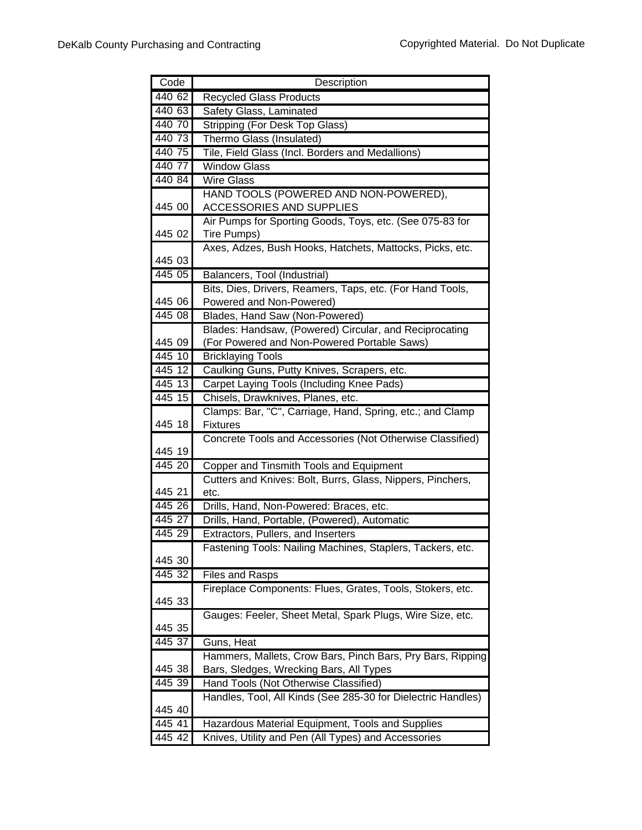| Code      | Description                                                  |
|-----------|--------------------------------------------------------------|
| 440 62    | <b>Recycled Glass Products</b>                               |
| 440 63    | Safety Glass, Laminated                                      |
| 440 70    | Stripping (For Desk Top Glass)                               |
| 440 73    | Thermo Glass (Insulated)                                     |
| 440 75    | Tile, Field Glass (Incl. Borders and Medallions)             |
| 440 77    | <b>Window Glass</b>                                          |
| 440 84    | <b>Wire Glass</b>                                            |
|           | HAND TOOLS (POWERED AND NON-POWERED),                        |
| 445 00    | <b>ACCESSORIES AND SUPPLIES</b>                              |
|           | Air Pumps for Sporting Goods, Toys, etc. (See 075-83 for     |
| 445 02    | Tire Pumps)                                                  |
|           | Axes, Adzes, Bush Hooks, Hatchets, Mattocks, Picks, etc.     |
| 445 03    |                                                              |
| 445 05    | Balancers, Tool (Industrial)                                 |
|           | Bits, Dies, Drivers, Reamers, Taps, etc. (For Hand Tools,    |
| 445 06    | Powered and Non-Powered)                                     |
| 445 08    | Blades, Hand Saw (Non-Powered)                               |
|           | Blades: Handsaw, (Powered) Circular, and Reciprocating       |
| 445 09    | (For Powered and Non-Powered Portable Saws)                  |
| 445 10    | <b>Bricklaying Tools</b>                                     |
| 445 12    | Caulking Guns, Putty Knives, Scrapers, etc.                  |
| 445 13    | Carpet Laying Tools (Including Knee Pads)                    |
| 445 15    | Chisels, Drawknives, Planes, etc.                            |
|           | Clamps: Bar, "C", Carriage, Hand, Spring, etc.; and Clamp    |
| 445 18    | <b>Fixtures</b>                                              |
| 445 19    | Concrete Tools and Accessories (Not Otherwise Classified)    |
| 445 20    | Copper and Tinsmith Tools and Equipment                      |
|           | Cutters and Knives: Bolt, Burrs, Glass, Nippers, Pinchers,   |
| 445 21    | etc.                                                         |
| $445\,26$ | Drills, Hand, Non-Powered: Braces, etc.                      |
| 445 27    | Drills, Hand, Portable, (Powered), Automatic                 |
| 445 29    | Extractors, Pullers, and Inserters                           |
|           | Fastening Tools: Nailing Machines, Staplers, Tackers, etc.   |
| 445 30    |                                                              |
| 445 32    | <b>Files and Rasps</b>                                       |
|           | Fireplace Components: Flues, Grates, Tools, Stokers, etc.    |
| 445 33    |                                                              |
|           | Gauges: Feeler, Sheet Metal, Spark Plugs, Wire Size, etc.    |
| 445 35    |                                                              |
| 445 37    | Guns, Heat                                                   |
|           | Hammers, Mallets, Crow Bars, Pinch Bars, Pry Bars, Ripping   |
| 445 38    | Bars, Sledges, Wrecking Bars, All Types                      |
| 445 39    | Hand Tools (Not Otherwise Classified)                        |
|           | Handles, Tool, All Kinds (See 285-30 for Dielectric Handles) |
| 445 40    |                                                              |
| 44541     | Hazardous Material Equipment, Tools and Supplies             |
| 445 42    | Knives, Utility and Pen (All Types) and Accessories          |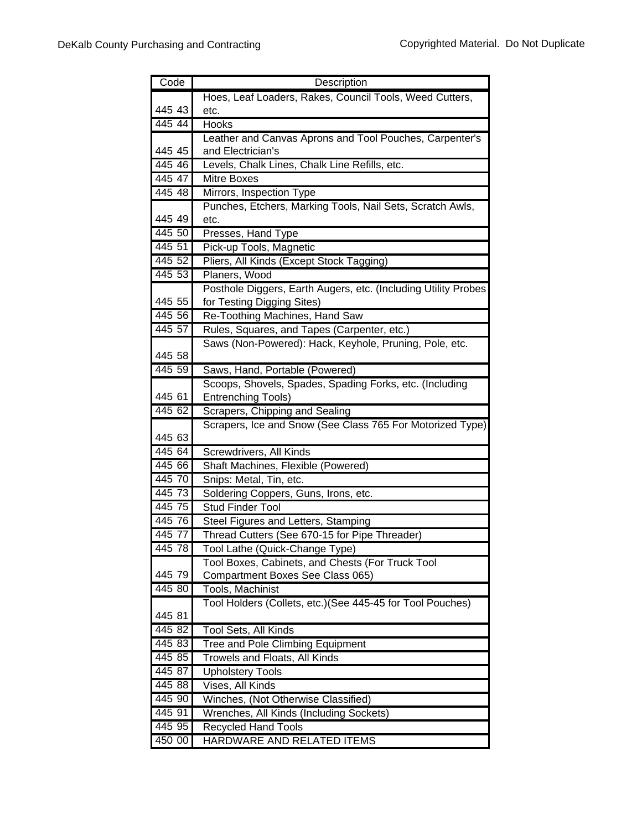| Code               | Description                                                                                  |
|--------------------|----------------------------------------------------------------------------------------------|
|                    | Hoes, Leaf Loaders, Rakes, Council Tools, Weed Cutters,                                      |
| 445 43             | etc.                                                                                         |
| 445 44             | <b>Hooks</b>                                                                                 |
|                    | Leather and Canvas Aprons and Tool Pouches, Carpenter's                                      |
| 445 45             | and Electrician's                                                                            |
| 445 46             | Levels, Chalk Lines, Chalk Line Refills, etc.                                                |
| 445 47             | Mitre Boxes                                                                                  |
| 445 48             | Mirrors, Inspection Type                                                                     |
|                    | Punches, Etchers, Marking Tools, Nail Sets, Scratch Awls,                                    |
| 445 49             | etc.                                                                                         |
| 445 50             | Presses, Hand Type                                                                           |
| 445 51             | Pick-up Tools, Magnetic                                                                      |
| 445 52             | Pliers, All Kinds (Except Stock Tagging)                                                     |
| 445 53             | Planers, Wood                                                                                |
| 445 55             | Posthole Diggers, Earth Augers, etc. (Including Utility Probes<br>for Testing Digging Sites) |
| 445 56             | Re-Toothing Machines, Hand Saw                                                               |
| 445 57             | Rules, Squares, and Tapes (Carpenter, etc.)                                                  |
|                    | Saws (Non-Powered): Hack, Keyhole, Pruning, Pole, etc.                                       |
| 445 58             |                                                                                              |
| 445 59             | Saws, Hand, Portable (Powered)                                                               |
|                    | Scoops, Shovels, Spades, Spading Forks, etc. (Including                                      |
| 445 61             | <b>Entrenching Tools)</b>                                                                    |
| 445 62             | Scrapers, Chipping and Sealing                                                               |
| 445 63             | Scrapers, Ice and Snow (See Class 765 For Motorized Type)                                    |
| $\frac{1}{445}$ 64 | Screwdrivers, All Kinds                                                                      |
| 445 66             | Shaft Machines, Flexible (Powered)                                                           |
| 445 70             | Snips: Metal, Tin, etc.                                                                      |
| 445 73             | Soldering Coppers, Guns, Irons, etc.                                                         |
| 445 75             | <b>Stud Finder Tool</b>                                                                      |
| 445 76             | Steel Figures and Letters, Stamping                                                          |
| 445 77             | Thread Cutters (See 670-15 for Pipe Threader)                                                |
| 445 78             | Tool Lathe (Quick-Change Type)                                                               |
|                    | Tool Boxes, Cabinets, and Chests (For Truck Tool                                             |
| 445 79             | Compartment Boxes See Class 065)                                                             |
| 445 80             | Tools, Machinist                                                                             |
|                    | Tool Holders (Collets, etc.) (See 445-45 for Tool Pouches)                                   |
| 445 81             |                                                                                              |
| 445 82             | Tool Sets, All Kinds                                                                         |
| 445 83             | <b>Tree and Pole Climbing Equipment</b>                                                      |
| 445 85             | Trowels and Floats, All Kinds                                                                |
| 445 87             | <b>Upholstery Tools</b>                                                                      |
| 445 88             | Vises, All Kinds                                                                             |
| 445 90             | Winches, (Not Otherwise Classified)                                                          |
| 445 91             | Wrenches, All Kinds (Including Sockets)                                                      |
| 445 95             | <b>Recycled Hand Tools</b>                                                                   |
| 450 00             | HARDWARE AND RELATED ITEMS                                                                   |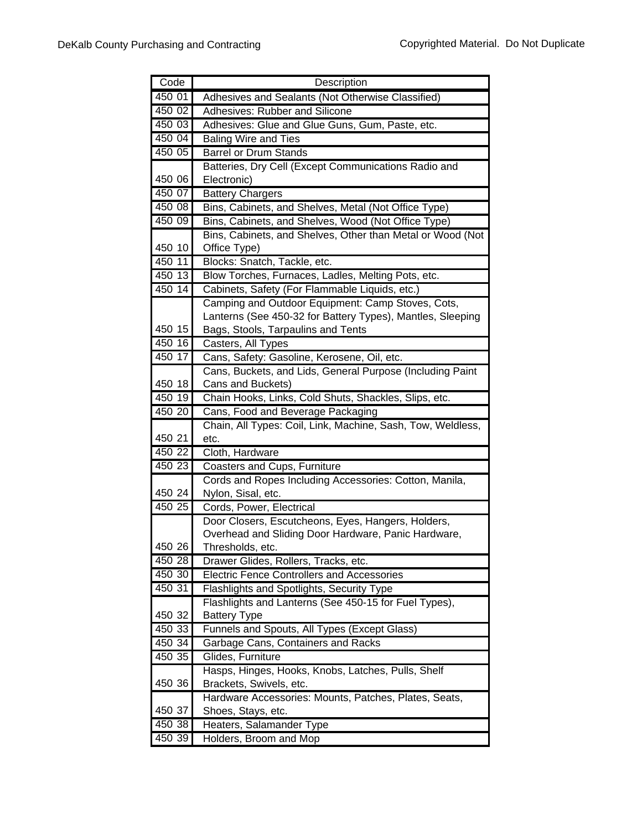| Code   | Description                                                                                               |
|--------|-----------------------------------------------------------------------------------------------------------|
| 450 01 | Adhesives and Sealants (Not Otherwise Classified)                                                         |
| 450 02 | Adhesives: Rubber and Silicone                                                                            |
| 450 03 | Adhesives: Glue and Glue Guns, Gum, Paste, etc.                                                           |
| 450 04 | <b>Baling Wire and Ties</b>                                                                               |
| 450 05 | <b>Barrel or Drum Stands</b>                                                                              |
|        | Batteries, Dry Cell (Except Communications Radio and                                                      |
| 450 06 | Electronic)                                                                                               |
| 450 07 | <b>Battery Chargers</b>                                                                                   |
| 450 08 | Bins, Cabinets, and Shelves, Metal (Not Office Type)                                                      |
| 450 09 | Bins, Cabinets, and Shelves, Wood (Not Office Type)                                                       |
|        | Bins, Cabinets, and Shelves, Other than Metal or Wood (Not                                                |
| 450 10 | Office Type)                                                                                              |
| 450 11 | Blocks: Snatch, Tackle, etc.                                                                              |
| 450 13 | Blow Torches, Furnaces, Ladles, Melting Pots, etc.                                                        |
| 450 14 | Cabinets, Safety (For Flammable Liquids, etc.)                                                            |
|        | Camping and Outdoor Equipment: Camp Stoves, Cots,                                                         |
|        | Lanterns (See 450-32 for Battery Types), Mantles, Sleeping                                                |
| 450 15 | Bags, Stools, Tarpaulins and Tents                                                                        |
| 450 16 | Casters, All Types                                                                                        |
| 450 17 | Cans, Safety: Gasoline, Kerosene, Oil, etc.                                                               |
|        | Cans, Buckets, and Lids, General Purpose (Including Paint                                                 |
| 450 18 | Cans and Buckets)                                                                                         |
| 450 19 | Chain Hooks, Links, Cold Shuts, Shackles, Slips, etc.                                                     |
| 450 20 | Cans, Food and Beverage Packaging                                                                         |
|        | Chain, All Types: Coil, Link, Machine, Sash, Tow, Weldless,                                               |
| 450 21 | etc.                                                                                                      |
| 450 22 | Cloth, Hardware                                                                                           |
| 450 23 | Coasters and Cups, Furniture                                                                              |
| 450 24 | Cords and Ropes Including Accessories: Cotton, Manila,                                                    |
| 450 25 | Nylon, Sisal, etc.                                                                                        |
|        | Cords, Power, Electrical                                                                                  |
|        | Door Closers, Escutcheons, Eyes, Hangers, Holders,<br>Overhead and Sliding Door Hardware, Panic Hardware, |
| 450 26 | Thresholds, etc.                                                                                          |
| 450 28 | Drawer Glides, Rollers, Tracks, etc.                                                                      |
| 450 30 | <b>Electric Fence Controllers and Accessories</b>                                                         |
| 450 31 | Flashlights and Spotlights, Security Type                                                                 |
|        | Flashlights and Lanterns (See 450-15 for Fuel Types),                                                     |
| 450 32 | <b>Battery Type</b>                                                                                       |
| 450 33 | Funnels and Spouts, All Types (Except Glass)                                                              |
| 450 34 | Garbage Cans, Containers and Racks                                                                        |
| 450 35 | Glides, Furniture                                                                                         |
|        | Hasps, Hinges, Hooks, Knobs, Latches, Pulls, Shelf                                                        |
| 450 36 | Brackets, Swivels, etc.                                                                                   |
|        | Hardware Accessories: Mounts, Patches, Plates, Seats,                                                     |
| 450 37 | Shoes, Stays, etc.                                                                                        |
| 450 38 | Heaters, Salamander Type                                                                                  |
| 450 39 | Holders, Broom and Mop                                                                                    |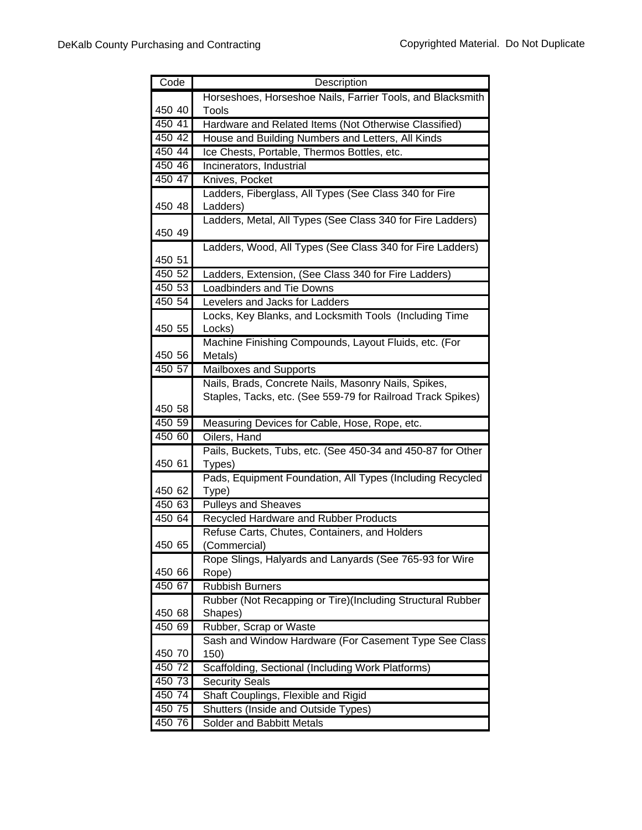| Code             | Description                                                                              |
|------------------|------------------------------------------------------------------------------------------|
|                  | Horseshoes, Horseshoe Nails, Farrier Tools, and Blacksmith                               |
| 450 40           | Tools                                                                                    |
| 450 41           | Hardware and Related Items (Not Otherwise Classified)                                    |
| 450 42           | House and Building Numbers and Letters, All Kinds                                        |
| 450 44           | Ice Chests, Portable, Thermos Bottles, etc.                                              |
| 450 46           | Incinerators, Industrial                                                                 |
| 450 47           | Knives, Pocket                                                                           |
|                  | Ladders, Fiberglass, All Types (See Class 340 for Fire                                   |
| 450 48           | Ladders)                                                                                 |
|                  | Ladders, Metal, All Types (See Class 340 for Fire Ladders)                               |
| 450 49           |                                                                                          |
|                  | Ladders, Wood, All Types (See Class 340 for Fire Ladders)                                |
| 450 51<br>450 52 |                                                                                          |
| 450 53           | Ladders, Extension, (See Class 340 for Fire Ladders)<br><b>Loadbinders and Tie Downs</b> |
| 450 54           | Levelers and Jacks for Ladders                                                           |
|                  | Locks, Key Blanks, and Locksmith Tools (Including Time                                   |
| 450 55           | Locks)                                                                                   |
|                  | Machine Finishing Compounds, Layout Fluids, etc. (For                                    |
| 450 56           | Metals)                                                                                  |
| 450 57           | Mailboxes and Supports                                                                   |
|                  | Nails, Brads, Concrete Nails, Masonry Nails, Spikes,                                     |
|                  | Staples, Tacks, etc. (See 559-79 for Railroad Track Spikes)                              |
| 450 58           |                                                                                          |
| 450 59           | Measuring Devices for Cable, Hose, Rope, etc.                                            |
| 450 60           | Oilers, Hand                                                                             |
|                  | Pails, Buckets, Tubs, etc. (See 450-34 and 450-87 for Other                              |
| 450 61           | Types)                                                                                   |
|                  | Pads, Equipment Foundation, All Types (Including Recycled                                |
| 450 62           | Type)                                                                                    |
| 450 63           | <b>Pulleys and Sheaves</b>                                                               |
| 450 64           | Recycled Hardware and Rubber Products                                                    |
|                  | Refuse Carts, Chutes, Containers, and Holders                                            |
| 450 65           | (Commercial)<br>Rope Slings, Halyards and Lanyards (See 765-93 for Wire                  |
| 450 66           | Rope)                                                                                    |
| 450 67           | <b>Rubbish Burners</b>                                                                   |
|                  | Rubber (Not Recapping or Tire)(Including Structural Rubber                               |
| 450 68           | Shapes)                                                                                  |
| 450 69           | Rubber, Scrap or Waste                                                                   |
|                  | Sash and Window Hardware (For Casement Type See Class                                    |
| 450 70           | 150)                                                                                     |
| 450 72           | Scaffolding, Sectional (Including Work Platforms)                                        |
| 450 73           | <b>Security Seals</b>                                                                    |
| 450 74           | Shaft Couplings, Flexible and Rigid                                                      |
| 450 75           | Shutters (Inside and Outside Types)                                                      |
| 450 76           | Solder and Babbitt Metals                                                                |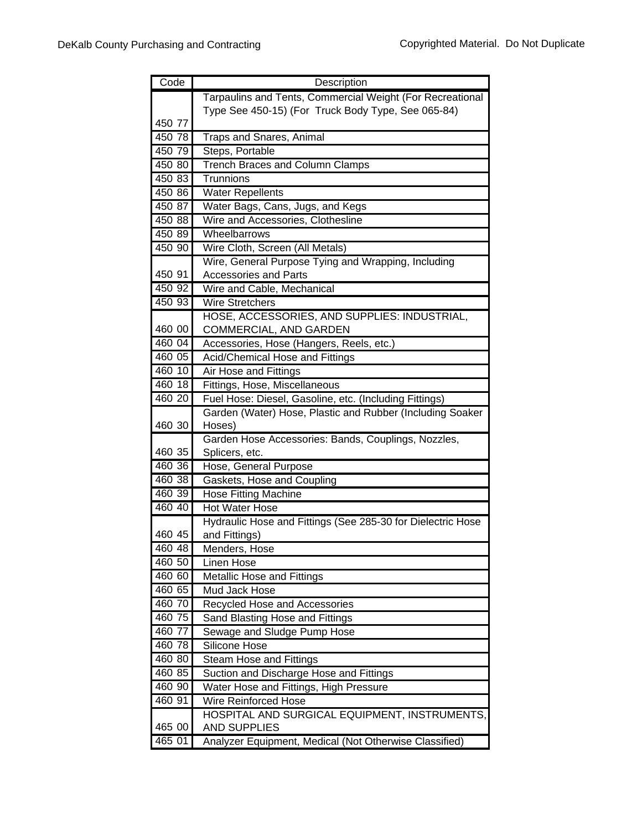| Code   | Description                                                 |
|--------|-------------------------------------------------------------|
|        | Tarpaulins and Tents, Commercial Weight (For Recreational   |
|        | Type See 450-15) (For Truck Body Type, See 065-84)          |
| 450 77 |                                                             |
| 450 78 | Traps and Snares, Animal                                    |
| 450 79 | Steps, Portable                                             |
| 450 80 | <b>Trench Braces and Column Clamps</b>                      |
| 450 83 | Trunnions                                                   |
| 450 86 | <b>Water Repellents</b>                                     |
| 450 87 | Water Bags, Cans, Jugs, and Kegs                            |
| 450 88 | Wire and Accessories, Clothesline                           |
| 450 89 | Wheelbarrows                                                |
| 450,90 | Wire Cloth, Screen (All Metals)                             |
|        | Wire, General Purpose Tying and Wrapping, Including         |
| 450 91 | <b>Accessories and Parts</b>                                |
| 450 92 | Wire and Cable, Mechanical                                  |
| 450 93 | <b>Wire Stretchers</b>                                      |
|        | HOSE, ACCESSORIES, AND SUPPLIES: INDUSTRIAL,                |
| 460 00 | COMMERCIAL, AND GARDEN                                      |
| 460 04 | Accessories, Hose (Hangers, Reels, etc.)                    |
| 460 05 | Acid/Chemical Hose and Fittings                             |
| 460 10 | Air Hose and Fittings                                       |
| 460 18 | Fittings, Hose, Miscellaneous                               |
| 460 20 | Fuel Hose: Diesel, Gasoline, etc. (Including Fittings)      |
|        | Garden (Water) Hose, Plastic and Rubber (Including Soaker   |
| 460 30 | Hoses)                                                      |
|        | Garden Hose Accessories: Bands, Couplings, Nozzles,         |
| 460 35 | Splicers, etc.                                              |
| 460 36 | Hose, General Purpose                                       |
| 460 38 | Gaskets, Hose and Coupling                                  |
| 460 39 | <b>Hose Fitting Machine</b>                                 |
| 460 40 | Hot Water Hose                                              |
|        | Hydraulic Hose and Fittings (See 285-30 for Dielectric Hose |
| 460 45 | and Fittings)                                               |
| 460 48 | Menders, Hose                                               |
| 460 50 | Linen Hose                                                  |
| 460 60 | <b>Metallic Hose and Fittings</b>                           |
| 460 65 | <b>Mud Jack Hose</b>                                        |
| 460 70 | <b>Recycled Hose and Accessories</b>                        |
| 460 75 | Sand Blasting Hose and Fittings                             |
| 460 77 | Sewage and Sludge Pump Hose                                 |
| 460 78 | <b>Silicone Hose</b>                                        |
| 460 80 | <b>Steam Hose and Fittings</b>                              |
| 460 85 | Suction and Discharge Hose and Fittings                     |
| 460 90 | Water Hose and Fittings, High Pressure                      |
| 460 91 | <b>Wire Reinforced Hose</b>                                 |
|        | HOSPITAL AND SURGICAL EQUIPMENT, INSTRUMENTS,               |
| 465 00 | <b>AND SUPPLIES</b>                                         |
| 465 01 | Analyzer Equipment, Medical (Not Otherwise Classified)      |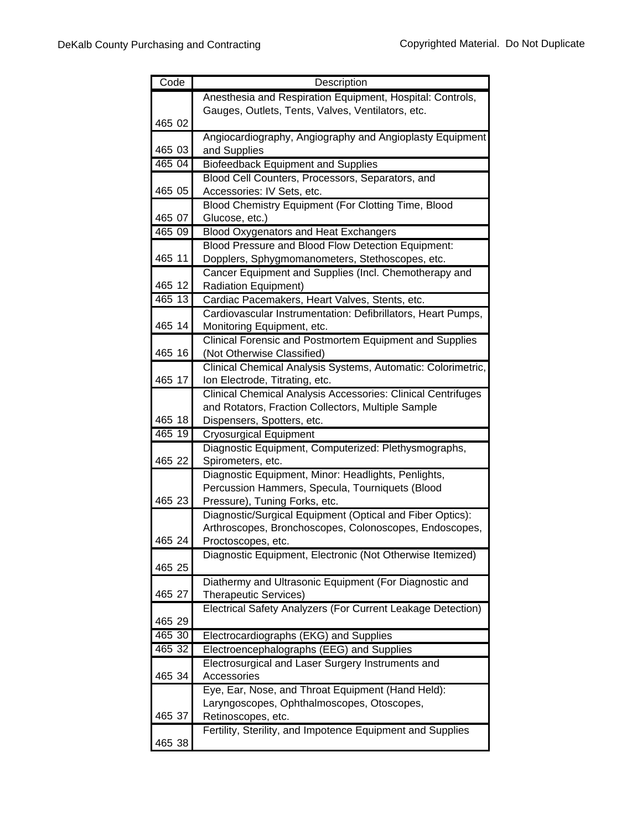| Code   | Description                                                                           |
|--------|---------------------------------------------------------------------------------------|
|        | Anesthesia and Respiration Equipment, Hospital: Controls,                             |
|        | Gauges, Outlets, Tents, Valves, Ventilators, etc.                                     |
| 465 02 |                                                                                       |
|        | Angiocardiography, Angiography and Angioplasty Equipment                              |
| 465 03 | and Supplies                                                                          |
| 465 04 | <b>Biofeedback Equipment and Supplies</b>                                             |
|        | Blood Cell Counters, Processors, Separators, and                                      |
| 465 05 | Accessories: IV Sets, etc.                                                            |
|        | Blood Chemistry Equipment (For Clotting Time, Blood                                   |
| 465 07 | Glucose, etc.)                                                                        |
| 465 09 | <b>Blood Oxygenators and Heat Exchangers</b>                                          |
|        | Blood Pressure and Blood Flow Detection Equipment:                                    |
| 465 11 | Dopplers, Sphygmomanometers, Stethoscopes, etc.                                       |
|        | Cancer Equipment and Supplies (Incl. Chemotherapy and                                 |
| 465 12 | Radiation Equipment)                                                                  |
| 465 13 | Cardiac Pacemakers, Heart Valves, Stents, etc.                                        |
| 465 14 | Cardiovascular Instrumentation: Defibrillators, Heart Pumps,                          |
|        | Monitoring Equipment, etc.<br>Clinical Forensic and Postmortem Equipment and Supplies |
| 465 16 | (Not Otherwise Classified)                                                            |
|        | Clinical Chemical Analysis Systems, Automatic: Colorimetric,                          |
| 465 17 | Ion Electrode, Titrating, etc.                                                        |
|        | Clinical Chemical Analysis Accessories: Clinical Centrifuges                          |
|        | and Rotators, Fraction Collectors, Multiple Sample                                    |
| 465 18 | Dispensers, Spotters, etc.                                                            |
| 465 19 | <b>Cryosurgical Equipment</b>                                                         |
|        | Diagnostic Equipment, Computerized: Plethysmographs,                                  |
| 465 22 | Spirometers, etc.                                                                     |
|        | Diagnostic Equipment, Minor: Headlights, Penlights,                                   |
|        | Percussion Hammers, Specula, Tourniquets (Blood                                       |
| 465 23 | Pressure), Tuning Forks, etc.                                                         |
|        | Diagnostic/Surgical Equipment (Optical and Fiber Optics):                             |
|        | Arthroscopes, Bronchoscopes, Colonoscopes, Endoscopes,                                |
| 465 24 | Proctoscopes, etc.                                                                    |
|        | Diagnostic Equipment, Electronic (Not Otherwise Itemized)                             |
| 465 25 |                                                                                       |
| 465 27 | Diathermy and Ultrasonic Equipment (For Diagnostic and                                |
|        | Therapeutic Services)<br>Electrical Safety Analyzers (For Current Leakage Detection)  |
| 465 29 |                                                                                       |
| 465 30 | Electrocardiographs (EKG) and Supplies                                                |
| 465 32 | Electroencephalographs (EEG) and Supplies                                             |
|        | Electrosurgical and Laser Surgery Instruments and                                     |
| 465 34 | Accessories                                                                           |
|        | Eye, Ear, Nose, and Throat Equipment (Hand Held):                                     |
|        | Laryngoscopes, Ophthalmoscopes, Otoscopes,                                            |
| 465 37 | Retinoscopes, etc.                                                                    |
|        | Fertility, Sterility, and Impotence Equipment and Supplies                            |
| 465 38 |                                                                                       |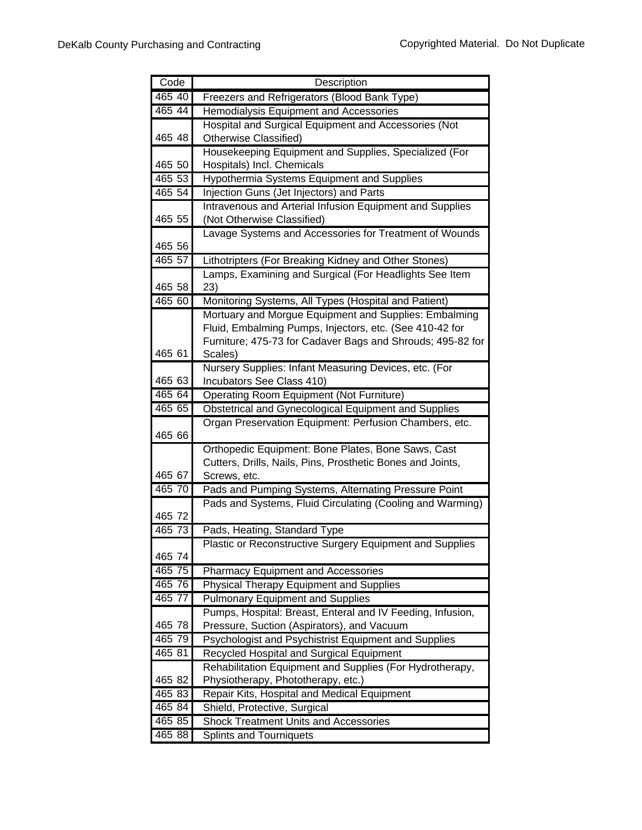| Code   | Description                                                                                                       |
|--------|-------------------------------------------------------------------------------------------------------------------|
| 465 40 | Freezers and Refrigerators (Blood Bank Type)                                                                      |
| 465 44 | Hemodialysis Equipment and Accessories                                                                            |
|        | Hospital and Surgical Equipment and Accessories (Not                                                              |
| 465 48 | Otherwise Classified)                                                                                             |
|        | Housekeeping Equipment and Supplies, Specialized (For                                                             |
| 465 50 | Hospitals) Incl. Chemicals                                                                                        |
| 465 53 | Hypothermia Systems Equipment and Supplies                                                                        |
| 465 54 | Injection Guns (Jet Injectors) and Parts                                                                          |
|        | Intravenous and Arterial Infusion Equipment and Supplies                                                          |
| 465 55 | (Not Otherwise Classified)                                                                                        |
|        | Lavage Systems and Accessories for Treatment of Wounds                                                            |
| 465 56 |                                                                                                                   |
| 465 57 | Lithotripters (For Breaking Kidney and Other Stones)                                                              |
| 465 58 | Lamps, Examining and Surgical (For Headlights See Item<br>23)                                                     |
| 465 60 | Monitoring Systems, All Types (Hospital and Patient)                                                              |
|        | Mortuary and Morgue Equipment and Supplies: Embalming                                                             |
|        | Fluid, Embalming Pumps, Injectors, etc. (See 410-42 for                                                           |
|        | Furniture; 475-73 for Cadaver Bags and Shrouds; 495-82 for                                                        |
| 465 61 | Scales)                                                                                                           |
|        | Nursery Supplies: Infant Measuring Devices, etc. (For                                                             |
| 465 63 | Incubators See Class 410)                                                                                         |
| 465 64 | Operating Room Equipment (Not Furniture)                                                                          |
| 465 65 | Obstetrical and Gynecological Equipment and Supplies                                                              |
|        | Organ Preservation Equipment: Perfusion Chambers, etc.                                                            |
| 465 66 |                                                                                                                   |
|        | Orthopedic Equipment: Bone Plates, Bone Saws, Cast                                                                |
|        | Cutters, Drills, Nails, Pins, Prosthetic Bones and Joints,                                                        |
| 465 67 | Screws, etc.                                                                                                      |
| 46570  | Pads and Pumping Systems, Alternating Pressure Point<br>Pads and Systems, Fluid Circulating (Cooling and Warming) |
| 465 72 |                                                                                                                   |
| 465 73 | Pads, Heating, Standard Type                                                                                      |
|        | Plastic or Reconstructive Surgery Equipment and Supplies                                                          |
| 465 74 |                                                                                                                   |
| 465 75 | <b>Pharmacy Equipment and Accessories</b>                                                                         |
| 465 76 | <b>Physical Therapy Equipment and Supplies</b>                                                                    |
| 465 77 | <b>Pulmonary Equipment and Supplies</b>                                                                           |
|        | Pumps, Hospital: Breast, Enteral and IV Feeding, Infusion,                                                        |
| 465 78 | Pressure, Suction (Aspirators), and Vacuum                                                                        |
| 465 79 | Psychologist and Psychistrist Equipment and Supplies                                                              |
| 465 81 | Recycled Hospital and Surgical Equipment                                                                          |
|        | Rehabilitation Equipment and Supplies (For Hydrotherapy,                                                          |
| 465 82 | Physiotherapy, Phototherapy, etc.)                                                                                |
| 465 83 | Repair Kits, Hospital and Medical Equipment                                                                       |
| 465 84 | Shield, Protective, Surgical                                                                                      |
| 465 85 | <b>Shock Treatment Units and Accessories</b>                                                                      |
| 465 88 | <b>Splints and Tourniquets</b>                                                                                    |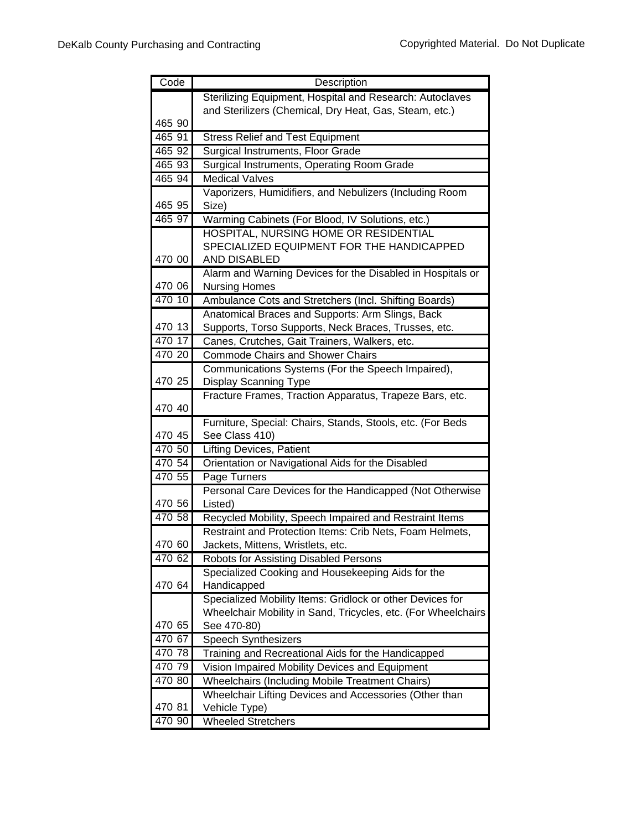| Code   | Description                                                                                |
|--------|--------------------------------------------------------------------------------------------|
|        | Sterilizing Equipment, Hospital and Research: Autoclaves                                   |
|        | and Sterilizers (Chemical, Dry Heat, Gas, Steam, etc.)                                     |
| 465 90 |                                                                                            |
| 465 91 | <b>Stress Relief and Test Equipment</b>                                                    |
| 465 92 | Surgical Instruments, Floor Grade                                                          |
| 465 93 | Surgical Instruments, Operating Room Grade                                                 |
| 465 94 | <b>Medical Valves</b>                                                                      |
|        | Vaporizers, Humidifiers, and Nebulizers (Including Room                                    |
| 465 95 | Size)                                                                                      |
| 465 97 | Warming Cabinets (For Blood, IV Solutions, etc.)                                           |
|        | HOSPITAL, NURSING HOME OR RESIDENTIAL                                                      |
|        | SPECIALIZED EQUIPMENT FOR THE HANDICAPPED                                                  |
| 470 00 | AND DISABLED                                                                               |
|        | Alarm and Warning Devices for the Disabled in Hospitals or                                 |
| 470 06 | <b>Nursing Homes</b>                                                                       |
| 470 10 | Ambulance Cots and Stretchers (Incl. Shifting Boards)                                      |
|        | Anatomical Braces and Supports: Arm Slings, Back                                           |
| 470 13 | Supports, Torso Supports, Neck Braces, Trusses, etc.                                       |
| 470 17 | Canes, Crutches, Gait Trainers, Walkers, etc.                                              |
| 470 20 | <b>Commode Chairs and Shower Chairs</b>                                                    |
|        | Communications Systems (For the Speech Impaired),                                          |
| 470 25 | Display Scanning Type                                                                      |
|        | Fracture Frames, Traction Apparatus, Trapeze Bars, etc.                                    |
| 470 40 |                                                                                            |
|        | Furniture, Special: Chairs, Stands, Stools, etc. (For Beds                                 |
| 470 45 | See Class 410)                                                                             |
| 470 50 | <b>Lifting Devices, Patient</b>                                                            |
| 470 54 | Orientation or Navigational Aids for the Disabled                                          |
| 470 55 | Page Turners                                                                               |
|        | Personal Care Devices for the Handicapped (Not Otherwise                                   |
| 470 56 | Listed)                                                                                    |
| 470 58 | Recycled Mobility, Speech Impaired and Restraint Items                                     |
| 470 60 | Restraint and Protection Items: Crib Nets, Foam Helmets,                                   |
| 470 62 | Jackets, Mittens, Wristlets, etc.                                                          |
|        | Robots for Assisting Disabled Persons<br>Specialized Cooking and Housekeeping Aids for the |
| 470 64 | Handicapped                                                                                |
|        | Specialized Mobility Items: Gridlock or other Devices for                                  |
|        | Wheelchair Mobility in Sand, Tricycles, etc. (For Wheelchairs                              |
| 470 65 | See 470-80)                                                                                |
| 470 67 | Speech Synthesizers                                                                        |
| 470 78 | Training and Recreational Aids for the Handicapped                                         |
| 470 79 | Vision Impaired Mobility Devices and Equipment                                             |
| 470 80 | <b>Wheelchairs (Including Mobile Treatment Chairs)</b>                                     |
|        | Wheelchair Lifting Devices and Accessories (Other than                                     |
| 470 81 | Vehicle Type)                                                                              |
| 470 90 | <b>Wheeled Stretchers</b>                                                                  |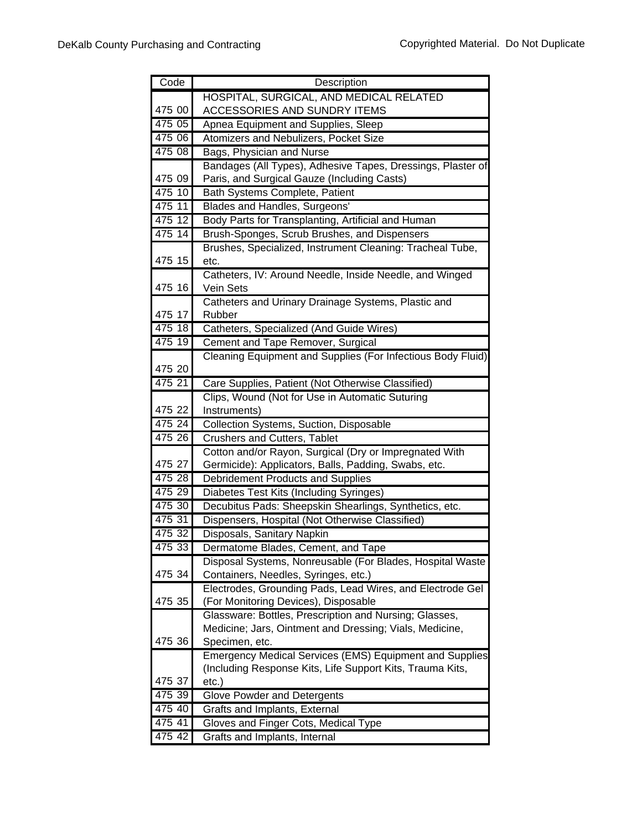| Code                | Description                                                     |
|---------------------|-----------------------------------------------------------------|
|                     | HOSPITAL, SURGICAL, AND MEDICAL RELATED                         |
| 475 00              | ACCESSORIES AND SUNDRY ITEMS                                    |
| 475 05              | Apnea Equipment and Supplies, Sleep                             |
| 475 06              | Atomizers and Nebulizers, Pocket Size                           |
| 475 08              | Bags, Physician and Nurse                                       |
|                     | Bandages (All Types), Adhesive Tapes, Dressings, Plaster of     |
| 475 09              | Paris, and Surgical Gauze (Including Casts)                     |
| 475 10              | Bath Systems Complete, Patient                                  |
| 475 11              | Blades and Handles, Surgeons'                                   |
| 475 12              | Body Parts for Transplanting, Artificial and Human              |
| 475 14              | Brush-Sponges, Scrub Brushes, and Dispensers                    |
|                     | Brushes, Specialized, Instrument Cleaning: Tracheal Tube,       |
| 475 15              |                                                                 |
|                     | etc.<br>Catheters, IV: Around Needle, Inside Needle, and Winged |
| 475 16              | Vein Sets                                                       |
|                     | Catheters and Urinary Drainage Systems, Plastic and             |
| 475 17              | Rubber                                                          |
| 475 18              | Catheters, Specialized (And Guide Wires)                        |
| 475 19              | Cement and Tape Remover, Surgical                               |
|                     | Cleaning Equipment and Supplies (For Infectious Body Fluid)     |
| 475 20              |                                                                 |
| 475 21              | Care Supplies, Patient (Not Otherwise Classified)               |
|                     | Clips, Wound (Not for Use in Automatic Suturing                 |
| 475 22              | Instruments)                                                    |
| $\overline{475}$ 24 | Collection Systems, Suction, Disposable                         |
| 475 26              | Crushers and Cutters, Tablet                                    |
|                     | Cotton and/or Rayon, Surgical (Dry or Impregnated With          |
| 475 27              | Germicide): Applicators, Balls, Padding, Swabs, etc.            |
| 475 28              | Debridement Products and Supplies                               |
| 475 29              | Diabetes Test Kits (Including Syringes)                         |
| 475 30              | Decubitus Pads: Sheepskin Shearlings, Synthetics, etc.          |
| 475 31              | Dispensers, Hospital (Not Otherwise Classified)                 |
| 475 32              | Disposals, Sanitary Napkin                                      |
| 475 33              | Dermatome Blades, Cement, and Tape                              |
|                     | Disposal Systems, Nonreusable (For Blades, Hospital Waste       |
| 475 34              | Containers, Needles, Syringes, etc.)                            |
|                     | Electrodes, Grounding Pads, Lead Wires, and Electrode Gel       |
| 475 35              | (For Monitoring Devices), Disposable                            |
|                     | Glassware: Bottles, Prescription and Nursing; Glasses,          |
|                     | Medicine; Jars, Ointment and Dressing; Vials, Medicine,         |
| 475 36              | Specimen, etc.                                                  |
|                     | <b>Emergency Medical Services (EMS) Equipment and Supplies</b>  |
|                     | (Including Response Kits, Life Support Kits, Trauma Kits,       |
| 475 37              | etc.)                                                           |
| 475 39              | <b>Glove Powder and Detergents</b>                              |
| 475 40              | Grafts and Implants, External                                   |
| 475 41              | Gloves and Finger Cots, Medical Type                            |
| 475 42              | Grafts and Implants, Internal                                   |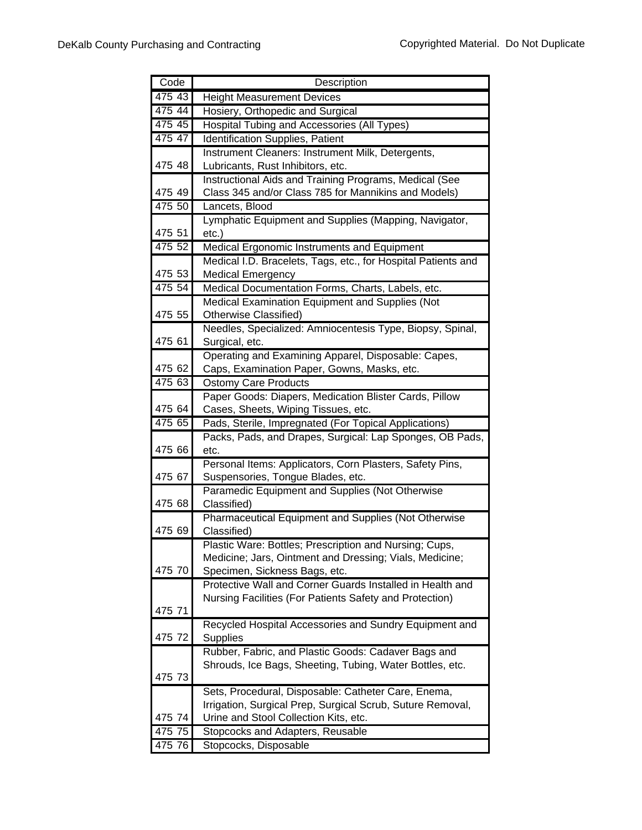| Code   | Description                                                                           |
|--------|---------------------------------------------------------------------------------------|
| 475 43 | <b>Height Measurement Devices</b>                                                     |
| 475 44 | Hosiery, Orthopedic and Surgical                                                      |
| 475 45 | Hospital Tubing and Accessories (All Types)                                           |
| 475 47 | Identification Supplies, Patient                                                      |
|        | Instrument Cleaners: Instrument Milk, Detergents,                                     |
| 475 48 | Lubricants, Rust Inhibitors, etc.                                                     |
|        | Instructional Aids and Training Programs, Medical (See                                |
| 475 49 | Class 345 and/or Class 785 for Mannikins and Models)                                  |
| 475 50 | Lancets, Blood                                                                        |
|        | Lymphatic Equipment and Supplies (Mapping, Navigator,                                 |
| 475 51 | $etc.$ )                                                                              |
| 475 52 | Medical Ergonomic Instruments and Equipment                                           |
|        | Medical I.D. Bracelets, Tags, etc., for Hospital Patients and                         |
| 475 53 | <b>Medical Emergency</b>                                                              |
| 475 54 | Medical Documentation Forms, Charts, Labels, etc.                                     |
|        | Medical Examination Equipment and Supplies (Not                                       |
| 475 55 | Otherwise Classified)                                                                 |
|        | Needles, Specialized: Amniocentesis Type, Biopsy, Spinal,                             |
| 475 61 | Surgical, etc.                                                                        |
| 475 62 | Operating and Examining Apparel, Disposable: Capes,                                   |
| 475 63 | Caps, Examination Paper, Gowns, Masks, etc.                                           |
|        | <b>Ostomy Care Products</b><br>Paper Goods: Diapers, Medication Blister Cards, Pillow |
| 475 64 | Cases, Sheets, Wiping Tissues, etc.                                                   |
| 475 65 | Pads, Sterile, Impregnated (For Topical Applications)                                 |
|        | Packs, Pads, and Drapes, Surgical: Lap Sponges, OB Pads,                              |
| 475 66 | etc.                                                                                  |
|        | Personal Items: Applicators, Corn Plasters, Safety Pins,                              |
| 475 67 | Suspensories, Tongue Blades, etc.                                                     |
|        | Paramedic Equipment and Supplies (Not Otherwise                                       |
| 475 68 | Classified)                                                                           |
|        | Pharmaceutical Equipment and Supplies (Not Otherwise                                  |
| 475 69 | Classified)                                                                           |
|        | Plastic Ware: Bottles; Prescription and Nursing; Cups,                                |
|        | Medicine; Jars, Ointment and Dressing; Vials, Medicine;                               |
| 475 70 | Specimen, Sickness Bags, etc.                                                         |
|        | Protective Wall and Corner Guards Installed in Health and                             |
| 475 71 | Nursing Facilities (For Patients Safety and Protection)                               |
|        | Recycled Hospital Accessories and Sundry Equipment and                                |
| 475 72 | <b>Supplies</b>                                                                       |
|        | Rubber, Fabric, and Plastic Goods: Cadaver Bags and                                   |
|        | Shrouds, Ice Bags, Sheeting, Tubing, Water Bottles, etc.                              |
| 475 73 |                                                                                       |
|        | Sets, Procedural, Disposable: Catheter Care, Enema,                                   |
|        | Irrigation, Surgical Prep, Surgical Scrub, Suture Removal,                            |
| 475 74 | Urine and Stool Collection Kits, etc.                                                 |
| 475 75 | Stopcocks and Adapters, Reusable                                                      |
| 475 76 | Stopcocks, Disposable                                                                 |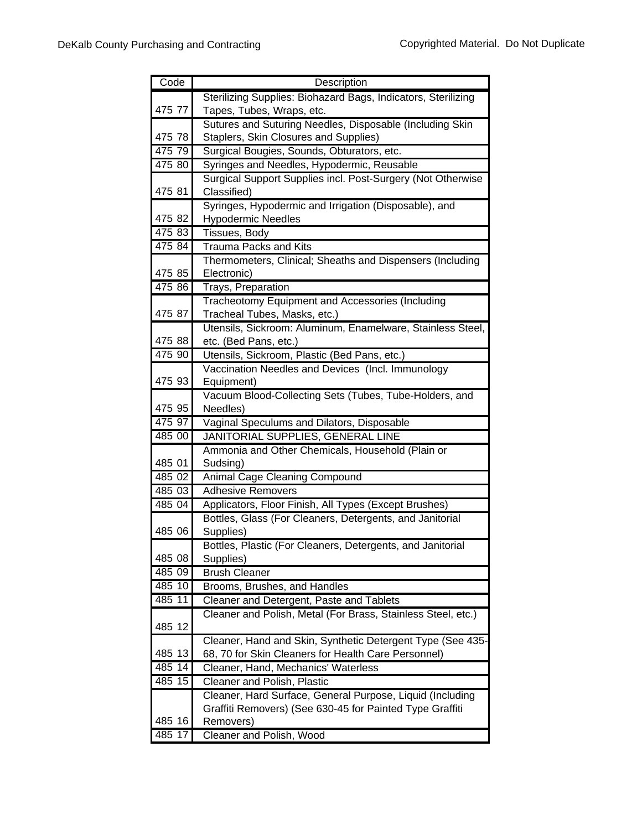| Code   | Description                                                        |
|--------|--------------------------------------------------------------------|
|        | Sterilizing Supplies: Biohazard Bags, Indicators, Sterilizing      |
| 475 77 | Tapes, Tubes, Wraps, etc.                                          |
|        | Sutures and Suturing Needles, Disposable (Including Skin           |
| 475 78 | Staplers, Skin Closures and Supplies)                              |
| 475 79 | Surgical Bougies, Sounds, Obturators, etc.                         |
| 475 80 | Syringes and Needles, Hypodermic, Reusable                         |
|        | Surgical Support Supplies incl. Post-Surgery (Not Otherwise        |
| 475 81 | Classified)                                                        |
|        | Syringes, Hypodermic and Irrigation (Disposable), and              |
| 475 82 | <b>Hypodermic Needles</b>                                          |
| 47583  | Tissues, Body                                                      |
| 475 84 | Trauma Packs and Kits                                              |
|        | Thermometers, Clinical; Sheaths and Dispensers (Including          |
| 475 85 | Electronic)                                                        |
| 475 86 | Trays, Preparation                                                 |
|        | Tracheotomy Equipment and Accessories (Including                   |
| 475 87 | Tracheal Tubes, Masks, etc.)                                       |
|        | Utensils, Sickroom: Aluminum, Enamelware, Stainless Steel,         |
| 475 88 | etc. (Bed Pans, etc.)                                              |
| 475 90 | Utensils, Sickroom, Plastic (Bed Pans, etc.)                       |
|        | Vaccination Needles and Devices (Incl. Immunology                  |
| 475 93 | Equipment)                                                         |
| 475 95 | Vacuum Blood-Collecting Sets (Tubes, Tube-Holders, and<br>Needles) |
| 475 97 | Vaginal Speculums and Dilators, Disposable                         |
| 485 00 | JANITORIAL SUPPLIES, GENERAL LINE                                  |
|        | Ammonia and Other Chemicals, Household (Plain or                   |
| 485 01 | Sudsing)                                                           |
| 485 02 | Animal Cage Cleaning Compound                                      |
| 485 03 | <b>Adhesive Removers</b>                                           |
| 485 04 | Applicators, Floor Finish, All Types (Except Brushes)              |
|        | Bottles, Glass (For Cleaners, Detergents, and Janitorial           |
| 485 06 | Supplies)                                                          |
|        | Bottles, Plastic (For Cleaners, Detergents, and Janitorial         |
| 485 08 | Supplies)                                                          |
| 485 09 | <b>Brush Cleaner</b>                                               |
| 485 10 | Brooms, Brushes, and Handles                                       |
| 485 11 | Cleaner and Detergent, Paste and Tablets                           |
|        | Cleaner and Polish, Metal (For Brass, Stainless Steel, etc.)       |
| 485 12 |                                                                    |
|        | Cleaner, Hand and Skin, Synthetic Detergent Type (See 435-         |
| 485 13 | 68, 70 for Skin Cleaners for Health Care Personnel)                |
| 485 14 | Cleaner, Hand, Mechanics' Waterless                                |
| 485 15 | Cleaner and Polish, Plastic                                        |
|        | Cleaner, Hard Surface, General Purpose, Liquid (Including          |
|        | Graffiti Removers) (See 630-45 for Painted Type Graffiti           |
| 485 16 | Removers)                                                          |
| 485 17 | Cleaner and Polish, Wood                                           |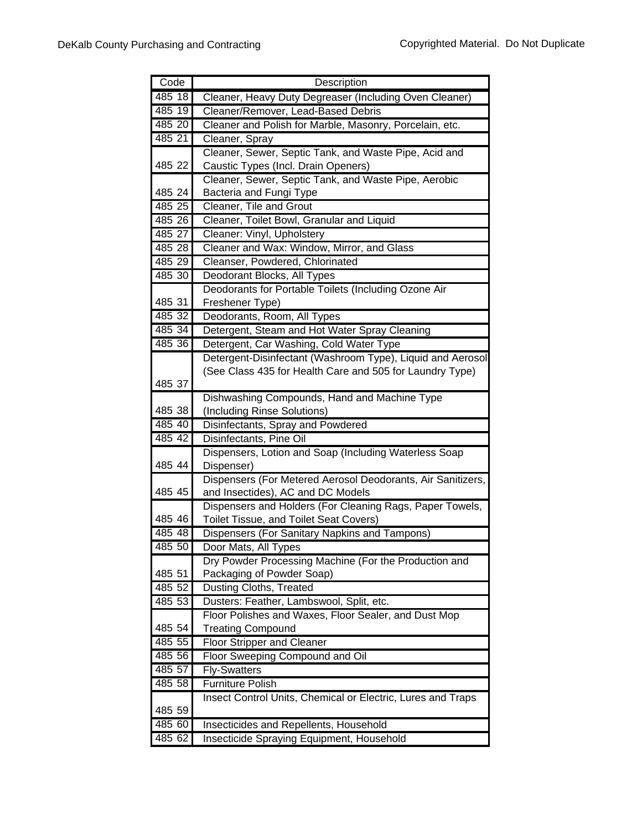| Code     | Description                                                                                   |
|----------|-----------------------------------------------------------------------------------------------|
| $485-18$ | Cleaner, Heavy Duty Degreaser (Including Oven Cleaner)                                        |
| 485 19   | Cleaner/Remover, Lead-Based Debris                                                            |
| 485 20   | Cleaner and Polish for Marble, Masonry, Porcelain, etc.                                       |
| 485 21   | Cleaner, Spray                                                                                |
|          | Cleaner, Sewer, Septic Tank, and Waste Pipe, Acid and                                         |
| 485 22   | Caustic Types (Incl. Drain Openers)                                                           |
|          | Cleaner, Sewer, Septic Tank, and Waste Pipe, Aerobic                                          |
| 485 24   | Bacteria and Fungi Type                                                                       |
| 485 25   | Cleaner, Tile and Grout                                                                       |
| 485 26   | Cleaner, Toilet Bowl, Granular and Liquid                                                     |
| 485 27   | Cleaner: Vinyl, Upholstery                                                                    |
| 485 28   | Cleaner and Wax: Window, Mirror, and Glass                                                    |
| 485 29   | Cleanser, Powdered, Chlorinated                                                               |
| 485 30   | Deodorant Blocks, All Types                                                                   |
|          | Deodorants for Portable Toilets (Including Ozone Air                                          |
| 485 31   | Freshener Type)                                                                               |
| 485 32   | Deodorants, Room, All Types                                                                   |
| 485 34   | Detergent, Steam and Hot Water Spray Cleaning                                                 |
| 485 36   | Detergent, Car Washing, Cold Water Type                                                       |
|          | Detergent-Disinfectant (Washroom Type), Liquid and Aerosol                                    |
|          | (See Class 435 for Health Care and 505 for Laundry Type)                                      |
| 485 37   |                                                                                               |
|          | Dishwashing Compounds, Hand and Machine Type                                                  |
| 485 38   | (Including Rinse Solutions)                                                                   |
| 485 40   | Disinfectants, Spray and Powdered                                                             |
| 485 42   | Disinfectants, Pine Oil                                                                       |
|          | Dispensers, Lotion and Soap (Including Waterless Soap                                         |
| 485 44   | Dispenser)                                                                                    |
| 485 45   | Dispensers (For Metered Aerosol Deodorants, Air Sanitizers,                                   |
|          | and Insectides), AC and DC Models<br>Dispensers and Holders (For Cleaning Rags, Paper Towels, |
| 485 46   | Toilet Tissue, and Toilet Seat Covers)                                                        |
| 485 48   |                                                                                               |
| 485 50   | Dispensers (For Sanitary Napkins and Tampons)<br>Door Mats, All Types                         |
|          | Dry Powder Processing Machine (For the Production and                                         |
| 485 51   | Packaging of Powder Soap)                                                                     |
| 485 52   | Dusting Cloths, Treated                                                                       |
| 485 53   | Dusters: Feather, Lambswool, Split, etc.                                                      |
|          | Floor Polishes and Waxes, Floor Sealer, and Dust Mop                                          |
| 485 54   | <b>Treating Compound</b>                                                                      |
| 485 55   | <b>Floor Stripper and Cleaner</b>                                                             |
| 485 56   | Floor Sweeping Compound and Oil                                                               |
| 485 57   | <b>Fly-Swatters</b>                                                                           |
| 485 58   | <b>Furniture Polish</b>                                                                       |
|          | Insect Control Units, Chemical or Electric, Lures and Traps                                   |
| 485 59   |                                                                                               |
| 485 60   | Insecticides and Repellents, Household                                                        |
| 485 62   | Insecticide Spraying Equipment, Household                                                     |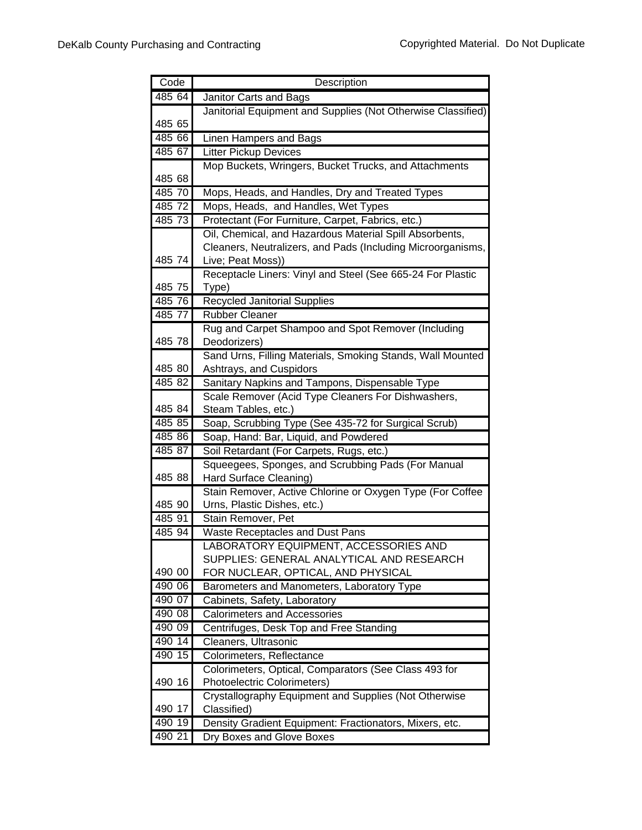| Code             | Description                                                  |
|------------------|--------------------------------------------------------------|
| 485 64           | Janitor Carts and Bags                                       |
|                  | Janitorial Equipment and Supplies (Not Otherwise Classified) |
| 485 65           |                                                              |
| 485 66           | Linen Hampers and Bags                                       |
| 485 67           | <b>Litter Pickup Devices</b>                                 |
|                  | Mop Buckets, Wringers, Bucket Trucks, and Attachments        |
| 485 68           |                                                              |
| 485 70           | Mops, Heads, and Handles, Dry and Treated Types              |
| 485 72           | Mops, Heads, and Handles, Wet Types                          |
| 485 73           | Protectant (For Furniture, Carpet, Fabrics, etc.)            |
|                  | Oil, Chemical, and Hazardous Material Spill Absorbents,      |
|                  | Cleaners, Neutralizers, and Pads (Including Microorganisms,  |
| 485 74           | Live; Peat Moss))                                            |
|                  | Receptacle Liners: Vinyl and Steel (See 665-24 For Plastic   |
| 485 75           | Type)                                                        |
| 485 76           | Recycled Janitorial Supplies                                 |
| 485 77           | <b>Rubber Cleaner</b>                                        |
|                  | Rug and Carpet Shampoo and Spot Remover (Including           |
| 485 78           | Deodorizers)                                                 |
|                  | Sand Urns, Filling Materials, Smoking Stands, Wall Mounted   |
| 485 80           | Ashtrays, and Cuspidors                                      |
| 485 82           | Sanitary Napkins and Tampons, Dispensable Type               |
|                  | Scale Remover (Acid Type Cleaners For Dishwashers,           |
| 485 84           | Steam Tables, etc.)                                          |
| 485 85           | Soap, Scrubbing Type (See 435-72 for Surgical Scrub)         |
| 485 86           | Soap, Hand: Bar, Liquid, and Powdered                        |
| 485 87           | Soil Retardant (For Carpets, Rugs, etc.)                     |
|                  | Squeegees, Sponges, and Scrubbing Pads (For Manual           |
| 485 88           | Hard Surface Cleaning)                                       |
|                  | Stain Remover, Active Chlorine or Oxygen Type (For Coffee    |
| 485 90           | Urns, Plastic Dishes, etc.)                                  |
| 485 91           | Stain Remover, Pet                                           |
| 485 94           | Waste Receptacles and Dust Pans                              |
|                  | LABORATORY EQUIPMENT, ACCESSORIES AND                        |
|                  | SUPPLIES: GENERAL ANALYTICAL AND RESEARCH                    |
| 490 00<br>490 06 | FOR NUCLEAR, OPTICAL, AND PHYSICAL                           |
|                  | Barometers and Manometers, Laboratory Type                   |
| 490 07           | Cabinets, Safety, Laboratory                                 |
| 490 08           | <b>Calorimeters and Accessories</b>                          |
| 490 09           | Centrifuges, Desk Top and Free Standing                      |
| 490 14           | Cleaners, Ultrasonic                                         |
| 490 15           | Colorimeters, Reflectance                                    |
|                  | Colorimeters, Optical, Comparators (See Class 493 for        |
| 490 16           | <b>Photoelectric Colorimeters)</b>                           |
|                  | Crystallography Equipment and Supplies (Not Otherwise        |
| 490 17<br>490 19 | Classified)                                                  |
|                  | Density Gradient Equipment: Fractionators, Mixers, etc.      |
| 490 21           | Dry Boxes and Glove Boxes                                    |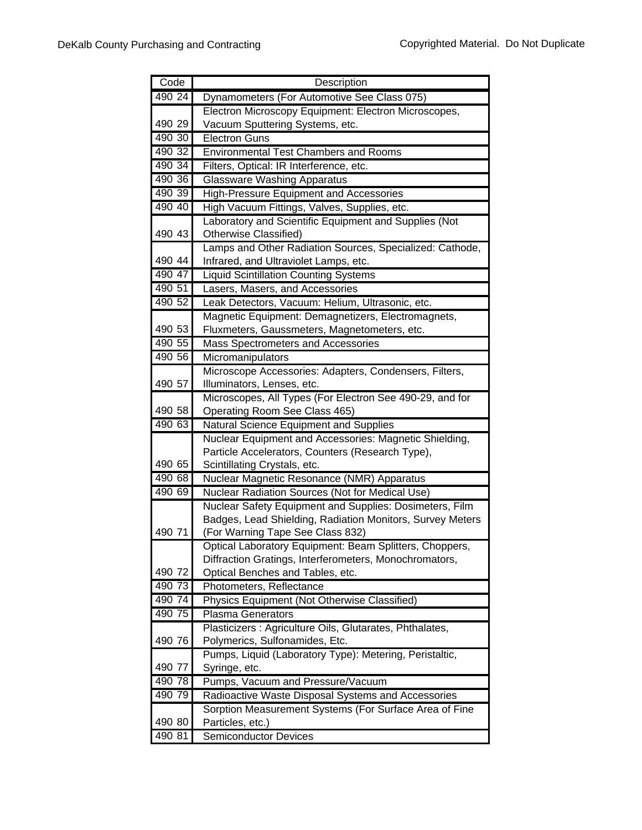| Code   | Description                                               |
|--------|-----------------------------------------------------------|
| 490 24 | Dynamometers (For Automotive See Class 075)               |
|        | Electron Microscopy Equipment: Electron Microscopes,      |
| 490 29 | Vacuum Sputtering Systems, etc.                           |
| 490 30 | <b>Electron Guns</b>                                      |
| 490 32 | <b>Environmental Test Chambers and Rooms</b>              |
| 490 34 | Filters, Optical: IR Interference, etc.                   |
| 490 36 | <b>Glassware Washing Apparatus</b>                        |
| 490 39 | <b>High-Pressure Equipment and Accessories</b>            |
| 490 40 | High Vacuum Fittings, Valves, Supplies, etc.              |
|        | Laboratory and Scientific Equipment and Supplies (Not     |
| 490 43 | Otherwise Classified)                                     |
|        | Lamps and Other Radiation Sources, Specialized: Cathode,  |
| 490 44 | Infrared, and Ultraviolet Lamps, etc.                     |
| 490 47 | <b>Liquid Scintillation Counting Systems</b>              |
| 490 51 | Lasers, Masers, and Accessories                           |
| 490 52 | Leak Detectors, Vacuum: Helium, Ultrasonic, etc.          |
|        | Magnetic Equipment: Demagnetizers, Electromagnets,        |
| 490 53 | Fluxmeters, Gaussmeters, Magnetometers, etc.              |
| 490 55 | Mass Spectrometers and Accessories                        |
| 490 56 | Micromanipulators                                         |
|        | Microscope Accessories: Adapters, Condensers, Filters,    |
| 490 57 | Illuminators, Lenses, etc.                                |
|        | Microscopes, All Types (For Electron See 490-29, and for  |
| 490 58 | Operating Room See Class 465)                             |
| 490 63 | Natural Science Equipment and Supplies                    |
|        | Nuclear Equipment and Accessories: Magnetic Shielding,    |
|        | Particle Accelerators, Counters (Research Type),          |
| 490 65 | Scintillating Crystals, etc.                              |
| 490 68 | Nuclear Magnetic Resonance (NMR) Apparatus                |
| 490 69 | Nuclear Radiation Sources (Not for Medical Use)           |
|        | Nuclear Safety Equipment and Supplies: Dosimeters, Film   |
|        | Badges, Lead Shielding, Radiation Monitors, Survey Meters |
| 490 71 | (For Warning Tape See Class 832)                          |
|        | Optical Laboratory Equipment: Beam Splitters, Choppers,   |
|        | Diffraction Gratings, Interferometers, Monochromators,    |
| 490 72 | Optical Benches and Tables, etc.                          |
| 490 73 | Photometers, Reflectance                                  |
| 490 74 | Physics Equipment (Not Otherwise Classified)              |
| 490 75 | <b>Plasma Generators</b>                                  |
|        | Plasticizers : Agriculture Oils, Glutarates, Phthalates,  |
| 490 76 | Polymerics, Sulfonamides, Etc.                            |
|        | Pumps, Liquid (Laboratory Type): Metering, Peristaltic,   |
| 490 77 | Syringe, etc.                                             |
| 490 78 | Pumps, Vacuum and Pressure/Vacuum                         |
| 490 79 | Radioactive Waste Disposal Systems and Accessories        |
|        | Sorption Measurement Systems (For Surface Area of Fine    |
| 490 80 | Particles, etc.)                                          |
| 490 81 | <b>Semiconductor Devices</b>                              |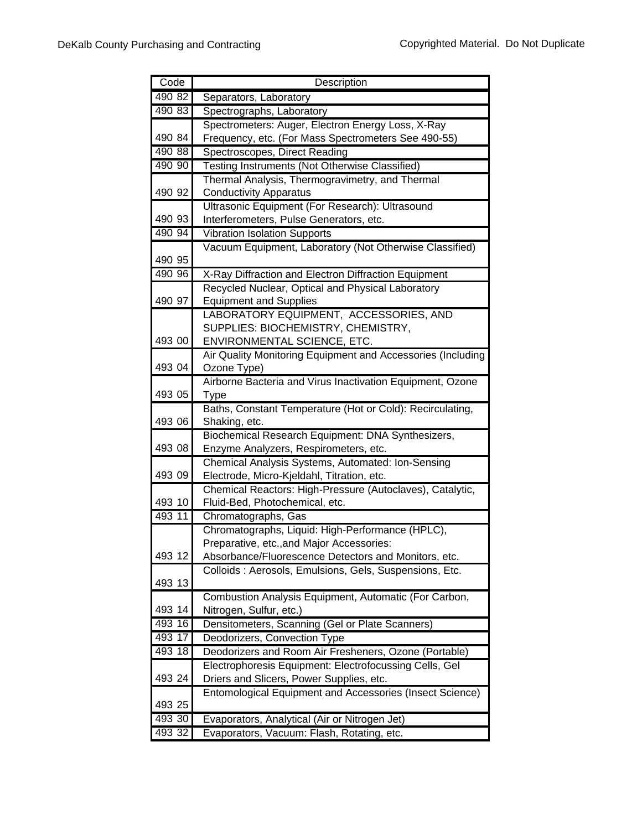| Code   | Description                                                 |
|--------|-------------------------------------------------------------|
| 490 82 | Separators, Laboratory                                      |
| 490 83 | Spectrographs, Laboratory                                   |
|        | Spectrometers: Auger, Electron Energy Loss, X-Ray           |
| 490 84 | Frequency, etc. (For Mass Spectrometers See 490-55)         |
| 490 88 | Spectroscopes, Direct Reading                               |
| 490 90 | Testing Instruments (Not Otherwise Classified)              |
|        | Thermal Analysis, Thermogravimetry, and Thermal             |
| 490 92 | <b>Conductivity Apparatus</b>                               |
|        | Ultrasonic Equipment (For Research): Ultrasound             |
| 490 93 | Interferometers, Pulse Generators, etc.                     |
| 490 94 | <b>Vibration Isolation Supports</b>                         |
|        | Vacuum Equipment, Laboratory (Not Otherwise Classified)     |
| 490 95 |                                                             |
| 490 96 | X-Ray Diffraction and Electron Diffraction Equipment        |
|        | Recycled Nuclear, Optical and Physical Laboratory           |
| 490 97 | <b>Equipment and Supplies</b>                               |
|        | LABORATORY EQUIPMENT, ACCESSORIES, AND                      |
|        | SUPPLIES: BIOCHEMISTRY, CHEMISTRY,                          |
| 493 00 | ENVIRONMENTAL SCIENCE, ETC.                                 |
|        | Air Quality Monitoring Equipment and Accessories (Including |
| 493 04 | Ozone Type)                                                 |
|        | Airborne Bacteria and Virus Inactivation Equipment, Ozone   |
| 493 05 | <b>Type</b>                                                 |
|        | Baths, Constant Temperature (Hot or Cold): Recirculating,   |
| 493 06 | Shaking, etc.                                               |
|        | Biochemical Research Equipment: DNA Synthesizers,           |
| 493 08 | Enzyme Analyzers, Respirometers, etc.                       |
|        | Chemical Analysis Systems, Automated: Ion-Sensing           |
| 493 09 | Electrode, Micro-Kjeldahl, Titration, etc.                  |
|        | Chemical Reactors: High-Pressure (Autoclaves), Catalytic,   |
| 493 10 | Fluid-Bed, Photochemical, etc.                              |
| 493 11 | Chromatographs, Gas                                         |
|        | Chromatographs, Liquid: High-Performance (HPLC),            |
|        | Preparative, etc., and Major Accessories:                   |
| 493 12 | Absorbance/Fluorescence Detectors and Monitors, etc.        |
|        | Colloids: Aerosols, Emulsions, Gels, Suspensions, Etc.      |
| 493 13 |                                                             |
|        | Combustion Analysis Equipment, Automatic (For Carbon,       |
| 493 14 | Nitrogen, Sulfur, etc.)                                     |
| 493 16 | Densitometers, Scanning (Gel or Plate Scanners)             |
| 493 17 | Deodorizers, Convection Type                                |
| 493 18 | Deodorizers and Room Air Fresheners, Ozone (Portable)       |
| 493 24 | Electrophoresis Equipment: Electrofocussing Cells, Gel      |
|        | Driers and Slicers, Power Supplies, etc.                    |
|        | Entomological Equipment and Accessories (Insect Science)    |
| 493 25 |                                                             |
| 493 30 | Evaporators, Analytical (Air or Nitrogen Jet)               |
| 493 32 | Evaporators, Vacuum: Flash, Rotating, etc.                  |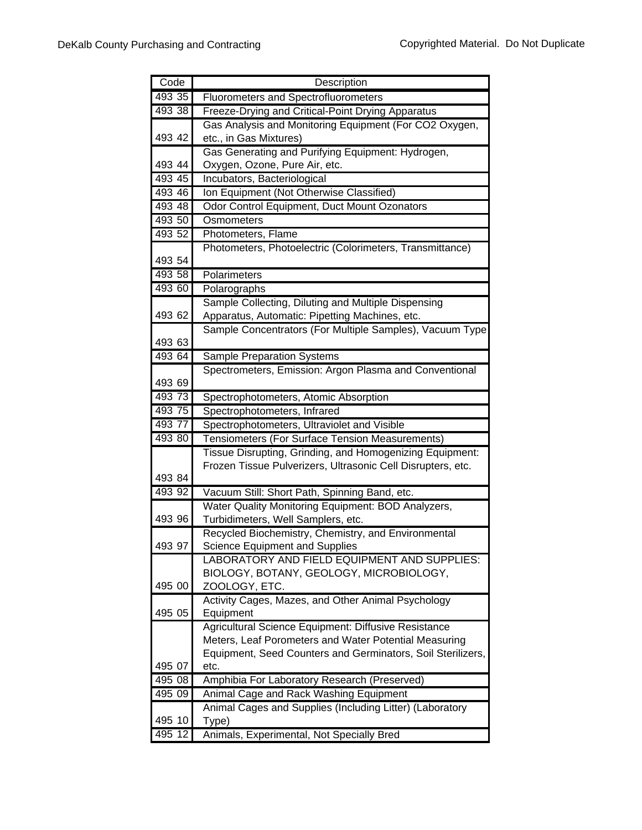| Code   | Description                                                 |
|--------|-------------------------------------------------------------|
| 493 35 | <b>Fluorometers and Spectrofluorometers</b>                 |
| 493 38 | Freeze-Drying and Critical-Point Drying Apparatus           |
|        | Gas Analysis and Monitoring Equipment (For CO2 Oxygen,      |
| 493 42 | etc., in Gas Mixtures)                                      |
|        | Gas Generating and Purifying Equipment: Hydrogen,           |
| 493 44 | Oxygen, Ozone, Pure Air, etc.                               |
| 493 45 | Incubators, Bacteriological                                 |
| 493 46 | Ion Equipment (Not Otherwise Classified)                    |
| 493 48 | Odor Control Equipment, Duct Mount Ozonators                |
| 493 50 | Osmometers                                                  |
| 493 52 | Photometers, Flame                                          |
|        | Photometers, Photoelectric (Colorimeters, Transmittance)    |
| 493 54 |                                                             |
| 493 58 | Polarimeters                                                |
| 493 60 | Polarographs                                                |
|        | Sample Collecting, Diluting and Multiple Dispensing         |
| 493 62 | Apparatus, Automatic: Pipetting Machines, etc.              |
|        | Sample Concentrators (For Multiple Samples), Vacuum Type    |
| 493 63 |                                                             |
| 493 64 | Sample Preparation Systems                                  |
|        | Spectrometers, Emission: Argon Plasma and Conventional      |
| 493 69 |                                                             |
| 493 73 | Spectrophotometers, Atomic Absorption                       |
| 493 75 | Spectrophotometers, Infrared                                |
| 493 77 | Spectrophotometers, Ultraviolet and Visible                 |
| 493 80 | Tensiometers (For Surface Tension Measurements)             |
|        | Tissue Disrupting, Grinding, and Homogenizing Equipment:    |
|        | Frozen Tissue Pulverizers, Ultrasonic Cell Disrupters, etc. |
| 493 84 |                                                             |
| 493 92 | Vacuum Still: Short Path, Spinning Band, etc.               |
|        | Water Quality Monitoring Equipment: BOD Analyzers,          |
| 493 96 | Turbidimeters, Well Samplers, etc.                          |
|        | Recycled Biochemistry, Chemistry, and Environmental         |
| 493 97 | Science Equipment and Supplies                              |
|        | LABORATORY AND FIELD EQUIPMENT AND SUPPLIES:                |
| 495 00 | BIOLOGY, BOTANY, GEOLOGY, MICROBIOLOGY,<br>ZOOLOGY, ETC.    |
|        | Activity Cages, Mazes, and Other Animal Psychology          |
| 495 05 | Equipment                                                   |
|        | Agricultural Science Equipment: Diffusive Resistance        |
|        | Meters, Leaf Porometers and Water Potential Measuring       |
|        | Equipment, Seed Counters and Germinators, Soil Sterilizers, |
| 495 07 | etc.                                                        |
| 49508  | Amphibia For Laboratory Research (Preserved)                |
| 495 09 | Animal Cage and Rack Washing Equipment                      |
|        | Animal Cages and Supplies (Including Litter) (Laboratory    |
| 495 10 | Type)                                                       |
| 495 12 | Animals, Experimental, Not Specially Bred                   |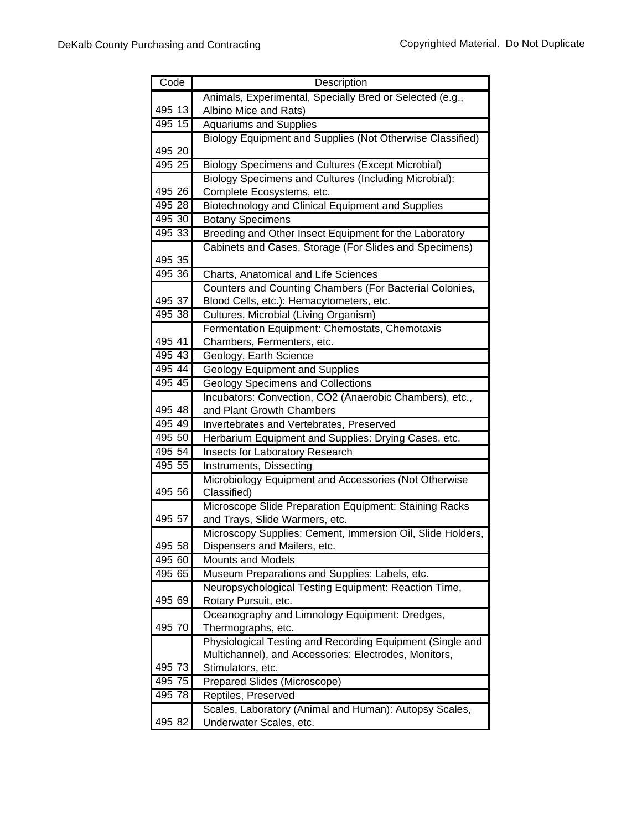| Code   | Description                                                |
|--------|------------------------------------------------------------|
|        | Animals, Experimental, Specially Bred or Selected (e.g.,   |
| 495 13 | Albino Mice and Rats)                                      |
| 495 15 | <b>Aquariums and Supplies</b>                              |
|        | Biology Equipment and Supplies (Not Otherwise Classified)  |
| 495 20 |                                                            |
| 495 25 | <b>Biology Specimens and Cultures (Except Microbial)</b>   |
|        | Biology Specimens and Cultures (Including Microbial):      |
| 495 26 | Complete Ecosystems, etc.                                  |
| 495 28 | Biotechnology and Clinical Equipment and Supplies          |
| 495 30 | <b>Botany Specimens</b>                                    |
| 495 33 | Breeding and Other Insect Equipment for the Laboratory     |
|        | Cabinets and Cases, Storage (For Slides and Specimens)     |
| 495 35 |                                                            |
| 495 36 | Charts, Anatomical and Life Sciences                       |
|        | Counters and Counting Chambers (For Bacterial Colonies,    |
| 495 37 | Blood Cells, etc.): Hemacytometers, etc.                   |
| 495 38 | Cultures, Microbial (Living Organism)                      |
|        | Fermentation Equipment: Chemostats, Chemotaxis             |
| 495 41 | Chambers, Fermenters, etc.                                 |
| 495 43 | Geology, Earth Science                                     |
| 495 44 | <b>Geology Equipment and Supplies</b>                      |
| 495 45 | <b>Geology Specimens and Collections</b>                   |
|        | Incubators: Convection, CO2 (Anaerobic Chambers), etc.,    |
| 495 48 | and Plant Growth Chambers                                  |
| 495 49 | Invertebrates and Vertebrates, Preserved                   |
| 495 50 | Herbarium Equipment and Supplies: Drying Cases, etc.       |
| 495 54 | Insects for Laboratory Research                            |
| 495 55 | Instruments, Dissecting                                    |
|        | Microbiology Equipment and Accessories (Not Otherwise      |
| 495 56 | Classified)                                                |
| 495 57 | Microscope Slide Preparation Equipment: Staining Racks     |
|        | and Trays, Slide Warmers, etc.                             |
| 495 58 | Microscopy Supplies: Cement, Immersion Oil, Slide Holders, |
| 495 60 | Dispensers and Mailers, etc.<br><b>Mounts and Models</b>   |
| 495 65 | Museum Preparations and Supplies: Labels, etc.             |
|        | Neuropsychological Testing Equipment: Reaction Time,       |
| 495 69 | Rotary Pursuit, etc.                                       |
|        | Oceanography and Limnology Equipment: Dredges,             |
| 495 70 | Thermographs, etc.                                         |
|        | Physiological Testing and Recording Equipment (Single and  |
|        | Multichannel), and Accessories: Electrodes, Monitors,      |
| 495 73 | Stimulators, etc.                                          |
| 495 75 | Prepared Slides (Microscope)                               |
| 495 78 | Reptiles, Preserved                                        |
|        | Scales, Laboratory (Animal and Human): Autopsy Scales,     |
| 495 82 | Underwater Scales, etc.                                    |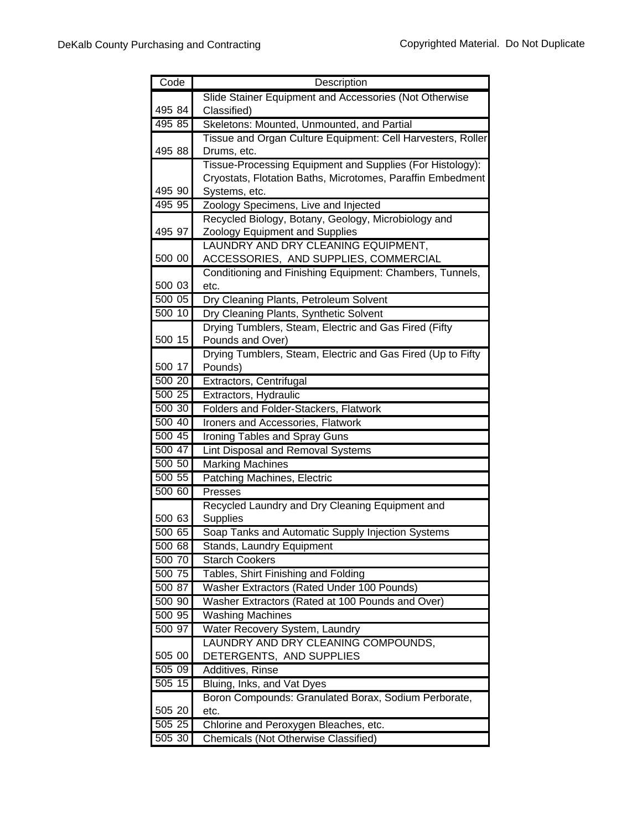| Code   | Description                                                 |
|--------|-------------------------------------------------------------|
|        | Slide Stainer Equipment and Accessories (Not Otherwise      |
| 495 84 | Classified)                                                 |
| 495 85 | Skeletons: Mounted, Unmounted, and Partial                  |
|        | Tissue and Organ Culture Equipment: Cell Harvesters, Roller |
| 495 88 | Drums, etc.                                                 |
|        | Tissue-Processing Equipment and Supplies (For Histology):   |
|        | Cryostats, Flotation Baths, Microtomes, Paraffin Embedment  |
| 495 90 | Systems, etc.                                               |
| 495 95 | Zoology Specimens, Live and Injected                        |
|        | Recycled Biology, Botany, Geology, Microbiology and         |
| 495 97 | Zoology Equipment and Supplies                              |
|        | LAUNDRY AND DRY CLEANING EQUIPMENT,                         |
| 500 00 | ACCESSORIES, AND SUPPLIES, COMMERCIAL                       |
|        | Conditioning and Finishing Equipment: Chambers, Tunnels,    |
| 500 03 | etc.                                                        |
| 500 05 | Dry Cleaning Plants, Petroleum Solvent                      |
| 500 10 | Dry Cleaning Plants, Synthetic Solvent                      |
|        | Drying Tumblers, Steam, Electric and Gas Fired (Fifty       |
| 500 15 | Pounds and Over)                                            |
|        | Drying Tumblers, Steam, Electric and Gas Fired (Up to Fifty |
| 500 17 | Pounds)                                                     |
| 500 20 | Extractors, Centrifugal                                     |
| 500 25 | Extractors, Hydraulic                                       |
| 50030  | Folders and Folder-Stackers, Flatwork                       |
| 500 40 | Ironers and Accessories, Flatwork                           |
| 500 45 | Ironing Tables and Spray Guns                               |
| 500 47 | Lint Disposal and Removal Systems                           |
| 500 50 | <b>Marking Machines</b>                                     |
| 500 55 | <b>Patching Machines, Electric</b>                          |
| 500 60 | Presses                                                     |
| 500 63 | Recycled Laundry and Dry Cleaning Equipment and<br>Supplies |
| 500 65 | Soap Tanks and Automatic Supply Injection Systems           |
| 500 68 | Stands, Laundry Equipment                                   |
| 500 70 | <b>Starch Cookers</b>                                       |
| 500 75 | Tables, Shirt Finishing and Folding                         |
| 500 87 | Washer Extractors (Rated Under 100 Pounds)                  |
| 500 90 | Washer Extractors (Rated at 100 Pounds and Over)            |
| 500 95 | Washing Machines                                            |
| 500 97 | Water Recovery System, Laundry                              |
|        | LAUNDRY AND DRY CLEANING COMPOUNDS,                         |
| 505 00 | DETERGENTS, AND SUPPLIES                                    |
| 50509  | Additives, Rinse                                            |
| 505 15 | Bluing, Inks, and Vat Dyes                                  |
|        | Boron Compounds: Granulated Borax, Sodium Perborate,        |
| 505 20 | etc.                                                        |
| 505 25 | Chlorine and Peroxygen Bleaches, etc.                       |
| 505 30 | <b>Chemicals (Not Otherwise Classified)</b>                 |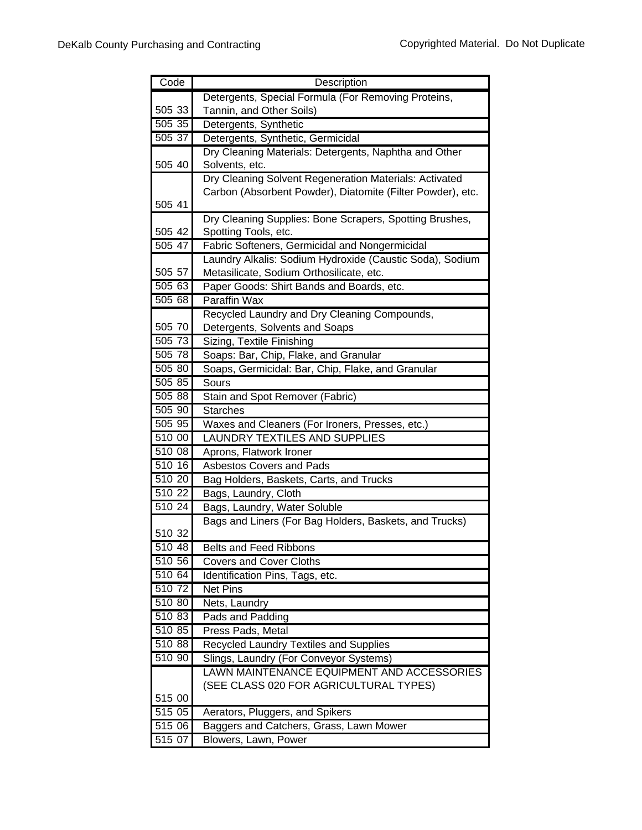| Code               | Description                                                |
|--------------------|------------------------------------------------------------|
|                    | Detergents, Special Formula (For Removing Proteins,        |
| 505 33             | Tannin, and Other Soils)                                   |
| 505 35             | Detergents, Synthetic                                      |
| 505 37             | Detergents, Synthetic, Germicidal                          |
|                    | Dry Cleaning Materials: Detergents, Naphtha and Other      |
| 505 40             | Solvents, etc.                                             |
|                    | Dry Cleaning Solvent Regeneration Materials: Activated     |
|                    | Carbon (Absorbent Powder), Diatomite (Filter Powder), etc. |
| 505 41             |                                                            |
|                    | Dry Cleaning Supplies: Bone Scrapers, Spotting Brushes,    |
| 505 42             | Spotting Tools, etc.                                       |
| 505 47             | Fabric Softeners, Germicidal and Nongermicidal             |
|                    | Laundry Alkalis: Sodium Hydroxide (Caustic Soda), Sodium   |
| 505 57             | Metasilicate, Sodium Orthosilicate, etc.                   |
| 505 63             | Paper Goods: Shirt Bands and Boards, etc.                  |
| 505 68             | <b>Paraffin Wax</b>                                        |
|                    | Recycled Laundry and Dry Cleaning Compounds,               |
| 505 70             | Detergents, Solvents and Soaps                             |
| $\frac{1}{505}$ 73 | Sizing, Textile Finishing                                  |
| 505 78             | Soaps: Bar, Chip, Flake, and Granular                      |
| 505 80             | Soaps, Germicidal: Bar, Chip, Flake, and Granular          |
| 505 85             | Sours                                                      |
| 505 88             | Stain and Spot Remover (Fabric)                            |
| 505 90             | <b>Starches</b>                                            |
| 505 95             | Waxes and Cleaners (For Ironers, Presses, etc.)            |
| 510 00             | <b>LAUNDRY TEXTILES AND SUPPLIES</b>                       |
| 510 08             | Aprons, Flatwork Ironer                                    |
| 510 16             | Asbestos Covers and Pads                                   |
| 510 20<br>510 22   | Bag Holders, Baskets, Carts, and Trucks                    |
|                    | Bags, Laundry, Cloth                                       |
| 510 24             | Bags, Laundry, Water Soluble                               |
| 510 32             | Bags and Liners (For Bag Holders, Baskets, and Trucks)     |
| 510 48             | <b>Belts and Feed Ribbons</b>                              |
| 510 56             | <b>Covers and Cover Cloths</b>                             |
| 510 64             | Identification Pins, Tags, etc.                            |
| 51072              | Net Pins                                                   |
| 510 80             | Nets, Laundry                                              |
| 510 83             | Pads and Padding                                           |
| 510 85             | Press Pads, Metal                                          |
| 510 88             | Recycled Laundry Textiles and Supplies                     |
| 510 90             | Slings, Laundry (For Conveyor Systems)                     |
|                    | LAWN MAINTENANCE EQUIPMENT AND ACCESSORIES                 |
|                    | (SEE CLASS 020 FOR AGRICULTURAL TYPES)                     |
| 515 00             |                                                            |
| 515 05             | Aerators, Pluggers, and Spikers                            |
| 515 06             | Baggers and Catchers, Grass, Lawn Mower                    |
| 515 07             | Blowers, Lawn, Power                                       |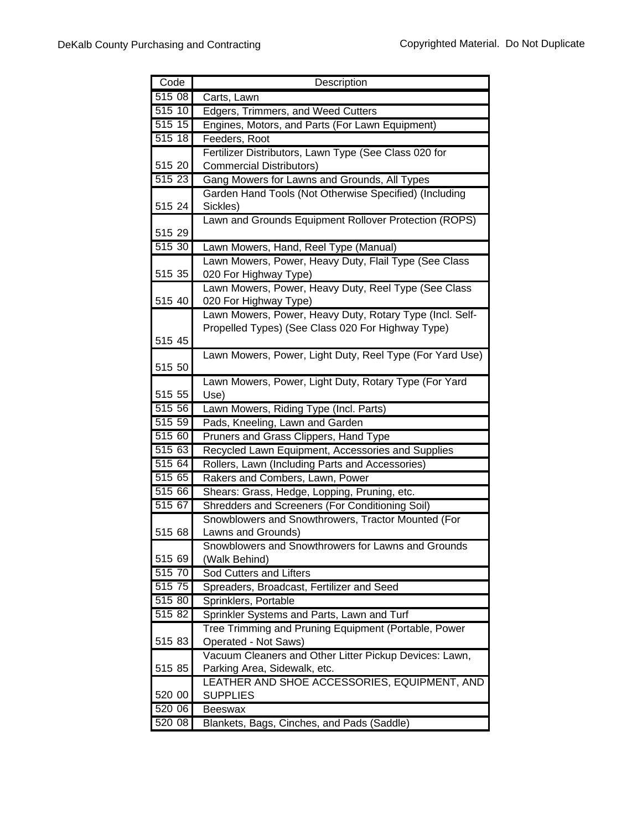| Code   | Description                                              |
|--------|----------------------------------------------------------|
| 515 08 | Carts, Lawn                                              |
| 51510  | Edgers, Trimmers, and Weed Cutters                       |
| 515 15 | Engines, Motors, and Parts (For Lawn Equipment)          |
| 515 18 | Feeders, Root                                            |
|        | Fertilizer Distributors, Lawn Type (See Class 020 for    |
| 515 20 | <b>Commercial Distributors)</b>                          |
| 51523  | Gang Mowers for Lawns and Grounds, All Types             |
|        | Garden Hand Tools (Not Otherwise Specified) (Including   |
| 515 24 | Sickles)                                                 |
|        | Lawn and Grounds Equipment Rollover Protection (ROPS)    |
| 515 29 |                                                          |
| 515 30 | Lawn Mowers, Hand, Reel Type (Manual)                    |
|        | Lawn Mowers, Power, Heavy Duty, Flail Type (See Class    |
| 515 35 | 020 For Highway Type)                                    |
|        | Lawn Mowers, Power, Heavy Duty, Reel Type (See Class     |
| 515 40 | 020 For Highway Type)                                    |
|        | Lawn Mowers, Power, Heavy Duty, Rotary Type (Incl. Self- |
|        | Propelled Types) (See Class 020 For Highway Type)        |
| 515 45 |                                                          |
|        | Lawn Mowers, Power, Light Duty, Reel Type (For Yard Use) |
| 515 50 |                                                          |
|        | Lawn Mowers, Power, Light Duty, Rotary Type (For Yard    |
| 515 55 | Use)                                                     |
| 515 56 | Lawn Mowers, Riding Type (Incl. Parts)                   |
| 515 59 | Pads, Kneeling, Lawn and Garden                          |
| 515 60 | Pruners and Grass Clippers, Hand Type                    |
| 51563  | Recycled Lawn Equipment, Accessories and Supplies        |
| 515 64 | Rollers, Lawn (Including Parts and Accessories)          |
| 515 65 | Rakers and Combers, Lawn, Power                          |
| 515 66 | Shears: Grass, Hedge, Lopping, Pruning, etc.             |
| 515 67 | Shredders and Screeners (For Conditioning Soil)          |
|        | Snowblowers and Snowthrowers, Tractor Mounted (For       |
| 515 68 | Lawns and Grounds)                                       |
|        | Snowblowers and Snowthrowers for Lawns and Grounds       |
| 515 69 | (Walk Behind)                                            |
| 515 70 | Sod Cutters and Lifters                                  |
| 515 75 | Spreaders, Broadcast, Fertilizer and Seed                |
| 515 80 | Sprinklers, Portable                                     |
| 515 82 | Sprinkler Systems and Parts, Lawn and Turf               |
|        | Tree Trimming and Pruning Equipment (Portable, Power     |
| 515 83 | Operated - Not Saws)                                     |
| 515 85 | Vacuum Cleaners and Other Litter Pickup Devices: Lawn,   |
|        | Parking Area, Sidewalk, etc.                             |
| 520 00 | LEATHER AND SHOE ACCESSORIES, EQUIPMENT, AND             |
| 520 06 | <b>SUPPLIES</b><br><b>Beeswax</b>                        |
| 520 08 | Blankets, Bags, Cinches, and Pads (Saddle)               |
|        |                                                          |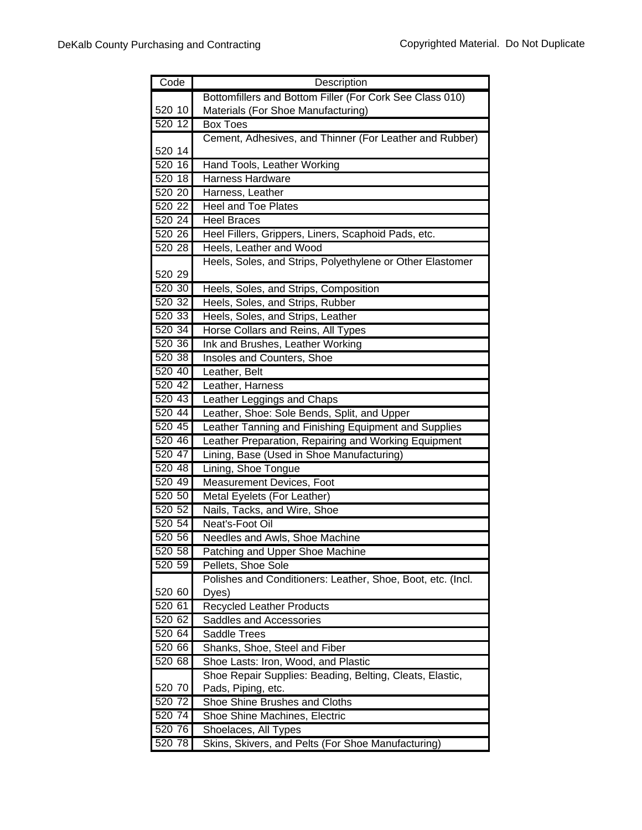| Code      | Description                                                 |
|-----------|-------------------------------------------------------------|
|           | Bottomfillers and Bottom Filler (For Cork See Class 010)    |
| 520 10    | Materials (For Shoe Manufacturing)                          |
| 520 12    | <b>Box Toes</b>                                             |
|           | Cement, Adhesives, and Thinner (For Leather and Rubber)     |
| 520 14    |                                                             |
| 520 16    | Hand Tools, Leather Working                                 |
| 520 18    | <b>Harness Hardware</b>                                     |
| 520 20    | Harness, Leather                                            |
| $520\,22$ | <b>Heel and Toe Plates</b>                                  |
| 520 24    | <b>Heel Braces</b>                                          |
| 520 26    | Heel Fillers, Grippers, Liners, Scaphoid Pads, etc.         |
| 520 28    | Heels, Leather and Wood                                     |
|           | Heels, Soles, and Strips, Polyethylene or Other Elastomer   |
| 520 29    |                                                             |
| 520 30    | Heels, Soles, and Strips, Composition                       |
| 520 32    | Heels, Soles, and Strips, Rubber                            |
| 520 33    | Heels, Soles, and Strips, Leather                           |
| 520 34    | Horse Collars and Reins, All Types                          |
| 520 36    | Ink and Brushes, Leather Working                            |
| 520 38    | Insoles and Counters, Shoe                                  |
| 520 40    | Leather, Belt                                               |
| 520 42    | Leather, Harness                                            |
| 520 43    | Leather Leggings and Chaps                                  |
| 520 44    | Leather, Shoe: Sole Bends, Split, and Upper                 |
| 520 45    | Leather Tanning and Finishing Equipment and Supplies        |
| 520 46    | Leather Preparation, Repairing and Working Equipment        |
| 520 47    | Lining, Base (Used in Shoe Manufacturing)                   |
| 520 48    | Lining, Shoe Tongue                                         |
| 520 49    | <b>Measurement Devices, Foot</b>                            |
| 520 50    | Metal Eyelets (For Leather)                                 |
| 520 52    | Nails, Tacks, and Wire, Shoe                                |
| 520 54    | Neat's-Foot Oil                                             |
| 520 56    | Needles and Awls, Shoe Machine                              |
| 520 58    | Patching and Upper Shoe Machine                             |
| 520 59    | Pellets, Shoe Sole                                          |
|           | Polishes and Conditioners: Leather, Shoe, Boot, etc. (Incl. |
| 520 60    | Dyes)                                                       |
| 520 61    | <b>Recycled Leather Products</b>                            |
| 520 62    | Saddles and Accessories                                     |
| 520 64    | Saddle Trees                                                |
| 520 66    | Shanks, Shoe, Steel and Fiber                               |
| 520 68    | Shoe Lasts: Iron, Wood, and Plastic                         |
|           | Shoe Repair Supplies: Beading, Belting, Cleats, Elastic,    |
| 520 70    | Pads, Piping, etc.                                          |
| 520 72    | Shoe Shine Brushes and Cloths                               |
| 520 74    | Shoe Shine Machines, Electric                               |
| 520 76    | Shoelaces, All Types                                        |
| 520 78    | Skins, Skivers, and Pelts (For Shoe Manufacturing)          |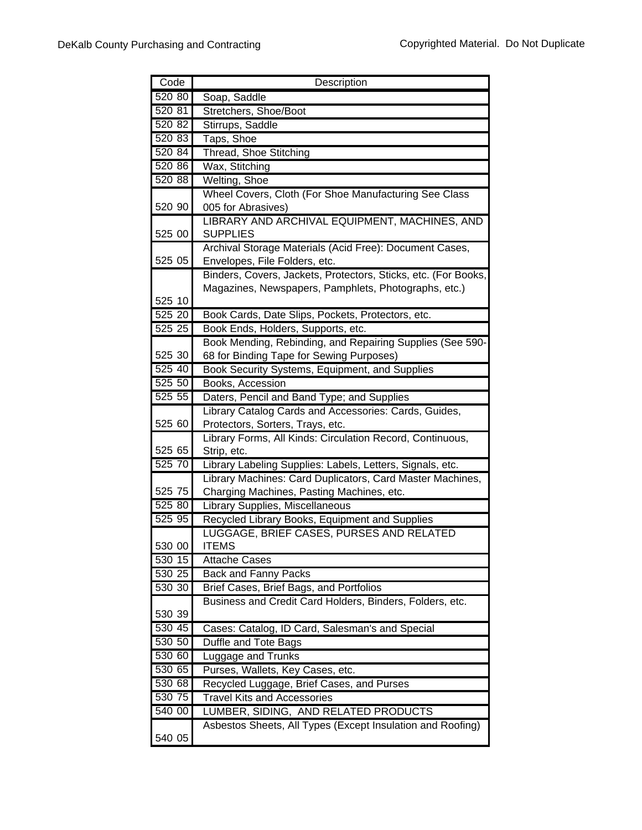| Code             | Description                                                    |
|------------------|----------------------------------------------------------------|
| 520 80           | Soap, Saddle                                                   |
| 520 81           | Stretchers, Shoe/Boot                                          |
| 520 82           | Stirrups, Saddle                                               |
| 520 83           | Taps, Shoe                                                     |
| 520 84           | Thread, Shoe Stitching                                         |
| 520 86           | Wax, Stitching                                                 |
| 520 88           | Welting, Shoe                                                  |
|                  | Wheel Covers, Cloth (For Shoe Manufacturing See Class          |
| 520 90           | 005 for Abrasives)                                             |
|                  | LIBRARY AND ARCHIVAL EQUIPMENT, MACHINES, AND                  |
| 525 00           | <b>SUPPLIES</b>                                                |
|                  | Archival Storage Materials (Acid Free): Document Cases,        |
| 525 05           | Envelopes, File Folders, etc.                                  |
|                  | Binders, Covers, Jackets, Protectors, Sticks, etc. (For Books, |
|                  | Magazines, Newspapers, Pamphlets, Photographs, etc.)           |
| 525 10           |                                                                |
| 525 20           | Book Cards, Date Slips, Pockets, Protectors, etc.              |
| $525\,25$        | Book Ends, Holders, Supports, etc.                             |
|                  | Book Mending, Rebinding, and Repairing Supplies (See 590-      |
| 525 30           | 68 for Binding Tape for Sewing Purposes)                       |
| 525 40           | Book Security Systems, Equipment, and Supplies                 |
| 525 50           | Books, Accession                                               |
| 525 55           | Daters, Pencil and Band Type; and Supplies                     |
|                  | Library Catalog Cards and Accessories: Cards, Guides,          |
| 525 60           | Protectors, Sorters, Trays, etc.                               |
|                  | Library Forms, All Kinds: Circulation Record, Continuous,      |
| 525 65           | Strip, etc.                                                    |
| 525 70           | Library Labeling Supplies: Labels, Letters, Signals, etc.      |
|                  | Library Machines: Card Duplicators, Card Master Machines,      |
| 525 75<br>525 80 | Charging Machines, Pasting Machines, etc.                      |
| 52595            | Library Supplies, Miscellaneous                                |
|                  | Recycled Library Books, Equipment and Supplies                 |
| 530 00           | LUGGAGE, BRIEF CASES, PURSES AND RELATED<br><b>ITEMS</b>       |
| 530 15           | <b>Attache Cases</b>                                           |
| 530 25           | Back and Fanny Packs                                           |
| 530 30           | Brief Cases, Brief Bags, and Portfolios                        |
|                  | Business and Credit Card Holders, Binders, Folders, etc.       |
| 530 39           |                                                                |
| 530 45           | Cases: Catalog, ID Card, Salesman's and Special                |
| 530 50           | Duffle and Tote Bags                                           |
| 530 60           | Luggage and Trunks                                             |
| 530 65           | Purses, Wallets, Key Cases, etc.                               |
| 530 68           | Recycled Luggage, Brief Cases, and Purses                      |
| 530 75           | <b>Travel Kits and Accessories</b>                             |
| 540 00           | LUMBER, SIDING, AND RELATED PRODUCTS                           |
|                  | Asbestos Sheets, All Types (Except Insulation and Roofing)     |
| 540 05           |                                                                |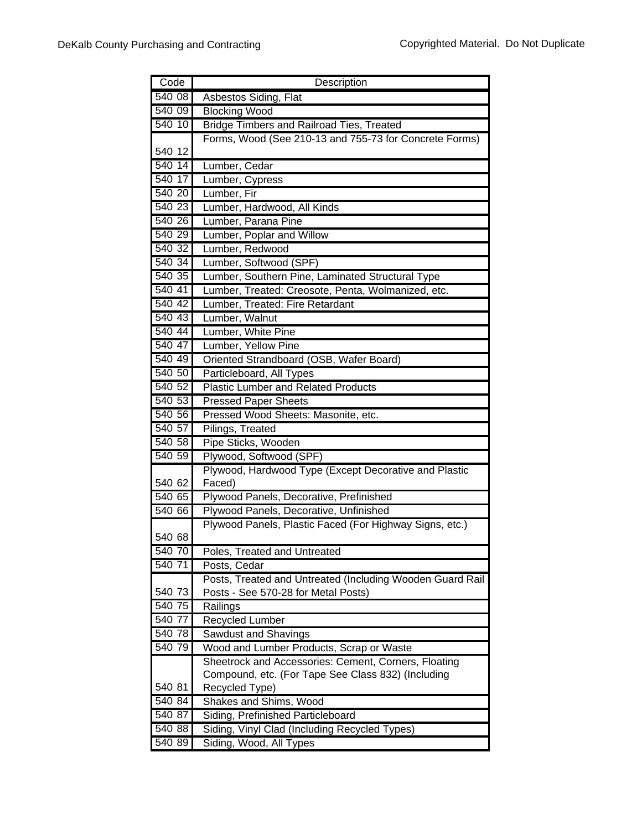| Code   | Description                                               |
|--------|-----------------------------------------------------------|
| 540 08 | Asbestos Siding, Flat                                     |
| 540 09 | <b>Blocking Wood</b>                                      |
| 540 10 | <b>Bridge Timbers and Railroad Ties, Treated</b>          |
|        | Forms, Wood (See 210-13 and 755-73 for Concrete Forms)    |
| 540 12 |                                                           |
| 54014  | Lumber, Cedar                                             |
| 540 17 | Lumber, Cypress                                           |
| 540 20 | Lumber, Fir                                               |
| 540 23 | Lumber, Hardwood, All Kinds                               |
| 540 26 | Lumber, Parana Pine                                       |
| 540 29 | Lumber, Poplar and Willow                                 |
| 540 32 | Lumber, Redwood                                           |
| 540 34 | Lumber, Softwood (SPF)                                    |
| 540 35 | Lumber, Southern Pine, Laminated Structural Type          |
| 540 41 | Lumber, Treated: Creosote, Penta, Wolmanized, etc.        |
| 540 42 | Lumber, Treated: Fire Retardant                           |
| 540 43 | Lumber, Walnut                                            |
| 540 44 | Lumber, White Pine                                        |
| 540 47 | Lumber, Yellow Pine                                       |
| 540 49 | Oriented Strandboard (OSB, Wafer Board)                   |
| 540 50 | Particleboard, All Types                                  |
| 540 52 | <b>Plastic Lumber and Related Products</b>                |
| 540 53 | <b>Pressed Paper Sheets</b>                               |
| 540 56 | Pressed Wood Sheets: Masonite, etc.                       |
| 540 57 | Pilings, Treated                                          |
| 540 58 | Pipe Sticks, Wooden                                       |
| 540 59 | Plywood, Softwood (SPF)                                   |
|        | Plywood, Hardwood Type (Except Decorative and Plastic     |
| 540 62 | Faced)                                                    |
| 540 65 | Plywood Panels, Decorative, Prefinished                   |
| 540 66 | Plywood Panels, Decorative, Unfinished                    |
|        | Plywood Panels, Plastic Faced (For Highway Signs, etc.)   |
| 540 68 |                                                           |
| 540 70 | Poles, Treated and Untreated                              |
| 540 71 | Posts, Cedar                                              |
|        | Posts, Treated and Untreated (Including Wooden Guard Rail |
| 540 73 | Posts - See 570-28 for Metal Posts)                       |
| 540 75 | Railings                                                  |
| 540 77 | Recycled Lumber                                           |
| 540 78 | Sawdust and Shavings                                      |
| 540 79 | Wood and Lumber Products, Scrap or Waste                  |
|        | Sheetrock and Accessories: Cement, Corners, Floating      |
|        | Compound, etc. (For Tape See Class 832) (Including        |
| 540 81 | Recycled Type)                                            |
| 540 84 | Shakes and Shims, Wood                                    |
| 540 87 | Siding, Prefinished Particleboard                         |
| 540 88 | Siding, Vinyl Clad (Including Recycled Types)             |
| 540 89 | Siding, Wood, All Types                                   |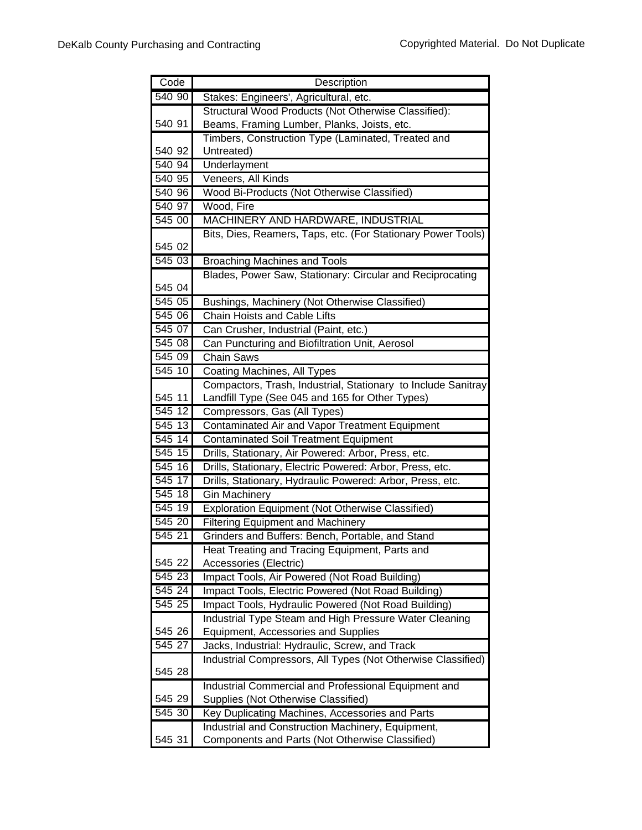| Code      | Description                                                              |
|-----------|--------------------------------------------------------------------------|
| 540 90    | Stakes: Engineers', Agricultural, etc.                                   |
|           | Structural Wood Products (Not Otherwise Classified):                     |
| 540 91    | Beams, Framing Lumber, Planks, Joists, etc.                              |
|           | Timbers, Construction Type (Laminated, Treated and                       |
| 540 92    | Untreated)                                                               |
| 540 94    | Underlayment                                                             |
| 540 95    | Veneers, All Kinds                                                       |
| 540 96    | Wood Bi-Products (Not Otherwise Classified)                              |
| 540 97    | Wood, Fire                                                               |
| 545 00    | MACHINERY AND HARDWARE, INDUSTRIAL                                       |
|           | Bits, Dies, Reamers, Taps, etc. (For Stationary Power Tools)             |
| 545 02    |                                                                          |
| 545 03    | <b>Broaching Machines and Tools</b>                                      |
|           | Blades, Power Saw, Stationary: Circular and Reciprocating                |
| 545 04    |                                                                          |
| 545 05    | Bushings, Machinery (Not Otherwise Classified)                           |
| 545 06    | Chain Hoists and Cable Lifts                                             |
| 545 07    | Can Crusher, Industrial (Paint, etc.)                                    |
| 545 08    | Can Puncturing and Biofiltration Unit, Aerosol                           |
| 545 09    | <b>Chain Saws</b>                                                        |
| 545 10    | <b>Coating Machines, All Types</b>                                       |
|           | Compactors, Trash, Industrial, Stationary to Include Sanitray            |
| 545 11    | Landfill Type (See 045 and 165 for Other Types)                          |
| 545 12    | Compressors, Gas (All Types)                                             |
| 545 13    | Contaminated Air and Vapor Treatment Equipment                           |
| 545 14    | Contaminated Soil Treatment Equipment                                    |
| 545 15    | Drills, Stationary, Air Powered: Arbor, Press, etc.                      |
| 545 16    | Drills, Stationary, Electric Powered: Arbor, Press, etc.                 |
| 545 17    | Drills, Stationary, Hydraulic Powered: Arbor, Press, etc.                |
| 545 18    | <b>Gin Machinery</b>                                                     |
| 545 19    | Exploration Equipment (Not Otherwise Classified)                         |
| 545 20    | <b>Filtering Equipment and Machinery</b>                                 |
| 545 21    | Grinders and Buffers: Bench, Portable, and Stand                         |
| 545 22    | Heat Treating and Tracing Equipment, Parts and<br>Accessories (Electric) |
| 545 23    | Impact Tools, Air Powered (Not Road Building)                            |
| $545\,24$ | Impact Tools, Electric Powered (Not Road Building)                       |
| 545 25    | Impact Tools, Hydraulic Powered (Not Road Building)                      |
|           | Industrial Type Steam and High Pressure Water Cleaning                   |
| 545 26    | Equipment, Accessories and Supplies                                      |
| 545 27    | Jacks, Industrial: Hydraulic, Screw, and Track                           |
|           | Industrial Compressors, All Types (Not Otherwise Classified)             |
| 545 28    |                                                                          |
|           | Industrial Commercial and Professional Equipment and                     |
| 545 29    | Supplies (Not Otherwise Classified)                                      |
| 54530     | Key Duplicating Machines, Accessories and Parts                          |
|           | Industrial and Construction Machinery, Equipment,                        |
| 545 31    | Components and Parts (Not Otherwise Classified)                          |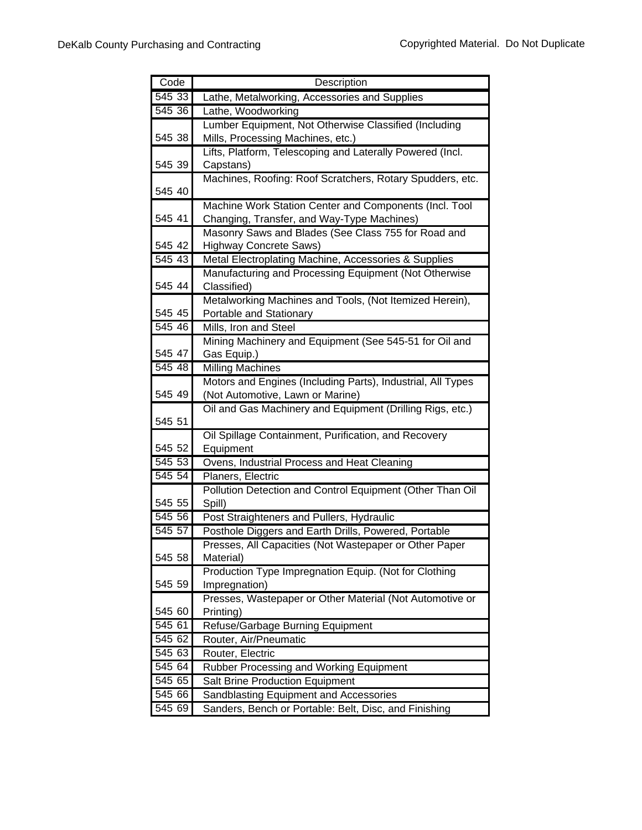| Code   | Description                                                            |
|--------|------------------------------------------------------------------------|
| 545 33 | Lathe, Metalworking, Accessories and Supplies                          |
| 54536  | Lathe, Woodworking                                                     |
|        | Lumber Equipment, Not Otherwise Classified (Including                  |
| 545 38 | Mills, Processing Machines, etc.)                                      |
|        | Lifts, Platform, Telescoping and Laterally Powered (Incl.              |
| 545 39 | Capstans)                                                              |
|        | Machines, Roofing: Roof Scratchers, Rotary Spudders, etc.              |
| 545 40 |                                                                        |
|        | Machine Work Station Center and Components (Incl. Tool                 |
| 545 41 | Changing, Transfer, and Way-Type Machines)                             |
|        | Masonry Saws and Blades (See Class 755 for Road and                    |
| 545 42 | <b>Highway Concrete Saws)</b>                                          |
| 545 43 | Metal Electroplating Machine, Accessories & Supplies                   |
| 545 44 | Manufacturing and Processing Equipment (Not Otherwise                  |
|        | Classified)<br>Metalworking Machines and Tools, (Not Itemized Herein), |
| 545 45 | Portable and Stationary                                                |
| 545 46 | Mills, Iron and Steel                                                  |
|        | Mining Machinery and Equipment (See 545-51 for Oil and                 |
| 545 47 | Gas Equip.)                                                            |
| 545 48 | <b>Milling Machines</b>                                                |
|        | Motors and Engines (Including Parts), Industrial, All Types            |
| 545 49 | (Not Automotive, Lawn or Marine)                                       |
|        | Oil and Gas Machinery and Equipment (Drilling Rigs, etc.)              |
| 545 51 |                                                                        |
|        | Oil Spillage Containment, Purification, and Recovery                   |
| 545 52 | Equipment                                                              |
| 545 53 | Ovens, Industrial Process and Heat Cleaning                            |
| 545 54 | Planers, Electric                                                      |
|        | Pollution Detection and Control Equipment (Other Than Oil              |
| 545 55 | Spill)                                                                 |
| 545 56 | Post Straighteners and Pullers, Hydraulic                              |
| 545 57 | Posthole Diggers and Earth Drills, Powered, Portable                   |
| 545 58 | Presses, All Capacities (Not Wastepaper or Other Paper<br>Material)    |
|        | Production Type Impregnation Equip. (Not for Clothing                  |
| 545 59 | Impregnation)                                                          |
|        | Presses, Wastepaper or Other Material (Not Automotive or               |
| 545 60 | Printing)                                                              |
| 545 61 | Refuse/Garbage Burning Equipment                                       |
| 545 62 | Router, Air/Pneumatic                                                  |
| 545 63 | Router, Electric                                                       |
| 545 64 | Rubber Processing and Working Equipment                                |
| 545 65 | <b>Salt Brine Production Equipment</b>                                 |
| 545 66 | Sandblasting Equipment and Accessories                                 |
| 545 69 | Sanders, Bench or Portable: Belt, Disc, and Finishing                  |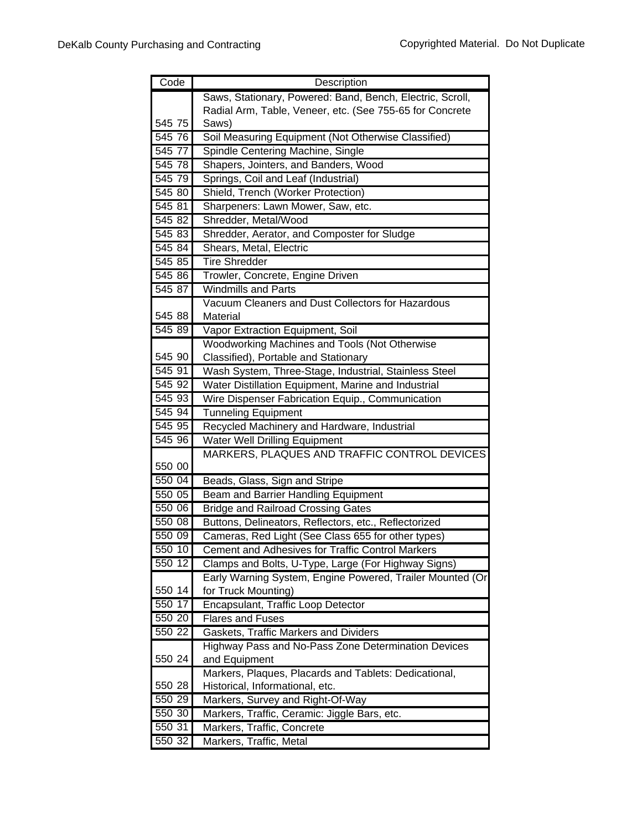| Code             | Description                                                          |
|------------------|----------------------------------------------------------------------|
|                  | Saws, Stationary, Powered: Band, Bench, Electric, Scroll,            |
|                  | Radial Arm, Table, Veneer, etc. (See 755-65 for Concrete             |
| 545 75           | Saws)                                                                |
| 545 76           | Soil Measuring Equipment (Not Otherwise Classified)                  |
| 545 77           | Spindle Centering Machine, Single                                    |
| 545 78           | Shapers, Jointers, and Banders, Wood                                 |
| 545 79           | Springs, Coil and Leaf (Industrial)                                  |
| 545 80           | Shield, Trench (Worker Protection)                                   |
| 545 81           | Sharpeners: Lawn Mower, Saw, etc.                                    |
| 545 82           | Shredder, Metal/Wood                                                 |
| 545 83           | Shredder, Aerator, and Composter for Sludge                          |
| 545 84           | Shears, Metal, Electric                                              |
| 54585            | <b>Tire Shredder</b>                                                 |
| 545 86           | Trowler, Concrete, Engine Driven                                     |
| 545 87           | <b>Windmills and Parts</b>                                           |
|                  | Vacuum Cleaners and Dust Collectors for Hazardous                    |
| 545 88           | Material                                                             |
| 545 89           | Vapor Extraction Equipment, Soil                                     |
|                  | Woodworking Machines and Tools (Not Otherwise                        |
| 545 90           | Classified), Portable and Stationary                                 |
| 545 91           | Wash System, Three-Stage, Industrial, Stainless Steel                |
| 545 92           | Water Distillation Equipment, Marine and Industrial                  |
| 545 93           | Wire Dispenser Fabrication Equip., Communication                     |
| 545 94           | <b>Tunneling Equipment</b>                                           |
| 545 95           | Recycled Machinery and Hardware, Industrial                          |
| 545 96           | <b>Water Well Drilling Equipment</b>                                 |
|                  | MARKERS, PLAQUES AND TRAFFIC CONTROL DEVICES                         |
| 550 00           |                                                                      |
| 550 04           | Beads, Glass, Sign and Stripe                                        |
| 550 05           | Beam and Barrier Handling Equipment                                  |
| 550 06           | <b>Bridge and Railroad Crossing Gates</b>                            |
| 550 08           | Buttons, Delineators, Reflectors, etc., Reflectorized                |
| 550 09           | Cameras, Red Light (See Class 655 for other types)                   |
| 550 10           | <b>Cement and Adhesives for Traffic Control Markers</b>              |
| 550 12           | Clamps and Bolts, U-Type, Large (For Highway Signs)                  |
|                  | Early Warning System, Engine Powered, Trailer Mounted (Or            |
| 550 14           | for Truck Mounting)                                                  |
| 550 17           | Encapsulant, Traffic Loop Detector                                   |
| 550 20<br>550 22 | <b>Flares and Fuses</b>                                              |
|                  | Gaskets, Traffic Markers and Dividers                                |
| 550 24           | Highway Pass and No-Pass Zone Determination Devices<br>and Equipment |
|                  | Markers, Plaques, Placards and Tablets: Dedicational,                |
| 550 28           | Historical, Informational, etc.                                      |
| 550 29           | Markers, Survey and Right-Of-Way                                     |
| 550 30           | Markers, Traffic, Ceramic: Jiggle Bars, etc.                         |
| 550 31           | Markers, Traffic, Concrete                                           |
| 550 32           | Markers, Traffic, Metal                                              |
|                  |                                                                      |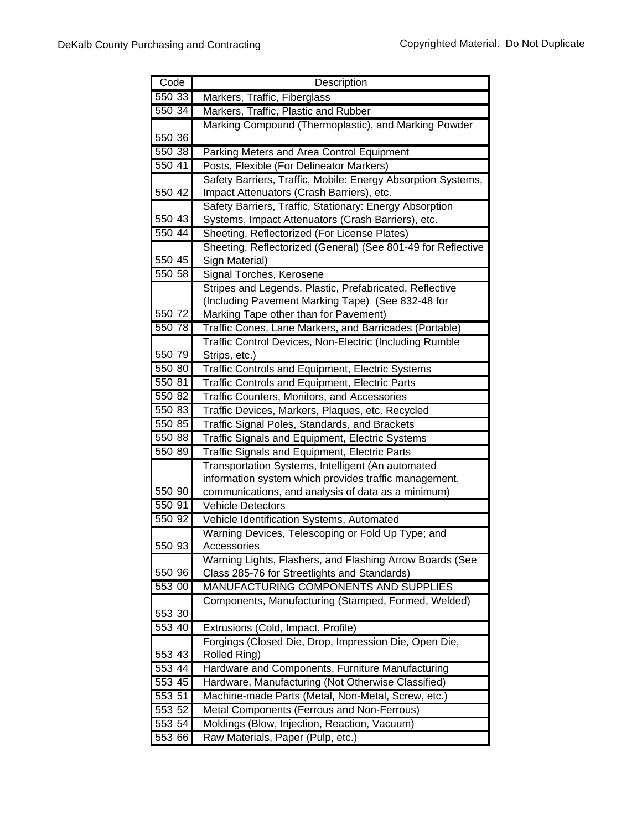| Code             | Description                                                  |
|------------------|--------------------------------------------------------------|
| 550 33           | Markers, Traffic, Fiberglass                                 |
| 550 34           | Markers, Traffic, Plastic and Rubber                         |
|                  | Marking Compound (Thermoplastic), and Marking Powder         |
| 550 36           |                                                              |
| 550 38           | Parking Meters and Area Control Equipment                    |
| 550 41           | Posts, Flexible (For Delineator Markers)                     |
|                  | Safety Barriers, Traffic, Mobile: Energy Absorption Systems, |
| 550 42           | Impact Attenuators (Crash Barriers), etc.                    |
|                  | Safety Barriers, Traffic, Stationary: Energy Absorption      |
| 550 43           | Systems, Impact Attenuators (Crash Barriers), etc.           |
| 550 44           | Sheeting, Reflectorized (For License Plates)                 |
|                  | Sheeting, Reflectorized (General) (See 801-49 for Reflective |
| 550 45           | Sign Material)                                               |
| 550 58           | Signal Torches, Kerosene                                     |
|                  | Stripes and Legends, Plastic, Prefabricated, Reflective      |
|                  | (Including Pavement Marking Tape) (See 832-48 for            |
| 550 72           | Marking Tape other than for Pavement)                        |
| 550 78           | Traffic Cones, Lane Markers, and Barricades (Portable)       |
|                  | Traffic Control Devices, Non-Electric (Including Rumble      |
| 550 79           | Strips, etc.)                                                |
| 550 80           | Traffic Controls and Equipment, Electric Systems             |
| 550 81           | Traffic Controls and Equipment, Electric Parts               |
| 550 82           | Traffic Counters, Monitors, and Accessories                  |
| 550 83           | Traffic Devices, Markers, Plaques, etc. Recycled             |
| 550 85           | Traffic Signal Poles, Standards, and Brackets                |
| 550 88           | Traffic Signals and Equipment, Electric Systems              |
| 550 89           | Traffic Signals and Equipment, Electric Parts                |
|                  | Transportation Systems, Intelligent (An automated            |
|                  | information system which provides traffic management,        |
| 550 90           | communications, and analysis of data as a minimum)           |
| 550 91           | <b>Vehicle Detectors</b>                                     |
| 550 92           | Vehicle Identification Systems, Automated                    |
|                  | Warning Devices, Telescoping or Fold Up Type; and            |
| 550 93           | Accessories                                                  |
|                  | Warning Lights, Flashers, and Flashing Arrow Boards (See     |
| 550 96           | Class 285-76 for Streetlights and Standards)                 |
| 553 00           | MANUFACTURING COMPONENTS AND SUPPLIES                        |
|                  | Components, Manufacturing (Stamped, Formed, Welded)          |
| 553 30           |                                                              |
| 553 40           | Extrusions (Cold, Impact, Profile)                           |
|                  | Forgings (Closed Die, Drop, Impression Die, Open Die,        |
| 553 43<br>553 44 | Rolled Ring)                                                 |
|                  | Hardware and Components, Furniture Manufacturing             |
| 553 45           | Hardware, Manufacturing (Not Otherwise Classified)           |
| 553 51           | Machine-made Parts (Metal, Non-Metal, Screw, etc.)           |
| 553 52           | Metal Components (Ferrous and Non-Ferrous)                   |
| 553 54           | Moldings (Blow, Injection, Reaction, Vacuum)                 |
| 553 66           | Raw Materials, Paper (Pulp, etc.)                            |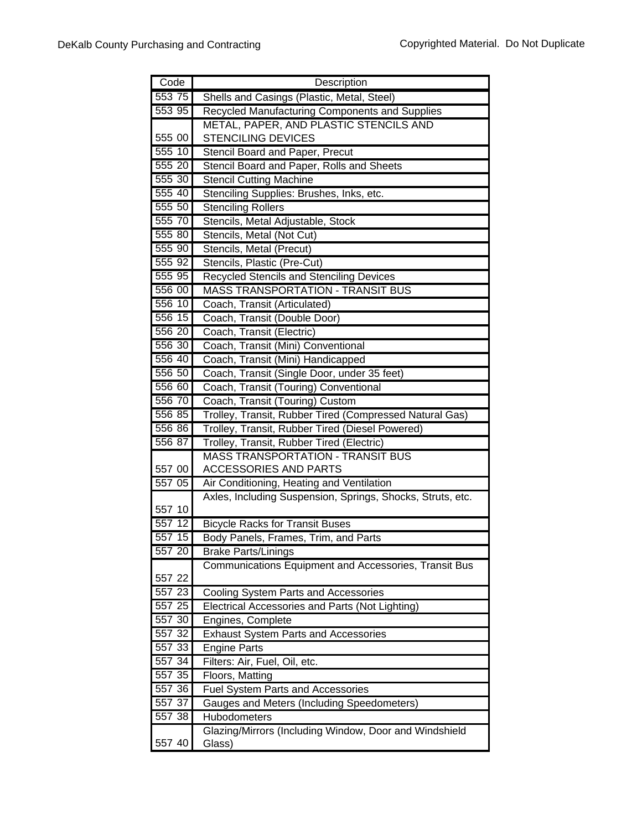| Code   | Description                                                |
|--------|------------------------------------------------------------|
| 553 75 | Shells and Casings (Plastic, Metal, Steel)                 |
| 553 95 | Recycled Manufacturing Components and Supplies             |
|        | METAL, PAPER, AND PLASTIC STENCILS AND                     |
| 555 00 | <b>STENCILING DEVICES</b>                                  |
| 555 10 | Stencil Board and Paper, Precut                            |
| 555 20 | Stencil Board and Paper, Rolls and Sheets                  |
| 555 30 | <b>Stencil Cutting Machine</b>                             |
| 555 40 | Stenciling Supplies: Brushes, Inks, etc.                   |
| 555 50 | <b>Stenciling Rollers</b>                                  |
| 555 70 | Stencils, Metal Adjustable, Stock                          |
| 555 80 | Stencils, Metal (Not Cut)                                  |
| 555 90 | Stencils, Metal (Precut)                                   |
| 555 92 | Stencils, Plastic (Pre-Cut)                                |
| 555 95 | <b>Recycled Stencils and Stenciling Devices</b>            |
| 556 00 | <b>MASS TRANSPORTATION - TRANSIT BUS</b>                   |
| 556 10 | Coach, Transit (Articulated)                               |
| 556 15 | Coach, Transit (Double Door)                               |
| 556 20 | Coach, Transit (Electric)                                  |
| 556 30 | Coach, Transit (Mini) Conventional                         |
| 556 40 | Coach, Transit (Mini) Handicapped                          |
| 556 50 | Coach, Transit (Single Door, under 35 feet)                |
| 556 60 | Coach, Transit (Touring) Conventional                      |
| 556 70 | Coach, Transit (Touring) Custom                            |
| 556 85 | Trolley, Transit, Rubber Tired (Compressed Natural Gas)    |
| 556 86 | Trolley, Transit, Rubber Tired (Diesel Powered)            |
| 556 87 | Trolley, Transit, Rubber Tired (Electric)                  |
|        | <b>MASS TRANSPORTATION - TRANSIT BUS</b>                   |
| 557 00 | ACCESSORIES AND PARTS                                      |
| 557 05 | Air Conditioning, Heating and Ventilation                  |
|        | Axles, Including Suspension, Springs, Shocks, Struts, etc. |
| 557 10 |                                                            |
| 55712  | <b>Bicycle Racks for Transit Buses</b>                     |
| 557 15 | Body Panels, Frames, Trim, and Parts                       |
| 557 20 | <b>Brake Parts/Linings</b>                                 |
|        | Communications Equipment and Accessories, Transit Bus      |
| 557 22 |                                                            |
| 557 23 | Cooling System Parts and Accessories                       |
| 557 25 | Electrical Accessories and Parts (Not Lighting)            |
| 557 30 | Engines, Complete                                          |
| 557 32 | <b>Exhaust System Parts and Accessories</b>                |
| 557 33 | <b>Engine Parts</b>                                        |
| 557 34 | Filters: Air, Fuel, Oil, etc.                              |
| 557 35 | Floors, Matting                                            |
| 557 36 | <b>Fuel System Parts and Accessories</b>                   |
| 557 37 | Gauges and Meters (Including Speedometers)                 |
| 557 38 | Hubodometers                                               |
|        | Glazing/Mirrors (Including Window, Door and Windshield     |
| 557 40 | Glass)                                                     |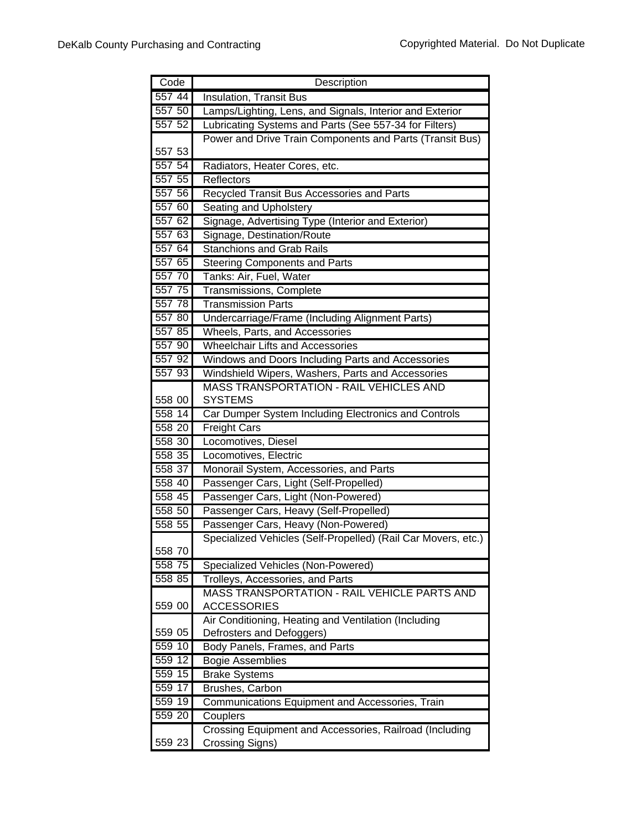| Code   | Description                                                   |
|--------|---------------------------------------------------------------|
| 557 44 | <b>Insulation, Transit Bus</b>                                |
| 557 50 | Lamps/Lighting, Lens, and Signals, Interior and Exterior      |
| 557 52 | Lubricating Systems and Parts (See 557-34 for Filters)        |
|        | Power and Drive Train Components and Parts (Transit Bus)      |
| 557 53 |                                                               |
| 557 54 | Radiators, Heater Cores, etc.                                 |
| 557 55 | Reflectors                                                    |
| 557 56 | Recycled Transit Bus Accessories and Parts                    |
| 557 60 | Seating and Upholstery                                        |
| 557 62 | Signage, Advertising Type (Interior and Exterior)             |
| 557 63 | Signage, Destination/Route                                    |
| 557 64 | <b>Stanchions and Grab Rails</b>                              |
| 557 65 | <b>Steering Components and Parts</b>                          |
| 557 70 | Tanks: Air, Fuel, Water                                       |
| 557 75 | Transmissions, Complete                                       |
| 557 78 | <b>Transmission Parts</b>                                     |
| 557 80 | Undercarriage/Frame (Including Alignment Parts)               |
| 557 85 | Wheels, Parts, and Accessories                                |
| 557 90 | <b>Wheelchair Lifts and Accessories</b>                       |
| 557 92 | Windows and Doors Including Parts and Accessories             |
| 557 93 | Windshield Wipers, Washers, Parts and Accessories             |
|        | <b>MASS TRANSPORTATION - RAIL VEHICLES AND</b>                |
| 558 00 | <b>SYSTEMS</b>                                                |
| 558 14 | Car Dumper System Including Electronics and Controls          |
| 558 20 | <b>Freight Cars</b>                                           |
| 558 30 | Locomotives, Diesel                                           |
| 558 35 | Locomotives, Electric                                         |
| 558 37 | Monorail System, Accessories, and Parts                       |
| 558 40 | Passenger Cars, Light (Self-Propelled)                        |
| 558 45 | Passenger Cars, Light (Non-Powered)                           |
| 558 50 | Passenger Cars, Heavy (Self-Propelled)                        |
| 558 55 | Passenger Cars, Heavy (Non-Powered)                           |
| 558 70 | Specialized Vehicles (Self-Propelled) (Rail Car Movers, etc.) |
| 558 75 | Specialized Vehicles (Non-Powered)                            |
| 558 85 | Trolleys, Accessories, and Parts                              |
|        | MASS TRANSPORTATION - RAIL VEHICLE PARTS AND                  |
| 559 00 | <b>ACCESSORIES</b>                                            |
|        | Air Conditioning, Heating and Ventilation (Including          |
| 559 05 | Defrosters and Defoggers)                                     |
| 559 10 | Body Panels, Frames, and Parts                                |
| 559 12 | <b>Bogie Assemblies</b>                                       |
| 559 15 | <b>Brake Systems</b>                                          |
| 559 17 | Brushes, Carbon                                               |
| 559 19 | Communications Equipment and Accessories, Train               |
| 559 20 | Couplers                                                      |
|        | Crossing Equipment and Accessories, Railroad (Including       |
| 559 23 | Crossing Signs)                                               |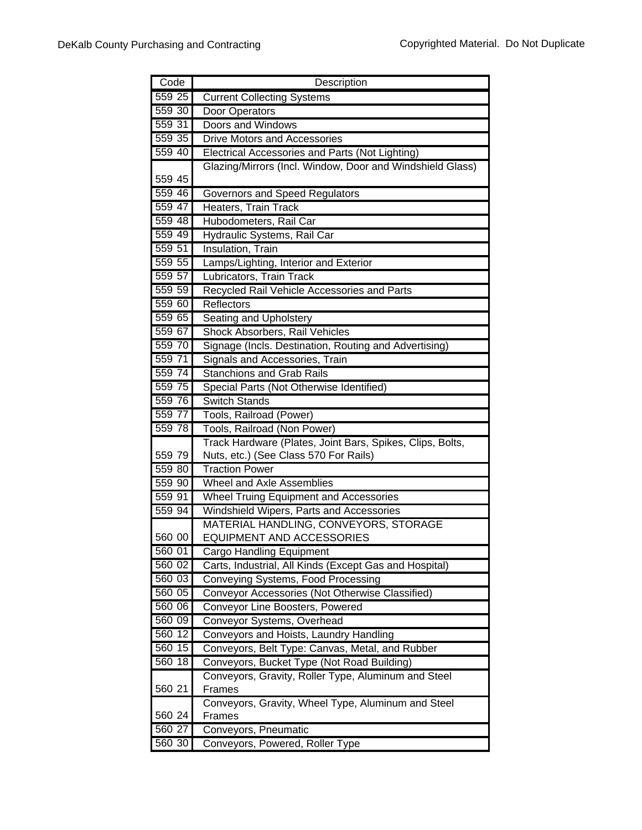| Code   | Description                                                  |
|--------|--------------------------------------------------------------|
| 559 25 | <b>Current Collecting Systems</b>                            |
| 559 30 | Door Operators                                               |
| 559 31 | Doors and Windows                                            |
| 559 35 | <b>Drive Motors and Accessories</b>                          |
| 559 40 | Electrical Accessories and Parts (Not Lighting)              |
|        | Glazing/Mirrors (Incl. Window, Door and Windshield Glass)    |
| 559 45 |                                                              |
| 559 46 | Governors and Speed Regulators                               |
| 559 47 | Heaters, Train Track                                         |
| 559 48 | Hubodometers, Rail Car                                       |
| 559 49 | Hydraulic Systems, Rail Car                                  |
| 559 51 | Insulation, Train                                            |
| 559 55 | Lamps/Lighting, Interior and Exterior                        |
| 559 57 | Lubricators, Train Track                                     |
| 559 59 | Recycled Rail Vehicle Accessories and Parts                  |
| 559 60 | Reflectors                                                   |
| 559 65 | Seating and Upholstery                                       |
| 559 67 | Shock Absorbers, Rail Vehicles                               |
| 559 70 | Signage (Incls. Destination, Routing and Advertising)        |
| 559 71 | Signals and Accessories, Train                               |
| 559 74 | <b>Stanchions and Grab Rails</b>                             |
| 559 75 | Special Parts (Not Otherwise Identified)                     |
| 559 76 | <b>Switch Stands</b>                                         |
| 559 77 | Tools, Railroad (Power)                                      |
| 559 78 | Tools, Railroad (Non Power)                                  |
|        | Track Hardware (Plates, Joint Bars, Spikes, Clips, Bolts,    |
| 559 79 | Nuts, etc.) (See Class 570 For Rails)                        |
| 559 80 | <b>Traction Power</b>                                        |
| 559 90 | <b>Wheel and Axle Assemblies</b>                             |
| 559 91 | <b>Wheel Truing Equipment and Accessories</b>                |
| 559 94 | Windshield Wipers, Parts and Accessories                     |
|        | MATERIAL HANDLING, CONVEYORS, STORAGE                        |
| 560 00 | EQUIPMENT AND ACCESSORIES                                    |
| 560 01 | Cargo Handling Equipment                                     |
| 560 02 | Carts, Industrial, All Kinds (Except Gas and Hospital)       |
| 560 03 | Conveying Systems, Food Processing                           |
| 560 05 | Conveyor Accessories (Not Otherwise Classified)              |
| 560 06 | Conveyor Line Boosters, Powered                              |
| 560 09 | Conveyor Systems, Overhead                                   |
| 560 12 | Conveyors and Hoists, Laundry Handling                       |
| 560 15 | Conveyors, Belt Type: Canvas, Metal, and Rubber              |
| 560 18 | Conveyors, Bucket Type (Not Road Building)                   |
|        | Conveyors, Gravity, Roller Type, Aluminum and Steel          |
| 560 21 | Frames                                                       |
| 560 24 | Conveyors, Gravity, Wheel Type, Aluminum and Steel<br>Frames |
| 560 27 | Conveyors, Pneumatic                                         |
| 560 30 | Conveyors, Powered, Roller Type                              |
|        |                                                              |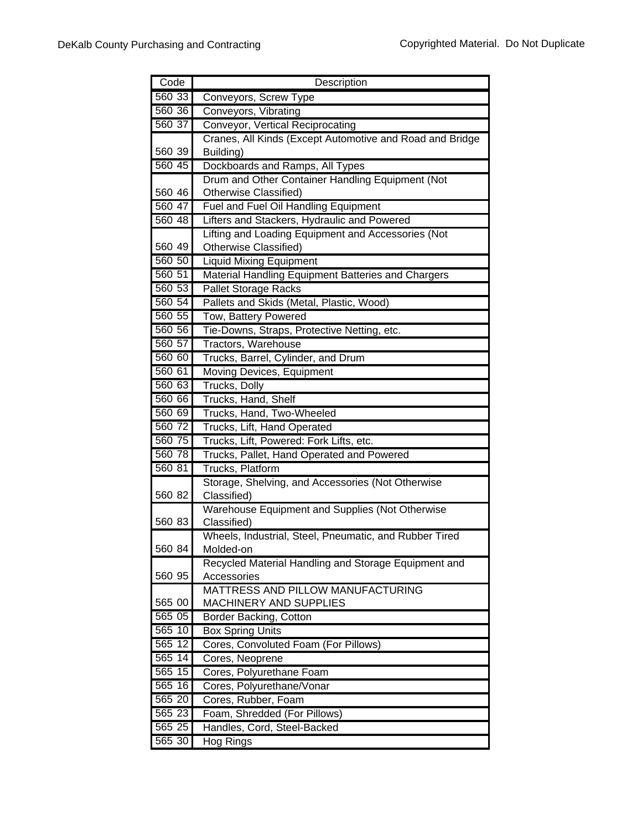| Code   | Description                                              |
|--------|----------------------------------------------------------|
| 560 33 | Conveyors, Screw Type                                    |
| 560 36 | Conveyors, Vibrating                                     |
| 560 37 | Conveyor, Vertical Reciprocating                         |
|        | Cranes, All Kinds (Except Automotive and Road and Bridge |
| 560 39 | Building)                                                |
| 560 45 | Dockboards and Ramps, All Types                          |
|        | Drum and Other Container Handling Equipment (Not         |
| 560 46 | Otherwise Classified)                                    |
| 560 47 | Fuel and Fuel Oil Handling Equipment                     |
| 560 48 | Lifters and Stackers, Hydraulic and Powered              |
|        | Lifting and Loading Equipment and Accessories (Not       |
| 560 49 | Otherwise Classified)                                    |
| 560 50 | <b>Liquid Mixing Equipment</b>                           |
| 560 51 | Material Handling Equipment Batteries and Chargers       |
| 560 53 | <b>Pallet Storage Racks</b>                              |
| 560 54 | Pallets and Skids (Metal, Plastic, Wood)                 |
| 560 55 | Tow, Battery Powered                                     |
| 560 56 | Tie-Downs, Straps, Protective Netting, etc.              |
| 560 57 | Tractors, Warehouse                                      |
| 560 60 | Trucks, Barrel, Cylinder, and Drum                       |
| 560 61 | Moving Devices, Equipment                                |
| 560 63 | Trucks, Dolly                                            |
| 560 66 | Trucks, Hand, Shelf                                      |
| 560 69 | Trucks, Hand, Two-Wheeled                                |
| 560 72 | Trucks, Lift, Hand Operated                              |
| 560 75 | Trucks, Lift, Powered: Fork Lifts, etc.                  |
| 560 78 | Trucks, Pallet, Hand Operated and Powered                |
| 560 81 | Trucks, Platform                                         |
|        | Storage, Shelving, and Accessories (Not Otherwise        |
| 560 82 | Classified)                                              |
|        | Warehouse Equipment and Supplies (Not Otherwise          |
| 560 83 | Classified)                                              |
|        | Wheels, Industrial, Steel, Pneumatic, and Rubber Tired   |
| 560 84 | Molded-on                                                |
|        | Recycled Material Handling and Storage Equipment and     |
| 560 95 | Accessories                                              |
|        | MATTRESS AND PILLOW MANUFACTURING                        |
| 565 00 | <b>MACHINERY AND SUPPLIES</b>                            |
| 565 05 | Border Backing, Cotton                                   |
| 565 10 | <b>Box Spring Units</b>                                  |
| 565 12 | Cores, Convoluted Foam (For Pillows)                     |
| 565 14 | Cores, Neoprene                                          |
| 565 15 | Cores, Polyurethane Foam                                 |
| 565 16 | Cores, Polyurethane/Vonar                                |
| 565 20 | Cores, Rubber, Foam                                      |
| 565 23 | Foam, Shredded (For Pillows)                             |
| 565 25 | Handles, Cord, Steel-Backed                              |
| 565 30 | Hog Rings                                                |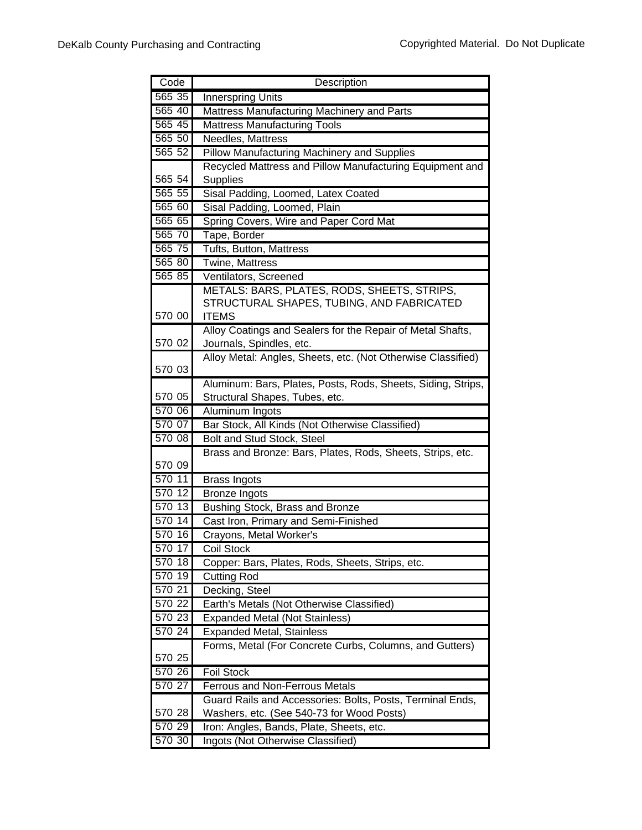| Code   | Description                                                  |
|--------|--------------------------------------------------------------|
| 565 35 | <b>Innerspring Units</b>                                     |
| 565 40 | Mattress Manufacturing Machinery and Parts                   |
| 565 45 | Mattress Manufacturing Tools                                 |
| 565 50 | Needles, Mattress                                            |
| 565 52 | <b>Pillow Manufacturing Machinery and Supplies</b>           |
|        | Recycled Mattress and Pillow Manufacturing Equipment and     |
| 565 54 | <b>Supplies</b>                                              |
| 565 55 | Sisal Padding, Loomed, Latex Coated                          |
| 565 60 | Sisal Padding, Loomed, Plain                                 |
| 565 65 | Spring Covers, Wire and Paper Cord Mat                       |
| 565 70 | Tape, Border                                                 |
| 565 75 | Tufts, Button, Mattress                                      |
| 565 80 | <b>Twine, Mattress</b>                                       |
| 565 85 | Ventilators, Screened                                        |
|        | METALS: BARS, PLATES, RODS, SHEETS, STRIPS,                  |
|        | STRUCTURAL SHAPES, TUBING, AND FABRICATED                    |
| 570 00 | <b>ITEMS</b>                                                 |
|        | Alloy Coatings and Sealers for the Repair of Metal Shafts,   |
| 570 02 | Journals, Spindles, etc.                                     |
|        | Alloy Metal: Angles, Sheets, etc. (Not Otherwise Classified) |
| 570 03 |                                                              |
|        | Aluminum: Bars, Plates, Posts, Rods, Sheets, Siding, Strips, |
| 570 05 | Structural Shapes, Tubes, etc.                               |
| 570 06 | Aluminum Ingots                                              |
| 570 07 | Bar Stock, All Kinds (Not Otherwise Classified)              |
| 570 08 | Bolt and Stud Stock, Steel                                   |
| 570 09 | Brass and Bronze: Bars, Plates, Rods, Sheets, Strips, etc.   |
| 570 11 | Brass Ingots                                                 |
| 570 12 | <b>Bronze Ingots</b>                                         |
| 570 13 | Bushing Stock, Brass and Bronze                              |
| 570 14 | Cast Iron, Primary and Semi-Finished                         |
| 570 16 | Crayons, Metal Worker's                                      |
| 570 17 | <b>Coil Stock</b>                                            |
| 570 18 | Copper: Bars, Plates, Rods, Sheets, Strips, etc.             |
| 570 19 | <b>Cutting Rod</b>                                           |
| 570 21 | Decking, Steel                                               |
| 570 22 | Earth's Metals (Not Otherwise Classified)                    |
| 570 23 | <b>Expanded Metal (Not Stainless)</b>                        |
| 570 24 | <b>Expanded Metal, Stainless</b>                             |
|        | Forms, Metal (For Concrete Curbs, Columns, and Gutters)      |
| 570 25 |                                                              |
| 570 26 | <b>Foil Stock</b>                                            |
| 570 27 | <b>Ferrous and Non-Ferrous Metals</b>                        |
|        | Guard Rails and Accessories: Bolts, Posts, Terminal Ends,    |
| 570 28 | Washers, etc. (See 540-73 for Wood Posts)                    |
| 570 29 | Iron: Angles, Bands, Plate, Sheets, etc.                     |
| 570 30 | Ingots (Not Otherwise Classified)                            |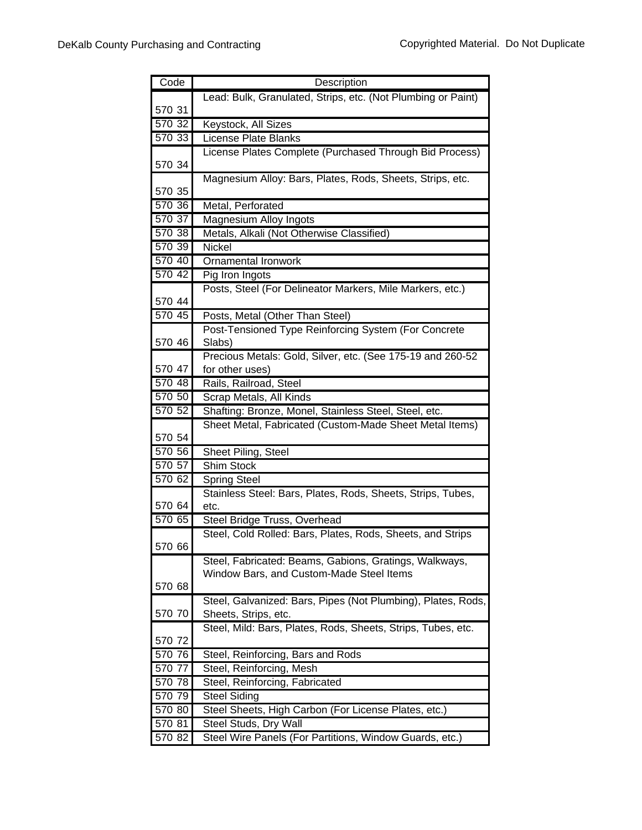| Code   | Description                                                                                                      |
|--------|------------------------------------------------------------------------------------------------------------------|
|        | Lead: Bulk, Granulated, Strips, etc. (Not Plumbing or Paint)                                                     |
| 570 31 |                                                                                                                  |
| 570 32 | Keystock, All Sizes                                                                                              |
| 570 33 | License Plate Blanks                                                                                             |
|        | License Plates Complete (Purchased Through Bid Process)                                                          |
| 570 34 |                                                                                                                  |
|        | Magnesium Alloy: Bars, Plates, Rods, Sheets, Strips, etc.                                                        |
| 570 35 |                                                                                                                  |
| 570 36 | Metal, Perforated                                                                                                |
| 570 37 | Magnesium Alloy Ingots                                                                                           |
| 570 38 | Metals, Alkali (Not Otherwise Classified)                                                                        |
| 570 39 | <b>Nickel</b>                                                                                                    |
| 570 40 | <b>Ornamental Ironwork</b>                                                                                       |
| 570 42 | Pig Iron Ingots                                                                                                  |
|        | Posts, Steel (For Delineator Markers, Mile Markers, etc.)                                                        |
| 570 44 |                                                                                                                  |
| 570 45 | Posts, Metal (Other Than Steel)                                                                                  |
|        | Post-Tensioned Type Reinforcing System (For Concrete                                                             |
| 570 46 | Slabs)                                                                                                           |
|        | Precious Metals: Gold, Silver, etc. (See 175-19 and 260-52                                                       |
| 570 47 | for other uses)                                                                                                  |
| 570 48 | Rails, Railroad, Steel                                                                                           |
| 570 50 | Scrap Metals, All Kinds                                                                                          |
| 570 52 | Shafting: Bronze, Monel, Stainless Steel, Steel, etc.<br>Sheet Metal, Fabricated (Custom-Made Sheet Metal Items) |
| 570 54 |                                                                                                                  |
| 570 56 | Sheet Piling, Steel                                                                                              |
| 570 57 | Shim Stock                                                                                                       |
| 570 62 | <b>Spring Steel</b>                                                                                              |
|        | Stainless Steel: Bars, Plates, Rods, Sheets, Strips, Tubes,                                                      |
| 570 64 | etc.                                                                                                             |
| 570 65 | Steel Bridge Truss, Overhead                                                                                     |
|        | Steel, Cold Rolled: Bars, Plates, Rods, Sheets, and Strips                                                       |
| 570 66 |                                                                                                                  |
|        | Steel, Fabricated: Beams, Gabions, Gratings, Walkways,                                                           |
|        | Window Bars, and Custom-Made Steel Items                                                                         |
| 570 68 |                                                                                                                  |
|        | Steel, Galvanized: Bars, Pipes (Not Plumbing), Plates, Rods,                                                     |
| 570 70 | Sheets, Strips, etc.                                                                                             |
|        | Steel, Mild: Bars, Plates, Rods, Sheets, Strips, Tubes, etc.                                                     |
| 570 72 |                                                                                                                  |
| 570 76 | Steel, Reinforcing, Bars and Rods                                                                                |
| 570 77 | Steel, Reinforcing, Mesh                                                                                         |
| 570 78 | Steel, Reinforcing, Fabricated                                                                                   |
| 570 79 | <b>Steel Siding</b>                                                                                              |
| 570 80 | Steel Sheets, High Carbon (For License Plates, etc.)                                                             |
| 570 81 | Steel Studs, Dry Wall                                                                                            |
| 570 82 | Steel Wire Panels (For Partitions, Window Guards, etc.)                                                          |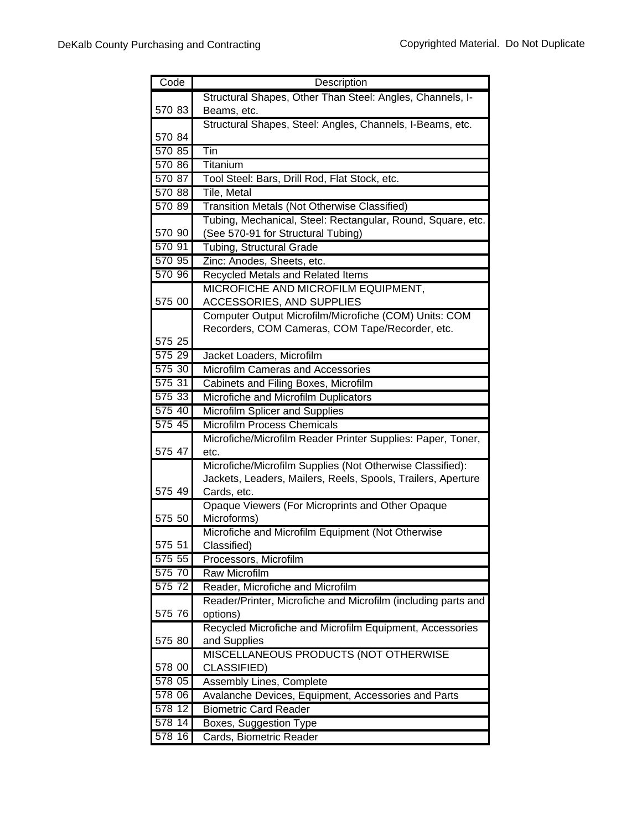| Code   | Description                                                      |
|--------|------------------------------------------------------------------|
|        | Structural Shapes, Other Than Steel: Angles, Channels, I-        |
| 570 83 | Beams, etc.                                                      |
|        | Structural Shapes, Steel: Angles, Channels, I-Beams, etc.        |
| 570 84 |                                                                  |
| 570 85 | $\overline{T}$ in                                                |
| 570 86 | Titanium                                                         |
| 570 87 | Tool Steel: Bars, Drill Rod, Flat Stock, etc.                    |
| 570 88 | <b>Tile, Metal</b>                                               |
| 570 89 | Transition Metals (Not Otherwise Classified)                     |
|        | Tubing, Mechanical, Steel: Rectangular, Round, Square, etc.      |
| 570 90 | (See 570-91 for Structural Tubing)                               |
| 570 91 | Tubing, Structural Grade                                         |
| 570 95 | Zinc: Anodes, Sheets, etc.                                       |
| 570 96 | Recycled Metals and Related Items                                |
|        | MICROFICHE AND MICROFILM EQUIPMENT,                              |
| 575 00 | ACCESSORIES, AND SUPPLIES                                        |
|        | Computer Output Microfilm/Microfiche (COM) Units: COM            |
|        | Recorders, COM Cameras, COM Tape/Recorder, etc.                  |
| 575 25 |                                                                  |
| 575 29 | Jacket Loaders, Microfilm                                        |
| 575 30 | Microfilm Cameras and Accessories                                |
| 575 31 | Cabinets and Filing Boxes, Microfilm                             |
| 575 33 | Microfiche and Microfilm Duplicators                             |
| 575 40 | Microfilm Splicer and Supplies                                   |
| 575 45 | <b>Microfilm Process Chemicals</b>                               |
|        | Microfiche/Microfilm Reader Printer Supplies: Paper, Toner,      |
| 575 47 | etc.                                                             |
|        | Microfiche/Microfilm Supplies (Not Otherwise Classified):        |
|        | Jackets, Leaders, Mailers, Reels, Spools, Trailers, Aperture     |
| 575 49 | Cards, etc.                                                      |
|        | Opaque Viewers (For Microprints and Other Opaque                 |
| 575 50 | Microforms)<br>Microfiche and Microfilm Equipment (Not Otherwise |
| 575 51 |                                                                  |
| 575 55 | Classified)<br>Processors, Microfilm                             |
| 575 70 | <b>Raw Microfilm</b>                                             |
| 575 72 | Reader, Microfiche and Microfilm                                 |
|        | Reader/Printer, Microfiche and Microfilm (including parts and    |
| 575 76 | options)                                                         |
|        | Recycled Microfiche and Microfilm Equipment, Accessories         |
| 575 80 | and Supplies                                                     |
|        | MISCELLANEOUS PRODUCTS (NOT OTHERWISE                            |
| 578 00 | CLASSIFIED)                                                      |
| 578 05 | <b>Assembly Lines, Complete</b>                                  |
| 578 06 | Avalanche Devices, Equipment, Accessories and Parts              |
| 578 12 | <b>Biometric Card Reader</b>                                     |
| 578 14 | Boxes, Suggestion Type                                           |
| 578 16 | Cards, Biometric Reader                                          |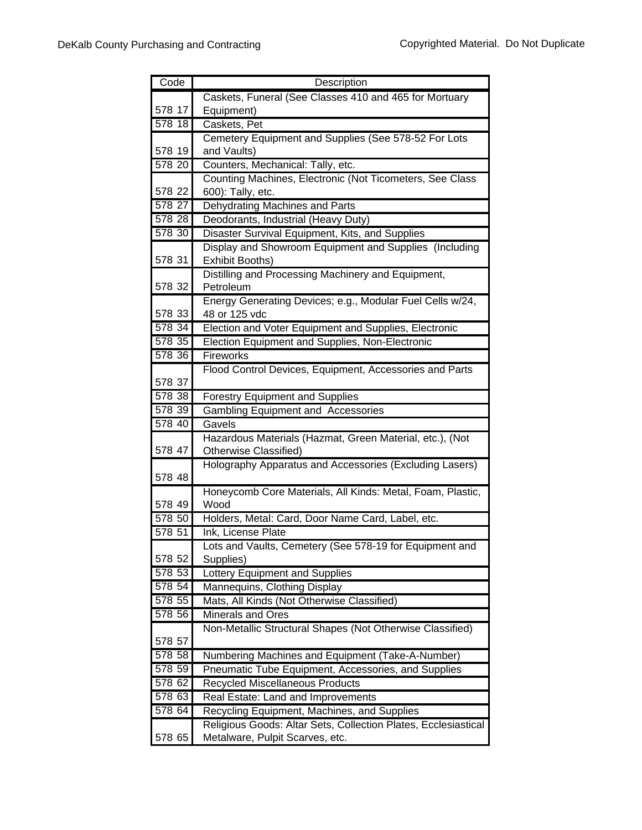| Code                | Description                                                            |
|---------------------|------------------------------------------------------------------------|
|                     | Caskets, Funeral (See Classes 410 and 465 for Mortuary                 |
| 578 17              | Equipment)                                                             |
| 578 18              | Caskets, Pet                                                           |
|                     | Cemetery Equipment and Supplies (See 578-52 For Lots                   |
| 578 19              | and Vaults)                                                            |
| 578 20              | Counters, Mechanical: Tally, etc.                                      |
|                     | Counting Machines, Electronic (Not Ticometers, See Class               |
| 578 22              | 600): Tally, etc.                                                      |
| 578 27              | Dehydrating Machines and Parts                                         |
| $\overline{578}$ 28 | Deodorants, Industrial (Heavy Duty)                                    |
| 578 30              | Disaster Survival Equipment, Kits, and Supplies                        |
|                     | Display and Showroom Equipment and Supplies (Including                 |
| 578 31              | Exhibit Booths)                                                        |
|                     | Distilling and Processing Machinery and Equipment,                     |
| 578 32              | Petroleum                                                              |
|                     | Energy Generating Devices; e.g., Modular Fuel Cells w/24,              |
| 578 33              | 48 or 125 vdc                                                          |
| 578 34              | Election and Voter Equipment and Supplies, Electronic                  |
| 578 35              | Election Equipment and Supplies, Non-Electronic                        |
| 578 36              | Fireworks                                                              |
| 578 37              | Flood Control Devices, Equipment, Accessories and Parts                |
| 578 38              | <b>Forestry Equipment and Supplies</b>                                 |
| 578 39              | <b>Gambling Equipment and Accessories</b>                              |
| 578 40              | Gavels                                                                 |
|                     | Hazardous Materials (Hazmat, Green Material, etc.), (Not               |
| 578 47              | <b>Otherwise Classified)</b>                                           |
|                     | Holography Apparatus and Accessories (Excluding Lasers)                |
| 578 48              |                                                                        |
|                     | Honeycomb Core Materials, All Kinds: Metal, Foam, Plastic,             |
| 578 49              | Wood                                                                   |
| 578 50              | Holders, Metal: Card, Door Name Card, Label, etc.                      |
| 578 51              | Ink, License Plate                                                     |
|                     | Lots and Vaults, Cemetery (See 578-19 for Equipment and                |
| 578 52              | Supplies)                                                              |
| 578 53              | Lottery Equipment and Supplies                                         |
| 578 54              | Mannequins, Clothing Display                                           |
| 578 55<br>578 56    | Mats, All Kinds (Not Otherwise Classified)<br><b>Minerals and Ores</b> |
|                     |                                                                        |
| 578 57              | Non-Metallic Structural Shapes (Not Otherwise Classified)              |
| 578 58              | Numbering Machines and Equipment (Take-A-Number)                       |
| 578 59              | Pneumatic Tube Equipment, Accessories, and Supplies                    |
| 578 62              | Recycled Miscellaneous Products                                        |
| 578 63              | Real Estate: Land and Improvements                                     |
| 578 64              | Recycling Equipment, Machines, and Supplies                            |
|                     | Religious Goods: Altar Sets, Collection Plates, Ecclesiastical         |
| 578 65              | Metalware, Pulpit Scarves, etc.                                        |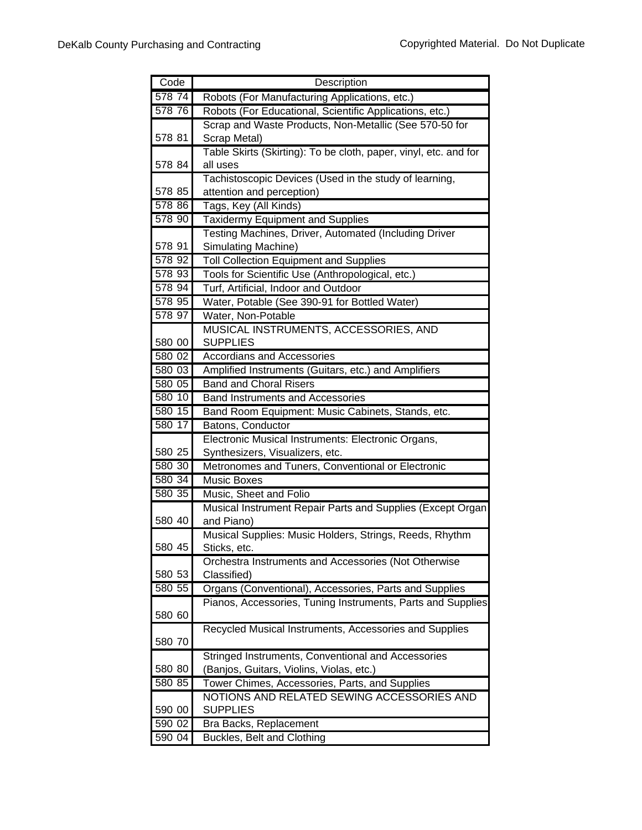| Code   | Description                                                      |
|--------|------------------------------------------------------------------|
| 578 74 | Robots (For Manufacturing Applications, etc.)                    |
| 578 76 | Robots (For Educational, Scientific Applications, etc.)          |
|        | Scrap and Waste Products, Non-Metallic (See 570-50 for           |
| 578 81 | Scrap Metal)                                                     |
|        | Table Skirts (Skirting): To be cloth, paper, vinyl, etc. and for |
| 578 84 | all uses                                                         |
|        | Tachistoscopic Devices (Used in the study of learning,           |
| 578 85 | attention and perception)                                        |
| 578 86 | Tags, Key (All Kinds)                                            |
| 578 90 | <b>Taxidermy Equipment and Supplies</b>                          |
|        | Testing Machines, Driver, Automated (Including Driver            |
| 578 91 | Simulating Machine)                                              |
| 578 92 | <b>Toll Collection Equipment and Supplies</b>                    |
| 578 93 | Tools for Scientific Use (Anthropological, etc.)                 |
| 578 94 | Turf, Artificial, Indoor and Outdoor                             |
| 578 95 | Water, Potable (See 390-91 for Bottled Water)                    |
| 578 97 | Water, Non-Potable                                               |
|        | MUSICAL INSTRUMENTS, ACCESSORIES, AND                            |
| 580 00 | <b>SUPPLIES</b>                                                  |
| 580 02 | <b>Accordians and Accessories</b>                                |
| 580 03 | Amplified Instruments (Guitars, etc.) and Amplifiers             |
| 580 05 | <b>Band and Choral Risers</b>                                    |
| 580 10 | <b>Band Instruments and Accessories</b>                          |
| 580 15 | Band Room Equipment: Music Cabinets, Stands, etc.                |
| 580 17 | Batons, Conductor                                                |
|        | Electronic Musical Instruments: Electronic Organs,               |
| 580 25 | Synthesizers, Visualizers, etc.                                  |
| 580 30 | Metronomes and Tuners, Conventional or Electronic                |
| 580 34 | Music Boxes                                                      |
| 580 35 | Music, Sheet and Folio                                           |
|        | Musical Instrument Repair Parts and Supplies (Except Organ       |
| 580 40 | and Piano)                                                       |
|        | Musical Supplies: Music Holders, Strings, Reeds, Rhythm          |
| 580 45 | Sticks, etc.                                                     |
| 580 53 | Orchestra Instruments and Accessories (Not Otherwise             |
| 580 55 | Classified)                                                      |
|        | Organs (Conventional), Accessories, Parts and Supplies           |
| 580 60 | Pianos, Accessories, Tuning Instruments, Parts and Supplies      |
|        | Recycled Musical Instruments, Accessories and Supplies           |
| 580 70 |                                                                  |
|        | Stringed Instruments, Conventional and Accessories               |
| 580 80 | (Banjos, Guitars, Violins, Violas, etc.)                         |
| 580 85 | Tower Chimes, Accessories, Parts, and Supplies                   |
|        | NOTIONS AND RELATED SEWING ACCESSORIES AND                       |
| 590 00 | <b>SUPPLIES</b>                                                  |
| 590 02 | Bra Backs, Replacement                                           |
| 590 04 | Buckles, Belt and Clothing                                       |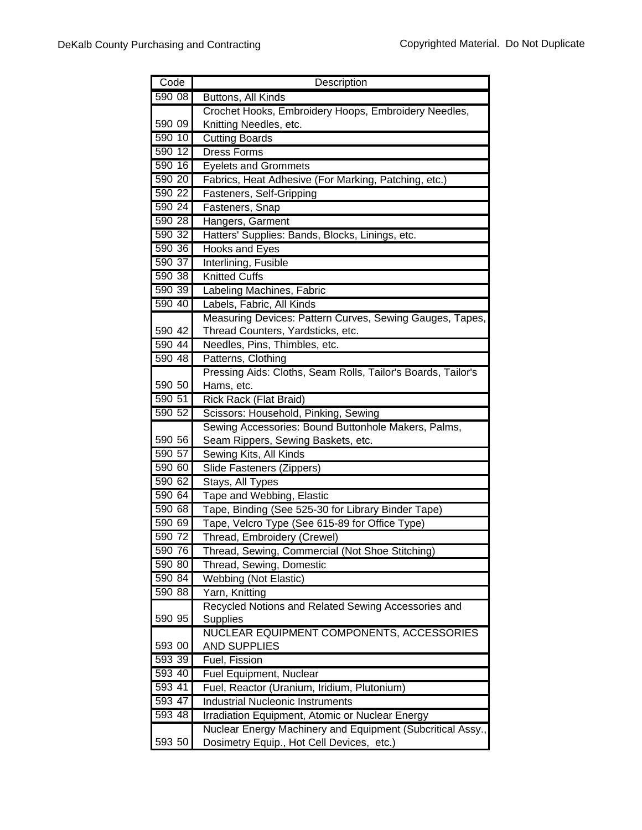| Code             | Description                                                                        |
|------------------|------------------------------------------------------------------------------------|
| 590 08           | Buttons, All Kinds                                                                 |
|                  | Crochet Hooks, Embroidery Hoops, Embroidery Needles,                               |
| 590 09           | Knitting Needles, etc.                                                             |
| 590 10           | <b>Cutting Boards</b>                                                              |
| 590 12           | <b>Dress Forms</b>                                                                 |
| 590 16           | <b>Eyelets and Grommets</b>                                                        |
| 590 20           | Fabrics, Heat Adhesive (For Marking, Patching, etc.)                               |
| 590 22           | Fasteners, Self-Gripping                                                           |
| 590 24           | Fasteners, Snap                                                                    |
| 590 28           | Hangers, Garment                                                                   |
| 590 32           | Hatters' Supplies: Bands, Blocks, Linings, etc.                                    |
| 59036            | Hooks and Eyes                                                                     |
| 590 37           | Interlining, Fusible                                                               |
| 590 38           | <b>Knitted Cuffs</b>                                                               |
| 590 39           | Labeling Machines, Fabric                                                          |
| 590 40           | Labels, Fabric, All Kinds                                                          |
|                  | Measuring Devices: Pattern Curves, Sewing Gauges, Tapes,                           |
| 590 42           | Thread Counters, Yardsticks, etc.                                                  |
| 590 44           | Needles, Pins, Thimbles, etc.                                                      |
| 590 48           | Patterns, Clothing                                                                 |
|                  | Pressing Aids: Cloths, Seam Rolls, Tailor's Boards, Tailor's                       |
| 590 50           | Hams, etc.                                                                         |
| 590 51           | Rick Rack (Flat Braid)                                                             |
| 590 52           | Scissors: Household, Pinking, Sewing                                               |
|                  | Sewing Accessories: Bound Buttonhole Makers, Palms,                                |
| 590 56           | Seam Rippers, Sewing Baskets, etc.                                                 |
| 590 57           | Sewing Kits, All Kinds                                                             |
| 590 60           | Slide Fasteners (Zippers)                                                          |
| 590 62           | Stays, All Types                                                                   |
| 590 64           | Tape and Webbing, Elastic                                                          |
| 590 68           | Tape, Binding (See 525-30 for Library Binder Tape)                                 |
| 59069<br>590 72  | Tape, Velcro Type (See 615-89 for Office Type)                                     |
|                  | Thread, Embroidery (Crewel)                                                        |
| 590 76<br>590 80 | Thread, Sewing, Commercial (Not Shoe Stitching)<br><b>Thread, Sewing, Domestic</b> |
| 590 84           | <b>Webbing (Not Elastic)</b>                                                       |
| 590 88           | Yarn, Knitting                                                                     |
|                  | Recycled Notions and Related Sewing Accessories and                                |
| 590 95           | <b>Supplies</b>                                                                    |
|                  | NUCLEAR EQUIPMENT COMPONENTS, ACCESSORIES                                          |
| 593 00           | <b>AND SUPPLIES</b>                                                                |
| 593 39           | Fuel, Fission                                                                      |
| 593 40           | <b>Fuel Equipment, Nuclear</b>                                                     |
| 593 41           | Fuel, Reactor (Uranium, Iridium, Plutonium)                                        |
| 593 47           | <b>Industrial Nucleonic Instruments</b>                                            |
| 593 48           | Irradiation Equipment, Atomic or Nuclear Energy                                    |
|                  | Nuclear Energy Machinery and Equipment (Subcritical Assy.,                         |
| 593 50           | Dosimetry Equip., Hot Cell Devices, etc.)                                          |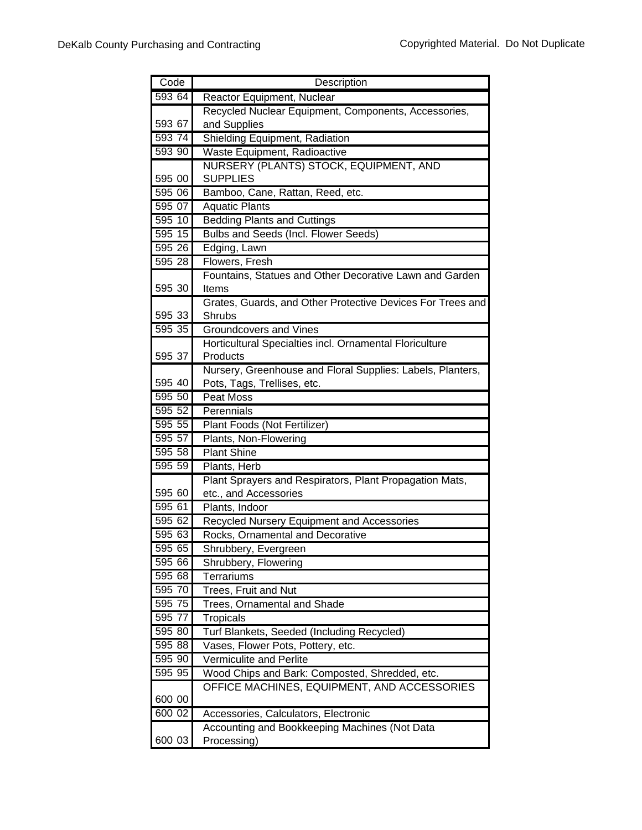| Code   | Description                                                |
|--------|------------------------------------------------------------|
| 593 64 | Reactor Equipment, Nuclear                                 |
|        | Recycled Nuclear Equipment, Components, Accessories,       |
| 593 67 | and Supplies                                               |
| 593 74 | Shielding Equipment, Radiation                             |
| 593 90 | Waste Equipment, Radioactive                               |
|        | NURSERY (PLANTS) STOCK, EQUIPMENT, AND                     |
| 595 00 | <b>SUPPLIES</b>                                            |
| 595 06 | Bamboo, Cane, Rattan, Reed, etc.                           |
| 595 07 | <b>Aquatic Plants</b>                                      |
| 595 10 | <b>Bedding Plants and Cuttings</b>                         |
| 595 15 | Bulbs and Seeds (Incl. Flower Seeds)                       |
| 595 26 | Edging, Lawn                                               |
| 595 28 | Flowers, Fresh                                             |
|        | Fountains, Statues and Other Decorative Lawn and Garden    |
| 595 30 | Items                                                      |
|        | Grates, Guards, and Other Protective Devices For Trees and |
| 595 33 | Shrubs                                                     |
| 595 35 | <b>Groundcovers and Vines</b>                              |
|        | Horticultural Specialties incl. Ornamental Floriculture    |
| 595 37 | Products                                                   |
|        | Nursery, Greenhouse and Floral Supplies: Labels, Planters, |
| 595 40 | Pots, Tags, Trellises, etc.                                |
| 595 50 | <b>Peat Moss</b>                                           |
| 595 52 | Perennials                                                 |
| 595 55 | Plant Foods (Not Fertilizer)                               |
| 595 57 | Plants, Non-Flowering                                      |
| 595 58 | <b>Plant Shine</b>                                         |
| 595 59 | Plants, Herb                                               |
|        | Plant Sprayers and Respirators, Plant Propagation Mats,    |
| 595 60 | etc., and Accessories                                      |
| 595 61 | Plants, Indoor                                             |
| 595 62 | Recycled Nursery Equipment and Accessories                 |
| 595 63 | Rocks, Ornamental and Decorative                           |
| 595 65 | Shrubbery, Evergreen                                       |
| 595 66 | Shrubbery, Flowering                                       |
| 595 68 | <b>Terrariums</b>                                          |
| 595 70 | Trees, Fruit and Nut                                       |
| 595 75 | <b>Trees, Ornamental and Shade</b>                         |
| 595 77 | <b>Tropicals</b>                                           |
| 595 80 | Turf Blankets, Seeded (Including Recycled)                 |
| 595 88 | Vases, Flower Pots, Pottery, etc.                          |
| 595 90 | <b>Vermiculite and Perlite</b>                             |
| 595 95 | Wood Chips and Bark: Composted, Shredded, etc.             |
|        | OFFICE MACHINES, EQUIPMENT, AND ACCESSORIES                |
| 600 00 |                                                            |
| 600 02 | Accessories, Calculators, Electronic                       |
|        | Accounting and Bookkeeping Machines (Not Data              |
| 600 03 | Processing)                                                |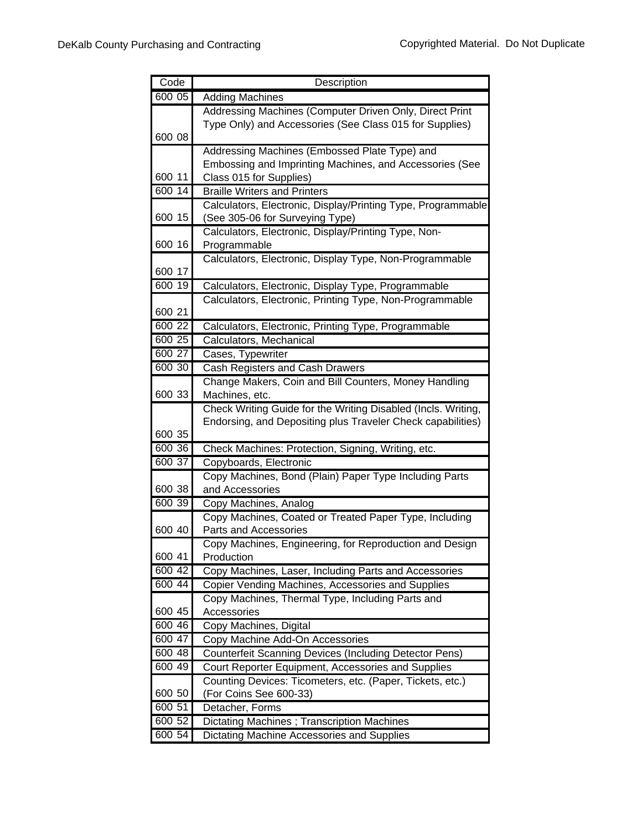| Code             | Description                                                             |
|------------------|-------------------------------------------------------------------------|
| 600 05           | <b>Adding Machines</b>                                                  |
|                  | Addressing Machines (Computer Driven Only, Direct Print                 |
|                  | Type Only) and Accessories (See Class 015 for Supplies)                 |
| 600 08           |                                                                         |
|                  | Addressing Machines (Embossed Plate Type) and                           |
|                  | Embossing and Imprinting Machines, and Accessories (See                 |
| 600 11           | Class 015 for Supplies)                                                 |
| 600 14           | <b>Braille Writers and Printers</b>                                     |
|                  | Calculators, Electronic, Display/Printing Type, Programmable            |
| 600 15           | (See 305-06 for Surveying Type)                                         |
|                  | Calculators, Electronic, Display/Printing Type, Non-                    |
| 600 16           | Programmable                                                            |
|                  | Calculators, Electronic, Display Type, Non-Programmable                 |
| 600 17           |                                                                         |
| 600 19           | Calculators, Electronic, Display Type, Programmable                     |
|                  | Calculators, Electronic, Printing Type, Non-Programmable                |
| 600 21           |                                                                         |
| 600 22           | Calculators, Electronic, Printing Type, Programmable                    |
| 600 25<br>600 27 | Calculators, Mechanical                                                 |
|                  | Cases, Typewriter                                                       |
| 600 30           | Cash Registers and Cash Drawers                                         |
| 600 33           | Change Makers, Coin and Bill Counters, Money Handling<br>Machines, etc. |
|                  | Check Writing Guide for the Writing Disabled (Incls. Writing,           |
|                  | Endorsing, and Depositing plus Traveler Check capabilities)             |
| 600 35           |                                                                         |
| 600 36           | Check Machines: Protection, Signing, Writing, etc.                      |
| 600 37           | Copyboards, Electronic                                                  |
|                  | Copy Machines, Bond (Plain) Paper Type Including Parts                  |
| 600 38           | and Accessories                                                         |
| 600 39           | Copy Machines, Analog                                                   |
|                  | Copy Machines, Coated or Treated Paper Type, Including                  |
| 600 40           | Parts and Accessories                                                   |
|                  | Copy Machines, Engineering, for Reproduction and Design                 |
| 600 41           | Production                                                              |
| 600 42           | Copy Machines, Laser, Including Parts and Accessories                   |
| 600 44           | Copier Vending Machines, Accessories and Supplies                       |
|                  | Copy Machines, Thermal Type, Including Parts and                        |
| 600 45           | Accessories                                                             |
| 600 46           | Copy Machines, Digital                                                  |
| 600 47           | Copy Machine Add-On Accessories                                         |
| 600 48           | <b>Counterfeit Scanning Devices (Including Detector Pens)</b>           |
| 600 49           | Court Reporter Equipment, Accessories and Supplies                      |
|                  | Counting Devices: Ticometers, etc. (Paper, Tickets, etc.)               |
| 600 50           | (For Coins See 600-33)                                                  |
| 600 51           | Detacher, Forms                                                         |
| 600 52           | Dictating Machines; Transcription Machines                              |
| 600 54           | Dictating Machine Accessories and Supplies                              |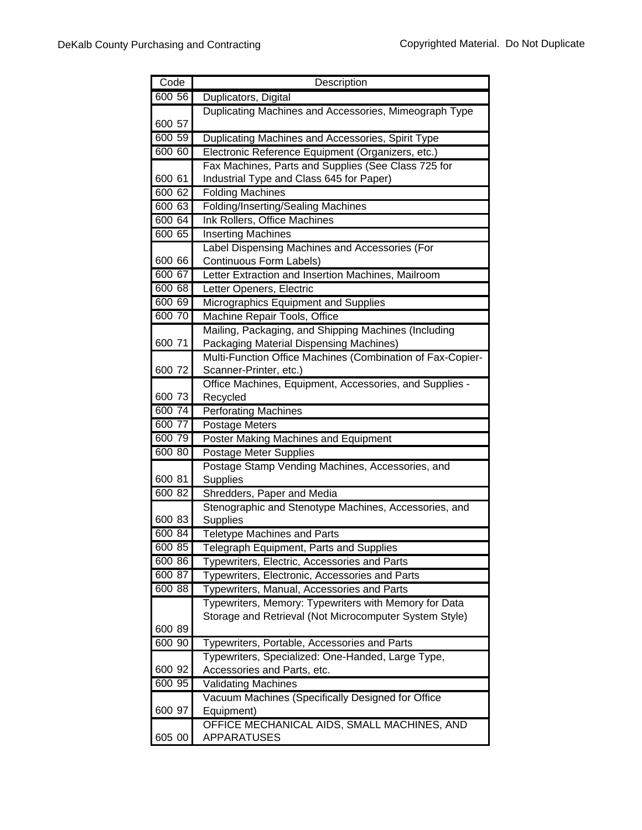| Code   | Description                                                |
|--------|------------------------------------------------------------|
| 600 56 | Duplicators, Digital                                       |
|        | Duplicating Machines and Accessories, Mimeograph Type      |
| 600 57 |                                                            |
| 600 59 | Duplicating Machines and Accessories, Spirit Type          |
| 600 60 | Electronic Reference Equipment (Organizers, etc.)          |
|        | Fax Machines, Parts and Supplies (See Class 725 for        |
| 600 61 | Industrial Type and Class 645 for Paper)                   |
| 600 62 | <b>Folding Machines</b>                                    |
| 600 63 | <b>Folding/Inserting/Sealing Machines</b>                  |
| 600 64 | Ink Rollers, Office Machines                               |
| 600 65 | <b>Inserting Machines</b>                                  |
|        | Label Dispensing Machines and Accessories (For             |
| 600 66 | Continuous Form Labels)                                    |
| 600 67 | Letter Extraction and Insertion Machines, Mailroom         |
| 600 68 | Letter Openers, Electric                                   |
| 60069  | Micrographics Equipment and Supplies                       |
| 600 70 | Machine Repair Tools, Office                               |
|        | Mailing, Packaging, and Shipping Machines (Including       |
| 600 71 | Packaging Material Dispensing Machines)                    |
|        | Multi-Function Office Machines (Combination of Fax-Copier- |
| 600 72 | Scanner-Printer, etc.)                                     |
|        | Office Machines, Equipment, Accessories, and Supplies -    |
| 600 73 | Recycled                                                   |
| 600 74 | <b>Perforating Machines</b>                                |
| 600 77 | Postage Meters                                             |
| 600 79 | Poster Making Machines and Equipment                       |
| 600 80 | <b>Postage Meter Supplies</b>                              |
|        | Postage Stamp Vending Machines, Accessories, and           |
| 600 81 | Supplies                                                   |
| 600 82 | Shredders, Paper and Media                                 |
|        | Stenographic and Stenotype Machines, Accessories, and      |
| 600 83 | Supplies                                                   |
| 600 84 | <b>Teletype Machines and Parts</b>                         |
| 600 85 | <b>Telegraph Equipment, Parts and Supplies</b>             |
| 600 86 | Typewriters, Electric, Accessories and Parts               |
| 600 87 | Typewriters, Electronic, Accessories and Parts             |
| 600 88 | Typewriters, Manual, Accessories and Parts                 |
|        | Typewriters, Memory: Typewriters with Memory for Data      |
|        | Storage and Retrieval (Not Microcomputer System Style)     |
| 600 89 |                                                            |
| 600 90 | Typewriters, Portable, Accessories and Parts               |
|        | Typewriters, Specialized: One-Handed, Large Type,          |
| 600 92 | Accessories and Parts, etc.                                |
| 600 95 | <b>Validating Machines</b>                                 |
|        | Vacuum Machines (Specifically Designed for Office          |
| 600 97 | Equipment)                                                 |
|        | OFFICE MECHANICAL AIDS, SMALL MACHINES, AND                |
| 605 00 | <b>APPARATUSES</b>                                         |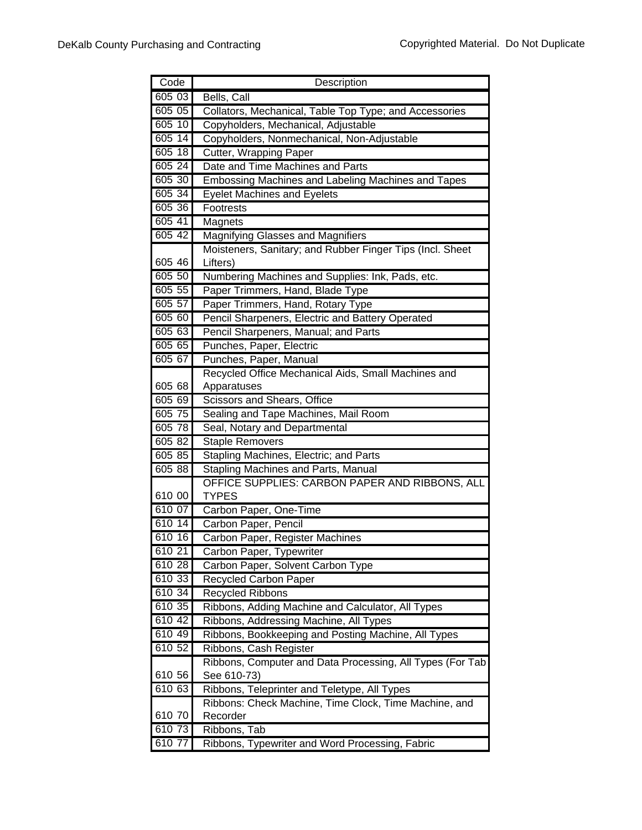| Code   | Description                                               |
|--------|-----------------------------------------------------------|
| 605 03 | Bells, Call                                               |
| 605 05 | Collators, Mechanical, Table Top Type; and Accessories    |
| 605 10 | Copyholders, Mechanical, Adjustable                       |
| 605 14 | Copyholders, Nonmechanical, Non-Adjustable                |
| 605 18 | Cutter, Wrapping Paper                                    |
| 605 24 | Date and Time Machines and Parts                          |
| 605 30 | Embossing Machines and Labeling Machines and Tapes        |
| 605 34 | <b>Eyelet Machines and Eyelets</b>                        |
| 605 36 | Footrests                                                 |
| 605 41 | Magnets                                                   |
| 605 42 | <b>Magnifying Glasses and Magnifiers</b>                  |
|        | Moisteners, Sanitary; and Rubber Finger Tips (Incl. Sheet |
| 605 46 | Lifters)                                                  |
| 605 50 | Numbering Machines and Supplies: Ink, Pads, etc.          |
| 605 55 | Paper Trimmers, Hand, Blade Type                          |
| 605 57 | Paper Trimmers, Hand, Rotary Type                         |
| 605 60 | Pencil Sharpeners, Electric and Battery Operated          |
| 605 63 | Pencil Sharpeners, Manual; and Parts                      |
| 605 65 | Punches, Paper, Electric                                  |
| 605 67 | Punches, Paper, Manual                                    |
|        | Recycled Office Mechanical Aids, Small Machines and       |
| 605 68 | Apparatuses                                               |
| 605 69 | Scissors and Shears, Office                               |
| 605 75 | Sealing and Tape Machines, Mail Room                      |
| 605 78 | Seal, Notary and Departmental                             |
| 605 82 | <b>Staple Removers</b>                                    |
| 605 85 | Stapling Machines, Electric; and Parts                    |
| 605 88 | <b>Stapling Machines and Parts, Manual</b>                |
|        | OFFICE SUPPLIES: CARBON PAPER AND RIBBONS, ALL            |
| 610 00 | <b>TYPES</b>                                              |
| 610 07 | Carbon Paper, One-Time                                    |
| 610 14 | Carbon Paper, Pencil                                      |
| 610 16 | Carbon Paper, Register Machines                           |
| 610 21 | Carbon Paper, Typewriter                                  |
| 610 28 | Carbon Paper, Solvent Carbon Type                         |
| 610 33 | <b>Recycled Carbon Paper</b>                              |
| 610 34 | <b>Recycled Ribbons</b>                                   |
| 610 35 | Ribbons, Adding Machine and Calculator, All Types         |
| 610 42 | Ribbons, Addressing Machine, All Types                    |
| 610 49 | Ribbons, Bookkeeping and Posting Machine, All Types       |
| 610 52 | Ribbons, Cash Register                                    |
|        | Ribbons, Computer and Data Processing, All Types (For Tab |
| 610 56 | See 610-73)                                               |
| 61063  | Ribbons, Teleprinter and Teletype, All Types              |
|        | Ribbons: Check Machine, Time Clock, Time Machine, and     |
| 610 70 | Recorder                                                  |
| 610 73 | Ribbons, Tab                                              |
| 610 77 | Ribbons, Typewriter and Word Processing, Fabric           |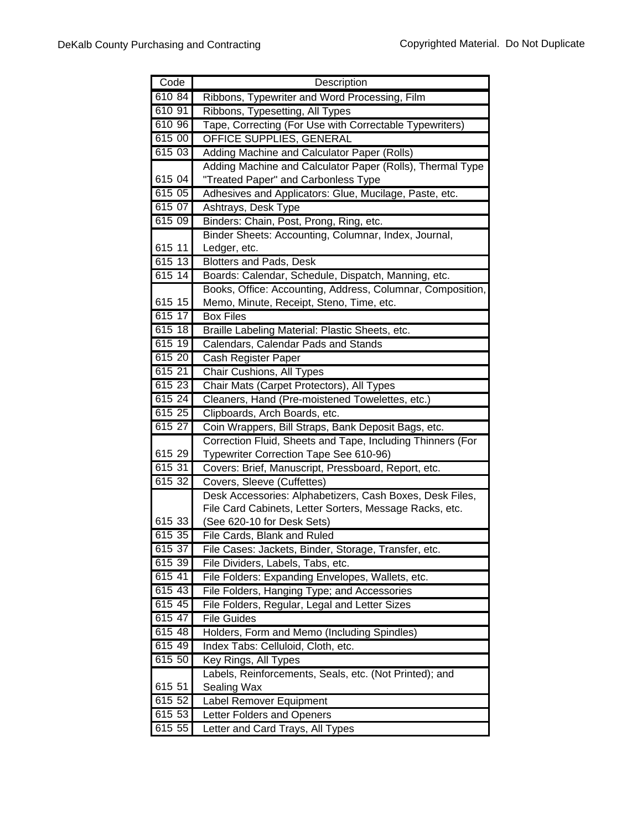| Code             | Description                                                         |
|------------------|---------------------------------------------------------------------|
| 610 84           | Ribbons, Typewriter and Word Processing, Film                       |
| 610 91           | Ribbons, Typesetting, All Types                                     |
| 610 96           | Tape, Correcting (For Use with Correctable Typewriters)             |
| 615 00           | <b>OFFICE SUPPLIES, GENERAL</b>                                     |
| 615 03           | Adding Machine and Calculator Paper (Rolls)                         |
|                  | Adding Machine and Calculator Paper (Rolls), Thermal Type           |
| 615 04           | "Treated Paper" and Carbonless Type                                 |
| 615 05           | Adhesives and Applicators: Glue, Mucilage, Paste, etc.              |
| 61507            | Ashtrays, Desk Type                                                 |
| 615 09           | Binders: Chain, Post, Prong, Ring, etc.                             |
|                  | Binder Sheets: Accounting, Columnar, Index, Journal,                |
| 615 11           | Ledger, etc.                                                        |
| 615 13           | Blotters and Pads, Desk                                             |
| 615 14           | Boards: Calendar, Schedule, Dispatch, Manning, etc.                 |
|                  | Books, Office: Accounting, Address, Columnar, Composition,          |
| 615 15           | Memo, Minute, Receipt, Steno, Time, etc.                            |
| 61517            | <b>Box Files</b>                                                    |
| 615 18           | Braille Labeling Material: Plastic Sheets, etc.                     |
| 615 19           | Calendars, Calendar Pads and Stands                                 |
| 615 20           | Cash Register Paper                                                 |
| 61521            | <b>Chair Cushions, All Types</b>                                    |
| 615 23           | Chair Mats (Carpet Protectors), All Types                           |
| 615 24           | Cleaners, Hand (Pre-moistened Towelettes, etc.)                     |
| 615 25           | Clipboards, Arch Boards, etc.                                       |
| 615 27           | Coin Wrappers, Bill Straps, Bank Deposit Bags, etc.                 |
|                  | Correction Fluid, Sheets and Tape, Including Thinners (For          |
| 615 29           | Typewriter Correction Tape See 610-96)                              |
| 615 31           | Covers: Brief, Manuscript, Pressboard, Report, etc.                 |
| 615 32           | Covers, Sleeve (Cuffettes)                                          |
|                  | Desk Accessories: Alphabetizers, Cash Boxes, Desk Files,            |
|                  | File Card Cabinets, Letter Sorters, Message Racks, etc.             |
| 615 33           | (See 620-10 for Desk Sets)                                          |
| 615 35           | File Cards, Blank and Ruled                                         |
| 615 37           | File Cases: Jackets, Binder, Storage, Transfer, etc.                |
| 615 39<br>615 41 | File Dividers, Labels, Tabs, etc.                                   |
|                  | File Folders: Expanding Envelopes, Wallets, etc.                    |
| 615 43           | File Folders, Hanging Type; and Accessories                         |
| 615 45<br>615 47 | File Folders, Regular, Legal and Letter Sizes<br><b>File Guides</b> |
| 615 48           | Holders, Form and Memo (Including Spindles)                         |
| 615 49           | Index Tabs: Celluloid, Cloth, etc.                                  |
| 615 50           | Key Rings, All Types                                                |
|                  | Labels, Reinforcements, Seals, etc. (Not Printed); and              |
| 615 51           | Sealing Wax                                                         |
| 615 52           | Label Remover Equipment                                             |
| 615 53           | Letter Folders and Openers                                          |
| $615\,55$        | Letter and Card Trays, All Types                                    |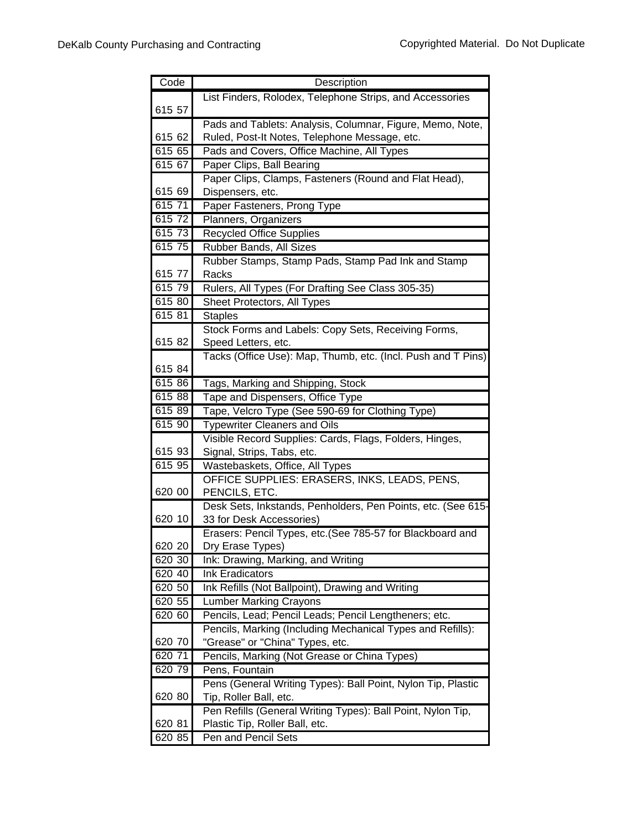| Code   | Description                                                  |
|--------|--------------------------------------------------------------|
|        | List Finders, Rolodex, Telephone Strips, and Accessories     |
| 615 57 |                                                              |
|        | Pads and Tablets: Analysis, Columnar, Figure, Memo, Note,    |
| 615 62 | Ruled, Post-It Notes, Telephone Message, etc.                |
| 615 65 | Pads and Covers, Office Machine, All Types                   |
| 615 67 | Paper Clips, Ball Bearing                                    |
|        | Paper Clips, Clamps, Fasteners (Round and Flat Head),        |
| 615 69 | Dispensers, etc.                                             |
| 61571  | Paper Fasteners, Prong Type                                  |
| 615 72 | Planners, Organizers                                         |
| 615 73 | <b>Recycled Office Supplies</b>                              |
| 615 75 | Rubber Bands, All Sizes                                      |
|        | Rubber Stamps, Stamp Pads, Stamp Pad Ink and Stamp           |
| 615 77 | Racks                                                        |
| 615 79 | Rulers, All Types (For Drafting See Class 305-35)            |
| 615 80 | Sheet Protectors, All Types                                  |
| 615 81 | <b>Staples</b>                                               |
|        | Stock Forms and Labels: Copy Sets, Receiving Forms,          |
| 615 82 | Speed Letters, etc.                                          |
|        | Tacks (Office Use): Map, Thumb, etc. (Incl. Push and T Pins) |
| 615 84 |                                                              |
| 615 86 | Tags, Marking and Shipping, Stock                            |
| 615 88 | Tape and Dispensers, Office Type                             |
| 61589  | Tape, Velcro Type (See 590-69 for Clothing Type)             |
| 615 90 | <b>Typewriter Cleaners and Oils</b>                          |
|        | Visible Record Supplies: Cards, Flags, Folders, Hinges,      |
| 615 93 | Signal, Strips, Tabs, etc.                                   |
| 615 95 | Wastebaskets, Office, All Types                              |
|        | OFFICE SUPPLIES: ERASERS, INKS, LEADS, PENS,                 |
| 620 00 | PENCILS, ETC.                                                |
|        | Desk Sets, Inkstands, Penholders, Pen Points, etc. (See 615- |
| 620 10 | 33 for Desk Accessories)                                     |
|        | Erasers: Pencil Types, etc. (See 785-57 for Blackboard and   |
| 620 20 | Dry Erase Types)                                             |
| 620 30 | Ink: Drawing, Marking, and Writing                           |
| 620 40 | <b>Ink Eradicators</b>                                       |
| 620 50 | Ink Refills (Not Ballpoint), Drawing and Writing             |
| 620 55 | <b>Lumber Marking Crayons</b>                                |
| 620 60 | Pencils, Lead; Pencil Leads; Pencil Lengtheners; etc.        |
|        | Pencils, Marking (Including Mechanical Types and Refills):   |
| 620 70 | "Grease" or "China" Types, etc.                              |
| 620 71 | Pencils, Marking (Not Grease or China Types)                 |
| 620 79 | Pens, Fountain                                               |
|        | Pens (General Writing Types): Ball Point, Nylon Tip, Plastic |
| 620 80 | Tip, Roller Ball, etc.                                       |
|        | Pen Refills (General Writing Types): Ball Point, Nylon Tip,  |
| 620 81 | Plastic Tip, Roller Ball, etc.                               |
| 620 85 | Pen and Pencil Sets                                          |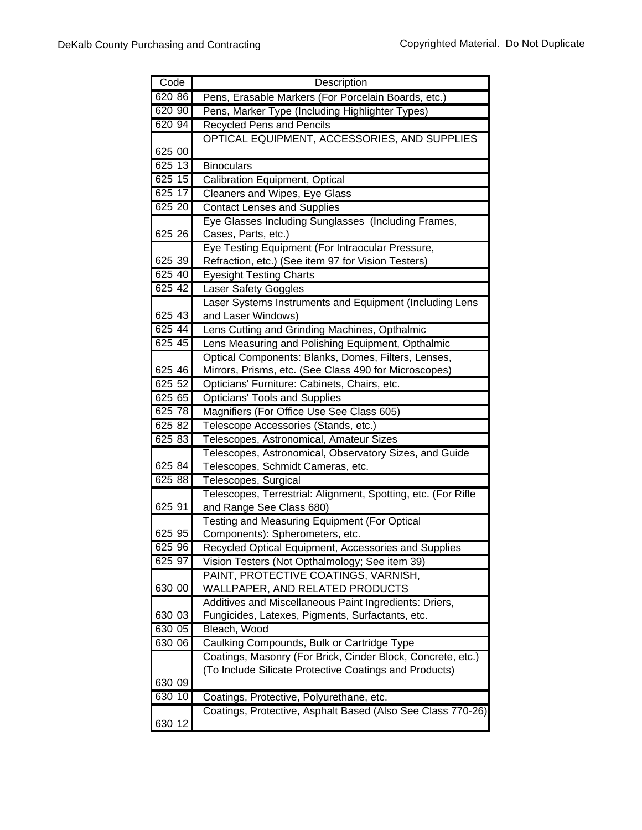| Code   | Description                                                                                               |
|--------|-----------------------------------------------------------------------------------------------------------|
| 620 86 | Pens, Erasable Markers (For Porcelain Boards, etc.)                                                       |
| 620 90 | Pens, Marker Type (Including Highlighter Types)                                                           |
| 620 94 | <b>Recycled Pens and Pencils</b>                                                                          |
|        | OPTICAL EQUIPMENT, ACCESSORIES, AND SUPPLIES                                                              |
| 625 00 |                                                                                                           |
| 625 13 | <b>Binoculars</b>                                                                                         |
| 625 15 | Calibration Equipment, Optical                                                                            |
| 625 17 | Cleaners and Wipes, Eye Glass                                                                             |
| 625 20 | <b>Contact Lenses and Supplies</b>                                                                        |
|        | Eye Glasses Including Sunglasses (Including Frames,                                                       |
| 625 26 | Cases, Parts, etc.)                                                                                       |
|        | Eye Testing Equipment (For Intraocular Pressure,                                                          |
| 625 39 | Refraction, etc.) (See item 97 for Vision Testers)                                                        |
| 625 40 | <b>Eyesight Testing Charts</b>                                                                            |
| 625 42 | Laser Safety Goggles                                                                                      |
|        | Laser Systems Instruments and Equipment (Including Lens                                                   |
| 625 43 | and Laser Windows)                                                                                        |
| 625 44 | Lens Cutting and Grinding Machines, Opthalmic                                                             |
| 625 45 | Lens Measuring and Polishing Equipment, Opthalmic                                                         |
|        | Optical Components: Blanks, Domes, Filters, Lenses,                                                       |
| 625 46 | Mirrors, Prisms, etc. (See Class 490 for Microscopes)                                                     |
| 625 52 | Opticians' Furniture: Cabinets, Chairs, etc.                                                              |
| 625 65 | <b>Opticians' Tools and Supplies</b>                                                                      |
| 625 78 | Magnifiers (For Office Use See Class 605)                                                                 |
| 625 82 | Telescope Accessories (Stands, etc.)                                                                      |
| 625 83 | Telescopes, Astronomical, Amateur Sizes                                                                   |
|        | Telescopes, Astronomical, Observatory Sizes, and Guide                                                    |
| 625 84 | Telescopes, Schmidt Cameras, etc.                                                                         |
| 625 88 | Telescopes, Surgical                                                                                      |
|        | Telescopes, Terrestrial: Alignment, Spotting, etc. (For Rifle                                             |
| 625 91 | and Range See Class 680)                                                                                  |
|        | Testing and Measuring Equipment (For Optical                                                              |
| 625 95 | Components): Spherometers, etc.                                                                           |
| 625 96 | Recycled Optical Equipment, Accessories and Supplies                                                      |
| 625 97 | Vision Testers (Not Opthalmology; See item 39)                                                            |
|        | PAINT, PROTECTIVE COATINGS, VARNISH,                                                                      |
| 630 00 | WALLPAPER, AND RELATED PRODUCTS                                                                           |
| 630 03 | Additives and Miscellaneous Paint Ingredients: Driers,                                                    |
| 630 05 | Fungicides, Latexes, Pigments, Surfactants, etc.<br>Bleach, Wood                                          |
| 630 06 |                                                                                                           |
|        | Caulking Compounds, Bulk or Cartridge Type<br>Coatings, Masonry (For Brick, Cinder Block, Concrete, etc.) |
|        | (To Include Silicate Protective Coatings and Products)                                                    |
| 630 09 |                                                                                                           |
| 63010  | Coatings, Protective, Polyurethane, etc.                                                                  |
|        | Coatings, Protective, Asphalt Based (Also See Class 770-26)                                               |
| 630 12 |                                                                                                           |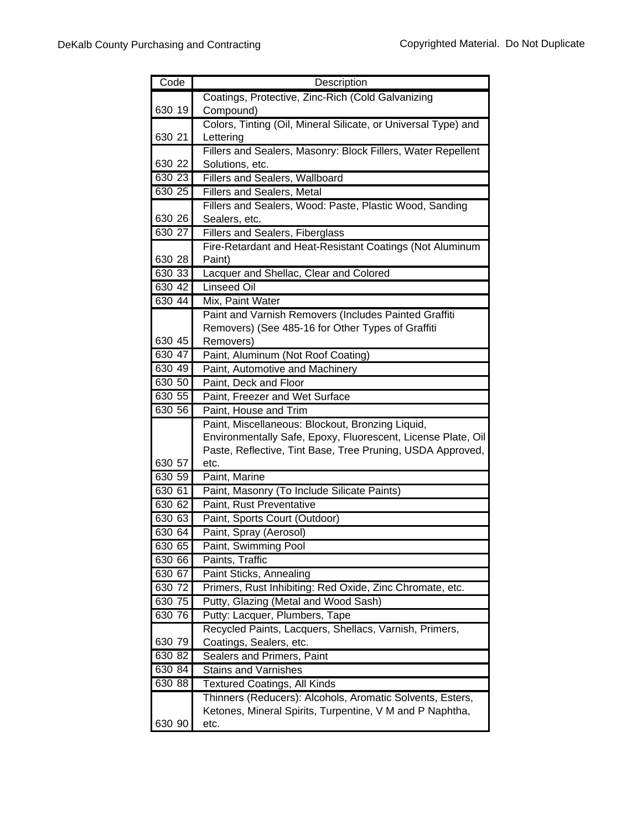| Code             | Description                                                               |
|------------------|---------------------------------------------------------------------------|
|                  | Coatings, Protective, Zinc-Rich (Cold Galvanizing                         |
| 630 19           | Compound)                                                                 |
|                  | Colors, Tinting (Oil, Mineral Silicate, or Universal Type) and            |
| 630 21           | Lettering                                                                 |
|                  | Fillers and Sealers, Masonry: Block Fillers, Water Repellent              |
| 630 22           | Solutions, etc.                                                           |
| 630 23           | Fillers and Sealers, Wallboard                                            |
| 630 25           | <b>Fillers and Sealers, Metal</b>                                         |
|                  | Fillers and Sealers, Wood: Paste, Plastic Wood, Sanding                   |
| 630 26           | Sealers, etc.                                                             |
| 630 27           | <b>Fillers and Sealers, Fiberglass</b>                                    |
|                  | Fire-Retardant and Heat-Resistant Coatings (Not Aluminum                  |
| 630 28           | Paint)                                                                    |
| 630 33           | Lacquer and Shellac, Clear and Colored                                    |
| 630 42           | <b>Linseed Oil</b>                                                        |
| 630 44           | Mix, Paint Water                                                          |
|                  | Paint and Varnish Removers (Includes Painted Graffiti                     |
|                  | Removers) (See 485-16 for Other Types of Graffiti                         |
| 630 45<br>630 47 | Removers)                                                                 |
|                  | Paint, Aluminum (Not Roof Coating)                                        |
| 630 49           | Paint, Automotive and Machinery                                           |
| 630 50           | Paint, Deck and Floor                                                     |
| 630 55<br>630 56 | Paint, Freezer and Wet Surface                                            |
|                  | Paint, House and Trim<br>Paint, Miscellaneous: Blockout, Bronzing Liquid, |
|                  | Environmentally Safe, Epoxy, Fluorescent, License Plate, Oil              |
|                  | Paste, Reflective, Tint Base, Tree Pruning, USDA Approved,                |
| 630 57           | etc.                                                                      |
| 630 59           | Paint, Marine                                                             |
| 630 61           | Paint, Masonry (To Include Silicate Paints)                               |
| 630 62           | Paint, Rust Preventative                                                  |
| 630 63           | Paint, Sports Court (Outdoor)                                             |
| 630 64           | Paint, Spray (Aerosol)                                                    |
| 630 65           | Paint, Swimming Pool                                                      |
| 630 66           | Paints, Traffic                                                           |
| 630 67           | Paint Sticks, Annealing                                                   |
| 630 72           | Primers, Rust Inhibiting: Red Oxide, Zinc Chromate, etc.                  |
| 630 75           | Putty, Glazing (Metal and Wood Sash)                                      |
| 630 76           | Putty: Lacquer, Plumbers, Tape                                            |
|                  | Recycled Paints, Lacquers, Shellacs, Varnish, Primers,                    |
| 630 79           | Coatings, Sealers, etc.                                                   |
| 630 82           | Sealers and Primers, Paint                                                |
| 630 84           | <b>Stains and Varnishes</b>                                               |
| 630 88           | <b>Textured Coatings, All Kinds</b>                                       |
|                  | Thinners (Reducers): Alcohols, Aromatic Solvents, Esters,                 |
|                  | Ketones, Mineral Spirits, Turpentine, V M and P Naphtha,                  |
| 630 90           | etc.                                                                      |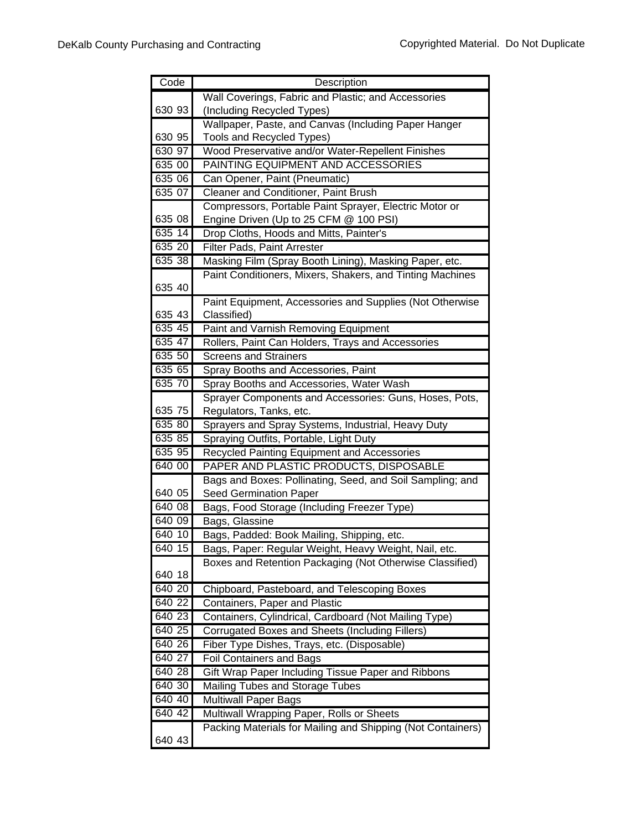| Code     | Description                                                 |
|----------|-------------------------------------------------------------|
|          | Wall Coverings, Fabric and Plastic; and Accessories         |
| 630 93   | (Including Recycled Types)                                  |
|          | Wallpaper, Paste, and Canvas (Including Paper Hanger        |
| 630 95   | Tools and Recycled Types)                                   |
| 630 97   | Wood Preservative and/or Water-Repellent Finishes           |
| 635 00   | PAINTING EQUIPMENT AND ACCESSORIES                          |
| 635 06   | Can Opener, Paint (Pneumatic)                               |
| 635 07   | Cleaner and Conditioner, Paint Brush                        |
|          | Compressors, Portable Paint Sprayer, Electric Motor or      |
| 635 08   | Engine Driven (Up to 25 CFM @ 100 PSI)                      |
| 635 14   | Drop Cloths, Hoods and Mitts, Painter's                     |
| 635 20   | Filter Pads, Paint Arrester                                 |
| 63538    | Masking Film (Spray Booth Lining), Masking Paper, etc.      |
|          | Paint Conditioners, Mixers, Shakers, and Tinting Machines   |
| 635 40   |                                                             |
|          | Paint Equipment, Accessories and Supplies (Not Otherwise    |
| 635 43   | Classified)                                                 |
| 635 45   | Paint and Varnish Removing Equipment                        |
| 635 47   | Rollers, Paint Can Holders, Trays and Accessories           |
| 635 50   | <b>Screens and Strainers</b>                                |
| 635 65   | Spray Booths and Accessories, Paint                         |
| 635 70   | Spray Booths and Accessories, Water Wash                    |
|          | Sprayer Components and Accessories: Guns, Hoses, Pots,      |
| 635 75   | Regulators, Tanks, etc.                                     |
| 635 80   | Sprayers and Spray Systems, Industrial, Heavy Duty          |
| 635 85   | Spraying Outfits, Portable, Light Duty                      |
| 635 95   | Recycled Painting Equipment and Accessories                 |
| 640 00   | PAPER AND PLASTIC PRODUCTS, DISPOSABLE                      |
|          | Bags and Boxes: Pollinating, Seed, and Soil Sampling; and   |
| 640 05   | <b>Seed Germination Paper</b>                               |
| 640 08   | Bags, Food Storage (Including Freezer Type)                 |
| 640 09   | Bags, Glassine                                              |
| 640 10   | Bags, Padded: Book Mailing, Shipping, etc.                  |
| $640$ 15 | Bags, Paper: Regular Weight, Heavy Weight, Nail, etc.       |
|          | Boxes and Retention Packaging (Not Otherwise Classified)    |
| 640 18   |                                                             |
| 640 20   | Chipboard, Pasteboard, and Telescoping Boxes                |
| 640 22   | Containers, Paper and Plastic                               |
| 640 23   | Containers, Cylindrical, Cardboard (Not Mailing Type)       |
| 640 25   | <b>Corrugated Boxes and Sheets (Including Fillers)</b>      |
| 640 26   | Fiber Type Dishes, Trays, etc. (Disposable)                 |
| 640 27   | <b>Foil Containers and Bags</b>                             |
| 640 28   | Gift Wrap Paper Including Tissue Paper and Ribbons          |
| 640 30   | Mailing Tubes and Storage Tubes                             |
| 640 40   | <b>Multiwall Paper Bags</b>                                 |
| 640 42   | Multiwall Wrapping Paper, Rolls or Sheets                   |
|          | Packing Materials for Mailing and Shipping (Not Containers) |
| 640 43   |                                                             |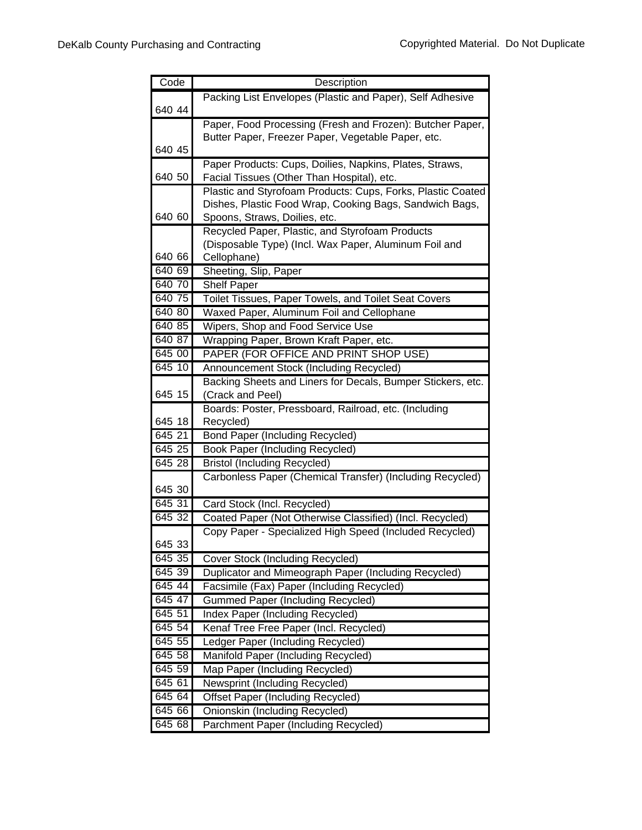| Code             | Description                                                                                                            |
|------------------|------------------------------------------------------------------------------------------------------------------------|
|                  | Packing List Envelopes (Plastic and Paper), Self Adhesive                                                              |
| 640 44           |                                                                                                                        |
|                  | Paper, Food Processing (Fresh and Frozen): Butcher Paper,                                                              |
|                  | Butter Paper, Freezer Paper, Vegetable Paper, etc.                                                                     |
| 640 45           |                                                                                                                        |
|                  | Paper Products: Cups, Doilies, Napkins, Plates, Straws,                                                                |
| 640 50           | Facial Tissues (Other Than Hospital), etc.                                                                             |
|                  | Plastic and Styrofoam Products: Cups, Forks, Plastic Coated<br>Dishes, Plastic Food Wrap, Cooking Bags, Sandwich Bags, |
| 640 60           | Spoons, Straws, Doilies, etc.                                                                                          |
|                  | Recycled Paper, Plastic, and Styrofoam Products                                                                        |
|                  | (Disposable Type) (Incl. Wax Paper, Aluminum Foil and                                                                  |
| 640 66           | Cellophane)                                                                                                            |
| 640 69           | Sheeting, Slip, Paper                                                                                                  |
| 640 70           | <b>Shelf Paper</b>                                                                                                     |
| 640 75           | Toilet Tissues, Paper Towels, and Toilet Seat Covers                                                                   |
| 640 80           | Waxed Paper, Aluminum Foil and Cellophane                                                                              |
| 640 85           | Wipers, Shop and Food Service Use                                                                                      |
| 640 87           | Wrapping Paper, Brown Kraft Paper, etc.                                                                                |
| 645 00           | PAPER (FOR OFFICE AND PRINT SHOP USE)                                                                                  |
| 645 10           | Announcement Stock (Including Recycled)                                                                                |
|                  | Backing Sheets and Liners for Decals, Bumper Stickers, etc.                                                            |
| 645 15           | (Crack and Peel)                                                                                                       |
|                  | Boards: Poster, Pressboard, Railroad, etc. (Including                                                                  |
| 645 18           | Recycled)                                                                                                              |
| 64521            | <b>Bond Paper (Including Recycled)</b>                                                                                 |
| 645 25<br>645 28 | <b>Book Paper (Including Recycled)</b>                                                                                 |
|                  | <b>Bristol (Including Recycled)</b>                                                                                    |
| 645 30           | Carbonless Paper (Chemical Transfer) (Including Recycled)                                                              |
| 645 31           | Card Stock (Incl. Recycled)                                                                                            |
| 645 32           | Coated Paper (Not Otherwise Classified) (Incl. Recycled)                                                               |
|                  | Copy Paper - Specialized High Speed (Included Recycled)                                                                |
| 645 33           |                                                                                                                        |
| 645 35           | Cover Stock (Including Recycled)                                                                                       |
| 645 39           | Duplicator and Mimeograph Paper (Including Recycled)                                                                   |
| 645 44           | Facsimile (Fax) Paper (Including Recycled)                                                                             |
| 645 47           | <b>Gummed Paper (Including Recycled)</b>                                                                               |
| 645 51           | <b>Index Paper (Including Recycled)</b>                                                                                |
| 645 54           | Kenaf Tree Free Paper (Incl. Recycled)                                                                                 |
| 645 55           | Ledger Paper (Including Recycled)                                                                                      |
| 645 58           | Manifold Paper (Including Recycled)                                                                                    |
| 645 59           | Map Paper (Including Recycled)                                                                                         |
| 645 61           | <b>Newsprint (Including Recycled)</b>                                                                                  |
| 645 64           | <b>Offset Paper (Including Recycled)</b>                                                                               |
| 645 66           | Onionskin (Including Recycled)                                                                                         |
| 645 68           | Parchment Paper (Including Recycled)                                                                                   |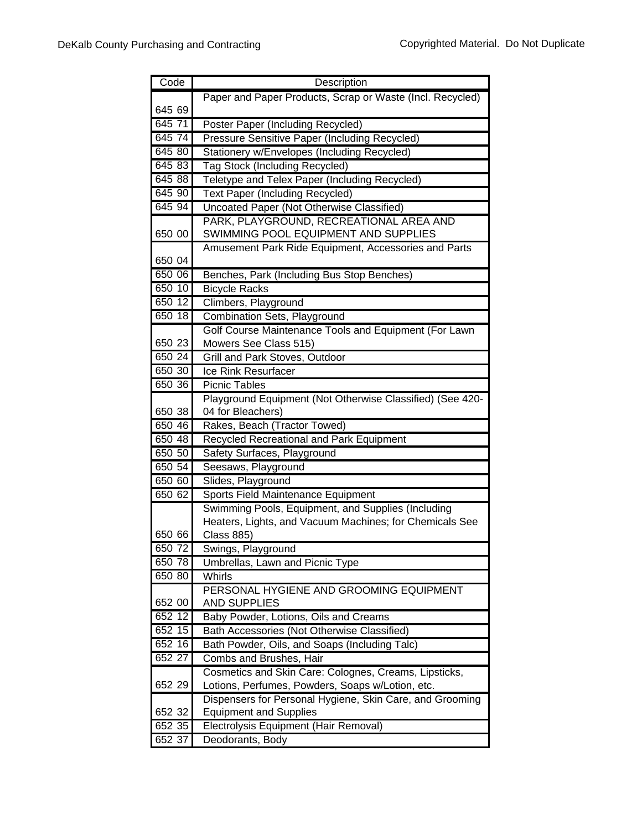| Code   | Description                                               |
|--------|-----------------------------------------------------------|
|        | Paper and Paper Products, Scrap or Waste (Incl. Recycled) |
| 645 69 |                                                           |
| 645 71 | Poster Paper (Including Recycled)                         |
| 645 74 | <b>Pressure Sensitive Paper (Including Recycled)</b>      |
| 645 80 | Stationery w/Envelopes (Including Recycled)               |
| 645 83 | <b>Tag Stock (Including Recycled)</b>                     |
| 645 88 | Teletype and Telex Paper (Including Recycled)             |
| 645 90 | Text Paper (Including Recycled)                           |
| 645 94 | Uncoated Paper (Not Otherwise Classified)                 |
|        | PARK, PLAYGROUND, RECREATIONAL AREA AND                   |
| 650 00 | SWIMMING POOL EQUIPMENT AND SUPPLIES                      |
|        | Amusement Park Ride Equipment, Accessories and Parts      |
| 650 04 |                                                           |
| 650 06 | Benches, Park (Including Bus Stop Benches)                |
| 650 10 | <b>Bicycle Racks</b>                                      |
| 650 12 | Climbers, Playground                                      |
| 650 18 | Combination Sets, Playground                              |
|        | Golf Course Maintenance Tools and Equipment (For Lawn     |
| 650 23 | Mowers See Class 515)                                     |
| 650 24 | Grill and Park Stoves, Outdoor                            |
| 650 30 | Ice Rink Resurfacer                                       |
| 650 36 | <b>Picnic Tables</b>                                      |
|        | Playground Equipment (Not Otherwise Classified) (See 420- |
| 650 38 | 04 for Bleachers)                                         |
| 650 46 | Rakes, Beach (Tractor Towed)                              |
| 650 48 | Recycled Recreational and Park Equipment                  |
| 650 50 | Safety Surfaces, Playground                               |
| 650 54 | Seesaws, Playground                                       |
| 650 60 | Slides, Playground                                        |
| 650 62 | Sports Field Maintenance Equipment                        |
|        | Swimming Pools, Equipment, and Supplies (Including        |
|        | Heaters, Lights, and Vacuum Machines; for Chemicals See   |
| 650 66 | <b>Class 885)</b>                                         |
| 650 72 | Swings, Playground                                        |
| 650 78 | Umbrellas, Lawn and Picnic Type                           |
| 650 80 | Whirls                                                    |
|        | PERSONAL HYGIENE AND GROOMING EQUIPMENT                   |
| 652 00 | <b>AND SUPPLIES</b>                                       |
| 652 12 | Baby Powder, Lotions, Oils and Creams                     |
| 652 15 | Bath Accessories (Not Otherwise Classified)               |
| 652 16 | Bath Powder, Oils, and Soaps (Including Talc)             |
| 652 27 | Combs and Brushes, Hair                                   |
|        | Cosmetics and Skin Care: Colognes, Creams, Lipsticks,     |
| 652 29 | Lotions, Perfumes, Powders, Soaps w/Lotion, etc.          |
|        | Dispensers for Personal Hygiene, Skin Care, and Grooming  |
| 652 32 | <b>Equipment and Supplies</b>                             |
| 652 35 | Electrolysis Equipment (Hair Removal)                     |
| 652 37 | Deodorants, Body                                          |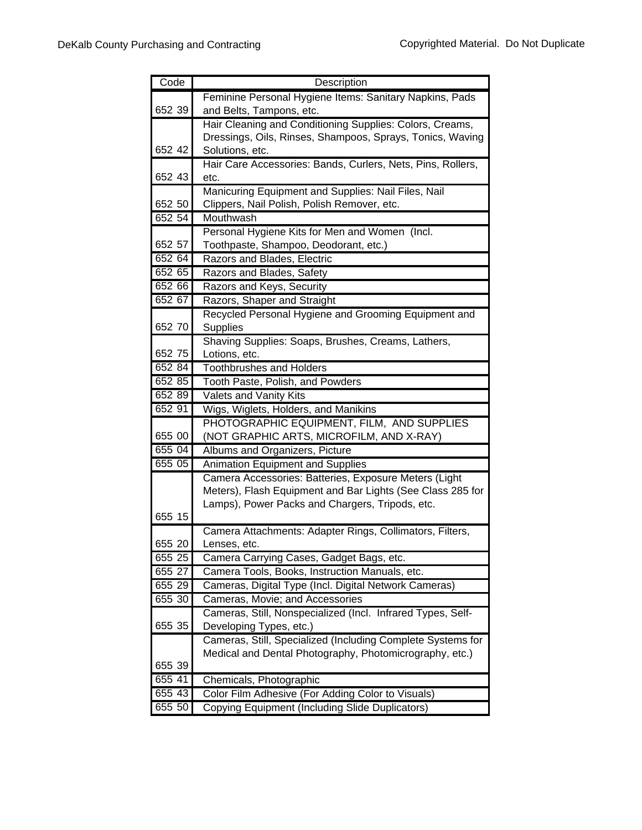| Code   | Description                                                 |
|--------|-------------------------------------------------------------|
|        | Feminine Personal Hygiene Items: Sanitary Napkins, Pads     |
| 652 39 | and Belts, Tampons, etc.                                    |
|        | Hair Cleaning and Conditioning Supplies: Colors, Creams,    |
|        | Dressings, Oils, Rinses, Shampoos, Sprays, Tonics, Waving   |
| 652 42 | Solutions, etc.                                             |
|        | Hair Care Accessories: Bands, Curlers, Nets, Pins, Rollers, |
| 652 43 | etc.                                                        |
|        | Manicuring Equipment and Supplies: Nail Files, Nail         |
| 652 50 | Clippers, Nail Polish, Polish Remover, etc.                 |
| 652 54 | Mouthwash                                                   |
|        | Personal Hygiene Kits for Men and Women (Incl.              |
| 652 57 | Toothpaste, Shampoo, Deodorant, etc.)                       |
| 652 64 | Razors and Blades, Electric                                 |
| 652 65 | Razors and Blades, Safety                                   |
| 652 66 | Razors and Keys, Security                                   |
| 652 67 | Razors, Shaper and Straight                                 |
|        | Recycled Personal Hygiene and Grooming Equipment and        |
| 652 70 | <b>Supplies</b>                                             |
|        | Shaving Supplies: Soaps, Brushes, Creams, Lathers,          |
| 652 75 | Lotions, etc.                                               |
| 652 84 | <b>Toothbrushes and Holders</b>                             |
| 652 85 | Tooth Paste, Polish, and Powders                            |
| 652 89 | Valets and Vanity Kits                                      |
| 652 91 | Wigs, Wiglets, Holders, and Manikins                        |
|        | PHOTOGRAPHIC EQUIPMENT, FILM, AND SUPPLIES                  |
| 655 00 | (NOT GRAPHIC ARTS, MICROFILM, AND X-RAY)                    |
| 655 04 | Albums and Organizers, Picture                              |
| 655 05 | <b>Animation Equipment and Supplies</b>                     |
|        | Camera Accessories: Batteries, Exposure Meters (Light       |
|        | Meters), Flash Equipment and Bar Lights (See Class 285 for  |
|        | Lamps), Power Packs and Chargers, Tripods, etc.             |
| 655 15 |                                                             |
|        | Camera Attachments: Adapter Rings, Collimators, Filters,    |
| 655 20 | Lenses, etc.                                                |
| 655 25 | Camera Carrying Cases, Gadget Bags, etc.                    |
| 655 27 | Camera Tools, Books, Instruction Manuals, etc.              |
| 655 29 | Cameras, Digital Type (Incl. Digital Network Cameras)       |
| 655 30 | Cameras, Movie; and Accessories                             |
|        | Cameras, Still, Nonspecialized (Incl. Infrared Types, Self- |
| 655 35 | Developing Types, etc.)                                     |
|        | Cameras, Still, Specialized (Including Complete Systems for |
|        | Medical and Dental Photography, Photomicrography, etc.)     |
| 655 39 |                                                             |
| 655 41 | Chemicals, Photographic                                     |
| 655 43 | Color Film Adhesive (For Adding Color to Visuals)           |
| 655 50 | Copying Equipment (Including Slide Duplicators)             |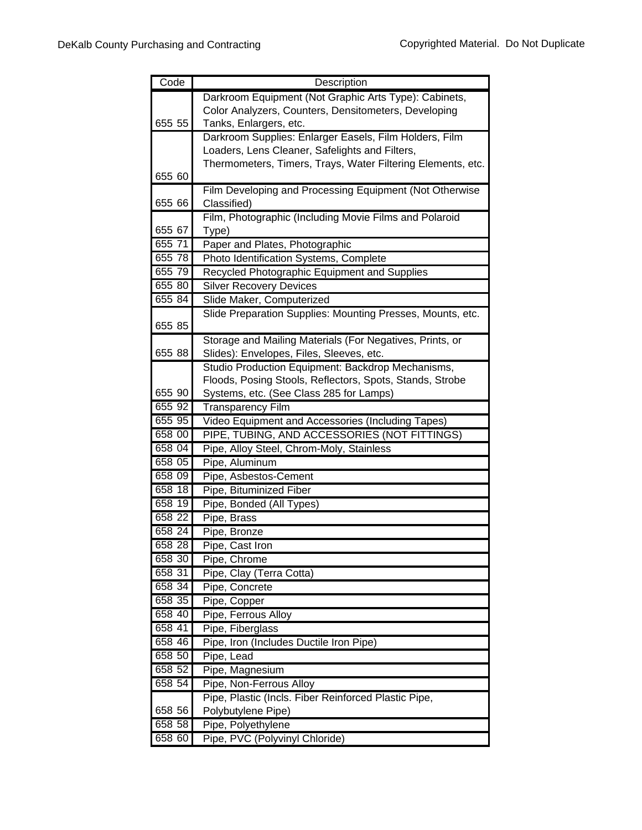| Code   | Description                                                            |
|--------|------------------------------------------------------------------------|
|        | Darkroom Equipment (Not Graphic Arts Type): Cabinets,                  |
|        | Color Analyzers, Counters, Densitometers, Developing                   |
| 655 55 | Tanks, Enlargers, etc.                                                 |
|        | Darkroom Supplies: Enlarger Easels, Film Holders, Film                 |
|        | Loaders, Lens Cleaner, Safelights and Filters,                         |
|        | Thermometers, Timers, Trays, Water Filtering Elements, etc.            |
| 655 60 |                                                                        |
| 655 66 | Film Developing and Processing Equipment (Not Otherwise<br>Classified) |
|        | Film, Photographic (Including Movie Films and Polaroid                 |
| 655 67 | Type)                                                                  |
| 65571  | Paper and Plates, Photographic                                         |
| 655 78 | Photo Identification Systems, Complete                                 |
| 655 79 | Recycled Photographic Equipment and Supplies                           |
| 655 80 | <b>Silver Recovery Devices</b>                                         |
| 655 84 | Slide Maker, Computerized                                              |
|        | Slide Preparation Supplies: Mounting Presses, Mounts, etc.             |
| 655 85 |                                                                        |
|        | Storage and Mailing Materials (For Negatives, Prints, or               |
| 655 88 | Slides): Envelopes, Files, Sleeves, etc.                               |
|        | Studio Production Equipment: Backdrop Mechanisms,                      |
|        | Floods, Posing Stools, Reflectors, Spots, Stands, Strobe               |
| 655 90 | Systems, etc. (See Class 285 for Lamps)                                |
| 655 92 | <b>Transparency Film</b>                                               |
| 655 95 | Video Equipment and Accessories (Including Tapes)                      |
| 658 00 | PIPE, TUBING, AND ACCESSORIES (NOT FITTINGS)                           |
| 658 04 | Pipe, Alloy Steel, Chrom-Moly, Stainless                               |
| 658 05 | Pipe, Aluminum                                                         |
| 658 09 | Pipe, Asbestos-Cement                                                  |
| 658 18 | Pipe, Bituminized Fiber                                                |
| 658 19 | Pipe, Bonded (All Types)                                               |
| 658 22 | Pipe, Brass                                                            |
| 658 24 | Pipe, Bronze                                                           |
| 658 28 | Pipe, Cast Iron                                                        |
| 658 30 | Pipe, Chrome                                                           |
| 658 31 | Pipe, Clay (Terra Cotta)                                               |
| 658 34 | Pipe, Concrete                                                         |
| 658 35 | Pipe, Copper                                                           |
| 658 40 | Pipe, Ferrous Alloy                                                    |
| 658 41 | Pipe, Fiberglass                                                       |
| 658 46 | Pipe, Iron (Includes Ductile Iron Pipe)                                |
| 658 50 | Pipe, Lead                                                             |
| 658 52 | Pipe, Magnesium                                                        |
| 658 54 | Pipe, Non-Ferrous Alloy                                                |
|        | Pipe, Plastic (Incls. Fiber Reinforced Plastic Pipe,                   |
| 658 56 | Polybutylene Pipe)                                                     |
| 658 58 | Pipe, Polyethylene                                                     |
| 658 60 | Pipe, PVC (Polyvinyl Chloride)                                         |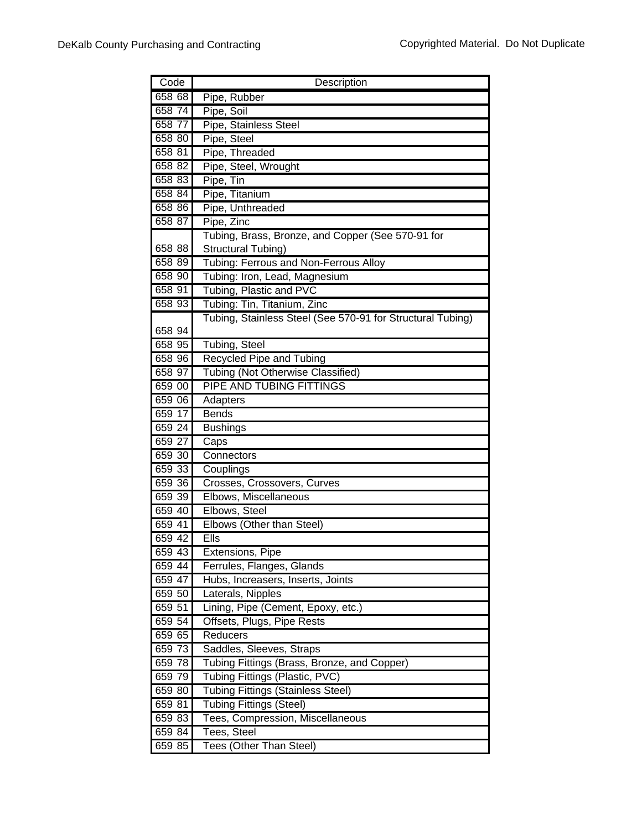| Code   | Description                                                |
|--------|------------------------------------------------------------|
| 658 68 | Pipe, Rubber                                               |
| 658 74 | Pipe, Soil                                                 |
| 658 77 | Pipe, Stainless Steel                                      |
| 658 80 | Pipe, Steel                                                |
| 658 81 | Pipe, Threaded                                             |
| 658 82 | Pipe, Steel, Wrought                                       |
| 658 83 | Pipe, Tin                                                  |
| 658 84 | Pipe, Titanium                                             |
| 658 86 | Pipe, Unthreaded                                           |
| 658 87 | Pipe, Zinc                                                 |
|        | Tubing, Brass, Bronze, and Copper (See 570-91 for          |
| 658 88 | Structural Tubing)                                         |
| 658 89 | Tubing: Ferrous and Non-Ferrous Alloy                      |
| 658 90 | Tubing: Iron, Lead, Magnesium                              |
| 658 91 | Tubing, Plastic and PVC                                    |
| 658 93 | Tubing: Tin, Titanium, Zinc                                |
|        | Tubing, Stainless Steel (See 570-91 for Structural Tubing) |
| 658 94 |                                                            |
| 658 95 | Tubing, Steel                                              |
| 658 96 | <b>Recycled Pipe and Tubing</b>                            |
| 658 97 | <b>Tubing (Not Otherwise Classified)</b>                   |
| 659 00 | <b>PIPE AND TUBING FITTINGS</b>                            |
| 659 06 | Adapters                                                   |
| 659 17 | <b>Bends</b>                                               |
| 659 24 | <b>Bushings</b>                                            |
| 659 27 | Caps                                                       |
| 659 30 | Connectors                                                 |
| 659 33 | Couplings                                                  |
| 659 36 | Crosses, Crossovers, Curves                                |
| 659 39 | Elbows, Miscellaneous                                      |
| 659 40 | Elbows, Steel                                              |
| 659 41 | Elbows (Other than Steel)                                  |
| 659 42 | Ells                                                       |
| 659 43 | Extensions, Pipe                                           |
| 659 44 | Ferrules, Flanges, Glands                                  |
| 659 47 | Hubs, Increasers, Inserts, Joints                          |
| 659 50 | Laterals, Nipples                                          |
| 659 51 | Lining, Pipe (Cement, Epoxy, etc.)                         |
| 659 54 | Offsets, Plugs, Pipe Rests                                 |
| 659 65 | Reducers                                                   |
| 659 73 | Saddles, Sleeves, Straps                                   |
| 659 78 | Tubing Fittings (Brass, Bronze, and Copper)                |
| 659 79 | Tubing Fittings (Plastic, PVC)                             |
| 659 80 | <b>Tubing Fittings (Stainless Steel)</b>                   |
| 659 81 | <b>Tubing Fittings (Steel)</b>                             |
| 65983  | Tees, Compression, Miscellaneous                           |
| 659 84 | Tees, Steel                                                |
| 659 85 | <b>Tees (Other Than Steel)</b>                             |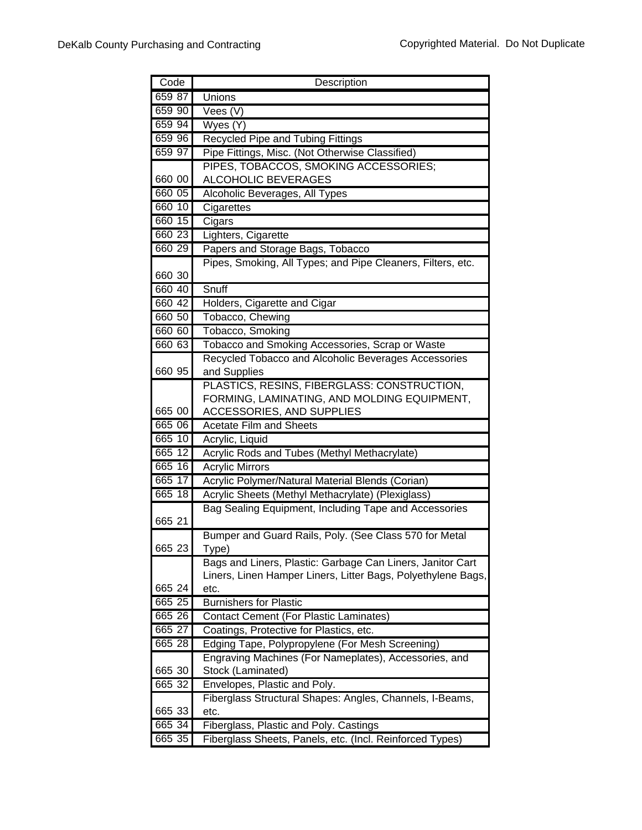| Code   | Description                                                  |
|--------|--------------------------------------------------------------|
| 659 87 | Unions                                                       |
| 659 90 | Vees (V)                                                     |
| 659 94 | Wyes (Y)                                                     |
| 659 96 | Recycled Pipe and Tubing Fittings                            |
| 659 97 | Pipe Fittings, Misc. (Not Otherwise Classified)              |
|        | PIPES, TOBACCOS, SMOKING ACCESSORIES;                        |
| 660 00 | <b>ALCOHOLIC BEVERAGES</b>                                   |
| 660 05 | Alcoholic Beverages, All Types                               |
| 660 10 | Cigarettes                                                   |
| 660 15 | Cigars                                                       |
| 660 23 | Lighters, Cigarette                                          |
| 660 29 | Papers and Storage Bags, Tobacco                             |
|        | Pipes, Smoking, All Types; and Pipe Cleaners, Filters, etc.  |
| 660 30 |                                                              |
| 660 40 | Snuff                                                        |
| 660 42 | Holders, Cigarette and Cigar                                 |
| 660 50 | Tobacco, Chewing                                             |
| 660 60 | Tobacco, Smoking                                             |
| 660 63 | Tobacco and Smoking Accessories, Scrap or Waste              |
|        | Recycled Tobacco and Alcoholic Beverages Accessories         |
| 660 95 | and Supplies                                                 |
|        | PLASTICS, RESINS, FIBERGLASS: CONSTRUCTION,                  |
|        | FORMING, LAMINATING, AND MOLDING EQUIPMENT,                  |
| 665 00 | ACCESSORIES, AND SUPPLIES                                    |
| 665 06 | <b>Acetate Film and Sheets</b>                               |
| 665 10 | Acrylic, Liquid                                              |
| 665 12 | Acrylic Rods and Tubes (Methyl Methacrylate)                 |
| 665 16 | <b>Acrylic Mirrors</b>                                       |
| 665 17 | Acrylic Polymer/Natural Material Blends (Corian)             |
| 66518  | Acrylic Sheets (Methyl Methacrylate) (Plexiglass)            |
|        | Bag Sealing Equipment, Including Tape and Accessories        |
| 665 21 |                                                              |
|        | Bumper and Guard Rails, Poly. (See Class 570 for Metal       |
| 665 23 | Type)                                                        |
|        | Bags and Liners, Plastic: Garbage Can Liners, Janitor Cart   |
|        | Liners, Linen Hamper Liners, Litter Bags, Polyethylene Bags, |
| 665 24 | etc.                                                         |
| 665 25 | <b>Burnishers for Plastic</b>                                |
| 665 26 | <b>Contact Cement (For Plastic Laminates)</b>                |
| 665 27 | Coatings, Protective for Plastics, etc.                      |
| 665 28 | Edging Tape, Polypropylene (For Mesh Screening)              |
|        | Engraving Machines (For Nameplates), Accessories, and        |
| 665 30 | Stock (Laminated)                                            |
| 665 32 | Envelopes, Plastic and Poly.                                 |
|        | Fiberglass Structural Shapes: Angles, Channels, I-Beams,     |
| 665 33 | etc.                                                         |
| 665 34 | Fiberglass, Plastic and Poly. Castings                       |
| 665 35 | Fiberglass Sheets, Panels, etc. (Incl. Reinforced Types)     |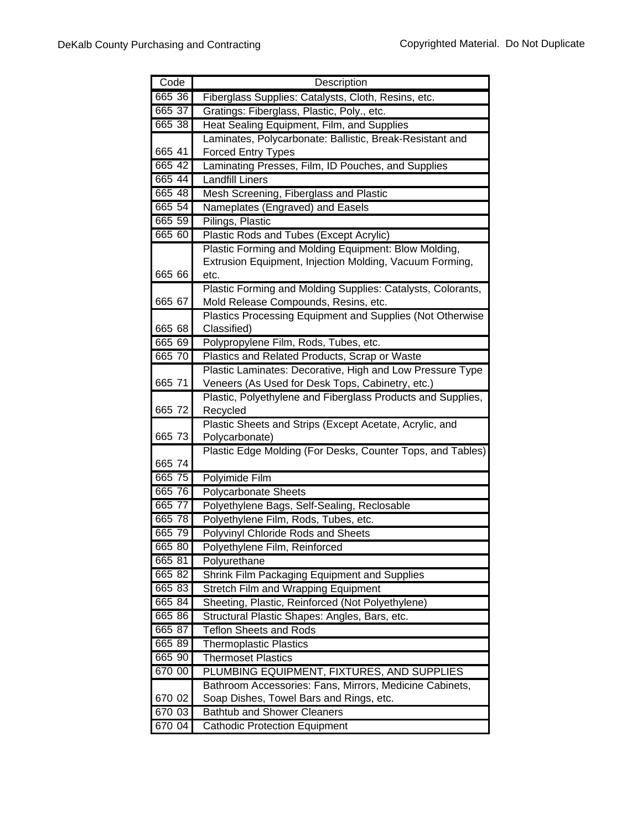| Code   | Description                                                 |
|--------|-------------------------------------------------------------|
| 665 36 | Fiberglass Supplies: Catalysts, Cloth, Resins, etc.         |
| 665 37 | Gratings: Fiberglass, Plastic, Poly., etc.                  |
| 665 38 | Heat Sealing Equipment, Film, and Supplies                  |
|        | Laminates, Polycarbonate: Ballistic, Break-Resistant and    |
| 665 41 | <b>Forced Entry Types</b>                                   |
| 665 42 | Laminating Presses, Film, ID Pouches, and Supplies          |
| 665 44 | <b>Landfill Liners</b>                                      |
| 665 48 | Mesh Screening, Fiberglass and Plastic                      |
| 665 54 | Nameplates (Engraved) and Easels                            |
| 665 59 | Pilings, Plastic                                            |
| 665 60 | Plastic Rods and Tubes (Except Acrylic)                     |
|        | Plastic Forming and Molding Equipment: Blow Molding,        |
|        | Extrusion Equipment, Injection Molding, Vacuum Forming,     |
| 665 66 | etc.                                                        |
|        | Plastic Forming and Molding Supplies: Catalysts, Colorants, |
| 665 67 | Mold Release Compounds, Resins, etc.                        |
|        | Plastics Processing Equipment and Supplies (Not Otherwise   |
| 665 68 | Classified)                                                 |
| 665 69 | Polypropylene Film, Rods, Tubes, etc.                       |
| 665 70 | Plastics and Related Products, Scrap or Waste               |
|        | Plastic Laminates: Decorative, High and Low Pressure Type   |
| 665 71 | Veneers (As Used for Desk Tops, Cabinetry, etc.)            |
|        | Plastic, Polyethylene and Fiberglass Products and Supplies, |
| 665 72 | Recycled                                                    |
| 665 73 | Plastic Sheets and Strips (Except Acetate, Acrylic, and     |
|        | Polycarbonate)                                              |
| 665 74 | Plastic Edge Molding (For Desks, Counter Tops, and Tables)  |
| 665 75 | Polyimide Film                                              |
| 665 76 | Polycarbonate Sheets                                        |
| 66577  | Polyethylene Bags, Self-Sealing, Reclosable                 |
| 665 78 | Polyethylene Film, Rods, Tubes, etc.                        |
| 665 79 | Polyvinyl Chloride Rods and Sheets                          |
| 665 80 | Polyethylene Film, Reinforced                               |
| 665 81 | Polyurethane                                                |
| 665 82 | Shrink Film Packaging Equipment and Supplies                |
| 665 83 | <b>Stretch Film and Wrapping Equipment</b>                  |
| 665 84 | Sheeting, Plastic, Reinforced (Not Polyethylene)            |
| 665 86 | Structural Plastic Shapes: Angles, Bars, etc.               |
| 665 87 | <b>Teflon Sheets and Rods</b>                               |
| 665 89 | <b>Thermoplastic Plastics</b>                               |
| 665 90 | <b>Thermoset Plastics</b>                                   |
| 670 00 | PLUMBING EQUIPMENT, FIXTURES, AND SUPPLIES                  |
|        | Bathroom Accessories: Fans, Mirrors, Medicine Cabinets,     |
| 670 02 | Soap Dishes, Towel Bars and Rings, etc.                     |
| 670 03 | <b>Bathtub and Shower Cleaners</b>                          |
| 670 04 | <b>Cathodic Protection Equipment</b>                        |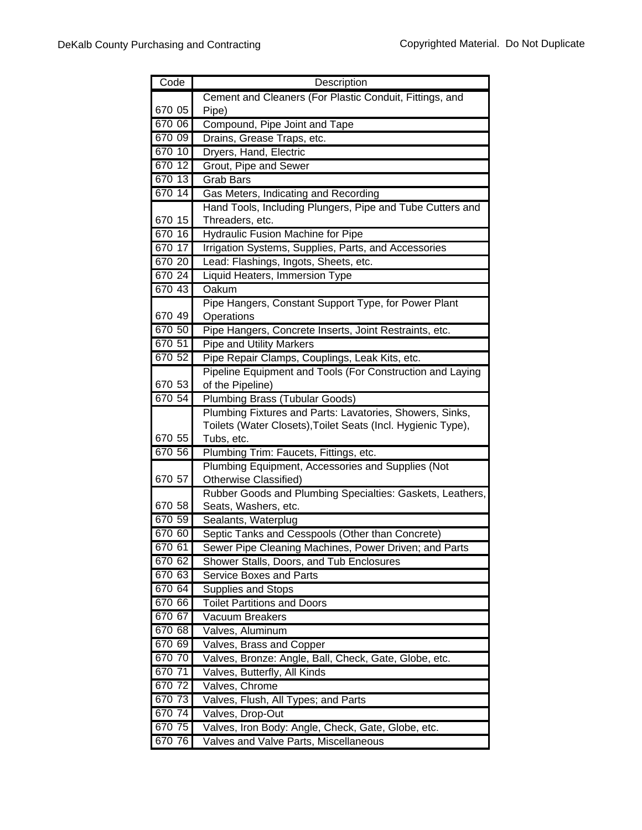| Code   | Description                                                                        |
|--------|------------------------------------------------------------------------------------|
|        | Cement and Cleaners (For Plastic Conduit, Fittings, and                            |
| 670 05 | Pipe)                                                                              |
| 670 06 | Compound, Pipe Joint and Tape                                                      |
| 670 09 | Drains, Grease Traps, etc.                                                         |
| 670 10 | Dryers, Hand, Electric                                                             |
| 670 12 | Grout, Pipe and Sewer                                                              |
| 670 13 | <b>Grab Bars</b>                                                                   |
| 670 14 | Gas Meters, Indicating and Recording                                               |
|        | Hand Tools, Including Plungers, Pipe and Tube Cutters and                          |
| 670 15 | Threaders, etc.                                                                    |
| 670 16 | <b>Hydraulic Fusion Machine for Pipe</b>                                           |
| 670 17 | Irrigation Systems, Supplies, Parts, and Accessories                               |
| 670 20 | Lead: Flashings, Ingots, Sheets, etc.                                              |
| 670 24 | Liquid Heaters, Immersion Type                                                     |
| 67043  | Oakum                                                                              |
|        | Pipe Hangers, Constant Support Type, for Power Plant                               |
| 670 49 | Operations                                                                         |
| 670 50 | Pipe Hangers, Concrete Inserts, Joint Restraints, etc.                             |
| 670 51 | <b>Pipe and Utility Markers</b>                                                    |
| 670 52 | Pipe Repair Clamps, Couplings, Leak Kits, etc.                                     |
|        | Pipeline Equipment and Tools (For Construction and Laying                          |
| 670 53 | of the Pipeline)                                                                   |
| 670 54 | <b>Plumbing Brass (Tubular Goods)</b>                                              |
|        | Plumbing Fixtures and Parts: Lavatories, Showers, Sinks,                           |
|        | Toilets (Water Closets), Toilet Seats (Incl. Hygienic Type),                       |
| 670 55 | Tubs, etc.                                                                         |
| 670 56 | Plumbing Trim: Faucets, Fittings, etc.                                             |
| 670 57 | Plumbing Equipment, Accessories and Supplies (Not                                  |
|        | Otherwise Classified)<br>Rubber Goods and Plumbing Specialties: Gaskets, Leathers, |
| 670 58 | Seats, Washers, etc.                                                               |
| 670 59 | Sealants, Waterplug                                                                |
| 670 60 | Septic Tanks and Cesspools (Other than Concrete)                                   |
| 670 61 | Sewer Pipe Cleaning Machines, Power Driven; and Parts                              |
| 670 62 | Shower Stalls, Doors, and Tub Enclosures                                           |
| 670 63 | <b>Service Boxes and Parts</b>                                                     |
| 670 64 | Supplies and Stops                                                                 |
| 670 66 | <b>Toilet Partitions and Doors</b>                                                 |
| 670 67 | Vacuum Breakers                                                                    |
| 670 68 | Valves, Aluminum                                                                   |
| 670 69 | Valves, Brass and Copper                                                           |
| 670 70 | Valves, Bronze: Angle, Ball, Check, Gate, Globe, etc.                              |
| 670 71 | Valves, Butterfly, All Kinds                                                       |
| 670 72 | Valves, Chrome                                                                     |
| 670 73 | Valves, Flush, All Types; and Parts                                                |
| 670 74 | Valves, Drop-Out                                                                   |
| 670 75 | Valves, Iron Body: Angle, Check, Gate, Globe, etc.                                 |
| 670 76 | Valves and Valve Parts, Miscellaneous                                              |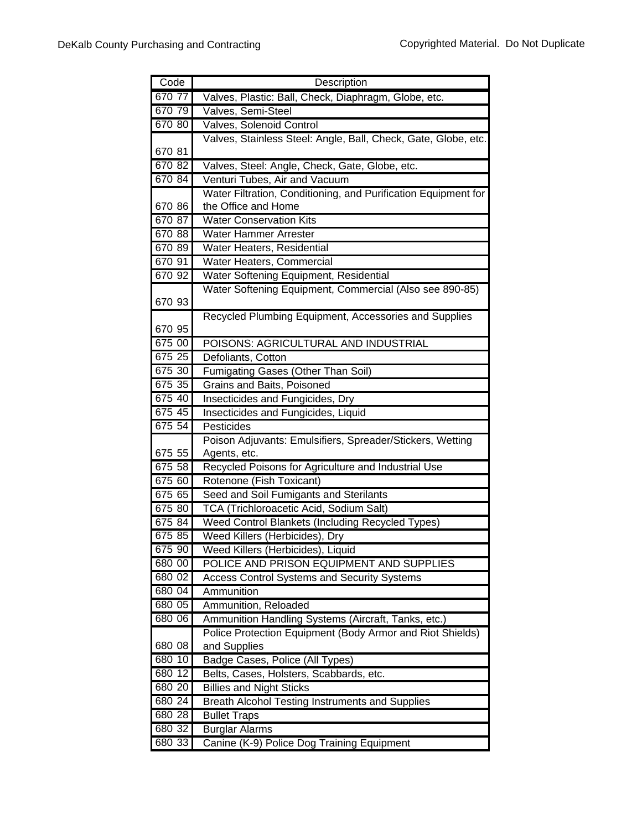| Code   | Description                                                    |
|--------|----------------------------------------------------------------|
| 670 77 | Valves, Plastic: Ball, Check, Diaphragm, Globe, etc.           |
| 670 79 | Valves, Semi-Steel                                             |
| 670 80 | Valves, Solenoid Control                                       |
|        | Valves, Stainless Steel: Angle, Ball, Check, Gate, Globe, etc. |
| 670 81 |                                                                |
| 670 82 | Valves, Steel: Angle, Check, Gate, Globe, etc.                 |
| 670 84 | Venturi Tubes, Air and Vacuum                                  |
|        | Water Filtration, Conditioning, and Purification Equipment for |
| 670 86 | the Office and Home                                            |
| 670 87 | <b>Water Conservation Kits</b>                                 |
| 670 88 | <b>Water Hammer Arrester</b>                                   |
| 670 89 | Water Heaters, Residential                                     |
| 670 91 | Water Heaters, Commercial                                      |
| 670 92 | Water Softening Equipment, Residential                         |
|        | Water Softening Equipment, Commercial (Also see 890-85)        |
| 670 93 |                                                                |
|        | Recycled Plumbing Equipment, Accessories and Supplies          |
| 670 95 |                                                                |
| 675 00 | POISONS: AGRICULTURAL AND INDUSTRIAL                           |
| 675 25 | Defoliants, Cotton                                             |
| 675 30 | Fumigating Gases (Other Than Soil)                             |
| 675 35 | <b>Grains and Baits, Poisoned</b>                              |
| 675 40 | Insecticides and Fungicides, Dry                               |
| 675 45 | Insecticides and Fungicides, Liquid                            |
| 675 54 | Pesticides                                                     |
|        | Poison Adjuvants: Emulsifiers, Spreader/Stickers, Wetting      |
| 675 55 | Agents, etc.                                                   |
| 675 58 | Recycled Poisons for Agriculture and Industrial Use            |
| 675 60 | Rotenone (Fish Toxicant)                                       |
| 675 65 | Seed and Soil Fumigants and Sterilants                         |
| 675 80 | <b>TCA (Trichloroacetic Acid, Sodium Salt)</b>                 |
| 675 84 | Weed Control Blankets (Including Recycled Types)               |
| 675 85 | Weed Killers (Herbicides), Dry                                 |
| 675 90 | Weed Killers (Herbicides), Liquid                              |
| 680 00 | POLICE AND PRISON EQUIPMENT AND SUPPLIES                       |
| 680 02 | <b>Access Control Systems and Security Systems</b>             |
| 680 04 | Ammunition                                                     |
| 680 05 | Ammunition, Reloaded                                           |
| 680 06 | Ammunition Handling Systems (Aircraft, Tanks, etc.)            |
|        | Police Protection Equipment (Body Armor and Riot Shields)      |
| 680 08 | and Supplies                                                   |
| 680 10 | Badge Cases, Police (All Types)                                |
| 680 12 | Belts, Cases, Holsters, Scabbards, etc.                        |
| 680 20 | <b>Billies and Night Sticks</b>                                |
| 680 24 | <b>Breath Alcohol Testing Instruments and Supplies</b>         |
| 680 28 | <b>Bullet Traps</b>                                            |
| 680 32 | <b>Burglar Alarms</b>                                          |
| 680 33 | Canine (K-9) Police Dog Training Equipment                     |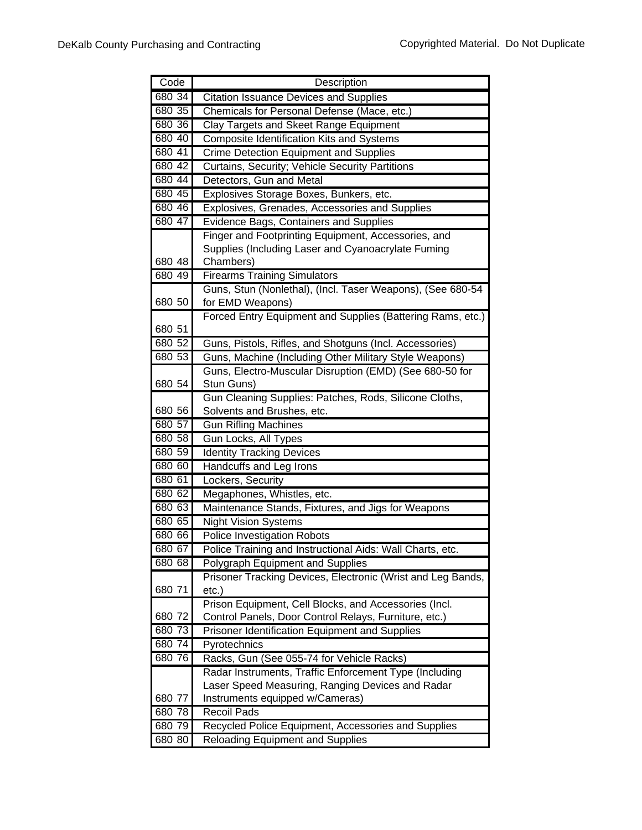| Code             | Description                                                        |
|------------------|--------------------------------------------------------------------|
| 680 34           | <b>Citation Issuance Devices and Supplies</b>                      |
| 680 35           | Chemicals for Personal Defense (Mace, etc.)                        |
| 680 36           | Clay Targets and Skeet Range Equipment                             |
| 680 40           | <b>Composite Identification Kits and Systems</b>                   |
| 680 41           | <b>Crime Detection Equipment and Supplies</b>                      |
| 680 42           | Curtains, Security; Vehicle Security Partitions                    |
| 680 44           | Detectors, Gun and Metal                                           |
| 680 45           | Explosives Storage Boxes, Bunkers, etc.                            |
| 680 46           | Explosives, Grenades, Accessories and Supplies                     |
| 680 47           | <b>Evidence Bags, Containers and Supplies</b>                      |
|                  | Finger and Footprinting Equipment, Accessories, and                |
|                  | Supplies (Including Laser and Cyanoacrylate Fuming                 |
| 680 48           | Chambers)                                                          |
| 680 49           | <b>Firearms Training Simulators</b>                                |
|                  | Guns, Stun (Nonlethal), (Incl. Taser Weapons), (See 680-54         |
| 680 50           | for EMD Weapons)                                                   |
|                  | Forced Entry Equipment and Supplies (Battering Rams, etc.)         |
| 680 51           |                                                                    |
| 680 52           | Guns, Pistols, Rifles, and Shotguns (Incl. Accessories)            |
| 680 53           | Guns, Machine (Including Other Military Style Weapons)             |
|                  | Guns, Electro-Muscular Disruption (EMD) (See 680-50 for            |
| 680 54           | Stun Guns)                                                         |
|                  | Gun Cleaning Supplies: Patches, Rods, Silicone Cloths,             |
| 680 56           | Solvents and Brushes, etc.                                         |
| 680 57           | <b>Gun Rifling Machines</b>                                        |
| 680 58           | Gun Locks, All Types                                               |
| 680 59<br>680 60 | <b>Identity Tracking Devices</b><br><b>Handcuffs and Leg Irons</b> |
| 680 61           | Lockers, Security                                                  |
| 680 62           | Megaphones, Whistles, etc.                                         |
| 680 63           |                                                                    |
| 680 65           | Maintenance Stands, Fixtures, and Jigs for Weapons                 |
| 680 66           | <b>Night Vision Systems</b><br>Police Investigation Robots         |
| 680 67           | Police Training and Instructional Aids: Wall Charts, etc.          |
| 680 68           | Polygraph Equipment and Supplies                                   |
|                  | Prisoner Tracking Devices, Electronic (Wrist and Leg Bands,        |
| 680 71           | $etc.$ )                                                           |
|                  | Prison Equipment, Cell Blocks, and Accessories (Incl.              |
| 680 72           | Control Panels, Door Control Relays, Furniture, etc.)              |
| 680 73           | Prisoner Identification Equipment and Supplies                     |
| 680 74           | Pyrotechnics                                                       |
| 680 76           | Racks, Gun (See 055-74 for Vehicle Racks)                          |
|                  | Radar Instruments, Traffic Enforcement Type (Including             |
|                  | Laser Speed Measuring, Ranging Devices and Radar                   |
| 680 77           | Instruments equipped w/Cameras)                                    |
| 680 78           | <b>Recoil Pads</b>                                                 |
| 680 79           | Recycled Police Equipment, Accessories and Supplies                |
| 680 80           | <b>Reloading Equipment and Supplies</b>                            |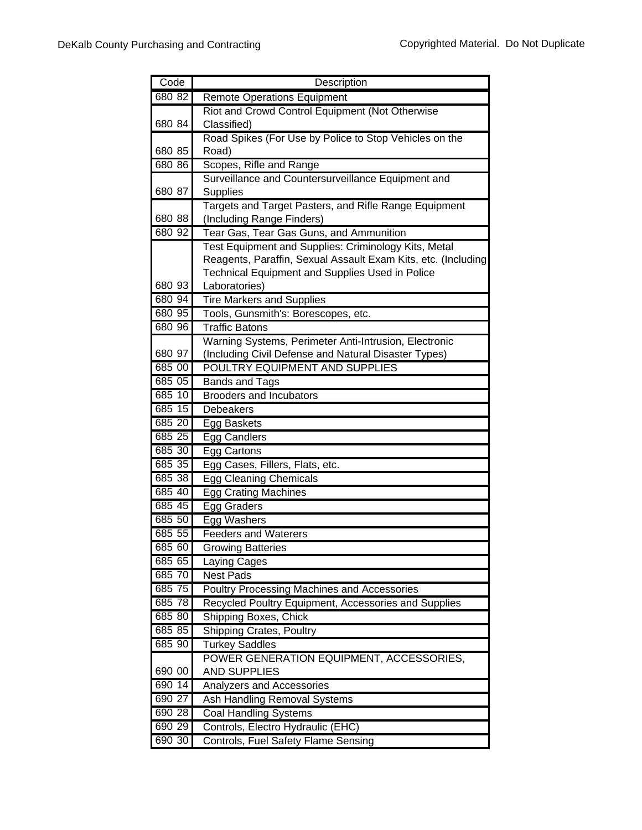| Code   | Description                                                   |
|--------|---------------------------------------------------------------|
| 680 82 | <b>Remote Operations Equipment</b>                            |
|        | Riot and Crowd Control Equipment (Not Otherwise               |
| 680 84 | Classified)                                                   |
|        | Road Spikes (For Use by Police to Stop Vehicles on the        |
| 680 85 | Road)                                                         |
| 680 86 | Scopes, Rifle and Range                                       |
|        | Surveillance and Countersurveillance Equipment and            |
| 680 87 | Supplies                                                      |
|        | Targets and Target Pasters, and Rifle Range Equipment         |
| 680 88 | (Including Range Finders)                                     |
| 680 92 | Tear Gas, Tear Gas Guns, and Ammunition                       |
|        | Test Equipment and Supplies: Criminology Kits, Metal          |
|        | Reagents, Paraffin, Sexual Assault Exam Kits, etc. (Including |
| 680 93 | Technical Equipment and Supplies Used in Police               |
| 680 94 | Laboratories)                                                 |
| 680 95 | <b>Tire Markers and Supplies</b>                              |
| 680 96 | Tools, Gunsmith's: Borescopes, etc.<br><b>Traffic Batons</b>  |
|        | Warning Systems, Perimeter Anti-Intrusion, Electronic         |
| 680 97 | (Including Civil Defense and Natural Disaster Types)          |
| 685 00 | POULTRY EQUIPMENT AND SUPPLIES                                |
| 685 05 | <b>Bands and Tags</b>                                         |
| 685 10 | <b>Brooders and Incubators</b>                                |
| 685 15 | <b>Debeakers</b>                                              |
| 685 20 | Egg Baskets                                                   |
| 685 25 | <b>Egg Candlers</b>                                           |
| 685 30 | Egg Cartons                                                   |
| 685 35 | Egg Cases, Fillers, Flats, etc.                               |
| 685 38 | <b>Egg Cleaning Chemicals</b>                                 |
| 685 40 | <b>Egg Crating Machines</b>                                   |
| 685 45 | Egg Graders                                                   |
| 685 50 | Egg Washers                                                   |
| 685 55 | <b>Feeders and Waterers</b>                                   |
| 685 60 | <b>Growing Batteries</b>                                      |
| 685 65 | Laying Cages                                                  |
| 685 70 | <b>Nest Pads</b>                                              |
| 685 75 | <b>Poultry Processing Machines and Accessories</b>            |
| 685 78 | Recycled Poultry Equipment, Accessories and Supplies          |
| 685 80 | <b>Shipping Boxes, Chick</b>                                  |
| 685 85 | <b>Shipping Crates, Poultry</b>                               |
| 685 90 | <b>Turkey Saddles</b>                                         |
|        | POWER GENERATION EQUIPMENT, ACCESSORIES,                      |
| 690 00 | <b>AND SUPPLIES</b>                                           |
| 690 14 | Analyzers and Accessories                                     |
| 690 27 | Ash Handling Removal Systems                                  |
| 690 28 | <b>Coal Handling Systems</b>                                  |
| 690 29 | Controls, Electro Hydraulic (EHC)                             |
| 690 30 | Controls, Fuel Safety Flame Sensing                           |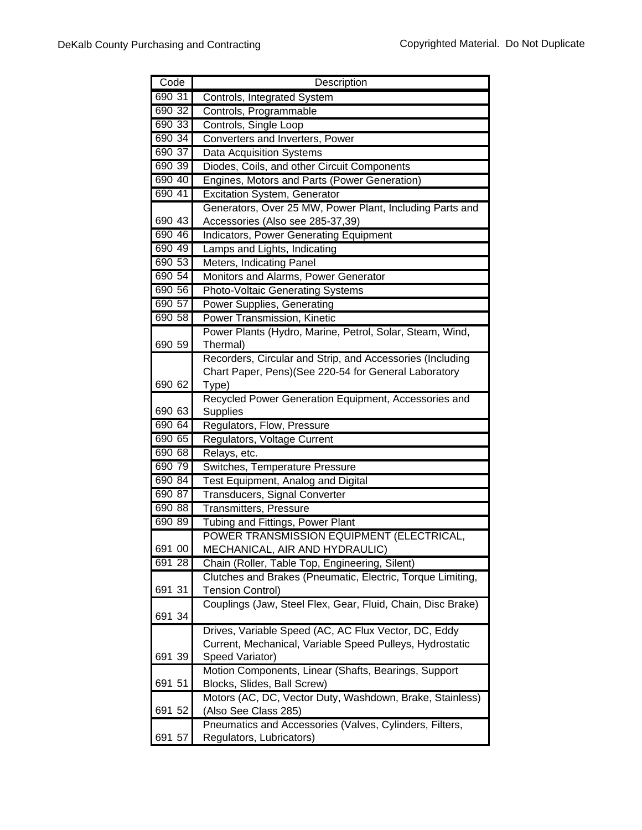| Code   | Description                                                                 |
|--------|-----------------------------------------------------------------------------|
| 690 31 | Controls, Integrated System                                                 |
| 690 32 | Controls, Programmable                                                      |
| 690 33 | Controls, Single Loop                                                       |
| 690 34 | Converters and Inverters, Power                                             |
| 690 37 | <b>Data Acquisition Systems</b>                                             |
| 690 39 | Diodes, Coils, and other Circuit Components                                 |
| 690 40 | Engines, Motors and Parts (Power Generation)                                |
| 690 41 | Excitation System, Generator                                                |
|        | Generators, Over 25 MW, Power Plant, Including Parts and                    |
| 690 43 | Accessories (Also see 285-37,39)                                            |
| 690 46 | Indicators, Power Generating Equipment                                      |
| 690 49 | Lamps and Lights, Indicating                                                |
| 690 53 | Meters, Indicating Panel                                                    |
| 690 54 | Monitors and Alarms, Power Generator                                        |
| 690 56 | <b>Photo-Voltaic Generating Systems</b>                                     |
| 690 57 | Power Supplies, Generating                                                  |
| 690 58 | Power Transmission, Kinetic                                                 |
|        | Power Plants (Hydro, Marine, Petrol, Solar, Steam, Wind,                    |
| 690 59 | Thermal)                                                                    |
|        | Recorders, Circular and Strip, and Accessories (Including                   |
|        | Chart Paper, Pens)(See 220-54 for General Laboratory                        |
| 690 62 | Type)                                                                       |
|        | Recycled Power Generation Equipment, Accessories and                        |
| 690 63 | <b>Supplies</b>                                                             |
| 690 64 | Regulators, Flow, Pressure                                                  |
| 690 65 | Regulators, Voltage Current                                                 |
| 690 68 | Relays, etc.                                                                |
| 690 79 | Switches, Temperature Pressure                                              |
| 690 84 | Test Equipment, Analog and Digital                                          |
| 690 87 | <b>Transducers, Signal Converter</b>                                        |
| 690 88 | <b>Transmitters, Pressure</b>                                               |
| 690 89 | Tubing and Fittings, Power Plant                                            |
|        | POWER TRANSMISSION EQUIPMENT (ELECTRICAL,                                   |
| 691 00 | MECHANICAL, AIR AND HYDRAULIC)                                              |
| 691 28 | Chain (Roller, Table Top, Engineering, Silent)                              |
|        | Clutches and Brakes (Pneumatic, Electric, Torque Limiting,                  |
| 691 31 | <b>Tension Control)</b>                                                     |
|        | Couplings (Jaw, Steel Flex, Gear, Fluid, Chain, Disc Brake)                 |
| 691 34 |                                                                             |
|        | Drives, Variable Speed (AC, AC Flux Vector, DC, Eddy                        |
| 691 39 | Current, Mechanical, Variable Speed Pulleys, Hydrostatic<br>Speed Variator) |
|        | Motion Components, Linear (Shafts, Bearings, Support                        |
| 691 51 | Blocks, Slides, Ball Screw)                                                 |
|        | Motors (AC, DC, Vector Duty, Washdown, Brake, Stainless)                    |
| 691 52 | (Also See Class 285)                                                        |
|        | Pneumatics and Accessories (Valves, Cylinders, Filters,                     |
| 691 57 | Regulators, Lubricators)                                                    |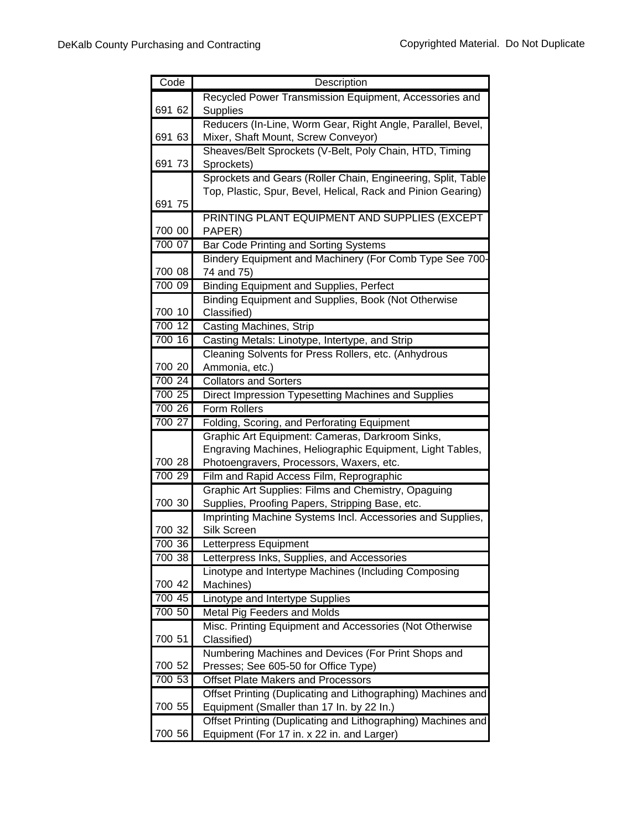| Code   | Description                                                           |
|--------|-----------------------------------------------------------------------|
|        | Recycled Power Transmission Equipment, Accessories and                |
| 691 62 | <b>Supplies</b>                                                       |
|        | Reducers (In-Line, Worm Gear, Right Angle, Parallel, Bevel,           |
| 691 63 | Mixer, Shaft Mount, Screw Conveyor)                                   |
|        | Sheaves/Belt Sprockets (V-Belt, Poly Chain, HTD, Timing               |
| 691 73 | Sprockets)                                                            |
|        | Sprockets and Gears (Roller Chain, Engineering, Split, Table          |
|        | Top, Plastic, Spur, Bevel, Helical, Rack and Pinion Gearing)          |
| 691 75 |                                                                       |
|        | PRINTING PLANT EQUIPMENT AND SUPPLIES (EXCEPT                         |
| 700 00 | PAPER)                                                                |
| 700 07 | Bar Code Printing and Sorting Systems                                 |
| 700 08 | Bindery Equipment and Machinery (For Comb Type See 700-<br>74 and 75) |
| 700 09 | <b>Binding Equipment and Supplies, Perfect</b>                        |
|        | Binding Equipment and Supplies, Book (Not Otherwise                   |
| 700 10 | Classified)                                                           |
| 700 12 | Casting Machines, Strip                                               |
| 700 16 | Casting Metals: Linotype, Intertype, and Strip                        |
|        | Cleaning Solvents for Press Rollers, etc. (Anhydrous                  |
| 700 20 | Ammonia, etc.)                                                        |
| 700 24 | <b>Collators and Sorters</b>                                          |
| 700 25 | Direct Impression Typesetting Machines and Supplies                   |
| 700 26 | Form Rollers                                                          |
| 700 27 | Folding, Scoring, and Perforating Equipment                           |
|        | Graphic Art Equipment: Cameras, Darkroom Sinks,                       |
|        | Engraving Machines, Heliographic Equipment, Light Tables,             |
| 700 28 | Photoengravers, Processors, Waxers, etc.                              |
| 700 29 | Film and Rapid Access Film, Reprographic                              |
|        | Graphic Art Supplies: Films and Chemistry, Opaguing                   |
| 700 30 | Supplies, Proofing Papers, Stripping Base, etc.                       |
|        | Imprinting Machine Systems Incl. Accessories and Supplies,            |
| 700 32 | Silk Screen                                                           |
| 700 36 | Letterpress Equipment                                                 |
| 700 38 | Letterpress Inks, Supplies, and Accessories                           |
| 700 42 | Linotype and Intertype Machines (Including Composing<br>Machines)     |
| 700 45 |                                                                       |
| 700 50 | Linotype and Intertype Supplies<br>Metal Pig Feeders and Molds        |
|        | Misc. Printing Equipment and Accessories (Not Otherwise               |
| 700 51 | Classified)                                                           |
|        | Numbering Machines and Devices (For Print Shops and                   |
| 700 52 | Presses; See 605-50 for Office Type)                                  |
| 700 53 | Offset Plate Makers and Processors                                    |
|        | Offset Printing (Duplicating and Lithographing) Machines and          |
| 700 55 | Equipment (Smaller than 17 In. by 22 In.)                             |
|        | Offset Printing (Duplicating and Lithographing) Machines and          |
| 700 56 | Equipment (For 17 in. x 22 in. and Larger)                            |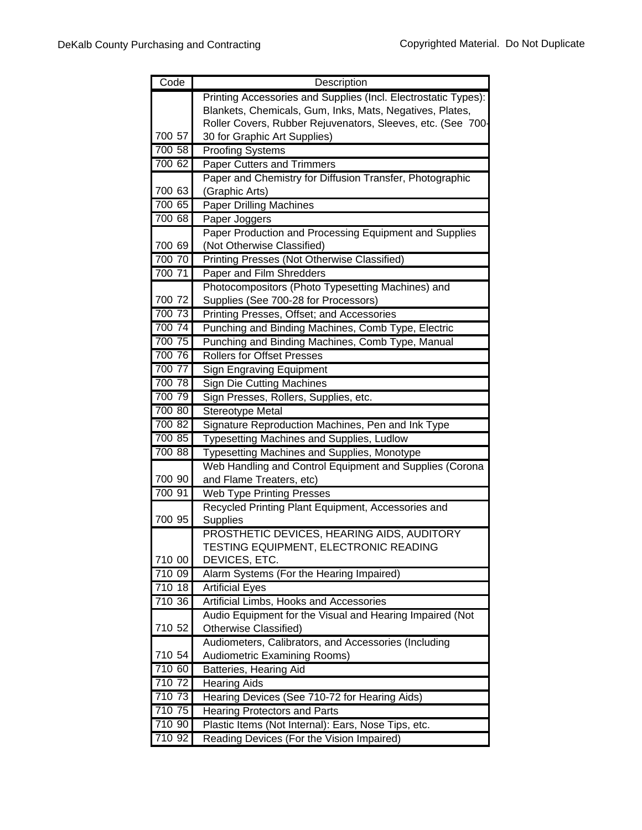| Code   | Description                                                                       |
|--------|-----------------------------------------------------------------------------------|
|        | Printing Accessories and Supplies (Incl. Electrostatic Types):                    |
|        | Blankets, Chemicals, Gum, Inks, Mats, Negatives, Plates,                          |
|        | Roller Covers, Rubber Rejuvenators, Sleeves, etc. (See 700-                       |
| 700 57 | 30 for Graphic Art Supplies)                                                      |
| 700 58 | <b>Proofing Systems</b>                                                           |
| 700 62 | <b>Paper Cutters and Trimmers</b>                                                 |
|        | Paper and Chemistry for Diffusion Transfer, Photographic                          |
| 700 63 | (Graphic Arts)                                                                    |
| 700 65 | <b>Paper Drilling Machines</b>                                                    |
| 700 68 | Paper Joggers                                                                     |
|        | Paper Production and Processing Equipment and Supplies                            |
| 700 69 | (Not Otherwise Classified)                                                        |
| 700 70 | Printing Presses (Not Otherwise Classified)                                       |
| 700 71 | Paper and Film Shredders                                                          |
|        | Photocompositors (Photo Typesetting Machines) and                                 |
| 700 72 | Supplies (See 700-28 for Processors)                                              |
| 700 73 | Printing Presses, Offset; and Accessories                                         |
| 700 74 | Punching and Binding Machines, Comb Type, Electric                                |
| 700 75 | Punching and Binding Machines, Comb Type, Manual                                  |
| 700 76 | <b>Rollers for Offset Presses</b>                                                 |
| 700 77 | <b>Sign Engraving Equipment</b>                                                   |
| 700 78 | <b>Sign Die Cutting Machines</b>                                                  |
| 700 79 | Sign Presses, Rollers, Supplies, etc.                                             |
| 700 80 | Stereotype Metal                                                                  |
| 700 82 | Signature Reproduction Machines, Pen and Ink Type                                 |
| 700 85 | <b>Typesetting Machines and Supplies, Ludlow</b>                                  |
| 700 88 | <b>Typesetting Machines and Supplies, Monotype</b>                                |
|        | Web Handling and Control Equipment and Supplies (Corona                           |
| 700 90 | and Flame Treaters, etc)                                                          |
| 700 91 | <b>Web Type Printing Presses</b>                                                  |
|        | Recycled Printing Plant Equipment, Accessories and                                |
| 700 95 | Supplies                                                                          |
|        | PROSTHETIC DEVICES, HEARING AIDS, AUDITORY                                        |
| 710 00 | TESTING EQUIPMENT, ELECTRONIC READING                                             |
| 710 09 | DEVICES, ETC.                                                                     |
| 710 18 | Alarm Systems (For the Hearing Impaired)                                          |
| 710 36 | <b>Artificial Eyes</b>                                                            |
|        | Artificial Limbs, Hooks and Accessories                                           |
| 710 52 | Audio Equipment for the Visual and Hearing Impaired (Not<br>Otherwise Classified) |
|        | Audiometers, Calibrators, and Accessories (Including                              |
| 710 54 | Audiometric Examining Rooms)                                                      |
| 710 60 | Batteries, Hearing Aid                                                            |
| 710 72 | Hearing Aids                                                                      |
| 710 73 | Hearing Devices (See 710-72 for Hearing Aids)                                     |
| 710 75 | <b>Hearing Protectors and Parts</b>                                               |
| 710 90 | Plastic Items (Not Internal): Ears, Nose Tips, etc.                               |
| 710 92 | Reading Devices (For the Vision Impaired)                                         |
|        |                                                                                   |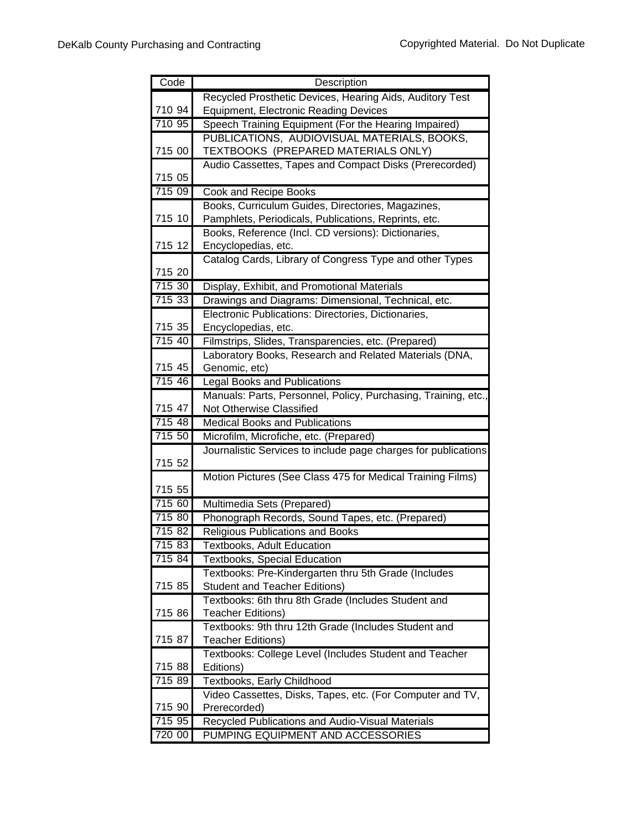| Code   | Description                                                                        |
|--------|------------------------------------------------------------------------------------|
|        | Recycled Prosthetic Devices, Hearing Aids, Auditory Test                           |
| 710 94 | <b>Equipment, Electronic Reading Devices</b>                                       |
| 710 95 | Speech Training Equipment (For the Hearing Impaired)                               |
|        | PUBLICATIONS, AUDIOVISUAL MATERIALS, BOOKS,                                        |
| 715 00 | TEXTBOOKS (PREPARED MATERIALS ONLY)                                                |
|        | Audio Cassettes, Tapes and Compact Disks (Prerecorded)                             |
| 715 05 |                                                                                    |
| 715 09 | Cook and Recipe Books                                                              |
|        | Books, Curriculum Guides, Directories, Magazines,                                  |
| 715 10 | Pamphlets, Periodicals, Publications, Reprints, etc.                               |
|        | Books, Reference (Incl. CD versions): Dictionaries,                                |
| 715 12 | Encyclopedias, etc.                                                                |
|        | Catalog Cards, Library of Congress Type and other Types                            |
| 715 20 |                                                                                    |
| 715 30 | Display, Exhibit, and Promotional Materials                                        |
| 715 33 | Drawings and Diagrams: Dimensional, Technical, etc.                                |
|        | Electronic Publications: Directories, Dictionaries,                                |
| 715 35 | Encyclopedias, etc.                                                                |
| 715 40 | Filmstrips, Slides, Transparencies, etc. (Prepared)                                |
|        | Laboratory Books, Research and Related Materials (DNA,                             |
| 715 45 | Genomic, etc)                                                                      |
| 715 46 | <b>Legal Books and Publications</b>                                                |
|        | Manuals: Parts, Personnel, Policy, Purchasing, Training, etc.,                     |
| 715 47 | Not Otherwise Classified                                                           |
| 715 48 | <b>Medical Books and Publications</b>                                              |
| 715 50 | Microfilm, Microfiche, etc. (Prepared)                                             |
|        | Journalistic Services to include page charges for publications                     |
| 715 52 |                                                                                    |
|        | Motion Pictures (See Class 475 for Medical Training Films)                         |
| 715 55 |                                                                                    |
| 715 60 | Multimedia Sets (Prepared)                                                         |
| 715 80 | Phonograph Records, Sound Tapes, etc. (Prepared)                                   |
| 715 82 | <b>Religious Publications and Books</b>                                            |
| 715 83 | Textbooks, Adult Education                                                         |
| 715 84 | <b>Textbooks, Special Education</b>                                                |
|        | Textbooks: Pre-Kindergarten thru 5th Grade (Includes                               |
| 715 85 | <b>Student and Teacher Editions)</b>                                               |
|        | Textbooks: 6th thru 8th Grade (Includes Student and                                |
| 715 86 | <b>Teacher Editions)</b>                                                           |
|        | Textbooks: 9th thru 12th Grade (Includes Student and                               |
| 715 87 | <b>Teacher Editions)</b><br>Textbooks: College Level (Includes Student and Teacher |
| 715 88 | Editions)                                                                          |
| 715 89 | Textbooks, Early Childhood                                                         |
|        | Video Cassettes, Disks, Tapes, etc. (For Computer and TV,                          |
| 715 90 | Prerecorded)                                                                       |
| 715 95 | Recycled Publications and Audio-Visual Materials                                   |
| 720 00 | PUMPING EQUIPMENT AND ACCESSORIES                                                  |
|        |                                                                                    |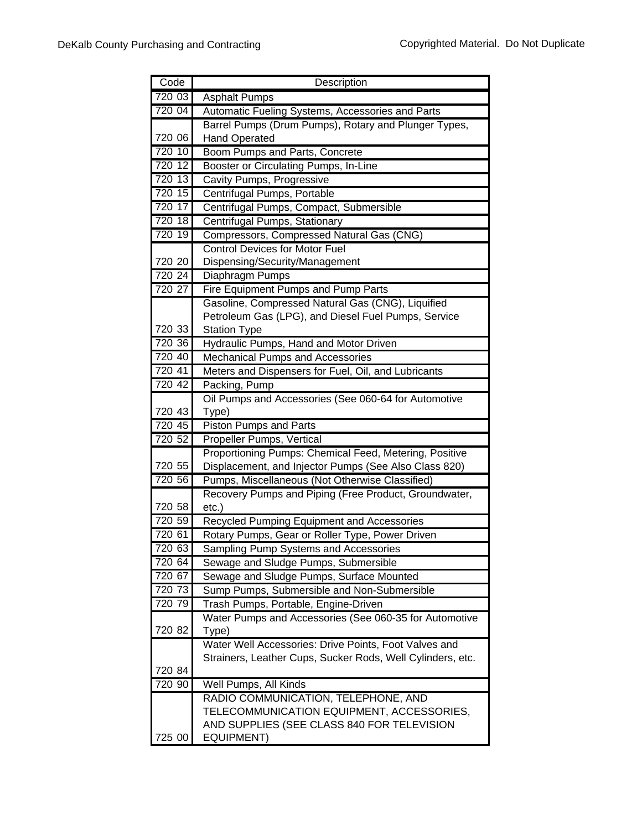| Code             | Description                                                                                   |
|------------------|-----------------------------------------------------------------------------------------------|
| 720 03           | <b>Asphalt Pumps</b>                                                                          |
| 720 04           | Automatic Fueling Systems, Accessories and Parts                                              |
|                  | Barrel Pumps (Drum Pumps), Rotary and Plunger Types,                                          |
| 720 06           | <b>Hand Operated</b>                                                                          |
| 720 10           | Boom Pumps and Parts, Concrete                                                                |
| 720 12           | Booster or Circulating Pumps, In-Line                                                         |
| 720 13           | <b>Cavity Pumps, Progressive</b>                                                              |
| 720 15           | Centrifugal Pumps, Portable                                                                   |
| 720 17           | Centrifugal Pumps, Compact, Submersible                                                       |
| 720 18           | Centrifugal Pumps, Stationary                                                                 |
| 720 19           | Compressors, Compressed Natural Gas (CNG)                                                     |
|                  | <b>Control Devices for Motor Fuel</b>                                                         |
| 720 20           | Dispensing/Security/Management                                                                |
| 720 24           | Diaphragm Pumps                                                                               |
| 720 27           | Fire Equipment Pumps and Pump Parts                                                           |
|                  | Gasoline, Compressed Natural Gas (CNG), Liquified                                             |
|                  | Petroleum Gas (LPG), and Diesel Fuel Pumps, Service                                           |
| 720 33           | <b>Station Type</b>                                                                           |
| 720 36           | Hydraulic Pumps, Hand and Motor Driven                                                        |
| 720 40           | <b>Mechanical Pumps and Accessories</b>                                                       |
| 720 41           | Meters and Dispensers for Fuel, Oil, and Lubricants                                           |
| 720 42           | Packing, Pump                                                                                 |
|                  | Oil Pumps and Accessories (See 060-64 for Automotive                                          |
| 720 43           | Type)                                                                                         |
| 720 45           | <b>Piston Pumps and Parts</b>                                                                 |
| 720 52           | Propeller Pumps, Vertical                                                                     |
|                  | Proportioning Pumps: Chemical Feed, Metering, Positive                                        |
| 720 55           | Displacement, and Injector Pumps (See Also Class 820)                                         |
| 720 56           | Pumps, Miscellaneous (Not Otherwise Classified)                                               |
|                  | Recovery Pumps and Piping (Free Product, Groundwater,                                         |
| 720 58<br>720 59 | $etc.$ )                                                                                      |
| 720 61           | Recycled Pumping Equipment and Accessories<br>Rotary Pumps, Gear or Roller Type, Power Driven |
| 720 63           | Sampling Pump Systems and Accessories                                                         |
| 720 64           | Sewage and Sludge Pumps, Submersible                                                          |
| 720 67           | Sewage and Sludge Pumps, Surface Mounted                                                      |
| 720 73           | Sump Pumps, Submersible and Non-Submersible                                                   |
| 720 79           | Trash Pumps, Portable, Engine-Driven                                                          |
|                  | Water Pumps and Accessories (See 060-35 for Automotive                                        |
| 720 82           | Type)                                                                                         |
|                  | Water Well Accessories: Drive Points, Foot Valves and                                         |
|                  | Strainers, Leather Cups, Sucker Rods, Well Cylinders, etc.                                    |
| 720 84           |                                                                                               |
| 720 90           | Well Pumps, All Kinds                                                                         |
|                  | RADIO COMMUNICATION, TELEPHONE, AND                                                           |
|                  | TELECOMMUNICATION EQUIPMENT, ACCESSORIES,                                                     |
|                  | AND SUPPLIES (SEE CLASS 840 FOR TELEVISION                                                    |
| 725 00           | <b>EQUIPMENT)</b>                                                                             |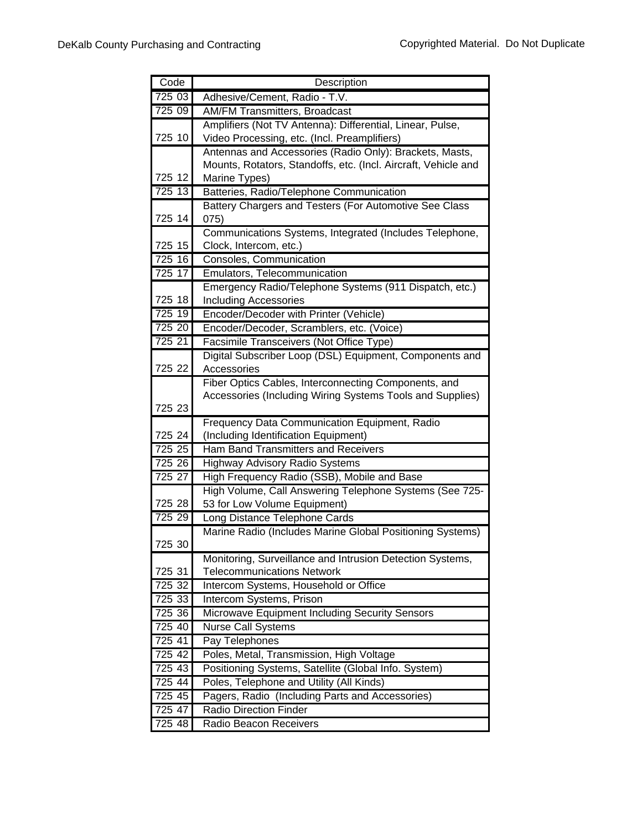| Code      | Description                                                                           |
|-----------|---------------------------------------------------------------------------------------|
| 725 03    | Adhesive/Cement, Radio - T.V.                                                         |
| 725 09    | <b>AM/FM Transmitters, Broadcast</b>                                                  |
|           | Amplifiers (Not TV Antenna): Differential, Linear, Pulse,                             |
| 725 10    | Video Processing, etc. (Incl. Preamplifiers)                                          |
|           | Antennas and Accessories (Radio Only): Brackets, Masts,                               |
|           | Mounts, Rotators, Standoffs, etc. (Incl. Aircraft, Vehicle and                        |
| 725 12    | Marine Types)                                                                         |
| 725 13    | Batteries, Radio/Telephone Communication                                              |
|           | Battery Chargers and Testers (For Automotive See Class                                |
| 725 14    | 075)                                                                                  |
|           | Communications Systems, Integrated (Includes Telephone,                               |
| 725 15    | Clock, Intercom, etc.)                                                                |
| 725 16    | Consoles, Communication                                                               |
| 725 17    | Emulators, Telecommunication                                                          |
|           | Emergency Radio/Telephone Systems (911 Dispatch, etc.)                                |
| 725 18    | <b>Including Accessories</b>                                                          |
| 725 19    | Encoder/Decoder with Printer (Vehicle)                                                |
| 725 20    | Encoder/Decoder, Scramblers, etc. (Voice)                                             |
| 725 21    | Facsimile Transceivers (Not Office Type)                                              |
|           | Digital Subscriber Loop (DSL) Equipment, Components and                               |
| 725 22    | Accessories                                                                           |
|           | Fiber Optics Cables, Interconnecting Components, and                                  |
| 725 23    | Accessories (Including Wiring Systems Tools and Supplies)                             |
|           |                                                                                       |
| 725 24    | Frequency Data Communication Equipment, Radio<br>(Including Identification Equipment) |
| 725 25    | <b>Ham Band Transmitters and Receivers</b>                                            |
| 725 26    | <b>Highway Advisory Radio Systems</b>                                                 |
| 725 27    | High Frequency Radio (SSB), Mobile and Base                                           |
|           | High Volume, Call Answering Telephone Systems (See 725-                               |
| 725 28    | 53 for Low Volume Equipment)                                                          |
| 725 29    | Long Distance Telephone Cards                                                         |
|           | Marine Radio (Includes Marine Global Positioning Systems)                             |
| 725 30    |                                                                                       |
|           | Monitoring, Surveillance and Intrusion Detection Systems,                             |
| 725 31    | <b>Telecommunications Network</b>                                                     |
| 725 32    | Intercom Systems, Household or Office                                                 |
| 725 33    | Intercom Systems, Prison                                                              |
| 725 36    | Microwave Equipment Including Security Sensors                                        |
| 725 40    | <b>Nurse Call Systems</b>                                                             |
| 725 41    | Pay Telephones                                                                        |
| 725 42    | Poles, Metal, Transmission, High Voltage                                              |
| 725 43    | Positioning Systems, Satellite (Global Info. System)                                  |
| $725\;44$ | Poles, Telephone and Utility (All Kinds)                                              |
| 725 45    | Pagers, Radio (Including Parts and Accessories)                                       |
| 725 47    | Radio Direction Finder                                                                |
| 725 48    | Radio Beacon Receivers                                                                |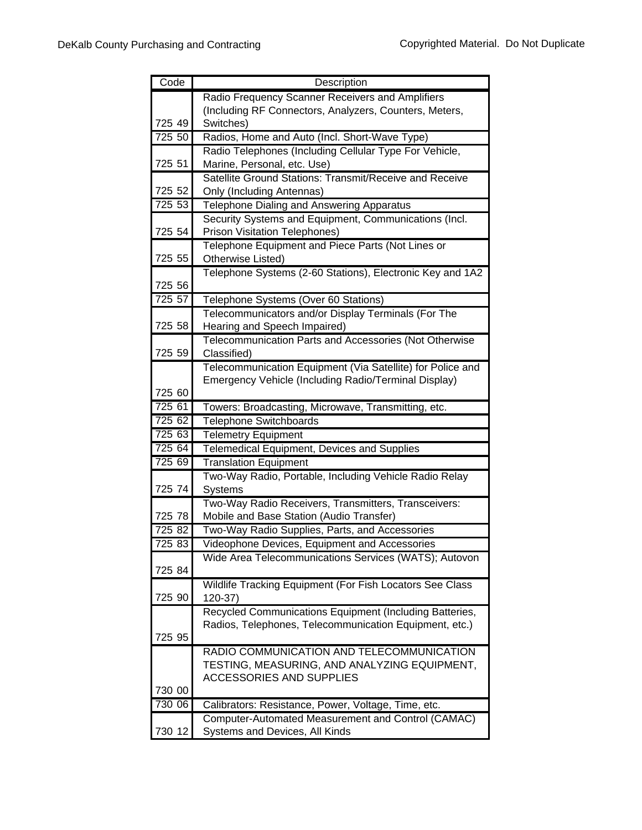| Code   | Description                                                           |
|--------|-----------------------------------------------------------------------|
|        | Radio Frequency Scanner Receivers and Amplifiers                      |
|        | (Including RF Connectors, Analyzers, Counters, Meters,                |
| 725 49 | Switches)                                                             |
| 725 50 | Radios, Home and Auto (Incl. Short-Wave Type)                         |
|        | Radio Telephones (Including Cellular Type For Vehicle,                |
| 725 51 | Marine, Personal, etc. Use)                                           |
|        | Satellite Ground Stations: Transmit/Receive and Receive               |
| 725 52 | Only (Including Antennas)                                             |
| 725 53 | Telephone Dialing and Answering Apparatus                             |
|        | Security Systems and Equipment, Communications (Incl.                 |
| 725 54 | <b>Prison Visitation Telephones)</b>                                  |
|        | Telephone Equipment and Piece Parts (Not Lines or                     |
| 725 55 | Otherwise Listed)                                                     |
|        | Telephone Systems (2-60 Stations), Electronic Key and 1A2             |
| 725 56 |                                                                       |
| 725 57 | Telephone Systems (Over 60 Stations)                                  |
| 725 58 | Telecommunicators and/or Display Terminals (For The                   |
|        | Hearing and Speech Impaired)                                          |
| 725 59 | Telecommunication Parts and Accessories (Not Otherwise<br>Classified) |
|        | Telecommunication Equipment (Via Satellite) for Police and            |
|        | Emergency Vehicle (Including Radio/Terminal Display)                  |
| 725 60 |                                                                       |
| 725 61 | Towers: Broadcasting, Microwave, Transmitting, etc.                   |
| 725 62 | <b>Telephone Switchboards</b>                                         |
| 725 63 | <b>Telemetry Equipment</b>                                            |
| 725 64 | Telemedical Equipment, Devices and Supplies                           |
| 725 69 | <b>Translation Equipment</b>                                          |
|        | Two-Way Radio, Portable, Including Vehicle Radio Relay                |
| 725 74 | Systems                                                               |
|        | Two-Way Radio Receivers, Transmitters, Transceivers:                  |
| 725 78 | Mobile and Base Station (Audio Transfer)                              |
| 725 82 | Two-Way Radio Supplies, Parts, and Accessories                        |
| 725 83 | Videophone Devices, Equipment and Accessories                         |
|        | Wide Area Telecommunications Services (WATS); Autovon                 |
| 725 84 |                                                                       |
|        | Wildlife Tracking Equipment (For Fish Locators See Class              |
| 725 90 | 120-37)                                                               |
|        | Recycled Communications Equipment (Including Batteries,               |
| 725 95 | Radios, Telephones, Telecommunication Equipment, etc.)                |
|        | RADIO COMMUNICATION AND TELECOMMUNICATION                             |
|        | TESTING, MEASURING, AND ANALYZING EQUIPMENT,                          |
|        | <b>ACCESSORIES AND SUPPLIES</b>                                       |
| 730 00 |                                                                       |
| 730 06 | Calibrators: Resistance, Power, Voltage, Time, etc.                   |
|        | Computer-Automated Measurement and Control (CAMAC)                    |
| 730 12 | Systems and Devices, All Kinds                                        |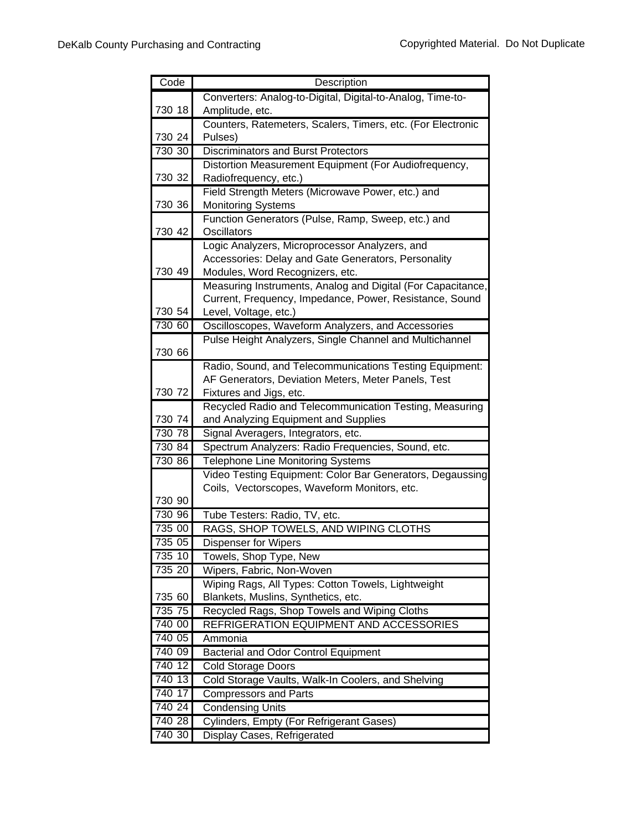| Code             | Description                                                                               |
|------------------|-------------------------------------------------------------------------------------------|
|                  | Converters: Analog-to-Digital, Digital-to-Analog, Time-to-                                |
| 730 18           | Amplitude, etc.                                                                           |
|                  | Counters, Ratemeters, Scalers, Timers, etc. (For Electronic                               |
| 730 24           | Pulses)                                                                                   |
| 730 30           | <b>Discriminators and Burst Protectors</b>                                                |
|                  | Distortion Measurement Equipment (For Audiofrequency,                                     |
| 730 32           | Radiofrequency, etc.)                                                                     |
|                  | Field Strength Meters (Microwave Power, etc.) and                                         |
| 730 36           | <b>Monitoring Systems</b>                                                                 |
|                  | Function Generators (Pulse, Ramp, Sweep, etc.) and                                        |
| 730 42           | <b>Oscillators</b>                                                                        |
|                  | Logic Analyzers, Microprocessor Analyzers, and                                            |
|                  | Accessories: Delay and Gate Generators, Personality                                       |
| 730 49           | Modules, Word Recognizers, etc.                                                           |
|                  | Measuring Instruments, Analog and Digital (For Capacitance,                               |
| 730 54           | Current, Frequency, Impedance, Power, Resistance, Sound<br>Level, Voltage, etc.)          |
| 730 60           | Oscilloscopes, Waveform Analyzers, and Accessories                                        |
|                  | Pulse Height Analyzers, Single Channel and Multichannel                                   |
| 730 66           |                                                                                           |
|                  | Radio, Sound, and Telecommunications Testing Equipment:                                   |
|                  | AF Generators, Deviation Meters, Meter Panels, Test                                       |
| 730 72           | Fixtures and Jigs, etc.                                                                   |
|                  | Recycled Radio and Telecommunication Testing, Measuring                                   |
| 730 74           | and Analyzing Equipment and Supplies                                                      |
| 730 78           | Signal Averagers, Integrators, etc.                                                       |
| 730 84           | Spectrum Analyzers: Radio Frequencies, Sound, etc.                                        |
| 730 86           | <b>Telephone Line Monitoring Systems</b>                                                  |
|                  | Video Testing Equipment: Color Bar Generators, Degaussing                                 |
|                  | Coils, Vectorscopes, Waveform Monitors, etc.                                              |
| 730 90           |                                                                                           |
| 730 96           | Tube Testers: Radio, TV, etc.                                                             |
| 735 00           | RAGS, SHOP TOWELS, AND WIPING CLOTHS                                                      |
| 735 05<br>735 10 | <b>Dispenser for Wipers</b>                                                               |
| 735 20           | Towels, Shop Type, New                                                                    |
|                  | Wipers, Fabric, Non-Woven                                                                 |
| 735 60           | Wiping Rags, All Types: Cotton Towels, Lightweight<br>Blankets, Muslins, Synthetics, etc. |
| 735 75           | Recycled Rags, Shop Towels and Wiping Cloths                                              |
| 740 00           | REFRIGERATION EQUIPMENT AND ACCESSORIES                                                   |
| 740 05           | Ammonia                                                                                   |
| 740 09           | <b>Bacterial and Odor Control Equipment</b>                                               |
| 740 12           | <b>Cold Storage Doors</b>                                                                 |
| 740 13           | Cold Storage Vaults, Walk-In Coolers, and Shelving                                        |
| 740 17           | <b>Compressors and Parts</b>                                                              |
| 740 24           | <b>Condensing Units</b>                                                                   |
| 740 28           | Cylinders, Empty (For Refrigerant Gases)                                                  |
| 740 30           | Display Cases, Refrigerated                                                               |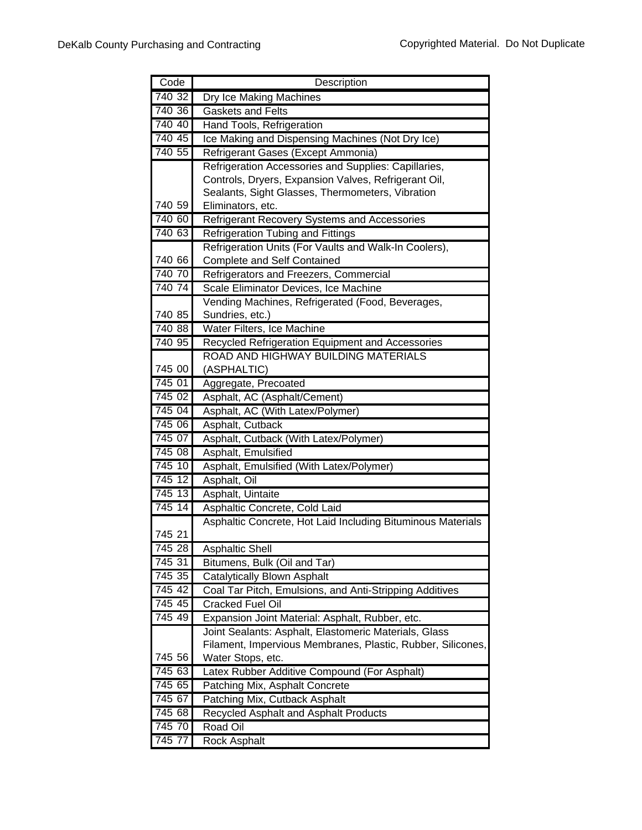| Code   | Description                                                 |
|--------|-------------------------------------------------------------|
| 740 32 | Dry Ice Making Machines                                     |
| 740 36 | <b>Gaskets and Felts</b>                                    |
| 740 40 | Hand Tools, Refrigeration                                   |
| 740 45 | Ice Making and Dispensing Machines (Not Dry Ice)            |
| 740 55 | Refrigerant Gases (Except Ammonia)                          |
|        | Refrigeration Accessories and Supplies: Capillaries,        |
|        | Controls, Dryers, Expansion Valves, Refrigerant Oil,        |
|        | Sealants, Sight Glasses, Thermometers, Vibration            |
| 740 59 | Eliminators, etc.                                           |
| 740 60 | Refrigerant Recovery Systems and Accessories                |
| 740 63 | <b>Refrigeration Tubing and Fittings</b>                    |
|        | Refrigeration Units (For Vaults and Walk-In Coolers),       |
| 740 66 | <b>Complete and Self Contained</b>                          |
| 740 70 | Refrigerators and Freezers, Commercial                      |
| 740 74 | Scale Eliminator Devices, Ice Machine                       |
|        | Vending Machines, Refrigerated (Food, Beverages,            |
| 740 85 | Sundries, etc.)                                             |
| 740 88 | Water Filters, Ice Machine                                  |
| 740 95 | Recycled Refrigeration Equipment and Accessories            |
|        | ROAD AND HIGHWAY BUILDING MATERIALS                         |
| 745 00 | (ASPHALTIC)                                                 |
| 745 01 | Aggregate, Precoated                                        |
| 745 02 | Asphalt, AC (Asphalt/Cement)                                |
| 745 04 | Asphalt, AC (With Latex/Polymer)                            |
| 745 06 | Asphalt, Cutback                                            |
| 745 07 | Asphalt, Cutback (With Latex/Polymer)                       |
| 745 08 | Asphalt, Emulsified                                         |
| 745 10 | Asphalt, Emulsified (With Latex/Polymer)                    |
| 745 12 | Asphalt, Oil                                                |
| 745 13 | Asphalt, Uintaite                                           |
| 74514  | Asphaltic Concrete, Cold Laid                               |
|        | Asphaltic Concrete, Hot Laid Including Bituminous Materials |
| 745 21 |                                                             |
| 74528  | <b>Asphaltic Shell</b>                                      |
| 745 31 | Bitumens, Bulk (Oil and Tar)                                |
| 745 35 | Catalytically Blown Asphalt                                 |
| 745 42 | Coal Tar Pitch, Emulsions, and Anti-Stripping Additives     |
| 745 45 | <b>Cracked Fuel Oil</b>                                     |
| 74549  | Expansion Joint Material: Asphalt, Rubber, etc.             |
|        | Joint Sealants: Asphalt, Elastomeric Materials, Glass       |
|        | Filament, Impervious Membranes, Plastic, Rubber, Silicones, |
| 745 56 | Water Stops, etc.                                           |
| 745 63 | Latex Rubber Additive Compound (For Asphalt)                |
| 745 65 | Patching Mix, Asphalt Concrete                              |
| 745 67 | Patching Mix, Cutback Asphalt                               |
| 745 68 | Recycled Asphalt and Asphalt Products                       |
| 745 70 | Road Oil                                                    |
| 745 77 | <b>Rock Asphalt</b>                                         |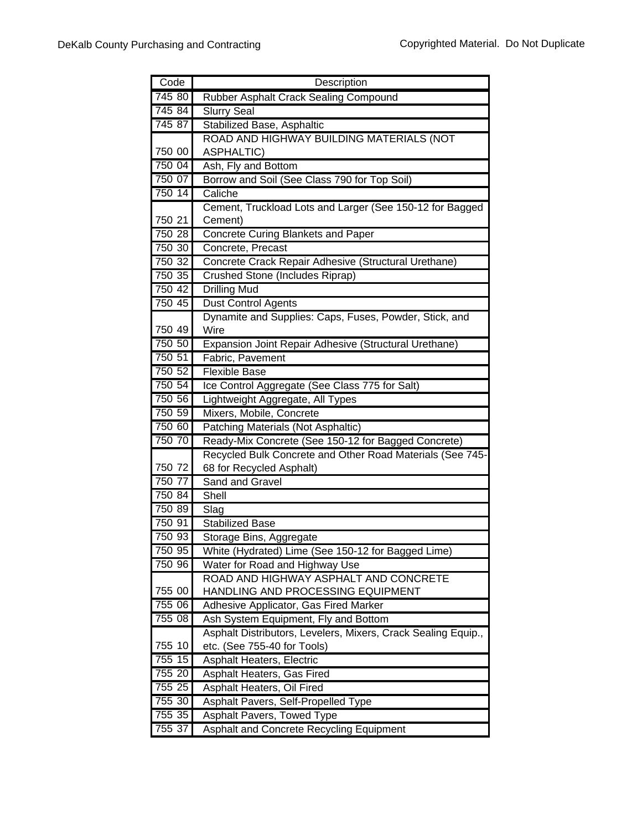| Code   | Description                                                                           |
|--------|---------------------------------------------------------------------------------------|
| 745 80 | Rubber Asphalt Crack Sealing Compound                                                 |
| 745 84 | <b>Slurry Seal</b>                                                                    |
| 745 87 | Stabilized Base, Asphaltic                                                            |
|        | ROAD AND HIGHWAY BUILDING MATERIALS (NOT                                              |
| 750 00 | <b>ASPHALTIC)</b>                                                                     |
| 750 04 | Ash, Fly and Bottom                                                                   |
| 750 07 | Borrow and Soil (See Class 790 for Top Soil)                                          |
| 750 14 | Caliche                                                                               |
|        | Cement, Truckload Lots and Larger (See 150-12 for Bagged                              |
| 750 21 | Cement)                                                                               |
| 750 28 | <b>Concrete Curing Blankets and Paper</b>                                             |
| 750 30 | Concrete, Precast                                                                     |
| 750 32 | Concrete Crack Repair Adhesive (Structural Urethane)                                  |
| 750 35 | Crushed Stone (Includes Riprap)                                                       |
| 750 42 | <b>Drilling Mud</b>                                                                   |
| 750 45 | <b>Dust Control Agents</b>                                                            |
|        | Dynamite and Supplies: Caps, Fuses, Powder, Stick, and                                |
| 750 49 | Wire                                                                                  |
| 750 50 | Expansion Joint Repair Adhesive (Structural Urethane)                                 |
| 750 51 | Fabric, Pavement                                                                      |
| 750 52 | Flexible Base                                                                         |
| 750 54 | Ice Control Aggregate (See Class 775 for Salt)                                        |
| 750 56 | Lightweight Aggregate, All Types                                                      |
| 750 59 | Mixers, Mobile, Concrete                                                              |
| 750 60 | Patching Materials (Not Asphaltic)                                                    |
| 750 70 | Ready-Mix Concrete (See 150-12 for Bagged Concrete)                                   |
| 750 72 | Recycled Bulk Concrete and Other Road Materials (See 745-<br>68 for Recycled Asphalt) |
| 750 77 | Sand and Gravel                                                                       |
| 750 84 | Shell                                                                                 |
| 750 89 | Slag                                                                                  |
| 750 91 | <b>Stabilized Base</b>                                                                |
| 750 93 | Storage Bins, Aggregate                                                               |
| 750 95 | White (Hydrated) Lime (See 150-12 for Bagged Lime)                                    |
| 750 96 | Water for Road and Highway Use                                                        |
|        | ROAD AND HIGHWAY ASPHALT AND CONCRETE                                                 |
| 755 00 | HANDLING AND PROCESSING EQUIPMENT                                                     |
| 755 06 | Adhesive Applicator, Gas Fired Marker                                                 |
| 755 08 | Ash System Equipment, Fly and Bottom                                                  |
|        | Asphalt Distributors, Levelers, Mixers, Crack Sealing Equip.,                         |
| 755 10 | etc. (See 755-40 for Tools)                                                           |
| 755 15 | <b>Asphalt Heaters, Electric</b>                                                      |
| 755 20 | Asphalt Heaters, Gas Fired                                                            |
| 755 25 | Asphalt Heaters, Oil Fired                                                            |
| 755 30 | Asphalt Pavers, Self-Propelled Type                                                   |
| 755 35 | <b>Asphalt Pavers, Towed Type</b>                                                     |
| 755 37 | Asphalt and Concrete Recycling Equipment                                              |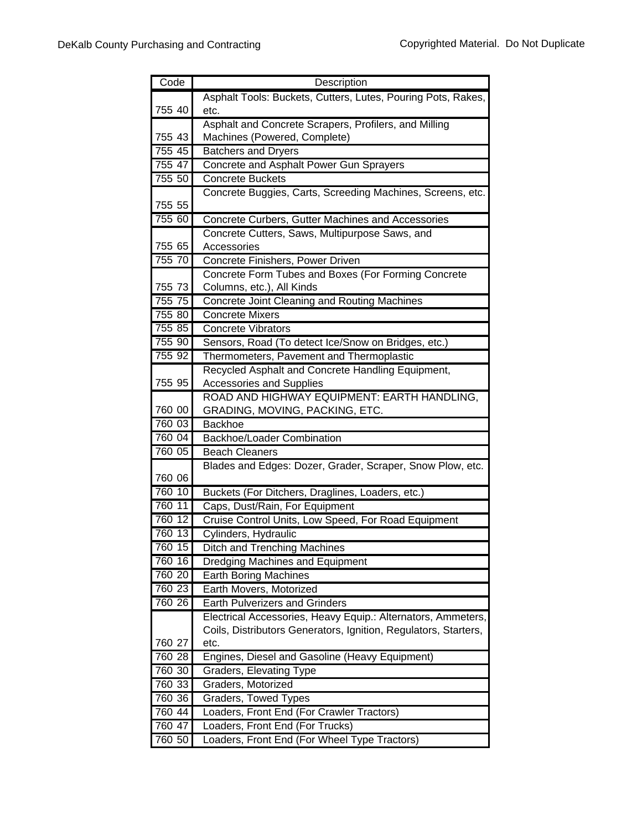| Asphalt Tools: Buckets, Cutters, Lutes, Pouring Pots, Rakes,<br>755 40<br>etc.<br>Asphalt and Concrete Scrapers, Profilers, and Milling<br>755 43<br>Machines (Powered, Complete)<br>755 45<br><b>Batchers and Dryers</b><br>755 47<br>Concrete and Asphalt Power Gun Sprayers<br>755 50<br><b>Concrete Buckets</b><br>Concrete Buggies, Carts, Screeding Machines, Screens, etc.<br>755 55<br>755 60<br>Concrete Curbers, Gutter Machines and Accessories<br>Concrete Cutters, Saws, Multipurpose Saws, and<br>755 65<br>Accessories<br>755 70<br>Concrete Finishers, Power Driven<br>Concrete Form Tubes and Boxes (For Forming Concrete<br>755 73<br>Columns, etc.), All Kinds<br>755 75<br>Concrete Joint Cleaning and Routing Machines<br>755 80<br><b>Concrete Mixers</b><br>755 85<br><b>Concrete Vibrators</b><br>755 90<br>Sensors, Road (To detect Ice/Snow on Bridges, etc.)<br>755 92<br>Thermometers, Pavement and Thermoplastic<br>Recycled Asphalt and Concrete Handling Equipment,<br>755 95<br><b>Accessories and Supplies</b><br>ROAD AND HIGHWAY EQUIPMENT: EARTH HANDLING,<br>GRADING, MOVING, PACKING, ETC.<br>760 00<br>760 03<br><b>Backhoe</b><br><b>Backhoe/Loader Combination</b><br>760 04<br>760 05<br><b>Beach Cleaners</b><br>Blades and Edges: Dozer, Grader, Scraper, Snow Plow, etc.<br>760 06<br>760 10<br>Buckets (For Ditchers, Draglines, Loaders, etc.)<br>760 11<br>Caps, Dust/Rain, For Equipment<br>760 12<br>Cruise Control Units, Low Speed, For Road Equipment<br>760 13<br>Cylinders, Hydraulic<br>760 15<br>Ditch and Trenching Machines<br>760 16<br>Dredging Machines and Equipment<br>760 20<br><b>Earth Boring Machines</b><br>760 23<br>Earth Movers, Motorized<br>760 26<br><b>Earth Pulverizers and Grinders</b><br>Electrical Accessories, Heavy Equip.: Alternators, Ammeters,<br>Coils, Distributors Generators, Ignition, Regulators, Starters,<br>760 27<br>etc.<br>760 28<br>Engines, Diesel and Gasoline (Heavy Equipment)<br>760 30<br><b>Graders, Elevating Type</b><br>760 33<br>Graders, Motorized<br>760 36<br>Graders, Towed Types<br>760 44<br>Loaders, Front End (For Crawler Tractors) | Code | Description |
|-------------------------------------------------------------------------------------------------------------------------------------------------------------------------------------------------------------------------------------------------------------------------------------------------------------------------------------------------------------------------------------------------------------------------------------------------------------------------------------------------------------------------------------------------------------------------------------------------------------------------------------------------------------------------------------------------------------------------------------------------------------------------------------------------------------------------------------------------------------------------------------------------------------------------------------------------------------------------------------------------------------------------------------------------------------------------------------------------------------------------------------------------------------------------------------------------------------------------------------------------------------------------------------------------------------------------------------------------------------------------------------------------------------------------------------------------------------------------------------------------------------------------------------------------------------------------------------------------------------------------------------------------------------------------------------------------------------------------------------------------------------------------------------------------------------------------------------------------------------------------------------------------------------------------------------------------------------------------------------------------------------------------------------------------------------------------------------------------------------------------------------------------------------|------|-------------|
|                                                                                                                                                                                                                                                                                                                                                                                                                                                                                                                                                                                                                                                                                                                                                                                                                                                                                                                                                                                                                                                                                                                                                                                                                                                                                                                                                                                                                                                                                                                                                                                                                                                                                                                                                                                                                                                                                                                                                                                                                                                                                                                                                             |      |             |
|                                                                                                                                                                                                                                                                                                                                                                                                                                                                                                                                                                                                                                                                                                                                                                                                                                                                                                                                                                                                                                                                                                                                                                                                                                                                                                                                                                                                                                                                                                                                                                                                                                                                                                                                                                                                                                                                                                                                                                                                                                                                                                                                                             |      |             |
|                                                                                                                                                                                                                                                                                                                                                                                                                                                                                                                                                                                                                                                                                                                                                                                                                                                                                                                                                                                                                                                                                                                                                                                                                                                                                                                                                                                                                                                                                                                                                                                                                                                                                                                                                                                                                                                                                                                                                                                                                                                                                                                                                             |      |             |
|                                                                                                                                                                                                                                                                                                                                                                                                                                                                                                                                                                                                                                                                                                                                                                                                                                                                                                                                                                                                                                                                                                                                                                                                                                                                                                                                                                                                                                                                                                                                                                                                                                                                                                                                                                                                                                                                                                                                                                                                                                                                                                                                                             |      |             |
|                                                                                                                                                                                                                                                                                                                                                                                                                                                                                                                                                                                                                                                                                                                                                                                                                                                                                                                                                                                                                                                                                                                                                                                                                                                                                                                                                                                                                                                                                                                                                                                                                                                                                                                                                                                                                                                                                                                                                                                                                                                                                                                                                             |      |             |
|                                                                                                                                                                                                                                                                                                                                                                                                                                                                                                                                                                                                                                                                                                                                                                                                                                                                                                                                                                                                                                                                                                                                                                                                                                                                                                                                                                                                                                                                                                                                                                                                                                                                                                                                                                                                                                                                                                                                                                                                                                                                                                                                                             |      |             |
|                                                                                                                                                                                                                                                                                                                                                                                                                                                                                                                                                                                                                                                                                                                                                                                                                                                                                                                                                                                                                                                                                                                                                                                                                                                                                                                                                                                                                                                                                                                                                                                                                                                                                                                                                                                                                                                                                                                                                                                                                                                                                                                                                             |      |             |
|                                                                                                                                                                                                                                                                                                                                                                                                                                                                                                                                                                                                                                                                                                                                                                                                                                                                                                                                                                                                                                                                                                                                                                                                                                                                                                                                                                                                                                                                                                                                                                                                                                                                                                                                                                                                                                                                                                                                                                                                                                                                                                                                                             |      |             |
|                                                                                                                                                                                                                                                                                                                                                                                                                                                                                                                                                                                                                                                                                                                                                                                                                                                                                                                                                                                                                                                                                                                                                                                                                                                                                                                                                                                                                                                                                                                                                                                                                                                                                                                                                                                                                                                                                                                                                                                                                                                                                                                                                             |      |             |
|                                                                                                                                                                                                                                                                                                                                                                                                                                                                                                                                                                                                                                                                                                                                                                                                                                                                                                                                                                                                                                                                                                                                                                                                                                                                                                                                                                                                                                                                                                                                                                                                                                                                                                                                                                                                                                                                                                                                                                                                                                                                                                                                                             |      |             |
|                                                                                                                                                                                                                                                                                                                                                                                                                                                                                                                                                                                                                                                                                                                                                                                                                                                                                                                                                                                                                                                                                                                                                                                                                                                                                                                                                                                                                                                                                                                                                                                                                                                                                                                                                                                                                                                                                                                                                                                                                                                                                                                                                             |      |             |
|                                                                                                                                                                                                                                                                                                                                                                                                                                                                                                                                                                                                                                                                                                                                                                                                                                                                                                                                                                                                                                                                                                                                                                                                                                                                                                                                                                                                                                                                                                                                                                                                                                                                                                                                                                                                                                                                                                                                                                                                                                                                                                                                                             |      |             |
|                                                                                                                                                                                                                                                                                                                                                                                                                                                                                                                                                                                                                                                                                                                                                                                                                                                                                                                                                                                                                                                                                                                                                                                                                                                                                                                                                                                                                                                                                                                                                                                                                                                                                                                                                                                                                                                                                                                                                                                                                                                                                                                                                             |      |             |
|                                                                                                                                                                                                                                                                                                                                                                                                                                                                                                                                                                                                                                                                                                                                                                                                                                                                                                                                                                                                                                                                                                                                                                                                                                                                                                                                                                                                                                                                                                                                                                                                                                                                                                                                                                                                                                                                                                                                                                                                                                                                                                                                                             |      |             |
|                                                                                                                                                                                                                                                                                                                                                                                                                                                                                                                                                                                                                                                                                                                                                                                                                                                                                                                                                                                                                                                                                                                                                                                                                                                                                                                                                                                                                                                                                                                                                                                                                                                                                                                                                                                                                                                                                                                                                                                                                                                                                                                                                             |      |             |
|                                                                                                                                                                                                                                                                                                                                                                                                                                                                                                                                                                                                                                                                                                                                                                                                                                                                                                                                                                                                                                                                                                                                                                                                                                                                                                                                                                                                                                                                                                                                                                                                                                                                                                                                                                                                                                                                                                                                                                                                                                                                                                                                                             |      |             |
|                                                                                                                                                                                                                                                                                                                                                                                                                                                                                                                                                                                                                                                                                                                                                                                                                                                                                                                                                                                                                                                                                                                                                                                                                                                                                                                                                                                                                                                                                                                                                                                                                                                                                                                                                                                                                                                                                                                                                                                                                                                                                                                                                             |      |             |
|                                                                                                                                                                                                                                                                                                                                                                                                                                                                                                                                                                                                                                                                                                                                                                                                                                                                                                                                                                                                                                                                                                                                                                                                                                                                                                                                                                                                                                                                                                                                                                                                                                                                                                                                                                                                                                                                                                                                                                                                                                                                                                                                                             |      |             |
|                                                                                                                                                                                                                                                                                                                                                                                                                                                                                                                                                                                                                                                                                                                                                                                                                                                                                                                                                                                                                                                                                                                                                                                                                                                                                                                                                                                                                                                                                                                                                                                                                                                                                                                                                                                                                                                                                                                                                                                                                                                                                                                                                             |      |             |
|                                                                                                                                                                                                                                                                                                                                                                                                                                                                                                                                                                                                                                                                                                                                                                                                                                                                                                                                                                                                                                                                                                                                                                                                                                                                                                                                                                                                                                                                                                                                                                                                                                                                                                                                                                                                                                                                                                                                                                                                                                                                                                                                                             |      |             |
|                                                                                                                                                                                                                                                                                                                                                                                                                                                                                                                                                                                                                                                                                                                                                                                                                                                                                                                                                                                                                                                                                                                                                                                                                                                                                                                                                                                                                                                                                                                                                                                                                                                                                                                                                                                                                                                                                                                                                                                                                                                                                                                                                             |      |             |
|                                                                                                                                                                                                                                                                                                                                                                                                                                                                                                                                                                                                                                                                                                                                                                                                                                                                                                                                                                                                                                                                                                                                                                                                                                                                                                                                                                                                                                                                                                                                                                                                                                                                                                                                                                                                                                                                                                                                                                                                                                                                                                                                                             |      |             |
|                                                                                                                                                                                                                                                                                                                                                                                                                                                                                                                                                                                                                                                                                                                                                                                                                                                                                                                                                                                                                                                                                                                                                                                                                                                                                                                                                                                                                                                                                                                                                                                                                                                                                                                                                                                                                                                                                                                                                                                                                                                                                                                                                             |      |             |
|                                                                                                                                                                                                                                                                                                                                                                                                                                                                                                                                                                                                                                                                                                                                                                                                                                                                                                                                                                                                                                                                                                                                                                                                                                                                                                                                                                                                                                                                                                                                                                                                                                                                                                                                                                                                                                                                                                                                                                                                                                                                                                                                                             |      |             |
|                                                                                                                                                                                                                                                                                                                                                                                                                                                                                                                                                                                                                                                                                                                                                                                                                                                                                                                                                                                                                                                                                                                                                                                                                                                                                                                                                                                                                                                                                                                                                                                                                                                                                                                                                                                                                                                                                                                                                                                                                                                                                                                                                             |      |             |
|                                                                                                                                                                                                                                                                                                                                                                                                                                                                                                                                                                                                                                                                                                                                                                                                                                                                                                                                                                                                                                                                                                                                                                                                                                                                                                                                                                                                                                                                                                                                                                                                                                                                                                                                                                                                                                                                                                                                                                                                                                                                                                                                                             |      |             |
|                                                                                                                                                                                                                                                                                                                                                                                                                                                                                                                                                                                                                                                                                                                                                                                                                                                                                                                                                                                                                                                                                                                                                                                                                                                                                                                                                                                                                                                                                                                                                                                                                                                                                                                                                                                                                                                                                                                                                                                                                                                                                                                                                             |      |             |
|                                                                                                                                                                                                                                                                                                                                                                                                                                                                                                                                                                                                                                                                                                                                                                                                                                                                                                                                                                                                                                                                                                                                                                                                                                                                                                                                                                                                                                                                                                                                                                                                                                                                                                                                                                                                                                                                                                                                                                                                                                                                                                                                                             |      |             |
|                                                                                                                                                                                                                                                                                                                                                                                                                                                                                                                                                                                                                                                                                                                                                                                                                                                                                                                                                                                                                                                                                                                                                                                                                                                                                                                                                                                                                                                                                                                                                                                                                                                                                                                                                                                                                                                                                                                                                                                                                                                                                                                                                             |      |             |
|                                                                                                                                                                                                                                                                                                                                                                                                                                                                                                                                                                                                                                                                                                                                                                                                                                                                                                                                                                                                                                                                                                                                                                                                                                                                                                                                                                                                                                                                                                                                                                                                                                                                                                                                                                                                                                                                                                                                                                                                                                                                                                                                                             |      |             |
|                                                                                                                                                                                                                                                                                                                                                                                                                                                                                                                                                                                                                                                                                                                                                                                                                                                                                                                                                                                                                                                                                                                                                                                                                                                                                                                                                                                                                                                                                                                                                                                                                                                                                                                                                                                                                                                                                                                                                                                                                                                                                                                                                             |      |             |
|                                                                                                                                                                                                                                                                                                                                                                                                                                                                                                                                                                                                                                                                                                                                                                                                                                                                                                                                                                                                                                                                                                                                                                                                                                                                                                                                                                                                                                                                                                                                                                                                                                                                                                                                                                                                                                                                                                                                                                                                                                                                                                                                                             |      |             |
|                                                                                                                                                                                                                                                                                                                                                                                                                                                                                                                                                                                                                                                                                                                                                                                                                                                                                                                                                                                                                                                                                                                                                                                                                                                                                                                                                                                                                                                                                                                                                                                                                                                                                                                                                                                                                                                                                                                                                                                                                                                                                                                                                             |      |             |
|                                                                                                                                                                                                                                                                                                                                                                                                                                                                                                                                                                                                                                                                                                                                                                                                                                                                                                                                                                                                                                                                                                                                                                                                                                                                                                                                                                                                                                                                                                                                                                                                                                                                                                                                                                                                                                                                                                                                                                                                                                                                                                                                                             |      |             |
|                                                                                                                                                                                                                                                                                                                                                                                                                                                                                                                                                                                                                                                                                                                                                                                                                                                                                                                                                                                                                                                                                                                                                                                                                                                                                                                                                                                                                                                                                                                                                                                                                                                                                                                                                                                                                                                                                                                                                                                                                                                                                                                                                             |      |             |
|                                                                                                                                                                                                                                                                                                                                                                                                                                                                                                                                                                                                                                                                                                                                                                                                                                                                                                                                                                                                                                                                                                                                                                                                                                                                                                                                                                                                                                                                                                                                                                                                                                                                                                                                                                                                                                                                                                                                                                                                                                                                                                                                                             |      |             |
|                                                                                                                                                                                                                                                                                                                                                                                                                                                                                                                                                                                                                                                                                                                                                                                                                                                                                                                                                                                                                                                                                                                                                                                                                                                                                                                                                                                                                                                                                                                                                                                                                                                                                                                                                                                                                                                                                                                                                                                                                                                                                                                                                             |      |             |
|                                                                                                                                                                                                                                                                                                                                                                                                                                                                                                                                                                                                                                                                                                                                                                                                                                                                                                                                                                                                                                                                                                                                                                                                                                                                                                                                                                                                                                                                                                                                                                                                                                                                                                                                                                                                                                                                                                                                                                                                                                                                                                                                                             |      |             |
|                                                                                                                                                                                                                                                                                                                                                                                                                                                                                                                                                                                                                                                                                                                                                                                                                                                                                                                                                                                                                                                                                                                                                                                                                                                                                                                                                                                                                                                                                                                                                                                                                                                                                                                                                                                                                                                                                                                                                                                                                                                                                                                                                             |      |             |
|                                                                                                                                                                                                                                                                                                                                                                                                                                                                                                                                                                                                                                                                                                                                                                                                                                                                                                                                                                                                                                                                                                                                                                                                                                                                                                                                                                                                                                                                                                                                                                                                                                                                                                                                                                                                                                                                                                                                                                                                                                                                                                                                                             |      |             |
|                                                                                                                                                                                                                                                                                                                                                                                                                                                                                                                                                                                                                                                                                                                                                                                                                                                                                                                                                                                                                                                                                                                                                                                                                                                                                                                                                                                                                                                                                                                                                                                                                                                                                                                                                                                                                                                                                                                                                                                                                                                                                                                                                             |      |             |
|                                                                                                                                                                                                                                                                                                                                                                                                                                                                                                                                                                                                                                                                                                                                                                                                                                                                                                                                                                                                                                                                                                                                                                                                                                                                                                                                                                                                                                                                                                                                                                                                                                                                                                                                                                                                                                                                                                                                                                                                                                                                                                                                                             |      |             |
|                                                                                                                                                                                                                                                                                                                                                                                                                                                                                                                                                                                                                                                                                                                                                                                                                                                                                                                                                                                                                                                                                                                                                                                                                                                                                                                                                                                                                                                                                                                                                                                                                                                                                                                                                                                                                                                                                                                                                                                                                                                                                                                                                             |      |             |
|                                                                                                                                                                                                                                                                                                                                                                                                                                                                                                                                                                                                                                                                                                                                                                                                                                                                                                                                                                                                                                                                                                                                                                                                                                                                                                                                                                                                                                                                                                                                                                                                                                                                                                                                                                                                                                                                                                                                                                                                                                                                                                                                                             |      |             |
|                                                                                                                                                                                                                                                                                                                                                                                                                                                                                                                                                                                                                                                                                                                                                                                                                                                                                                                                                                                                                                                                                                                                                                                                                                                                                                                                                                                                                                                                                                                                                                                                                                                                                                                                                                                                                                                                                                                                                                                                                                                                                                                                                             |      |             |
| 760 47<br>Loaders, Front End (For Trucks)                                                                                                                                                                                                                                                                                                                                                                                                                                                                                                                                                                                                                                                                                                                                                                                                                                                                                                                                                                                                                                                                                                                                                                                                                                                                                                                                                                                                                                                                                                                                                                                                                                                                                                                                                                                                                                                                                                                                                                                                                                                                                                                   |      |             |
| 760 50<br>Loaders, Front End (For Wheel Type Tractors)                                                                                                                                                                                                                                                                                                                                                                                                                                                                                                                                                                                                                                                                                                                                                                                                                                                                                                                                                                                                                                                                                                                                                                                                                                                                                                                                                                                                                                                                                                                                                                                                                                                                                                                                                                                                                                                                                                                                                                                                                                                                                                      |      |             |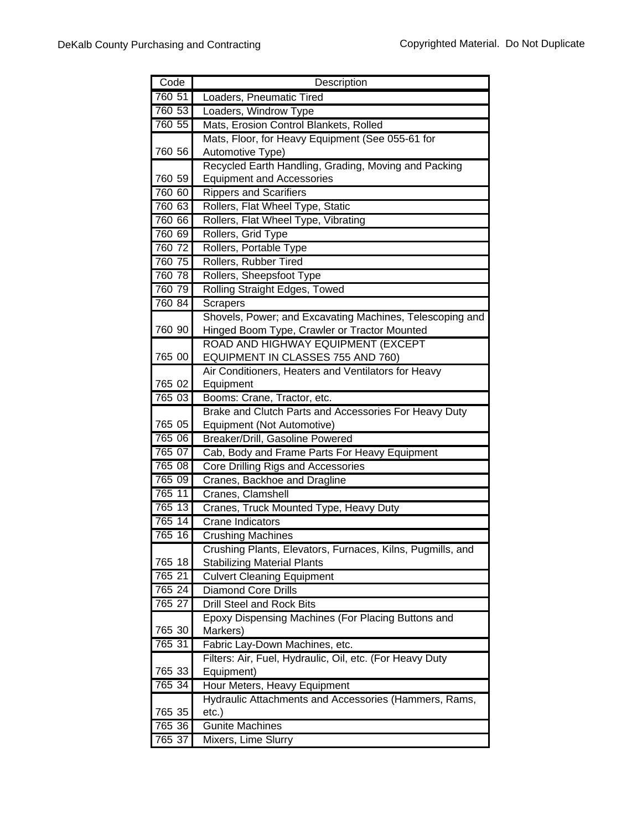| Code   | Description                                                |
|--------|------------------------------------------------------------|
| 760 51 | Loaders, Pneumatic Tired                                   |
| 760 53 | Loaders, Windrow Type                                      |
| 760 55 | Mats, Erosion Control Blankets, Rolled                     |
|        | Mats, Floor, for Heavy Equipment (See 055-61 for           |
| 760 56 | Automotive Type)                                           |
|        | Recycled Earth Handling, Grading, Moving and Packing       |
| 760 59 | <b>Equipment and Accessories</b>                           |
| 760 60 | <b>Rippers and Scarifiers</b>                              |
| 760 63 | Rollers, Flat Wheel Type, Static                           |
| 760 66 | Rollers, Flat Wheel Type, Vibrating                        |
| 760 69 | Rollers, Grid Type                                         |
| 760 72 | Rollers, Portable Type                                     |
| 760 75 | Rollers, Rubber Tired                                      |
| 760 78 | Rollers, Sheepsfoot Type                                   |
| 760 79 | Rolling Straight Edges, Towed                              |
| 760 84 | <b>Scrapers</b>                                            |
|        | Shovels, Power; and Excavating Machines, Telescoping and   |
| 760 90 | Hinged Boom Type, Crawler or Tractor Mounted               |
|        | ROAD AND HIGHWAY EQUIPMENT (EXCEPT                         |
| 765 00 | EQUIPMENT IN CLASSES 755 AND 760)                          |
|        | Air Conditioners, Heaters and Ventilators for Heavy        |
| 765 02 | Equipment                                                  |
| 765 03 | Booms: Crane, Tractor, etc.                                |
|        | Brake and Clutch Parts and Accessories For Heavy Duty      |
| 765 05 | Equipment (Not Automotive)                                 |
| 765 06 | Breaker/Drill, Gasoline Powered                            |
| 765 07 | Cab, Body and Frame Parts For Heavy Equipment              |
| 765 08 | <b>Core Drilling Rigs and Accessories</b>                  |
| 765 09 | Cranes, Backhoe and Dragline                               |
| 765 11 | Cranes, Clamshell                                          |
| 765 13 | Cranes, Truck Mounted Type, Heavy Duty                     |
| 765 14 | <b>Crane Indicators</b>                                    |
| 765 16 | <b>Crushing Machines</b>                                   |
|        | Crushing Plants, Elevators, Furnaces, Kilns, Pugmills, and |
| 765 18 | <b>Stabilizing Material Plants</b>                         |
| 765 21 | <b>Culvert Cleaning Equipment</b>                          |
| 765 24 | <b>Diamond Core Drills</b>                                 |
| 765 27 | <b>Drill Steel and Rock Bits</b>                           |
|        | Epoxy Dispensing Machines (For Placing Buttons and         |
| 765 30 | Markers)                                                   |
| 765 31 | Fabric Lay-Down Machines, etc.                             |
|        | Filters: Air, Fuel, Hydraulic, Oil, etc. (For Heavy Duty   |
| 765 33 | Equipment)                                                 |
| 765 34 | Hour Meters, Heavy Equipment                               |
|        | Hydraulic Attachments and Accessories (Hammers, Rams,      |
| 765 35 | $etc.$ )                                                   |
| 765 36 | <b>Gunite Machines</b>                                     |
| 765 37 | Mixers, Lime Slurry                                        |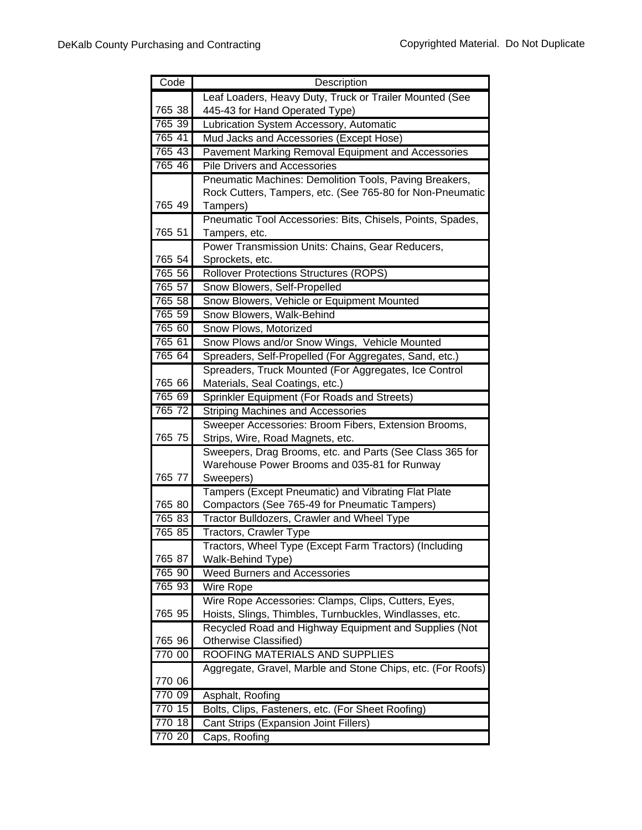| Code   | Description                                                                                  |
|--------|----------------------------------------------------------------------------------------------|
|        | Leaf Loaders, Heavy Duty, Truck or Trailer Mounted (See                                      |
| 765 38 | 445-43 for Hand Operated Type)                                                               |
| 765 39 | Lubrication System Accessory, Automatic                                                      |
| 765 41 | Mud Jacks and Accessories (Except Hose)                                                      |
| 765 43 | Pavement Marking Removal Equipment and Accessories                                           |
| 765 46 | <b>Pile Drivers and Accessories</b>                                                          |
|        | Pneumatic Machines: Demolition Tools, Paving Breakers,                                       |
|        | Rock Cutters, Tampers, etc. (See 765-80 for Non-Pneumatic                                    |
| 765 49 | Tampers)                                                                                     |
|        | Pneumatic Tool Accessories: Bits, Chisels, Points, Spades,                                   |
| 765 51 | Tampers, etc.                                                                                |
|        | Power Transmission Units: Chains, Gear Reducers,                                             |
| 765 54 | Sprockets, etc.                                                                              |
| 765 56 | <b>Rollover Protections Structures (ROPS)</b>                                                |
| 765 57 | Snow Blowers, Self-Propelled                                                                 |
| 765 58 | Snow Blowers, Vehicle or Equipment Mounted                                                   |
| 765 59 | Snow Blowers, Walk-Behind                                                                    |
| 765 60 | Snow Plows, Motorized                                                                        |
| 765 61 | Snow Plows and/or Snow Wings, Vehicle Mounted                                                |
| 765 64 | Spreaders, Self-Propelled (For Aggregates, Sand, etc.)                                       |
|        | Spreaders, Truck Mounted (For Aggregates, Ice Control                                        |
| 765 66 | Materials, Seal Coatings, etc.)                                                              |
| 765 69 | Sprinkler Equipment (For Roads and Streets)                                                  |
| 765 72 | <b>Striping Machines and Accessories</b>                                                     |
| 765 75 | Sweeper Accessories: Broom Fibers, Extension Brooms,                                         |
|        | Strips, Wire, Road Magnets, etc.<br>Sweepers, Drag Brooms, etc. and Parts (See Class 365 for |
|        | Warehouse Power Brooms and 035-81 for Runway                                                 |
| 765 77 | Sweepers)                                                                                    |
|        | Tampers (Except Pneumatic) and Vibrating Flat Plate                                          |
| 765 80 | Compactors (See 765-49 for Pneumatic Tampers)                                                |
| 765 83 | <b>Tractor Bulldozers, Crawler and Wheel Type</b>                                            |
| 765 85 | Tractors, Crawler Type                                                                       |
|        | Tractors, Wheel Type (Except Farm Tractors) (Including                                       |
| 765 87 | Walk-Behind Type)                                                                            |
| 765 90 | Weed Burners and Accessories                                                                 |
| 765 93 | Wire Rope                                                                                    |
|        | Wire Rope Accessories: Clamps, Clips, Cutters, Eyes,                                         |
| 765 95 | Hoists, Slings, Thimbles, Turnbuckles, Windlasses, etc.                                      |
|        | Recycled Road and Highway Equipment and Supplies (Not                                        |
| 765 96 | Otherwise Classified)                                                                        |
| 770 00 | ROOFING MATERIALS AND SUPPLIES                                                               |
|        | Aggregate, Gravel, Marble and Stone Chips, etc. (For Roofs)                                  |
| 770 06 |                                                                                              |
| 770 09 | Asphalt, Roofing                                                                             |
| 770 15 | Bolts, Clips, Fasteners, etc. (For Sheet Roofing)                                            |
| 770 18 | Cant Strips (Expansion Joint Fillers)                                                        |
| 770 20 | Caps, Roofing                                                                                |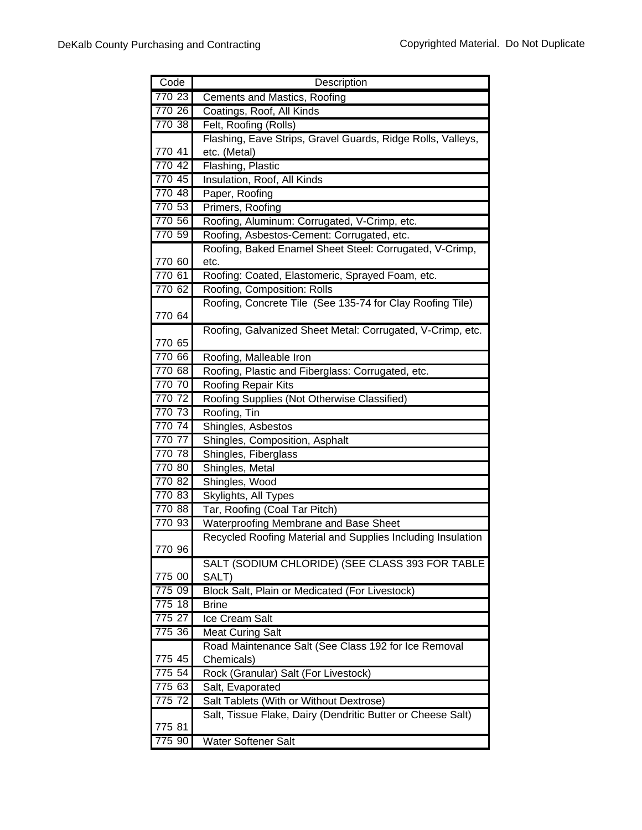| Code             | Description                                                        |
|------------------|--------------------------------------------------------------------|
| 770 23           | Cements and Mastics, Roofing                                       |
| 770 26           | Coatings, Roof, All Kinds                                          |
| 770 38           | Felt, Roofing (Rolls)                                              |
|                  | Flashing, Eave Strips, Gravel Guards, Ridge Rolls, Valleys,        |
| 770 41           | etc. (Metal)                                                       |
| 770 42           | Flashing, Plastic                                                  |
| 770 45           | Insulation, Roof, All Kinds                                        |
| 770 48           | Paper, Roofing                                                     |
| 770 53           | Primers, Roofing                                                   |
| 770 56           | Roofing, Aluminum: Corrugated, V-Crimp, etc.                       |
| 770 59           | Roofing, Asbestos-Cement: Corrugated, etc.                         |
|                  | Roofing, Baked Enamel Sheet Steel: Corrugated, V-Crimp,            |
| 770 60           | etc.                                                               |
| 770 61           | Roofing: Coated, Elastomeric, Sprayed Foam, etc.                   |
| 770 62           | Roofing, Composition: Rolls                                        |
|                  | Roofing, Concrete Tile (See 135-74 for Clay Roofing Tile)          |
| 770 64           |                                                                    |
|                  | Roofing, Galvanized Sheet Metal: Corrugated, V-Crimp, etc.         |
| 770 65           |                                                                    |
| 770 66           | Roofing, Malleable Iron                                            |
| 770 68           | Roofing, Plastic and Fiberglass: Corrugated, etc.                  |
| 770 70           | <b>Roofing Repair Kits</b>                                         |
| 770 72           | Roofing Supplies (Not Otherwise Classified)                        |
| 770 73           | Roofing, Tin                                                       |
| 770 74           | Shingles, Asbestos                                                 |
| 770 77           | Shingles, Composition, Asphalt                                     |
| 770 78           | Shingles, Fiberglass                                               |
| 770 80           | Shingles, Metal                                                    |
| 77082            | Shingles, Wood                                                     |
| 770 83           | Skylights, All Types                                               |
| 770 88           | Tar, Roofing (Coal Tar Pitch)                                      |
| 770 93           | <b>Waterproofing Membrane and Base Sheet</b>                       |
|                  | Recycled Roofing Material and Supplies Including Insulation        |
| 770 96           |                                                                    |
|                  | SALT (SODIUM CHLORIDE) (SEE CLASS 393 FOR TABLE                    |
| 775 00           | SALT)                                                              |
| 775 09           | Block Salt, Plain or Medicated (For Livestock)                     |
| 775 18           | <b>Brine</b>                                                       |
| 775 27<br>775 36 | Ice Cream Salt                                                     |
|                  | <b>Meat Curing Salt</b>                                            |
|                  | Road Maintenance Salt (See Class 192 for Ice Removal<br>Chemicals) |
| 775 45<br>775 54 |                                                                    |
| 775 63           | Rock (Granular) Salt (For Livestock)                               |
| 775 72           | Salt, Evaporated<br>Salt Tablets (With or Without Dextrose)        |
|                  |                                                                    |
| 775 81           | Salt, Tissue Flake, Dairy (Dendritic Butter or Cheese Salt)        |
| 775 90           | <b>Water Softener Salt</b>                                         |
|                  |                                                                    |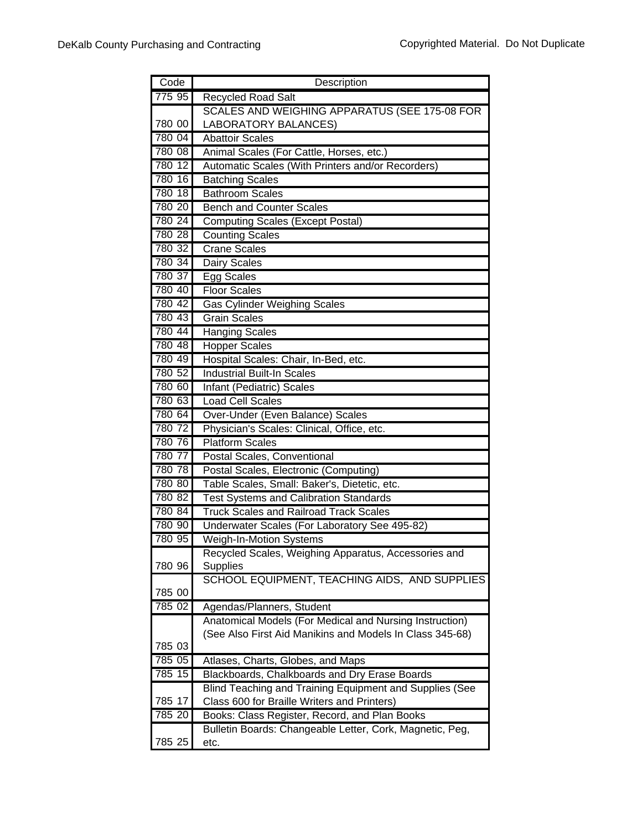| Code   | Description                                                                                                         |
|--------|---------------------------------------------------------------------------------------------------------------------|
| 775 95 | <b>Recycled Road Salt</b>                                                                                           |
|        | SCALES AND WEIGHING APPARATUS (SEE 175-08 FOR                                                                       |
| 780 00 | <b>LABORATORY BALANCES)</b>                                                                                         |
| 780 04 | <b>Abattoir Scales</b>                                                                                              |
| 780 08 | Animal Scales (For Cattle, Horses, etc.)                                                                            |
| 780 12 | Automatic Scales (With Printers and/or Recorders)                                                                   |
| 780 16 | <b>Batching Scales</b>                                                                                              |
| 780 18 | <b>Bathroom Scales</b>                                                                                              |
| 780 20 | <b>Bench and Counter Scales</b>                                                                                     |
| 780 24 | <b>Computing Scales (Except Postal)</b>                                                                             |
| 780 28 | <b>Counting Scales</b>                                                                                              |
| 780 32 | <b>Crane Scales</b>                                                                                                 |
| 780 34 | Dairy Scales                                                                                                        |
| 780 37 | Egg Scales                                                                                                          |
| 780 40 | <b>Floor Scales</b>                                                                                                 |
| 780 42 | <b>Gas Cylinder Weighing Scales</b>                                                                                 |
| 780 43 | <b>Grain Scales</b>                                                                                                 |
| 780 44 | Hanging Scales                                                                                                      |
| 780 48 | <b>Hopper Scales</b>                                                                                                |
| 780 49 | Hospital Scales: Chair, In-Bed, etc.                                                                                |
| 780 52 | <b>Industrial Built-In Scales</b>                                                                                   |
| 780 60 | Infant (Pediatric) Scales                                                                                           |
| 780 63 | <b>Load Cell Scales</b>                                                                                             |
| 780 64 | Over-Under (Even Balance) Scales                                                                                    |
| 780 72 | Physician's Scales: Clinical, Office, etc.                                                                          |
| 780 76 | <b>Platform Scales</b>                                                                                              |
| 780 77 | Postal Scales, Conventional                                                                                         |
| 780 78 | Postal Scales, Electronic (Computing)                                                                               |
| 780 80 | Table Scales, Small: Baker's, Dietetic, etc.                                                                        |
| 780 82 | <b>Test Systems and Calibration Standards</b>                                                                       |
| 780 84 | <b>Truck Scales and Railroad Track Scales</b>                                                                       |
| 780 90 | Underwater Scales (For Laboratory See 495-82)                                                                       |
| 780 95 | <b>Weigh-In-Motion Systems</b>                                                                                      |
|        | Recycled Scales, Weighing Apparatus, Accessories and                                                                |
| 780 96 | Supplies                                                                                                            |
|        | SCHOOL EQUIPMENT, TEACHING AIDS, AND SUPPLIES                                                                       |
| 785 00 |                                                                                                                     |
| 785 02 | Agendas/Planners, Student                                                                                           |
|        | Anatomical Models (For Medical and Nursing Instruction)<br>(See Also First Aid Manikins and Models In Class 345-68) |
| 785 03 |                                                                                                                     |
| 785 05 | Atlases, Charts, Globes, and Maps                                                                                   |
| 785 15 | Blackboards, Chalkboards and Dry Erase Boards                                                                       |
|        | Blind Teaching and Training Equipment and Supplies (See                                                             |
| 785 17 | Class 600 for Braille Writers and Printers)                                                                         |
| 785 20 | Books: Class Register, Record, and Plan Books                                                                       |
|        | Bulletin Boards: Changeable Letter, Cork, Magnetic, Peg,                                                            |
| 785 25 | etc.                                                                                                                |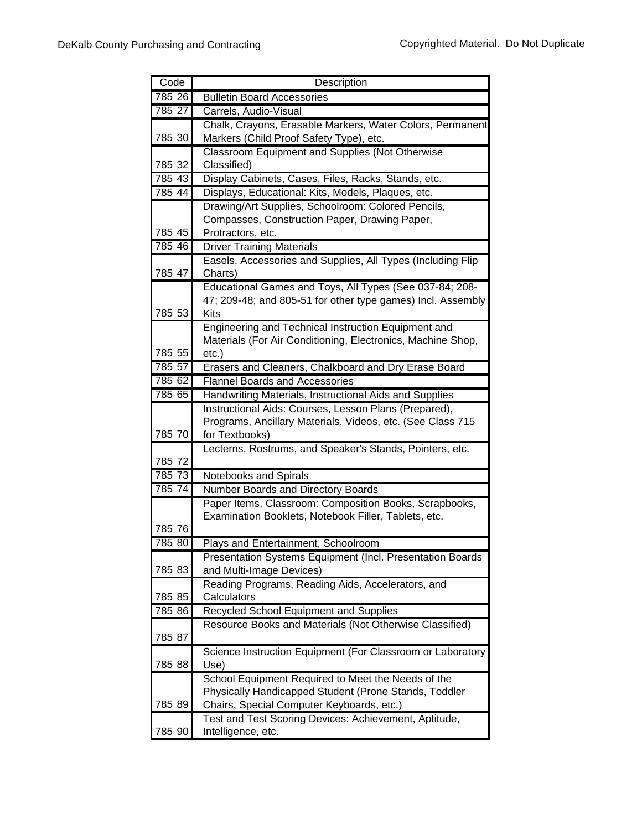| Code   | Description                                                                |
|--------|----------------------------------------------------------------------------|
| 785 26 | <b>Bulletin Board Accessories</b>                                          |
| 785 27 | Carrels, Audio-Visual                                                      |
|        | Chalk, Crayons, Erasable Markers, Water Colors, Permanent                  |
| 785 30 | Markers (Child Proof Safety Type), etc.                                    |
|        | <b>Classroom Equipment and Supplies (Not Otherwise</b>                     |
| 785 32 | Classified)                                                                |
| 785 43 | Display Cabinets, Cases, Files, Racks, Stands, etc.                        |
| 785 44 | Displays, Educational: Kits, Models, Plaques, etc.                         |
|        | Drawing/Art Supplies, Schoolroom: Colored Pencils,                         |
|        | Compasses, Construction Paper, Drawing Paper,                              |
| 785 45 | Protractors, etc.                                                          |
| 785 46 | <b>Driver Training Materials</b>                                           |
|        | Easels, Accessories and Supplies, All Types (Including Flip                |
| 785 47 | Charts)                                                                    |
|        | Educational Games and Toys, All Types (See 037-84; 208-                    |
|        | 47; 209-48; and 805-51 for other type games) Incl. Assembly                |
| 785 53 | Kits                                                                       |
|        | Engineering and Technical Instruction Equipment and                        |
|        | Materials (For Air Conditioning, Electronics, Machine Shop,                |
| 785 55 | $etc.$ )                                                                   |
| 785 57 | Erasers and Cleaners, Chalkboard and Dry Erase Board                       |
| 785 62 | <b>Flannel Boards and Accessories</b>                                      |
| 785 65 | Handwriting Materials, Instructional Aids and Supplies                     |
|        | Instructional Aids: Courses, Lesson Plans (Prepared),                      |
| 785 70 | Programs, Ancillary Materials, Videos, etc. (See Class 715                 |
|        | for Textbooks)<br>Lecterns, Rostrums, and Speaker's Stands, Pointers, etc. |
| 785 72 |                                                                            |
| 785 73 | Notebooks and Spirals                                                      |
| 785 74 | Number Boards and Directory Boards                                         |
|        | Paper Items, Classroom: Composition Books, Scrapbooks,                     |
|        | Examination Booklets, Notebook Filler, Tablets, etc.                       |
| 785 76 |                                                                            |
| 785 80 | Plays and Entertainment, Schoolroom                                        |
|        | Presentation Systems Equipment (Incl. Presentation Boards                  |
| 785 83 | and Multi-Image Devices)                                                   |
|        | Reading Programs, Reading Aids, Accelerators, and                          |
| 785 85 | Calculators                                                                |
| 785 86 | Recycled School Equipment and Supplies                                     |
|        | Resource Books and Materials (Not Otherwise Classified)                    |
| 785 87 |                                                                            |
|        | Science Instruction Equipment (For Classroom or Laboratory                 |
| 785 88 | Use)                                                                       |
|        | School Equipment Required to Meet the Needs of the                         |
|        | Physically Handicapped Student (Prone Stands, Toddler                      |
| 785 89 | Chairs, Special Computer Keyboards, etc.)                                  |
|        | Test and Test Scoring Devices: Achievement, Aptitude,                      |
| 785 90 | Intelligence, etc.                                                         |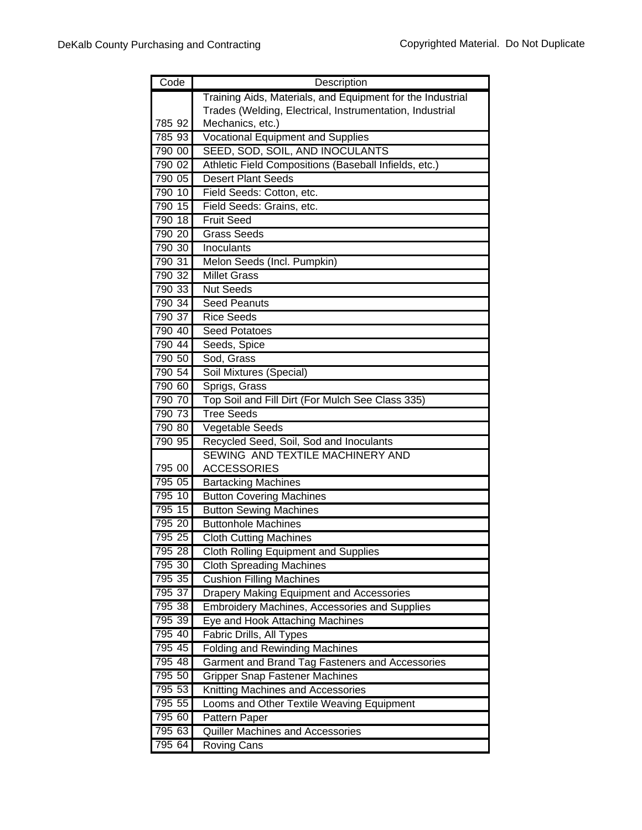| Code   | Description                                                |
|--------|------------------------------------------------------------|
|        | Training Aids, Materials, and Equipment for the Industrial |
|        | Trades (Welding, Electrical, Instrumentation, Industrial   |
| 785 92 | Mechanics, etc.)                                           |
| 785 93 | <b>Vocational Equipment and Supplies</b>                   |
| 790 00 | SEED, SOD, SOIL, AND INOCULANTS                            |
| 790 02 | Athletic Field Compositions (Baseball Infields, etc.)      |
| 790 05 | <b>Desert Plant Seeds</b>                                  |
| 790 10 | Field Seeds: Cotton, etc.                                  |
| 790 15 | Field Seeds: Grains, etc.                                  |
| 790 18 | <b>Fruit Seed</b>                                          |
| 790 20 | <b>Grass Seeds</b>                                         |
| 790 30 | Inoculants                                                 |
| 790 31 | Melon Seeds (Incl. Pumpkin)                                |
| 790 32 | <b>Millet Grass</b>                                        |
| 790 33 | <b>Nut Seeds</b>                                           |
| 790 34 | <b>Seed Peanuts</b>                                        |
| 790 37 | <b>Rice Seeds</b>                                          |
| 790 40 | <b>Seed Potatoes</b>                                       |
| 790 44 | Seeds, Spice                                               |
| 790 50 | Sod, Grass                                                 |
| 790 54 | Soil Mixtures (Special)                                    |
| 790 60 | Sprigs, Grass                                              |
| 790 70 | Top Soil and Fill Dirt (For Mulch See Class 335)           |
| 790 73 | <b>Tree Seeds</b>                                          |
| 790 80 | Vegetable Seeds                                            |
| 790 95 | Recycled Seed, Soil, Sod and Inoculants                    |
| 795 00 | SEWING AND TEXTILE MACHINERY AND                           |
| 795 05 | <b>ACCESSORIES</b><br><b>Bartacking Machines</b>           |
| 795 10 | <b>Button Covering Machines</b>                            |
| 795 15 | <b>Button Sewing Machines</b>                              |
| 795 20 | <b>Buttonhole Machines</b>                                 |
| 795 25 | <b>Cloth Cutting Machines</b>                              |
| 795 28 | <b>Cloth Rolling Equipment and Supplies</b>                |
| 795 30 | <b>Cloth Spreading Machines</b>                            |
| 795 35 | <b>Cushion Filling Machines</b>                            |
| 795 37 | <b>Drapery Making Equipment and Accessories</b>            |
| 795 38 | <b>Embroidery Machines, Accessories and Supplies</b>       |
| 795 39 | Eye and Hook Attaching Machines                            |
| 795 40 | Fabric Drills, All Types                                   |
| 795 45 | <b>Folding and Rewinding Machines</b>                      |
| 795 48 | Garment and Brand Tag Fasteners and Accessories            |
| 795 50 | <b>Gripper Snap Fastener Machines</b>                      |
| 795 53 | Knitting Machines and Accessories                          |
| 795 55 | Looms and Other Textile Weaving Equipment                  |
| 795 60 | Pattern Paper                                              |
| 795 63 | Quiller Machines and Accessories                           |
| 795 64 | <b>Roving Cans</b>                                         |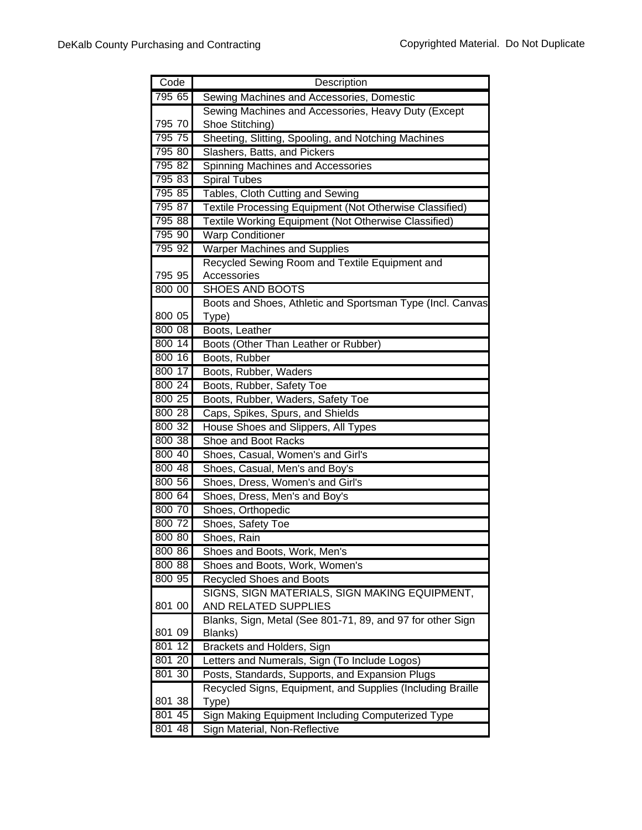| Code   | Description                                                |
|--------|------------------------------------------------------------|
| 795 65 | Sewing Machines and Accessories, Domestic                  |
|        | Sewing Machines and Accessories, Heavy Duty (Except        |
| 795 70 | Shoe Stitching)                                            |
| 795 75 | Sheeting, Slitting, Spooling, and Notching Machines        |
| 795 80 | Slashers, Batts, and Pickers                               |
| 795 82 | Spinning Machines and Accessories                          |
| 795 83 | <b>Spiral Tubes</b>                                        |
| 795 85 | Tables, Cloth Cutting and Sewing                           |
| 795 87 | Textile Processing Equipment (Not Otherwise Classified)    |
| 795 88 | Textile Working Equipment (Not Otherwise Classified)       |
| 795 90 | <b>Warp Conditioner</b>                                    |
| 795 92 | <b>Warper Machines and Supplies</b>                        |
|        | Recycled Sewing Room and Textile Equipment and             |
| 795 95 | Accessories                                                |
| 800 00 | <b>SHOES AND BOOTS</b>                                     |
|        | Boots and Shoes, Athletic and Sportsman Type (Incl. Canvas |
| 800 05 | Type)                                                      |
| 800 08 | Boots, Leather                                             |
| 800 14 | Boots (Other Than Leather or Rubber)                       |
| 800 16 | Boots, Rubber                                              |
| 800 17 | Boots, Rubber, Waders                                      |
| 800 24 | Boots, Rubber, Safety Toe                                  |
| 800 25 | Boots, Rubber, Waders, Safety Toe                          |
| 800 28 | Caps, Spikes, Spurs, and Shields                           |
| 800 32 | House Shoes and Slippers, All Types                        |
| 800 38 | Shoe and Boot Racks                                        |
| 800 40 | Shoes, Casual, Women's and Girl's                          |
| 800 48 | Shoes, Casual, Men's and Boy's                             |
| 800 56 | Shoes, Dress, Women's and Girl's                           |
| 80064  | Shoes, Dress, Men's and Boy's                              |
| 800 70 | Shoes, Orthopedic                                          |
| 800 72 | Shoes, Safety Toe                                          |
| 800 80 | Shoes, Rain                                                |
| 800 86 | Shoes and Boots, Work, Men's                               |
| 800 88 | Shoes and Boots, Work, Women's                             |
| 800 95 | <b>Recycled Shoes and Boots</b>                            |
|        | SIGNS, SIGN MATERIALS, SIGN MAKING EQUIPMENT,              |
| 801 00 | AND RELATED SUPPLIES                                       |
|        | Blanks, Sign, Metal (See 801-71, 89, and 97 for other Sign |
| 801 09 | Blanks)                                                    |
| 801 12 | Brackets and Holders, Sign                                 |
| 801 20 | Letters and Numerals, Sign (To Include Logos)              |
| 801 30 | Posts, Standards, Supports, and Expansion Plugs            |
|        | Recycled Signs, Equipment, and Supplies (Including Braille |
| 801 38 | Type)                                                      |
| 801 45 | Sign Making Equipment Including Computerized Type          |
| 801 48 | Sign Material, Non-Reflective                              |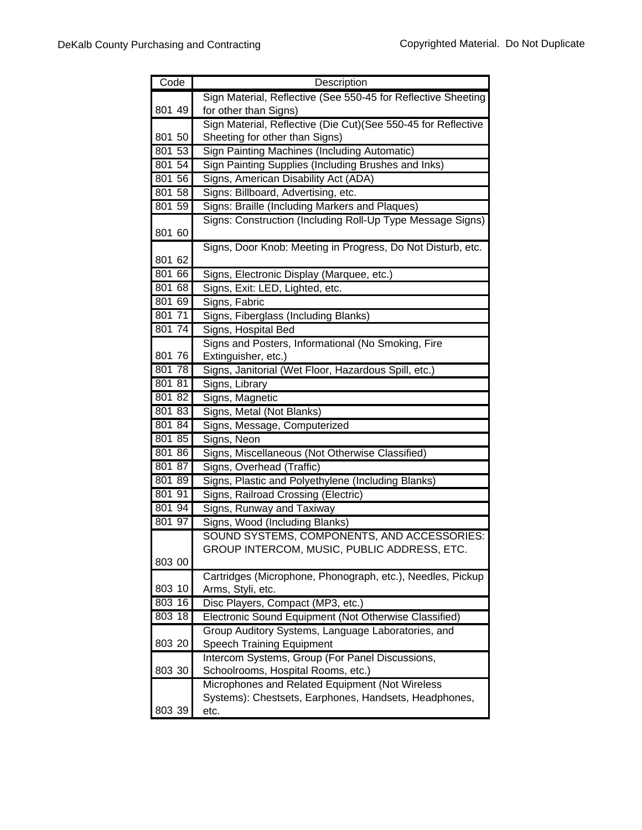| Code   | Description                                                                     |
|--------|---------------------------------------------------------------------------------|
|        | Sign Material, Reflective (See 550-45 for Reflective Sheeting                   |
| 801 49 | for other than Signs)                                                           |
|        | Sign Material, Reflective (Die Cut)(See 550-45 for Reflective                   |
| 801 50 | Sheeting for other than Signs)                                                  |
| 801 53 | <b>Sign Painting Machines (Including Automatic)</b>                             |
| 801 54 | Sign Painting Supplies (Including Brushes and Inks)                             |
| 801 56 | Signs, American Disability Act (ADA)                                            |
| 801 58 | Signs: Billboard, Advertising, etc.                                             |
| 801 59 | Signs: Braille (Including Markers and Plaques)                                  |
| 801 60 | Signs: Construction (Including Roll-Up Type Message Signs)                      |
| 801 62 | Signs, Door Knob: Meeting in Progress, Do Not Disturb, etc.                     |
| 801 66 | Signs, Electronic Display (Marquee, etc.)                                       |
| 801 68 | Signs, Exit: LED, Lighted, etc.                                                 |
| 801 69 | Signs, Fabric                                                                   |
| 801 71 | Signs, Fiberglass (Including Blanks)                                            |
| 801 74 | Signs, Hospital Bed                                                             |
|        | Signs and Posters, Informational (No Smoking, Fire                              |
| 801 76 | Extinguisher, etc.)                                                             |
| 801 78 | Signs, Janitorial (Wet Floor, Hazardous Spill, etc.)                            |
| 801 81 | Signs, Library                                                                  |
| 801 82 | Signs, Magnetic                                                                 |
| 801 83 | Signs, Metal (Not Blanks)                                                       |
| 801 84 | Signs, Message, Computerized                                                    |
| 801 85 | Signs, Neon                                                                     |
| 801 86 | Signs, Miscellaneous (Not Otherwise Classified)                                 |
| 801 87 | Signs, Overhead (Traffic)                                                       |
| 801 89 | Signs, Plastic and Polyethylene (Including Blanks)                              |
| 801 91 | Signs, Railroad Crossing (Electric)                                             |
| 801 94 | Signs, Runway and Taxiway                                                       |
| 801 97 | Signs, Wood (Including Blanks)                                                  |
|        | SOUND SYSTEMS, COMPONENTS, AND ACCESSORIES:                                     |
| 803 00 | GROUP INTERCOM, MUSIC, PUBLIC ADDRESS, ETC.                                     |
|        |                                                                                 |
| 803 10 | Cartridges (Microphone, Phonograph, etc.), Needles, Pickup<br>Arms, Styli, etc. |
| 803 16 | Disc Players, Compact (MP3, etc.)                                               |
| 803 18 | Electronic Sound Equipment (Not Otherwise Classified)                           |
|        | Group Auditory Systems, Language Laboratories, and                              |
| 803 20 | <b>Speech Training Equipment</b>                                                |
|        | Intercom Systems, Group (For Panel Discussions,                                 |
| 803 30 | Schoolrooms, Hospital Rooms, etc.)                                              |
|        | Microphones and Related Equipment (Not Wireless                                 |
|        | Systems): Chestsets, Earphones, Handsets, Headphones,                           |
| 803 39 | etc.                                                                            |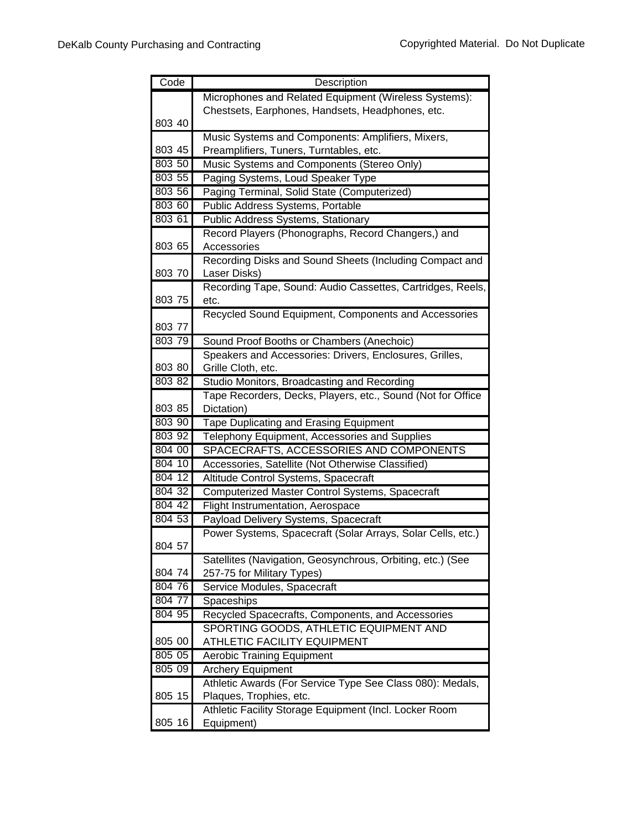| Code             | Description                                                                               |
|------------------|-------------------------------------------------------------------------------------------|
|                  | Microphones and Related Equipment (Wireless Systems):                                     |
|                  | Chestsets, Earphones, Handsets, Headphones, etc.                                          |
| 803 40           |                                                                                           |
|                  | Music Systems and Components: Amplifiers, Mixers,                                         |
| 803 45           | Preamplifiers, Tuners, Turntables, etc.                                                   |
| 803 50           | Music Systems and Components (Stereo Only)                                                |
| 803 55           | Paging Systems, Loud Speaker Type                                                         |
| 803 56           | Paging Terminal, Solid State (Computerized)                                               |
| 803 60           | Public Address Systems, Portable                                                          |
| 803 61           | <b>Public Address Systems, Stationary</b>                                                 |
|                  | Record Players (Phonographs, Record Changers,) and                                        |
| 803 65           | Accessories                                                                               |
|                  | Recording Disks and Sound Sheets (Including Compact and                                   |
| 803 70           | Laser Disks)                                                                              |
|                  | Recording Tape, Sound: Audio Cassettes, Cartridges, Reels,                                |
| 803 75           | etc.                                                                                      |
|                  | Recycled Sound Equipment, Components and Accessories                                      |
| 803 77           |                                                                                           |
| 803 79           | Sound Proof Booths or Chambers (Anechoic)                                                 |
|                  | Speakers and Accessories: Drivers, Enclosures, Grilles,                                   |
| 803 80           | Grille Cloth, etc.                                                                        |
| 803 82           | Studio Monitors, Broadcasting and Recording                                               |
|                  | Tape Recorders, Decks, Players, etc., Sound (Not for Office                               |
| 803 85           | Dictation)                                                                                |
| 803 90           | <b>Tape Duplicating and Erasing Equipment</b>                                             |
| 803 92<br>804 00 | Telephony Equipment, Accessories and Supplies                                             |
| 804 10           | SPACECRAFTS, ACCESSORIES AND COMPONENTS                                                   |
| 804 12           | Accessories, Satellite (Not Otherwise Classified)<br>Altitude Control Systems, Spacecraft |
| 804 32           | Computerized Master Control Systems, Spacecraft                                           |
| 804 42           | Flight Instrumentation, Aerospace                                                         |
| 804 53           | Payload Delivery Systems, Spacecraft                                                      |
|                  | Power Systems, Spacecraft (Solar Arrays, Solar Cells, etc.)                               |
| 804 57           |                                                                                           |
|                  | Satellites (Navigation, Geosynchrous, Orbiting, etc.) (See                                |
| 804 74           | 257-75 for Military Types)                                                                |
| 804 76           | Service Modules, Spacecraft                                                               |
| 804 77           | Spaceships                                                                                |
| 804 95           | Recycled Spacecrafts, Components, and Accessories                                         |
|                  | SPORTING GOODS, ATHLETIC EQUIPMENT AND                                                    |
| 805 00           | ATHLETIC FACILITY EQUIPMENT                                                               |
| 80505            | <b>Aerobic Training Equipment</b>                                                         |
| 805 09           | <b>Archery Equipment</b>                                                                  |
|                  | Athletic Awards (For Service Type See Class 080): Medals,                                 |
| 805 15           | Plaques, Trophies, etc.                                                                   |
|                  | Athletic Facility Storage Equipment (Incl. Locker Room                                    |
| 805 16           | Equipment)                                                                                |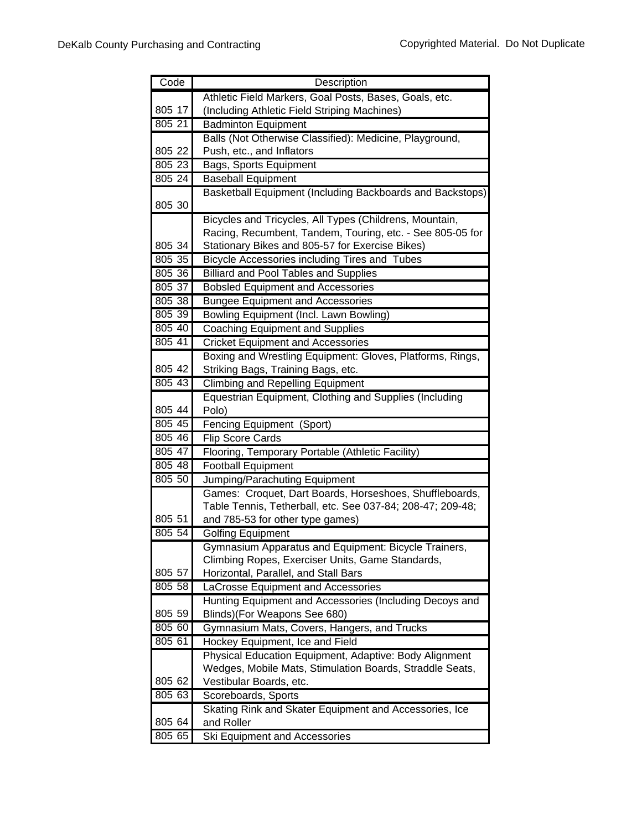| Code             | Description                                                     |
|------------------|-----------------------------------------------------------------|
|                  | Athletic Field Markers, Goal Posts, Bases, Goals, etc.          |
| 805 17           | (Including Athletic Field Striping Machines)                    |
| 805 21           | <b>Badminton Equipment</b>                                      |
|                  | Balls (Not Otherwise Classified): Medicine, Playground,         |
| 805 22           | Push, etc., and Inflators                                       |
| 805 23           | Bags, Sports Equipment                                          |
| 805 24           | <b>Baseball Equipment</b>                                       |
|                  | Basketball Equipment (Including Backboards and Backstops)       |
| 805 30           |                                                                 |
|                  | Bicycles and Tricycles, All Types (Childrens, Mountain,         |
|                  | Racing, Recumbent, Tandem, Touring, etc. - See 805-05 for       |
| 805 34<br>805 35 | Stationary Bikes and 805-57 for Exercise Bikes)                 |
| 805 36           | Bicycle Accessories including Tires and Tubes                   |
| 805 37           | <b>Billiard and Pool Tables and Supplies</b>                    |
|                  | <b>Bobsled Equipment and Accessories</b>                        |
| 805 38           | <b>Bungee Equipment and Accessories</b>                         |
| 805 39           | Bowling Equipment (Incl. Lawn Bowling)                          |
| 805 40<br>805 41 | <b>Coaching Equipment and Supplies</b>                          |
|                  | <b>Cricket Equipment and Accessories</b>                        |
|                  | Boxing and Wrestling Equipment: Gloves, Platforms, Rings,       |
| 805 42           | Striking Bags, Training Bags, etc.                              |
| 805 43           | <b>Climbing and Repelling Equipment</b>                         |
| 805 44           | Equestrian Equipment, Clothing and Supplies (Including<br>Polo) |
| $805$ 45         | Fencing Equipment (Sport)                                       |
| 805 46           | <b>Flip Score Cards</b>                                         |
| 805 47           | Flooring, Temporary Portable (Athletic Facility)                |
| 805 48           | <b>Football Equipment</b>                                       |
| 805 50           | Jumping/Parachuting Equipment                                   |
|                  | Games: Croquet, Dart Boards, Horseshoes, Shuffleboards,         |
|                  | Table Tennis, Tetherball, etc. See 037-84; 208-47; 209-48;      |
| 805 51           | and 785-53 for other type games)                                |
| 805 54           | <b>Golfing Equipment</b>                                        |
|                  | Gymnasium Apparatus and Equipment: Bicycle Trainers,            |
|                  | Climbing Ropes, Exerciser Units, Game Standards,                |
| 805 57           | Horizontal, Parallel, and Stall Bars                            |
| 805 58           | LaCrosse Equipment and Accessories                              |
|                  | Hunting Equipment and Accessories (Including Decoys and         |
| 805 59           | Blinds)(For Weapons See 680)                                    |
| 805 60           | Gymnasium Mats, Covers, Hangers, and Trucks                     |
| 805 61           | Hockey Equipment, Ice and Field                                 |
|                  | Physical Education Equipment, Adaptive: Body Alignment          |
|                  | Wedges, Mobile Mats, Stimulation Boards, Straddle Seats,        |
| 805 62           | Vestibular Boards, etc.                                         |
| 80563            | Scoreboards, Sports                                             |
|                  | Skating Rink and Skater Equipment and Accessories, Ice          |
| 805 64           | and Roller                                                      |
| 805 65           | Ski Equipment and Accessories                                   |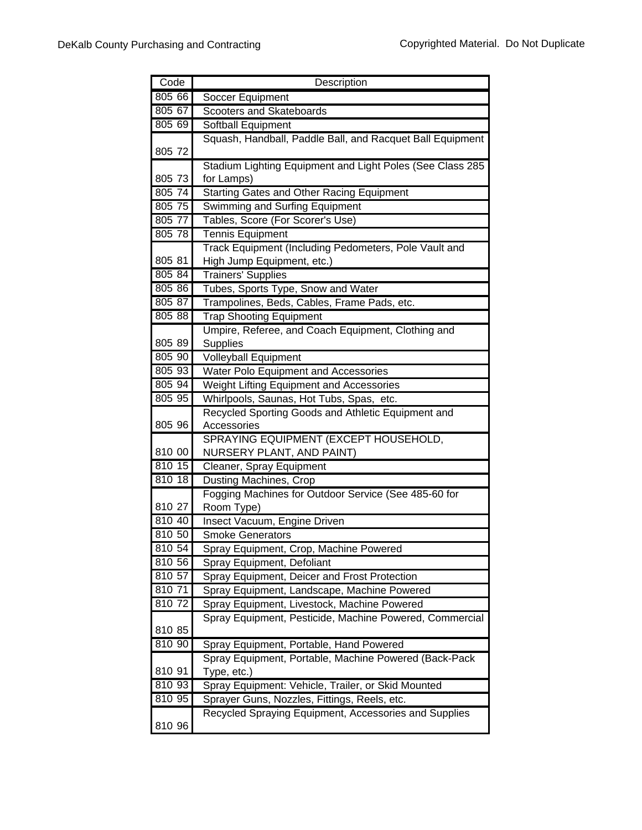| Code   | Description                                               |
|--------|-----------------------------------------------------------|
| 805 66 | Soccer Equipment                                          |
| 805 67 | Scooters and Skateboards                                  |
| 805 69 | Softball Equipment                                        |
|        | Squash, Handball, Paddle Ball, and Racquet Ball Equipment |
| 805 72 |                                                           |
|        | Stadium Lighting Equipment and Light Poles (See Class 285 |
| 805 73 | for Lamps)                                                |
| 805 74 | <b>Starting Gates and Other Racing Equipment</b>          |
| 805 75 | <b>Swimming and Surfing Equipment</b>                     |
| 805 77 | Tables, Score (For Scorer's Use)                          |
| 805 78 | <b>Tennis Equipment</b>                                   |
|        | Track Equipment (Including Pedometers, Pole Vault and     |
| 805 81 | High Jump Equipment, etc.)                                |
| 805 84 | <b>Trainers' Supplies</b>                                 |
| 805 86 | Tubes, Sports Type, Snow and Water                        |
| 805 87 | Trampolines, Beds, Cables, Frame Pads, etc.               |
| 805 88 | <b>Trap Shooting Equipment</b>                            |
|        | Umpire, Referee, and Coach Equipment, Clothing and        |
| 805 89 | <b>Supplies</b>                                           |
| 805 90 | <b>Volleyball Equipment</b>                               |
| 805 93 | Water Polo Equipment and Accessories                      |
| 805 94 | Weight Lifting Equipment and Accessories                  |
| 805 95 | Whirlpools, Saunas, Hot Tubs, Spas, etc.                  |
|        | Recycled Sporting Goods and Athletic Equipment and        |
| 805 96 | Accessories                                               |
|        | SPRAYING EQUIPMENT (EXCEPT HOUSEHOLD,                     |
| 810 00 | NURSERY PLANT, AND PAINT)                                 |
| 810 15 | Cleaner, Spray Equipment                                  |
| 810 18 | <b>Dusting Machines, Crop</b>                             |
| 810 27 | Fogging Machines for Outdoor Service (See 485-60 for      |
| 810 40 | Room Type)<br>Insect Vacuum, Engine Driven                |
| 810 50 | <b>Smoke Generators</b>                                   |
| 810 54 | Spray Equipment, Crop, Machine Powered                    |
| 81056  | Spray Equipment, Defoliant                                |
| 810 57 | Spray Equipment, Deicer and Frost Protection              |
| 810 71 | Spray Equipment, Landscape, Machine Powered               |
| 810 72 | Spray Equipment, Livestock, Machine Powered               |
|        | Spray Equipment, Pesticide, Machine Powered, Commercial   |
| 810 85 |                                                           |
| 810 90 | Spray Equipment, Portable, Hand Powered                   |
|        | Spray Equipment, Portable, Machine Powered (Back-Pack     |
| 810 91 | Type, etc.)                                               |
| 810 93 | Spray Equipment: Vehicle, Trailer, or Skid Mounted        |
| 810 95 | Sprayer Guns, Nozzles, Fittings, Reels, etc.              |
|        | Recycled Spraying Equipment, Accessories and Supplies     |
| 810 96 |                                                           |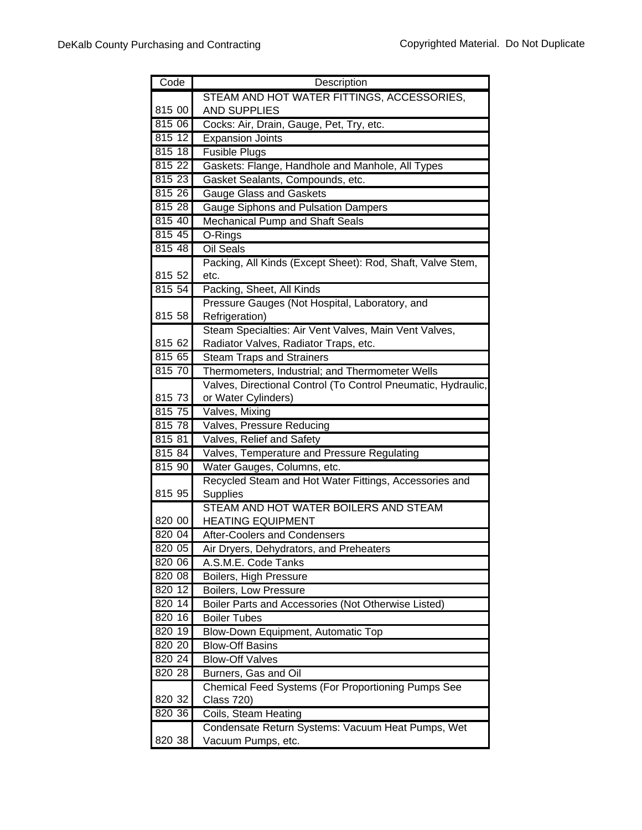| Code             | Description                                                                |
|------------------|----------------------------------------------------------------------------|
|                  | STEAM AND HOT WATER FITTINGS, ACCESSORIES,                                 |
| 815 00           | <b>AND SUPPLIES</b>                                                        |
| 815 06           | Cocks: Air, Drain, Gauge, Pet, Try, etc.                                   |
| 815 12           | <b>Expansion Joints</b>                                                    |
| 815 18           | <b>Fusible Plugs</b>                                                       |
| 815 22           | Gaskets: Flange, Handhole and Manhole, All Types                           |
| 815 23           | Gasket Sealants, Compounds, etc.                                           |
| 815 26           | <b>Gauge Glass and Gaskets</b>                                             |
| 815 28           | Gauge Siphons and Pulsation Dampers                                        |
| 815 40           | Mechanical Pump and Shaft Seals                                            |
| 815 45           | O-Rings                                                                    |
| 815 48           | <b>Oil Seals</b>                                                           |
|                  | Packing, All Kinds (Except Sheet): Rod, Shaft, Valve Stem,                 |
| 815 52           | etc.                                                                       |
| 815 54           | Packing, Sheet, All Kinds                                                  |
|                  | Pressure Gauges (Not Hospital, Laboratory, and                             |
| 815 58           | Refrigeration)                                                             |
|                  | Steam Specialties: Air Vent Valves, Main Vent Valves,                      |
| 815 62           | Radiator Valves, Radiator Traps, etc.                                      |
| 815 65           | <b>Steam Traps and Strainers</b>                                           |
| 815 70           | Thermometers, Industrial; and Thermometer Wells                            |
|                  | Valves, Directional Control (To Control Pneumatic, Hydraulic,              |
| 815 73           | or Water Cylinders)                                                        |
| 815 75<br>815 78 | Valves, Mixing                                                             |
| 815 81           | Valves, Pressure Reducing                                                  |
| 815 84           | Valves, Relief and Safety                                                  |
| 815 90           | Valves, Temperature and Pressure Regulating<br>Water Gauges, Columns, etc. |
|                  | Recycled Steam and Hot Water Fittings, Accessories and                     |
| 815 95           | <b>Supplies</b>                                                            |
|                  | STEAM AND HOT WATER BOILERS AND STEAM                                      |
| 820 00           | <b>HEATING EQUIPMENT</b>                                                   |
| 820 04           | After-Coolers and Condensers                                               |
| 820 05           | Air Dryers, Dehydrators, and Preheaters                                    |
| 820 06           | A.S.M.E. Code Tanks                                                        |
| 820 08           | Boilers, High Pressure                                                     |
| 820 12           | Boilers, Low Pressure                                                      |
| 820 14           | Boiler Parts and Accessories (Not Otherwise Listed)                        |
| 820 16           | <b>Boiler Tubes</b>                                                        |
| 820 19           | Blow-Down Equipment, Automatic Top                                         |
| 820 20           | <b>Blow-Off Basins</b>                                                     |
| 820 24           | <b>Blow-Off Valves</b>                                                     |
| 820 28           | Burners, Gas and Oil                                                       |
|                  | Chemical Feed Systems (For Proportioning Pumps See                         |
| 820 32           | <b>Class 720)</b>                                                          |
| 820 36           | Coils, Steam Heating                                                       |
|                  | Condensate Return Systems: Vacuum Heat Pumps, Wet                          |
| 820 38           | Vacuum Pumps, etc.                                                         |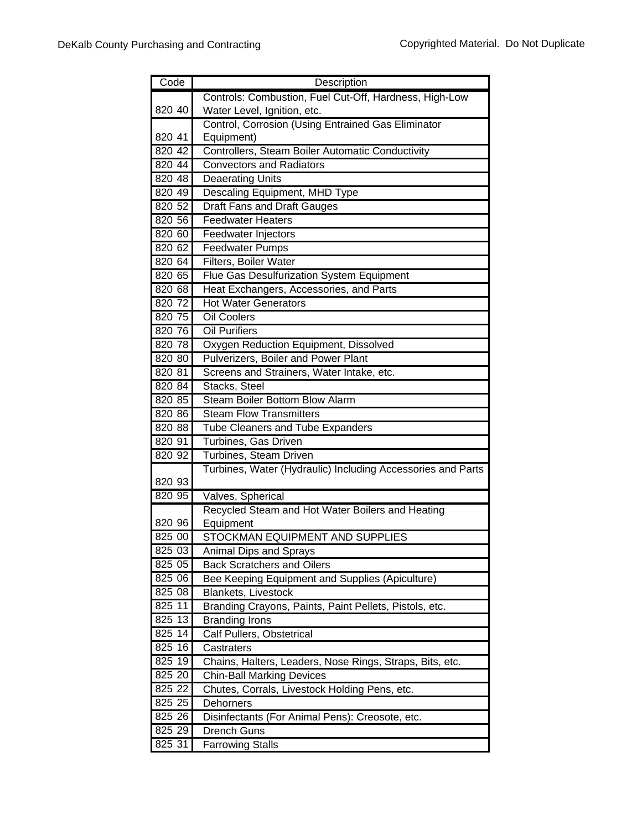| Code   | Description                                                 |
|--------|-------------------------------------------------------------|
|        | Controls: Combustion, Fuel Cut-Off, Hardness, High-Low      |
| 820 40 | Water Level, Ignition, etc.                                 |
|        | Control, Corrosion (Using Entrained Gas Eliminator          |
| 820 41 | Equipment)                                                  |
| 820 42 | Controllers, Steam Boiler Automatic Conductivity            |
| 820 44 | <b>Convectors and Radiators</b>                             |
| 820 48 | <b>Deaerating Units</b>                                     |
| 820 49 | Descaling Equipment, MHD Type                               |
| 820 52 | <b>Draft Fans and Draft Gauges</b>                          |
| 820 56 | <b>Feedwater Heaters</b>                                    |
| 820 60 | Feedwater Injectors                                         |
| 820 62 | <b>Feedwater Pumps</b>                                      |
| 820 64 | Filters, Boiler Water                                       |
| 820 65 | Flue Gas Desulfurization System Equipment                   |
| 820 68 | Heat Exchangers, Accessories, and Parts                     |
| 820 72 | <b>Hot Water Generators</b>                                 |
| 820 75 | <b>Oil Coolers</b>                                          |
| 820 76 | <b>Oil Purifiers</b>                                        |
| 820 78 | Oxygen Reduction Equipment, Dissolved                       |
| 820 80 | Pulverizers, Boiler and Power Plant                         |
| 820 81 | Screens and Strainers, Water Intake, etc.                   |
| 820 84 | Stacks, Steel                                               |
| 820 85 | <b>Steam Boiler Bottom Blow Alarm</b>                       |
| 820 86 | <b>Steam Flow Transmitters</b>                              |
| 820 88 | <b>Tube Cleaners and Tube Expanders</b>                     |
| 820 91 | Turbines, Gas Driven                                        |
| 820 92 | Turbines, Steam Driven                                      |
|        | Turbines, Water (Hydraulic) Including Accessories and Parts |
| 820 93 |                                                             |
| 820 95 | Valves, Spherical                                           |
|        | Recycled Steam and Hot Water Boilers and Heating            |
| 820 96 | Equipment                                                   |
| 825 00 | <b>STOCKMAN EQUIPMENT AND SUPPLIES</b>                      |
| 825 03 | <b>Animal Dips and Sprays</b>                               |
| 825 05 | <b>Back Scratchers and Oilers</b>                           |
| 825 06 | Bee Keeping Equipment and Supplies (Apiculture)             |
| 825 08 | <b>Blankets, Livestock</b>                                  |
| 825 11 | Branding Crayons, Paints, Paint Pellets, Pistols, etc.      |
| 825 13 | <b>Branding Irons</b>                                       |
| 825 14 | Calf Pullers, Obstetrical                                   |
| 825 16 | Castraters                                                  |
| 825 19 | Chains, Halters, Leaders, Nose Rings, Straps, Bits, etc.    |
| 825 20 | <b>Chin-Ball Marking Devices</b>                            |
| 825 22 | Chutes, Corrals, Livestock Holding Pens, etc.               |
| 825 25 | Dehorners                                                   |
| 825 26 | Disinfectants (For Animal Pens): Creosote, etc.             |
| 825 29 | <b>Drench Guns</b>                                          |
| 825 31 | <b>Farrowing Stalls</b>                                     |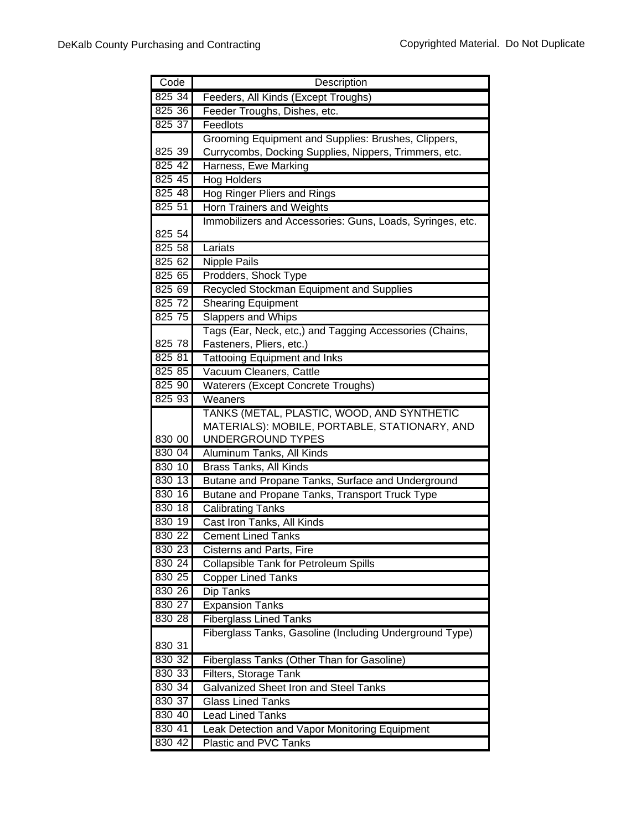| Code             | Description                                                                              |
|------------------|------------------------------------------------------------------------------------------|
| 825 34           | Feeders, All Kinds (Except Troughs)                                                      |
| 825 36           | Feeder Troughs, Dishes, etc.                                                             |
| 825 37           | Feedlots                                                                                 |
|                  | Grooming Equipment and Supplies: Brushes, Clippers,                                      |
| 825 39           | Currycombs, Docking Supplies, Nippers, Trimmers, etc.                                    |
| 825 42           | Harness, Ewe Marking                                                                     |
| 825 45           | <b>Hog Holders</b>                                                                       |
| 825 48           | <b>Hog Ringer Pliers and Rings</b>                                                       |
| 825 51           | Horn Trainers and Weights                                                                |
|                  | Immobilizers and Accessories: Guns, Loads, Syringes, etc.                                |
| 825 54           |                                                                                          |
| 825 58           | Lariats                                                                                  |
| 82562            | Nipple Pails                                                                             |
| 825 65           | Prodders, Shock Type                                                                     |
| 825 69           | Recycled Stockman Equipment and Supplies                                                 |
| 825 72           | <b>Shearing Equipment</b>                                                                |
| 825 75           | Slappers and Whips                                                                       |
|                  | Tags (Ear, Neck, etc,) and Tagging Accessories (Chains,                                  |
| 825 78           | Fasteners, Pliers, etc.)                                                                 |
| 825 81           | <b>Tattooing Equipment and Inks</b>                                                      |
| 825 85           | Vacuum Cleaners, Cattle                                                                  |
| 825 90           | Waterers (Except Concrete Troughs)                                                       |
| 825 93           | Weaners                                                                                  |
|                  | TANKS (METAL, PLASTIC, WOOD, AND SYNTHETIC                                               |
|                  | MATERIALS): MOBILE, PORTABLE, STATIONARY, AND                                            |
| 830 00           | UNDERGROUND TYPES                                                                        |
| 830 04           | Aluminum Tanks, All Kinds                                                                |
| 830 10           | <b>Brass Tanks, All Kinds</b>                                                            |
| 830 13           | Butane and Propane Tanks, Surface and Underground                                        |
| 830 16           | Butane and Propane Tanks, Transport Truck Type                                           |
| 830 18           | <b>Calibrating Tanks</b>                                                                 |
| 830 19           | Cast Iron Tanks, All Kinds                                                               |
| 830 22           | <b>Cement Lined Tanks</b>                                                                |
| 830 23           | Cisterns and Parts, Fire                                                                 |
| 830 24<br>830 25 | <b>Collapsible Tank for Petroleum Spills</b>                                             |
|                  | Copper Lined Tanks                                                                       |
| 830 26           | Dip Tanks                                                                                |
| 830 27<br>830 28 | <b>Expansion Tanks</b>                                                                   |
|                  | <b>Fiberglass Lined Tanks</b><br>Fiberglass Tanks, Gasoline (Including Underground Type) |
| 830 31           |                                                                                          |
| 830 32           |                                                                                          |
| 830 33           | Fiberglass Tanks (Other Than for Gasoline)<br>Filters, Storage Tank                      |
| 830 34           | <b>Galvanized Sheet Iron and Steel Tanks</b>                                             |
| 830 37           | <b>Glass Lined Tanks</b>                                                                 |
| 830 40           | <b>Lead Lined Tanks</b>                                                                  |
| 830 41           | Leak Detection and Vapor Monitoring Equipment                                            |
| 830 42           | <b>Plastic and PVC Tanks</b>                                                             |
|                  |                                                                                          |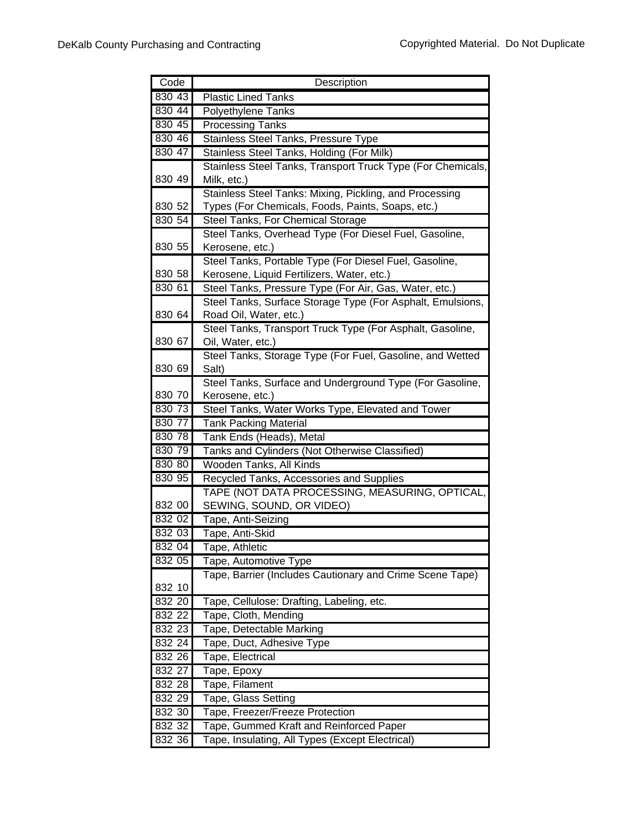| Code             | Description                                                                    |
|------------------|--------------------------------------------------------------------------------|
| 830 43           | <b>Plastic Lined Tanks</b>                                                     |
| 830 44           | <b>Polyethylene Tanks</b>                                                      |
| 830 45           | <b>Processing Tanks</b>                                                        |
| 830 46           | Stainless Steel Tanks, Pressure Type                                           |
| 830 47           | Stainless Steel Tanks, Holding (For Milk)                                      |
|                  | Stainless Steel Tanks, Transport Truck Type (For Chemicals,                    |
| 830 49           | Milk, etc.)                                                                    |
|                  | Stainless Steel Tanks: Mixing, Pickling, and Processing                        |
| 830 52           | Types (For Chemicals, Foods, Paints, Soaps, etc.)                              |
| 830 54           | Steel Tanks, For Chemical Storage                                              |
|                  | Steel Tanks, Overhead Type (For Diesel Fuel, Gasoline,                         |
| 830 55           | Kerosene, etc.)                                                                |
|                  | Steel Tanks, Portable Type (For Diesel Fuel, Gasoline,                         |
| 830 58           | Kerosene, Liquid Fertilizers, Water, etc.)                                     |
| 830 61           | Steel Tanks, Pressure Type (For Air, Gas, Water, etc.)                         |
| 830 64           | Steel Tanks, Surface Storage Type (For Asphalt, Emulsions,                     |
|                  | Road Oil, Water, etc.)                                                         |
| 830 67           | Steel Tanks, Transport Truck Type (For Asphalt, Gasoline,<br>Oil, Water, etc.) |
|                  | Steel Tanks, Storage Type (For Fuel, Gasoline, and Wetted                      |
| 830 69           | Salt)                                                                          |
|                  | Steel Tanks, Surface and Underground Type (For Gasoline,                       |
| 830 70           | Kerosene, etc.)                                                                |
| 830 73           | Steel Tanks, Water Works Type, Elevated and Tower                              |
| 830 77           | <b>Tank Packing Material</b>                                                   |
| 830 78           | Tank Ends (Heads), Metal                                                       |
| 830 79           | Tanks and Cylinders (Not Otherwise Classified)                                 |
| 830 80           | Wooden Tanks, All Kinds                                                        |
| 830 95           | Recycled Tanks, Accessories and Supplies                                       |
|                  | TAPE (NOT DATA PROCESSING, MEASURING, OPTICAL,                                 |
| 832 00           | SEWING, SOUND, OR VIDEO)                                                       |
| 832 02           | Tape, Anti-Seizing                                                             |
| 832 03           | Tape, Anti-Skid                                                                |
| 832 04           | Tape, Athletic                                                                 |
| 832 05           | Tape, Automotive Type                                                          |
|                  | Tape, Barrier (Includes Cautionary and Crime Scene Tape)                       |
| 832 10           |                                                                                |
| 832 20           | Tape, Cellulose: Drafting, Labeling, etc.                                      |
| 832 22           | Tape, Cloth, Mending                                                           |
| 832 23           | Tape, Detectable Marking                                                       |
| 832 24           | Tape, Duct, Adhesive Type                                                      |
| 832 26           | Tape, Electrical                                                               |
| 832 27           | Tape, Epoxy                                                                    |
| 832 28           | Tape, Filament                                                                 |
| 832 29           | Tape, Glass Setting                                                            |
| 832 30<br>832 32 | Tape, Freezer/Freeze Protection                                                |
|                  | Tape, Gummed Kraft and Reinforced Paper                                        |
| 832 36           | Tape, Insulating, All Types (Except Electrical)                                |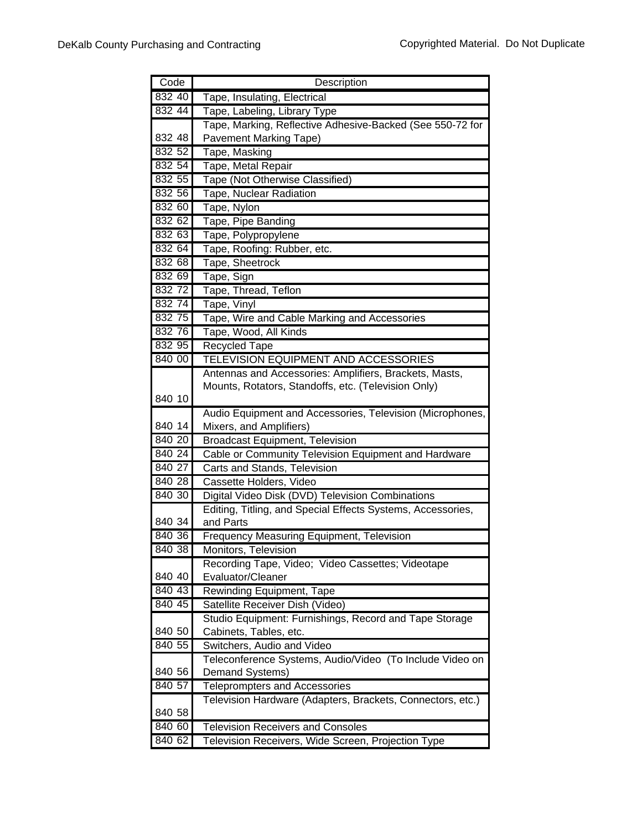| Code   | Description                                                 |
|--------|-------------------------------------------------------------|
| 832 40 | Tape, Insulating, Electrical                                |
| 832 44 | Tape, Labeling, Library Type                                |
|        | Tape, Marking, Reflective Adhesive-Backed (See 550-72 for   |
| 832 48 | <b>Pavement Marking Tape)</b>                               |
| 832 52 | Tape, Masking                                               |
| 832 54 | Tape, Metal Repair                                          |
| 832 55 | Tape (Not Otherwise Classified)                             |
| 832 56 | Tape, Nuclear Radiation                                     |
| 832 60 | Tape, Nylon                                                 |
| 832 62 | Tape, Pipe Banding                                          |
| 832 63 | Tape, Polypropylene                                         |
| 832 64 | Tape, Roofing: Rubber, etc.                                 |
| 832 68 | Tape, Sheetrock                                             |
| 832 69 | Tape, Sign                                                  |
| 832 72 | Tape, Thread, Teflon                                        |
| 832 74 | Tape, Vinyl                                                 |
| 832 75 | Tape, Wire and Cable Marking and Accessories                |
| 832 76 | Tape, Wood, All Kinds                                       |
| 832 95 | Recycled Tape                                               |
| 840 00 | TELEVISION EQUIPMENT AND ACCESSORIES                        |
|        | Antennas and Accessories: Amplifiers, Brackets, Masts,      |
|        | Mounts, Rotators, Standoffs, etc. (Television Only)         |
| 840 10 |                                                             |
|        | Audio Equipment and Accessories, Television (Microphones,   |
| 840 14 | Mixers, and Amplifiers)                                     |
| 840 20 | <b>Broadcast Equipment, Television</b>                      |
| 840 24 | Cable or Community Television Equipment and Hardware        |
| 840 27 | Carts and Stands, Television                                |
| 840 28 | Cassette Holders, Video                                     |
| 840 30 | Digital Video Disk (DVD) Television Combinations            |
|        | Editing, Titling, and Special Effects Systems, Accessories, |
| 840 34 | and Parts                                                   |
| 840 36 | <b>Frequency Measuring Equipment, Television</b>            |
| 840 38 | Monitors, Television                                        |
|        | Recording Tape, Video; Video Cassettes; Videotape           |
| 840 40 | Evaluator/Cleaner                                           |
| 840 43 | Rewinding Equipment, Tape                                   |
| 840 45 | Satellite Receiver Dish (Video)                             |
|        | Studio Equipment: Furnishings, Record and Tape Storage      |
| 840 50 | Cabinets, Tables, etc.                                      |
| 840 55 | Switchers, Audio and Video                                  |
|        | Teleconference Systems, Audio/Video (To Include Video on    |
| 840 56 | Demand Systems)                                             |
| 840 57 | <b>Teleprompters and Accessories</b>                        |
|        |                                                             |
| 840 58 | Television Hardware (Adapters, Brackets, Connectors, etc.)  |
| 840 60 | <b>Television Receivers and Consoles</b>                    |
| 840 62 |                                                             |
|        | Television Receivers, Wide Screen, Projection Type          |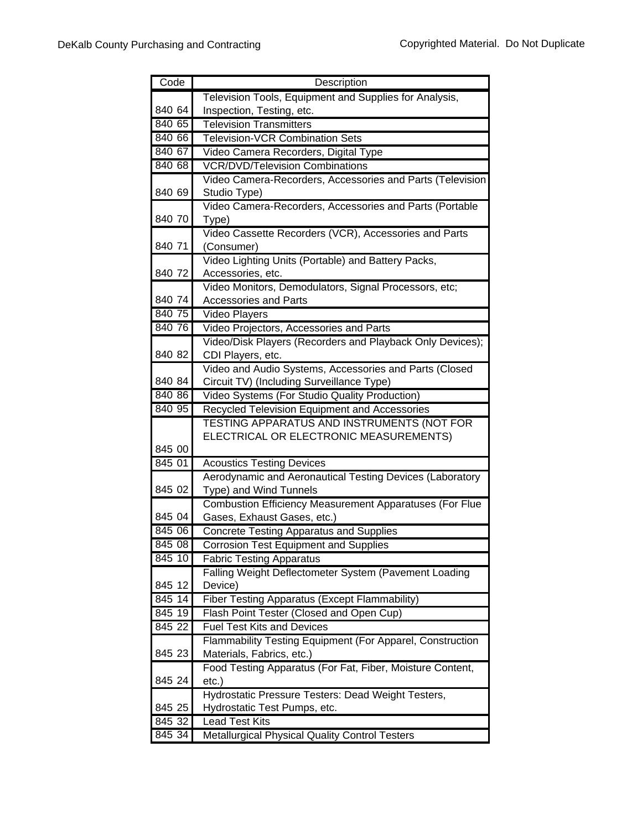| Code   | Description                                                    |
|--------|----------------------------------------------------------------|
|        | Television Tools, Equipment and Supplies for Analysis,         |
| 840 64 | Inspection, Testing, etc.                                      |
| 840 65 | <b>Television Transmitters</b>                                 |
| 840 66 | <b>Television-VCR Combination Sets</b>                         |
| 840 67 | Video Camera Recorders, Digital Type                           |
| 840 68 | <b>VCR/DVD/Television Combinations</b>                         |
|        | Video Camera-Recorders, Accessories and Parts (Television      |
| 840 69 | Studio Type)                                                   |
|        | Video Camera-Recorders, Accessories and Parts (Portable        |
| 840 70 | Type)                                                          |
|        | Video Cassette Recorders (VCR), Accessories and Parts          |
| 840 71 | (Consumer)                                                     |
|        | Video Lighting Units (Portable) and Battery Packs,             |
| 840 72 | Accessories, etc.                                              |
|        | Video Monitors, Demodulators, Signal Processors, etc;          |
| 840 74 | <b>Accessories and Parts</b>                                   |
| 840 75 | Video Players                                                  |
| 840 76 | Video Projectors, Accessories and Parts                        |
|        | Video/Disk Players (Recorders and Playback Only Devices);      |
| 840 82 | CDI Players, etc.                                              |
|        | Video and Audio Systems, Accessories and Parts (Closed         |
| 840 84 | Circuit TV) (Including Surveillance Type)                      |
| 840 86 | Video Systems (For Studio Quality Production)                  |
| 840 95 | Recycled Television Equipment and Accessories                  |
|        | TESTING APPARATUS AND INSTRUMENTS (NOT FOR                     |
|        | ELECTRICAL OR ELECTRONIC MEASUREMENTS)                         |
| 845 00 |                                                                |
| 845 01 | <b>Acoustics Testing Devices</b>                               |
|        | Aerodynamic and Aeronautical Testing Devices (Laboratory       |
| 845 02 | Type) and Wind Tunnels                                         |
|        | <b>Combustion Efficiency Measurement Apparatuses (For Flue</b> |
| 845 04 | Gases, Exhaust Gases, etc.)                                    |
| 84506  | <b>Concrete Testing Apparatus and Supplies</b>                 |
| 845 08 | <b>Corrosion Test Equipment and Supplies</b>                   |
| 845 10 | <b>Fabric Testing Apparatus</b>                                |
|        | Falling Weight Deflectometer System (Pavement Loading          |
| 845 12 | Device)                                                        |
| 845 14 | Fiber Testing Apparatus (Except Flammability)                  |
| 845 19 | Flash Point Tester (Closed and Open Cup)                       |
| 845 22 | <b>Fuel Test Kits and Devices</b>                              |
|        | Flammability Testing Equipment (For Apparel, Construction      |
| 845 23 | Materials, Fabrics, etc.)                                      |
|        | Food Testing Apparatus (For Fat, Fiber, Moisture Content,      |
| 845 24 | $etc.$ )                                                       |
|        | Hydrostatic Pressure Testers: Dead Weight Testers,             |
| 845 25 | Hydrostatic Test Pumps, etc.                                   |
| 845 32 | <b>Lead Test Kits</b>                                          |
| 845 34 | Metallurgical Physical Quality Control Testers                 |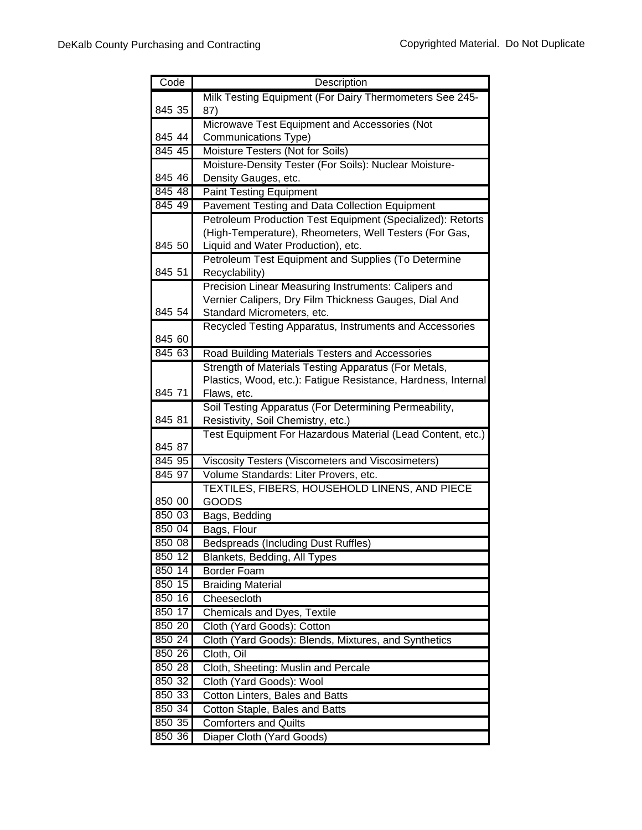| Code   | Description                                                                                                           |
|--------|-----------------------------------------------------------------------------------------------------------------------|
|        | Milk Testing Equipment (For Dairy Thermometers See 245-                                                               |
| 845 35 | 87)                                                                                                                   |
|        | Microwave Test Equipment and Accessories (Not                                                                         |
| 845 44 | Communications Type)                                                                                                  |
| 845 45 | Moisture Testers (Not for Soils)                                                                                      |
|        | Moisture-Density Tester (For Soils): Nuclear Moisture-                                                                |
| 845 46 | Density Gauges, etc.                                                                                                  |
| 845 48 | <b>Paint Testing Equipment</b>                                                                                        |
| 845 49 | Pavement Testing and Data Collection Equipment                                                                        |
|        | Petroleum Production Test Equipment (Specialized): Retorts                                                            |
|        | (High-Temperature), Rheometers, Well Testers (For Gas,                                                                |
| 845 50 | Liquid and Water Production), etc.                                                                                    |
|        | Petroleum Test Equipment and Supplies (To Determine                                                                   |
| 845 51 | Recyclability)                                                                                                        |
|        | Precision Linear Measuring Instruments: Calipers and                                                                  |
|        | Vernier Calipers, Dry Film Thickness Gauges, Dial And                                                                 |
| 845 54 | Standard Micrometers, etc.                                                                                            |
| 845 60 | Recycled Testing Apparatus, Instruments and Accessories                                                               |
|        |                                                                                                                       |
| 845 63 | Road Building Materials Testers and Accessories                                                                       |
|        | Strength of Materials Testing Apparatus (For Metals,<br>Plastics, Wood, etc.): Fatigue Resistance, Hardness, Internal |
| 845 71 | Flaws, etc.                                                                                                           |
|        | Soil Testing Apparatus (For Determining Permeability,                                                                 |
| 845 81 | Resistivity, Soil Chemistry, etc.)                                                                                    |
|        | Test Equipment For Hazardous Material (Lead Content, etc.)                                                            |
| 845 87 |                                                                                                                       |
| 845 95 | Viscosity Testers (Viscometers and Viscosimeters)                                                                     |
| 845 97 | Volume Standards: Liter Provers, etc.                                                                                 |
|        | TEXTILES, FIBERS, HOUSEHOLD LINENS, AND PIECE                                                                         |
| 850 00 | GOODS                                                                                                                 |
| 850 03 | Bags, Bedding                                                                                                         |
| 850 04 | Bags, Flour                                                                                                           |
| 850 08 | <b>Bedspreads (Including Dust Ruffles)</b>                                                                            |
| 850 12 | Blankets, Bedding, All Types                                                                                          |
| 850 14 | <b>Border Foam</b>                                                                                                    |
| 850 15 | <b>Braiding Material</b>                                                                                              |
| 850 16 | Cheesecloth                                                                                                           |
| 850 17 | Chemicals and Dyes, Textile                                                                                           |
| 850 20 | Cloth (Yard Goods): Cotton                                                                                            |
| 850 24 | Cloth (Yard Goods): Blends, Mixtures, and Synthetics                                                                  |
| 850 26 | Cloth, Oil                                                                                                            |
| 850 28 | Cloth, Sheeting: Muslin and Percale                                                                                   |
| 850 32 | Cloth (Yard Goods): Wool                                                                                              |
| 850 33 | Cotton Linters, Bales and Batts                                                                                       |
| 850 34 | Cotton Staple, Bales and Batts                                                                                        |
| 850 35 | <b>Comforters and Quilts</b>                                                                                          |
| 850 36 | Diaper Cloth (Yard Goods)                                                                                             |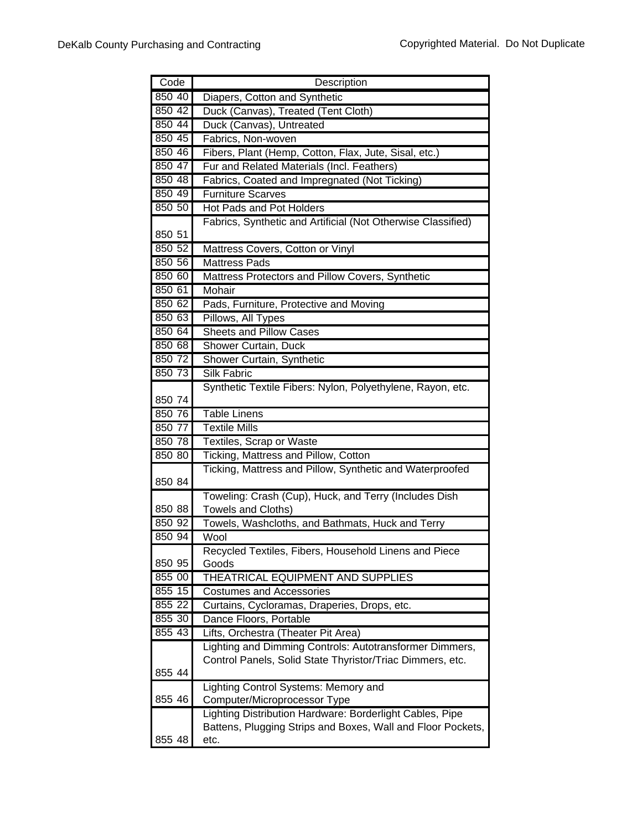| Code             | Description                                                                                                          |
|------------------|----------------------------------------------------------------------------------------------------------------------|
| 850 40           | Diapers, Cotton and Synthetic                                                                                        |
| 850 42           | Duck (Canvas), Treated (Tent Cloth)                                                                                  |
| 85044            | Duck (Canvas), Untreated                                                                                             |
| 850 45           | Fabrics, Non-woven                                                                                                   |
| 850 46           | Fibers, Plant (Hemp, Cotton, Flax, Jute, Sisal, etc.)                                                                |
| 850 47           | Fur and Related Materials (Incl. Feathers)                                                                           |
| 850 48           | Fabrics, Coated and Impregnated (Not Ticking)                                                                        |
| 850 49           | <b>Furniture Scarves</b>                                                                                             |
| 850 50           | <b>Hot Pads and Pot Holders</b>                                                                                      |
|                  | Fabrics, Synthetic and Artificial (Not Otherwise Classified)                                                         |
| 850 51           |                                                                                                                      |
| 850 52           | Mattress Covers, Cotton or Vinyl                                                                                     |
| 850 56           | <b>Mattress Pads</b>                                                                                                 |
| 850 60           | Mattress Protectors and Pillow Covers, Synthetic                                                                     |
| 850 61           | Mohair                                                                                                               |
| 850 62           | Pads, Furniture, Protective and Moving                                                                               |
| 850 63           | Pillows, All Types                                                                                                   |
| 850 64           | <b>Sheets and Pillow Cases</b>                                                                                       |
| 850 68           | Shower Curtain, Duck                                                                                                 |
| 850 72           | Shower Curtain, Synthetic                                                                                            |
| 850 73           | <b>Silk Fabric</b>                                                                                                   |
|                  | Synthetic Textile Fibers: Nylon, Polyethylene, Rayon, etc.                                                           |
| 850 74           |                                                                                                                      |
| 850 76           | <b>Table Linens</b>                                                                                                  |
| 850 77           | <b>Textile Mills</b>                                                                                                 |
| 850 78           | Textiles, Scrap or Waste                                                                                             |
| 850 80           | Ticking, Mattress and Pillow, Cotton                                                                                 |
|                  | Ticking, Mattress and Pillow, Synthetic and Waterproofed                                                             |
| 850 84           |                                                                                                                      |
|                  | Toweling: Crash (Cup), Huck, and Terry (Includes Dish                                                                |
| 850 88           | <b>Towels and Cloths)</b>                                                                                            |
| 850 92           | Towels, Washcloths, and Bathmats, Huck and Terry                                                                     |
| 850 94           | Wool                                                                                                                 |
|                  | Recycled Textiles, Fibers, Household Linens and Piece<br>Goods                                                       |
| 850 95<br>855 00 |                                                                                                                      |
|                  | THEATRICAL EQUIPMENT AND SUPPLIES                                                                                    |
| 855 15           | <b>Costumes and Accessories</b>                                                                                      |
| 855 22           | Curtains, Cycloramas, Draperies, Drops, etc.                                                                         |
| 855 30           | Dance Floors, Portable                                                                                               |
| 855 43           | Lifts, Orchestra (Theater Pit Area)                                                                                  |
|                  | Lighting and Dimming Controls: Autotransformer Dimmers,<br>Control Panels, Solid State Thyristor/Triac Dimmers, etc. |
| 855 44           |                                                                                                                      |
|                  | Lighting Control Systems: Memory and                                                                                 |
| 855 46           | Computer/Microprocessor Type                                                                                         |
|                  | Lighting Distribution Hardware: Borderlight Cables, Pipe                                                             |
|                  | Battens, Plugging Strips and Boxes, Wall and Floor Pockets,                                                          |
| 855 48           | etc.                                                                                                                 |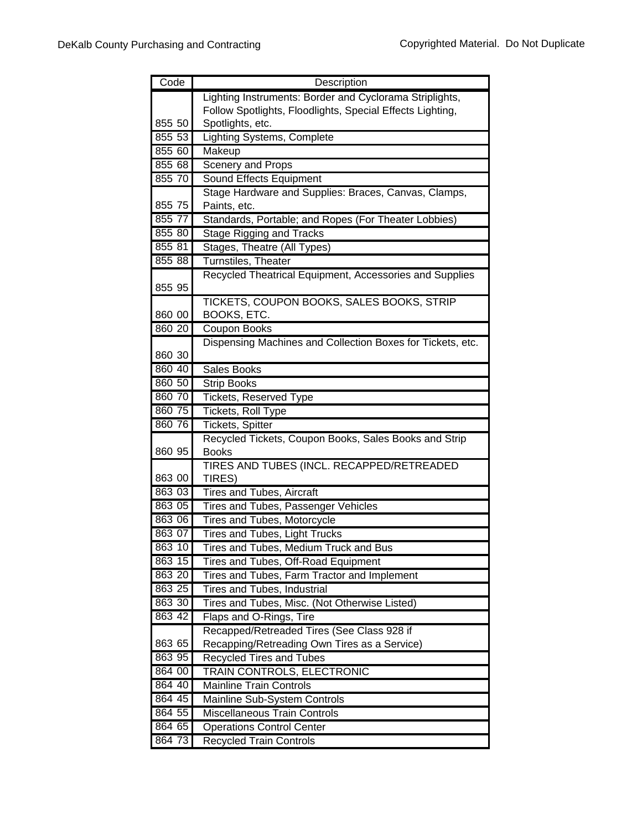| Code             | Description                                                                  |
|------------------|------------------------------------------------------------------------------|
|                  | Lighting Instruments: Border and Cyclorama Striplights,                      |
|                  | Follow Spotlights, Floodlights, Special Effects Lighting,                    |
| 855 50           | Spotlights, etc.                                                             |
| 855 53           | Lighting Systems, Complete                                                   |
| 85560            | Makeup                                                                       |
| 855 68           | Scenery and Props                                                            |
| 855 70           | <b>Sound Effects Equipment</b>                                               |
|                  | Stage Hardware and Supplies: Braces, Canvas, Clamps,                         |
| 855 75           | Paints, etc.                                                                 |
| 855 77           | Standards, Portable; and Ropes (For Theater Lobbies)                         |
| 855 80           | <b>Stage Rigging and Tracks</b>                                              |
| 855 81           | Stages, Theatre (All Types)                                                  |
| 855 88           | Turnstiles, Theater                                                          |
| 855 95           | Recycled Theatrical Equipment, Accessories and Supplies                      |
|                  | TICKETS, COUPON BOOKS, SALES BOOKS, STRIP                                    |
| 860 00           | BOOKS, ETC.                                                                  |
| 860 20           | Coupon Books                                                                 |
|                  | Dispensing Machines and Collection Boxes for Tickets, etc.                   |
| 860 30           |                                                                              |
| 860 40           | Sales Books                                                                  |
| 860 50           | Strip Books                                                                  |
| 860 70           | <b>Tickets, Reserved Type</b>                                                |
| 860 75           | Tickets, Roll Type                                                           |
| 860 76           | Tickets, Spitter                                                             |
|                  | Recycled Tickets, Coupon Books, Sales Books and Strip                        |
| 860 95           | <b>Books</b>                                                                 |
|                  | TIRES AND TUBES (INCL. RECAPPED/RETREADED                                    |
| 863 00           | TIRES)                                                                       |
| 863 03           | <b>Tires and Tubes, Aircraft</b>                                             |
| 863 05           | Tires and Tubes, Passenger Vehicles                                          |
| 863 06           | Tires and Tubes, Motorcycle                                                  |
| 863 07<br>863 10 | Tires and Tubes, Light Trucks                                                |
| 863 15           | Tires and Tubes, Medium Truck and Bus<br>Tires and Tubes, Off-Road Equipment |
| 863 20           | Tires and Tubes, Farm Tractor and Implement                                  |
| 863 25           | Tires and Tubes, Industrial                                                  |
| 863 30           | Tires and Tubes, Misc. (Not Otherwise Listed)                                |
| 863 42           | Flaps and O-Rings, Tire                                                      |
|                  | Recapped/Retreaded Tires (See Class 928 if                                   |
| 863 65           | Recapping/Retreading Own Tires as a Service)                                 |
| 863 95           | <b>Recycled Tires and Tubes</b>                                              |
| 864 00           | TRAIN CONTROLS, ELECTRONIC                                                   |
| 864 40           | <b>Mainline Train Controls</b>                                               |
| 864 45           | Mainline Sub-System Controls                                                 |
| 864 55           | <b>Miscellaneous Train Controls</b>                                          |
| 864 65           | <b>Operations Control Center</b>                                             |
| 864 73           | <b>Recycled Train Controls</b>                                               |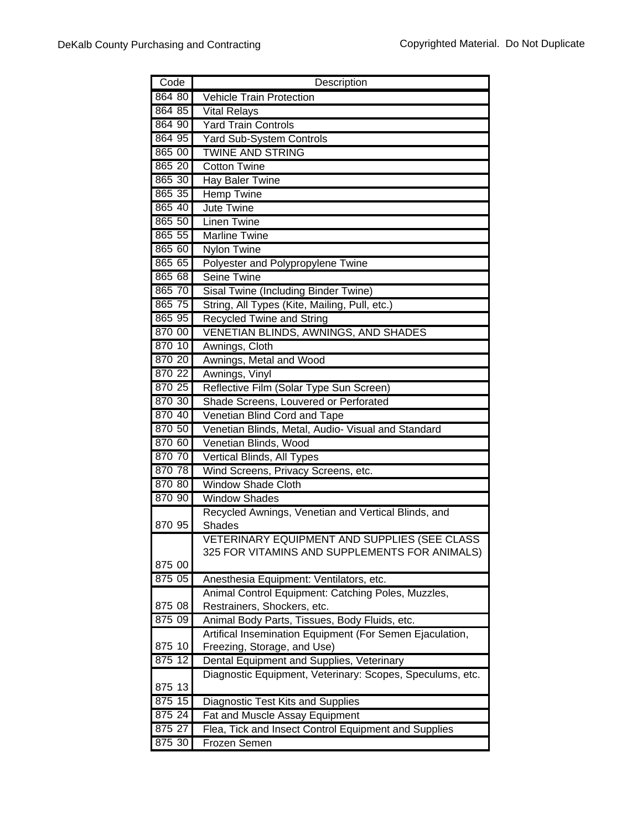| 864 80<br>Vehicle Train Protection                                                                     |  |
|--------------------------------------------------------------------------------------------------------|--|
| 864 85<br><b>Vital Relays</b>                                                                          |  |
| 864 90<br><b>Yard Train Controls</b>                                                                   |  |
| 864 95<br><b>Yard Sub-System Controls</b>                                                              |  |
| 865 00<br><b>TWINE AND STRING</b>                                                                      |  |
| 865 20<br><b>Cotton Twine</b>                                                                          |  |
| 865 30<br>Hay Baler Twine                                                                              |  |
| 865 35<br><b>Hemp Twine</b>                                                                            |  |
| 865 40<br>Jute Twine                                                                                   |  |
| 865 50<br><b>Linen Twine</b>                                                                           |  |
| 865 55<br><b>Marline Twine</b>                                                                         |  |
| 865 60<br><b>Nylon Twine</b>                                                                           |  |
| 865 65<br>Polyester and Polypropylene Twine                                                            |  |
| 865 68<br><b>Seine Twine</b>                                                                           |  |
| 865 70<br>Sisal Twine (Including Binder Twine)                                                         |  |
| 865 75<br>String, All Types (Kite, Mailing, Pull, etc.)                                                |  |
| 865 95<br><b>Recycled Twine and String</b>                                                             |  |
| 870 00<br>VENETIAN BLINDS, AWNINGS, AND SHADES                                                         |  |
| 870 10<br>Awnings, Cloth                                                                               |  |
| 870 20<br>Awnings, Metal and Wood                                                                      |  |
| 870 22<br>Awnings, Vinyl                                                                               |  |
| Reflective Film (Solar Type Sun Screen)<br>870 25                                                      |  |
| 870 30<br>Shade Screens, Louvered or Perforated                                                        |  |
| 870 40<br>Venetian Blind Cord and Tape                                                                 |  |
| 870 50<br>Venetian Blinds, Metal, Audio- Visual and Standard                                           |  |
| 870 60<br>Venetian Blinds, Wood                                                                        |  |
| 870 70<br>Vertical Blinds, All Types                                                                   |  |
| 870 78<br>Wind Screens, Privacy Screens, etc.                                                          |  |
| 870 80<br><b>Window Shade Cloth</b>                                                                    |  |
| 870 90<br><b>Window Shades</b>                                                                         |  |
| Recycled Awnings, Venetian and Vertical Blinds, and                                                    |  |
| 870 95<br>Shades                                                                                       |  |
| VETERINARY EQUIPMENT AND SUPPLIES (SEE CLASS                                                           |  |
| 325 FOR VITAMINS AND SUPPLEMENTS FOR ANIMALS)                                                          |  |
| 875 00                                                                                                 |  |
| 875 05<br>Anesthesia Equipment: Ventilators, etc.                                                      |  |
| Animal Control Equipment: Catching Poles, Muzzles,                                                     |  |
| Restrainers, Shockers, etc.<br>875 08                                                                  |  |
| 875 09<br>Animal Body Parts, Tissues, Body Fluids, etc.                                                |  |
| Artifical Insemination Equipment (For Semen Ejaculation,<br>875 10<br>Freezing, Storage, and Use)      |  |
| 875 12                                                                                                 |  |
| Dental Equipment and Supplies, Veterinary<br>Diagnostic Equipment, Veterinary: Scopes, Speculums, etc. |  |
| 875 13                                                                                                 |  |
| 875 15<br>Diagnostic Test Kits and Supplies                                                            |  |
| 875 24<br>Fat and Muscle Assay Equipment                                                               |  |
| 875 27<br>Flea, Tick and Insect Control Equipment and Supplies                                         |  |
| 875 30<br>Frozen Semen                                                                                 |  |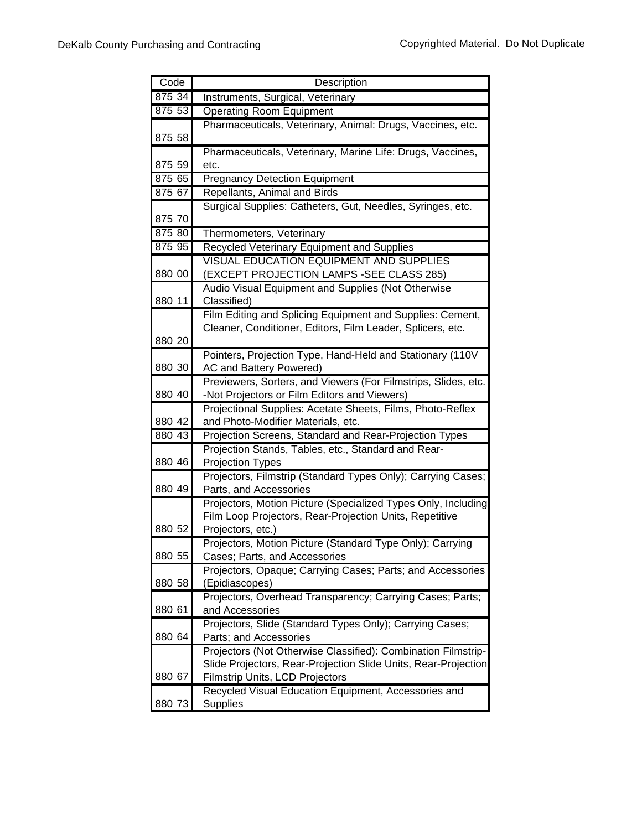| Code   | Description                                                                    |
|--------|--------------------------------------------------------------------------------|
| 875 34 | Instruments, Surgical, Veterinary                                              |
| 875 53 | <b>Operating Room Equipment</b>                                                |
|        | Pharmaceuticals, Veterinary, Animal: Drugs, Vaccines, etc.                     |
| 875 58 |                                                                                |
|        | Pharmaceuticals, Veterinary, Marine Life: Drugs, Vaccines,                     |
| 875 59 | etc.                                                                           |
| 875 65 | <b>Pregnancy Detection Equipment</b>                                           |
| 875 67 | Repellants, Animal and Birds                                                   |
|        | Surgical Supplies: Catheters, Gut, Needles, Syringes, etc.                     |
| 875 70 |                                                                                |
| 875 80 | Thermometers, Veterinary                                                       |
| 875 95 | Recycled Veterinary Equipment and Supplies                                     |
| 880 00 | <b>VISUAL EDUCATION EQUIPMENT AND SUPPLIES</b>                                 |
|        | (EXCEPT PROJECTION LAMPS -SEE CLASS 285)                                       |
| 880 11 | Audio Visual Equipment and Supplies (Not Otherwise<br>Classified)              |
|        | Film Editing and Splicing Equipment and Supplies: Cement,                      |
|        | Cleaner, Conditioner, Editors, Film Leader, Splicers, etc.                     |
| 880 20 |                                                                                |
|        | Pointers, Projection Type, Hand-Held and Stationary (110V                      |
| 880 30 | AC and Battery Powered)                                                        |
|        | Previewers, Sorters, and Viewers (For Filmstrips, Slides, etc.                 |
| 880 40 | -Not Projectors or Film Editors and Viewers)                                   |
|        | Projectional Supplies: Acetate Sheets, Films, Photo-Reflex                     |
| 880 42 | and Photo-Modifier Materials, etc.                                             |
| 880 43 | Projection Screens, Standard and Rear-Projection Types                         |
|        | Projection Stands, Tables, etc., Standard and Rear-                            |
| 880 46 | <b>Projection Types</b>                                                        |
|        | Projectors, Filmstrip (Standard Types Only); Carrying Cases;                   |
| 880 49 | Parts, and Accessories                                                         |
|        | Projectors, Motion Picture (Specialized Types Only, Including                  |
|        | Film Loop Projectors, Rear-Projection Units, Repetitive                        |
| 880 52 | Projectors, etc.)<br>Projectors, Motion Picture (Standard Type Only); Carrying |
| 880 55 | Cases; Parts, and Accessories                                                  |
|        | Projectors, Opaque; Carrying Cases; Parts; and Accessories                     |
| 880 58 | (Epidiascopes)                                                                 |
|        | Projectors, Overhead Transparency; Carrying Cases; Parts;                      |
| 880 61 | and Accessories                                                                |
|        | Projectors, Slide (Standard Types Only); Carrying Cases;                       |
| 880 64 | Parts; and Accessories                                                         |
|        | Projectors (Not Otherwise Classified): Combination Filmstrip-                  |
|        | Slide Projectors, Rear-Projection Slide Units, Rear-Projection                 |
| 880 67 | Filmstrip Units, LCD Projectors                                                |
|        | Recycled Visual Education Equipment, Accessories and                           |
| 880 73 | <b>Supplies</b>                                                                |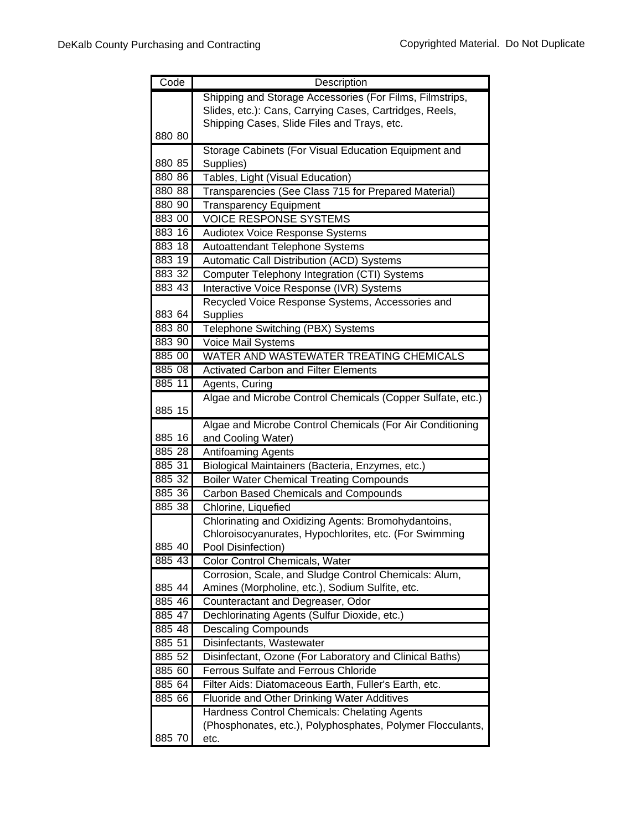| Code   | Description                                                |
|--------|------------------------------------------------------------|
|        | Shipping and Storage Accessories (For Films, Filmstrips,   |
|        | Slides, etc.): Cans, Carrying Cases, Cartridges, Reels,    |
|        | Shipping Cases, Slide Files and Trays, etc.                |
| 880 80 |                                                            |
|        | Storage Cabinets (For Visual Education Equipment and       |
| 880 85 | Supplies)                                                  |
| 880 86 | Tables, Light (Visual Education)                           |
| 880 88 | Transparencies (See Class 715 for Prepared Material)       |
| 880 90 | <b>Transparency Equipment</b>                              |
| 883 00 | <b>VOICE RESPONSE SYSTEMS</b>                              |
| 883 16 | Audiotex Voice Response Systems                            |
| 883 18 | Autoattendant Telephone Systems                            |
| 883 19 | <b>Automatic Call Distribution (ACD) Systems</b>           |
| 883 32 | Computer Telephony Integration (CTI) Systems               |
| 883 43 | Interactive Voice Response (IVR) Systems                   |
|        | Recycled Voice Response Systems, Accessories and           |
| 883 64 | Supplies                                                   |
| 883 80 | Telephone Switching (PBX) Systems                          |
| 883 90 | Voice Mail Systems                                         |
| 885 00 | WATER AND WASTEWATER TREATING CHEMICALS                    |
| 885 08 | <b>Activated Carbon and Filter Elements</b>                |
| 885 11 | Agents, Curing                                             |
| 885 15 | Algae and Microbe Control Chemicals (Copper Sulfate, etc.) |
|        | Algae and Microbe Control Chemicals (For Air Conditioning  |
| 885 16 | and Cooling Water)                                         |
| 885 28 | <b>Antifoaming Agents</b>                                  |
| 885 31 | Biological Maintainers (Bacteria, Enzymes, etc.)           |
| 885 32 | <b>Boiler Water Chemical Treating Compounds</b>            |
| 885 36 | Carbon Based Chemicals and Compounds                       |
| 885 38 | Chlorine, Liquefied                                        |
|        | Chlorinating and Oxidizing Agents: Bromohydantoins,        |
|        | Chloroisocyanurates, Hypochlorites, etc. (For Swimming     |
| 885 40 | Pool Disinfection)                                         |
| 885 43 | Color Control Chemicals, Water                             |
|        | Corrosion, Scale, and Sludge Control Chemicals: Alum,      |
| 885 44 | Amines (Morpholine, etc.), Sodium Sulfite, etc.            |
| 885 46 | Counteractant and Degreaser, Odor                          |
| 885 47 | Dechlorinating Agents (Sulfur Dioxide, etc.)               |
| 885 48 | <b>Descaling Compounds</b>                                 |
| 885 51 | Disinfectants, Wastewater                                  |
| 885 52 | Disinfectant, Ozone (For Laboratory and Clinical Baths)    |
| 885 60 | <b>Ferrous Sulfate and Ferrous Chloride</b>                |
| 885 64 | Filter Aids: Diatomaceous Earth, Fuller's Earth, etc.      |
| 885 66 | <b>Fluoride and Other Drinking Water Additives</b>         |
|        | Hardness Control Chemicals: Chelating Agents               |
|        | (Phosphonates, etc.), Polyphosphates, Polymer Flocculants, |
| 885 70 | etc.                                                       |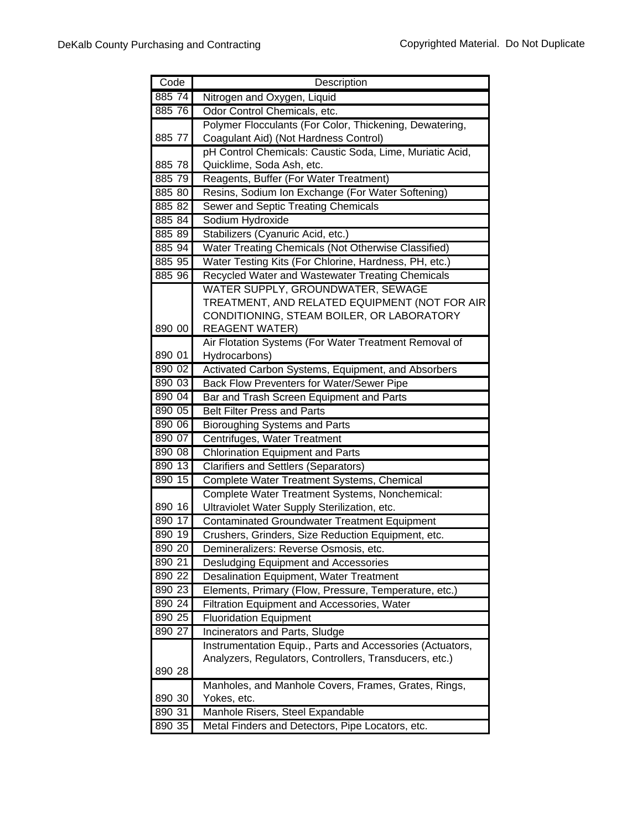| Code   | Description                                               |
|--------|-----------------------------------------------------------|
| 885 74 | Nitrogen and Oxygen, Liquid                               |
| 885 76 | Odor Control Chemicals, etc.                              |
|        | Polymer Flocculants (For Color, Thickening, Dewatering,   |
| 885 77 | Coagulant Aid) (Not Hardness Control)                     |
|        | pH Control Chemicals: Caustic Soda, Lime, Muriatic Acid,  |
| 885 78 | Quicklime, Soda Ash, etc.                                 |
| 88579  | Reagents, Buffer (For Water Treatment)                    |
| 885 80 | Resins, Sodium Ion Exchange (For Water Softening)         |
| 885 82 | Sewer and Septic Treating Chemicals                       |
| 885 84 | Sodium Hydroxide                                          |
| 885 89 | Stabilizers (Cyanuric Acid, etc.)                         |
| 885 94 | Water Treating Chemicals (Not Otherwise Classified)       |
| 885 95 | Water Testing Kits (For Chlorine, Hardness, PH, etc.)     |
| 885 96 | Recycled Water and Wastewater Treating Chemicals          |
|        | WATER SUPPLY, GROUNDWATER, SEWAGE                         |
|        | TREATMENT, AND RELATED EQUIPMENT (NOT FOR AIR             |
|        | CONDITIONING, STEAM BOILER, OR LABORATORY                 |
| 890 00 | <b>REAGENT WATER)</b>                                     |
|        | Air Flotation Systems (For Water Treatment Removal of     |
| 890 01 | Hydrocarbons)                                             |
| 890 02 | Activated Carbon Systems, Equipment, and Absorbers        |
| 890 03 | Back Flow Preventers for Water/Sewer Pipe                 |
| 890 04 | Bar and Trash Screen Equipment and Parts                  |
| 890 05 | <b>Belt Filter Press and Parts</b>                        |
| 890 06 | <b>Bioroughing Systems and Parts</b>                      |
| 890 07 | Centrifuges, Water Treatment                              |
| 890 08 | <b>Chlorination Equipment and Parts</b>                   |
| 890 13 | <b>Clarifiers and Settlers (Separators)</b>               |
| 890 15 | Complete Water Treatment Systems, Chemical                |
|        | Complete Water Treatment Systems, Nonchemical:            |
| 890 16 | Ultraviolet Water Supply Sterilization, etc.              |
| 890 17 | <b>Contaminated Groundwater Treatment Equipment</b>       |
| 890 19 | Crushers, Grinders, Size Reduction Equipment, etc.        |
| 890 20 | Demineralizers: Reverse Osmosis, etc.                     |
| 890 21 | Desludging Equipment and Accessories                      |
| 890 22 | Desalination Equipment, Water Treatment                   |
| 890 23 | Elements, Primary (Flow, Pressure, Temperature, etc.)     |
| 890 24 | Filtration Equipment and Accessories, Water               |
| 890 25 | <b>Fluoridation Equipment</b>                             |
| 890 27 | Incinerators and Parts, Sludge                            |
|        | Instrumentation Equip., Parts and Accessories (Actuators, |
| 890 28 | Analyzers, Regulators, Controllers, Transducers, etc.)    |
|        | Manholes, and Manhole Covers, Frames, Grates, Rings,      |
| 890 30 | Yokes, etc.                                               |
| 890 31 | Manhole Risers, Steel Expandable                          |
| 890 35 | Metal Finders and Detectors, Pipe Locators, etc.          |
|        |                                                           |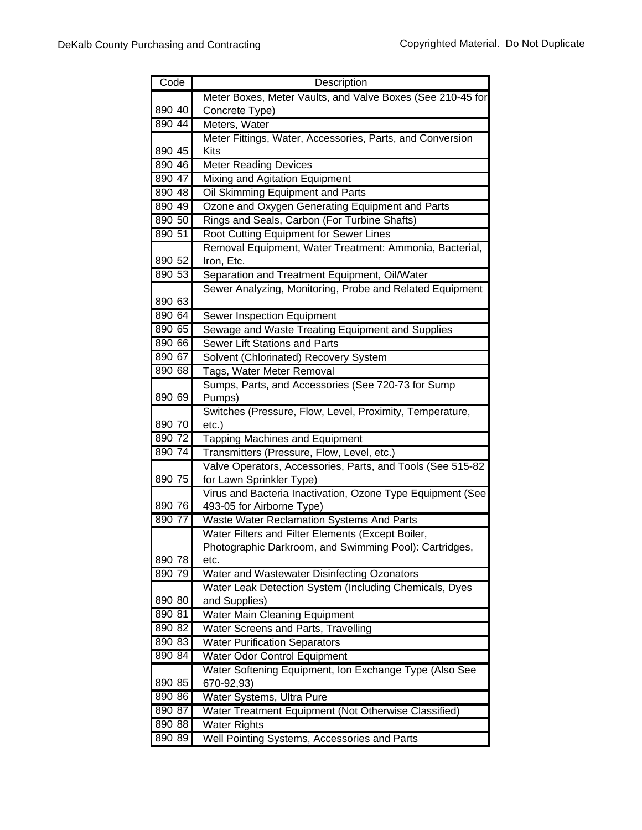| Code                                                                                                                 | Description                                                                                                                                                                                                                                                                                                                                                                                                                                                                                                                                                                                                                                     |
|----------------------------------------------------------------------------------------------------------------------|-------------------------------------------------------------------------------------------------------------------------------------------------------------------------------------------------------------------------------------------------------------------------------------------------------------------------------------------------------------------------------------------------------------------------------------------------------------------------------------------------------------------------------------------------------------------------------------------------------------------------------------------------|
|                                                                                                                      | Meter Boxes, Meter Vaults, and Valve Boxes (See 210-45 for                                                                                                                                                                                                                                                                                                                                                                                                                                                                                                                                                                                      |
| 890 40                                                                                                               | Concrete Type)                                                                                                                                                                                                                                                                                                                                                                                                                                                                                                                                                                                                                                  |
| 890 44                                                                                                               | Meters, Water                                                                                                                                                                                                                                                                                                                                                                                                                                                                                                                                                                                                                                   |
|                                                                                                                      | Meter Fittings, Water, Accessories, Parts, and Conversion                                                                                                                                                                                                                                                                                                                                                                                                                                                                                                                                                                                       |
| 890 45                                                                                                               | <b>Kits</b>                                                                                                                                                                                                                                                                                                                                                                                                                                                                                                                                                                                                                                     |
| 890 46                                                                                                               | <b>Meter Reading Devices</b>                                                                                                                                                                                                                                                                                                                                                                                                                                                                                                                                                                                                                    |
| 890 47                                                                                                               | Mixing and Agitation Equipment                                                                                                                                                                                                                                                                                                                                                                                                                                                                                                                                                                                                                  |
| 890 48                                                                                                               | Oil Skimming Equipment and Parts                                                                                                                                                                                                                                                                                                                                                                                                                                                                                                                                                                                                                |
| 890 49                                                                                                               | Ozone and Oxygen Generating Equipment and Parts                                                                                                                                                                                                                                                                                                                                                                                                                                                                                                                                                                                                 |
| 890 50                                                                                                               | Rings and Seals, Carbon (For Turbine Shafts)                                                                                                                                                                                                                                                                                                                                                                                                                                                                                                                                                                                                    |
| 890 51                                                                                                               | Root Cutting Equipment for Sewer Lines                                                                                                                                                                                                                                                                                                                                                                                                                                                                                                                                                                                                          |
|                                                                                                                      | Removal Equipment, Water Treatment: Ammonia, Bacterial,                                                                                                                                                                                                                                                                                                                                                                                                                                                                                                                                                                                         |
| 890 52                                                                                                               | Iron, Etc.                                                                                                                                                                                                                                                                                                                                                                                                                                                                                                                                                                                                                                      |
| 890 53                                                                                                               | Separation and Treatment Equipment, Oil/Water                                                                                                                                                                                                                                                                                                                                                                                                                                                                                                                                                                                                   |
|                                                                                                                      | Sewer Analyzing, Monitoring, Probe and Related Equipment                                                                                                                                                                                                                                                                                                                                                                                                                                                                                                                                                                                        |
| 890 63                                                                                                               |                                                                                                                                                                                                                                                                                                                                                                                                                                                                                                                                                                                                                                                 |
| 890 64                                                                                                               | Sewer Inspection Equipment                                                                                                                                                                                                                                                                                                                                                                                                                                                                                                                                                                                                                      |
| 890 65                                                                                                               | Sewage and Waste Treating Equipment and Supplies                                                                                                                                                                                                                                                                                                                                                                                                                                                                                                                                                                                                |
| 890 66                                                                                                               | Sewer Lift Stations and Parts                                                                                                                                                                                                                                                                                                                                                                                                                                                                                                                                                                                                                   |
| 890 67                                                                                                               | Solvent (Chlorinated) Recovery System                                                                                                                                                                                                                                                                                                                                                                                                                                                                                                                                                                                                           |
| 890 68                                                                                                               | Tags, Water Meter Removal                                                                                                                                                                                                                                                                                                                                                                                                                                                                                                                                                                                                                       |
|                                                                                                                      | Sumps, Parts, and Accessories (See 720-73 for Sump                                                                                                                                                                                                                                                                                                                                                                                                                                                                                                                                                                                              |
| 890 69                                                                                                               | Pumps)                                                                                                                                                                                                                                                                                                                                                                                                                                                                                                                                                                                                                                          |
|                                                                                                                      | Switches (Pressure, Flow, Level, Proximity, Temperature,                                                                                                                                                                                                                                                                                                                                                                                                                                                                                                                                                                                        |
| 890 70                                                                                                               | $etc.$ )                                                                                                                                                                                                                                                                                                                                                                                                                                                                                                                                                                                                                                        |
| 890 72                                                                                                               | <b>Tapping Machines and Equipment</b>                                                                                                                                                                                                                                                                                                                                                                                                                                                                                                                                                                                                           |
| 890 74                                                                                                               | Transmitters (Pressure, Flow, Level, etc.)                                                                                                                                                                                                                                                                                                                                                                                                                                                                                                                                                                                                      |
|                                                                                                                      | Valve Operators, Accessories, Parts, and Tools (See 515-82                                                                                                                                                                                                                                                                                                                                                                                                                                                                                                                                                                                      |
| 890 75                                                                                                               | for Lawn Sprinkler Type)                                                                                                                                                                                                                                                                                                                                                                                                                                                                                                                                                                                                                        |
|                                                                                                                      | Virus and Bacteria Inactivation, Ozone Type Equipment (See                                                                                                                                                                                                                                                                                                                                                                                                                                                                                                                                                                                      |
| 890 76                                                                                                               | 493-05 for Airborne Type)                                                                                                                                                                                                                                                                                                                                                                                                                                                                                                                                                                                                                       |
| 890 77                                                                                                               | Waste Water Reclamation Systems And Parts                                                                                                                                                                                                                                                                                                                                                                                                                                                                                                                                                                                                       |
|                                                                                                                      |                                                                                                                                                                                                                                                                                                                                                                                                                                                                                                                                                                                                                                                 |
|                                                                                                                      |                                                                                                                                                                                                                                                                                                                                                                                                                                                                                                                                                                                                                                                 |
|                                                                                                                      |                                                                                                                                                                                                                                                                                                                                                                                                                                                                                                                                                                                                                                                 |
|                                                                                                                      |                                                                                                                                                                                                                                                                                                                                                                                                                                                                                                                                                                                                                                                 |
|                                                                                                                      |                                                                                                                                                                                                                                                                                                                                                                                                                                                                                                                                                                                                                                                 |
|                                                                                                                      |                                                                                                                                                                                                                                                                                                                                                                                                                                                                                                                                                                                                                                                 |
|                                                                                                                      |                                                                                                                                                                                                                                                                                                                                                                                                                                                                                                                                                                                                                                                 |
|                                                                                                                      |                                                                                                                                                                                                                                                                                                                                                                                                                                                                                                                                                                                                                                                 |
|                                                                                                                      |                                                                                                                                                                                                                                                                                                                                                                                                                                                                                                                                                                                                                                                 |
|                                                                                                                      |                                                                                                                                                                                                                                                                                                                                                                                                                                                                                                                                                                                                                                                 |
|                                                                                                                      |                                                                                                                                                                                                                                                                                                                                                                                                                                                                                                                                                                                                                                                 |
|                                                                                                                      |                                                                                                                                                                                                                                                                                                                                                                                                                                                                                                                                                                                                                                                 |
|                                                                                                                      |                                                                                                                                                                                                                                                                                                                                                                                                                                                                                                                                                                                                                                                 |
|                                                                                                                      |                                                                                                                                                                                                                                                                                                                                                                                                                                                                                                                                                                                                                                                 |
|                                                                                                                      |                                                                                                                                                                                                                                                                                                                                                                                                                                                                                                                                                                                                                                                 |
| 890 78<br>890 79<br>890 80<br>890 81<br>890 82<br>890 83<br>890 84<br>890 85<br>890 86<br>890 87<br>890 88<br>890 89 | Water Filters and Filter Elements (Except Boiler,<br>Photographic Darkroom, and Swimming Pool): Cartridges,<br>etc.<br>Water and Wastewater Disinfecting Ozonators<br>Water Leak Detection System (Including Chemicals, Dyes<br>and Supplies)<br><b>Water Main Cleaning Equipment</b><br>Water Screens and Parts, Travelling<br><b>Water Purification Separators</b><br><b>Water Odor Control Equipment</b><br>Water Softening Equipment, Ion Exchange Type (Also See<br>670-92,93)<br>Water Systems, Ultra Pure<br>Water Treatment Equipment (Not Otherwise Classified)<br><b>Water Rights</b><br>Well Pointing Systems, Accessories and Parts |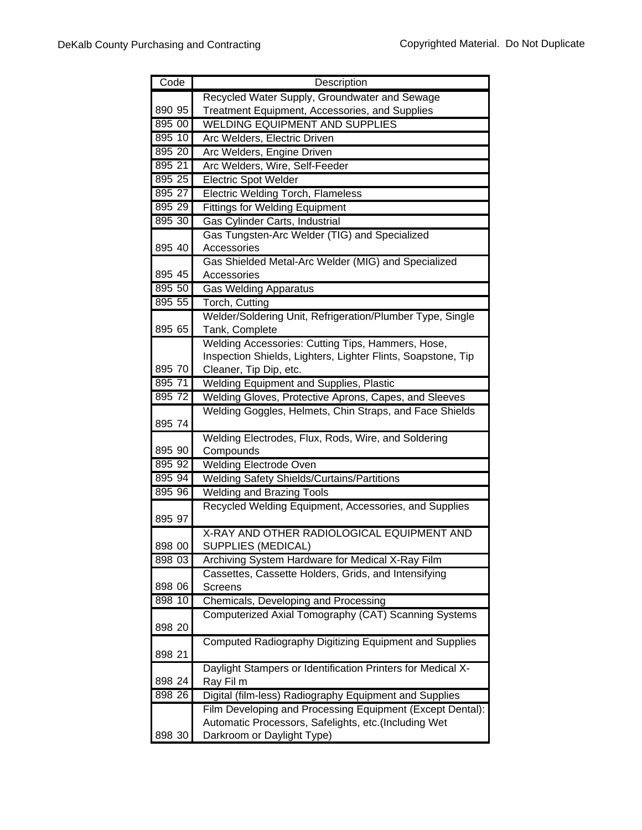| Code             | Description                                                  |
|------------------|--------------------------------------------------------------|
|                  | Recycled Water Supply, Groundwater and Sewage                |
| 890 95           | Treatment Equipment, Accessories, and Supplies               |
| 895 00           | <b>WELDING EQUIPMENT AND SUPPLIES</b>                        |
| 895 10           | Arc Welders, Electric Driven                                 |
| 895 20           | Arc Welders, Engine Driven                                   |
| 895 21           | Arc Welders, Wire, Self-Feeder                               |
| 895 25           | Electric Spot Welder                                         |
| 895 27           | <b>Electric Welding Torch, Flameless</b>                     |
| 895 29           | <b>Fittings for Welding Equipment</b>                        |
| 895 30           | Gas Cylinder Carts, Industrial                               |
|                  | Gas Tungsten-Arc Welder (TIG) and Specialized                |
| 895 40           | Accessories                                                  |
|                  | Gas Shielded Metal-Arc Welder (MIG) and Specialized          |
| 895 45           | Accessories                                                  |
| 895 50           | <b>Gas Welding Apparatus</b>                                 |
| 895 55           | Torch, Cutting                                               |
|                  | Welder/Soldering Unit, Refrigeration/Plumber Type, Single    |
| 895 65           | Tank, Complete                                               |
|                  | Welding Accessories: Cutting Tips, Hammers, Hose,            |
|                  | Inspection Shields, Lighters, Lighter Flints, Soapstone, Tip |
| 895 70           | Cleaner, Tip Dip, etc.                                       |
| 895 71           | Welding Equipment and Supplies, Plastic                      |
| 895 72           | Welding Gloves, Protective Aprons, Capes, and Sleeves        |
|                  | Welding Goggles, Helmets, Chin Straps, and Face Shields      |
| 895 74           |                                                              |
|                  | Welding Electrodes, Flux, Rods, Wire, and Soldering          |
| 895 90           | Compounds                                                    |
| 895 92           | <b>Welding Electrode Oven</b>                                |
| 895 94           | <b>Welding Safety Shields/Curtains/Partitions</b>            |
| 895 96           | <b>Welding and Brazing Tools</b>                             |
|                  | Recycled Welding Equipment, Accessories, and Supplies        |
| 895 97           |                                                              |
|                  | X-RAY AND OTHER RADIOLOGICAL EQUIPMENT AND                   |
| 898 00           | SUPPLIES (MEDICAL)                                           |
| 898 03           | Archiving System Hardware for Medical X-Ray Film             |
|                  | Cassettes, Cassette Holders, Grids, and Intensifying         |
| 898 06<br>898 10 | <b>Screens</b>                                               |
|                  | Chemicals, Developing and Processing                         |
| 898 20           | Computerized Axial Tomography (CAT) Scanning Systems         |
|                  |                                                              |
| 898 21           | Computed Radiography Digitizing Equipment and Supplies       |
|                  | Daylight Stampers or Identification Printers for Medical X-  |
| 898 24           | Ray Fil m                                                    |
| 898 26           | Digital (film-less) Radiography Equipment and Supplies       |
|                  | Film Developing and Processing Equipment (Except Dental):    |
|                  | Automatic Processors, Safelights, etc.(Including Wet         |
| 898 30           | Darkroom or Daylight Type)                                   |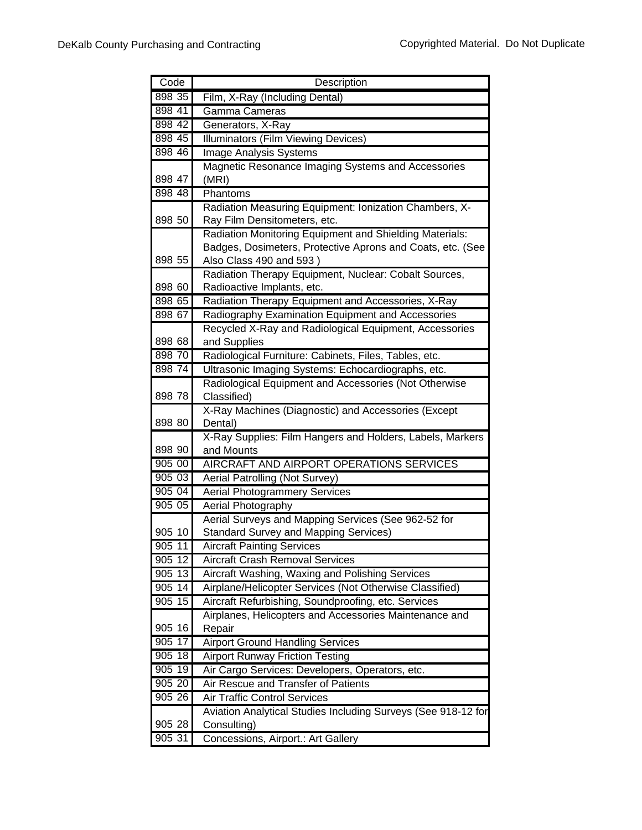| Code             | Description                                                                                                 |
|------------------|-------------------------------------------------------------------------------------------------------------|
| 898 35           | Film, X-Ray (Including Dental)                                                                              |
| 898 41           | Gamma Cameras                                                                                               |
| 898 42           | Generators, X-Ray                                                                                           |
| 898 45           | <b>Illuminators (Film Viewing Devices)</b>                                                                  |
| 898 46           | <b>Image Analysis Systems</b>                                                                               |
|                  | Magnetic Resonance Imaging Systems and Accessories                                                          |
| 898 47           | (MRI)                                                                                                       |
| 898 48           | Phantoms                                                                                                    |
|                  | Radiation Measuring Equipment: Ionization Chambers, X-                                                      |
| 898 50           | Ray Film Densitometers, etc.                                                                                |
|                  | Radiation Monitoring Equipment and Shielding Materials:                                                     |
|                  | Badges, Dosimeters, Protective Aprons and Coats, etc. (See                                                  |
| 898 55           | Also Class 490 and 593)                                                                                     |
|                  | Radiation Therapy Equipment, Nuclear: Cobalt Sources,                                                       |
| 898 60           | Radioactive Implants, etc.                                                                                  |
| 898 65           | Radiation Therapy Equipment and Accessories, X-Ray                                                          |
| 898 67           | Radiography Examination Equipment and Accessories                                                           |
| 898 68           | Recycled X-Ray and Radiological Equipment, Accessories<br>and Supplies                                      |
| 898 70           |                                                                                                             |
| 898 74           | Radiological Furniture: Cabinets, Files, Tables, etc.<br>Ultrasonic Imaging Systems: Echocardiographs, etc. |
|                  | Radiological Equipment and Accessories (Not Otherwise                                                       |
| 898 78           | Classified)                                                                                                 |
|                  | X-Ray Machines (Diagnostic) and Accessories (Except                                                         |
| 898 80           | Dental)                                                                                                     |
|                  | X-Ray Supplies: Film Hangers and Holders, Labels, Markers                                                   |
| 898 90           | and Mounts                                                                                                  |
| 905 00           | AIRCRAFT AND AIRPORT OPERATIONS SERVICES                                                                    |
| 905 03           | Aerial Patrolling (Not Survey)                                                                              |
| 905 04           | <b>Aerial Photogrammery Services</b>                                                                        |
| 905 05           | Aerial Photography                                                                                          |
|                  | Aerial Surveys and Mapping Services (See 962-52 for                                                         |
| 905 10           | <b>Standard Survey and Mapping Services)</b>                                                                |
| $905\,11$        | <b>Aircraft Painting Services</b>                                                                           |
| 905 12           | <b>Aircraft Crash Removal Services</b>                                                                      |
| 905 13           | Aircraft Washing, Waxing and Polishing Services                                                             |
| 905 14           | Airplane/Helicopter Services (Not Otherwise Classified)                                                     |
| $905$ 15         | Aircraft Refurbishing, Soundproofing, etc. Services                                                         |
|                  | Airplanes, Helicopters and Accessories Maintenance and                                                      |
| 905 16           | Repair                                                                                                      |
| 905 17<br>905 18 | <b>Airport Ground Handling Services</b><br><b>Airport Runway Friction Testing</b>                           |
| 905 19           |                                                                                                             |
| 905 20           | Air Cargo Services: Developers, Operators, etc.<br>Air Rescue and Transfer of Patients                      |
| 905 26           | <b>Air Traffic Control Services</b>                                                                         |
|                  | Aviation Analytical Studies Including Surveys (See 918-12 for                                               |
| 905 28           | Consulting)                                                                                                 |
| 905 31           | Concessions, Airport.: Art Gallery                                                                          |
|                  |                                                                                                             |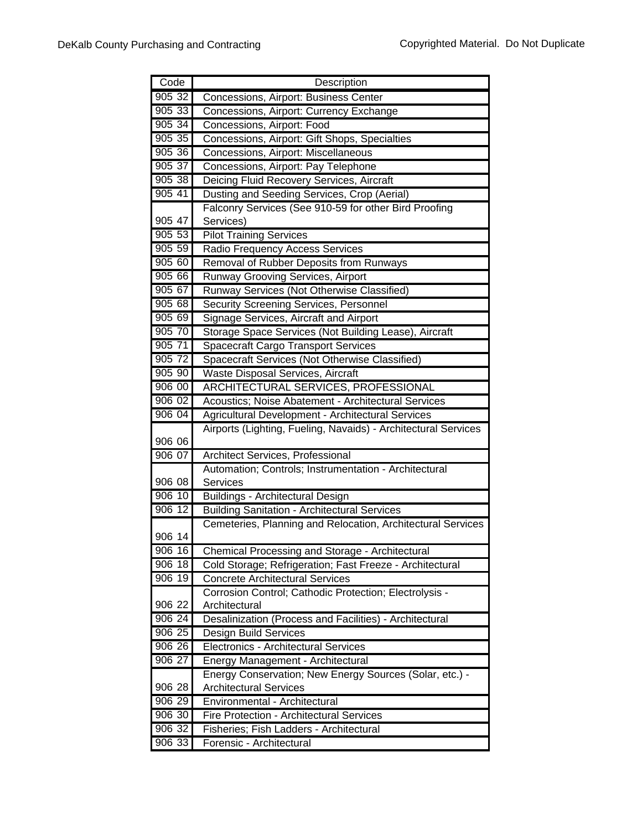| Code      | Description                                                    |
|-----------|----------------------------------------------------------------|
| 905 32    | Concessions, Airport: Business Center                          |
| 905 33    | Concessions, Airport: Currency Exchange                        |
| 90534     | Concessions, Airport: Food                                     |
| 905 35    | Concessions, Airport: Gift Shops, Specialties                  |
| 905 36    | Concessions, Airport: Miscellaneous                            |
| 905 37    | Concessions, Airport: Pay Telephone                            |
| 905 38    | Deicing Fluid Recovery Services, Aircraft                      |
| 905 41    | Dusting and Seeding Services, Crop (Aerial)                    |
|           | Falconry Services (See 910-59 for other Bird Proofing          |
| 905 47    | Services)                                                      |
| 90553     | <b>Pilot Training Services</b>                                 |
| 90559     | Radio Frequency Access Services                                |
| 905 60    | Removal of Rubber Deposits from Runways                        |
| 905 66    | Runway Grooving Services, Airport                              |
| 905 67    | Runway Services (Not Otherwise Classified)                     |
| 905 68    | <b>Security Screening Services, Personnel</b>                  |
| 90569     | Signage Services, Aircraft and Airport                         |
| 905 70    | Storage Space Services (Not Building Lease), Aircraft          |
| 905 71    | <b>Spacecraft Cargo Transport Services</b>                     |
| 905 72    | Spacecraft Services (Not Otherwise Classified)                 |
| 905 90    | Waste Disposal Services, Aircraft                              |
| 906 00    | ARCHITECTURAL SERVICES, PROFESSIONAL                           |
| 906 02    | Acoustics; Noise Abatement - Architectural Services            |
| 906 04    | Agricultural Development - Architectural Services              |
|           | Airports (Lighting, Fueling, Navaids) - Architectural Services |
| 906 06    |                                                                |
| 906 07    | Architect Services, Professional                               |
|           | Automation; Controls; Instrumentation - Architectural          |
| 906 08    | Services                                                       |
| 906 10    | Buildings - Architectural Design                               |
| 906 12    | <b>Building Sanitation - Architectural Services</b>            |
|           | Cemeteries, Planning and Relocation, Architectural Services    |
| 906 14    |                                                                |
| 906 16    | Chemical Processing and Storage - Architectural                |
| 906 18    | Cold Storage; Refrigeration; Fast Freeze - Architectural       |
| 906 19    | <b>Concrete Architectural Services</b>                         |
|           | Corrosion Control; Cathodic Protection; Electrolysis -         |
| 906 22    | Architectural                                                  |
| 906 24    | Desalinization (Process and Facilities) - Architectural        |
| 906 25    | Design Build Services                                          |
| $906\,26$ | Electronics - Architectural Services                           |
| 906 27    | Energy Management - Architectural                              |
|           | Energy Conservation; New Energy Sources (Solar, etc.) -        |
| 906 28    | <b>Architectural Services</b>                                  |
| 906 29    | Environmental - Architectural                                  |
| 906 30    | Fire Protection - Architectural Services                       |
| 906 32    | Fisheries; Fish Ladders - Architectural                        |
| 906 33    | Forensic - Architectural                                       |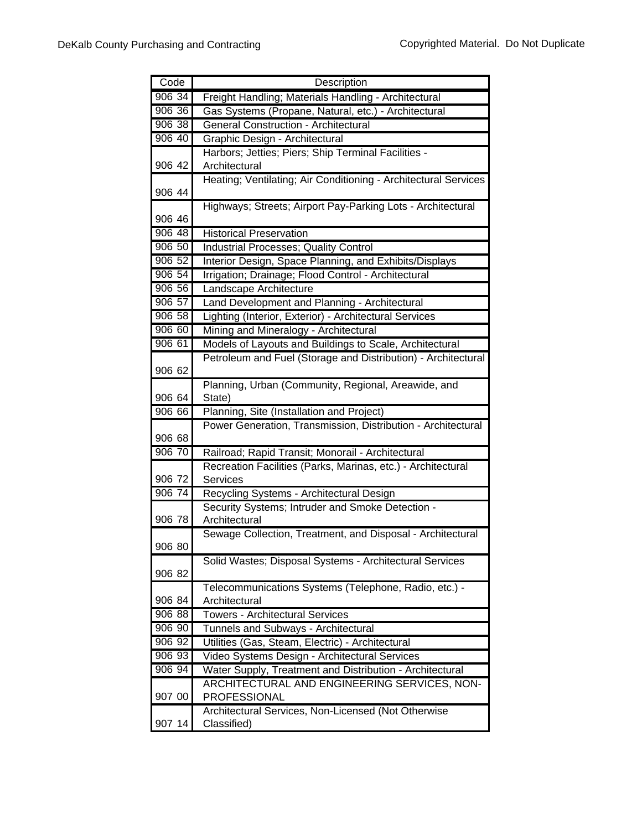| Code               | Description                                                     |
|--------------------|-----------------------------------------------------------------|
| 90634              | Freight Handling; Materials Handling - Architectural            |
| 906 36             | Gas Systems (Propane, Natural, etc.) - Architectural            |
| 906 38             | <b>General Construction - Architectural</b>                     |
| 906 40             | Graphic Design - Architectural                                  |
|                    | Harbors; Jetties; Piers; Ship Terminal Facilities -             |
| 906 42             | Architectural                                                   |
|                    | Heating; Ventilating; Air Conditioning - Architectural Services |
| 906 44             |                                                                 |
|                    | Highways; Streets; Airport Pay-Parking Lots - Architectural     |
| 906 46             |                                                                 |
| 906 48             | <b>Historical Preservation</b>                                  |
| 906 50             | Industrial Processes; Quality Control                           |
| 906 52             | Interior Design, Space Planning, and Exhibits/Displays          |
| 906 54             | Irrigation; Drainage; Flood Control - Architectural             |
| $906\,56$          | Landscape Architecture                                          |
| 906 57             | Land Development and Planning - Architectural                   |
| 906 58             | Lighting (Interior, Exterior) - Architectural Services          |
| 906 60             | Mining and Mineralogy - Architectural                           |
| 906 61             | Models of Layouts and Buildings to Scale, Architectural         |
|                    | Petroleum and Fuel (Storage and Distribution) - Architectural   |
| 906 62             |                                                                 |
|                    | Planning, Urban (Community, Regional, Areawide, and             |
| 906 64             | State)                                                          |
| 906 66             | Planning, Site (Installation and Project)                       |
|                    | Power Generation, Transmission, Distribution - Architectural    |
| 906 68             |                                                                 |
| 906 70             | Railroad; Rapid Transit; Monorail - Architectural               |
|                    | Recreation Facilities (Parks, Marinas, etc.) - Architectural    |
| 906 72             | <b>Services</b>                                                 |
| 906 74             | Recycling Systems - Architectural Design                        |
|                    | Security Systems; Intruder and Smoke Detection -                |
| 906 78             | Architectural                                                   |
| 906 80             | Sewage Collection, Treatment, and Disposal - Architectural      |
|                    | Solid Wastes; Disposal Systems - Architectural Services         |
| 906 82             |                                                                 |
|                    | Telecommunications Systems (Telephone, Radio, etc.) -           |
| 906 84             | Architectural                                                   |
| 906 88             | <b>Towers - Architectural Services</b>                          |
| 906 90             | Tunnels and Subways - Architectural                             |
| 906 92             | Utilities (Gas, Steam, Electric) - Architectural                |
| 906 93             | Video Systems Design - Architectural Services                   |
| $\frac{1}{906}$ 94 | Water Supply, Treatment and Distribution - Architectural        |
|                    | ARCHITECTURAL AND ENGINEERING SERVICES, NON-                    |
| 907 00             | <b>PROFESSIONAL</b>                                             |
|                    | Architectural Services, Non-Licensed (Not Otherwise             |
| 907 14             | Classified)                                                     |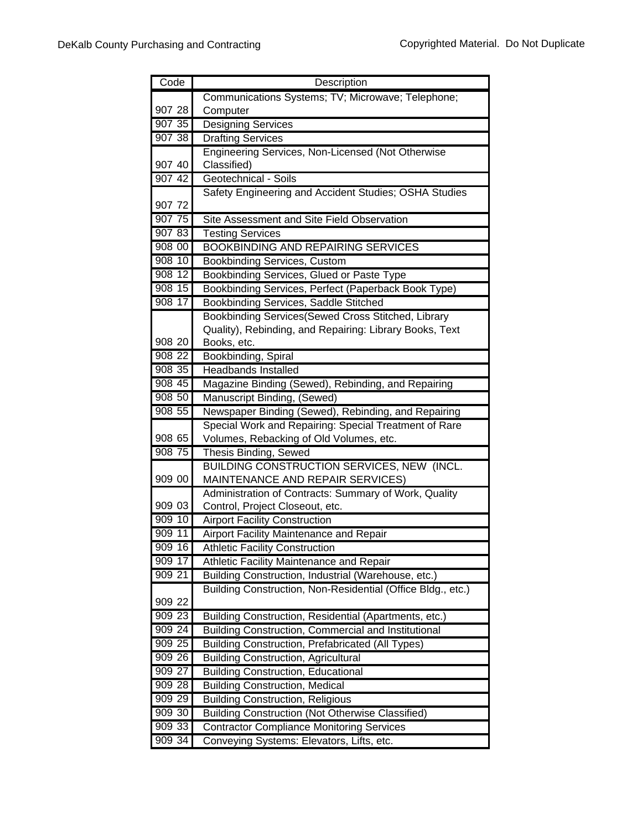| Code                | Description                                                                        |
|---------------------|------------------------------------------------------------------------------------|
|                     | Communications Systems; TV; Microwave; Telephone;                                  |
| 907 28              | Computer                                                                           |
| 907 35              | <b>Designing Services</b>                                                          |
| 907 38              | <b>Drafting Services</b>                                                           |
|                     | Engineering Services, Non-Licensed (Not Otherwise                                  |
| 907 40              | Classified)                                                                        |
| 907 42              | Geotechnical - Soils                                                               |
|                     | Safety Engineering and Accident Studies; OSHA Studies                              |
| 907 72              |                                                                                    |
| $\overline{907}$ 75 | Site Assessment and Site Field Observation                                         |
| 907 83              | <b>Testing Services</b>                                                            |
| 908 00              | <b>BOOKBINDING AND REPAIRING SERVICES</b>                                          |
| 908 10              | <b>Bookbinding Services, Custom</b>                                                |
| 908 12              | Bookbinding Services, Glued or Paste Type                                          |
| 908 15              | Bookbinding Services, Perfect (Paperback Book Type)                                |
| 90817               | Bookbinding Services, Saddle Stitched                                              |
|                     | Bookbinding Services(Sewed Cross Stitched, Library                                 |
| 908 20              | Quality), Rebinding, and Repairing: Library Books, Text                            |
| 908 22              | Books, etc.                                                                        |
| 908 35              | Bookbinding, Spiral<br><b>Headbands Installed</b>                                  |
| 908 45              |                                                                                    |
| 908 50              | Magazine Binding (Sewed), Rebinding, and Repairing                                 |
| 908 55              | Manuscript Binding, (Sewed)<br>Newspaper Binding (Sewed), Rebinding, and Repairing |
|                     | Special Work and Repairing: Special Treatment of Rare                              |
| 908 65              | Volumes, Rebacking of Old Volumes, etc.                                            |
| 908 75              | Thesis Binding, Sewed                                                              |
|                     | BUILDING CONSTRUCTION SERVICES, NEW (INCL.                                         |
| 909 00              | MAINTENANCE AND REPAIR SERVICES)                                                   |
|                     | Administration of Contracts: Summary of Work, Quality                              |
| 909 03              | Control, Project Closeout, etc.                                                    |
| 909 10              | <b>Airport Facility Construction</b>                                               |
| 909 11              | <b>Airport Facility Maintenance and Repair</b>                                     |
| 909 16              | Athletic Facility Construction                                                     |
| 909 17              | Athletic Facility Maintenance and Repair                                           |
| 909 21              | Building Construction, Industrial (Warehouse, etc.)                                |
|                     | Building Construction, Non-Residential (Office Bldg., etc.)                        |
| 909 22              |                                                                                    |
| 909 23              | Building Construction, Residential (Apartments, etc.)                              |
| 909 24              | Building Construction, Commercial and Institutional                                |
| 909 25              | <b>Building Construction, Prefabricated (All Types)</b>                            |
| 909 26              | <b>Building Construction, Agricultural</b>                                         |
| 909 27              | <b>Building Construction, Educational</b>                                          |
| 909 28              | <b>Building Construction, Medical</b>                                              |
| 909 29              | <b>Building Construction, Religious</b>                                            |
| 909 30              | <b>Building Construction (Not Otherwise Classified)</b>                            |
| 909 33              | <b>Contractor Compliance Monitoring Services</b>                                   |
| 90934               | Conveying Systems: Elevators, Lifts, etc.                                          |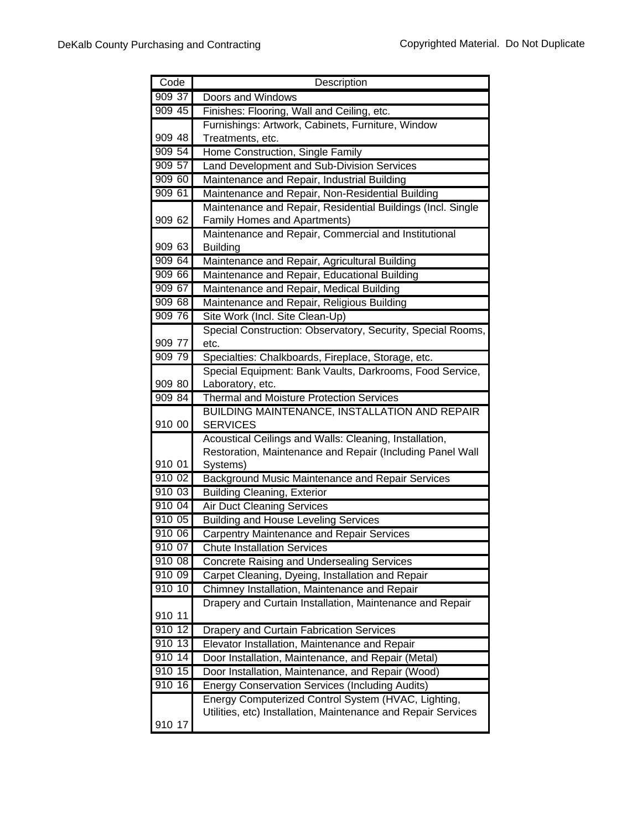| Code   | Description                                                                                                         |
|--------|---------------------------------------------------------------------------------------------------------------------|
| 909 37 | Doors and Windows                                                                                                   |
| 909 45 | Finishes: Flooring, Wall and Ceiling, etc.                                                                          |
|        | Furnishings: Artwork, Cabinets, Furniture, Window                                                                   |
| 909 48 | Treatments, etc.                                                                                                    |
| 909 54 | Home Construction, Single Family                                                                                    |
| 909 57 | Land Development and Sub-Division Services                                                                          |
| 909 60 | Maintenance and Repair, Industrial Building                                                                         |
| 909 61 | Maintenance and Repair, Non-Residential Building                                                                    |
|        | Maintenance and Repair, Residential Buildings (Incl. Single                                                         |
| 909 62 | Family Homes and Apartments)                                                                                        |
|        | Maintenance and Repair, Commercial and Institutional                                                                |
| 909 63 | <b>Building</b>                                                                                                     |
| 909 64 | Maintenance and Repair, Agricultural Building                                                                       |
| 909 66 | Maintenance and Repair, Educational Building                                                                        |
| 909 67 | Maintenance and Repair, Medical Building                                                                            |
| 909 68 | Maintenance and Repair, Religious Building                                                                          |
| 909 76 | Site Work (Incl. Site Clean-Up)                                                                                     |
|        | Special Construction: Observatory, Security, Special Rooms,                                                         |
| 909 77 | etc.                                                                                                                |
| 909 79 | Specialties: Chalkboards, Fireplace, Storage, etc.                                                                  |
|        | Special Equipment: Bank Vaults, Darkrooms, Food Service,                                                            |
| 909 80 | Laboratory, etc.                                                                                                    |
| 909 84 | <b>Thermal and Moisture Protection Services</b>                                                                     |
|        | BUILDING MAINTENANCE, INSTALLATION AND REPAIR                                                                       |
| 910 00 | <b>SERVICES</b>                                                                                                     |
|        | Acoustical Ceilings and Walls: Cleaning, Installation,<br>Restoration, Maintenance and Repair (Including Panel Wall |
| 910 01 | Systems)                                                                                                            |
| 910 02 | Background Music Maintenance and Repair Services                                                                    |
| 910 03 | <b>Building Cleaning, Exterior</b>                                                                                  |
| 910 04 | <b>Air Duct Cleaning Services</b>                                                                                   |
| 910 05 | <b>Building and House Leveling Services</b>                                                                         |
| 910 06 | <b>Carpentry Maintenance and Repair Services</b>                                                                    |
| 910 07 | <b>Chute Installation Services</b>                                                                                  |
| 910 08 | <b>Concrete Raising and Undersealing Services</b>                                                                   |
| 910 09 | Carpet Cleaning, Dyeing, Installation and Repair                                                                    |
| 910 10 | Chimney Installation, Maintenance and Repair                                                                        |
|        | Drapery and Curtain Installation, Maintenance and Repair                                                            |
| 910 11 |                                                                                                                     |
| 910 12 | Drapery and Curtain Fabrication Services                                                                            |
| 910 13 | Elevator Installation, Maintenance and Repair                                                                       |
| 91014  | Door Installation, Maintenance, and Repair (Metal)                                                                  |
| 910 15 | Door Installation, Maintenance, and Repair (Wood)                                                                   |
| 910 16 | <b>Energy Conservation Services (Including Audits)</b>                                                              |
|        | Energy Computerized Control System (HVAC, Lighting,                                                                 |
|        | Utilities, etc) Installation, Maintenance and Repair Services                                                       |
| 910 17 |                                                                                                                     |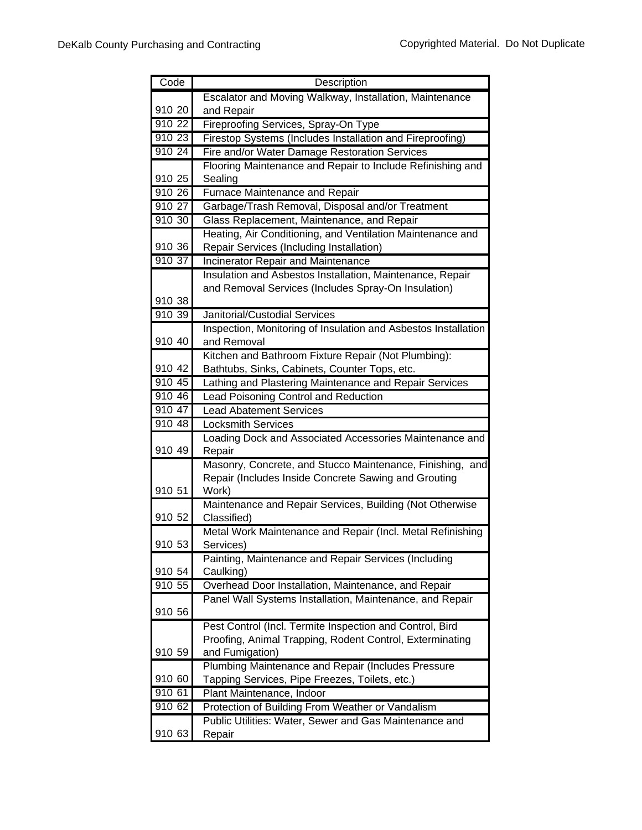| Code                | Description                                                    |
|---------------------|----------------------------------------------------------------|
|                     | Escalator and Moving Walkway, Installation, Maintenance        |
| 910 20              | and Repair                                                     |
| 910 22              | Fireproofing Services, Spray-On Type                           |
| 910 23              | Firestop Systems (Includes Installation and Fireproofing)      |
| 91024               | Fire and/or Water Damage Restoration Services                  |
|                     | Flooring Maintenance and Repair to Include Refinishing and     |
| 910 25              | Sealing                                                        |
| 910 26              | Furnace Maintenance and Repair                                 |
| $\overline{910}$ 27 | Garbage/Trash Removal, Disposal and/or Treatment               |
| 910 30              | Glass Replacement, Maintenance, and Repair                     |
|                     | Heating, Air Conditioning, and Ventilation Maintenance and     |
| 910 36              | Repair Services (Including Installation)                       |
| 910 37              | Incinerator Repair and Maintenance                             |
|                     | Insulation and Asbestos Installation, Maintenance, Repair      |
|                     | and Removal Services (Includes Spray-On Insulation)            |
| 910 38              |                                                                |
| 910 39              | Janitorial/Custodial Services                                  |
|                     | Inspection, Monitoring of Insulation and Asbestos Installation |
| 910 40              | and Removal                                                    |
|                     | Kitchen and Bathroom Fixture Repair (Not Plumbing):            |
| 910 42              | Bathtubs, Sinks, Cabinets, Counter Tops, etc.                  |
| 910 45              | Lathing and Plastering Maintenance and Repair Services         |
| 910 46              | Lead Poisoning Control and Reduction                           |
| 910 47              | <b>Lead Abatement Services</b>                                 |
| 910 48              | <b>Locksmith Services</b>                                      |
|                     | Loading Dock and Associated Accessories Maintenance and        |
| 910 49              | Repair                                                         |
|                     | Masonry, Concrete, and Stucco Maintenance, Finishing, and      |
| 910 51              | Repair (Includes Inside Concrete Sawing and Grouting<br>Work)  |
|                     | Maintenance and Repair Services, Building (Not Otherwise       |
| 910 52              | Classified)                                                    |
|                     | Metal Work Maintenance and Repair (Incl. Metal Refinishing     |
| 910 53              | Services)                                                      |
|                     | Painting, Maintenance and Repair Services (Including           |
| 910 54              | Caulking)                                                      |
| 910 55              | Overhead Door Installation, Maintenance, and Repair            |
|                     | Panel Wall Systems Installation, Maintenance, and Repair       |
| 910 56              |                                                                |
|                     | Pest Control (Incl. Termite Inspection and Control, Bird       |
|                     | Proofing, Animal Trapping, Rodent Control, Exterminating       |
| 910 59              | and Fumigation)                                                |
|                     | Plumbing Maintenance and Repair (Includes Pressure             |
| 910 60              | Tapping Services, Pipe Freezes, Toilets, etc.)                 |
| 910 61              | Plant Maintenance, Indoor                                      |
| 910 62              | Protection of Building From Weather or Vandalism               |
|                     | Public Utilities: Water, Sewer and Gas Maintenance and         |
| 910 63              | Repair                                                         |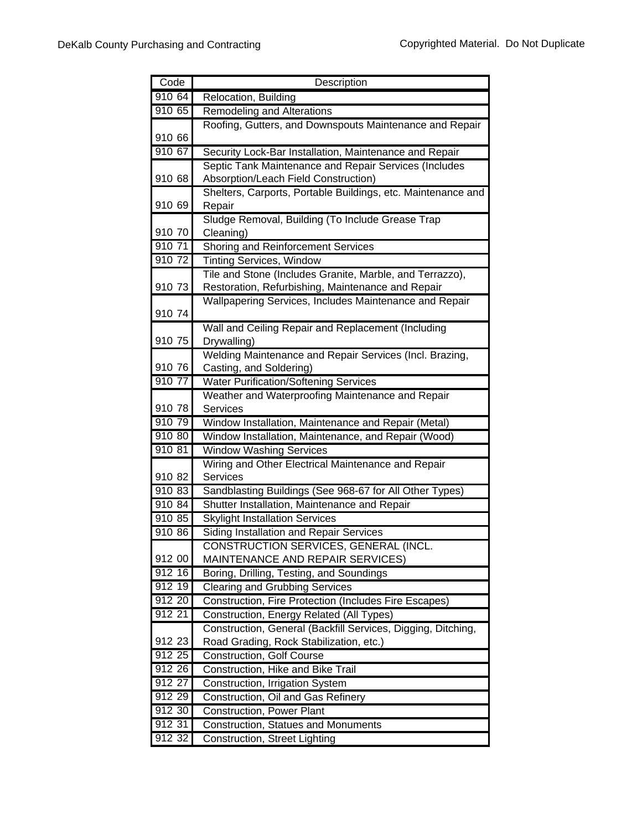| Code   | Description                                                            |
|--------|------------------------------------------------------------------------|
| 910 64 | Relocation, Building                                                   |
| 910 65 | <b>Remodeling and Alterations</b>                                      |
|        | Roofing, Gutters, and Downspouts Maintenance and Repair                |
| 910 66 |                                                                        |
| 910 67 | Security Lock-Bar Installation, Maintenance and Repair                 |
|        | Septic Tank Maintenance and Repair Services (Includes                  |
| 910 68 | Absorption/Leach Field Construction)                                   |
|        | Shelters, Carports, Portable Buildings, etc. Maintenance and           |
| 910 69 | Repair                                                                 |
|        | Sludge Removal, Building (To Include Grease Trap                       |
| 910 70 | Cleaning)                                                              |
| 910 71 | Shoring and Reinforcement Services                                     |
| 910 72 | <b>Tinting Services, Window</b>                                        |
|        | Tile and Stone (Includes Granite, Marble, and Terrazzo),               |
| 910 73 | Restoration, Refurbishing, Maintenance and Repair                      |
|        | Wallpapering Services, Includes Maintenance and Repair                 |
| 910 74 |                                                                        |
| 910 75 | Wall and Ceiling Repair and Replacement (Including                     |
|        | Drywalling)<br>Welding Maintenance and Repair Services (Incl. Brazing, |
| 910 76 | Casting, and Soldering)                                                |
| 910 77 | <b>Water Purification/Softening Services</b>                           |
|        | Weather and Waterproofing Maintenance and Repair                       |
| 910 78 | <b>Services</b>                                                        |
| 910 79 | Window Installation, Maintenance and Repair (Metal)                    |
| 910 80 | Window Installation, Maintenance, and Repair (Wood)                    |
| 910 81 | <b>Window Washing Services</b>                                         |
|        | Wiring and Other Electrical Maintenance and Repair                     |
| 910 82 | <b>Services</b>                                                        |
| 910 83 | Sandblasting Buildings (See 968-67 for All Other Types)                |
| 910 84 | Shutter Installation, Maintenance and Repair                           |
| 910 85 | <b>Skylight Installation Services</b>                                  |
| 910 86 | Siding Installation and Repair Services                                |
|        | CONSTRUCTION SERVICES, GENERAL (INCL.                                  |
| 912 00 | MAINTENANCE AND REPAIR SERVICES)                                       |
| 912 16 | Boring, Drilling, Testing, and Soundings                               |
| 912 19 | <b>Clearing and Grubbing Services</b>                                  |
| 912 20 | Construction, Fire Protection (Includes Fire Escapes)                  |
| 912 21 | Construction, Energy Related (All Types)                               |
|        | Construction, General (Backfill Services, Digging, Ditching,           |
| 912 23 | Road Grading, Rock Stabilization, etc.)                                |
| 912 25 | <b>Construction, Golf Course</b>                                       |
| 912 26 | Construction, Hike and Bike Trail                                      |
| 912 27 | Construction, Irrigation System                                        |
| 912 29 | Construction, Oil and Gas Refinery                                     |
| 912 30 | <b>Construction, Power Plant</b>                                       |
| 912 31 | <b>Construction, Statues and Monuments</b>                             |
| 912 32 | Construction, Street Lighting                                          |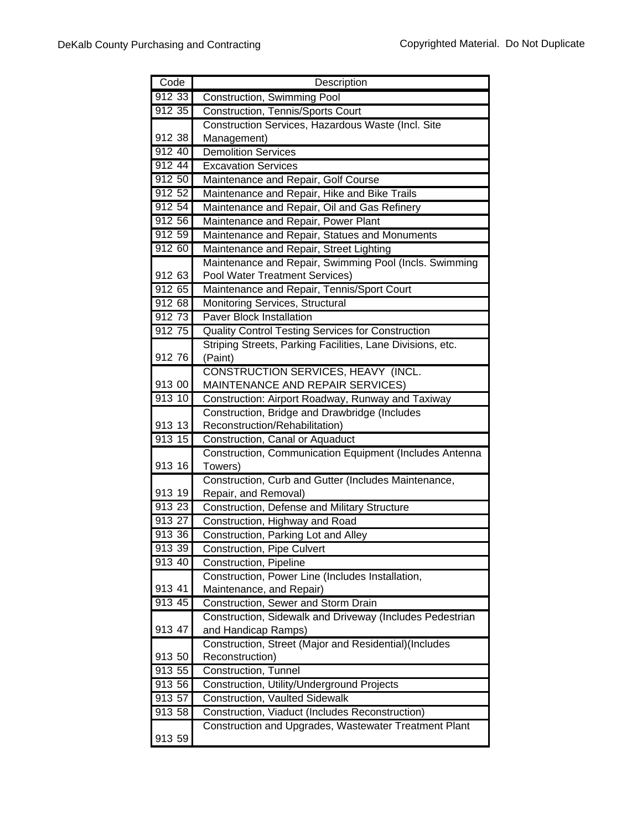| Code      | Description                                                                                |
|-----------|--------------------------------------------------------------------------------------------|
| 912 33    | Construction, Swimming Pool                                                                |
| $912\,35$ | Construction, Tennis/Sports Court                                                          |
|           | Construction Services, Hazardous Waste (Incl. Site                                         |
| 912 38    | Management)                                                                                |
| 912 40    | <b>Demolition Services</b>                                                                 |
| 912 44    | <b>Excavation Services</b>                                                                 |
| 912 50    | Maintenance and Repair, Golf Course                                                        |
| 912 52    | Maintenance and Repair, Hike and Bike Trails                                               |
| 912 54    | Maintenance and Repair, Oil and Gas Refinery                                               |
| 912 56    | Maintenance and Repair, Power Plant                                                        |
| 912 59    | Maintenance and Repair, Statues and Monuments                                              |
| 912 60    | Maintenance and Repair, Street Lighting                                                    |
|           | Maintenance and Repair, Swimming Pool (Incls. Swimming                                     |
| 912 63    | Pool Water Treatment Services)                                                             |
| 912 65    | Maintenance and Repair, Tennis/Sport Court                                                 |
| 912 68    | <b>Monitoring Services, Structural</b>                                                     |
| 912 73    | <b>Paver Block Installation</b>                                                            |
| 912 75    | Quality Control Testing Services for Construction                                          |
|           | Striping Streets, Parking Facilities, Lane Divisions, etc.                                 |
| 912 76    | (Paint)                                                                                    |
|           | CONSTRUCTION SERVICES, HEAVY (INCL.                                                        |
| 913 00    | MAINTENANCE AND REPAIR SERVICES)                                                           |
| 913 10    | Construction: Airport Roadway, Runway and Taxiway                                          |
| 913 13    | Construction, Bridge and Drawbridge (Includes                                              |
| 91315     | Reconstruction/Rehabilitation)                                                             |
|           | Construction, Canal or Aquaduct<br>Construction, Communication Equipment (Includes Antenna |
| 913 16    | Towers)                                                                                    |
|           | Construction, Curb and Gutter (Includes Maintenance,                                       |
| 913 19    | Repair, and Removal)                                                                       |
| 913 23    | Construction, Defense and Military Structure                                               |
| 91327     | Construction, Highway and Road                                                             |
| 913 36    | Construction, Parking Lot and Alley                                                        |
| 913 39    | Construction, Pipe Culvert                                                                 |
| 913 40    | Construction, Pipeline                                                                     |
|           | Construction, Power Line (Includes Installation,                                           |
| 913 41    | Maintenance, and Repair)                                                                   |
| 913 45    | Construction, Sewer and Storm Drain                                                        |
|           | Construction, Sidewalk and Driveway (Includes Pedestrian                                   |
| 913 47    | and Handicap Ramps)                                                                        |
|           | Construction, Street (Major and Residential)(Includes                                      |
| 913 50    | Reconstruction)                                                                            |
| 913 55    | Construction, Tunnel                                                                       |
| 913 56    | Construction, Utility/Underground Projects                                                 |
| 913 57    | <b>Construction, Vaulted Sidewalk</b>                                                      |
| 913 58    | Construction, Viaduct (Includes Reconstruction)                                            |
|           | Construction and Upgrades, Wastewater Treatment Plant                                      |
| 913 59    |                                                                                            |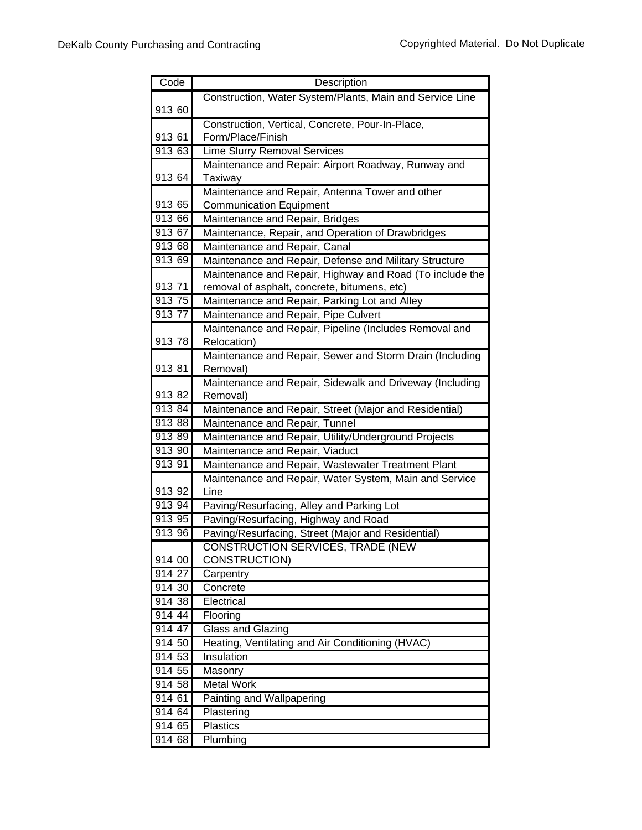| Code   | Description                                                        |
|--------|--------------------------------------------------------------------|
|        | Construction, Water System/Plants, Main and Service Line           |
| 913 60 |                                                                    |
|        | Construction, Vertical, Concrete, Pour-In-Place,                   |
| 913 61 | Form/Place/Finish                                                  |
| 913 63 | <b>Lime Slurry Removal Services</b>                                |
|        | Maintenance and Repair: Airport Roadway, Runway and                |
| 913 64 | Taxiway                                                            |
|        | Maintenance and Repair, Antenna Tower and other                    |
| 913 65 | <b>Communication Equipment</b>                                     |
| 913 66 | Maintenance and Repair, Bridges                                    |
| 913 67 | Maintenance, Repair, and Operation of Drawbridges                  |
| 913 68 | Maintenance and Repair, Canal                                      |
| 913 69 | Maintenance and Repair, Defense and Military Structure             |
|        | Maintenance and Repair, Highway and Road (To include the           |
| 913 71 | removal of asphalt, concrete, bitumens, etc)                       |
| 913 75 | Maintenance and Repair, Parking Lot and Alley                      |
| 913 77 | Maintenance and Repair, Pipe Culvert                               |
|        | Maintenance and Repair, Pipeline (Includes Removal and             |
| 913 78 | Relocation)                                                        |
|        | Maintenance and Repair, Sewer and Storm Drain (Including           |
| 913 81 | Removal)                                                           |
| 913 82 | Maintenance and Repair, Sidewalk and Driveway (Including           |
| 913 84 | Removal)<br>Maintenance and Repair, Street (Major and Residential) |
| 913 88 | Maintenance and Repair, Tunnel                                     |
| 91389  | Maintenance and Repair, Utility/Underground Projects               |
| 913 90 | Maintenance and Repair, Viaduct                                    |
| 913 91 | Maintenance and Repair, Wastewater Treatment Plant                 |
|        | Maintenance and Repair, Water System, Main and Service             |
| 913 92 | Line                                                               |
| 913 94 | Paving/Resurfacing, Alley and Parking Lot                          |
| 913 95 | Paving/Resurfacing, Highway and Road                               |
| 913 96 | Paving/Resurfacing, Street (Major and Residential)                 |
|        | CONSTRUCTION SERVICES, TRADE (NEW                                  |
| 914 00 | CONSTRUCTION)                                                      |
| 914 27 | Carpentry                                                          |
| 914 30 | Concrete                                                           |
| 914 38 | Electrical                                                         |
| 914 44 | Flooring                                                           |
| 914 47 | <b>Glass and Glazing</b>                                           |
| 914 50 | Heating, Ventilating and Air Conditioning (HVAC)                   |
| 914 53 | Insulation                                                         |
| 914 55 | Masonry                                                            |
| 914 58 | <b>Metal Work</b>                                                  |
| 914 61 | <b>Painting and Wallpapering</b>                                   |
| 914 64 | Plastering                                                         |
| 914 65 | Plastics                                                           |
| 914 68 | Plumbing                                                           |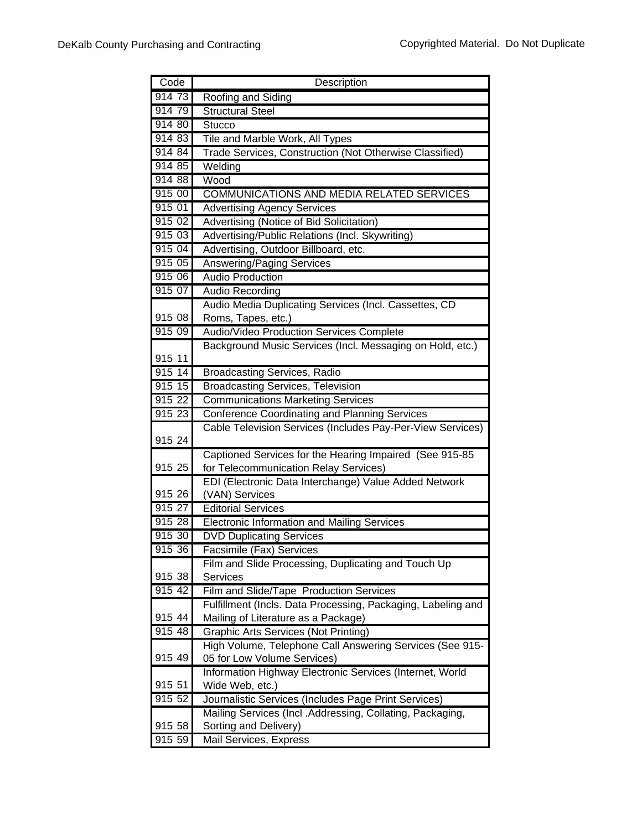| Code                | Description                                                                             |
|---------------------|-----------------------------------------------------------------------------------------|
| 914 73              | Roofing and Siding                                                                      |
| 914 79              | <b>Structural Steel</b>                                                                 |
| 91480               | <b>Stucco</b>                                                                           |
| 914 83              | Tile and Marble Work, All Types                                                         |
| 914 84              | Trade Services, Construction (Not Otherwise Classified)                                 |
| 914 85              | Welding                                                                                 |
| 914 88              | Wood                                                                                    |
| 915 00              | COMMUNICATIONS AND MEDIA RELATED SERVICES                                               |
| 915 01              | <b>Advertising Agency Services</b>                                                      |
| 915 02              | Advertising (Notice of Bid Solicitation)                                                |
| 915 03              | Advertising/Public Relations (Incl. Skywriting)                                         |
| 915 04              | Advertising, Outdoor Billboard, etc.                                                    |
| 915 05              | Answering/Paging Services                                                               |
| 915 06              | <b>Audio Production</b>                                                                 |
| 915 07              | <b>Audio Recording</b>                                                                  |
|                     | Audio Media Duplicating Services (Incl. Cassettes, CD                                   |
| 915 08              | Roms, Tapes, etc.)                                                                      |
| 915 09              | Audio/Video Production Services Complete                                                |
|                     | Background Music Services (Incl. Messaging on Hold, etc.)                               |
| 915 11              |                                                                                         |
| 915 14              | <b>Broadcasting Services, Radio</b>                                                     |
| $915$ 15            | <b>Broadcasting Services, Television</b>                                                |
| $915 \overline{22}$ | <b>Communications Marketing Services</b>                                                |
| 915 23              | <b>Conference Coordinating and Planning Services</b>                                    |
|                     | Cable Television Services (Includes Pay-Per-View Services)                              |
| 915 24              |                                                                                         |
|                     | Captioned Services for the Hearing Impaired (See 915-85                                 |
| 915 25              | for Telecommunication Relay Services)                                                   |
|                     | EDI (Electronic Data Interchange) Value Added Network                                   |
| 915 26              | (VAN) Services                                                                          |
| 915 27              | <b>Editorial Services</b>                                                               |
| 915 28              | <b>Electronic Information and Mailing Services</b>                                      |
| 915 30              | <b>DVD Duplicating Services</b>                                                         |
| 915 36              | Facsimile (Fax) Services                                                                |
|                     | Film and Slide Processing, Duplicating and Touch Up                                     |
| 915 38              | <b>Services</b>                                                                         |
| 915 42              | Film and Slide/Tape Production Services                                                 |
|                     | Fulfillment (Incls. Data Processing, Packaging, Labeling and                            |
| 915 44<br>915 48    | Mailing of Literature as a Package)                                                     |
|                     | <b>Graphic Arts Services (Not Printing)</b>                                             |
| 915 49              | High Volume, Telephone Call Answering Services (See 915-                                |
|                     | 05 for Low Volume Services)<br>Information Highway Electronic Services (Internet, World |
| 915 51              | Wide Web, etc.)                                                                         |
| 915 52              | Journalistic Services (Includes Page Print Services)                                    |
|                     | Mailing Services (Incl. Addressing, Collating, Packaging,                               |
| 915 58              | Sorting and Delivery)                                                                   |
| 915 59              | Mail Services, Express                                                                  |
|                     |                                                                                         |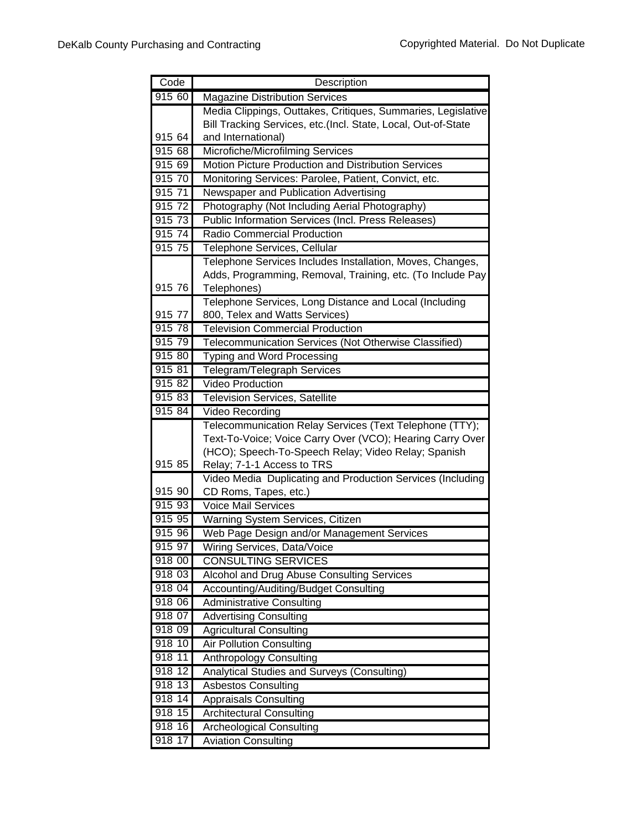| Code   | Description                                                   |
|--------|---------------------------------------------------------------|
| 915 60 | <b>Magazine Distribution Services</b>                         |
|        | Media Clippings, Outtakes, Critiques, Summaries, Legislative  |
|        | Bill Tracking Services, etc.(Incl. State, Local, Out-of-State |
| 915 64 | and International)                                            |
| 91568  | Microfiche/Microfilming Services                              |
| 915 69 | Motion Picture Production and Distribution Services           |
| 915 70 | Monitoring Services: Parolee, Patient, Convict, etc.          |
| 915 71 | Newspaper and Publication Advertising                         |
| 915 72 | Photography (Not Including Aerial Photography)                |
| 915 73 | Public Information Services (Incl. Press Releases)            |
| 915 74 | Radio Commercial Production                                   |
| 915 75 | Telephone Services, Cellular                                  |
|        | Telephone Services Includes Installation, Moves, Changes,     |
|        | Adds, Programming, Removal, Training, etc. (To Include Pay    |
| 915 76 | Telephones)                                                   |
|        | Telephone Services, Long Distance and Local (Including        |
| 915 77 | 800, Telex and Watts Services)                                |
| 915 78 | <b>Television Commercial Production</b>                       |
| 915 79 | Telecommunication Services (Not Otherwise Classified)         |
| 915 80 | Typing and Word Processing                                    |
| 915 81 | Telegram/Telegraph Services                                   |
| 915 82 | <b>Video Production</b>                                       |
| 915 83 | <b>Television Services, Satellite</b>                         |
| 915 84 | Video Recording                                               |
|        | Telecommunication Relay Services (Text Telephone (TTY);       |
|        | Text-To-Voice; Voice Carry Over (VCO); Hearing Carry Over     |
|        | (HCO); Speech-To-Speech Relay; Video Relay; Spanish           |
| 915 85 | Relay; 7-1-1 Access to TRS                                    |
|        | Video Media Duplicating and Production Services (Including    |
| 915 90 | CD Roms, Tapes, etc.)                                         |
| 915 93 | <b>Voice Mail Services</b>                                    |
| 915 95 | Warning System Services, Citizen                              |
| 915 96 | Web Page Design and/or Management Services                    |
| 915 97 | Wiring Services, Data/Voice                                   |
| 918 00 | <b>CONSULTING SERVICES</b>                                    |
| 918 03 | Alcohol and Drug Abuse Consulting Services                    |
| 918 04 | Accounting/Auditing/Budget Consulting                         |
| 918 06 | <b>Administrative Consulting</b>                              |
| 918 07 | <b>Advertising Consulting</b>                                 |
| 918 09 | <b>Agricultural Consulting</b>                                |
| 918 10 | <b>Air Pollution Consulting</b>                               |
| 918 11 | Anthropology Consulting                                       |
| 918 12 | Analytical Studies and Surveys (Consulting)                   |
| 918 13 | <b>Asbestos Consulting</b>                                    |
| 918 14 | <b>Appraisals Consulting</b>                                  |
| 918 15 | <b>Architectural Consulting</b>                               |
| 918 16 | <b>Archeological Consulting</b>                               |
| 918 17 | <b>Aviation Consulting</b>                                    |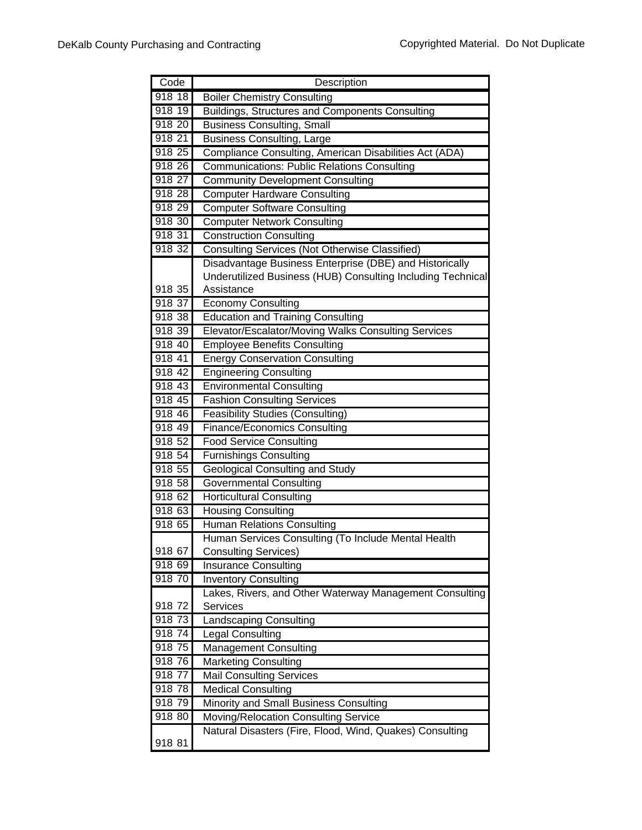| Code     | Description                                                 |
|----------|-------------------------------------------------------------|
| $918$ 18 | <b>Boiler Chemistry Consulting</b>                          |
| 918 19   | Buildings, Structures and Components Consulting             |
| 918 20   | <b>Business Consulting, Small</b>                           |
| 918 21   | <b>Business Consulting, Large</b>                           |
| 918 25   | Compliance Consulting, American Disabilities Act (ADA)      |
| 918 26   | <b>Communications: Public Relations Consulting</b>          |
| 918 27   | <b>Community Development Consulting</b>                     |
| 918 28   | <b>Computer Hardware Consulting</b>                         |
| 918 29   | <b>Computer Software Consulting</b>                         |
| 918 30   | <b>Computer Network Consulting</b>                          |
| 918 31   | <b>Construction Consulting</b>                              |
| 918 32   | Consulting Services (Not Otherwise Classified)              |
|          | Disadvantage Business Enterprise (DBE) and Historically     |
|          | Underutilized Business (HUB) Consulting Including Technical |
| 918 35   | Assistance                                                  |
| 918 37   | <b>Economy Consulting</b>                                   |
| 918 38   | <b>Education and Training Consulting</b>                    |
| 918 39   | Elevator/Escalator/Moving Walks Consulting Services         |
| 918 40   | <b>Employee Benefits Consulting</b>                         |
| 918 41   | <b>Energy Conservation Consulting</b>                       |
| 918 42   | <b>Engineering Consulting</b>                               |
| 918 43   | <b>Environmental Consulting</b>                             |
| 918 45   | <b>Fashion Consulting Services</b>                          |
| 918 46   | <b>Feasibility Studies (Consulting)</b>                     |
| 918 49   | <b>Finance/Economics Consulting</b>                         |
| 918 52   | <b>Food Service Consulting</b>                              |
| 918 54   | <b>Furnishings Consulting</b>                               |
| 918 55   | <b>Geological Consulting and Study</b>                      |
| 918 58   | <b>Governmental Consulting</b>                              |
| 918 62   | <b>Horticultural Consulting</b>                             |
| 918 63   | <b>Housing Consulting</b>                                   |
| 918 65   | <b>Human Relations Consulting</b>                           |
|          | Human Services Consulting (To Include Mental Health         |
| 918 67   | <b>Consulting Services)</b>                                 |
| 918 69   | <b>Insurance Consulting</b>                                 |
| 918 70   | <b>Inventory Consulting</b>                                 |
|          | Lakes, Rivers, and Other Waterway Management Consulting     |
| 918 72   | Services                                                    |
| 918 73   | <b>Landscaping Consulting</b>                               |
| 918 74   | <b>Legal Consulting</b>                                     |
| 918 75   | <b>Management Consulting</b>                                |
| 91876    | <b>Marketing Consulting</b>                                 |
| 918 77   | <b>Mail Consulting Services</b>                             |
| 918 78   | <b>Medical Consulting</b>                                   |
| 91879    | Minority and Small Business Consulting                      |
| 918 80   | Moving/Relocation Consulting Service                        |
|          | Natural Disasters (Fire, Flood, Wind, Quakes) Consulting    |
| 918 81   |                                                             |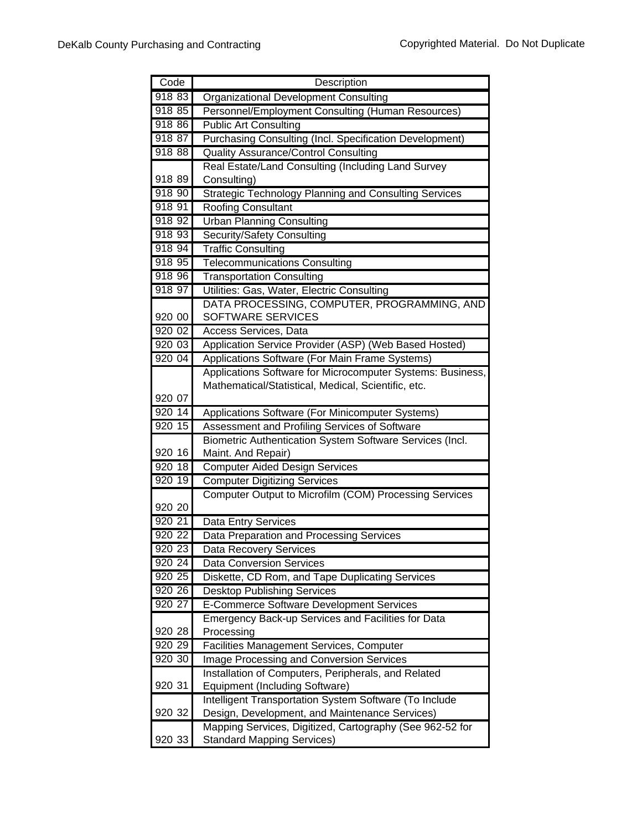| Code      | Description                                                  |
|-----------|--------------------------------------------------------------|
| 918 83    | <b>Organizational Development Consulting</b>                 |
| 918 85    | Personnel/Employment Consulting (Human Resources)            |
| 918 86    | <b>Public Art Consulting</b>                                 |
| 918 87    | Purchasing Consulting (Incl. Specification Development)      |
| 918 88    | <b>Quality Assurance/Control Consulting</b>                  |
|           | Real Estate/Land Consulting (Including Land Survey           |
| 918 89    | Consulting)                                                  |
| 918 90    | <b>Strategic Technology Planning and Consulting Services</b> |
| 918 91    | <b>Roofing Consultant</b>                                    |
| 918 92    | <b>Urban Planning Consulting</b>                             |
| 918 93    | Security/Safety Consulting                                   |
| 918 94    | <b>Traffic Consulting</b>                                    |
| 918 95    | <b>Telecommunications Consulting</b>                         |
| 918 96    | <b>Transportation Consulting</b>                             |
| 918 97    | Utilities: Gas, Water, Electric Consulting                   |
|           | DATA PROCESSING, COMPUTER, PROGRAMMING, AND                  |
| 920 00    | SOFTWARE SERVICES                                            |
| 92002     | Access Services, Data                                        |
| 920 03    | Application Service Provider (ASP) (Web Based Hosted)        |
| 920 04    | Applications Software (For Main Frame Systems)               |
|           | Applications Software for Microcomputer Systems: Business,   |
|           | Mathematical/Statistical, Medical, Scientific, etc.          |
| 920 07    |                                                              |
| 920 14    | Applications Software (For Minicomputer Systems)             |
| 920 15    | Assessment and Profiling Services of Software                |
|           | Biometric Authentication System Software Services (Incl.     |
| 920 16    | Maint. And Repair)                                           |
| 920 18    | <b>Computer Aided Design Services</b>                        |
| 920 19    | <b>Computer Digitizing Services</b>                          |
|           | Computer Output to Microfilm (COM) Processing Services       |
| 920 20    |                                                              |
| 920 21    | Data Entry Services                                          |
| $920\,22$ | Data Preparation and Processing Services                     |
| 920 23    | Data Recovery Services                                       |
| 920 24    | <b>Data Conversion Services</b>                              |
| 920 25    | Diskette, CD Rom, and Tape Duplicating Services              |
| 920 26    | <b>Desktop Publishing Services</b>                           |
| 920 27    | E-Commerce Software Development Services                     |
|           | <b>Emergency Back-up Services and Facilities for Data</b>    |
| 920 28    | Processing                                                   |
| 920 29    | Facilities Management Services, Computer                     |
| 920 30    | Image Processing and Conversion Services                     |
|           | Installation of Computers, Peripherals, and Related          |
| 920 31    | Equipment (Including Software)                               |
|           | Intelligent Transportation System Software (To Include       |
| 920 32    | Design, Development, and Maintenance Services)               |
|           | Mapping Services, Digitized, Cartography (See 962-52 for     |
| 920 33    | <b>Standard Mapping Services)</b>                            |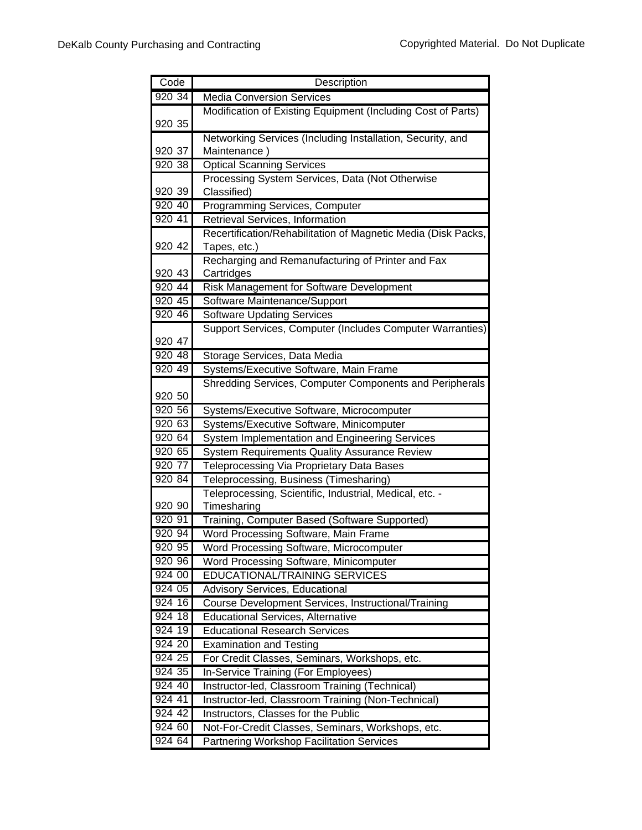| Code                 | Description                                                                         |
|----------------------|-------------------------------------------------------------------------------------|
| 920 34               | <b>Media Conversion Services</b>                                                    |
|                      | Modification of Existing Equipment (Including Cost of Parts)                        |
| 920 35               |                                                                                     |
|                      | Networking Services (Including Installation, Security, and                          |
| 920 37               | Maintenance)                                                                        |
| 920 38               | <b>Optical Scanning Services</b>                                                    |
|                      | Processing System Services, Data (Not Otherwise                                     |
| 920 39               | Classified)                                                                         |
| 920 40               | Programming Services, Computer                                                      |
| 920 41               | Retrieval Services, Information                                                     |
|                      | Recertification/Rehabilitation of Magnetic Media (Disk Packs,                       |
| 920 42               | Tapes, etc.)                                                                        |
|                      | Recharging and Remanufacturing of Printer and Fax                                   |
| 920 43               | Cartridges                                                                          |
| 920 44               | Risk Management for Software Development                                            |
| 920 45               | Software Maintenance/Support                                                        |
| 920 46               | <b>Software Updating Services</b>                                                   |
|                      | Support Services, Computer (Includes Computer Warranties)                           |
| 920 47               |                                                                                     |
| 920 48               | Storage Services, Data Media                                                        |
| 920 49               | Systems/Executive Software, Main Frame                                              |
|                      | Shredding Services, Computer Components and Peripherals                             |
| 920 50               |                                                                                     |
| 920 56<br>920 63     | Systems/Executive Software, Microcomputer                                           |
|                      | Systems/Executive Software, Minicomputer                                            |
| 920 64<br>920 65     | <b>System Implementation and Engineering Services</b>                               |
| 920 77               | <b>System Requirements Quality Assurance Review</b>                                 |
| 920 84               | Teleprocessing Via Proprietary Data Bases<br>Teleprocessing, Business (Timesharing) |
|                      | Teleprocessing, Scientific, Industrial, Medical, etc. -                             |
| 920 90               | Timesharing                                                                         |
| 920 91               | Training, Computer Based (Software Supported)                                       |
| 920 94               | Word Processing Software, Main Frame                                                |
| 920 95               | Word Processing Software, Microcomputer                                             |
| 920 96               | Word Processing Software, Minicomputer                                              |
| 924 00               | <b>EDUCATIONAL/TRAINING SERVICES</b>                                                |
| 924 05               | Advisory Services, Educational                                                      |
| 924 16               | Course Development Services, Instructional/Training                                 |
| 924 18               | <b>Educational Services, Alternative</b>                                            |
| 924 19               | <b>Educational Research Services</b>                                                |
| 924 20               | <b>Examination and Testing</b>                                                      |
| 924 25               | For Credit Classes, Seminars, Workshops, etc.                                       |
| 924 35               | In-Service Training (For Employees)                                                 |
| 924 40               | Instructor-led, Classroom Training (Technical)                                      |
| 924 41               | Instructor-led, Classroom Training (Non-Technical)                                  |
| 924 42               | Instructors, Classes for the Public                                                 |
| 924 60               | Not-For-Credit Classes, Seminars, Workshops, etc.                                   |
| $924\,\overline{64}$ | Partnering Workshop Facilitation Services                                           |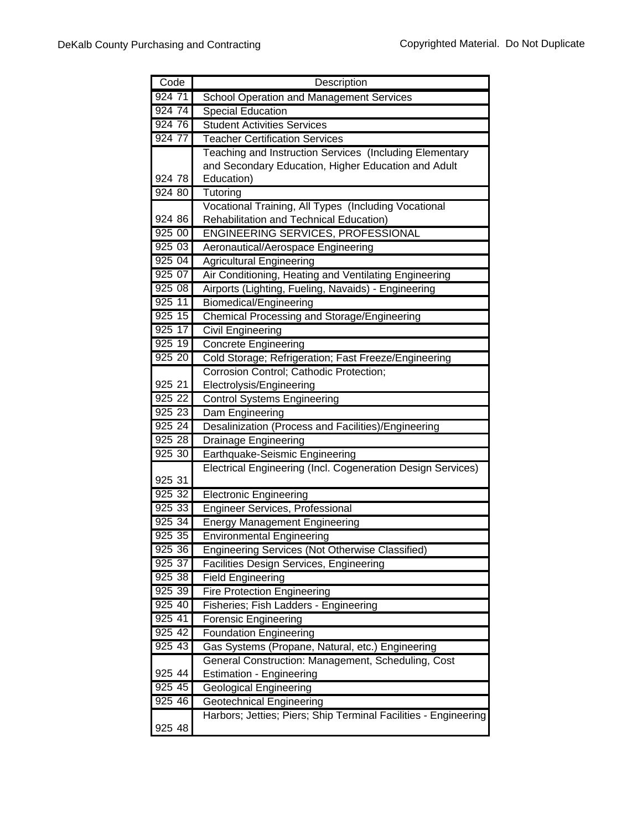|           | Description                                                     |
|-----------|-----------------------------------------------------------------|
| 924 71    | <b>School Operation and Management Services</b>                 |
| 924 74    | <b>Special Education</b>                                        |
| 924 76    | <b>Student Activities Services</b>                              |
| 924 77    | <b>Teacher Certification Services</b>                           |
|           | Teaching and Instruction Services (Including Elementary         |
|           | and Secondary Education, Higher Education and Adult             |
| 924 78    | Education)                                                      |
| 924 80    | Tutoring                                                        |
|           | Vocational Training, All Types (Including Vocational            |
| 924 86    | Rehabilitation and Technical Education)                         |
| 925 00    | <b>ENGINEERING SERVICES, PROFESSIONAL</b>                       |
| 92503     | Aeronautical/Aerospace Engineering                              |
| 92504     | <b>Agricultural Engineering</b>                                 |
| 925 07    | Air Conditioning, Heating and Ventilating Engineering           |
| 925 08    | Airports (Lighting, Fueling, Navaids) - Engineering             |
| 925 11    | Biomedical/Engineering                                          |
| 925 15    | <b>Chemical Processing and Storage/Engineering</b>              |
| 925 17    | <b>Civil Engineering</b>                                        |
| 925 19    | <b>Concrete Engineering</b>                                     |
| 925 20    | Cold Storage; Refrigeration; Fast Freeze/Engineering            |
|           | Corrosion Control; Cathodic Protection;                         |
| 925 21    | Electrolysis/Engineering                                        |
| 925 22    | <b>Control Systems Engineering</b>                              |
| 925 23    | Dam Engineering                                                 |
| 925 24    | Desalinization (Process and Facilities)/Engineering             |
| 925 28    | <b>Drainage Engineering</b>                                     |
| $925\ 30$ | Earthquake-Seismic Engineering                                  |
| 925 31    | Electrical Engineering (Incl. Cogeneration Design Services)     |
| 925 32    | <b>Electronic Engineering</b>                                   |
| 925 33    | Engineer Services, Professional                                 |
| 925 34    | <b>Energy Management Engineering</b>                            |
| 925 35    | <b>Environmental Engineering</b>                                |
| 925 36    | Engineering Services (Not Otherwise Classified)                 |
| 925 37    | Facilities Design Services, Engineering                         |
| 925 38    | <b>Field Engineering</b>                                        |
| 925 39    | <b>Fire Protection Engineering</b>                              |
| 925 40    | Fisheries; Fish Ladders - Engineering                           |
| 925 41    | <b>Forensic Engineering</b>                                     |
| 925 42    | Foundation Engineering                                          |
| 925 43    | Gas Systems (Propane, Natural, etc.) Engineering                |
|           | General Construction: Management, Scheduling, Cost              |
| 925 44    | <b>Estimation - Engineering</b>                                 |
| 925 45    | <b>Geological Engineering</b>                                   |
| 925 46    | <b>Geotechnical Engineering</b>                                 |
|           | Harbors; Jetties; Piers; Ship Terminal Facilities - Engineering |
| 925 48    |                                                                 |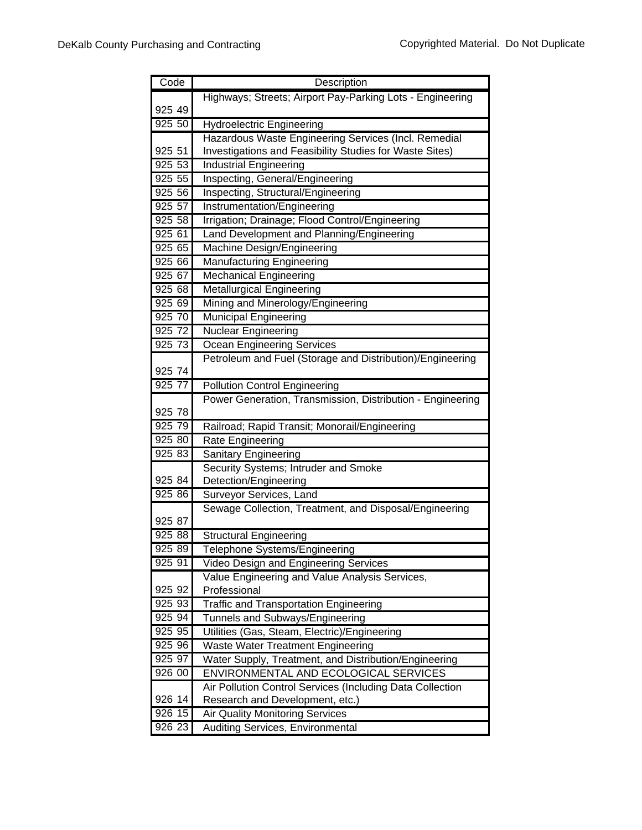| Code      | Description                                                    |
|-----------|----------------------------------------------------------------|
|           | Highways; Streets; Airport Pay-Parking Lots - Engineering      |
| 925 49    |                                                                |
| 92550     | <b>Hydroelectric Engineering</b>                               |
|           | Hazardous Waste Engineering Services (Incl. Remedial           |
| 925 51    | Investigations and Feasibility Studies for Waste Sites)        |
| 925 53    | <b>Industrial Engineering</b>                                  |
| 925 55    | Inspecting, General/Engineering                                |
| 925 56    | Inspecting, Structural/Engineering                             |
| 925 57    | Instrumentation/Engineering                                    |
| 925 58    | Irrigation; Drainage; Flood Control/Engineering                |
| 925 61    | Land Development and Planning/Engineering                      |
| 925 65    | Machine Design/Engineering                                     |
| 925 66    | <b>Manufacturing Engineering</b>                               |
| 925 67    | <b>Mechanical Engineering</b>                                  |
| 925 68    | <b>Metallurgical Engineering</b>                               |
| 925 69    | Mining and Minerology/Engineering                              |
| 925 70    | <b>Municipal Engineering</b>                                   |
| 925 72    | <b>Nuclear Engineering</b>                                     |
| 925 73    | <b>Ocean Engineering Services</b>                              |
|           | Petroleum and Fuel (Storage and Distribution)/Engineering      |
| 925 74    |                                                                |
| 925 77    | <b>Pollution Control Engineering</b>                           |
|           | Power Generation, Transmission, Distribution - Engineering     |
| 925 78    |                                                                |
| 925 79    | Railroad; Rapid Transit; Monorail/Engineering                  |
| 925 80    | <b>Rate Engineering</b>                                        |
| 925 83    | Sanitary Engineering                                           |
|           | Security Systems; Intruder and Smoke                           |
| 925 84    | Detection/Engineering                                          |
| 925 86    | Surveyor Services, Land                                        |
| 925 87    | Sewage Collection, Treatment, and Disposal/Engineering         |
| 925 88    |                                                                |
| 925 89    | <b>Structural Engineering</b><br>Telephone Systems/Engineering |
| 925 91    | Video Design and Engineering Services                          |
|           | Value Engineering and Value Analysis Services,                 |
| 925 92    | Professional                                                   |
| 925 93    | <b>Traffic and Transportation Engineering</b>                  |
| 925 94    | Tunnels and Subways/Engineering                                |
| 925 95    | Utilities (Gas, Steam, Electric)/Engineering                   |
| 925 96    | <b>Waste Water Treatment Engineering</b>                       |
| 925 97    | Water Supply, Treatment, and Distribution/Engineering          |
| 926 00    | ENVIRONMENTAL AND ECOLOGICAL SERVICES                          |
|           | Air Pollution Control Services (Including Data Collection      |
| 926 14    | Research and Development, etc.)                                |
| 926 15    | Air Quality Monitoring Services                                |
| $926\;23$ | Auditing Services, Environmental                               |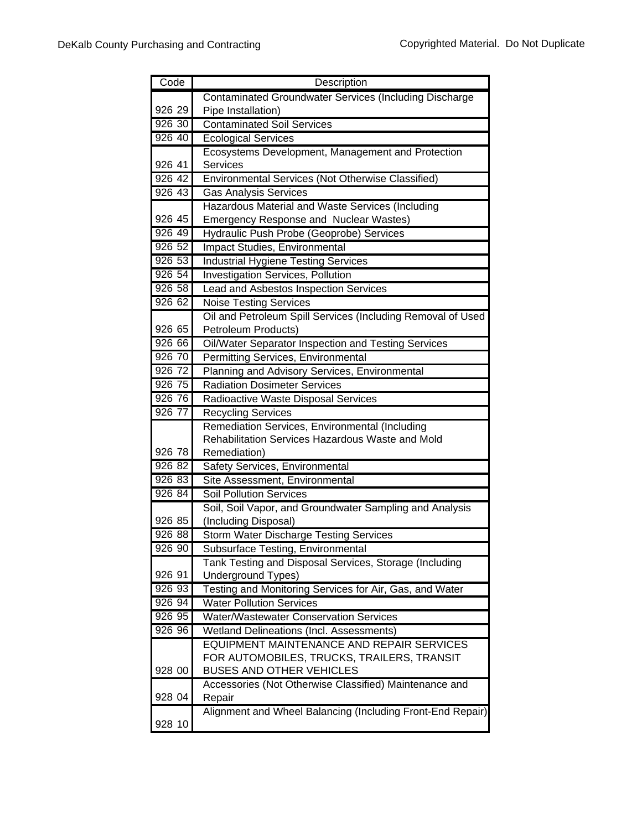| Code   | Description                                                   |
|--------|---------------------------------------------------------------|
|        | <b>Contaminated Groundwater Services (Including Discharge</b> |
| 926 29 | Pipe Installation)                                            |
| 926 30 | <b>Contaminated Soil Services</b>                             |
| 926 40 | <b>Ecological Services</b>                                    |
|        | Ecosystems Development, Management and Protection             |
| 926 41 | Services                                                      |
| 926 42 | Environmental Services (Not Otherwise Classified)             |
| 926 43 | <b>Gas Analysis Services</b>                                  |
|        | Hazardous Material and Waste Services (Including              |
| 926 45 | <b>Emergency Response and Nuclear Wastes)</b>                 |
| 926 49 | Hydraulic Push Probe (Geoprobe) Services                      |
| 926 52 | Impact Studies, Environmental                                 |
| 926 53 | <b>Industrial Hygiene Testing Services</b>                    |
| 926 54 | <b>Investigation Services, Pollution</b>                      |
| 926 58 | Lead and Asbestos Inspection Services                         |
| 926 62 | <b>Noise Testing Services</b>                                 |
|        | Oil and Petroleum Spill Services (Including Removal of Used   |
| 926 65 | Petroleum Products)                                           |
| 926 66 | Oil/Water Separator Inspection and Testing Services           |
| 926 70 | Permitting Services, Environmental                            |
| 926 72 | Planning and Advisory Services, Environmental                 |
| 926 75 | <b>Radiation Dosimeter Services</b>                           |
| 926 76 | Radioactive Waste Disposal Services                           |
| 926 77 | <b>Recycling Services</b>                                     |
|        | Remediation Services, Environmental (Including                |
| 926 78 | Rehabilitation Services Hazardous Waste and Mold              |
| 926 82 | Remediation)<br>Safety Services, Environmental                |
| 926 83 | Site Assessment, Environmental                                |
| 926 84 | <b>Soil Pollution Services</b>                                |
|        | Soil, Soil Vapor, and Groundwater Sampling and Analysis       |
| 926 85 | (Including Disposal)                                          |
| 926 88 | <b>Storm Water Discharge Testing Services</b>                 |
| 926 90 | Subsurface Testing, Environmental                             |
|        | Tank Testing and Disposal Services, Storage (Including        |
| 926 91 | Underground Types)                                            |
| 926 93 | Testing and Monitoring Services for Air, Gas, and Water       |
| 926 94 | <b>Water Pollution Services</b>                               |
| 92695  | <b>Water/Wastewater Conservation Services</b>                 |
| 926 96 | Wetland Delineations (Incl. Assessments)                      |
|        | EQUIPMENT MAINTENANCE AND REPAIR SERVICES                     |
|        | FOR AUTOMOBILES, TRUCKS, TRAILERS, TRANSIT                    |
| 928 00 | <b>BUSES AND OTHER VEHICLES</b>                               |
|        | Accessories (Not Otherwise Classified) Maintenance and        |
| 928 04 | Repair                                                        |
|        | Alignment and Wheel Balancing (Including Front-End Repair)    |
| 928 10 |                                                               |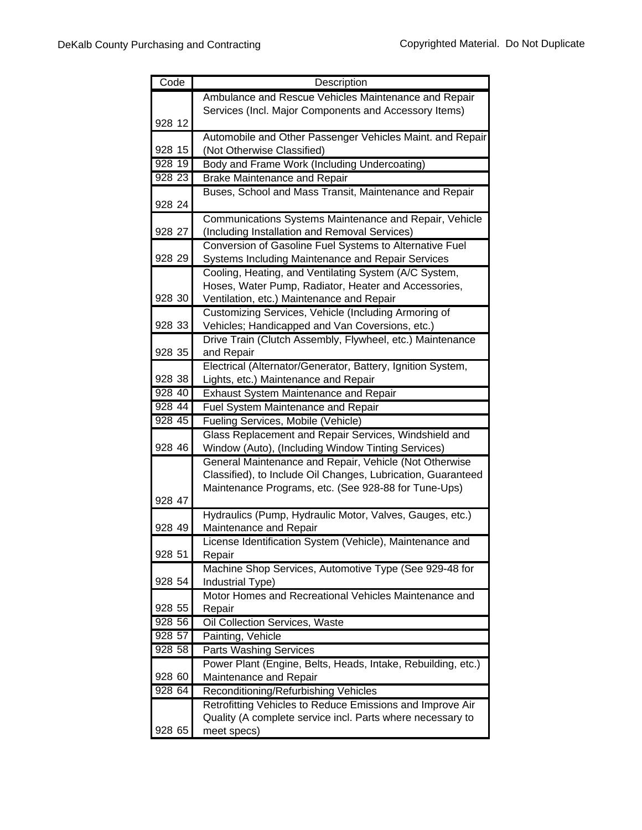| Code   | Description                                                                                       |
|--------|---------------------------------------------------------------------------------------------------|
|        | Ambulance and Rescue Vehicles Maintenance and Repair                                              |
|        | Services (Incl. Major Components and Accessory Items)                                             |
| 928 12 |                                                                                                   |
|        | Automobile and Other Passenger Vehicles Maint. and Repair                                         |
| 928 15 | (Not Otherwise Classified)                                                                        |
| 928 19 | Body and Frame Work (Including Undercoating)                                                      |
| 928 23 | <b>Brake Maintenance and Repair</b>                                                               |
|        | Buses, School and Mass Transit, Maintenance and Repair                                            |
| 928 24 |                                                                                                   |
|        | Communications Systems Maintenance and Repair, Vehicle                                            |
| 928 27 | (Including Installation and Removal Services)                                                     |
|        | Conversion of Gasoline Fuel Systems to Alternative Fuel                                           |
| 928 29 | Systems Including Maintenance and Repair Services                                                 |
|        | Cooling, Heating, and Ventilating System (A/C System,                                             |
| 928 30 | Hoses, Water Pump, Radiator, Heater and Accessories,                                              |
|        | Ventilation, etc.) Maintenance and Repair<br>Customizing Services, Vehicle (Including Armoring of |
| 928 33 | Vehicles; Handicapped and Van Coversions, etc.)                                                   |
|        | Drive Train (Clutch Assembly, Flywheel, etc.) Maintenance                                         |
| 928 35 | and Repair                                                                                        |
|        | Electrical (Alternator/Generator, Battery, Ignition System,                                       |
| 928 38 | Lights, etc.) Maintenance and Repair                                                              |
| 928 40 | <b>Exhaust System Maintenance and Repair</b>                                                      |
| 928 44 | Fuel System Maintenance and Repair                                                                |
| 928 45 | Fueling Services, Mobile (Vehicle)                                                                |
|        | Glass Replacement and Repair Services, Windshield and                                             |
| 928 46 | Window (Auto), (Including Window Tinting Services)                                                |
|        | General Maintenance and Repair, Vehicle (Not Otherwise                                            |
|        | Classified), to Include Oil Changes, Lubrication, Guaranteed                                      |
|        | Maintenance Programs, etc. (See 928-88 for Tune-Ups)                                              |
| 928 47 |                                                                                                   |
|        | Hydraulics (Pump, Hydraulic Motor, Valves, Gauges, etc.)                                          |
| 928 49 | Maintenance and Repair                                                                            |
| 928 51 | License Identification System (Vehicle), Maintenance and                                          |
|        | Repair<br>Machine Shop Services, Automotive Type (See 929-48 for                                  |
| 928 54 | Industrial Type)                                                                                  |
|        | Motor Homes and Recreational Vehicles Maintenance and                                             |
| 928 55 | Repair                                                                                            |
| 928 56 | Oil Collection Services, Waste                                                                    |
| 928 57 | Painting, Vehicle                                                                                 |
| 928 58 | <b>Parts Washing Services</b>                                                                     |
|        | Power Plant (Engine, Belts, Heads, Intake, Rebuilding, etc.)                                      |
| 928 60 | Maintenance and Repair                                                                            |
| 928 64 | Reconditioning/Refurbishing Vehicles                                                              |
|        | Retrofitting Vehicles to Reduce Emissions and Improve Air                                         |
|        | Quality (A complete service incl. Parts where necessary to                                        |
| 928 65 | meet specs)                                                                                       |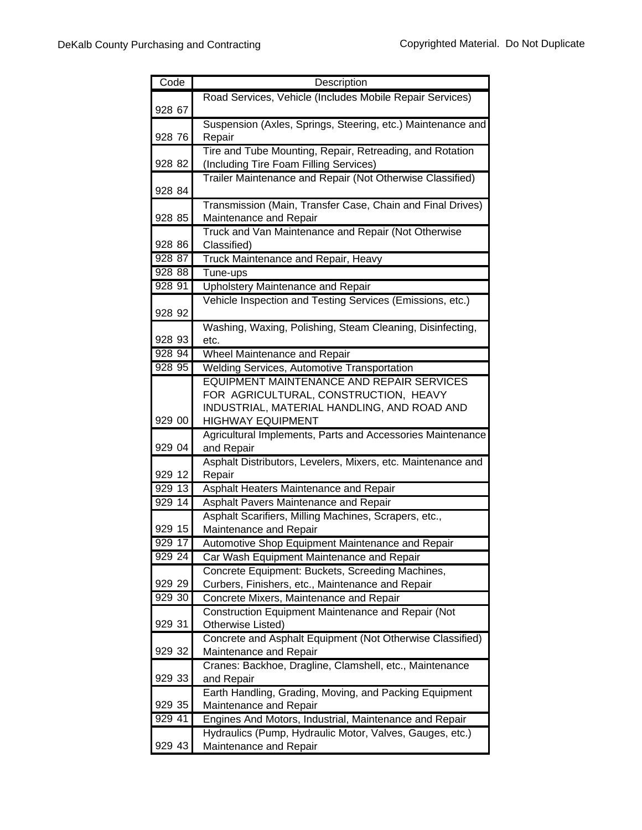| Code   | Description                                                                |
|--------|----------------------------------------------------------------------------|
|        | Road Services, Vehicle (Includes Mobile Repair Services)                   |
| 928 67 |                                                                            |
|        | Suspension (Axles, Springs, Steering, etc.) Maintenance and                |
| 928 76 | Repair                                                                     |
|        | Tire and Tube Mounting, Repair, Retreading, and Rotation                   |
| 928 82 | (Including Tire Foam Filling Services)                                     |
|        | Trailer Maintenance and Repair (Not Otherwise Classified)                  |
| 928 84 |                                                                            |
|        | Transmission (Main, Transfer Case, Chain and Final Drives)                 |
| 928 85 | Maintenance and Repair                                                     |
|        | Truck and Van Maintenance and Repair (Not Otherwise                        |
| 928 86 | Classified)                                                                |
| 928 87 | Truck Maintenance and Repair, Heavy                                        |
| 928 88 | Tune-ups                                                                   |
| 928 91 | <b>Upholstery Maintenance and Repair</b>                                   |
|        | Vehicle Inspection and Testing Services (Emissions, etc.)                  |
| 928 92 |                                                                            |
|        | Washing, Waxing, Polishing, Steam Cleaning, Disinfecting,                  |
| 928 93 | etc.                                                                       |
| 928 94 | Wheel Maintenance and Repair                                               |
| 928 95 | <b>Welding Services, Automotive Transportation</b>                         |
|        | EQUIPMENT MAINTENANCE AND REPAIR SERVICES                                  |
|        | FOR AGRICULTURAL, CONSTRUCTION, HEAVY                                      |
|        | INDUSTRIAL, MATERIAL HANDLING, AND ROAD AND                                |
| 929 00 | <b>HIGHWAY EQUIPMENT</b>                                                   |
| 929 04 | Agricultural Implements, Parts and Accessories Maintenance                 |
|        | and Repair<br>Asphalt Distributors, Levelers, Mixers, etc. Maintenance and |
| 929 12 | Repair                                                                     |
| 929 13 | Asphalt Heaters Maintenance and Repair                                     |
| 929 14 | Asphalt Pavers Maintenance and Repair                                      |
|        | Asphalt Scarifiers, Milling Machines, Scrapers, etc.,                      |
| 929 15 | Maintenance and Repair                                                     |
| 929 17 | Automotive Shop Equipment Maintenance and Repair                           |
| 929 24 | Car Wash Equipment Maintenance and Repair                                  |
|        | Concrete Equipment: Buckets, Screeding Machines,                           |
| 929 29 | Curbers, Finishers, etc., Maintenance and Repair                           |
| 929 30 | Concrete Mixers, Maintenance and Repair                                    |
|        | Construction Equipment Maintenance and Repair (Not                         |
| 929 31 | Otherwise Listed)                                                          |
|        | Concrete and Asphalt Equipment (Not Otherwise Classified)                  |
| 929 32 | Maintenance and Repair                                                     |
|        | Cranes: Backhoe, Dragline, Clamshell, etc., Maintenance                    |
| 929 33 | and Repair                                                                 |
|        | Earth Handling, Grading, Moving, and Packing Equipment                     |
| 929 35 | Maintenance and Repair                                                     |
| 929 41 | Engines And Motors, Industrial, Maintenance and Repair                     |
|        | Hydraulics (Pump, Hydraulic Motor, Valves, Gauges, etc.)                   |
| 929 43 | Maintenance and Repair                                                     |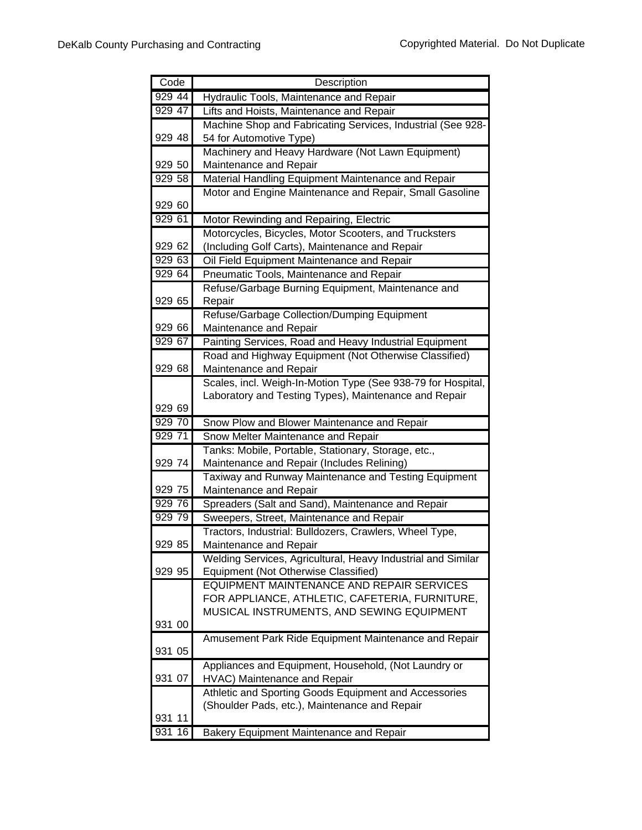| Code   | Description                                                                    |
|--------|--------------------------------------------------------------------------------|
| 929 44 | Hydraulic Tools, Maintenance and Repair                                        |
| 929 47 | Lifts and Hoists, Maintenance and Repair                                       |
|        | Machine Shop and Fabricating Services, Industrial (See 928-                    |
| 929 48 | 54 for Automotive Type)                                                        |
|        | Machinery and Heavy Hardware (Not Lawn Equipment)                              |
| 929 50 | Maintenance and Repair                                                         |
| 929 58 | Material Handling Equipment Maintenance and Repair                             |
|        | Motor and Engine Maintenance and Repair, Small Gasoline                        |
| 929 60 |                                                                                |
| 929 61 | Motor Rewinding and Repairing, Electric                                        |
|        | Motorcycles, Bicycles, Motor Scooters, and Trucksters                          |
| 929 62 | (Including Golf Carts), Maintenance and Repair                                 |
| 929 63 | Oil Field Equipment Maintenance and Repair                                     |
| 929 64 | Pneumatic Tools, Maintenance and Repair                                        |
|        | Refuse/Garbage Burning Equipment, Maintenance and                              |
| 929 65 | Repair                                                                         |
|        | Refuse/Garbage Collection/Dumping Equipment                                    |
| 929 66 | Maintenance and Repair                                                         |
| 929 67 | Painting Services, Road and Heavy Industrial Equipment                         |
|        | Road and Highway Equipment (Not Otherwise Classified)                          |
| 929 68 | Maintenance and Repair                                                         |
|        | Scales, incl. Weigh-In-Motion Type (See 938-79 for Hospital,                   |
|        | Laboratory and Testing Types), Maintenance and Repair                          |
| 929 69 |                                                                                |
| 929 70 | Snow Plow and Blower Maintenance and Repair                                    |
| 929 71 | Snow Melter Maintenance and Repair                                             |
| 929 74 | Tanks: Mobile, Portable, Stationary, Storage, etc.,                            |
|        | Maintenance and Repair (Includes Relining)                                     |
| 929 75 | Taxiway and Runway Maintenance and Testing Equipment<br>Maintenance and Repair |
| 929 76 | Spreaders (Salt and Sand), Maintenance and Repair                              |
| 929 79 | Sweepers, Street, Maintenance and Repair                                       |
|        | Tractors, Industrial: Bulldozers, Crawlers, Wheel Type,                        |
| 929 85 | Maintenance and Repair                                                         |
|        | Welding Services, Agricultural, Heavy Industrial and Similar                   |
| 929 95 | Equipment (Not Otherwise Classified)                                           |
|        | EQUIPMENT MAINTENANCE AND REPAIR SERVICES                                      |
|        | FOR APPLIANCE, ATHLETIC, CAFETERIA, FURNITURE,                                 |
|        | MUSICAL INSTRUMENTS, AND SEWING EQUIPMENT                                      |
| 931 00 |                                                                                |
|        | Amusement Park Ride Equipment Maintenance and Repair                           |
| 931 05 |                                                                                |
|        | Appliances and Equipment, Household, (Not Laundry or                           |
| 931 07 | HVAC) Maintenance and Repair                                                   |
|        | Athletic and Sporting Goods Equipment and Accessories                          |
|        | (Shoulder Pads, etc.), Maintenance and Repair                                  |
| 931 11 |                                                                                |
| 931 16 | <b>Bakery Equipment Maintenance and Repair</b>                                 |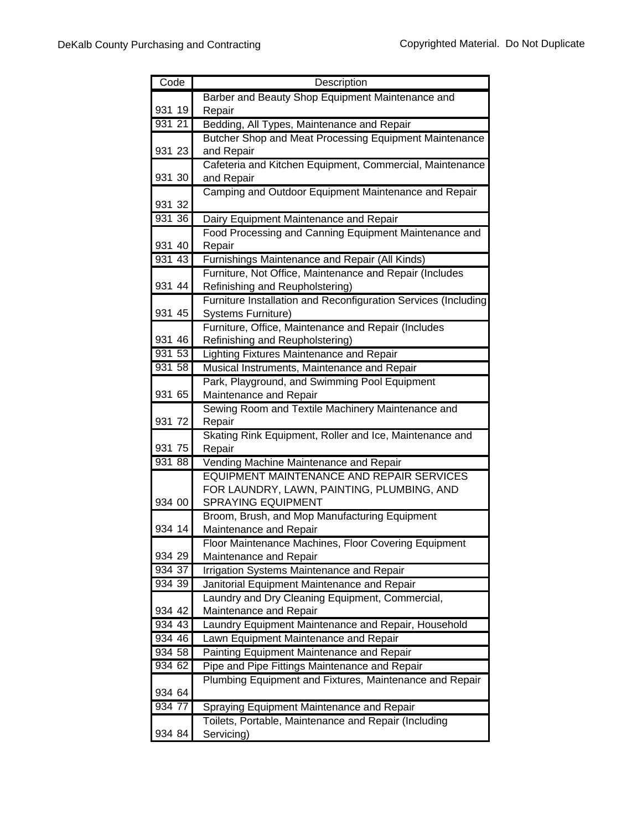| Code             | Description                                                             |
|------------------|-------------------------------------------------------------------------|
|                  | Barber and Beauty Shop Equipment Maintenance and                        |
| 931 19           | Repair                                                                  |
| 931 21           | Bedding, All Types, Maintenance and Repair                              |
|                  | Butcher Shop and Meat Processing Equipment Maintenance                  |
| 931 23           | and Repair                                                              |
|                  | Cafeteria and Kitchen Equipment, Commercial, Maintenance                |
| 931 30           | and Repair                                                              |
|                  | Camping and Outdoor Equipment Maintenance and Repair                    |
| 931 32           |                                                                         |
| 93136            | Dairy Equipment Maintenance and Repair                                  |
|                  | Food Processing and Canning Equipment Maintenance and                   |
| 931 40           | Repair                                                                  |
| 931 43           | Furnishings Maintenance and Repair (All Kinds)                          |
|                  | Furniture, Not Office, Maintenance and Repair (Includes                 |
| 931 44           | Refinishing and Reupholstering)                                         |
|                  | Furniture Installation and Reconfiguration Services (Including          |
| 931 45           | <b>Systems Furniture)</b>                                               |
|                  | Furniture, Office, Maintenance and Repair (Includes                     |
| 931 46           | Refinishing and Reupholstering)                                         |
| 931 53           | Lighting Fixtures Maintenance and Repair                                |
| 931 58           | Musical Instruments, Maintenance and Repair                             |
|                  | Park, Playground, and Swimming Pool Equipment                           |
| 931 65           | Maintenance and Repair                                                  |
|                  | Sewing Room and Textile Machinery Maintenance and                       |
| 931 72           | Repair                                                                  |
|                  | Skating Rink Equipment, Roller and Ice, Maintenance and                 |
| 931 75<br>931 88 | Repair                                                                  |
|                  | Vending Machine Maintenance and Repair                                  |
|                  | EQUIPMENT MAINTENANCE AND REPAIR SERVICES                               |
| 934 00           | FOR LAUNDRY, LAWN, PAINTING, PLUMBING, AND<br><b>SPRAYING EQUIPMENT</b> |
|                  | Broom, Brush, and Mop Manufacturing Equipment                           |
| 934 14           | Maintenance and Repair                                                  |
|                  | Floor Maintenance Machines, Floor Covering Equipment                    |
| 934 29           | Maintenance and Repair                                                  |
| 934 37           | <b>Irrigation Systems Maintenance and Repair</b>                        |
| 934 39           | Janitorial Equipment Maintenance and Repair                             |
|                  | Laundry and Dry Cleaning Equipment, Commercial,                         |
| 934 42           | Maintenance and Repair                                                  |
| 934 43           | Laundry Equipment Maintenance and Repair, Household                     |
| 934 46           | Lawn Equipment Maintenance and Repair                                   |
| 934 58           | Painting Equipment Maintenance and Repair                               |
| 934 62           | Pipe and Pipe Fittings Maintenance and Repair                           |
|                  | Plumbing Equipment and Fixtures, Maintenance and Repair                 |
| 934 64           |                                                                         |
| 934 77           | Spraying Equipment Maintenance and Repair                               |
|                  | Toilets, Portable, Maintenance and Repair (Including                    |
| 934 84           | Servicing)                                                              |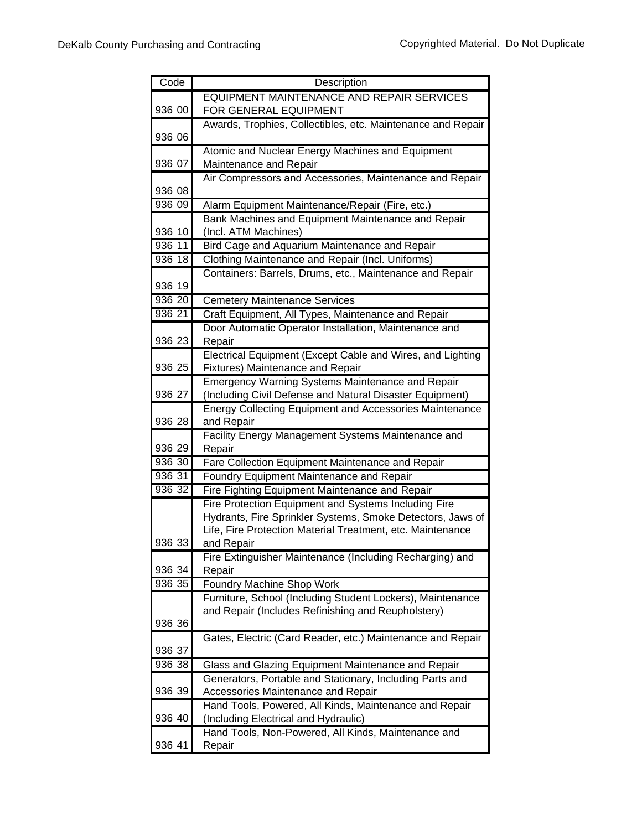| Code   | Description                                                                                           |
|--------|-------------------------------------------------------------------------------------------------------|
|        | <b>EQUIPMENT MAINTENANCE AND REPAIR SERVICES</b>                                                      |
| 936 00 | FOR GENERAL EQUIPMENT                                                                                 |
|        | Awards, Trophies, Collectibles, etc. Maintenance and Repair                                           |
| 936 06 |                                                                                                       |
|        | Atomic and Nuclear Energy Machines and Equipment                                                      |
| 936 07 | Maintenance and Repair                                                                                |
| 936 08 | Air Compressors and Accessories, Maintenance and Repair                                               |
| 936 09 |                                                                                                       |
|        | Alarm Equipment Maintenance/Repair (Fire, etc.)<br>Bank Machines and Equipment Maintenance and Repair |
| 936 10 | (Incl. ATM Machines)                                                                                  |
| 936 11 | Bird Cage and Aquarium Maintenance and Repair                                                         |
| 936 18 | Clothing Maintenance and Repair (Incl. Uniforms)                                                      |
|        | Containers: Barrels, Drums, etc., Maintenance and Repair                                              |
| 936 19 |                                                                                                       |
| 936 20 | <b>Cemetery Maintenance Services</b>                                                                  |
| 936 21 | Craft Equipment, All Types, Maintenance and Repair                                                    |
|        | Door Automatic Operator Installation, Maintenance and                                                 |
| 936 23 | Repair                                                                                                |
|        | Electrical Equipment (Except Cable and Wires, and Lighting                                            |
| 936 25 | Fixtures) Maintenance and Repair                                                                      |
|        | Emergency Warning Systems Maintenance and Repair                                                      |
| 936 27 | (Including Civil Defense and Natural Disaster Equipment)                                              |
|        | <b>Energy Collecting Equipment and Accessories Maintenance</b>                                        |
| 936 28 | and Repair                                                                                            |
|        | Facility Energy Management Systems Maintenance and                                                    |
| 936 29 | Repair                                                                                                |
| 936 30 | Fare Collection Equipment Maintenance and Repair                                                      |
| 936 31 | Foundry Equipment Maintenance and Repair                                                              |
| 936 32 | Fire Fighting Equipment Maintenance and Repair                                                        |
|        | Fire Protection Equipment and Systems Including Fire                                                  |
|        | Hydrants, Fire Sprinkler Systems, Smoke Detectors, Jaws of                                            |
|        | Life, Fire Protection Material Treatment, etc. Maintenance                                            |
| 936 33 | and Repair<br>Fire Extinguisher Maintenance (Including Recharging) and                                |
| 936 34 | Repair                                                                                                |
| 936 35 | Foundry Machine Shop Work                                                                             |
|        | Furniture, School (Including Student Lockers), Maintenance                                            |
|        | and Repair (Includes Refinishing and Reupholstery)                                                    |
| 936 36 |                                                                                                       |
|        | Gates, Electric (Card Reader, etc.) Maintenance and Repair                                            |
| 936 37 |                                                                                                       |
| 936 38 | Glass and Glazing Equipment Maintenance and Repair                                                    |
|        | Generators, Portable and Stationary, Including Parts and                                              |
| 936 39 | Accessories Maintenance and Repair                                                                    |
|        | Hand Tools, Powered, All Kinds, Maintenance and Repair                                                |
| 936 40 | (Including Electrical and Hydraulic)                                                                  |
|        | Hand Tools, Non-Powered, All Kinds, Maintenance and                                                   |
| 936 41 | Repair                                                                                                |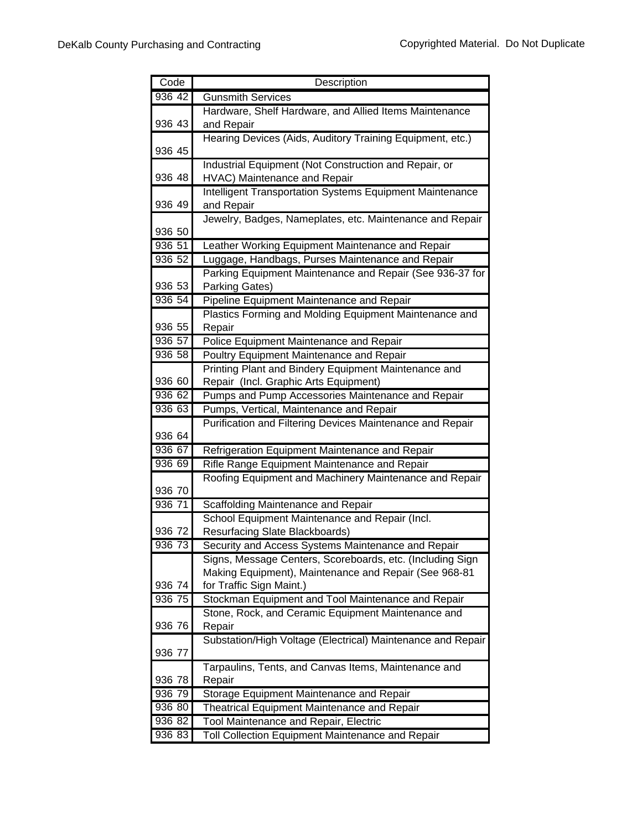| Code   | Description                                                 |
|--------|-------------------------------------------------------------|
| 936 42 | Gunsmith Services                                           |
|        | Hardware, Shelf Hardware, and Allied Items Maintenance      |
| 936 43 | and Repair                                                  |
|        | Hearing Devices (Aids, Auditory Training Equipment, etc.)   |
| 936 45 |                                                             |
|        | Industrial Equipment (Not Construction and Repair, or       |
| 936 48 | HVAC) Maintenance and Repair                                |
|        | Intelligent Transportation Systems Equipment Maintenance    |
| 936 49 | and Repair                                                  |
|        | Jewelry, Badges, Nameplates, etc. Maintenance and Repair    |
| 936 50 |                                                             |
| 936 51 | Leather Working Equipment Maintenance and Repair            |
| 936 52 | Luggage, Handbags, Purses Maintenance and Repair            |
|        | Parking Equipment Maintenance and Repair (See 936-37 for    |
| 936 53 | Parking Gates)                                              |
| 936 54 | Pipeline Equipment Maintenance and Repair                   |
|        | Plastics Forming and Molding Equipment Maintenance and      |
| 936 55 | Repair                                                      |
| 936 57 | Police Equipment Maintenance and Repair                     |
| 936 58 | Poultry Equipment Maintenance and Repair                    |
|        | Printing Plant and Bindery Equipment Maintenance and        |
| 936 60 | Repair (Incl. Graphic Arts Equipment)                       |
| 936 62 | Pumps and Pump Accessories Maintenance and Repair           |
| 936 63 | Pumps, Vertical, Maintenance and Repair                     |
|        | Purification and Filtering Devices Maintenance and Repair   |
| 936 64 |                                                             |
| 936 67 | Refrigeration Equipment Maintenance and Repair              |
| 936 69 | Rifle Range Equipment Maintenance and Repair                |
| 936 70 | Roofing Equipment and Machinery Maintenance and Repair      |
| 936 71 | Scaffolding Maintenance and Repair                          |
|        | School Equipment Maintenance and Repair (Incl.              |
| 936 72 | Resurfacing Slate Blackboards)                              |
| 936 73 | Security and Access Systems Maintenance and Repair          |
|        | Signs, Message Centers, Scoreboards, etc. (Including Sign   |
|        | Making Equipment), Maintenance and Repair (See 968-81       |
| 936 74 | for Traffic Sign Maint.)                                    |
| 936 75 | Stockman Equipment and Tool Maintenance and Repair          |
|        | Stone, Rock, and Ceramic Equipment Maintenance and          |
| 936 76 | Repair                                                      |
|        | Substation/High Voltage (Electrical) Maintenance and Repair |
| 936 77 |                                                             |
|        | Tarpaulins, Tents, and Canvas Items, Maintenance and        |
| 936 78 | Repair                                                      |
| 936 79 | Storage Equipment Maintenance and Repair                    |
| 936 80 | Theatrical Equipment Maintenance and Repair                 |
| 936 82 | Tool Maintenance and Repair, Electric                       |
| 936 83 | Toll Collection Equipment Maintenance and Repair            |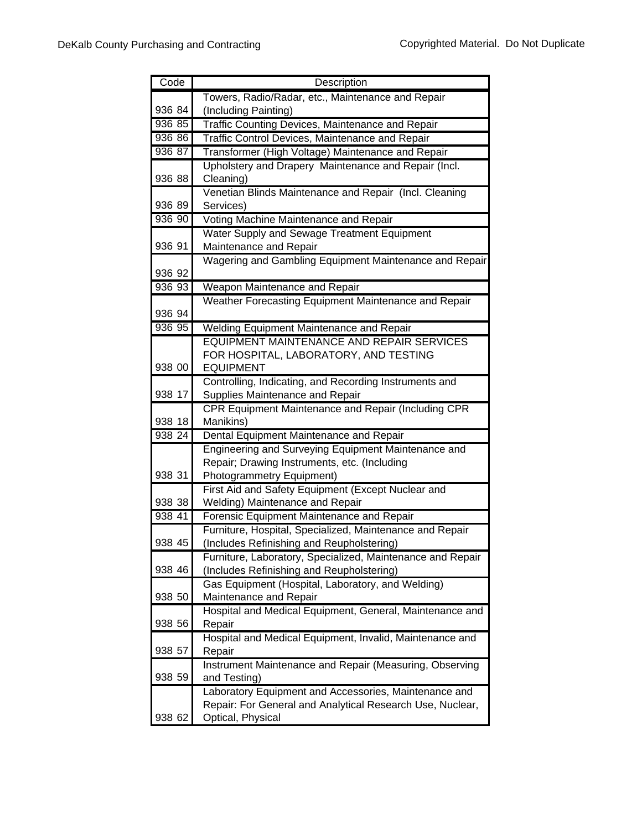| Code   | Description                                                                           |
|--------|---------------------------------------------------------------------------------------|
|        | Towers, Radio/Radar, etc., Maintenance and Repair                                     |
| 936 84 | (Including Painting)                                                                  |
| 936 85 | Traffic Counting Devices, Maintenance and Repair                                      |
| 936 86 | Traffic Control Devices, Maintenance and Repair                                       |
| 936 87 | Transformer (High Voltage) Maintenance and Repair                                     |
|        | Upholstery and Drapery Maintenance and Repair (Incl.                                  |
| 936 88 | Cleaning)                                                                             |
|        | Venetian Blinds Maintenance and Repair (Incl. Cleaning                                |
| 936 89 | Services)                                                                             |
| 936 90 | Voting Machine Maintenance and Repair                                                 |
|        | Water Supply and Sewage Treatment Equipment                                           |
| 936 91 | Maintenance and Repair                                                                |
|        | Wagering and Gambling Equipment Maintenance and Repair                                |
| 936 92 |                                                                                       |
| 936 93 | Weapon Maintenance and Repair                                                         |
|        | Weather Forecasting Equipment Maintenance and Repair                                  |
| 936 94 |                                                                                       |
| 936 95 | Welding Equipment Maintenance and Repair<br>EQUIPMENT MAINTENANCE AND REPAIR SERVICES |
|        | FOR HOSPITAL, LABORATORY, AND TESTING                                                 |
| 938 00 | <b>EQUIPMENT</b>                                                                      |
|        | Controlling, Indicating, and Recording Instruments and                                |
| 938 17 | Supplies Maintenance and Repair                                                       |
|        | CPR Equipment Maintenance and Repair (Including CPR                                   |
| 938 18 | Manikins)                                                                             |
| 938 24 | Dental Equipment Maintenance and Repair                                               |
|        | Engineering and Surveying Equipment Maintenance and                                   |
|        | Repair; Drawing Instruments, etc. (Including                                          |
| 938 31 | Photogrammetry Equipment)                                                             |
|        | First Aid and Safety Equipment (Except Nuclear and                                    |
| 938 38 | Welding) Maintenance and Repair                                                       |
| 938 41 | Forensic Equipment Maintenance and Repair                                             |
|        | Furniture, Hospital, Specialized, Maintenance and Repair                              |
| 938 45 | (Includes Refinishing and Reupholstering)                                             |
|        | Furniture, Laboratory, Specialized, Maintenance and Repair                            |
| 938 46 | (Includes Refinishing and Reupholstering)                                             |
| 938 50 | Gas Equipment (Hospital, Laboratory, and Welding)                                     |
|        | Maintenance and Repair                                                                |
| 938 56 | Hospital and Medical Equipment, General, Maintenance and<br>Repair                    |
|        | Hospital and Medical Equipment, Invalid, Maintenance and                              |
| 938 57 | Repair                                                                                |
|        | Instrument Maintenance and Repair (Measuring, Observing                               |
| 938 59 | and Testing)                                                                          |
|        | Laboratory Equipment and Accessories, Maintenance and                                 |
|        | Repair: For General and Analytical Research Use, Nuclear,                             |
| 938 62 | Optical, Physical                                                                     |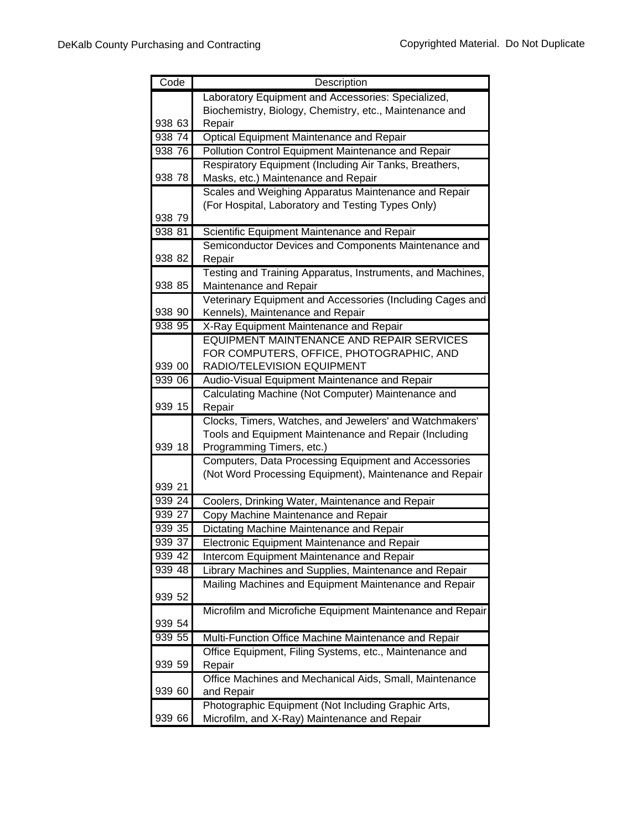| Code               | Description                                                                           |
|--------------------|---------------------------------------------------------------------------------------|
|                    | Laboratory Equipment and Accessories: Specialized,                                    |
|                    | Biochemistry, Biology, Chemistry, etc., Maintenance and                               |
| 938 63             | Repair                                                                                |
| 93874              | <b>Optical Equipment Maintenance and Repair</b>                                       |
| 938 76             | Pollution Control Equipment Maintenance and Repair                                    |
|                    | Respiratory Equipment (Including Air Tanks, Breathers,                                |
| 938 78             | Masks, etc.) Maintenance and Repair                                                   |
|                    | Scales and Weighing Apparatus Maintenance and Repair                                  |
|                    | (For Hospital, Laboratory and Testing Types Only)                                     |
| 938 79             |                                                                                       |
| 938 81             | Scientific Equipment Maintenance and Repair                                           |
|                    | Semiconductor Devices and Components Maintenance and                                  |
| 938 82             | Repair                                                                                |
|                    | Testing and Training Apparatus, Instruments, and Machines,                            |
| 938 85             | Maintenance and Repair                                                                |
|                    | Veterinary Equipment and Accessories (Including Cages and                             |
| 938 90<br>938 95   | Kennels), Maintenance and Repair                                                      |
|                    | X-Ray Equipment Maintenance and Repair                                                |
|                    | EQUIPMENT MAINTENANCE AND REPAIR SERVICES<br>FOR COMPUTERS, OFFICE, PHOTOGRAPHIC, AND |
| 939 00             | RADIO/TELEVISION EQUIPMENT                                                            |
| 939 06             | Audio-Visual Equipment Maintenance and Repair                                         |
|                    | Calculating Machine (Not Computer) Maintenance and                                    |
| 939 15             | Repair                                                                                |
|                    | Clocks, Timers, Watches, and Jewelers' and Watchmakers'                               |
|                    | Tools and Equipment Maintenance and Repair (Including                                 |
| 939 18             | Programming Timers, etc.)                                                             |
|                    | Computers, Data Processing Equipment and Accessories                                  |
|                    | (Not Word Processing Equipment), Maintenance and Repair                               |
| 939 21             |                                                                                       |
| 939 24             | Coolers, Drinking Water, Maintenance and Repair                                       |
| 939 27             | Copy Machine Maintenance and Repair                                                   |
| 939 35             | Dictating Machine Maintenance and Repair                                              |
| 939 37             | <b>Electronic Equipment Maintenance and Repair</b>                                    |
| $939\overline{42}$ | <b>Intercom Equipment Maintenance and Repair</b>                                      |
| 939 48             | Library Machines and Supplies, Maintenance and Repair                                 |
|                    | Mailing Machines and Equipment Maintenance and Repair                                 |
| 939 52             |                                                                                       |
|                    | Microfilm and Microfiche Equipment Maintenance and Repair                             |
| 939 54             |                                                                                       |
| 939 55             | Multi-Function Office Machine Maintenance and Repair                                  |
|                    | Office Equipment, Filing Systems, etc., Maintenance and                               |
| 939 59             | Repair                                                                                |
|                    | Office Machines and Mechanical Aids, Small, Maintenance                               |
| 939 60             | and Repair                                                                            |
|                    | Photographic Equipment (Not Including Graphic Arts,                                   |
| 939 66             | Microfilm, and X-Ray) Maintenance and Repair                                          |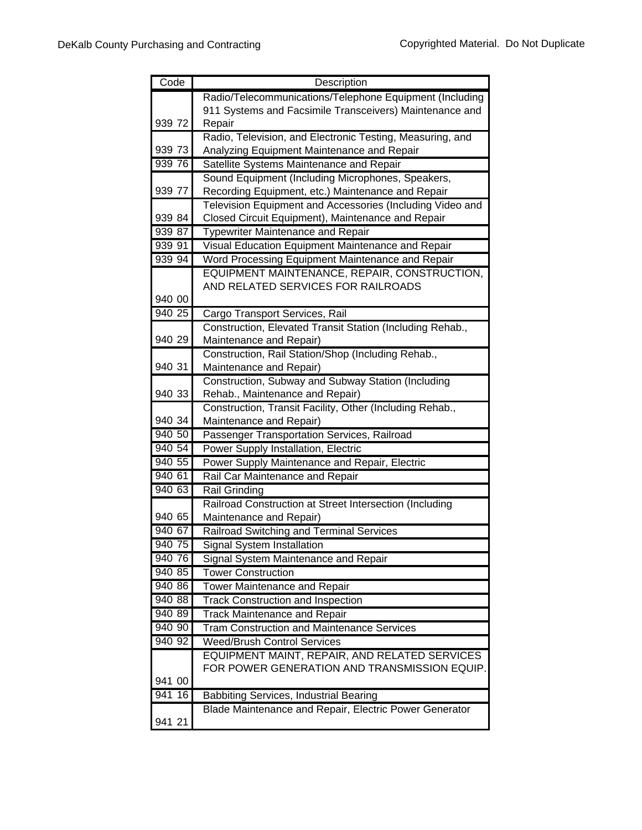| Code   | Description                                                                         |
|--------|-------------------------------------------------------------------------------------|
|        | Radio/Telecommunications/Telephone Equipment (Including                             |
|        | 911 Systems and Facsimile Transceivers) Maintenance and                             |
| 939 72 | Repair                                                                              |
|        | Radio, Television, and Electronic Testing, Measuring, and                           |
| 939 73 | Analyzing Equipment Maintenance and Repair                                          |
| 939 76 | Satellite Systems Maintenance and Repair                                            |
|        | Sound Equipment (Including Microphones, Speakers,                                   |
| 939 77 | Recording Equipment, etc.) Maintenance and Repair                                   |
|        | Television Equipment and Accessories (Including Video and                           |
| 939 84 | Closed Circuit Equipment), Maintenance and Repair                                   |
| 939 87 | Typewriter Maintenance and Repair                                                   |
| 939 91 | Visual Education Equipment Maintenance and Repair                                   |
| 939 94 | Word Processing Equipment Maintenance and Repair                                    |
|        | EQUIPMENT MAINTENANCE, REPAIR, CONSTRUCTION,                                        |
|        | AND RELATED SERVICES FOR RAILROADS                                                  |
| 940 00 |                                                                                     |
| 940 25 | Cargo Transport Services, Rail                                                      |
| 940 29 | Construction, Elevated Transit Station (Including Rehab.,                           |
|        | Maintenance and Repair)                                                             |
| 940 31 | Construction, Rail Station/Shop (Including Rehab.,                                  |
|        | Maintenance and Repair)                                                             |
| 940 33 | Construction, Subway and Subway Station (Including                                  |
|        | Rehab., Maintenance and Repair)                                                     |
| 940 34 | Construction, Transit Facility, Other (Including Rehab.,<br>Maintenance and Repair) |
| 940 50 | Passenger Transportation Services, Railroad                                         |
| 940 54 | Power Supply Installation, Electric                                                 |
| 940 55 | Power Supply Maintenance and Repair, Electric                                       |
| 940 61 | Rail Car Maintenance and Repair                                                     |
| 940 63 | <b>Rail Grinding</b>                                                                |
|        | Railroad Construction at Street Intersection (Including                             |
| 940 65 | Maintenance and Repair)                                                             |
| 940 67 | Railroad Switching and Terminal Services                                            |
| 940 75 | Signal System Installation                                                          |
| 940 76 | Signal System Maintenance and Repair                                                |
| 940 85 | <b>Tower Construction</b>                                                           |
| 940 86 | <b>Tower Maintenance and Repair</b>                                                 |
| 940 88 | <b>Track Construction and Inspection</b>                                            |
| 940 89 | <b>Track Maintenance and Repair</b>                                                 |
| 940 90 | <b>Tram Construction and Maintenance Services</b>                                   |
| 940 92 | <b>Weed/Brush Control Services</b>                                                  |
|        | EQUIPMENT MAINT, REPAIR, AND RELATED SERVICES                                       |
|        | FOR POWER GENERATION AND TRANSMISSION EQUIP.                                        |
| 941 00 |                                                                                     |
| 941 16 | <b>Babbiting Services, Industrial Bearing</b>                                       |
|        | Blade Maintenance and Repair, Electric Power Generator                              |
| 941 21 |                                                                                     |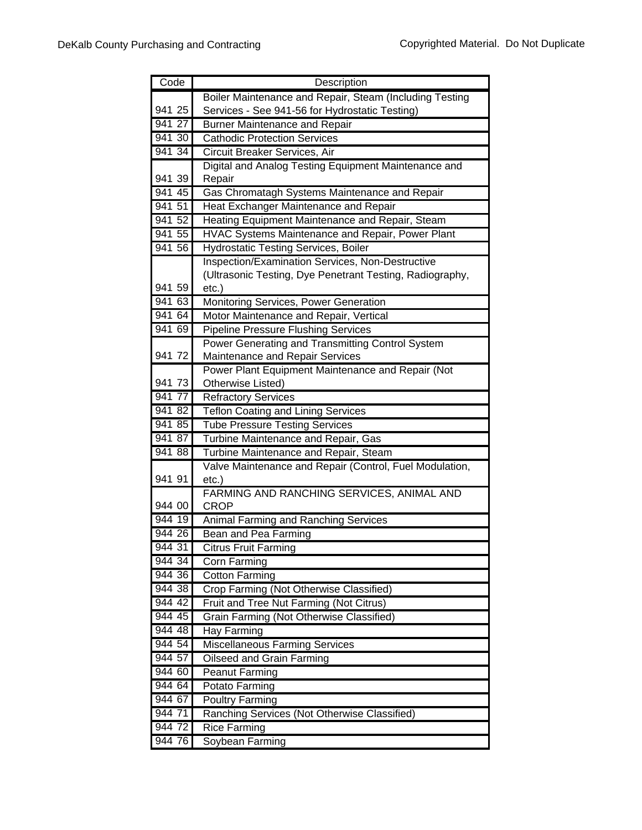| Code   | Description                                                         |
|--------|---------------------------------------------------------------------|
|        | Boiler Maintenance and Repair, Steam (Including Testing             |
| 941 25 | Services - See 941-56 for Hydrostatic Testing)                      |
| 941 27 | <b>Burner Maintenance and Repair</b>                                |
| 94130  | <b>Cathodic Protection Services</b>                                 |
| 941 34 | Circuit Breaker Services, Air                                       |
|        | Digital and Analog Testing Equipment Maintenance and                |
| 941 39 | Repair                                                              |
| 94145  | Gas Chromatagh Systems Maintenance and Repair                       |
| 941 51 | Heat Exchanger Maintenance and Repair                               |
| 941 52 | Heating Equipment Maintenance and Repair, Steam                     |
| 941 55 | HVAC Systems Maintenance and Repair, Power Plant                    |
| 941 56 | <b>Hydrostatic Testing Services, Boiler</b>                         |
|        | <b>Inspection/Examination Services, Non-Destructive</b>             |
|        | (Ultrasonic Testing, Dye Penetrant Testing, Radiography,            |
| 941 59 | $etc.$ )                                                            |
| 941 63 | Monitoring Services, Power Generation                               |
| 941 64 | Motor Maintenance and Repair, Vertical                              |
| 941 69 | <b>Pipeline Pressure Flushing Services</b>                          |
|        | Power Generating and Transmitting Control System                    |
| 941 72 | Maintenance and Repair Services                                     |
|        | Power Plant Equipment Maintenance and Repair (Not                   |
| 941 73 | Otherwise Listed)                                                   |
| 941 77 | <b>Refractory Services</b>                                          |
| 941 82 | <b>Teflon Coating and Lining Services</b>                           |
| 941 85 | <b>Tube Pressure Testing Services</b>                               |
| 941 87 | Turbine Maintenance and Repair, Gas                                 |
| 94188  | Turbine Maintenance and Repair, Steam                               |
| 941 91 | Valve Maintenance and Repair (Control, Fuel Modulation,<br>$etc.$ ) |
|        | FARMING AND RANCHING SERVICES, ANIMAL AND                           |
| 944 00 | <b>CROP</b>                                                         |
| 944 19 | Animal Farming and Ranching Services                                |
| 944 26 | Bean and Pea Farming                                                |
| 944 31 | <b>Citrus Fruit Farming</b>                                         |
| 944 34 | Corn Farming                                                        |
| 944 36 | <b>Cotton Farming</b>                                               |
| 944 38 | Crop Farming (Not Otherwise Classified)                             |
| 944 42 | Fruit and Tree Nut Farming (Not Citrus)                             |
| 944 45 | Grain Farming (Not Otherwise Classified)                            |
| 944 48 | Hay Farming                                                         |
| 944 54 | <b>Miscellaneous Farming Services</b>                               |
| 944 57 | Oilseed and Grain Farming                                           |
| 944 60 | <b>Peanut Farming</b>                                               |
| 944 64 | Potato Farming                                                      |
| 944 67 | <b>Poultry Farming</b>                                              |
| 944 71 | Ranching Services (Not Otherwise Classified)                        |
| 944 72 | <b>Rice Farming</b>                                                 |
| 944 76 | Soybean Farming                                                     |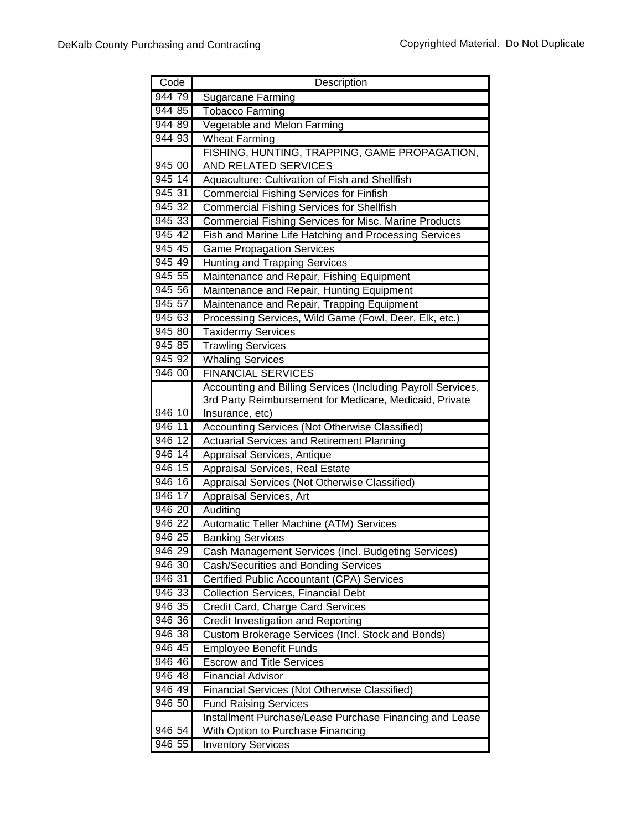| Code               | Description                                                  |
|--------------------|--------------------------------------------------------------|
| 944 79             | Sugarcane Farming                                            |
| 944 85             | <b>Tobacco Farming</b>                                       |
| 944 89             | Vegetable and Melon Farming                                  |
| 944 93             | <b>Wheat Farming</b>                                         |
|                    | FISHING, HUNTING, TRAPPING, GAME PROPAGATION,                |
| 945 00             | AND RELATED SERVICES                                         |
| $\frac{1}{945}$ 14 | Aquaculture: Cultivation of Fish and Shellfish               |
| 945 31             | <b>Commercial Fishing Services for Finfish</b>               |
| 945 32             | <b>Commercial Fishing Services for Shellfish</b>             |
| 945 33             | <b>Commercial Fishing Services for Misc. Marine Products</b> |
| 945 42             | Fish and Marine Life Hatching and Processing Services        |
| 945 45             | <b>Game Propagation Services</b>                             |
| 945 49             | Hunting and Trapping Services                                |
| 945 55             | Maintenance and Repair, Fishing Equipment                    |
| 945 56             | Maintenance and Repair, Hunting Equipment                    |
| 945 57             | Maintenance and Repair, Trapping Equipment                   |
| 945 63             | Processing Services, Wild Game (Fowl, Deer, Elk, etc.)       |
| 945 80             | <b>Taxidermy Services</b>                                    |
| 945 85             | <b>Trawling Services</b>                                     |
| 945 92             | <b>Whaling Services</b>                                      |
| 946 00             | <b>FINANCIAL SERVICES</b>                                    |
|                    | Accounting and Billing Services (Including Payroll Services, |
|                    | 3rd Party Reimbursement for Medicare, Medicaid, Private      |
| 946 10             | Insurance, etc)                                              |
| 946 11             | Accounting Services (Not Otherwise Classified)               |
| 946 12             | <b>Actuarial Services and Retirement Planning</b>            |
| 946 14             | Appraisal Services, Antique                                  |
| 946 15             | Appraisal Services, Real Estate                              |
| $946$ 16           | Appraisal Services (Not Otherwise Classified)                |
| 946 17             | Appraisal Services, Art                                      |
| 946 20             | Auditing                                                     |
| $946\,22$          | Automatic Teller Machine (ATM) Services                      |
| 946 25             | <b>Banking Services</b>                                      |
| 946 29             | Cash Management Services (Incl. Budgeting Services)          |
| 946 30             | Cash/Securities and Bonding Services                         |
| 946 31             | Certified Public Accountant (CPA) Services                   |
| 946 33             | <b>Collection Services, Financial Debt</b>                   |
| 946 35             | Credit Card, Charge Card Services                            |
| 946 36             | <b>Credit Investigation and Reporting</b>                    |
| 946 38             | Custom Brokerage Services (Incl. Stock and Bonds)            |
| 946 45             | <b>Employee Benefit Funds</b>                                |
| 946 46             | <b>Escrow and Title Services</b>                             |
| 946 48             | <b>Financial Advisor</b>                                     |
| 946 49             | Financial Services (Not Otherwise Classified)                |
| 946 50             | <b>Fund Raising Services</b>                                 |
| 946 54             | Installment Purchase/Lease Purchase Financing and Lease      |
| 946 55             | With Option to Purchase Financing                            |
|                    | <b>Inventory Services</b>                                    |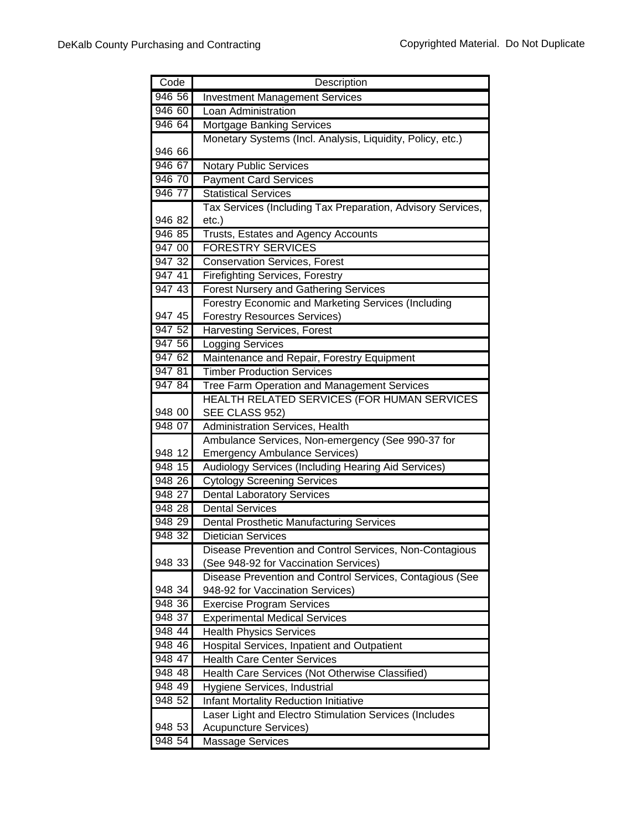| Code               | Description                                                 |
|--------------------|-------------------------------------------------------------|
| 946 56             | <b>Investment Management Services</b>                       |
| 946 60             | Loan Administration                                         |
| 946 64             | <b>Mortgage Banking Services</b>                            |
|                    | Monetary Systems (Incl. Analysis, Liquidity, Policy, etc.)  |
| 946 66             |                                                             |
| 946 67             | <b>Notary Public Services</b>                               |
| 946 70             | <b>Payment Card Services</b>                                |
| 946 77             | <b>Statistical Services</b>                                 |
|                    | Tax Services (Including Tax Preparation, Advisory Services, |
| 946 82             | etc.)                                                       |
| 946 85             | Trusts, Estates and Agency Accounts                         |
| 947 00             | <b>FORESTRY SERVICES</b>                                    |
| 947 32             | <b>Conservation Services, Forest</b>                        |
| 947 41             | <b>Firefighting Services, Forestry</b>                      |
| 947 43             | <b>Forest Nursery and Gathering Services</b>                |
|                    | Forestry Economic and Marketing Services (Including         |
| 947 45             | <b>Forestry Resources Services)</b>                         |
| 947 52             | <b>Harvesting Services, Forest</b>                          |
| 947 56             | <b>Logging Services</b>                                     |
| 947 62             | Maintenance and Repair, Forestry Equipment                  |
| 947 81             | <b>Timber Production Services</b>                           |
| 947 84             | Tree Farm Operation and Management Services                 |
|                    | HEALTH RELATED SERVICES (FOR HUMAN SERVICES                 |
| 948 00             | SEE CLASS 952)                                              |
| 948 07             | Administration Services, Health                             |
|                    | Ambulance Services, Non-emergency (See 990-37 for           |
| 948 12             | <b>Emergency Ambulance Services)</b>                        |
| 948 15             | Audiology Services (Including Hearing Aid Services)         |
| 948 26             | <b>Cytology Screening Services</b>                          |
| 948 27             | <b>Dental Laboratory Services</b>                           |
| 948 28             | <b>Dental Services</b>                                      |
| 948 29             | <b>Dental Prosthetic Manufacturing Services</b>             |
| 948 32             | <b>Dietician Services</b>                                   |
|                    | Disease Prevention and Control Services, Non-Contagious     |
| 948 33             | (See 948-92 for Vaccination Services)                       |
|                    | Disease Prevention and Control Services, Contagious (See    |
| 948 34             | 948-92 for Vaccination Services)                            |
| 948 36             | Exercise Program Services                                   |
| 948 37             | <b>Experimental Medical Services</b>                        |
| 948 44             | <b>Health Physics Services</b>                              |
| 948 46             | Hospital Services, Inpatient and Outpatient                 |
| 948 47             | <b>Health Care Center Services</b>                          |
| 948 48             | Health Care Services (Not Otherwise Classified)             |
| 948 49             | Hygiene Services, Industrial                                |
| 948 52             | <b>Infant Mortality Reduction Initiative</b>                |
|                    | Laser Light and Electro Stimulation Services (Includes      |
| 948 53             | <b>Acupuncture Services)</b>                                |
| $948\overline{54}$ | Massage Services                                            |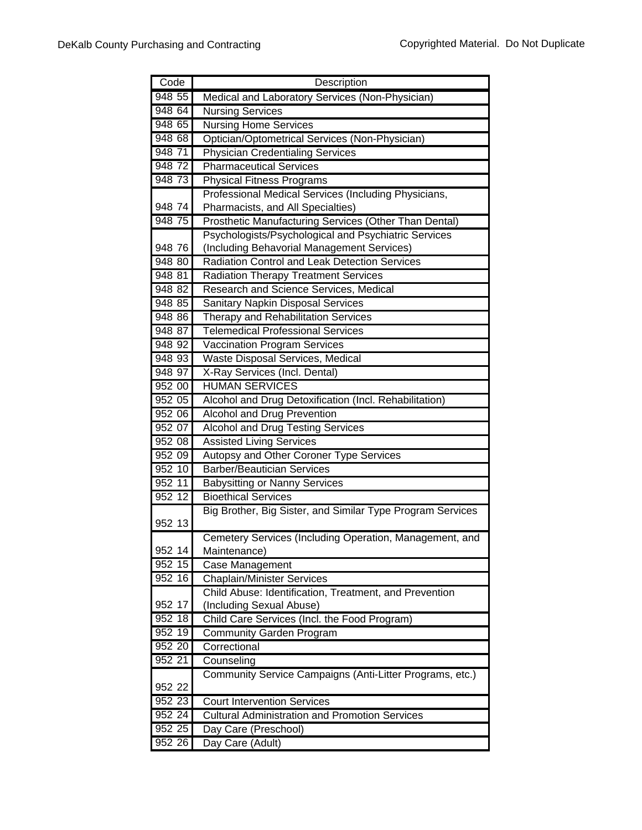| Code   | Description                                                |
|--------|------------------------------------------------------------|
| 948 55 | Medical and Laboratory Services (Non-Physician)            |
| 948 64 | <b>Nursing Services</b>                                    |
| 948 65 | <b>Nursing Home Services</b>                               |
| 948 68 | Optician/Optometrical Services (Non-Physician)             |
| 948 71 | <b>Physician Credentialing Services</b>                    |
| 948 72 | <b>Pharmaceutical Services</b>                             |
| 948 73 | <b>Physical Fitness Programs</b>                           |
|        | Professional Medical Services (Including Physicians,       |
| 948 74 | Pharmacists, and All Specialties)                          |
| 948 75 | Prosthetic Manufacturing Services (Other Than Dental)      |
|        | Psychologists/Psychological and Psychiatric Services       |
| 948 76 | (Including Behavorial Management Services)                 |
| 948 80 | Radiation Control and Leak Detection Services              |
| 948 81 | <b>Radiation Therapy Treatment Services</b>                |
| 948 82 | <b>Research and Science Services, Medical</b>              |
| 948 85 | Sanitary Napkin Disposal Services                          |
| 948 86 | <b>Therapy and Rehabilitation Services</b>                 |
| 948 87 | <b>Telemedical Professional Services</b>                   |
| 948 92 | <b>Vaccination Program Services</b>                        |
| 948 93 | Waste Disposal Services, Medical                           |
| 948 97 | X-Ray Services (Incl. Dental)                              |
| 952 00 | <b>HUMAN SERVICES</b>                                      |
| 952 05 | Alcohol and Drug Detoxification (Incl. Rehabilitation)     |
| 952 06 | Alcohol and Drug Prevention                                |
| 952 07 | <b>Alcohol and Drug Testing Services</b>                   |
| 952 08 | <b>Assisted Living Services</b>                            |
| 952 09 | Autopsy and Other Coroner Type Services                    |
| 952 10 | <b>Barber/Beautician Services</b>                          |
| 952 11 | <b>Babysitting or Nanny Services</b>                       |
| 952 12 | <b>Bioethical Services</b>                                 |
|        | Big Brother, Big Sister, and Similar Type Program Services |
| 952 13 |                                                            |
|        | Cemetery Services (Including Operation, Management, and    |
| 952 14 | Maintenance)                                               |
| 952 15 | Case Management                                            |
| 952 16 | <b>Chaplain/Minister Services</b>                          |
|        | Child Abuse: Identification, Treatment, and Prevention     |
| 952 17 | (Including Sexual Abuse)                                   |
| 952 18 | Child Care Services (Incl. the Food Program)               |
| 952 19 | <b>Community Garden Program</b>                            |
| 952 20 | Correctional                                               |
| 952 21 | Counseling                                                 |
|        | Community Service Campaigns (Anti-Litter Programs, etc.)   |
| 952 22 |                                                            |
| 952 23 | <b>Court Intervention Services</b>                         |
| 952 24 | <b>Cultural Administration and Promotion Services</b>      |
| 952 25 | Day Care (Preschool)                                       |
| 952 26 | Day Care (Adult)                                           |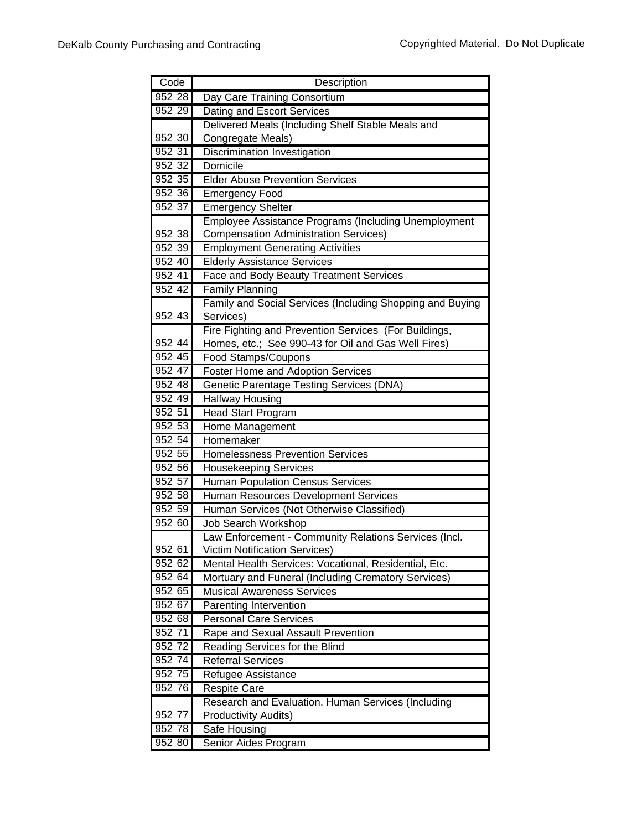| Code      | Description                                                                                   |
|-----------|-----------------------------------------------------------------------------------------------|
| 952 28    | Day Care Training Consortium                                                                  |
| 952 29    | Dating and Escort Services                                                                    |
|           | Delivered Meals (Including Shelf Stable Meals and                                             |
| 952 30    | Congregate Meals)                                                                             |
| 952 31    | Discrimination Investigation                                                                  |
| 952 32    | Domicile                                                                                      |
| 952 35    | <b>Elder Abuse Prevention Services</b>                                                        |
| 952 36    | Emergency Food                                                                                |
| 952 37    | <b>Emergency Shelter</b>                                                                      |
|           | <b>Employee Assistance Programs (Including Unemployment</b>                                   |
| 952 38    | <b>Compensation Administration Services)</b>                                                  |
| 952 39    | <b>Employment Generating Activities</b>                                                       |
| 952 40    | <b>Elderly Assistance Services</b>                                                            |
| 95241     | Face and Body Beauty Treatment Services                                                       |
| 952 42    | <b>Family Planning</b>                                                                        |
|           | Family and Social Services (Including Shopping and Buying                                     |
| 952 43    | Services)                                                                                     |
|           | Fire Fighting and Prevention Services (For Buildings,                                         |
| 952 44    | Homes, etc.; See 990-43 for Oil and Gas Well Fires)                                           |
| 952 45    | Food Stamps/Coupons                                                                           |
| 952 47    | Foster Home and Adoption Services                                                             |
| 952 48    | Genetic Parentage Testing Services (DNA)                                                      |
| 952 49    | <b>Halfway Housing</b>                                                                        |
| 952 51    | <b>Head Start Program</b>                                                                     |
| 952 53    | Home Management                                                                               |
| 952 54    | Homemaker                                                                                     |
| 952 55    | <b>Homelessness Prevention Services</b>                                                       |
| 952 56    | <b>Housekeeping Services</b>                                                                  |
| 952 57    | <b>Human Population Census Services</b>                                                       |
| 952 58    | Human Resources Development Services                                                          |
| 952 59    | Human Services (Not Otherwise Classified)                                                     |
| 952 60    | <b>Job Search Workshop</b>                                                                    |
| 952 61    | Law Enforcement - Community Relations Services (Incl.<br><b>Victim Notification Services)</b> |
| 952 62    | Mental Health Services: Vocational, Residential, Etc.                                         |
| 952 64    | Mortuary and Funeral (Including Crematory Services)                                           |
| 952 65    | <b>Musical Awareness Services</b>                                                             |
| 952 67    | Parenting Intervention                                                                        |
| 952 68    | <b>Personal Care Services</b>                                                                 |
| 952 71    | Rape and Sexual Assault Prevention                                                            |
| $952\,72$ | Reading Services for the Blind                                                                |
| 952 74    | <b>Referral Services</b>                                                                      |
| 952 75    | Refugee Assistance                                                                            |
| 952 76    | <b>Respite Care</b>                                                                           |
|           | Research and Evaluation, Human Services (Including                                            |
| 952 77    | <b>Productivity Audits)</b>                                                                   |
| 952 78    | Safe Housing                                                                                  |
| 952 80    | Senior Aides Program                                                                          |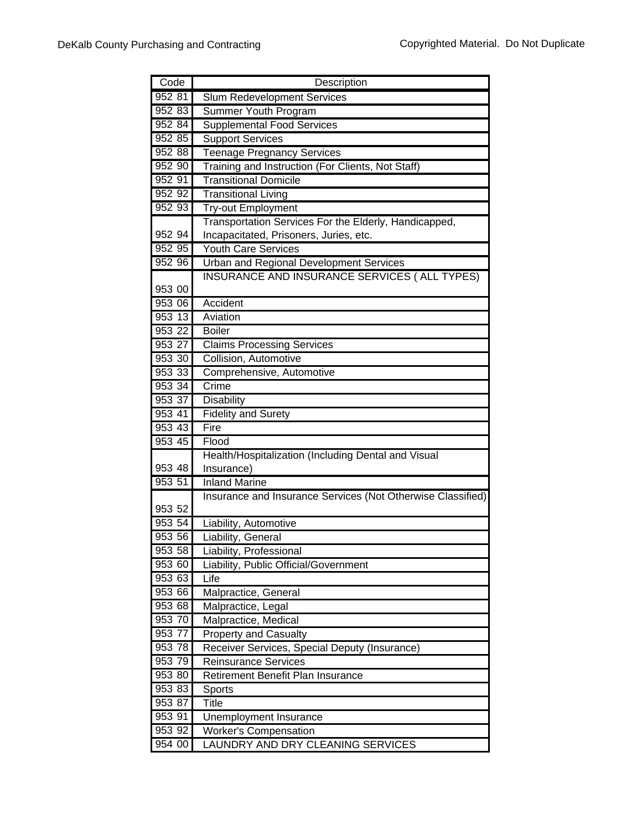| Code<br>Description                                                        |  |
|----------------------------------------------------------------------------|--|
| 952 81<br><b>Slum Redevelopment Services</b>                               |  |
| 952 83<br>Summer Youth Program                                             |  |
| 952 84<br><b>Supplemental Food Services</b>                                |  |
| 952 85<br><b>Support Services</b>                                          |  |
| 952 88<br><b>Teenage Pregnancy Services</b>                                |  |
| 952 90<br>Training and Instruction (For Clients, Not Staff)                |  |
| <b>Transitional Domicile</b><br>952 91                                     |  |
| 952 92<br><b>Transitional Living</b>                                       |  |
| 952 93<br><b>Try-out Employment</b>                                        |  |
| Transportation Services For the Elderly, Handicapped,                      |  |
| Incapacitated, Prisoners, Juries, etc.<br>952 94                           |  |
| 952 95<br><b>Youth Care Services</b>                                       |  |
| 952 96<br><b>Urban and Regional Development Services</b>                   |  |
| INSURANCE AND INSURANCE SERVICES ( ALL TYPES)                              |  |
| 953 00                                                                     |  |
| 953 06<br>Accident                                                         |  |
| 953 13<br>Aviation                                                         |  |
| 953 22<br><b>Boiler</b>                                                    |  |
| 953 27<br><b>Claims Processing Services</b>                                |  |
| 953 30<br>Collision, Automotive                                            |  |
| 953 33<br>Comprehensive, Automotive                                        |  |
| 953 34<br>Crime                                                            |  |
| 953 37<br>Disability                                                       |  |
| 953 41<br><b>Fidelity and Surety</b>                                       |  |
| 953 43<br>Fire                                                             |  |
| 953 45<br>Flood                                                            |  |
| Health/Hospitalization (Including Dental and Visual                        |  |
| 953 48<br>Insurance)                                                       |  |
| 953 51<br><b>Inland Marine</b>                                             |  |
| Insurance and Insurance Services (Not Otherwise Classified)                |  |
| 953 52                                                                     |  |
|                                                                            |  |
| 953 54<br>iability, Automotive.                                            |  |
| 953 56<br>iability, General                                                |  |
| 953 58<br>Liability, Professional                                          |  |
| 953 60<br>Liability, Public Official/Government                            |  |
| 953 63<br>Life                                                             |  |
| 953 66<br>Malpractice, General                                             |  |
| 953 68<br>Malpractice, Legal                                               |  |
| 953 70<br>Malpractice, Medical                                             |  |
| 953 77<br><b>Property and Casualty</b>                                     |  |
| 953 78<br>Receiver Services, Special Deputy (Insurance)                    |  |
| 953 79<br><b>Reinsurance Services</b>                                      |  |
| 953 80<br>Retirement Benefit Plan Insurance                                |  |
| 953 83<br>Sports                                                           |  |
| 953 87<br><b>Title</b>                                                     |  |
| 953 91<br>Unemployment Insurance<br>953 92<br><b>Worker's Compensation</b> |  |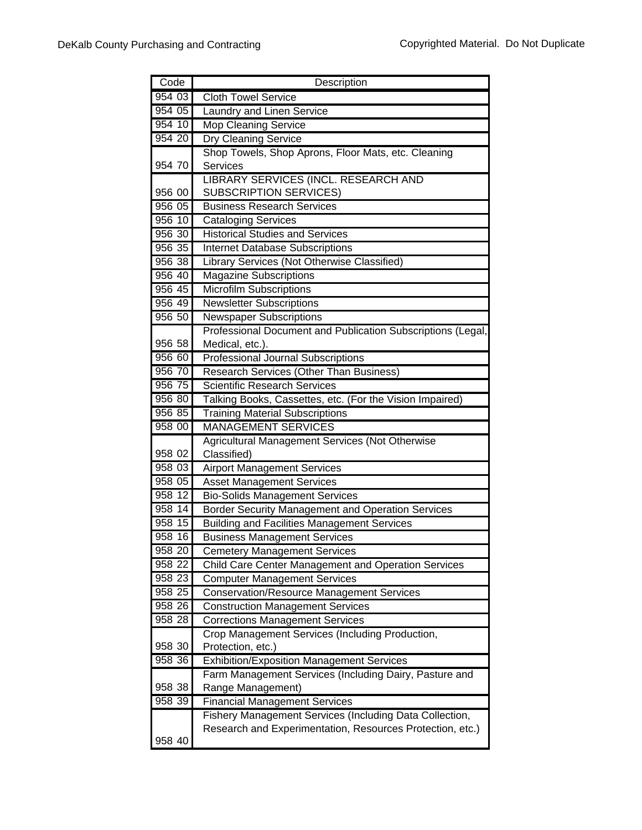| Code   | Description                                                 |
|--------|-------------------------------------------------------------|
| 954 03 | <b>Cloth Towel Service</b>                                  |
| 954 05 | Laundry and Linen Service                                   |
| 95410  | <b>Mop Cleaning Service</b>                                 |
| 954 20 | <b>Dry Cleaning Service</b>                                 |
|        | Shop Towels, Shop Aprons, Floor Mats, etc. Cleaning         |
| 954 70 | Services                                                    |
|        | LIBRARY SERVICES (INCL. RESEARCH AND                        |
| 956 00 | <b>SUBSCRIPTION SERVICES)</b>                               |
| 956 05 | <b>Business Research Services</b>                           |
| 956 10 | <b>Cataloging Services</b>                                  |
| 956 30 | <b>Historical Studies and Services</b>                      |
| 956 35 | <b>Internet Database Subscriptions</b>                      |
| 956 38 | Library Services (Not Otherwise Classified)                 |
| 956 40 | <b>Magazine Subscriptions</b>                               |
| 956 45 | <b>Microfilm Subscriptions</b>                              |
| 956 49 | <b>Newsletter Subscriptions</b>                             |
| 956 50 | <b>Newspaper Subscriptions</b>                              |
|        | Professional Document and Publication Subscriptions (Legal, |
| 956 58 | Medical, etc.).                                             |
| 956 60 | <b>Professional Journal Subscriptions</b>                   |
| 956 70 | Research Services (Other Than Business)                     |
| 956 75 | <b>Scientific Research Services</b>                         |
| 956 80 | Talking Books, Cassettes, etc. (For the Vision Impaired)    |
| 956 85 | <b>Training Material Subscriptions</b>                      |
| 958 00 | <b>MANAGEMENT SERVICES</b>                                  |
|        | Agricultural Management Services (Not Otherwise             |
| 958 02 | Classified)                                                 |
| 958 03 | <b>Airport Management Services</b>                          |
| 958 05 | <b>Asset Management Services</b>                            |
| 958 12 | <b>Bio-Solids Management Services</b>                       |
| 958 14 | Border Security Management and Operation Services           |
| 958 15 | <b>Building and Facilities Management Services</b>          |
| 958 16 | <b>Business Management Services</b>                         |
| 958 20 | <b>Cemetery Management Services</b>                         |
| 958 22 | Child Care Center Management and Operation Services         |
| 958 23 | <b>Computer Management Services</b>                         |
| 958 25 | <b>Conservation/Resource Management Services</b>            |
| 958 26 | <b>Construction Management Services</b>                     |
| 958 28 | <b>Corrections Management Services</b>                      |
|        | Crop Management Services (Including Production,             |
| 958 30 | Protection, etc.)                                           |
| 958 36 | <b>Exhibition/Exposition Management Services</b>            |
|        | Farm Management Services (Including Dairy, Pasture and      |
| 958 38 | Range Management)                                           |
| 958 39 | <b>Financial Management Services</b>                        |
|        | Fishery Management Services (Including Data Collection,     |
|        | Research and Experimentation, Resources Protection, etc.)   |
| 958 40 |                                                             |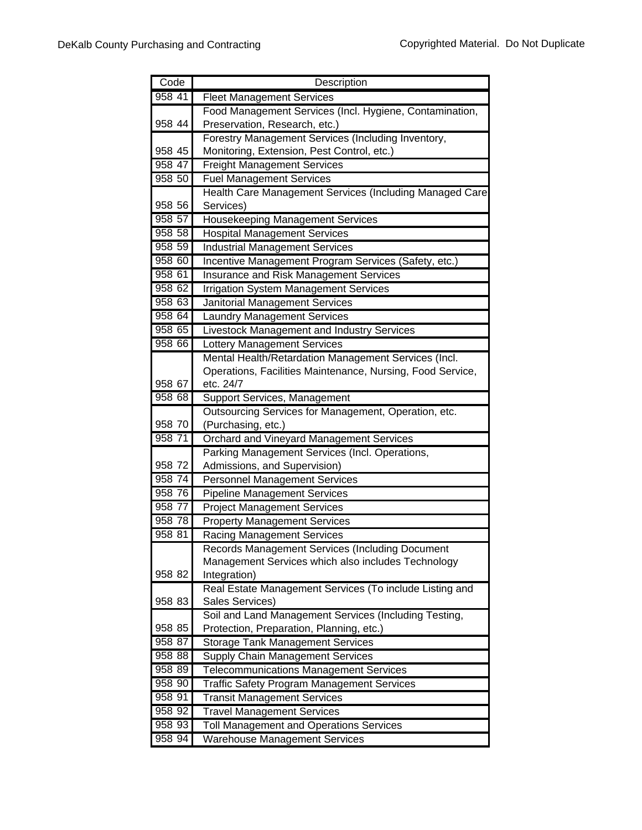| Code                 | Description                                                                                       |
|----------------------|---------------------------------------------------------------------------------------------------|
| 958 41               | <b>Fleet Management Services</b>                                                                  |
|                      | Food Management Services (Incl. Hygiene, Contamination,                                           |
| 958 44               | Preservation, Research, etc.)                                                                     |
|                      | Forestry Management Services (Including Inventory,                                                |
| 958 45               | Monitoring, Extension, Pest Control, etc.)                                                        |
| 958 47               | <b>Freight Management Services</b>                                                                |
| 958 50               | <b>Fuel Management Services</b>                                                                   |
|                      | Health Care Management Services (Including Managed Care                                           |
| 958 56               | Services)                                                                                         |
| 958 57               | Housekeeping Management Services                                                                  |
| 958 58               | <b>Hospital Management Services</b>                                                               |
| 958 59               | <b>Industrial Management Services</b>                                                             |
| 958 60               | Incentive Management Program Services (Safety, etc.)                                              |
| 958 61               | Insurance and Risk Management Services                                                            |
| 958 62               | <b>Irrigation System Management Services</b>                                                      |
| 958 63               | <b>Janitorial Management Services</b>                                                             |
| 958 64               | <b>Laundry Management Services</b>                                                                |
| 958 65               | Livestock Management and Industry Services                                                        |
| $958\,\overline{66}$ | Lottery Management Services                                                                       |
|                      | Mental Health/Retardation Management Services (Incl.                                              |
|                      | Operations, Facilities Maintenance, Nursing, Food Service,                                        |
| 958 67               | etc. 24/7                                                                                         |
| 958 68               | <b>Support Services, Management</b>                                                               |
|                      | Outsourcing Services for Management, Operation, etc.                                              |
| 958 70               | (Purchasing, etc.)                                                                                |
| 958 71               | Orchard and Vineyard Management Services                                                          |
|                      | Parking Management Services (Incl. Operations,                                                    |
| 958 72               | Admissions, and Supervision)                                                                      |
| 958 74               | <b>Personnel Management Services</b>                                                              |
| 958 76               | <b>Pipeline Management Services</b>                                                               |
| 958 77               | <b>Project Management Services</b>                                                                |
| 958 78               | <b>Property Management Services</b>                                                               |
| 958 81               | <b>Racing Management Services</b>                                                                 |
|                      | Records Management Services (Including Document                                                   |
|                      | Management Services which also includes Technology                                                |
| 958 82               | Integration)                                                                                      |
| 958 83               | Real Estate Management Services (To include Listing and<br>Sales Services)                        |
|                      |                                                                                                   |
| 958 85               | Soil and Land Management Services (Including Testing,<br>Protection, Preparation, Planning, etc.) |
| 958 87               | <b>Storage Tank Management Services</b>                                                           |
| 958 88               | <b>Supply Chain Management Services</b>                                                           |
| 958 89               | <b>Telecommunications Management Services</b>                                                     |
| 958 90               | Traffic Safety Program Management Services                                                        |
| 958 91               | <b>Transit Management Services</b>                                                                |
| 958 92               | <b>Travel Management Services</b>                                                                 |
| 958 93               | Toll Management and Operations Services                                                           |
| 958 94               | <b>Warehouse Management Services</b>                                                              |
|                      |                                                                                                   |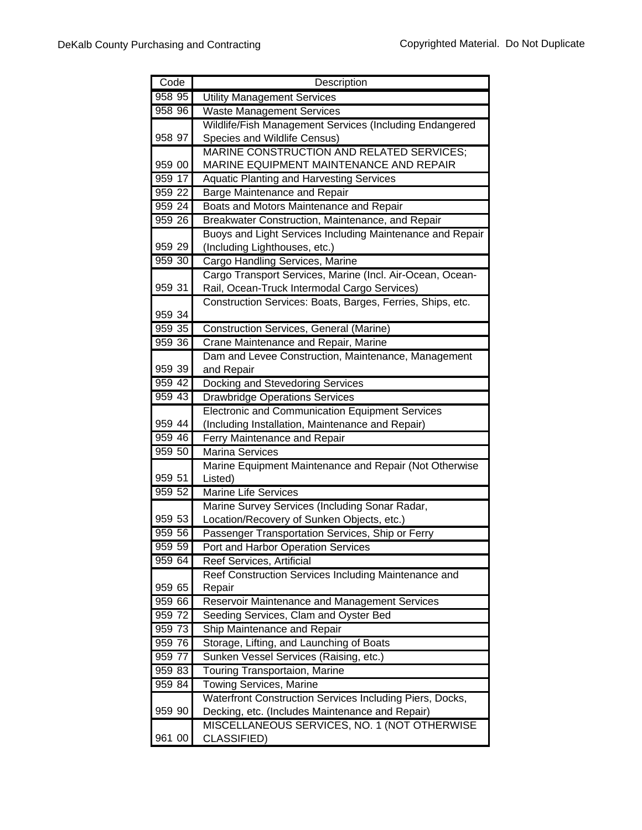| Code               | Description                                                                                     |
|--------------------|-------------------------------------------------------------------------------------------------|
| 958 95             | <b>Utility Management Services</b>                                                              |
| 958 96             | <b>Waste Management Services</b>                                                                |
|                    | Wildlife/Fish Management Services (Including Endangered                                         |
| 958 97             | Species and Wildlife Census)                                                                    |
|                    | MARINE CONSTRUCTION AND RELATED SERVICES;                                                       |
| 959 00             | MARINE EQUIPMENT MAINTENANCE AND REPAIR                                                         |
| 959 17             | <b>Aquatic Planting and Harvesting Services</b>                                                 |
| $959\overline{22}$ | <b>Barge Maintenance and Repair</b>                                                             |
| 95924              | Boats and Motors Maintenance and Repair                                                         |
| 959 26             | Breakwater Construction, Maintenance, and Repair                                                |
|                    | Buoys and Light Services Including Maintenance and Repair                                       |
| 959 29             | (Including Lighthouses, etc.)                                                                   |
| 959 30             | Cargo Handling Services, Marine                                                                 |
|                    | Cargo Transport Services, Marine (Incl. Air-Ocean, Ocean-                                       |
| 959 31             | Rail, Ocean-Truck Intermodal Cargo Services)                                                    |
|                    | Construction Services: Boats, Barges, Ferries, Ships, etc.                                      |
| 959 34             |                                                                                                 |
| 959 35             | Construction Services, General (Marine)                                                         |
| 959 36             | Crane Maintenance and Repair, Marine                                                            |
|                    | Dam and Levee Construction, Maintenance, Management                                             |
| 959 39             | and Repair                                                                                      |
| 959 42             | Docking and Stevedoring Services                                                                |
| 959 43             | <b>Drawbridge Operations Services</b>                                                           |
|                    | <b>Electronic and Communication Equipment Services</b>                                          |
| 959 44             | (Including Installation, Maintenance and Repair)                                                |
| 959 46             | Ferry Maintenance and Repair                                                                    |
| 959 50             | <b>Marina Services</b>                                                                          |
|                    | Marine Equipment Maintenance and Repair (Not Otherwise                                          |
| 959 51             | Listed)                                                                                         |
| 959 52             | <b>Marine Life Services</b>                                                                     |
|                    | Marine Survey Services (Including Sonar Radar,                                                  |
| 959 53             | Location/Recovery of Sunken Objects, etc.)                                                      |
| 959 56             | Passenger Transportation Services, Ship or Ferry                                                |
| 959 59             | Port and Harbor Operation Services                                                              |
| 959 64             | <b>Reef Services, Artificial</b>                                                                |
|                    | Reef Construction Services Including Maintenance and                                            |
| 959 65             | Repair                                                                                          |
| 959 66             | Reservoir Maintenance and Management Services                                                   |
| 959 72<br>959 73   | Seeding Services, Clam and Oyster Bed                                                           |
| 959 76             | Ship Maintenance and Repair                                                                     |
| 959 77             | Storage, Lifting, and Launching of Boats                                                        |
| 959 83             | Sunken Vessel Services (Raising, etc.)                                                          |
| 959 84             | Touring Transportaion, Marine                                                                   |
|                    | Towing Services, Marine                                                                         |
| 959 90             | Waterfront Construction Services Including Piers, Docks,                                        |
|                    | Decking, etc. (Includes Maintenance and Repair)<br>MISCELLANEOUS SERVICES, NO. 1 (NOT OTHERWISE |
| 961 00             | CLASSIFIED)                                                                                     |
|                    |                                                                                                 |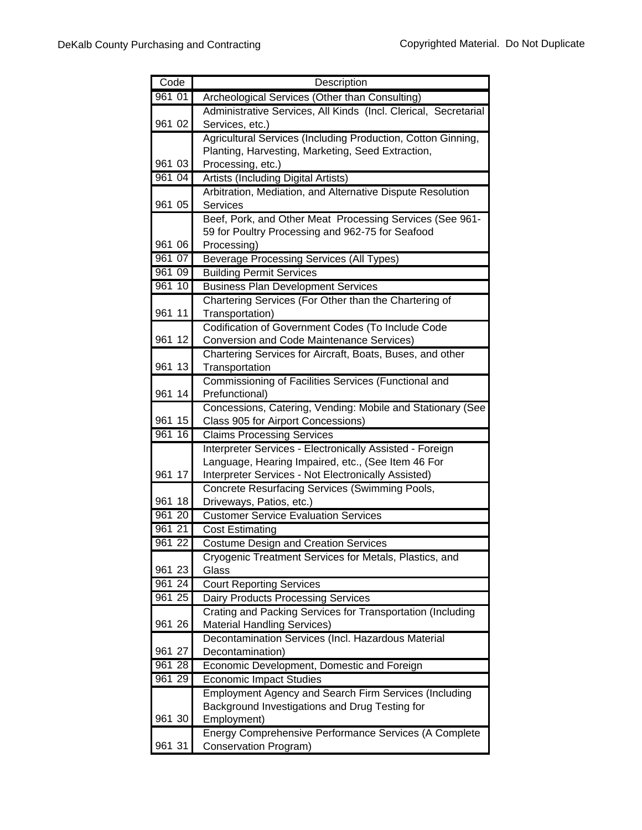| Code   | Description                                                                                      |
|--------|--------------------------------------------------------------------------------------------------|
| 961 01 | Archeological Services (Other than Consulting)                                                   |
|        | Administrative Services, All Kinds (Incl. Clerical, Secretarial                                  |
| 961 02 | Services, etc.)                                                                                  |
|        | Agricultural Services (Including Production, Cotton Ginning,                                     |
|        | Planting, Harvesting, Marketing, Seed Extraction,                                                |
| 961 03 | Processing, etc.)                                                                                |
| 961 04 | Artists (Including Digital Artists)                                                              |
|        | Arbitration, Mediation, and Alternative Dispute Resolution                                       |
| 961 05 | Services                                                                                         |
|        | Beef, Pork, and Other Meat Processing Services (See 961-                                         |
|        | 59 for Poultry Processing and 962-75 for Seafood                                                 |
| 961 06 | Processing)                                                                                      |
| 961 07 | <b>Beverage Processing Services (All Types)</b>                                                  |
| 961 09 | <b>Building Permit Services</b>                                                                  |
| 961 10 | <b>Business Plan Development Services</b>                                                        |
|        | Chartering Services (For Other than the Chartering of                                            |
| 961 11 | Transportation)                                                                                  |
|        | Codification of Government Codes (To Include Code                                                |
| 961 12 | Conversion and Code Maintenance Services)                                                        |
|        | Chartering Services for Aircraft, Boats, Buses, and other                                        |
| 961 13 | Transportation                                                                                   |
| 961 14 | Commissioning of Facilities Services (Functional and                                             |
|        | Prefunctional)                                                                                   |
| 961 15 | Concessions, Catering, Vending: Mobile and Stationary (See<br>Class 905 for Airport Concessions) |
| 961 16 | <b>Claims Processing Services</b>                                                                |
|        | Interpreter Services - Electronically Assisted - Foreign                                         |
|        | Language, Hearing Impaired, etc., (See Item 46 For                                               |
| 961 17 | Interpreter Services - Not Electronically Assisted)                                              |
|        | Concrete Resurfacing Services (Swimming Pools,                                                   |
| 961 18 | Driveways, Patios, etc.)                                                                         |
| 961 20 | <b>Customer Service Evaluation Services</b>                                                      |
| 961 21 | <b>Cost Estimating</b>                                                                           |
| 961 22 | <b>Costume Design and Creation Services</b>                                                      |
|        | Cryogenic Treatment Services for Metals, Plastics, and                                           |
| 961 23 | Glass                                                                                            |
| 961 24 | <b>Court Reporting Services</b>                                                                  |
| 961 25 | <b>Dairy Products Processing Services</b>                                                        |
|        | Crating and Packing Services for Transportation (Including                                       |
| 961 26 | <b>Material Handling Services)</b>                                                               |
|        | Decontamination Services (Incl. Hazardous Material                                               |
| 961 27 | Decontamination)                                                                                 |
| 961 28 | Economic Development, Domestic and Foreign                                                       |
| 961 29 | <b>Economic Impact Studies</b>                                                                   |
|        | <b>Employment Agency and Search Firm Services (Including</b>                                     |
|        | Background Investigations and Drug Testing for                                                   |
| 961 30 | Employment)                                                                                      |
|        | Energy Comprehensive Performance Services (A Complete                                            |
| 961 31 | Conservation Program)                                                                            |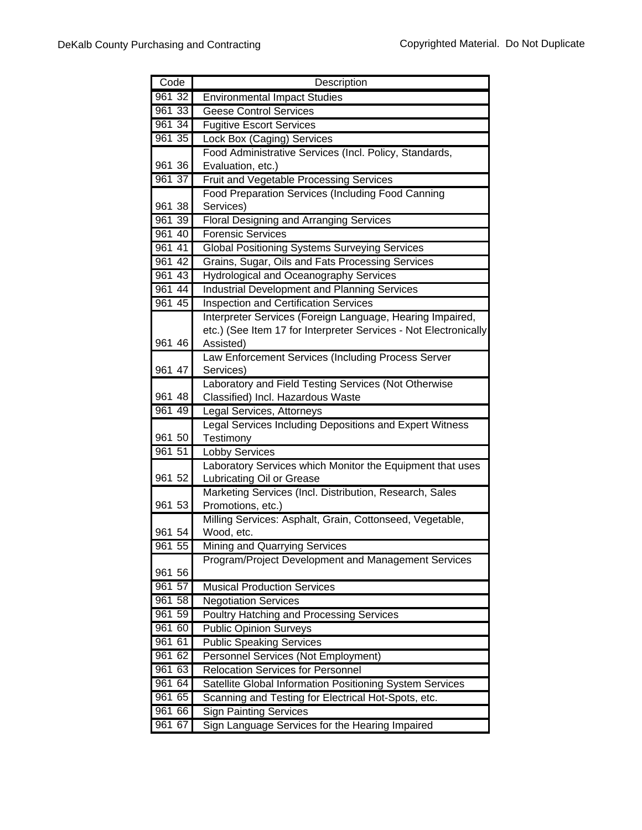| Code      | Description                                                                            |
|-----------|----------------------------------------------------------------------------------------|
| 961 32    | <b>Environmental Impact Studies</b>                                                    |
| 96133     | <b>Geese Control Services</b>                                                          |
| 961 34    | <b>Fugitive Escort Services</b>                                                        |
| 961 35    | Lock Box (Caging) Services                                                             |
|           | Food Administrative Services (Incl. Policy, Standards,                                 |
| 961 36    | Evaluation, etc.)                                                                      |
| 961 37    | <b>Fruit and Vegetable Processing Services</b>                                         |
|           | <b>Food Preparation Services (Including Food Canning</b>                               |
| 961 38    | Services)                                                                              |
| 961 39    | <b>Floral Designing and Arranging Services</b>                                         |
| 961 40    | <b>Forensic Services</b>                                                               |
| 961 41    | <b>Global Positioning Systems Surveying Services</b>                                   |
| 961 42    | Grains, Sugar, Oils and Fats Processing Services                                       |
| 961 43    | Hydrological and Oceanography Services                                                 |
| 961 44    | <b>Industrial Development and Planning Services</b>                                    |
| 961 45    | <b>Inspection and Certification Services</b>                                           |
|           | Interpreter Services (Foreign Language, Hearing Impaired,                              |
|           | etc.) (See Item 17 for Interpreter Services - Not Electronically                       |
| 961 46    | Assisted)                                                                              |
|           | Law Enforcement Services (Including Process Server                                     |
| 961 47    | Services)                                                                              |
|           | Laboratory and Field Testing Services (Not Otherwise                                   |
| 961 48    | Classified) Incl. Hazardous Waste                                                      |
| 96149     | Legal Services, Attorneys                                                              |
|           | Legal Services Including Depositions and Expert Witness                                |
| 961 50    | Testimony                                                                              |
| 961 51    | <b>Lobby Services</b>                                                                  |
| 961 52    | Laboratory Services which Monitor the Equipment that uses<br>Lubricating Oil or Grease |
|           | Marketing Services (Incl. Distribution, Research, Sales                                |
| 961 53    | Promotions, etc.)                                                                      |
|           | Milling Services: Asphalt, Grain, Cottonseed, Vegetable,                               |
| 961 54    | Wood, etc.                                                                             |
| 961 55    | Mining and Quarrying Services                                                          |
|           | Program/Project Development and Management Services                                    |
| 961 56    |                                                                                        |
| 961 57    | <b>Musical Production Services</b>                                                     |
| 961 58    | <b>Negotiation Services</b>                                                            |
| 961 59    | <b>Poultry Hatching and Processing Services</b>                                        |
| 961 60    | <b>Public Opinion Surveys</b>                                                          |
| 961 61    | <b>Public Speaking Services</b>                                                        |
| 961 62    | <b>Personnel Services (Not Employment)</b>                                             |
| 961 63    | <b>Relocation Services for Personnel</b>                                               |
| 961 64    | Satellite Global Information Positioning System Services                               |
| $961\ 65$ | Scanning and Testing for Electrical Hot-Spots, etc.                                    |
| 961 66    | <b>Sign Painting Services</b>                                                          |
| 961 67    | Sign Language Services for the Hearing Impaired                                        |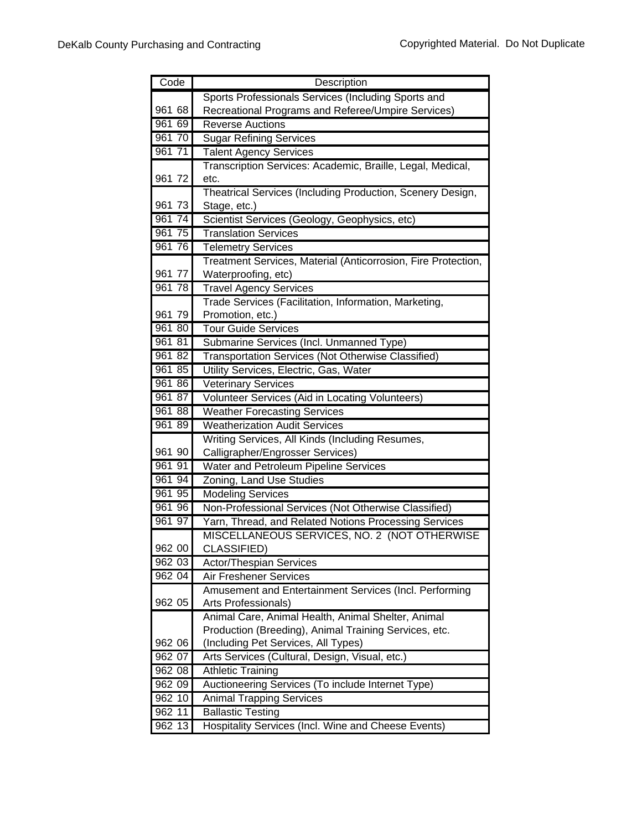| Sports Professionals Services (Including Sports and<br>Recreational Programs and Referee/Umpire Services)<br>961 68<br>961 69<br><b>Reverse Auctions</b><br>961 70<br><b>Sugar Refining Services</b><br>961 71<br><b>Talent Agency Services</b><br>Transcription Services: Academic, Braille, Legal, Medical,<br>961 72<br>etc.<br>Theatrical Services (Including Production, Scenery Design,<br>961 73<br>Stage, etc.)<br>Scientist Services (Geology, Geophysics, etc)<br>961<br>74<br>75<br>961<br><b>Translation Services</b><br>961 76<br><b>Telemetry Services</b><br>Treatment Services, Material (Anticorrosion, Fire Protection,<br>Waterproofing, etc)<br>961 77<br>961 78<br><b>Travel Agency Services</b><br>Trade Services (Facilitation, Information, Marketing,<br>961 79<br>Promotion, etc.)<br>961 80<br><b>Tour Guide Services</b><br>961 81<br>Submarine Services (Incl. Unmanned Type)<br>961 82<br>Transportation Services (Not Otherwise Classified)<br>961 85<br>Utility Services, Electric, Gas, Water<br>961 86<br><b>Veterinary Services</b><br>96187<br>Volunteer Services (Aid in Locating Volunteers)<br>961 88<br><b>Weather Forecasting Services</b><br>961 89<br><b>Weatherization Audit Services</b><br>Writing Services, All Kinds (Including Resumes,<br>961 90<br>Calligrapher/Engrosser Services)<br>961 91<br>Water and Petroleum Pipeline Services<br>961 94<br>Zoning, Land Use Studies<br>961 95<br><b>Modeling Services</b><br>961 96<br>Non-Professional Services (Not Otherwise Classified)<br>961 97<br>Yarn, Thread, and Related Notions Processing Services<br>MISCELLANEOUS SERVICES, NO. 2 (NOT OTHERWISE<br>962 00<br>CLASSIFIED)<br>962 03<br>Actor/Thespian Services<br>962 04<br>Air Freshener Services |
|--------------------------------------------------------------------------------------------------------------------------------------------------------------------------------------------------------------------------------------------------------------------------------------------------------------------------------------------------------------------------------------------------------------------------------------------------------------------------------------------------------------------------------------------------------------------------------------------------------------------------------------------------------------------------------------------------------------------------------------------------------------------------------------------------------------------------------------------------------------------------------------------------------------------------------------------------------------------------------------------------------------------------------------------------------------------------------------------------------------------------------------------------------------------------------------------------------------------------------------------------------------------------------------------------------------------------------------------------------------------------------------------------------------------------------------------------------------------------------------------------------------------------------------------------------------------------------------------------------------------------------------------------------------------------------------------------------------------------------------------------------------|
|                                                                                                                                                                                                                                                                                                                                                                                                                                                                                                                                                                                                                                                                                                                                                                                                                                                                                                                                                                                                                                                                                                                                                                                                                                                                                                                                                                                                                                                                                                                                                                                                                                                                                                                                                              |
|                                                                                                                                                                                                                                                                                                                                                                                                                                                                                                                                                                                                                                                                                                                                                                                                                                                                                                                                                                                                                                                                                                                                                                                                                                                                                                                                                                                                                                                                                                                                                                                                                                                                                                                                                              |
|                                                                                                                                                                                                                                                                                                                                                                                                                                                                                                                                                                                                                                                                                                                                                                                                                                                                                                                                                                                                                                                                                                                                                                                                                                                                                                                                                                                                                                                                                                                                                                                                                                                                                                                                                              |
|                                                                                                                                                                                                                                                                                                                                                                                                                                                                                                                                                                                                                                                                                                                                                                                                                                                                                                                                                                                                                                                                                                                                                                                                                                                                                                                                                                                                                                                                                                                                                                                                                                                                                                                                                              |
|                                                                                                                                                                                                                                                                                                                                                                                                                                                                                                                                                                                                                                                                                                                                                                                                                                                                                                                                                                                                                                                                                                                                                                                                                                                                                                                                                                                                                                                                                                                                                                                                                                                                                                                                                              |
|                                                                                                                                                                                                                                                                                                                                                                                                                                                                                                                                                                                                                                                                                                                                                                                                                                                                                                                                                                                                                                                                                                                                                                                                                                                                                                                                                                                                                                                                                                                                                                                                                                                                                                                                                              |
|                                                                                                                                                                                                                                                                                                                                                                                                                                                                                                                                                                                                                                                                                                                                                                                                                                                                                                                                                                                                                                                                                                                                                                                                                                                                                                                                                                                                                                                                                                                                                                                                                                                                                                                                                              |
|                                                                                                                                                                                                                                                                                                                                                                                                                                                                                                                                                                                                                                                                                                                                                                                                                                                                                                                                                                                                                                                                                                                                                                                                                                                                                                                                                                                                                                                                                                                                                                                                                                                                                                                                                              |
|                                                                                                                                                                                                                                                                                                                                                                                                                                                                                                                                                                                                                                                                                                                                                                                                                                                                                                                                                                                                                                                                                                                                                                                                                                                                                                                                                                                                                                                                                                                                                                                                                                                                                                                                                              |
|                                                                                                                                                                                                                                                                                                                                                                                                                                                                                                                                                                                                                                                                                                                                                                                                                                                                                                                                                                                                                                                                                                                                                                                                                                                                                                                                                                                                                                                                                                                                                                                                                                                                                                                                                              |
|                                                                                                                                                                                                                                                                                                                                                                                                                                                                                                                                                                                                                                                                                                                                                                                                                                                                                                                                                                                                                                                                                                                                                                                                                                                                                                                                                                                                                                                                                                                                                                                                                                                                                                                                                              |
|                                                                                                                                                                                                                                                                                                                                                                                                                                                                                                                                                                                                                                                                                                                                                                                                                                                                                                                                                                                                                                                                                                                                                                                                                                                                                                                                                                                                                                                                                                                                                                                                                                                                                                                                                              |
|                                                                                                                                                                                                                                                                                                                                                                                                                                                                                                                                                                                                                                                                                                                                                                                                                                                                                                                                                                                                                                                                                                                                                                                                                                                                                                                                                                                                                                                                                                                                                                                                                                                                                                                                                              |
|                                                                                                                                                                                                                                                                                                                                                                                                                                                                                                                                                                                                                                                                                                                                                                                                                                                                                                                                                                                                                                                                                                                                                                                                                                                                                                                                                                                                                                                                                                                                                                                                                                                                                                                                                              |
|                                                                                                                                                                                                                                                                                                                                                                                                                                                                                                                                                                                                                                                                                                                                                                                                                                                                                                                                                                                                                                                                                                                                                                                                                                                                                                                                                                                                                                                                                                                                                                                                                                                                                                                                                              |
|                                                                                                                                                                                                                                                                                                                                                                                                                                                                                                                                                                                                                                                                                                                                                                                                                                                                                                                                                                                                                                                                                                                                                                                                                                                                                                                                                                                                                                                                                                                                                                                                                                                                                                                                                              |
|                                                                                                                                                                                                                                                                                                                                                                                                                                                                                                                                                                                                                                                                                                                                                                                                                                                                                                                                                                                                                                                                                                                                                                                                                                                                                                                                                                                                                                                                                                                                                                                                                                                                                                                                                              |
|                                                                                                                                                                                                                                                                                                                                                                                                                                                                                                                                                                                                                                                                                                                                                                                                                                                                                                                                                                                                                                                                                                                                                                                                                                                                                                                                                                                                                                                                                                                                                                                                                                                                                                                                                              |
|                                                                                                                                                                                                                                                                                                                                                                                                                                                                                                                                                                                                                                                                                                                                                                                                                                                                                                                                                                                                                                                                                                                                                                                                                                                                                                                                                                                                                                                                                                                                                                                                                                                                                                                                                              |
|                                                                                                                                                                                                                                                                                                                                                                                                                                                                                                                                                                                                                                                                                                                                                                                                                                                                                                                                                                                                                                                                                                                                                                                                                                                                                                                                                                                                                                                                                                                                                                                                                                                                                                                                                              |
|                                                                                                                                                                                                                                                                                                                                                                                                                                                                                                                                                                                                                                                                                                                                                                                                                                                                                                                                                                                                                                                                                                                                                                                                                                                                                                                                                                                                                                                                                                                                                                                                                                                                                                                                                              |
|                                                                                                                                                                                                                                                                                                                                                                                                                                                                                                                                                                                                                                                                                                                                                                                                                                                                                                                                                                                                                                                                                                                                                                                                                                                                                                                                                                                                                                                                                                                                                                                                                                                                                                                                                              |
|                                                                                                                                                                                                                                                                                                                                                                                                                                                                                                                                                                                                                                                                                                                                                                                                                                                                                                                                                                                                                                                                                                                                                                                                                                                                                                                                                                                                                                                                                                                                                                                                                                                                                                                                                              |
|                                                                                                                                                                                                                                                                                                                                                                                                                                                                                                                                                                                                                                                                                                                                                                                                                                                                                                                                                                                                                                                                                                                                                                                                                                                                                                                                                                                                                                                                                                                                                                                                                                                                                                                                                              |
|                                                                                                                                                                                                                                                                                                                                                                                                                                                                                                                                                                                                                                                                                                                                                                                                                                                                                                                                                                                                                                                                                                                                                                                                                                                                                                                                                                                                                                                                                                                                                                                                                                                                                                                                                              |
|                                                                                                                                                                                                                                                                                                                                                                                                                                                                                                                                                                                                                                                                                                                                                                                                                                                                                                                                                                                                                                                                                                                                                                                                                                                                                                                                                                                                                                                                                                                                                                                                                                                                                                                                                              |
|                                                                                                                                                                                                                                                                                                                                                                                                                                                                                                                                                                                                                                                                                                                                                                                                                                                                                                                                                                                                                                                                                                                                                                                                                                                                                                                                                                                                                                                                                                                                                                                                                                                                                                                                                              |
|                                                                                                                                                                                                                                                                                                                                                                                                                                                                                                                                                                                                                                                                                                                                                                                                                                                                                                                                                                                                                                                                                                                                                                                                                                                                                                                                                                                                                                                                                                                                                                                                                                                                                                                                                              |
|                                                                                                                                                                                                                                                                                                                                                                                                                                                                                                                                                                                                                                                                                                                                                                                                                                                                                                                                                                                                                                                                                                                                                                                                                                                                                                                                                                                                                                                                                                                                                                                                                                                                                                                                                              |
|                                                                                                                                                                                                                                                                                                                                                                                                                                                                                                                                                                                                                                                                                                                                                                                                                                                                                                                                                                                                                                                                                                                                                                                                                                                                                                                                                                                                                                                                                                                                                                                                                                                                                                                                                              |
|                                                                                                                                                                                                                                                                                                                                                                                                                                                                                                                                                                                                                                                                                                                                                                                                                                                                                                                                                                                                                                                                                                                                                                                                                                                                                                                                                                                                                                                                                                                                                                                                                                                                                                                                                              |
|                                                                                                                                                                                                                                                                                                                                                                                                                                                                                                                                                                                                                                                                                                                                                                                                                                                                                                                                                                                                                                                                                                                                                                                                                                                                                                                                                                                                                                                                                                                                                                                                                                                                                                                                                              |
|                                                                                                                                                                                                                                                                                                                                                                                                                                                                                                                                                                                                                                                                                                                                                                                                                                                                                                                                                                                                                                                                                                                                                                                                                                                                                                                                                                                                                                                                                                                                                                                                                                                                                                                                                              |
|                                                                                                                                                                                                                                                                                                                                                                                                                                                                                                                                                                                                                                                                                                                                                                                                                                                                                                                                                                                                                                                                                                                                                                                                                                                                                                                                                                                                                                                                                                                                                                                                                                                                                                                                                              |
|                                                                                                                                                                                                                                                                                                                                                                                                                                                                                                                                                                                                                                                                                                                                                                                                                                                                                                                                                                                                                                                                                                                                                                                                                                                                                                                                                                                                                                                                                                                                                                                                                                                                                                                                                              |
| Amusement and Entertainment Services (Incl. Performing                                                                                                                                                                                                                                                                                                                                                                                                                                                                                                                                                                                                                                                                                                                                                                                                                                                                                                                                                                                                                                                                                                                                                                                                                                                                                                                                                                                                                                                                                                                                                                                                                                                                                                       |
| 962 05<br>Arts Professionals)                                                                                                                                                                                                                                                                                                                                                                                                                                                                                                                                                                                                                                                                                                                                                                                                                                                                                                                                                                                                                                                                                                                                                                                                                                                                                                                                                                                                                                                                                                                                                                                                                                                                                                                                |
| Animal Care, Animal Health, Animal Shelter, Animal                                                                                                                                                                                                                                                                                                                                                                                                                                                                                                                                                                                                                                                                                                                                                                                                                                                                                                                                                                                                                                                                                                                                                                                                                                                                                                                                                                                                                                                                                                                                                                                                                                                                                                           |
| Production (Breeding), Animal Training Services, etc.                                                                                                                                                                                                                                                                                                                                                                                                                                                                                                                                                                                                                                                                                                                                                                                                                                                                                                                                                                                                                                                                                                                                                                                                                                                                                                                                                                                                                                                                                                                                                                                                                                                                                                        |
| 962 06<br>(Including Pet Services, All Types)                                                                                                                                                                                                                                                                                                                                                                                                                                                                                                                                                                                                                                                                                                                                                                                                                                                                                                                                                                                                                                                                                                                                                                                                                                                                                                                                                                                                                                                                                                                                                                                                                                                                                                                |
| 962 07<br>Arts Services (Cultural, Design, Visual, etc.)                                                                                                                                                                                                                                                                                                                                                                                                                                                                                                                                                                                                                                                                                                                                                                                                                                                                                                                                                                                                                                                                                                                                                                                                                                                                                                                                                                                                                                                                                                                                                                                                                                                                                                     |
| 962 08<br><b>Athletic Training</b>                                                                                                                                                                                                                                                                                                                                                                                                                                                                                                                                                                                                                                                                                                                                                                                                                                                                                                                                                                                                                                                                                                                                                                                                                                                                                                                                                                                                                                                                                                                                                                                                                                                                                                                           |
| 962 09<br>Auctioneering Services (To include Internet Type)                                                                                                                                                                                                                                                                                                                                                                                                                                                                                                                                                                                                                                                                                                                                                                                                                                                                                                                                                                                                                                                                                                                                                                                                                                                                                                                                                                                                                                                                                                                                                                                                                                                                                                  |
| 962 10<br><b>Animal Trapping Services</b>                                                                                                                                                                                                                                                                                                                                                                                                                                                                                                                                                                                                                                                                                                                                                                                                                                                                                                                                                                                                                                                                                                                                                                                                                                                                                                                                                                                                                                                                                                                                                                                                                                                                                                                    |
| 962 11<br><b>Ballastic Testing</b>                                                                                                                                                                                                                                                                                                                                                                                                                                                                                                                                                                                                                                                                                                                                                                                                                                                                                                                                                                                                                                                                                                                                                                                                                                                                                                                                                                                                                                                                                                                                                                                                                                                                                                                           |
| Hospitality Services (Incl. Wine and Cheese Events)<br>962 13                                                                                                                                                                                                                                                                                                                                                                                                                                                                                                                                                                                                                                                                                                                                                                                                                                                                                                                                                                                                                                                                                                                                                                                                                                                                                                                                                                                                                                                                                                                                                                                                                                                                                                |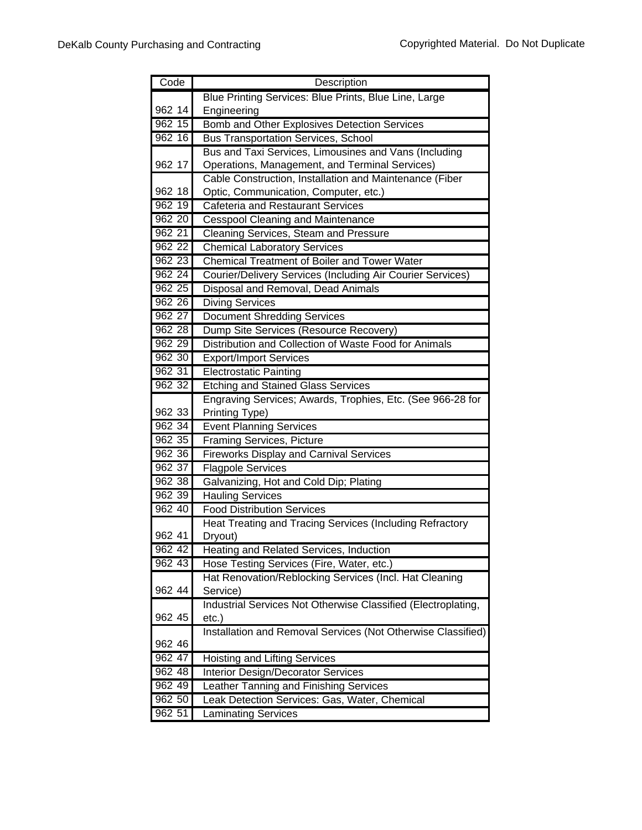| Code             | Description                                                                  |
|------------------|------------------------------------------------------------------------------|
|                  | Blue Printing Services: Blue Prints, Blue Line, Large                        |
| 962 14           | Engineering                                                                  |
| 962 15           | <b>Bomb and Other Explosives Detection Services</b>                          |
| 962 16           | <b>Bus Transportation Services, School</b>                                   |
|                  | Bus and Taxi Services, Limousines and Vans (Including                        |
| 962 17           | Operations, Management, and Terminal Services)                               |
|                  | Cable Construction, Installation and Maintenance (Fiber                      |
| 962 18           | Optic, Communication, Computer, etc.)                                        |
| 962 19           | <b>Cafeteria and Restaurant Services</b>                                     |
| 962 20           | <b>Cesspool Cleaning and Maintenance</b>                                     |
| 962 21           | Cleaning Services, Steam and Pressure                                        |
| 962 22           | <b>Chemical Laboratory Services</b>                                          |
| 962 23           | <b>Chemical Treatment of Boiler and Tower Water</b>                          |
| 962 24           | Courier/Delivery Services (Including Air Courier Services)                   |
| 962 25<br>962 26 | Disposal and Removal, Dead Animals                                           |
| 962 27           | <b>Diving Services</b>                                                       |
| 962 28           | <b>Document Shredding Services</b><br>Dump Site Services (Resource Recovery) |
| $962\;29$        | Distribution and Collection of Waste Food for Animals                        |
| 962 30           | <b>Export/Import Services</b>                                                |
| 962 31           | <b>Electrostatic Painting</b>                                                |
| 962 32           | <b>Etching and Stained Glass Services</b>                                    |
|                  | Engraving Services; Awards, Trophies, Etc. (See 966-28 for                   |
| 962 33           | Printing Type)                                                               |
| 962 34           | <b>Event Planning Services</b>                                               |
| 962 35           | <b>Framing Services, Picture</b>                                             |
| 962 36           | <b>Fireworks Display and Carnival Services</b>                               |
| 962 37           | <b>Flagpole Services</b>                                                     |
| 962 38           | Galvanizing, Hot and Cold Dip; Plating                                       |
| 962 39           | <b>Hauling Services</b>                                                      |
| 962 40           | <b>Food Distribution Services</b>                                            |
|                  | Heat Treating and Tracing Services (Including Refractory                     |
| 962 41           | Dryout)                                                                      |
| 962 42           | Heating and Related Services, Induction                                      |
| 962 43           | Hose Testing Services (Fire, Water, etc.)                                    |
| 962 44           | Hat Renovation/Reblocking Services (Incl. Hat Cleaning                       |
|                  | Service)<br>Industrial Services Not Otherwise Classified (Electroplating,    |
| 962 45           | etc.)                                                                        |
|                  | Installation and Removal Services (Not Otherwise Classified)                 |
| 962 46           |                                                                              |
| 962 47           | <b>Hoisting and Lifting Services</b>                                         |
| 962 48           | <b>Interior Design/Decorator Services</b>                                    |
| 962 49           | eather Tanning and Finishing Services                                        |
| 962 50           | Leak Detection Services: Gas, Water, Chemical                                |
| 962 51           | Laminating Services                                                          |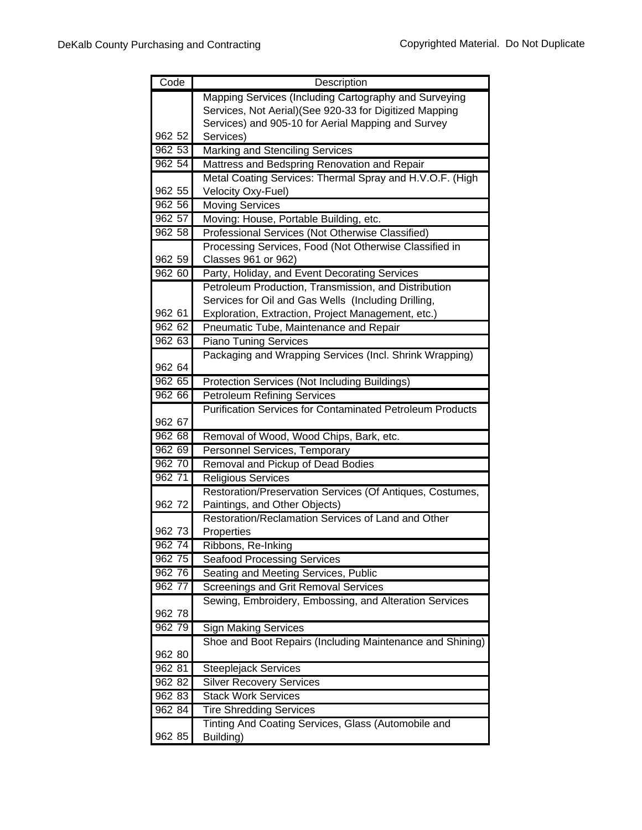| Code             | Description                                                                         |
|------------------|-------------------------------------------------------------------------------------|
|                  | Mapping Services (Including Cartography and Surveying                               |
|                  | Services, Not Aerial) (See 920-33 for Digitized Mapping                             |
|                  | Services) and 905-10 for Aerial Mapping and Survey                                  |
| 962 52           | Services)                                                                           |
| 962 53           | <b>Marking and Stenciling Services</b>                                              |
| 962 54           | Mattress and Bedspring Renovation and Repair                                        |
|                  | Metal Coating Services: Thermal Spray and H.V.O.F. (High                            |
| 962 55           | Velocity Oxy-Fuel)                                                                  |
| 962 56           | <b>Moving Services</b>                                                              |
| 962 57           | Moving: House, Portable Building, etc.                                              |
| 962 58           | Professional Services (Not Otherwise Classified)                                    |
|                  | Processing Services, Food (Not Otherwise Classified in                              |
| 962 59           | Classes 961 or 962)                                                                 |
| 962 60           | Party, Holiday, and Event Decorating Services                                       |
|                  | Petroleum Production, Transmission, and Distribution                                |
|                  | Services for Oil and Gas Wells (Including Drilling,                                 |
| 962 61<br>962 62 | Exploration, Extraction, Project Management, etc.)                                  |
|                  | Pneumatic Tube, Maintenance and Repair                                              |
| 962 63           | <b>Piano Tuning Services</b>                                                        |
| 962 64           | Packaging and Wrapping Services (Incl. Shrink Wrapping)                             |
| 962 65           |                                                                                     |
| 962 66           | Protection Services (Not Including Buildings)<br><b>Petroleum Refining Services</b> |
|                  | <b>Purification Services for Contaminated Petroleum Products</b>                    |
| 962 67           |                                                                                     |
| 962 68           | Removal of Wood, Wood Chips, Bark, etc.                                             |
| 962 69           | Personnel Services, Temporary                                                       |
| 962 70           | Removal and Pickup of Dead Bodies                                                   |
| 962 71           | <b>Religious Services</b>                                                           |
|                  | Restoration/Preservation Services (Of Antiques, Costumes,                           |
| 962 72           | Paintings, and Other Objects)                                                       |
|                  | Restoration/Reclamation Services of Land and Other                                  |
| 962 73           | Properties                                                                          |
| 962 74           | Ribbons, Re-Inking                                                                  |
| 962 75           | <b>Seafood Processing Services</b>                                                  |
| 962 76           | Seating and Meeting Services, Public                                                |
| 962 77           | Screenings and Grit Removal Services                                                |
|                  | Sewing, Embroidery, Embossing, and Alteration Services                              |
| 962 78           |                                                                                     |
| 962 79           | <b>Sign Making Services</b>                                                         |
|                  | Shoe and Boot Repairs (Including Maintenance and Shining)                           |
| 962 80           |                                                                                     |
| 962 81           | Steeplejack Services                                                                |
| 962 82           | <b>Silver Recovery Services</b>                                                     |
| 962 83           | <b>Stack Work Services</b>                                                          |
| 962 84           | <b>Tire Shredding Services</b>                                                      |
|                  | Tinting And Coating Services, Glass (Automobile and                                 |
| 962 85           | Building)                                                                           |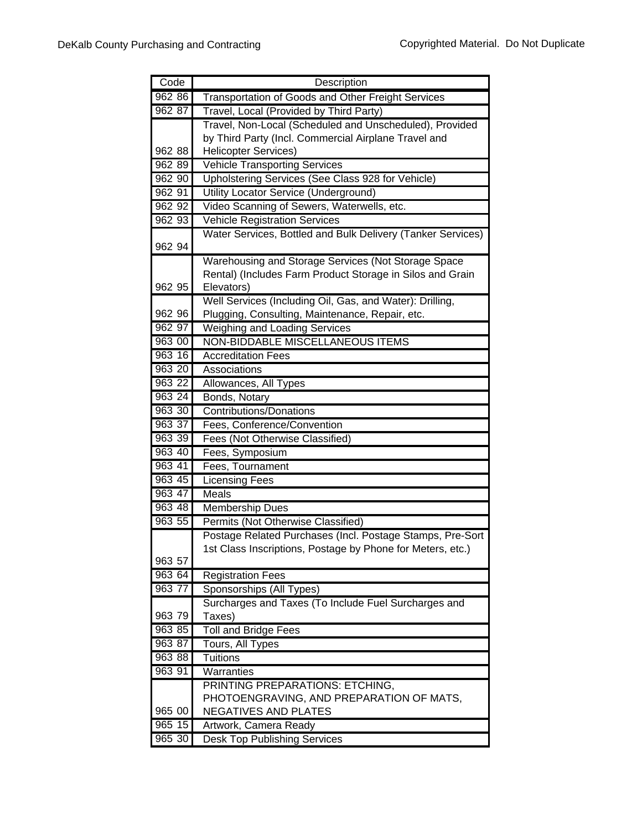| Code   | Description                                                 |
|--------|-------------------------------------------------------------|
| 962 86 | <b>Transportation of Goods and Other Freight Services</b>   |
| 962 87 | Travel, Local (Provided by Third Party)                     |
|        | Travel, Non-Local (Scheduled and Unscheduled), Provided     |
|        | by Third Party (Incl. Commercial Airplane Travel and        |
| 962 88 | <b>Helicopter Services)</b>                                 |
| 962 89 | <b>Vehicle Transporting Services</b>                        |
| 962 90 | Upholstering Services (See Class 928 for Vehicle)           |
| 962 91 | Utility Locator Service (Underground)                       |
| 962 92 | Video Scanning of Sewers, Waterwells, etc.                  |
| 962 93 | <b>Vehicle Registration Services</b>                        |
|        | Water Services, Bottled and Bulk Delivery (Tanker Services) |
| 962 94 |                                                             |
|        | Warehousing and Storage Services (Not Storage Space         |
|        | Rental) (Includes Farm Product Storage in Silos and Grain   |
| 962 95 | Elevators)                                                  |
|        | Well Services (Including Oil, Gas, and Water): Drilling,    |
| 962 96 | Plugging, Consulting, Maintenance, Repair, etc.             |
| 962 97 | <b>Weighing and Loading Services</b>                        |
| 963 00 | NON-BIDDABLE MISCELLANEOUS ITEMS                            |
| 963 16 | <b>Accreditation Fees</b>                                   |
| 963 20 | Associations                                                |
| 963 22 | Allowances, All Types                                       |
| 963 24 | Bonds, Notary                                               |
| 963 30 | <b>Contributions/Donations</b>                              |
| 963 37 | Fees, Conference/Convention                                 |
| 963 39 | Fees (Not Otherwise Classified)                             |
| 963 40 | Fees, Symposium                                             |
| 963 41 | Fees, Tournament                                            |
| 963 45 | <b>Licensing Fees</b>                                       |
| 963 47 | <b>Meals</b>                                                |
| 963 48 | <b>Membership Dues</b>                                      |
| 963 55 | Permits (Not Otherwise Classified)                          |
|        | Postage Related Purchases (Incl. Postage Stamps, Pre-Sort   |
|        | 1st Class Inscriptions, Postage by Phone for Meters, etc.)  |
| 963 57 |                                                             |
| 963 64 | <b>Registration Fees</b>                                    |
| 963 77 | Sponsorships (All Types)                                    |
|        | Surcharges and Taxes (To Include Fuel Surcharges and        |
| 963 79 | Taxes)                                                      |
| 963 85 | <b>Toll and Bridge Fees</b>                                 |
| 963 87 | <b>Tours, All Types</b>                                     |
| 963 88 | <b>Tuitions</b>                                             |
| 963 91 | Warranties                                                  |
|        | PRINTING PREPARATIONS: ETCHING,                             |
|        | PHOTOENGRAVING, AND PREPARATION OF MATS,                    |
| 965 00 | <b>NEGATIVES AND PLATES</b>                                 |
| 965 15 | Artwork, Camera Ready                                       |
| 965 30 | <b>Desk Top Publishing Services</b>                         |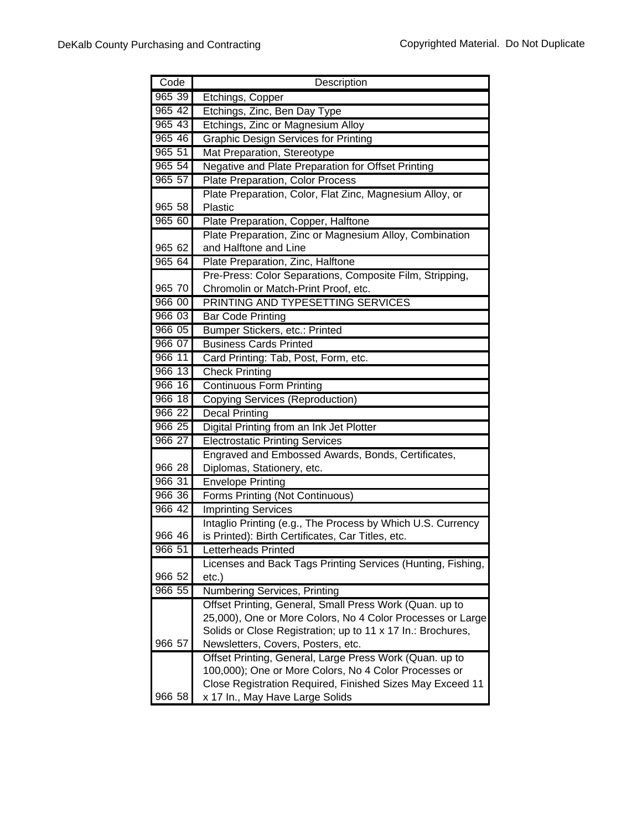| Code               | Description                                                                                       |
|--------------------|---------------------------------------------------------------------------------------------------|
| 965 39             | Etchings, Copper                                                                                  |
| 965 42             | Etchings, Zinc, Ben Day Type                                                                      |
| 96543              | Etchings, Zinc or Magnesium Alloy                                                                 |
| 965 46             | <b>Graphic Design Services for Printing</b>                                                       |
| 96551              | Mat Preparation, Stereotype                                                                       |
| 965 54             | Negative and Plate Preparation for Offset Printing                                                |
| 965 57             | Plate Preparation, Color Process                                                                  |
|                    | Plate Preparation, Color, Flat Zinc, Magnesium Alloy, or                                          |
| 965 58             | Plastic                                                                                           |
| 965 60             | Plate Preparation, Copper, Halftone                                                               |
|                    | Plate Preparation, Zinc or Magnesium Alloy, Combination                                           |
| 965 62             | and Halftone and Line                                                                             |
| 965 64             | Plate Preparation, Zinc, Halftone                                                                 |
|                    | Pre-Press: Color Separations, Composite Film, Stripping,                                          |
| 965 70             | Chromolin or Match-Print Proof, etc.                                                              |
| 966 00             | PRINTING AND TYPESETTING SERVICES                                                                 |
| 966 03             | <b>Bar Code Printing</b>                                                                          |
| 966 05             | Bumper Stickers, etc.: Printed                                                                    |
| 966 07             | <b>Business Cards Printed</b>                                                                     |
| 966 11             | Card Printing: Tab, Post, Form, etc.                                                              |
| 966 13             | <b>Check Printing</b>                                                                             |
| 966 16             | <b>Continuous Form Printing</b>                                                                   |
| 966 18             | <b>Copying Services (Reproduction)</b>                                                            |
| 966 22             | <b>Decal Printing</b>                                                                             |
| 966 25             | Digital Printing from an Ink Jet Plotter                                                          |
| 966 27             | <b>Electrostatic Printing Services</b>                                                            |
|                    | Engraved and Embossed Awards, Bonds, Certificates,                                                |
| 966 28             | Diplomas, Stationery, etc.                                                                        |
| 96631              | Envelope Printing                                                                                 |
| $966\overline{36}$ | Forms Printing (Not Continuous)                                                                   |
| 966 42             | <b>Imprinting Services</b>                                                                        |
|                    | Intaglio Printing (e.g., The Process by Which U.S. Currency                                       |
| 966 46             | is Printed): Birth Certificates, Car Titles, etc.                                                 |
| 966 51             | Letterheads Printed                                                                               |
|                    | Licenses and Back Tags Printing Services (Hunting, Fishing,                                       |
| 966 52             | $etc.$ )                                                                                          |
| 966 55             | <b>Numbering Services, Printing</b>                                                               |
|                    | Offset Printing, General, Small Press Work (Quan. up to                                           |
|                    | 25,000), One or More Colors, No 4 Color Processes or Large                                        |
| 966 57             | Solids or Close Registration; up to 11 x 17 In.: Brochures,<br>Newsletters, Covers, Posters, etc. |
|                    | Offset Printing, General, Large Press Work (Quan. up to                                           |
|                    | 100,000); One or More Colors, No 4 Color Processes or                                             |
|                    | Close Registration Required, Finished Sizes May Exceed 11                                         |
| 966 58             | x 17 In., May Have Large Solids                                                                   |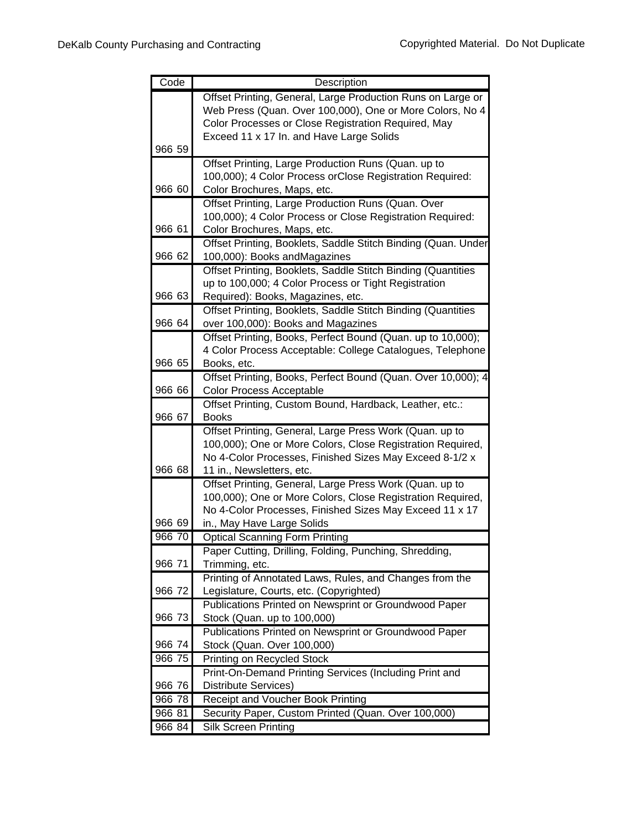| Code   | Description                                                              |
|--------|--------------------------------------------------------------------------|
|        | Offset Printing, General, Large Production Runs on Large or              |
|        | Web Press (Quan. Over 100,000), One or More Colors, No 4                 |
|        | Color Processes or Close Registration Required, May                      |
|        | Exceed 11 x 17 In. and Have Large Solids                                 |
| 966 59 |                                                                          |
|        | Offset Printing, Large Production Runs (Quan. up to                      |
|        | 100,000); 4 Color Process orClose Registration Required:                 |
| 966 60 | Color Brochures, Maps, etc.                                              |
|        | Offset Printing, Large Production Runs (Quan. Over                       |
|        | 100,000); 4 Color Process or Close Registration Required:                |
| 966 61 | Color Brochures, Maps, etc.                                              |
|        | Offset Printing, Booklets, Saddle Stitch Binding (Quan. Under            |
| 966 62 | 100,000): Books andMagazines                                             |
|        | Offset Printing, Booklets, Saddle Stitch Binding (Quantities             |
|        | up to 100,000; 4 Color Process or Tight Registration                     |
| 966 63 | Required): Books, Magazines, etc.                                        |
|        | Offset Printing, Booklets, Saddle Stitch Binding (Quantities             |
| 966 64 | over 100,000): Books and Magazines                                       |
|        | Offset Printing, Books, Perfect Bound (Quan. up to 10,000);              |
| 966 65 | 4 Color Process Acceptable: College Catalogues, Telephone<br>Books, etc. |
|        | Offset Printing, Books, Perfect Bound (Quan. Over 10,000); 4             |
| 966 66 | <b>Color Process Acceptable</b>                                          |
|        | Offset Printing, Custom Bound, Hardback, Leather, etc.:                  |
| 966 67 | <b>Books</b>                                                             |
|        | Offset Printing, General, Large Press Work (Quan. up to                  |
|        | 100,000); One or More Colors, Close Registration Required,               |
|        | No 4-Color Processes, Finished Sizes May Exceed 8-1/2 x                  |
| 966 68 | 11 in., Newsletters, etc.                                                |
|        | Offset Printing, General, Large Press Work (Quan. up to                  |
|        | 100,000); One or More Colors, Close Registration Required,               |
|        | No 4-Color Processes, Finished Sizes May Exceed 11 x 17                  |
| 966 69 | in., May Have Large Solids                                               |
| 966 70 | <b>Optical Scanning Form Printing</b>                                    |
|        | Paper Cutting, Drilling, Folding, Punching, Shredding,                   |
| 966 71 | Trimming, etc.                                                           |
|        | Printing of Annotated Laws, Rules, and Changes from the                  |
| 966 72 | Legislature, Courts, etc. (Copyrighted)                                  |
|        | Publications Printed on Newsprint or Groundwood Paper                    |
| 966 73 | Stock (Quan. up to 100,000)                                              |
|        | Publications Printed on Newsprint or Groundwood Paper                    |
| 966 74 | Stock (Quan. Over 100,000)                                               |
| 966 75 | Printing on Recycled Stock                                               |
|        | Print-On-Demand Printing Services (Including Print and                   |
| 966 76 | Distribute Services)                                                     |
| 966 78 | <b>Receipt and Voucher Book Printing</b>                                 |
| 966 81 | Security Paper, Custom Printed (Quan. Over 100,000)                      |
| 966 84 | Silk Screen Printing                                                     |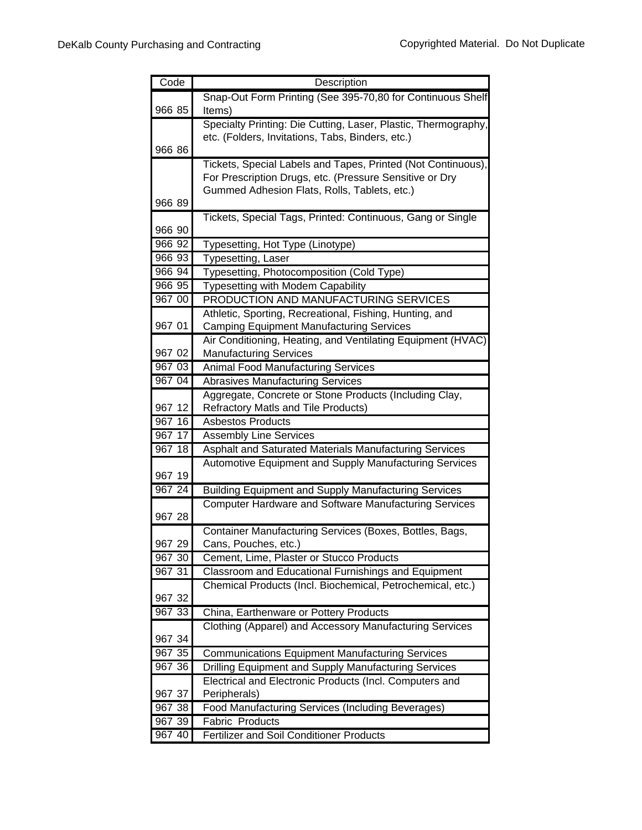| Code   | Description                                                                                                                 |
|--------|-----------------------------------------------------------------------------------------------------------------------------|
|        | Snap-Out Form Printing (See 395-70,80 for Continuous Shelf                                                                  |
| 966 85 | Items)                                                                                                                      |
|        | Specialty Printing: Die Cutting, Laser, Plastic, Thermography,                                                              |
|        | etc. (Folders, Invitations, Tabs, Binders, etc.)                                                                            |
| 966 86 |                                                                                                                             |
|        | Tickets, Special Labels and Tapes, Printed (Not Continuous),                                                                |
|        | For Prescription Drugs, etc. (Pressure Sensitive or Dry                                                                     |
|        | Gummed Adhesion Flats, Rolls, Tablets, etc.)                                                                                |
| 966 89 |                                                                                                                             |
|        | Tickets, Special Tags, Printed: Continuous, Gang or Single                                                                  |
| 966 90 |                                                                                                                             |
| 966 92 | Typesetting, Hot Type (Linotype)                                                                                            |
| 966 93 | Typesetting, Laser                                                                                                          |
| 966 94 | Typesetting, Photocomposition (Cold Type)                                                                                   |
| 966 95 | <b>Typesetting with Modem Capability</b>                                                                                    |
| 967 00 | PRODUCTION AND MANUFACTURING SERVICES                                                                                       |
|        | Athletic, Sporting, Recreational, Fishing, Hunting, and                                                                     |
| 967 01 | <b>Camping Equipment Manufacturing Services</b>                                                                             |
|        | Air Conditioning, Heating, and Ventilating Equipment (HVAC)                                                                 |
| 967 02 | <b>Manufacturing Services</b>                                                                                               |
| 967 03 | <b>Animal Food Manufacturing Services</b>                                                                                   |
| 967 04 | <b>Abrasives Manufacturing Services</b>                                                                                     |
|        | Aggregate, Concrete or Stone Products (Including Clay,                                                                      |
| 967 12 | <b>Refractory Matls and Tile Products)</b>                                                                                  |
| 967 16 | <b>Asbestos Products</b>                                                                                                    |
| 967 17 | <b>Assembly Line Services</b>                                                                                               |
| 96718  | Asphalt and Saturated Materials Manufacturing Services                                                                      |
| 967 19 | Automotive Equipment and Supply Manufacturing Services                                                                      |
| 967 24 |                                                                                                                             |
|        | <b>Building Equipment and Supply Manufacturing Services</b><br><b>Computer Hardware and Software Manufacturing Services</b> |
| 967 28 |                                                                                                                             |
|        | Container Manufacturing Services (Boxes, Bottles, Bags,                                                                     |
| 967 29 | Cans, Pouches, etc.)                                                                                                        |
| 967 30 | Cement, Lime, Plaster or Stucco Products                                                                                    |
| 967 31 | Classroom and Educational Furnishings and Equipment                                                                         |
|        | Chemical Products (Incl. Biochemical, Petrochemical, etc.)                                                                  |
| 967 32 |                                                                                                                             |
| 967 33 | China, Earthenware or Pottery Products                                                                                      |
|        | Clothing (Apparel) and Accessory Manufacturing Services                                                                     |
| 967 34 |                                                                                                                             |
| 967 35 | <b>Communications Equipment Manufacturing Services</b>                                                                      |
| 967 36 | Drilling Equipment and Supply Manufacturing Services                                                                        |
|        | Electrical and Electronic Products (Incl. Computers and                                                                     |
| 967 37 | Peripherals)                                                                                                                |
| 96738  | Food Manufacturing Services (Including Beverages)                                                                           |
| 967 39 | <b>Fabric Products</b>                                                                                                      |
| 967 40 | Fertilizer and Soil Conditioner Products                                                                                    |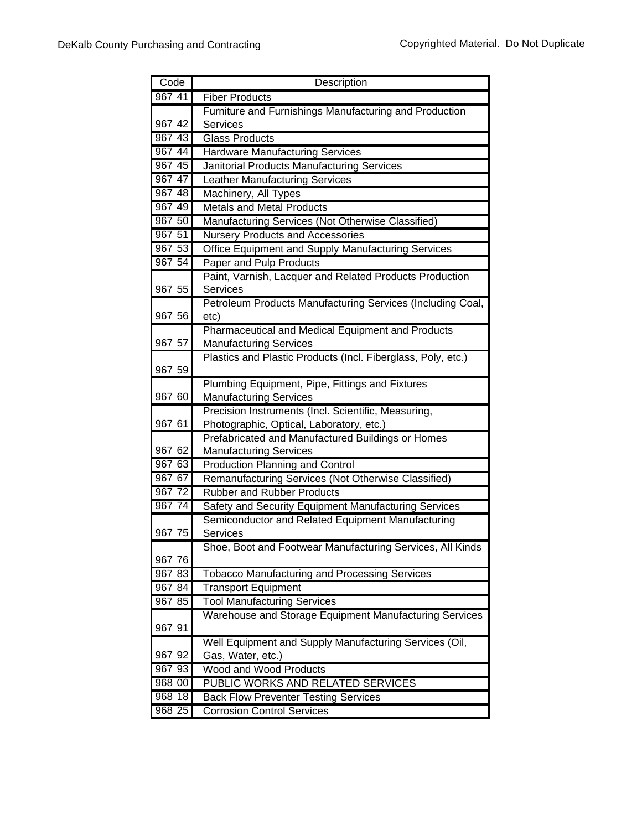| Code             | Description                                                                              |
|------------------|------------------------------------------------------------------------------------------|
| 967 41           | <b>Fiber Products</b>                                                                    |
|                  | Furniture and Furnishings Manufacturing and Production                                   |
| 967 42           | Services                                                                                 |
| 967 43           | <b>Glass Products</b>                                                                    |
| 967 44           | <b>Hardware Manufacturing Services</b>                                                   |
| 967 45           | Janitorial Products Manufacturing Services                                               |
| 967 47           | <b>Leather Manufacturing Services</b>                                                    |
| 967 48           | Machinery, All Types                                                                     |
| 967 49           | <b>Metals and Metal Products</b>                                                         |
| 967 50           | Manufacturing Services (Not Otherwise Classified)                                        |
| 967 51           | <b>Nursery Products and Accessories</b>                                                  |
| 967 53           | Office Equipment and Supply Manufacturing Services                                       |
| 967 54           | Paper and Pulp Products                                                                  |
|                  | Paint, Varnish, Lacquer and Related Products Production                                  |
| 967 55           | Services                                                                                 |
|                  | Petroleum Products Manufacturing Services (Including Coal,                               |
| 967 56           | etc)                                                                                     |
|                  | Pharmaceutical and Medical Equipment and Products                                        |
| 967 57           | <b>Manufacturing Services</b>                                                            |
|                  | Plastics and Plastic Products (Incl. Fiberglass, Poly, etc.)                             |
| 967 59           |                                                                                          |
|                  | Plumbing Equipment, Pipe, Fittings and Fixtures                                          |
| 967 60           | <b>Manufacturing Services</b>                                                            |
|                  | Precision Instruments (Incl. Scientific, Measuring,                                      |
| 967 61           | Photographic, Optical, Laboratory, etc.)                                                 |
|                  | Prefabricated and Manufactured Buildings or Homes                                        |
| 967 62<br>967 63 | <b>Manufacturing Services</b>                                                            |
| 967 67           | <b>Production Planning and Control</b>                                                   |
| 967 72           | Remanufacturing Services (Not Otherwise Classified)<br><b>Rubber and Rubber Products</b> |
| 967 74           |                                                                                          |
|                  | Safety and Security Equipment Manufacturing Services                                     |
| 967 75           | Semiconductor and Related Equipment Manufacturing<br>Services                            |
|                  | Shoe, Boot and Footwear Manufacturing Services, All Kinds                                |
| 967 76           |                                                                                          |
| 967 83           | <b>Tobacco Manufacturing and Processing Services</b>                                     |
| 967 84           | <b>Transport Equipment</b>                                                               |
| 967 85           | <b>Tool Manufacturing Services</b>                                                       |
|                  | Warehouse and Storage Equipment Manufacturing Services                                   |
| 967 91           |                                                                                          |
|                  | Well Equipment and Supply Manufacturing Services (Oil,                                   |
| 967 92           | Gas, Water, etc.)                                                                        |
| 967 93           | <b>Wood and Wood Products</b>                                                            |
| 968 00           | PUBLIC WORKS AND RELATED SERVICES                                                        |
| 968 18           | <b>Back Flow Preventer Testing Services</b>                                              |
| 968 25           | <b>Corrosion Control Services</b>                                                        |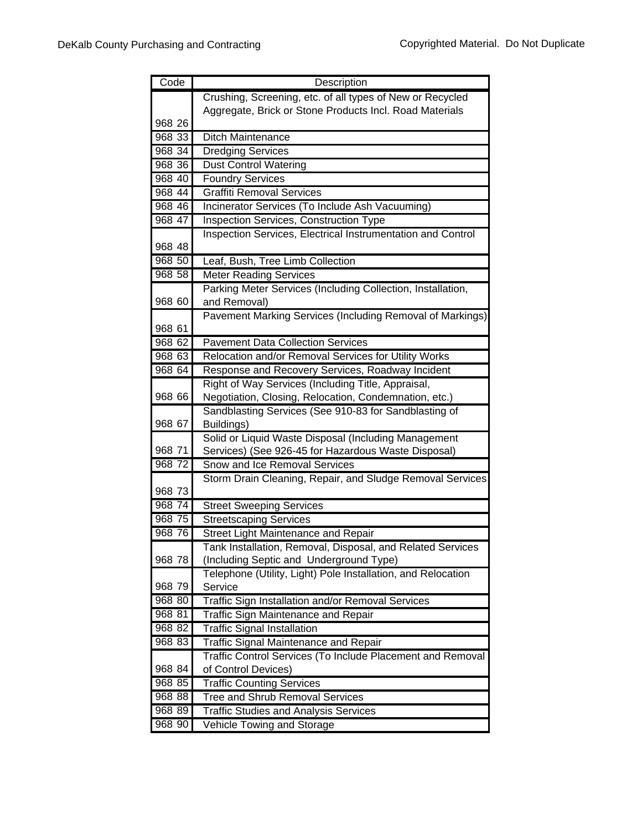| Code      | Description                                                                                           |
|-----------|-------------------------------------------------------------------------------------------------------|
|           | Crushing, Screening, etc. of all types of New or Recycled                                             |
|           | Aggregate, Brick or Stone Products Incl. Road Materials                                               |
| 968 26    |                                                                                                       |
| 968 33    | <b>Ditch Maintenance</b>                                                                              |
| 968 34    | <b>Dredging Services</b>                                                                              |
| 968 36    | <b>Dust Control Watering</b>                                                                          |
| 968 40    | <b>Foundry Services</b>                                                                               |
| 968 44    | <b>Graffiti Removal Services</b>                                                                      |
| 968 46    | Incinerator Services (To Include Ash Vacuuming)                                                       |
| 968 47    | <b>Inspection Services, Construction Type</b>                                                         |
|           | Inspection Services, Electrical Instrumentation and Control                                           |
| 968 48    |                                                                                                       |
| 968 50    | Leaf, Bush, Tree Limb Collection                                                                      |
| $968\,58$ | <b>Meter Reading Services</b>                                                                         |
|           | Parking Meter Services (Including Collection, Installation,                                           |
| 968 60    | and Removal)                                                                                          |
|           | Pavement Marking Services (Including Removal of Markings)                                             |
| 968 61    |                                                                                                       |
| 968 62    | <b>Pavement Data Collection Services</b>                                                              |
| 968 63    | Relocation and/or Removal Services for Utility Works                                                  |
| 968 64    | Response and Recovery Services, Roadway Incident                                                      |
|           | Right of Way Services (Including Title, Appraisal,                                                    |
| 968 66    | Negotiation, Closing, Relocation, Condemnation, etc.)                                                 |
|           | Sandblasting Services (See 910-83 for Sandblasting of                                                 |
| 968 67    | Buildings)                                                                                            |
|           | Solid or Liquid Waste Disposal (Including Management                                                  |
| 968 71    | Services) (See 926-45 for Hazardous Waste Disposal)                                                   |
| 968 72    | Snow and Ice Removal Services                                                                         |
|           | Storm Drain Cleaning, Repair, and Sludge Removal Services                                             |
| 968 73    |                                                                                                       |
| 968 74    | <b>Street Sweeping Services</b>                                                                       |
| 968 75    | <b>Streetscaping Services</b>                                                                         |
| 968 76    | Street Light Maintenance and Repair                                                                   |
| 968 78    | Tank Installation, Removal, Disposal, and Related Services<br>(Including Septic and Underground Type) |
|           | Telephone (Utility, Light) Pole Installation, and Relocation                                          |
| 968 79    | Service                                                                                               |
| 968 80    | Traffic Sign Installation and/or Removal Services                                                     |
| 968 81    | Traffic Sign Maintenance and Repair                                                                   |
| 968 82    | <b>Traffic Signal Installation</b>                                                                    |
| 968 83    | <b>Traffic Signal Maintenance and Repair</b>                                                          |
|           | Traffic Control Services (To Include Placement and Removal                                            |
| 968 84    | of Control Devices)                                                                                   |
| 968 85    | <b>Traffic Counting Services</b>                                                                      |
| 968 88    | <b>Tree and Shrub Removal Services</b>                                                                |
| 968 89    | <b>Traffic Studies and Analysis Services</b>                                                          |
| 968 90    | Vehicle Towing and Storage                                                                            |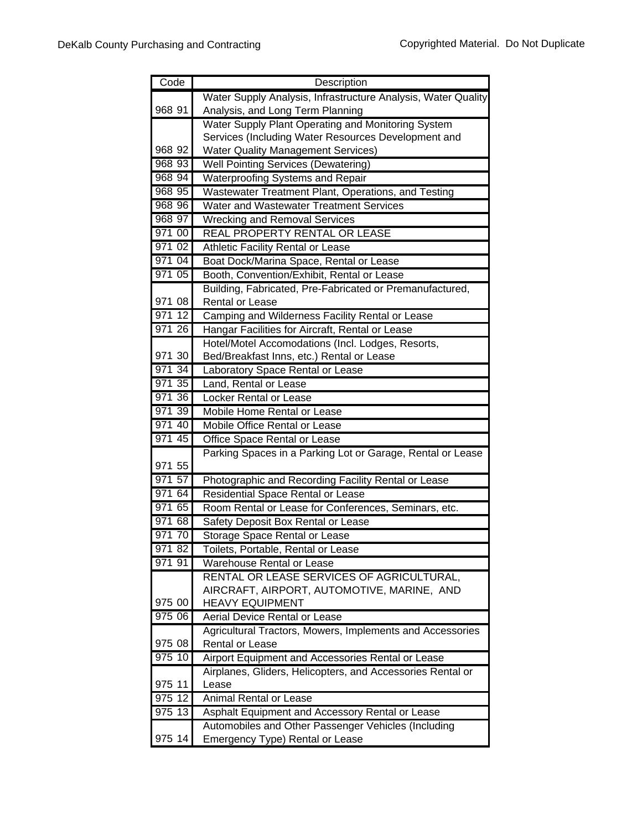| Code   | Description                                                   |
|--------|---------------------------------------------------------------|
|        | Water Supply Analysis, Infrastructure Analysis, Water Quality |
| 968 91 | Analysis, and Long Term Planning                              |
|        | Water Supply Plant Operating and Monitoring System            |
|        | Services (Including Water Resources Development and           |
| 968 92 | <b>Water Quality Management Services)</b>                     |
| 968 93 | <b>Well Pointing Services (Dewatering)</b>                    |
| 968 94 | Waterproofing Systems and Repair                              |
| 968 95 | Wastewater Treatment Plant, Operations, and Testing           |
| 968 96 | Water and Wastewater Treatment Services                       |
| 968 97 | <b>Wrecking and Removal Services</b>                          |
| 971 00 | REAL PROPERTY RENTAL OR LEASE                                 |
| 971 02 | Athletic Facility Rental or Lease                             |
| 971 04 | Boat Dock/Marina Space, Rental or Lease                       |
| 971 05 | Booth, Convention/Exhibit, Rental or Lease                    |
|        | Building, Fabricated, Pre-Fabricated or Premanufactured,      |
| 971 08 | <b>Rental or Lease</b>                                        |
| 971 12 | Camping and Wilderness Facility Rental or Lease               |
| 971 26 | Hangar Facilities for Aircraft, Rental or Lease               |
|        | Hotel/Motel Accomodations (Incl. Lodges, Resorts,             |
| 971 30 | Bed/Breakfast Inns, etc.) Rental or Lease                     |
| 971 34 | Laboratory Space Rental or Lease                              |
| 971 35 | Land, Rental or Lease                                         |
| 971 36 | <b>Locker Rental or Lease</b>                                 |
| 971 39 | Mobile Home Rental or Lease                                   |
| 971 40 | Mobile Office Rental or Lease                                 |
| 971 45 | Office Space Rental or Lease                                  |
|        | Parking Spaces in a Parking Lot or Garage, Rental or Lease    |
| 971 55 |                                                               |
| 971 57 | Photographic and Recording Facility Rental or Lease           |
| 971 64 | Residential Space Rental or Lease                             |
| 971 65 | Room Rental or Lease for Conferences, Seminars, etc.          |
| 971 68 | Safety Deposit Box Rental or Lease                            |
| 971 70 | Storage Space Rental or Lease                                 |
| 971 82 | Toilets, Portable, Rental or Lease                            |
| 971 91 | Warehouse Rental or Lease                                     |
|        | RENTAL OR LEASE SERVICES OF AGRICULTURAL,                     |
|        | AIRCRAFT, AIRPORT, AUTOMOTIVE, MARINE, AND                    |
| 975 00 | <b>HEAVY EQUIPMENT</b>                                        |
| 975 06 | Aerial Device Rental or Lease                                 |
|        | Agricultural Tractors, Mowers, Implements and Accessories     |
| 975 08 | Rental or Lease                                               |
| 97510  | Airport Equipment and Accessories Rental or Lease             |
|        | Airplanes, Gliders, Helicopters, and Accessories Rental or    |
| 975 11 | Lease                                                         |
| 975 12 | <b>Animal Rental or Lease</b>                                 |
| 975 13 | Asphalt Equipment and Accessory Rental or Lease               |
|        | Automobiles and Other Passenger Vehicles (Including           |
| 975 14 | Emergency Type) Rental or Lease                               |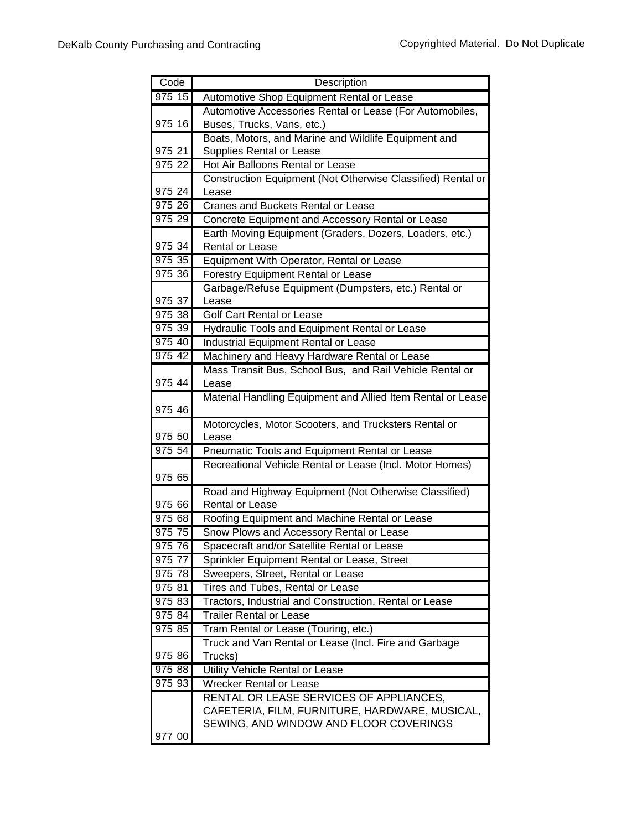| Code               | Description                                                 |
|--------------------|-------------------------------------------------------------|
| 975 15             | Automotive Shop Equipment Rental or Lease                   |
|                    | Automotive Accessories Rental or Lease (For Automobiles,    |
| 975 16             | Buses, Trucks, Vans, etc.)                                  |
|                    | Boats, Motors, and Marine and Wildlife Equipment and        |
| 975 21             | Supplies Rental or Lease                                    |
| 975 22             | Hot Air Balloons Rental or Lease                            |
|                    | Construction Equipment (Not Otherwise Classified) Rental or |
| 975 24             | Lease                                                       |
| 975 26             | Cranes and Buckets Rental or Lease                          |
| 975 29             | Concrete Equipment and Accessory Rental or Lease            |
|                    | Earth Moving Equipment (Graders, Dozers, Loaders, etc.)     |
| 975 34             | Rental or Lease                                             |
| 975 35             | Equipment With Operator, Rental or Lease                    |
| 975 36             | Forestry Equipment Rental or Lease                          |
|                    | Garbage/Refuse Equipment (Dumpsters, etc.) Rental or        |
| 975 37             | Lease                                                       |
| 975 38             | Golf Cart Rental or Lease                                   |
| 975 39             | Hydraulic Tools and Equipment Rental or Lease               |
| 975 40             | <b>Industrial Equipment Rental or Lease</b>                 |
| 975 42             | Machinery and Heavy Hardware Rental or Lease                |
|                    | Mass Transit Bus, School Bus, and Rail Vehicle Rental or    |
| 975 44             | Lease                                                       |
| 975 46             | Material Handling Equipment and Allied Item Rental or Lease |
|                    | Motorcycles, Motor Scooters, and Trucksters Rental or       |
| 975 50             | Lease                                                       |
| 975 54             | Pneumatic Tools and Equipment Rental or Lease               |
|                    | Recreational Vehicle Rental or Lease (Incl. Motor Homes)    |
| 975 65             |                                                             |
|                    | Road and Highway Equipment (Not Otherwise Classified)       |
| 975 66             | <b>Rental or Lease</b>                                      |
| 975 68             | Roofing Equipment and Machine Rental or Lease               |
| 975 75             | Snow Plows and Accessory Rental or Lease                    |
| 975 76             | Spacecraft and/or Satellite Rental or Lease                 |
| 975 77             | Sprinkler Equipment Rental or Lease, Street                 |
| $\frac{1}{975}$ 78 | Sweepers, Street, Rental or Lease                           |
| 975 81             | Tires and Tubes, Rental or Lease                            |
| 975 83             | Tractors, Industrial and Construction, Rental or Lease      |
| 975 84             | <b>Trailer Rental or Lease</b>                              |
| 975 85             | Tram Rental or Lease (Touring, etc.)                        |
|                    | Truck and Van Rental or Lease (Incl. Fire and Garbage       |
| 975 86             | Trucks)                                                     |
| 975 88             | Utility Vehicle Rental or Lease                             |
| 975 93             | <b>Wrecker Rental or Lease</b>                              |
|                    | RENTAL OR LEASE SERVICES OF APPLIANCES,                     |
|                    | CAFETERIA, FILM, FURNITURE, HARDWARE, MUSICAL,              |
|                    | SEWING, AND WINDOW AND FLOOR COVERINGS                      |
| 977 00             |                                                             |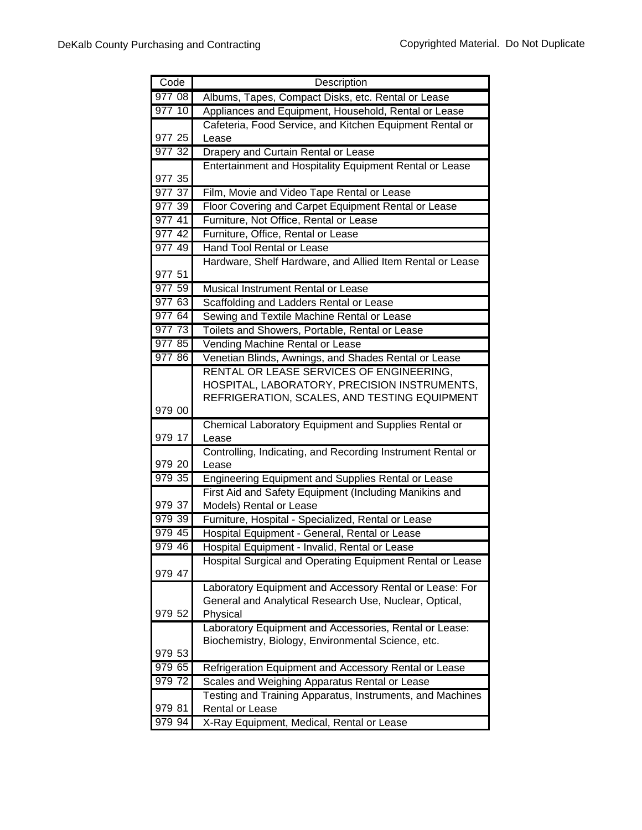| Code   | Description                                                 |
|--------|-------------------------------------------------------------|
| 977 08 | Albums, Tapes, Compact Disks, etc. Rental or Lease          |
| 977 10 | Appliances and Equipment, Household, Rental or Lease        |
|        | Cafeteria, Food Service, and Kitchen Equipment Rental or    |
| 977 25 | Lease                                                       |
| 977 32 | Drapery and Curtain Rental or Lease                         |
|        | Entertainment and Hospitality Equipment Rental or Lease     |
| 977 35 |                                                             |
| 977 37 | Film, Movie and Video Tape Rental or Lease                  |
| 977 39 | Floor Covering and Carpet Equipment Rental or Lease         |
| 977 41 | Furniture, Not Office, Rental or Lease                      |
| 977 42 | Furniture, Office, Rental or Lease                          |
| 97749  | <b>Hand Tool Rental or Lease</b>                            |
|        | Hardware, Shelf Hardware, and Allied Item Rental or Lease   |
| 977 51 |                                                             |
| 977 59 | Musical Instrument Rental or Lease                          |
| 977 63 | Scaffolding and Ladders Rental or Lease                     |
| 977 64 | Sewing and Textile Machine Rental or Lease                  |
| 977 73 | Toilets and Showers, Portable, Rental or Lease              |
| 977 85 | Vending Machine Rental or Lease                             |
| 977 86 | Venetian Blinds, Awnings, and Shades Rental or Lease        |
|        | RENTAL OR LEASE SERVICES OF ENGINEERING,                    |
|        | HOSPITAL, LABORATORY, PRECISION INSTRUMENTS,                |
|        | REFRIGERATION, SCALES, AND TESTING EQUIPMENT                |
| 979 00 |                                                             |
|        | Chemical Laboratory Equipment and Supplies Rental or        |
| 979 17 | Lease                                                       |
|        | Controlling, Indicating, and Recording Instrument Rental or |
| 979 20 | Lease                                                       |
| 979 35 | Engineering Equipment and Supplies Rental or Lease          |
| 979 37 | First Aid and Safety Equipment (Including Manikins and      |
| 979 39 | Models) Rental or Lease                                     |
| 979 45 | Furniture, Hospital - Specialized, Rental or Lease          |
| 979 46 | Hospital Equipment - General, Rental or Lease               |
|        | Hospital Equipment - Invalid, Rental or Lease               |
| 979 47 | Hospital Surgical and Operating Equipment Rental or Lease   |
|        | Laboratory Equipment and Accessory Rental or Lease: For     |
|        | General and Analytical Research Use, Nuclear, Optical,      |
| 979 52 | Physical                                                    |
|        | Laboratory Equipment and Accessories, Rental or Lease:      |
|        | Biochemistry, Biology, Environmental Science, etc.          |
| 979 53 |                                                             |
| 979 65 | Refrigeration Equipment and Accessory Rental or Lease       |
| 97972  | Scales and Weighing Apparatus Rental or Lease               |
|        | Testing and Training Apparatus, Instruments, and Machines   |
| 979 81 | Rental or Lease                                             |
| 979 94 | X-Ray Equipment, Medical, Rental or Lease                   |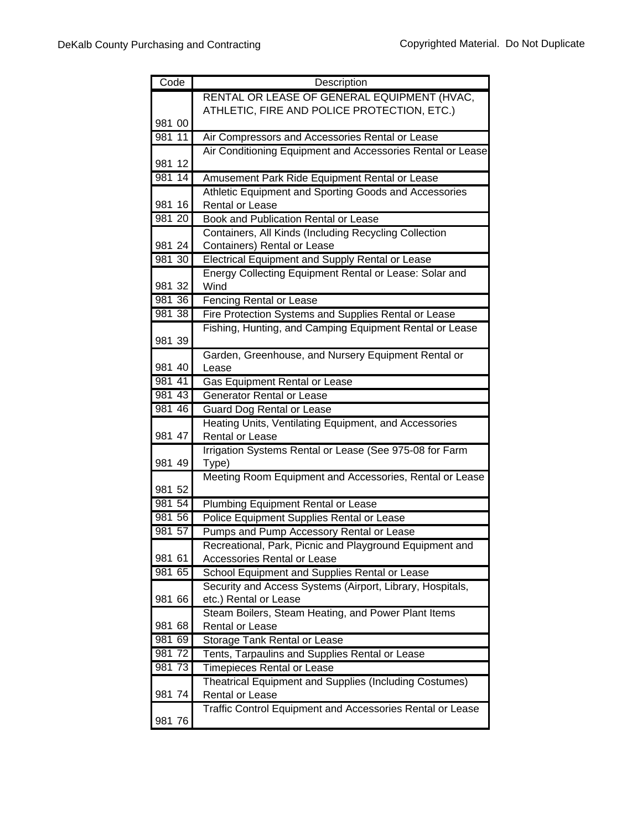| Code   | Description                                                                     |
|--------|---------------------------------------------------------------------------------|
|        | RENTAL OR LEASE OF GENERAL EQUIPMENT (HVAC,                                     |
|        | ATHLETIC, FIRE AND POLICE PROTECTION, ETC.)                                     |
| 981 00 |                                                                                 |
| 981 11 | Air Compressors and Accessories Rental or Lease                                 |
|        | Air Conditioning Equipment and Accessories Rental or Lease                      |
| 981 12 |                                                                                 |
| 981 14 | Amusement Park Ride Equipment Rental or Lease                                   |
|        | Athletic Equipment and Sporting Goods and Accessories                           |
| 981 16 | <b>Rental or Lease</b>                                                          |
| 981 20 | Book and Publication Rental or Lease                                            |
|        | Containers, All Kinds (Including Recycling Collection                           |
| 981 24 | Containers) Rental or Lease                                                     |
| 981 30 | Electrical Equipment and Supply Rental or Lease                                 |
|        | Energy Collecting Equipment Rental or Lease: Solar and                          |
| 981 32 | Wind                                                                            |
| 981 36 | <b>Fencing Rental or Lease</b>                                                  |
| 981 38 | Fire Protection Systems and Supplies Rental or Lease                            |
|        | Fishing, Hunting, and Camping Equipment Rental or Lease                         |
| 981 39 |                                                                                 |
|        | Garden, Greenhouse, and Nursery Equipment Rental or                             |
| 981 40 | Lease                                                                           |
| 981 41 | Gas Equipment Rental or Lease                                                   |
| 981 43 | <b>Generator Rental or Lease</b>                                                |
| 981 46 | Guard Dog Rental or Lease                                                       |
| 981 47 | Heating Units, Ventilating Equipment, and Accessories<br><b>Rental or Lease</b> |
|        | Irrigation Systems Rental or Lease (See 975-08 for Farm                         |
| 981 49 | Type)                                                                           |
|        | Meeting Room Equipment and Accessories, Rental or Lease                         |
| 981 52 |                                                                                 |
| 981 54 | Plumbing Equipment Rental or Lease                                              |
| 981 56 | Police Equipment Supplies Rental or Lease                                       |
| 981 57 | Pumps and Pump Accessory Rental or Lease                                        |
|        | Recreational, Park, Picnic and Playground Equipment and                         |
| 981 61 | <b>Accessories Rental or Lease</b>                                              |
| 981 65 | School Equipment and Supplies Rental or Lease                                   |
|        | Security and Access Systems (Airport, Library, Hospitals,                       |
| 981 66 | etc.) Rental or Lease                                                           |
|        | Steam Boilers, Steam Heating, and Power Plant Items                             |
| 981 68 | <b>Rental or Lease</b>                                                          |
| 981 69 | Storage Tank Rental or Lease                                                    |
| 981 72 | Tents, Tarpaulins and Supplies Rental or Lease                                  |
| 981 73 | <b>Timepieces Rental or Lease</b>                                               |
|        | <b>Theatrical Equipment and Supplies (Including Costumes)</b>                   |
| 981 74 | Rental or Lease                                                                 |
|        | Traffic Control Equipment and Accessories Rental or Lease                       |
| 981 76 |                                                                                 |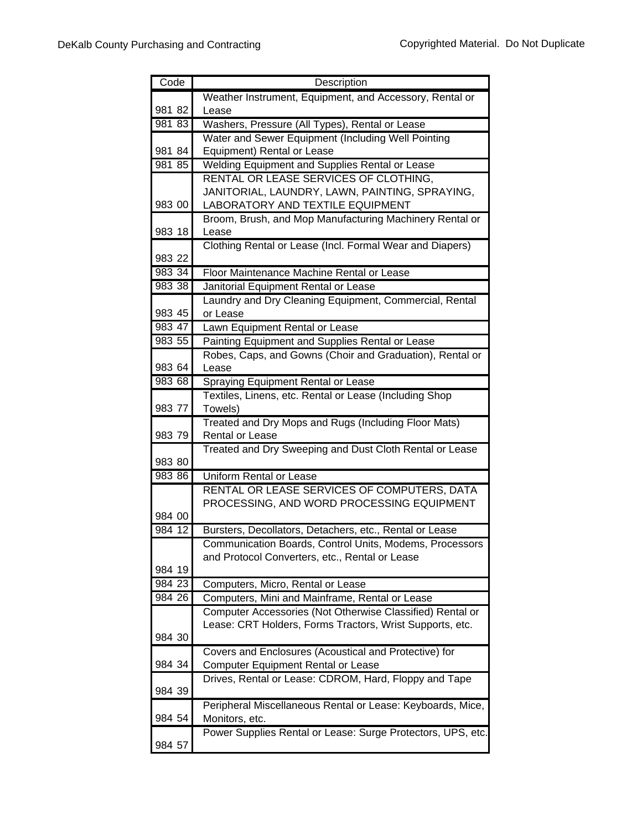| Code   | Description                                                                        |
|--------|------------------------------------------------------------------------------------|
|        | Weather Instrument, Equipment, and Accessory, Rental or                            |
| 981 82 | Lease                                                                              |
| 98183  | Washers, Pressure (All Types), Rental or Lease                                     |
|        | Water and Sewer Equipment (Including Well Pointing                                 |
| 981 84 | Equipment) Rental or Lease                                                         |
| 981 85 | Welding Equipment and Supplies Rental or Lease                                     |
|        | RENTAL OR LEASE SERVICES OF CLOTHING,                                              |
| 983 00 | JANITORIAL, LAUNDRY, LAWN, PAINTING, SPRAYING,<br>LABORATORY AND TEXTILE EQUIPMENT |
|        | Broom, Brush, and Mop Manufacturing Machinery Rental or                            |
| 983 18 | Lease                                                                              |
|        | Clothing Rental or Lease (Incl. Formal Wear and Diapers)                           |
| 983 22 |                                                                                    |
| 983 34 | Floor Maintenance Machine Rental or Lease                                          |
| 983 38 | Janitorial Equipment Rental or Lease                                               |
|        | Laundry and Dry Cleaning Equipment, Commercial, Rental                             |
| 983 45 | or Lease                                                                           |
| 983 47 | Lawn Equipment Rental or Lease                                                     |
| 983 55 | Painting Equipment and Supplies Rental or Lease                                    |
| 983 64 | Robes, Caps, and Gowns (Choir and Graduation), Rental or                           |
|        | Lease                                                                              |
| 983 68 | Spraying Equipment Rental or Lease                                                 |
| 983 77 | Textiles, Linens, etc. Rental or Lease (Including Shop<br>Towels)                  |
|        | Treated and Dry Mops and Rugs (Including Floor Mats)                               |
| 983 79 | Rental or Lease                                                                    |
| 983 80 | Treated and Dry Sweeping and Dust Cloth Rental or Lease                            |
| 983 86 | Uniform Rental or Lease                                                            |
|        | RENTAL OR LEASE SERVICES OF COMPUTERS, DATA                                        |
|        | PROCESSING, AND WORD PROCESSING EQUIPMENT                                          |
| 984 00 |                                                                                    |
| 984 12 | Bursters, Decollators, Detachers, etc., Rental or Lease                            |
|        | Communication Boards, Control Units, Modems, Processors                            |
|        | and Protocol Converters, etc., Rental or Lease                                     |
| 984 19 |                                                                                    |
| 984 23 | Computers, Micro, Rental or Lease                                                  |
| 984 26 | Computers, Mini and Mainframe, Rental or Lease                                     |
|        | Computer Accessories (Not Otherwise Classified) Rental or                          |
|        | Lease: CRT Holders, Forms Tractors, Wrist Supports, etc.                           |
| 984 30 |                                                                                    |
|        | Covers and Enclosures (Acoustical and Protective) for                              |
| 984 34 | <b>Computer Equipment Rental or Lease</b>                                          |
| 984 39 | Drives, Rental or Lease: CDROM, Hard, Floppy and Tape                              |
|        |                                                                                    |
| 984 54 | Peripheral Miscellaneous Rental or Lease: Keyboards, Mice,<br>Monitors, etc.       |
|        | Power Supplies Rental or Lease: Surge Protectors, UPS, etc.                        |
| 984 57 |                                                                                    |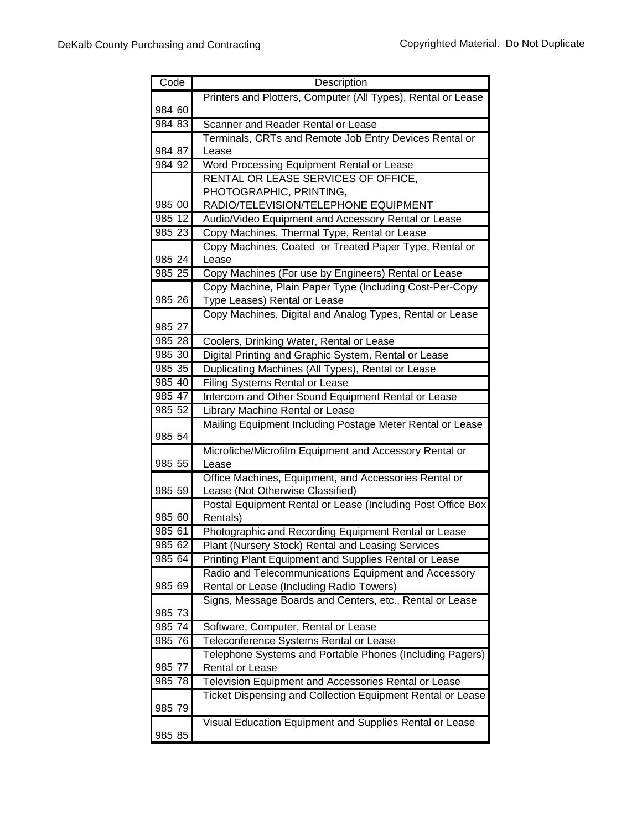| Code   | Description                                                     |
|--------|-----------------------------------------------------------------|
|        | Printers and Plotters, Computer (All Types), Rental or Lease    |
| 984 60 |                                                                 |
| 984 83 | Scanner and Reader Rental or Lease                              |
|        | Terminals, CRTs and Remote Job Entry Devices Rental or          |
| 984 87 | Lease                                                           |
| 984 92 | Word Processing Equipment Rental or Lease                       |
|        | RENTAL OR LEASE SERVICES OF OFFICE,                             |
|        | PHOTOGRAPHIC, PRINTING,                                         |
| 985 00 | RADIO/TELEVISION/TELEPHONE EQUIPMENT                            |
| 985 12 | Audio/Video Equipment and Accessory Rental or Lease             |
| 985 23 | Copy Machines, Thermal Type, Rental or Lease                    |
|        | Copy Machines, Coated or Treated Paper Type, Rental or          |
| 985 24 | Lease                                                           |
| 985 25 | Copy Machines (For use by Engineers) Rental or Lease            |
|        | Copy Machine, Plain Paper Type (Including Cost-Per-Copy         |
| 985 26 | Type Leases) Rental or Lease                                    |
|        | Copy Machines, Digital and Analog Types, Rental or Lease        |
| 985 27 |                                                                 |
| 985 28 | Coolers, Drinking Water, Rental or Lease                        |
| 985 30 | Digital Printing and Graphic System, Rental or Lease            |
| 985 35 | Duplicating Machines (All Types), Rental or Lease               |
| 985 40 | <b>Filing Systems Rental or Lease</b>                           |
| 985 47 | Intercom and Other Sound Equipment Rental or Lease              |
| 985 52 | Library Machine Rental or Lease                                 |
| 985 54 | Mailing Equipment Including Postage Meter Rental or Lease       |
|        |                                                                 |
| 985 55 | Microfiche/Microfilm Equipment and Accessory Rental or<br>Lease |
|        | Office Machines, Equipment, and Accessories Rental or           |
| 985 59 | Lease (Not Otherwise Classified)                                |
|        | Postal Equipment Rental or Lease (Including Post Office Box     |
| 985 60 | Rentals)                                                        |
| 985 61 | Photographic and Recording Equipment Rental or Lease            |
| 985 62 | Plant (Nursery Stock) Rental and Leasing Services               |
| 985 64 | Printing Plant Equipment and Supplies Rental or Lease           |
|        | Radio and Telecommunications Equipment and Accessory            |
| 985 69 | Rental or Lease (Including Radio Towers)                        |
|        | Signs, Message Boards and Centers, etc., Rental or Lease        |
| 985 73 |                                                                 |
| 985 74 | Software, Computer, Rental or Lease                             |
| 985 76 | Teleconference Systems Rental or Lease                          |
|        | Telephone Systems and Portable Phones (Including Pagers)        |
| 985 77 | Rental or Lease                                                 |
| 985 78 | Television Equipment and Accessories Rental or Lease            |
|        | Ticket Dispensing and Collection Equipment Rental or Lease      |
| 985 79 |                                                                 |
|        | Visual Education Equipment and Supplies Rental or Lease         |
| 985 85 |                                                                 |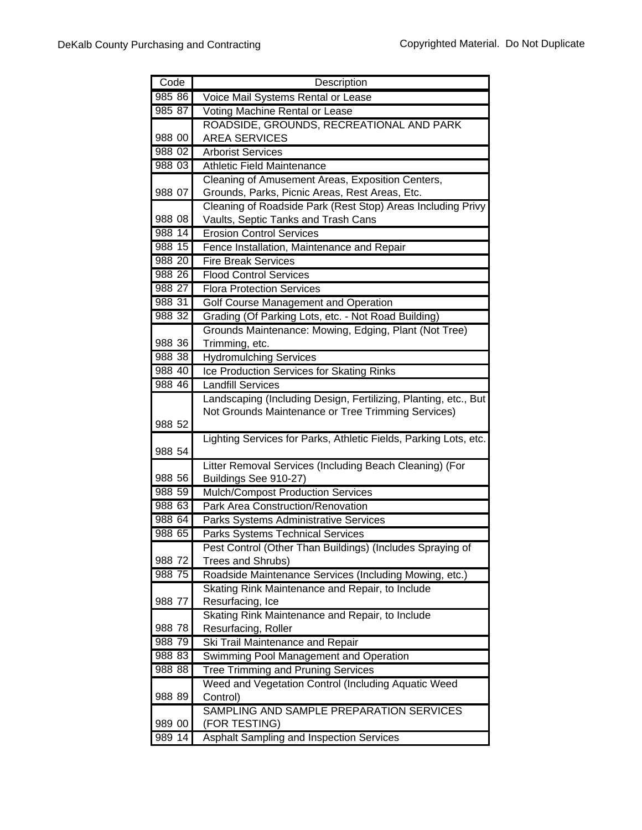| Code   | Description                                                      |
|--------|------------------------------------------------------------------|
| 985 86 | Voice Mail Systems Rental or Lease                               |
| 985 87 | Voting Machine Rental or Lease                                   |
|        | ROADSIDE, GROUNDS, RECREATIONAL AND PARK                         |
| 988 00 | <b>AREA SERVICES</b>                                             |
| 988 02 | <b>Arborist Services</b>                                         |
| 988 03 | <b>Athletic Field Maintenance</b>                                |
|        | Cleaning of Amusement Areas, Exposition Centers,                 |
| 988 07 | Grounds, Parks, Picnic Areas, Rest Areas, Etc.                   |
|        | Cleaning of Roadside Park (Rest Stop) Areas Including Privy      |
| 988 08 | Vaults, Septic Tanks and Trash Cans                              |
| 988 14 | <b>Erosion Control Services</b>                                  |
| 988 15 | Fence Installation, Maintenance and Repair                       |
| 988 20 | <b>Fire Break Services</b>                                       |
| 988 26 | <b>Flood Control Services</b>                                    |
| 988 27 | <b>Flora Protection Services</b>                                 |
| 98831  | Golf Course Management and Operation                             |
| 988 32 | Grading (Of Parking Lots, etc. - Not Road Building)              |
|        | Grounds Maintenance: Mowing, Edging, Plant (Not Tree)            |
| 988 36 | Trimming, etc.                                                   |
| 988 38 | <b>Hydromulching Services</b>                                    |
| 988 40 | Ice Production Services for Skating Rinks                        |
| 988 46 | <b>Landfill Services</b>                                         |
|        | Landscaping (Including Design, Fertilizing, Planting, etc., But  |
|        | Not Grounds Maintenance or Tree Trimming Services)               |
| 988 52 |                                                                  |
| 988 54 | Lighting Services for Parks, Athletic Fields, Parking Lots, etc. |
|        | Litter Removal Services (Including Beach Cleaning) (For          |
| 988 56 | Buildings See 910-27)                                            |
| 988 59 | Mulch/Compost Production Services                                |
| 988 63 | Park Area Construction/Renovation                                |
| 988 64 | Parks Systems Administrative Services                            |
| 988 65 | Parks Systems Technical Services                                 |
|        | Pest Control (Other Than Buildings) (Includes Spraying of        |
| 988 72 | Trees and Shrubs)                                                |
| 988 75 | Roadside Maintenance Services (Including Mowing, etc.)           |
|        | Skating Rink Maintenance and Repair, to Include                  |
| 988 77 | Resurfacing, Ice                                                 |
|        | Skating Rink Maintenance and Repair, to Include                  |
| 988 78 | Resurfacing, Roller                                              |
| 988 79 | Ski Trail Maintenance and Repair                                 |
| 988 83 | Swimming Pool Management and Operation                           |
| 988 88 | <b>Tree Trimming and Pruning Services</b>                        |
|        | Weed and Vegetation Control (Including Aquatic Weed              |
| 988 89 | Control)                                                         |
|        | SAMPLING AND SAMPLE PREPARATION SERVICES                         |
| 989 00 | (FOR TESTING)                                                    |
| 989 14 | Asphalt Sampling and Inspection Services                         |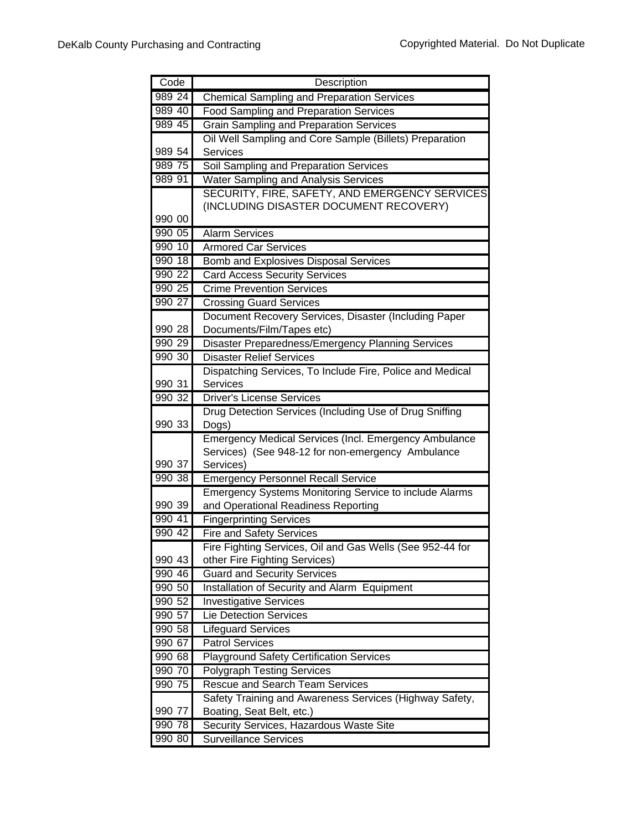| Code     | Description                                                    |
|----------|----------------------------------------------------------------|
| 989 24   | <b>Chemical Sampling and Preparation Services</b>              |
| 989 40   | <b>Food Sampling and Preparation Services</b>                  |
| 989 45   | <b>Grain Sampling and Preparation Services</b>                 |
|          | Oil Well Sampling and Core Sample (Billets) Preparation        |
| 989 54   | <b>Services</b>                                                |
| 989 75   | Soil Sampling and Preparation Services                         |
| 989 91   | <b>Water Sampling and Analysis Services</b>                    |
|          | SECURITY, FIRE, SAFETY, AND EMERGENCY SERVICES                 |
|          | (INCLUDING DISASTER DOCUMENT RECOVERY)                         |
| 990 00   |                                                                |
| 990 05   | <b>Alarm Services</b>                                          |
| 990 10   | <b>Armored Car Services</b>                                    |
| $990$ 18 | <b>Bomb and Explosives Disposal Services</b>                   |
| 990 22   | <b>Card Access Security Services</b>                           |
| 990 25   | <b>Crime Prevention Services</b>                               |
| 990 27   | <b>Crossing Guard Services</b>                                 |
|          | Document Recovery Services, Disaster (Including Paper          |
| 990 28   | Documents/Film/Tapes etc)                                      |
| 990 29   | Disaster Preparedness/Emergency Planning Services              |
| 990 30   | <b>Disaster Relief Services</b>                                |
|          | Dispatching Services, To Include Fire, Police and Medical      |
| 990 31   | Services                                                       |
| 990 32   | <b>Driver's License Services</b>                               |
|          | Drug Detection Services (Including Use of Drug Sniffing        |
| 990 33   | Dogs)                                                          |
|          | <b>Emergency Medical Services (Incl. Emergency Ambulance</b>   |
| 990 37   | Services) (See 948-12 for non-emergency Ambulance<br>Services) |
| 990 38   | <b>Emergency Personnel Recall Service</b>                      |
|          | <b>Emergency Systems Monitoring Service to include Alarms</b>  |
| 990 39   | and Operational Readiness Reporting                            |
| 990 41   | <b>Fingerprinting Services</b>                                 |
| 990 42   | <b>Fire and Safety Services</b>                                |
|          | Fire Fighting Services, Oil and Gas Wells (See 952-44 for      |
| 990 43   | other Fire Fighting Services)                                  |
| 990 46   | <b>Guard and Security Services</b>                             |
| 990 50   | Installation of Security and Alarm Equipment                   |
| 990 52   | <b>Investigative Services</b>                                  |
| 990 57   | <b>Lie Detection Services</b>                                  |
| 990 58   | <b>Lifeguard Services</b>                                      |
| 990 67   | <b>Patrol Services</b>                                         |
| 990 68   | <b>Playground Safety Certification Services</b>                |
| 990 70   | <b>Polygraph Testing Services</b>                              |
| 990 75   | <b>Rescue and Search Team Services</b>                         |
|          | Safety Training and Awareness Services (Highway Safety,        |
| 990 77   | Boating, Seat Belt, etc.)                                      |
| 990 78   | Security Services, Hazardous Waste Site                        |
| 990 80   | <b>Surveillance Services</b>                                   |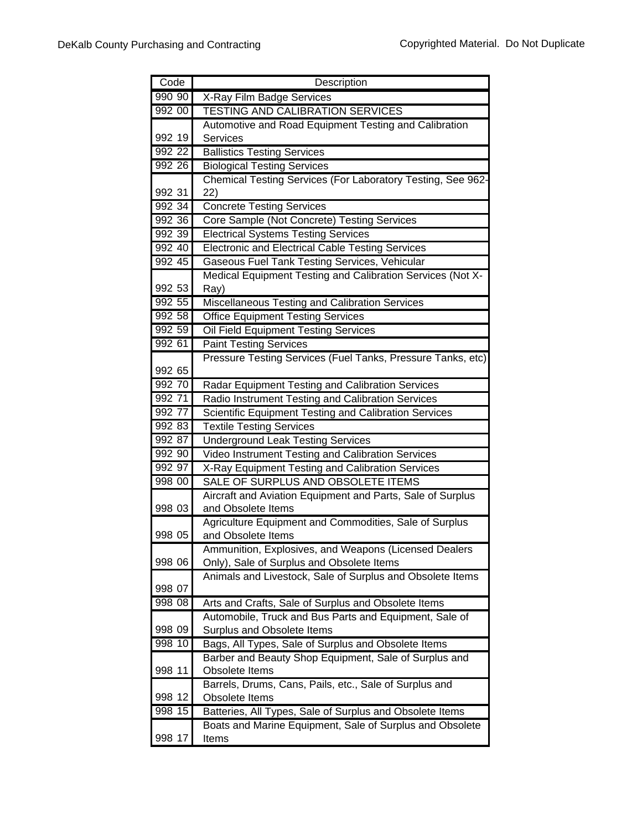| Code             | Description                                                                                           |
|------------------|-------------------------------------------------------------------------------------------------------|
| 990 90           | X-Ray Film Badge Services                                                                             |
| 992 00           | <b>TESTING AND CALIBRATION SERVICES</b>                                                               |
|                  | Automotive and Road Equipment Testing and Calibration                                                 |
| 992 19           | Services                                                                                              |
| 992 22           | <b>Ballistics Testing Services</b>                                                                    |
| 992 26           | <b>Biological Testing Services</b>                                                                    |
|                  | Chemical Testing Services (For Laboratory Testing, See 962-                                           |
| 992 31           | 22)                                                                                                   |
| 992 34           | <b>Concrete Testing Services</b>                                                                      |
| 992 36           | Core Sample (Not Concrete) Testing Services                                                           |
| 992 39           | <b>Electrical Systems Testing Services</b>                                                            |
| 992 40           | <b>Electronic and Electrical Cable Testing Services</b>                                               |
| 992 45           | Gaseous Fuel Tank Testing Services, Vehicular                                                         |
|                  | Medical Equipment Testing and Calibration Services (Not X-                                            |
| 992 53           | Ray)                                                                                                  |
| 992 55           | Miscellaneous Testing and Calibration Services                                                        |
| 992 58           | <b>Office Equipment Testing Services</b>                                                              |
| 992 59           | Oil Field Equipment Testing Services                                                                  |
| 992 61           | <b>Paint Testing Services</b>                                                                         |
|                  | Pressure Testing Services (Fuel Tanks, Pressure Tanks, etc)                                           |
| 992 65           |                                                                                                       |
| 992 70           | Radar Equipment Testing and Calibration Services                                                      |
| 992 71           | Radio Instrument Testing and Calibration Services                                                     |
| 992 77           | Scientific Equipment Testing and Calibration Services                                                 |
| 992 83           | <b>Textile Testing Services</b>                                                                       |
| 992 87<br>992 90 | <b>Underground Leak Testing Services</b>                                                              |
| 992 97           | Video Instrument Testing and Calibration Services<br>X-Ray Equipment Testing and Calibration Services |
| 998 00           | SALE OF SURPLUS AND OBSOLETE ITEMS                                                                    |
|                  | Aircraft and Aviation Equipment and Parts, Sale of Surplus                                            |
| 998 03           | and Obsolete Items                                                                                    |
|                  | Agriculture Equipment and Commodities, Sale of Surplus                                                |
| 998 05           | and Obsolete Items                                                                                    |
|                  | Ammunition, Explosives, and Weapons (Licensed Dealers                                                 |
| 998 06           | Only), Sale of Surplus and Obsolete Items                                                             |
|                  | Animals and Livestock, Sale of Surplus and Obsolete Items                                             |
| 998 07           |                                                                                                       |
| 998 08           | Arts and Crafts, Sale of Surplus and Obsolete Items                                                   |
|                  | Automobile, Truck and Bus Parts and Equipment, Sale of                                                |
| 998 09           | Surplus and Obsolete Items                                                                            |
| 998 10           | Bags, All Types, Sale of Surplus and Obsolete Items                                                   |
|                  | Barber and Beauty Shop Equipment, Sale of Surplus and                                                 |
| 998 11           | Obsolete Items                                                                                        |
|                  | Barrels, Drums, Cans, Pails, etc., Sale of Surplus and                                                |
| 998 12           | Obsolete Items                                                                                        |
| 998 15           | Batteries, All Types, Sale of Surplus and Obsolete Items                                              |
|                  | Boats and Marine Equipment, Sale of Surplus and Obsolete                                              |
| 998 17           | Items                                                                                                 |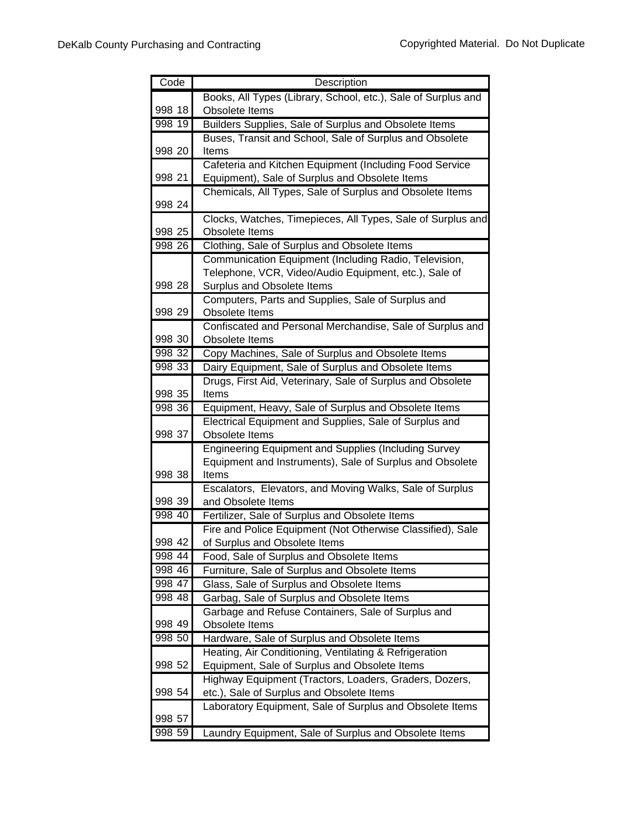| Code   | Description                                                   |
|--------|---------------------------------------------------------------|
|        | Books, All Types (Library, School, etc.), Sale of Surplus and |
| 998 18 | Obsolete Items                                                |
| 998 19 | Builders Supplies, Sale of Surplus and Obsolete Items         |
|        | Buses, Transit and School, Sale of Surplus and Obsolete       |
| 998 20 | Items                                                         |
|        | Cafeteria and Kitchen Equipment (Including Food Service       |
| 998 21 | Equipment), Sale of Surplus and Obsolete Items                |
| 998 24 | Chemicals, All Types, Sale of Surplus and Obsolete Items      |
|        | Clocks, Watches, Timepieces, All Types, Sale of Surplus and   |
| 998 25 | Obsolete Items                                                |
| 998 26 | Clothing, Sale of Surplus and Obsolete Items                  |
|        | Communication Equipment (Including Radio, Television,         |
|        | Telephone, VCR, Video/Audio Equipment, etc.), Sale of         |
| 998 28 | Surplus and Obsolete Items                                    |
|        | Computers, Parts and Supplies, Sale of Surplus and            |
| 998 29 | Obsolete Items                                                |
|        | Confiscated and Personal Merchandise, Sale of Surplus and     |
| 998 30 | Obsolete Items                                                |
| 998 32 | Copy Machines, Sale of Surplus and Obsolete Items             |
| 998 33 | Dairy Equipment, Sale of Surplus and Obsolete Items           |
|        | Drugs, First Aid, Veterinary, Sale of Surplus and Obsolete    |
| 998 35 | Items                                                         |
| 998 36 | Equipment, Heavy, Sale of Surplus and Obsolete Items          |
|        | Electrical Equipment and Supplies, Sale of Surplus and        |
| 998 37 | Obsolete Items                                                |
|        | <b>Engineering Equipment and Supplies (Including Survey</b>   |
|        | Equipment and Instruments), Sale of Surplus and Obsolete      |
| 998 38 | Items                                                         |
|        | Escalators, Elevators, and Moving Walks, Sale of Surplus      |
| 998 39 | and Obsolete Items                                            |
| 998 40 | Fertilizer, Sale of Surplus and Obsolete Items                |
|        | Fire and Police Equipment (Not Otherwise Classified), Sale    |
| 998 42 | of Surplus and Obsolete Items                                 |
| 998 44 | Food, Sale of Surplus and Obsolete Items                      |
| 998 46 | Furniture, Sale of Surplus and Obsolete Items                 |
| 998 47 | Glass, Sale of Surplus and Obsolete Items                     |
| 998 48 | Garbag, Sale of Surplus and Obsolete Items                    |
|        | Garbage and Refuse Containers, Sale of Surplus and            |
| 998 49 | Obsolete Items                                                |
| 998 50 | Hardware, Sale of Surplus and Obsolete Items                  |
|        | Heating, Air Conditioning, Ventilating & Refrigeration        |
| 998 52 | Equipment, Sale of Surplus and Obsolete Items                 |
| 998 54 | Highway Equipment (Tractors, Loaders, Graders, Dozers,        |
|        | etc.), Sale of Surplus and Obsolete Items                     |
| 998 57 | Laboratory Equipment, Sale of Surplus and Obsolete Items      |
| 998 59 | Laundry Equipment, Sale of Surplus and Obsolete Items         |
|        |                                                               |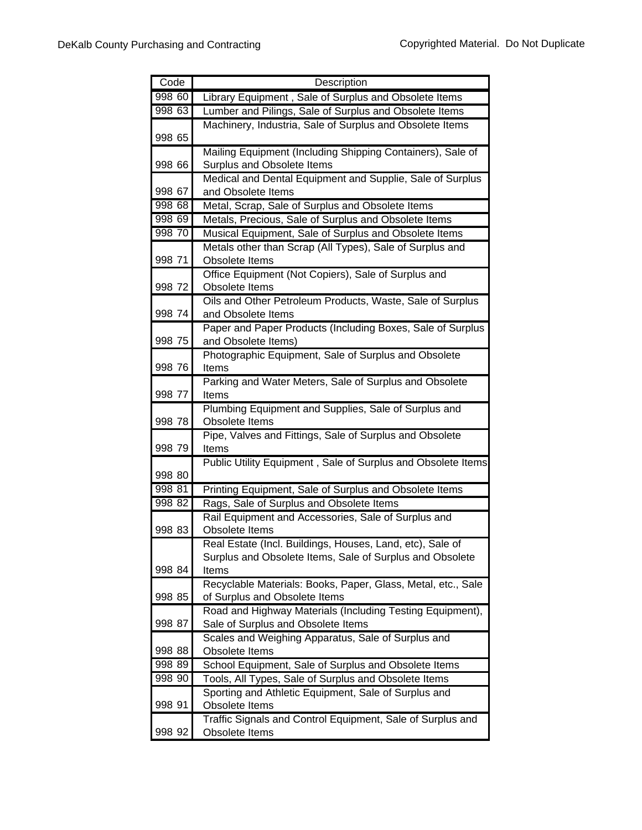| Code   | Description                                                                                   |
|--------|-----------------------------------------------------------------------------------------------|
| 998 60 | Library Equipment, Sale of Surplus and Obsolete Items                                         |
| 998 63 | Lumber and Pilings, Sale of Surplus and Obsolete Items                                        |
|        | Machinery, Industria, Sale of Surplus and Obsolete Items                                      |
| 998 65 |                                                                                               |
|        | Mailing Equipment (Including Shipping Containers), Sale of                                    |
| 998 66 | Surplus and Obsolete Items                                                                    |
|        | Medical and Dental Equipment and Supplie, Sale of Surplus                                     |
| 998 67 | and Obsolete Items                                                                            |
| 998 68 | Metal, Scrap, Sale of Surplus and Obsolete Items                                              |
| 998 69 | Metals, Precious, Sale of Surplus and Obsolete Items                                          |
| 998 70 | Musical Equipment, Sale of Surplus and Obsolete Items                                         |
|        | Metals other than Scrap (All Types), Sale of Surplus and                                      |
| 998 71 | Obsolete Items                                                                                |
|        | Office Equipment (Not Copiers), Sale of Surplus and                                           |
| 998 72 | Obsolete Items                                                                                |
|        | Oils and Other Petroleum Products, Waste, Sale of Surplus                                     |
| 998 74 | and Obsolete Items                                                                            |
|        | Paper and Paper Products (Including Boxes, Sale of Surplus                                    |
| 998 75 | and Obsolete Items)                                                                           |
|        | Photographic Equipment, Sale of Surplus and Obsolete                                          |
| 998 76 | Items                                                                                         |
|        | Parking and Water Meters, Sale of Surplus and Obsolete                                        |
| 998 77 | Items                                                                                         |
|        | Plumbing Equipment and Supplies, Sale of Surplus and                                          |
| 998 78 | Obsolete Items                                                                                |
|        | Pipe, Valves and Fittings, Sale of Surplus and Obsolete                                       |
| 998 79 | Items                                                                                         |
|        | Public Utility Equipment, Sale of Surplus and Obsolete Items                                  |
| 998 80 |                                                                                               |
| 998 81 | Printing Equipment, Sale of Surplus and Obsolete Items                                        |
| 998 82 | Rags, Sale of Surplus and Obsolete Items                                                      |
|        | Rail Equipment and Accessories, Sale of Surplus and                                           |
| 998 83 | Obsolete Items                                                                                |
|        | Real Estate (Incl. Buildings, Houses, Land, etc), Sale of                                     |
| 998 84 | Surplus and Obsolete Items, Sale of Surplus and Obsolete<br>Items                             |
|        |                                                                                               |
| 998 85 | Recyclable Materials: Books, Paper, Glass, Metal, etc., Sale<br>of Surplus and Obsolete Items |
|        | Road and Highway Materials (Including Testing Equipment),                                     |
| 998 87 | Sale of Surplus and Obsolete Items                                                            |
|        | Scales and Weighing Apparatus, Sale of Surplus and                                            |
| 998 88 | Obsolete Items                                                                                |
| 998 89 | School Equipment, Sale of Surplus and Obsolete Items                                          |
| 998 90 | Tools, All Types, Sale of Surplus and Obsolete Items                                          |
|        | Sporting and Athletic Equipment, Sale of Surplus and                                          |
| 998 91 | Obsolete Items                                                                                |
|        | Traffic Signals and Control Equipment, Sale of Surplus and                                    |
| 998 92 | Obsolete Items                                                                                |